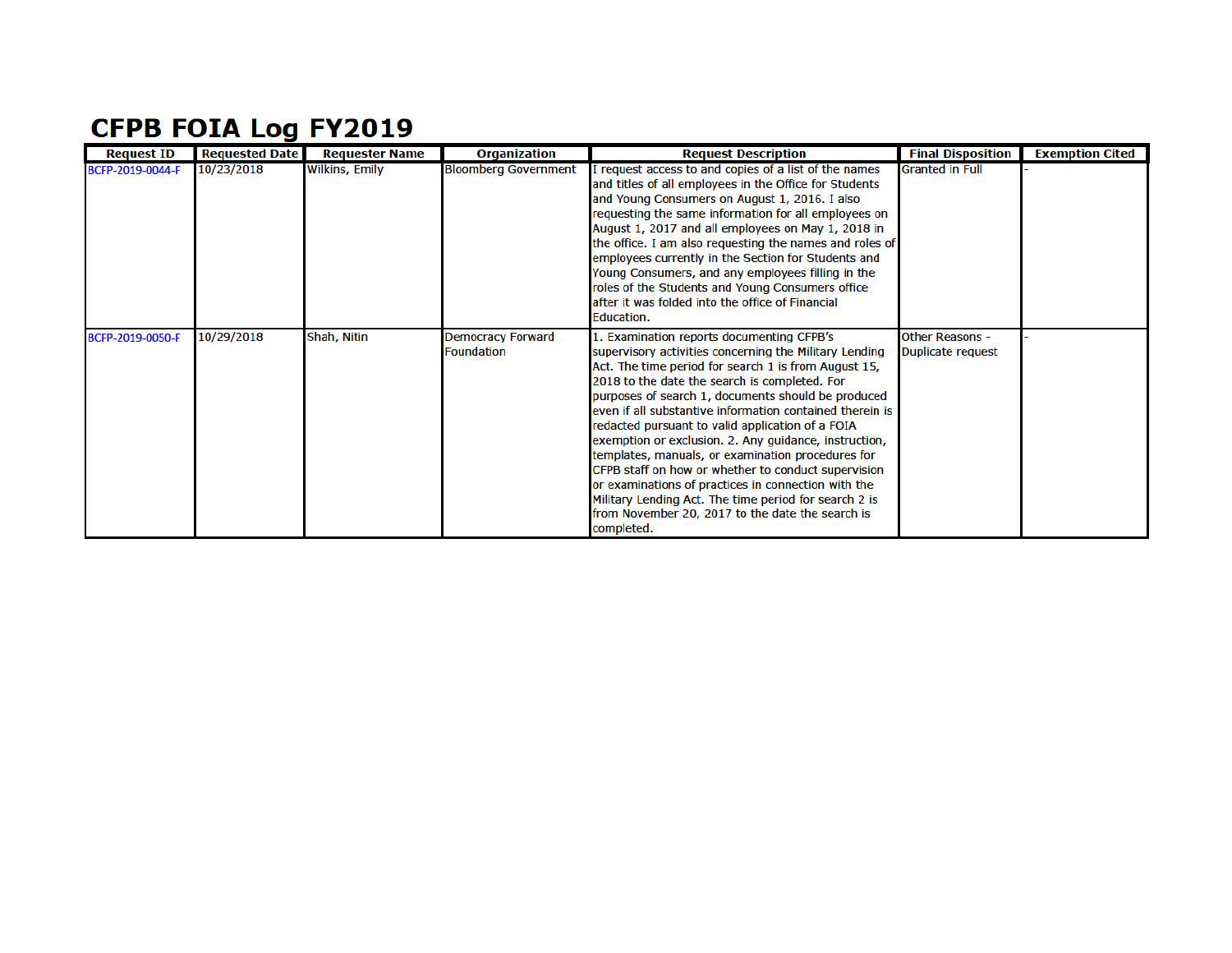## **CFPB FOIA Log FY2019**

| <b>Request ID</b> | <b>Requested Date</b> | <b>Requester Name</b> | <b>Organization</b>                           | <b>Request Description</b>                                                                                                                                                                                                                                                                                                                                                                                                                                                                                                                                                                                                                                                                                                                | <b>Final Disposition</b>                    | <b>Exemption Cited</b> |
|-------------------|-----------------------|-----------------------|-----------------------------------------------|-------------------------------------------------------------------------------------------------------------------------------------------------------------------------------------------------------------------------------------------------------------------------------------------------------------------------------------------------------------------------------------------------------------------------------------------------------------------------------------------------------------------------------------------------------------------------------------------------------------------------------------------------------------------------------------------------------------------------------------------|---------------------------------------------|------------------------|
| BCFP-2019-0044-F  | 10/23/2018            | <b>Wilkins, Emily</b> | <b>Bloomberg Government</b>                   | I request access to and copies of a list of the names<br>and titles of all employees in the Office for Students<br>and Young Consumers on August 1, 2016. I also<br>requesting the same information for all employees on<br>August 1, 2017 and all employees on May 1, 2018 in<br>the office. I am also requesting the names and roles of<br>employees currently in the Section for Students and<br>Young Consumers, and any employees filling in the<br>roles of the Students and Young Consumers office<br>after it was folded into the office of Financial<br>Education.                                                                                                                                                               | <b>Granted in Full</b>                      |                        |
| BCFP-2019-0050-F  | 10/29/2018            | Shah, Nitin           | <b>Democracy Forward</b><br><b>Foundation</b> | 1. Examination reports documenting CFPB's<br>supervisory activities concerning the Military Lending<br>Act. The time period for search 1 is from August 15,<br>2018 to the date the search is completed. For<br>purposes of search 1, documents should be produced<br>even if all substantive information contained therein is<br>redacted pursuant to valid application of a FOIA<br>exemption or exclusion. 2. Any guidance, instruction,<br>templates, manuals, or examination procedures for<br>CFPB staff on how or whether to conduct supervision<br>or examinations of practices in connection with the<br>Military Lending Act. The time period for search 2 is<br>from November 20, 2017 to the date the search is<br>completed. | <b>Other Reasons -</b><br>Duplicate request |                        |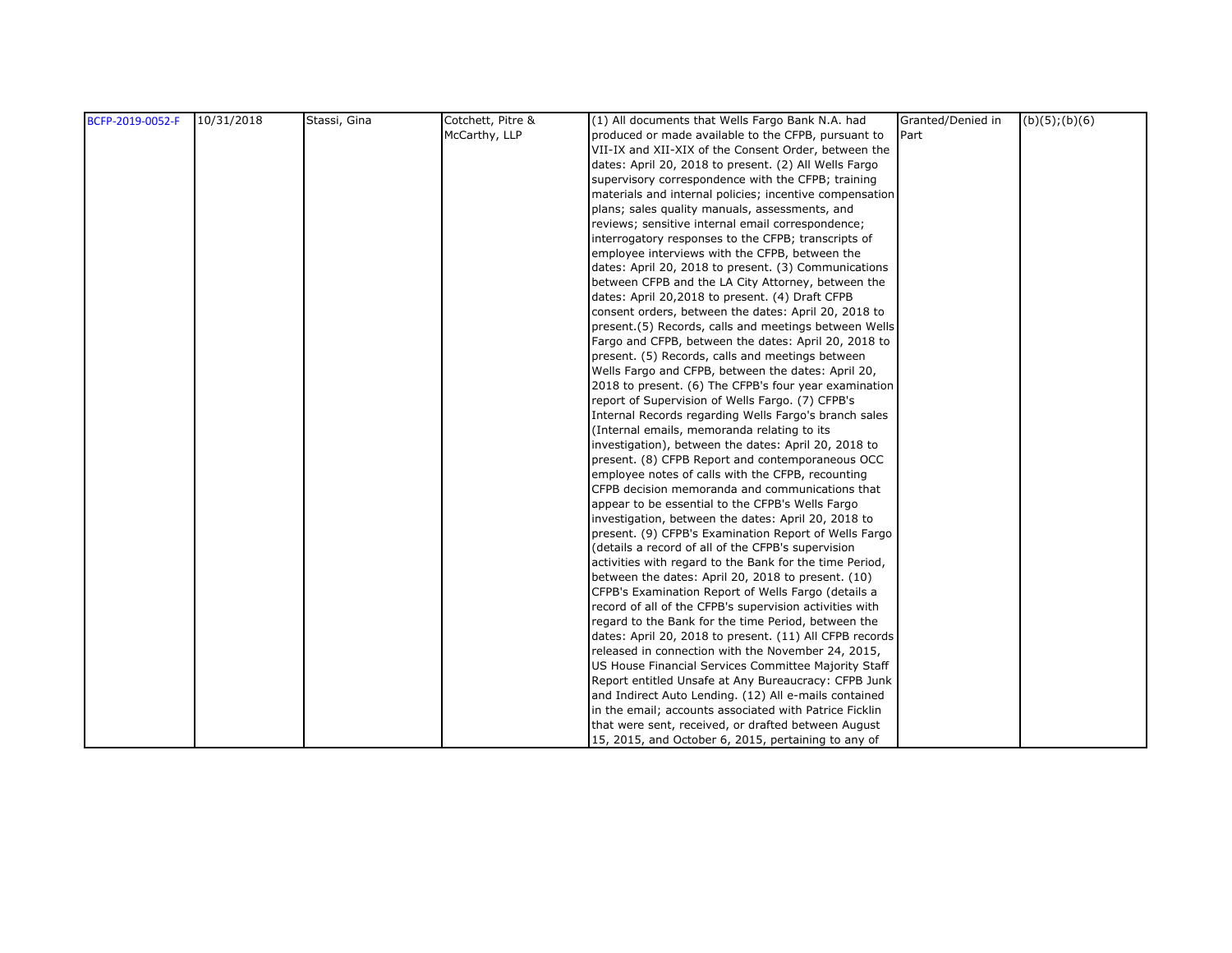| BCFP-2019-0052-F | 10/31/2018 | Stassi, Gina | Cotchett, Pitre & | (1) All documents that Wells Fargo Bank N.A. had        | Granted/Denied in | $(b)(5)$ ; $(b)(6)$ |
|------------------|------------|--------------|-------------------|---------------------------------------------------------|-------------------|---------------------|
|                  |            |              | McCarthy, LLP     | produced or made available to the CFPB, pursuant to     | Part              |                     |
|                  |            |              |                   | VII-IX and XII-XIX of the Consent Order, between the    |                   |                     |
|                  |            |              |                   | dates: April 20, 2018 to present. (2) All Wells Fargo   |                   |                     |
|                  |            |              |                   | supervisory correspondence with the CFPB; training      |                   |                     |
|                  |            |              |                   | materials and internal policies; incentive compensation |                   |                     |
|                  |            |              |                   | plans; sales quality manuals, assessments, and          |                   |                     |
|                  |            |              |                   | reviews; sensitive internal email correspondence;       |                   |                     |
|                  |            |              |                   | interrogatory responses to the CFPB; transcripts of     |                   |                     |
|                  |            |              |                   | employee interviews with the CFPB, between the          |                   |                     |
|                  |            |              |                   | dates: April 20, 2018 to present. (3) Communications    |                   |                     |
|                  |            |              |                   | between CFPB and the LA City Attorney, between the      |                   |                     |
|                  |            |              |                   | dates: April 20,2018 to present. (4) Draft CFPB         |                   |                     |
|                  |            |              |                   | consent orders, between the dates: April 20, 2018 to    |                   |                     |
|                  |            |              |                   | present.(5) Records, calls and meetings between Wells   |                   |                     |
|                  |            |              |                   | Fargo and CFPB, between the dates: April 20, 2018 to    |                   |                     |
|                  |            |              |                   | present. (5) Records, calls and meetings between        |                   |                     |
|                  |            |              |                   | Wells Fargo and CFPB, between the dates: April 20,      |                   |                     |
|                  |            |              |                   | 2018 to present. (6) The CFPB's four year examination   |                   |                     |
|                  |            |              |                   | report of Supervision of Wells Fargo. (7) CFPB's        |                   |                     |
|                  |            |              |                   | Internal Records regarding Wells Fargo's branch sales   |                   |                     |
|                  |            |              |                   | (Internal emails, memoranda relating to its             |                   |                     |
|                  |            |              |                   | investigation), between the dates: April 20, 2018 to    |                   |                     |
|                  |            |              |                   | present. (8) CFPB Report and contemporaneous OCC        |                   |                     |
|                  |            |              |                   | employee notes of calls with the CFPB, recounting       |                   |                     |
|                  |            |              |                   | CFPB decision memoranda and communications that         |                   |                     |
|                  |            |              |                   | appear to be essential to the CFPB's Wells Fargo        |                   |                     |
|                  |            |              |                   | investigation, between the dates: April 20, 2018 to     |                   |                     |
|                  |            |              |                   | present. (9) CFPB's Examination Report of Wells Fargo   |                   |                     |
|                  |            |              |                   | (details a record of all of the CFPB's supervision      |                   |                     |
|                  |            |              |                   | activities with regard to the Bank for the time Period, |                   |                     |
|                  |            |              |                   | between the dates: April 20, 2018 to present. (10)      |                   |                     |
|                  |            |              |                   | CFPB's Examination Report of Wells Fargo (details a     |                   |                     |
|                  |            |              |                   | record of all of the CFPB's supervision activities with |                   |                     |
|                  |            |              |                   | regard to the Bank for the time Period, between the     |                   |                     |
|                  |            |              |                   | dates: April 20, 2018 to present. (11) All CFPB records |                   |                     |
|                  |            |              |                   | released in connection with the November 24, 2015,      |                   |                     |
|                  |            |              |                   | US House Financial Services Committee Majority Staff    |                   |                     |
|                  |            |              |                   | Report entitled Unsafe at Any Bureaucracy: CFPB Junk    |                   |                     |
|                  |            |              |                   | and Indirect Auto Lending. (12) All e-mails contained   |                   |                     |
|                  |            |              |                   | in the email; accounts associated with Patrice Ficklin  |                   |                     |
|                  |            |              |                   | that were sent, received, or drafted between August     |                   |                     |
|                  |            |              |                   | 15, 2015, and October 6, 2015, pertaining to any of     |                   |                     |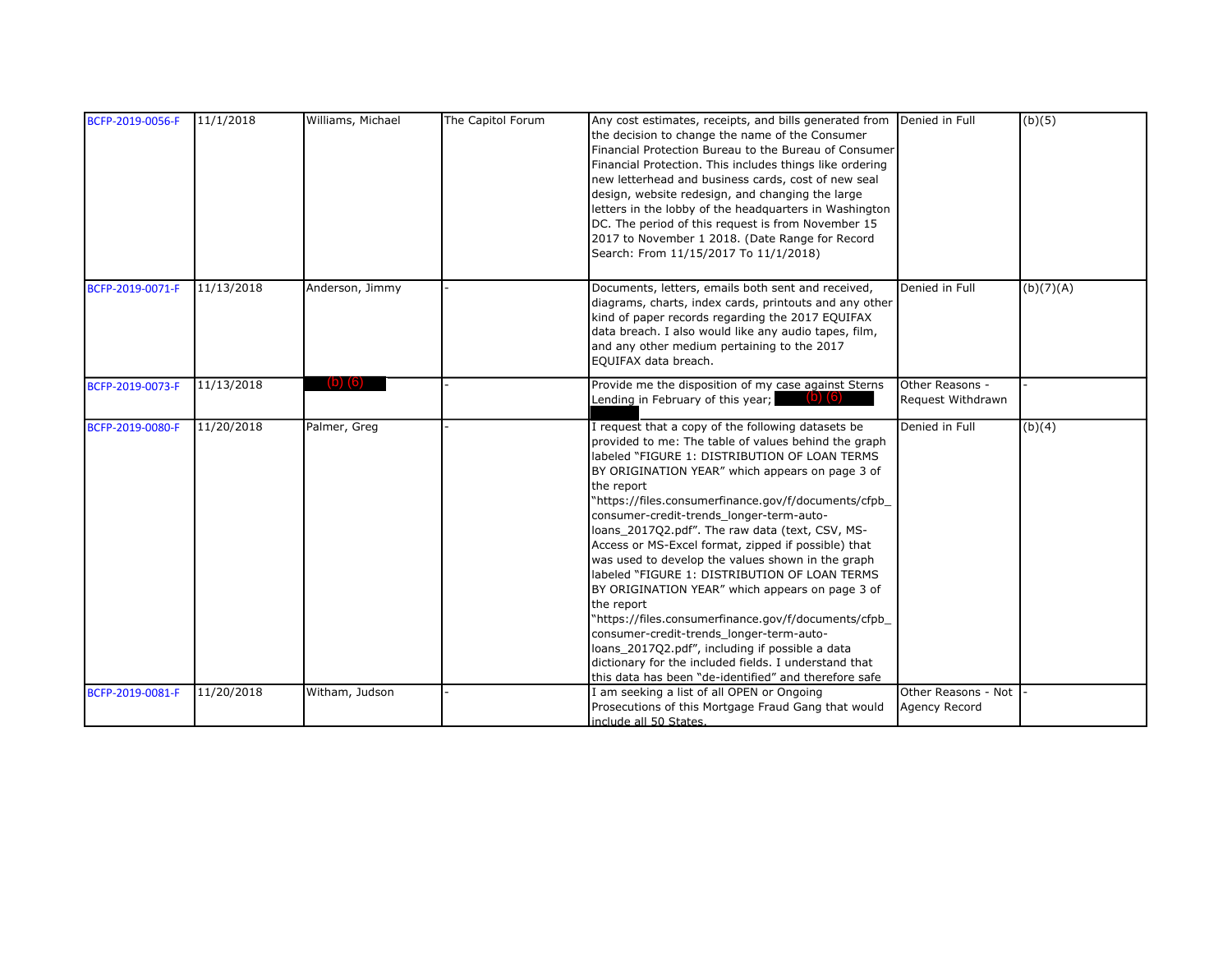| BCFP-2019-0056-F | 11/1/2018  | Williams, Michael | The Capitol Forum | Any cost estimates, receipts, and bills generated from Denied in Full<br>the decision to change the name of the Consumer<br>Financial Protection Bureau to the Bureau of Consumer<br>Financial Protection. This includes things like ordering<br>new letterhead and business cards, cost of new seal<br>design, website redesign, and changing the large<br>letters in the lobby of the headquarters in Washington<br>DC. The period of this request is from November 15                                                                                                                                                                                                                                                                                                                                                                                                                  |                                      | (b)(5)    |
|------------------|------------|-------------------|-------------------|-------------------------------------------------------------------------------------------------------------------------------------------------------------------------------------------------------------------------------------------------------------------------------------------------------------------------------------------------------------------------------------------------------------------------------------------------------------------------------------------------------------------------------------------------------------------------------------------------------------------------------------------------------------------------------------------------------------------------------------------------------------------------------------------------------------------------------------------------------------------------------------------|--------------------------------------|-----------|
|                  |            |                   |                   | 2017 to November 1 2018. (Date Range for Record<br>Search: From 11/15/2017 To 11/1/2018)                                                                                                                                                                                                                                                                                                                                                                                                                                                                                                                                                                                                                                                                                                                                                                                                  |                                      |           |
| BCFP-2019-0071-F | 11/13/2018 | Anderson, Jimmy   |                   | Documents, letters, emails both sent and received,<br>diagrams, charts, index cards, printouts and any other<br>kind of paper records regarding the 2017 EQUIFAX<br>data breach. I also would like any audio tapes, film,<br>and any other medium pertaining to the 2017<br>EQUIFAX data breach.                                                                                                                                                                                                                                                                                                                                                                                                                                                                                                                                                                                          | Denied in Full                       | (b)(7)(A) |
| BCFP-2019-0073-F | 11/13/2018 | $(b)$ $(6)$       |                   | Provide me the disposition of my case against Sterns<br>$\sqrt{(b)}$ $\sqrt{(b)}$<br>Lending in February of this year;                                                                                                                                                                                                                                                                                                                                                                                                                                                                                                                                                                                                                                                                                                                                                                    | Other Reasons -<br>Request Withdrawn |           |
| BCFP-2019-0080-F | 11/20/2018 | Palmer, Greg      |                   | I request that a copy of the following datasets be<br>provided to me: The table of values behind the graph<br>labeled "FIGURE 1: DISTRIBUTION OF LOAN TERMS<br>BY ORIGINATION YEAR" which appears on page 3 of<br>the report<br>"https://files.consumerfinance.gov/f/documents/cfpb<br>consumer-credit-trends longer-term-auto-<br>loans_2017Q2.pdf". The raw data (text, CSV, MS-<br>Access or MS-Excel format, zipped if possible) that<br>was used to develop the values shown in the graph<br>labeled "FIGURE 1: DISTRIBUTION OF LOAN TERMS<br>BY ORIGINATION YEAR" which appears on page 3 of<br>the report<br>"https://files.consumerfinance.gov/f/documents/cfpb_<br>consumer-credit-trends_longer-term-auto-<br>loans 2017Q2.pdf", including if possible a data<br>dictionary for the included fields. I understand that<br>this data has been "de-identified" and therefore safe | Denied in Full                       | (b)(4)    |
| BCFP-2019-0081-F | 11/20/2018 | Witham, Judson    |                   | I am seeking a list of all OPEN or Ongoing<br>Prosecutions of this Mortgage Fraud Gang that would<br>include all 50 States.                                                                                                                                                                                                                                                                                                                                                                                                                                                                                                                                                                                                                                                                                                                                                               | Other Reasons - Not<br>Agency Record |           |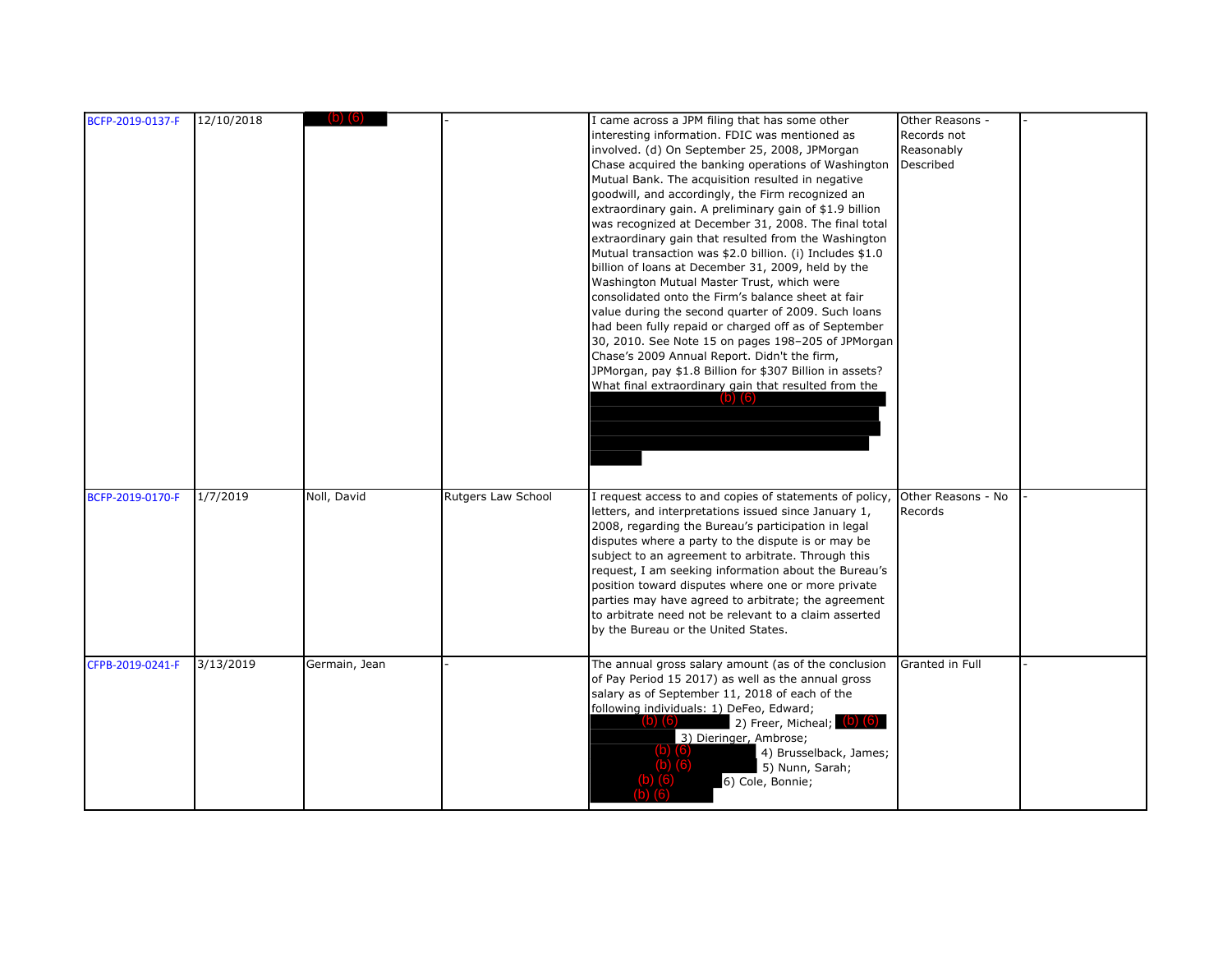| BCFP-2019-0137-F | 12/10/2018 |               |                    | I came across a JPM filing that has some other<br>interesting information. FDIC was mentioned as<br>involved. (d) On September 25, 2008, JPMorgan<br>Chase acquired the banking operations of Washington<br>Mutual Bank. The acquisition resulted in negative<br>goodwill, and accordingly, the Firm recognized an<br>extraordinary gain. A preliminary gain of \$1.9 billion<br>was recognized at December 31, 2008. The final total<br>extraordinary gain that resulted from the Washington<br>Mutual transaction was \$2.0 billion. (i) Includes \$1.0<br>billion of loans at December 31, 2009, held by the<br>Washington Mutual Master Trust, which were<br>consolidated onto the Firm's balance sheet at fair<br>value during the second quarter of 2009. Such loans<br>had been fully repaid or charged off as of September<br>30, 2010. See Note 15 on pages 198-205 of JPMorgan<br>Chase's 2009 Annual Report. Didn't the firm,<br>JPMorgan, pay \$1.8 Billion for \$307 Billion in assets?<br>What final extraordinary gain that resulted from the<br>$(b)$ $(6)$ | Other Reasons -<br>Records not<br>Reasonably<br>Described |  |
|------------------|------------|---------------|--------------------|-----------------------------------------------------------------------------------------------------------------------------------------------------------------------------------------------------------------------------------------------------------------------------------------------------------------------------------------------------------------------------------------------------------------------------------------------------------------------------------------------------------------------------------------------------------------------------------------------------------------------------------------------------------------------------------------------------------------------------------------------------------------------------------------------------------------------------------------------------------------------------------------------------------------------------------------------------------------------------------------------------------------------------------------------------------------------------|-----------------------------------------------------------|--|
| BCFP-2019-0170-F | 1/7/2019   | Noll, David   | Rutgers Law School | I request access to and copies of statements of policy,<br>letters, and interpretations issued since January 1,<br>2008, regarding the Bureau's participation in legal<br>disputes where a party to the dispute is or may be<br>subject to an agreement to arbitrate. Through this<br>request, I am seeking information about the Bureau's<br>position toward disputes where one or more private<br>parties may have agreed to arbitrate; the agreement<br>to arbitrate need not be relevant to a claim asserted<br>by the Bureau or the United States.                                                                                                                                                                                                                                                                                                                                                                                                                                                                                                                     | Other Reasons - No<br>Records                             |  |
| CFPB-2019-0241-F | 3/13/2019  | Germain, Jean |                    | The annual gross salary amount (as of the conclusion<br>of Pay Period 15 2017) as well as the annual gross<br>salary as of September 11, 2018 of each of the<br>following individuals: 1) DeFeo, Edward;<br>2) Freer, Micheal; (b) (6)<br>$(D)$ $(6)$<br>3) Dieringer, Ambrose;<br>4) Brusselback, James;<br>5) Nunn, Sarah;<br>6) Cole, Bonnie;                                                                                                                                                                                                                                                                                                                                                                                                                                                                                                                                                                                                                                                                                                                            | Granted in Full                                           |  |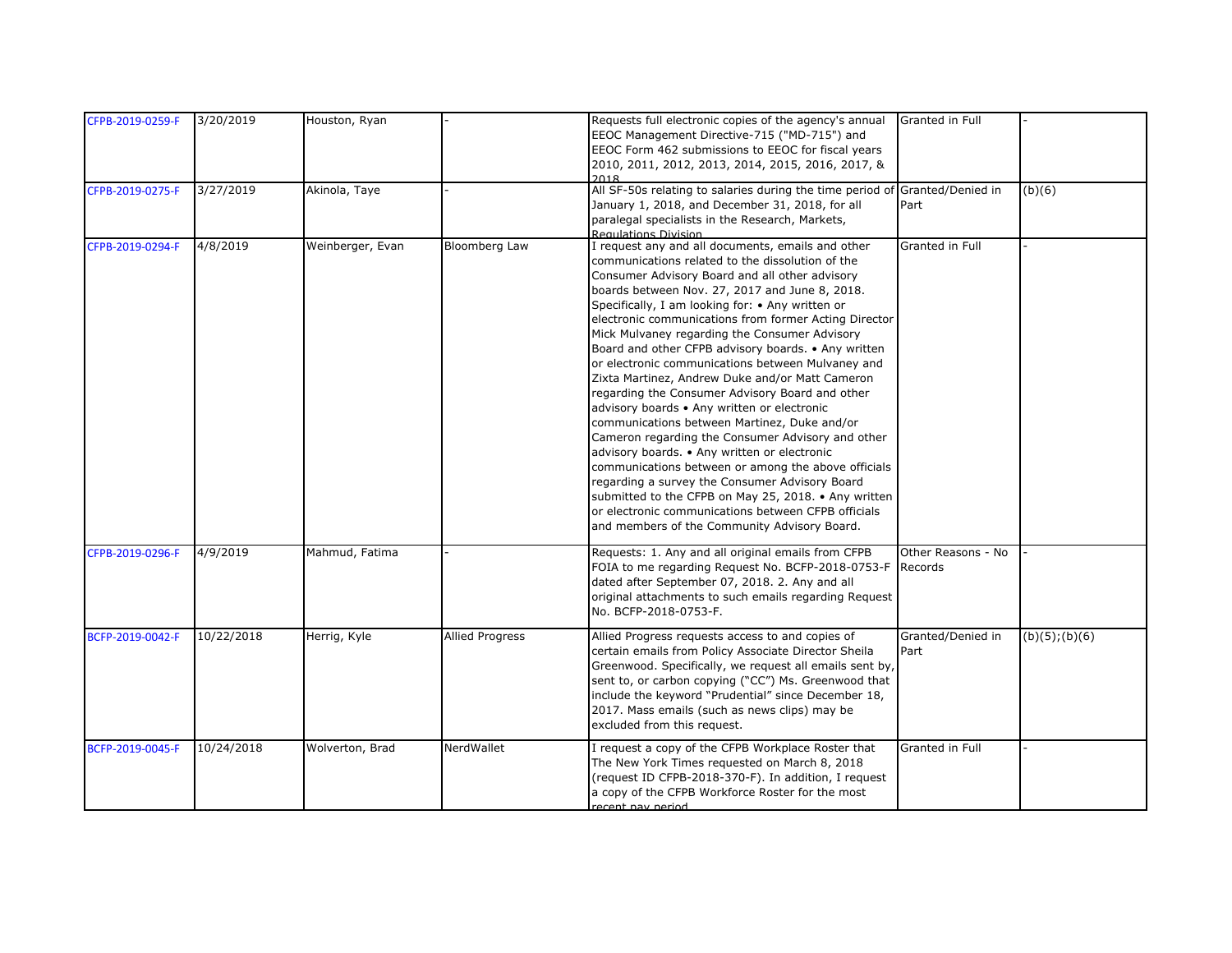| CFPB-2019-0259-F | 3/20/2019  | Houston, Ryan    |                        | Requests full electronic copies of the agency's annual<br>EEOC Management Directive-715 ("MD-715") and<br>EEOC Form 462 submissions to EEOC for fiscal years<br>2010, 2011, 2012, 2013, 2014, 2015, 2016, 2017, &                                                                                                                                                                                                                                                                                                                                                                                                                                                                                                                                                                                                                                                                                                                                                                                                                                                     | Granted in Full               |                     |
|------------------|------------|------------------|------------------------|-----------------------------------------------------------------------------------------------------------------------------------------------------------------------------------------------------------------------------------------------------------------------------------------------------------------------------------------------------------------------------------------------------------------------------------------------------------------------------------------------------------------------------------------------------------------------------------------------------------------------------------------------------------------------------------------------------------------------------------------------------------------------------------------------------------------------------------------------------------------------------------------------------------------------------------------------------------------------------------------------------------------------------------------------------------------------|-------------------------------|---------------------|
| CFPB-2019-0275-F | 3/27/2019  | Akinola, Taye    |                        | 2018<br>All SF-50s relating to salaries during the time period of Granted/Denied in<br>January 1, 2018, and December 31, 2018, for all<br>paralegal specialists in the Research, Markets,<br>Regulations Division                                                                                                                                                                                                                                                                                                                                                                                                                                                                                                                                                                                                                                                                                                                                                                                                                                                     | Part                          | (b)(6)              |
| CFPB-2019-0294-F | 4/8/2019   | Weinberger, Evan | Bloomberg Law          | I request any and all documents, emails and other<br>communications related to the dissolution of the<br>Consumer Advisory Board and all other advisory<br>boards between Nov. 27, 2017 and June 8, 2018.<br>Specifically, I am looking for: • Any written or<br>electronic communications from former Acting Director<br>Mick Mulvaney regarding the Consumer Advisory<br>Board and other CFPB advisory boards. • Any written<br>or electronic communications between Mulvaney and<br>Zixta Martinez, Andrew Duke and/or Matt Cameron<br>regarding the Consumer Advisory Board and other<br>advisory boards • Any written or electronic<br>communications between Martinez, Duke and/or<br>Cameron regarding the Consumer Advisory and other<br>advisory boards. . Any written or electronic<br>communications between or among the above officials<br>regarding a survey the Consumer Advisory Board<br>submitted to the CFPB on May 25, 2018. • Any written<br>or electronic communications between CFPB officials<br>and members of the Community Advisory Board. | Granted in Full               |                     |
| CFPB-2019-0296-F | 4/9/2019   | Mahmud, Fatima   |                        | Requests: 1. Any and all original emails from CFPB<br>FOIA to me regarding Request No. BCFP-2018-0753-F<br>dated after September 07, 2018. 2. Any and all<br>original attachments to such emails regarding Request<br>No. BCFP-2018-0753-F.                                                                                                                                                                                                                                                                                                                                                                                                                                                                                                                                                                                                                                                                                                                                                                                                                           | Other Reasons - No<br>Records |                     |
| BCFP-2019-0042-F | 10/22/2018 | Herrig, Kyle     | <b>Allied Progress</b> | Allied Progress requests access to and copies of<br>certain emails from Policy Associate Director Sheila<br>Greenwood. Specifically, we request all emails sent by,<br>sent to, or carbon copying ("CC") Ms. Greenwood that<br>include the keyword "Prudential" since December 18,<br>2017. Mass emails (such as news clips) may be<br>excluded from this request.                                                                                                                                                                                                                                                                                                                                                                                                                                                                                                                                                                                                                                                                                                    | Granted/Denied in<br>Part     | $(b)(5)$ ; $(b)(6)$ |
| BCFP-2019-0045-F | 10/24/2018 | Wolverton, Brad  | NerdWallet             | I request a copy of the CFPB Workplace Roster that<br>The New York Times requested on March 8, 2018<br>(request ID CFPB-2018-370-F). In addition, I request<br>a copy of the CFPB Workforce Roster for the most<br>recent nay neriod                                                                                                                                                                                                                                                                                                                                                                                                                                                                                                                                                                                                                                                                                                                                                                                                                                  | Granted in Full               |                     |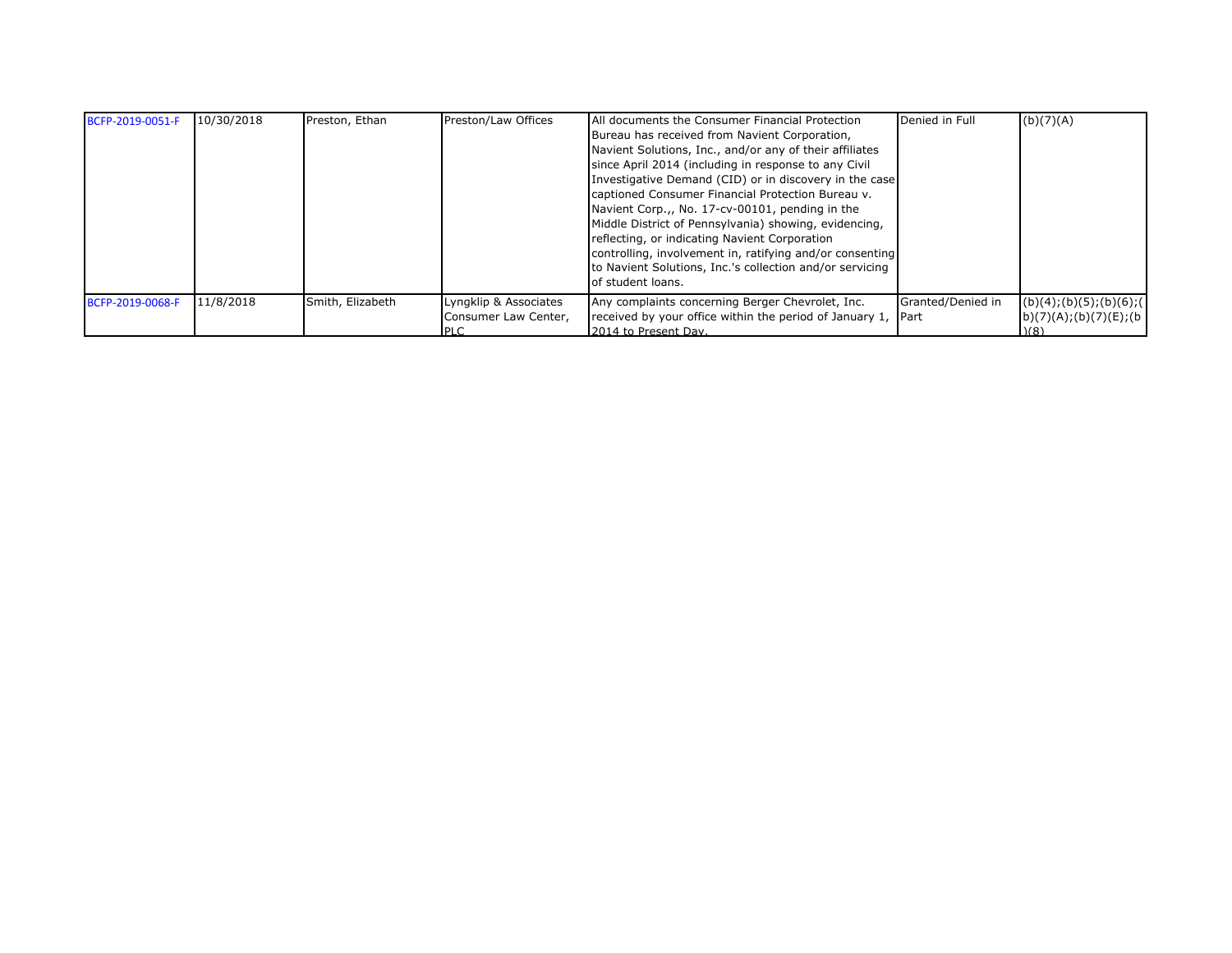| BCFP-2019-0051-F | 10/30/2018 | Preston, Ethan   | Preston/Law Offices                                    | All documents the Consumer Financial Protection<br>Bureau has received from Navient Corporation,<br>Navient Solutions, Inc., and/or any of their affiliates<br>since April 2014 (including in response to any Civil<br>Investigative Demand (CID) or in discovery in the case<br>captioned Consumer Financial Protection Bureau v.<br>Navient Corp.,, No. 17-cv-00101, pending in the<br>Middle District of Pennsylvania) showing, evidencing,<br>reflecting, or indicating Navient Corporation<br>controlling, involvement in, ratifying and/or consenting<br>to Navient Solutions, Inc.'s collection and/or servicing<br>of student loans. | Denied in Full                     | (b)(7)(A)                                                                                                                                                                                                                                                                                                                                                                                                                    |
|------------------|------------|------------------|--------------------------------------------------------|----------------------------------------------------------------------------------------------------------------------------------------------------------------------------------------------------------------------------------------------------------------------------------------------------------------------------------------------------------------------------------------------------------------------------------------------------------------------------------------------------------------------------------------------------------------------------------------------------------------------------------------------|------------------------------------|------------------------------------------------------------------------------------------------------------------------------------------------------------------------------------------------------------------------------------------------------------------------------------------------------------------------------------------------------------------------------------------------------------------------------|
| BCFP-2019-0068-F | 11/8/2018  | Smith, Elizabeth | Lyngklip & Associates<br>Consumer Law Center,<br>IPI C | Any complaints concerning Berger Chevrolet, Inc.<br>received by your office within the period of January 1,<br>2014 to Present Day.                                                                                                                                                                                                                                                                                                                                                                                                                                                                                                          | Granted/Denied in<br><b>I</b> Part | $(b)(4); (b)(5); (b)(6); (b)(7); (d)(8); (e)(8); (f)(9); (f)(1); (g)(1); (h)(1); (h)(1); (i)(1); (j)(2); (k)(3); (l)(4); (l)(5); (l)(6); (l)(7); (l)(8); (l)(9); (l)(1); (l)(1); (l)(1); (l)(2); (l)(3); (l)(5); (l)(6); (l)(7); (l)(8); (l)(9); (l)(1); (l)(1); (l)(1); (l)(2); (l)(3); (l)(5); (l)(5); (l)(6); (l)(7); (l)(8); (l)(9); (l)(9); (l)(1); (l)(1); ($<br>b)(7)(A);(b)(7)(E);(b)<br>$\mathcal{M}$ $\mathcal{B}$ |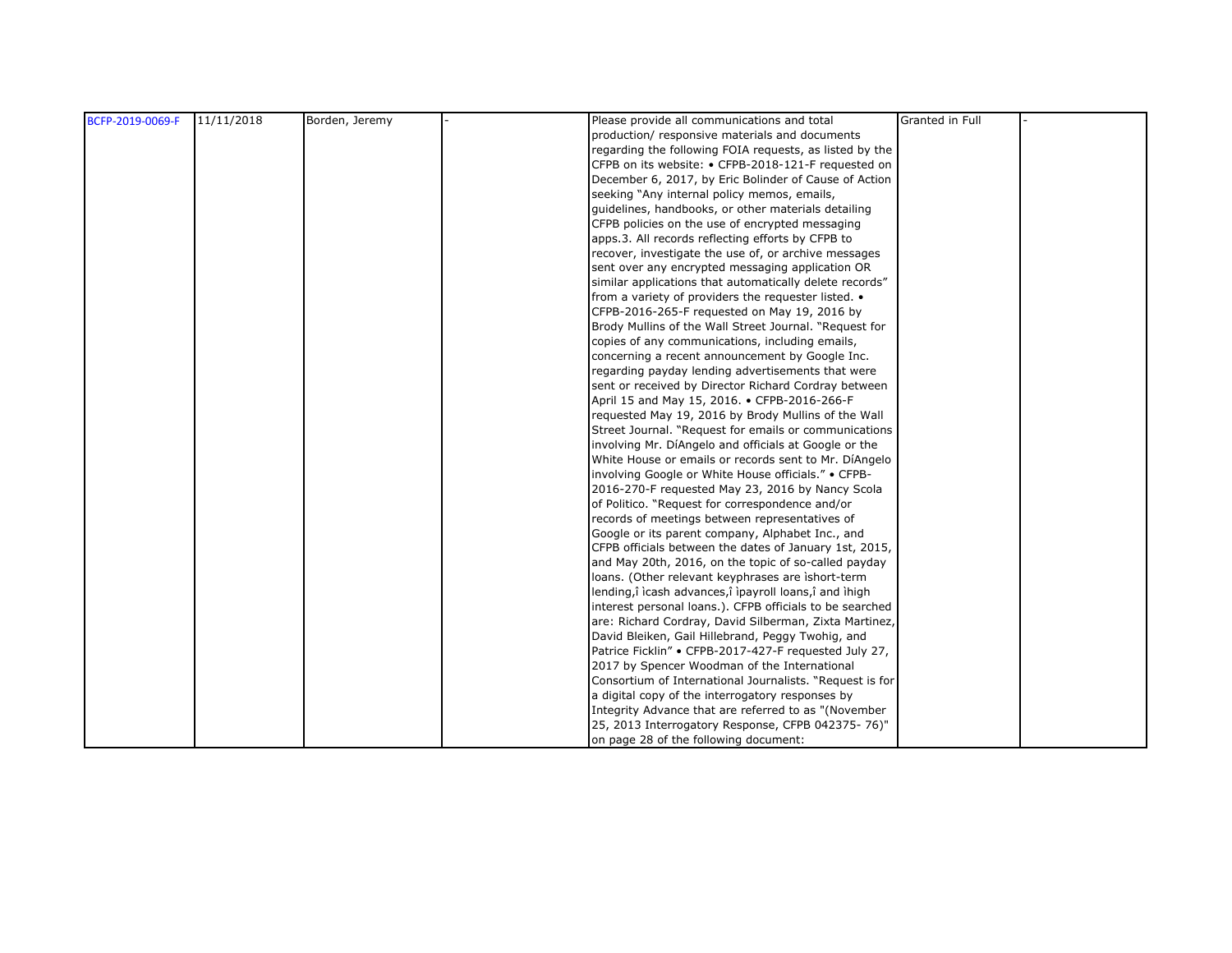| BCFP-2019-0069-F | 11/11/2018 | Borden, Jeremy | Please provide all communications and total              | Granted in Full |  |
|------------------|------------|----------------|----------------------------------------------------------|-----------------|--|
|                  |            |                | production/ responsive materials and documents           |                 |  |
|                  |            |                | regarding the following FOIA requests, as listed by the  |                 |  |
|                  |            |                | CFPB on its website: • CFPB-2018-121-F requested on      |                 |  |
|                  |            |                | December 6, 2017, by Eric Bolinder of Cause of Action    |                 |  |
|                  |            |                | seeking "Any internal policy memos, emails,              |                 |  |
|                  |            |                | quidelines, handbooks, or other materials detailing      |                 |  |
|                  |            |                | CFPB policies on the use of encrypted messaging          |                 |  |
|                  |            |                | apps.3. All records reflecting efforts by CFPB to        |                 |  |
|                  |            |                | recover, investigate the use of, or archive messages     |                 |  |
|                  |            |                | sent over any encrypted messaging application OR         |                 |  |
|                  |            |                | similar applications that automatically delete records"  |                 |  |
|                  |            |                | from a variety of providers the requester listed. •      |                 |  |
|                  |            |                | CFPB-2016-265-F requested on May 19, 2016 by             |                 |  |
|                  |            |                | Brody Mullins of the Wall Street Journal. "Request for   |                 |  |
|                  |            |                | copies of any communications, including emails,          |                 |  |
|                  |            |                | concerning a recent announcement by Google Inc.          |                 |  |
|                  |            |                | regarding payday lending advertisements that were        |                 |  |
|                  |            |                | sent or received by Director Richard Cordray between     |                 |  |
|                  |            |                | April 15 and May 15, 2016. • CFPB-2016-266-F             |                 |  |
|                  |            |                | requested May 19, 2016 by Brody Mullins of the Wall      |                 |  |
|                  |            |                | Street Journal. "Request for emails or communications    |                 |  |
|                  |            |                | involving Mr. DíAngelo and officials at Google or the    |                 |  |
|                  |            |                | White House or emails or records sent to Mr. DiAngelo    |                 |  |
|                  |            |                | involving Google or White House officials." • CFPB-      |                 |  |
|                  |            |                | 2016-270-F requested May 23, 2016 by Nancy Scola         |                 |  |
|                  |            |                | of Politico. "Request for correspondence and/or          |                 |  |
|                  |            |                | records of meetings between representatives of           |                 |  |
|                  |            |                | Google or its parent company, Alphabet Inc., and         |                 |  |
|                  |            |                | CFPB officials between the dates of January 1st, 2015,   |                 |  |
|                  |            |                | and May 20th, 2016, on the topic of so-called payday     |                 |  |
|                  |            |                | loans. (Other relevant keyphrases are ishort-term        |                 |  |
|                  |            |                | lending,î icash advances,î ipayroll loans,î and ihigh    |                 |  |
|                  |            |                | interest personal loans.). CFPB officials to be searched |                 |  |
|                  |            |                | are: Richard Cordray, David Silberman, Zixta Martinez,   |                 |  |
|                  |            |                | David Bleiken, Gail Hillebrand, Peggy Twohig, and        |                 |  |
|                  |            |                | Patrice Ficklin" • CFPB-2017-427-F requested July 27,    |                 |  |
|                  |            |                | 2017 by Spencer Woodman of the International             |                 |  |
|                  |            |                | Consortium of International Journalists. "Request is for |                 |  |
|                  |            |                | a digital copy of the interrogatory responses by         |                 |  |
|                  |            |                | Integrity Advance that are referred to as "(November     |                 |  |
|                  |            |                | 25, 2013 Interrogatory Response, CFPB 042375-76)"        |                 |  |
|                  |            |                | on page 28 of the following document:                    |                 |  |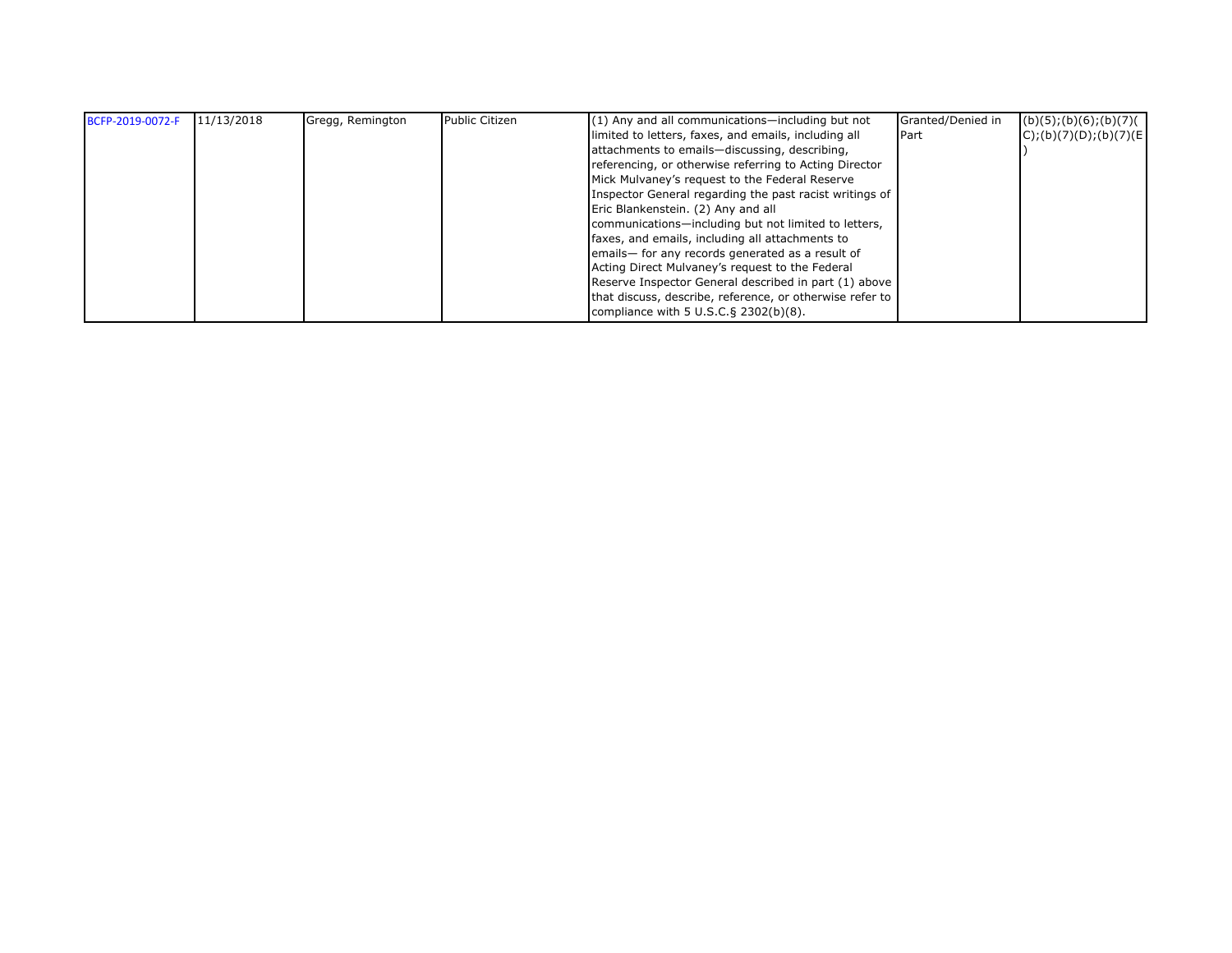| BCFP-2019-0072-F | 11/13/2018 | Gregg, Remington | <b>Public Citizen</b> | $(1)$ Any and all communications—including but not       | Granted/Denied in | (b)(5); (b)(6); (b)(7)   |
|------------------|------------|------------------|-----------------------|----------------------------------------------------------|-------------------|--------------------------|
|                  |            |                  |                       | limited to letters, faxes, and emails, including all     | <b>Part</b>       | $C$ );(b)(7)(D);(b)(7)(E |
|                  |            |                  |                       | attachments to emails-discussing, describing,            |                   |                          |
|                  |            |                  |                       | referencing, or otherwise referring to Acting Director   |                   |                          |
|                  |            |                  |                       | Mick Mulvaney's request to the Federal Reserve           |                   |                          |
|                  |            |                  |                       | Inspector General regarding the past racist writings of  |                   |                          |
|                  |            |                  |                       | Eric Blankenstein. (2) Any and all                       |                   |                          |
|                  |            |                  |                       | communications-including but not limited to letters,     |                   |                          |
|                  |            |                  |                       | faxes, and emails, including all attachments to          |                   |                          |
|                  |            |                  |                       | emails-for any records generated as a result of          |                   |                          |
|                  |            |                  |                       | Acting Direct Mulvaney's request to the Federal          |                   |                          |
|                  |            |                  |                       | Reserve Inspector General described in part (1) above    |                   |                          |
|                  |            |                  |                       | that discuss, describe, reference, or otherwise refer to |                   |                          |
|                  |            |                  |                       | compliance with $5 \text{ U.S.C.}$ § 2302(b)(8).         |                   |                          |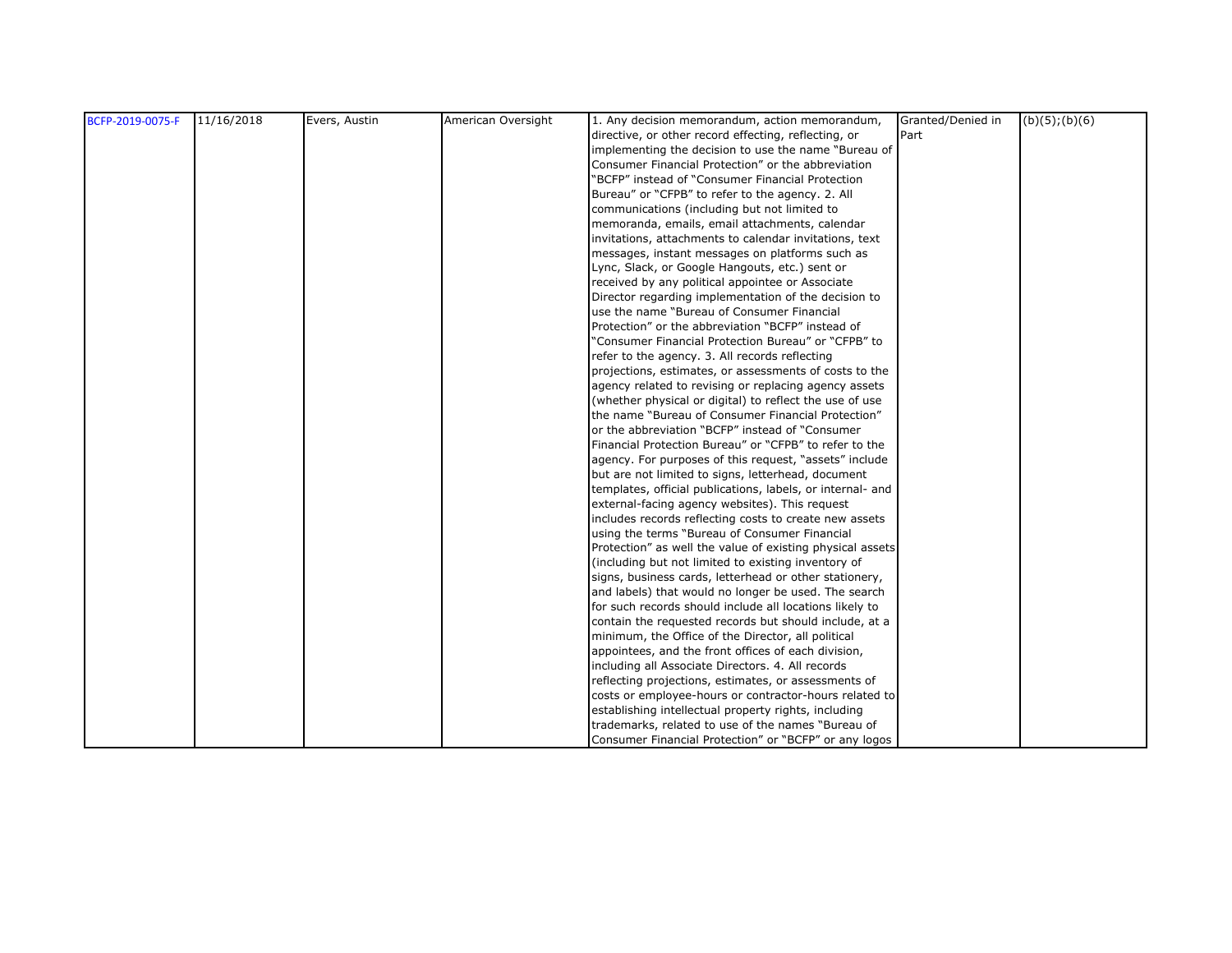| BCFP-2019-0075-F | 11/16/2018 | Evers, Austin | American Oversight | 1. Any decision memorandum, action memorandum,             | Granted/Denied in | $(b)(5)$ ; $(b)(6)$ |
|------------------|------------|---------------|--------------------|------------------------------------------------------------|-------------------|---------------------|
|                  |            |               |                    | directive, or other record effecting, reflecting, or       | Part              |                     |
|                  |            |               |                    | implementing the decision to use the name "Bureau of       |                   |                     |
|                  |            |               |                    | Consumer Financial Protection" or the abbreviation         |                   |                     |
|                  |            |               |                    | "BCFP" instead of "Consumer Financial Protection           |                   |                     |
|                  |            |               |                    | Bureau" or "CFPB" to refer to the agency. 2. All           |                   |                     |
|                  |            |               |                    | communications (including but not limited to               |                   |                     |
|                  |            |               |                    | memoranda, emails, email attachments, calendar             |                   |                     |
|                  |            |               |                    | invitations, attachments to calendar invitations, text     |                   |                     |
|                  |            |               |                    | messages, instant messages on platforms such as            |                   |                     |
|                  |            |               |                    | Lync, Slack, or Google Hangouts, etc.) sent or             |                   |                     |
|                  |            |               |                    | received by any political appointee or Associate           |                   |                     |
|                  |            |               |                    | Director regarding implementation of the decision to       |                   |                     |
|                  |            |               |                    | use the name "Bureau of Consumer Financial                 |                   |                     |
|                  |            |               |                    | Protection" or the abbreviation "BCFP" instead of          |                   |                     |
|                  |            |               |                    | "Consumer Financial Protection Bureau" or "CFPB" to        |                   |                     |
|                  |            |               |                    | refer to the agency. 3. All records reflecting             |                   |                     |
|                  |            |               |                    | projections, estimates, or assessments of costs to the     |                   |                     |
|                  |            |               |                    | agency related to revising or replacing agency assets      |                   |                     |
|                  |            |               |                    | (whether physical or digital) to reflect the use of use    |                   |                     |
|                  |            |               |                    | the name "Bureau of Consumer Financial Protection"         |                   |                     |
|                  |            |               |                    | or the abbreviation "BCFP" instead of "Consumer            |                   |                     |
|                  |            |               |                    | Financial Protection Bureau" or "CFPB" to refer to the     |                   |                     |
|                  |            |               |                    | agency. For purposes of this request, "assets" include     |                   |                     |
|                  |            |               |                    | but are not limited to signs, letterhead, document         |                   |                     |
|                  |            |               |                    | templates, official publications, labels, or internal- and |                   |                     |
|                  |            |               |                    | external-facing agency websites). This request             |                   |                     |
|                  |            |               |                    | includes records reflecting costs to create new assets     |                   |                     |
|                  |            |               |                    | using the terms "Bureau of Consumer Financial              |                   |                     |
|                  |            |               |                    | Protection" as well the value of existing physical assets  |                   |                     |
|                  |            |               |                    | (including but not limited to existing inventory of        |                   |                     |
|                  |            |               |                    | signs, business cards, letterhead or other stationery,     |                   |                     |
|                  |            |               |                    | and labels) that would no longer be used. The search       |                   |                     |
|                  |            |               |                    | for such records should include all locations likely to    |                   |                     |
|                  |            |               |                    | contain the requested records but should include, at a     |                   |                     |
|                  |            |               |                    | minimum, the Office of the Director, all political         |                   |                     |
|                  |            |               |                    | appointees, and the front offices of each division,        |                   |                     |
|                  |            |               |                    | including all Associate Directors. 4. All records          |                   |                     |
|                  |            |               |                    | reflecting projections, estimates, or assessments of       |                   |                     |
|                  |            |               |                    | costs or employee-hours or contractor-hours related to     |                   |                     |
|                  |            |               |                    | establishing intellectual property rights, including       |                   |                     |
|                  |            |               |                    | trademarks, related to use of the names "Bureau of         |                   |                     |
|                  |            |               |                    | Consumer Financial Protection" or "BCFP" or any logos      |                   |                     |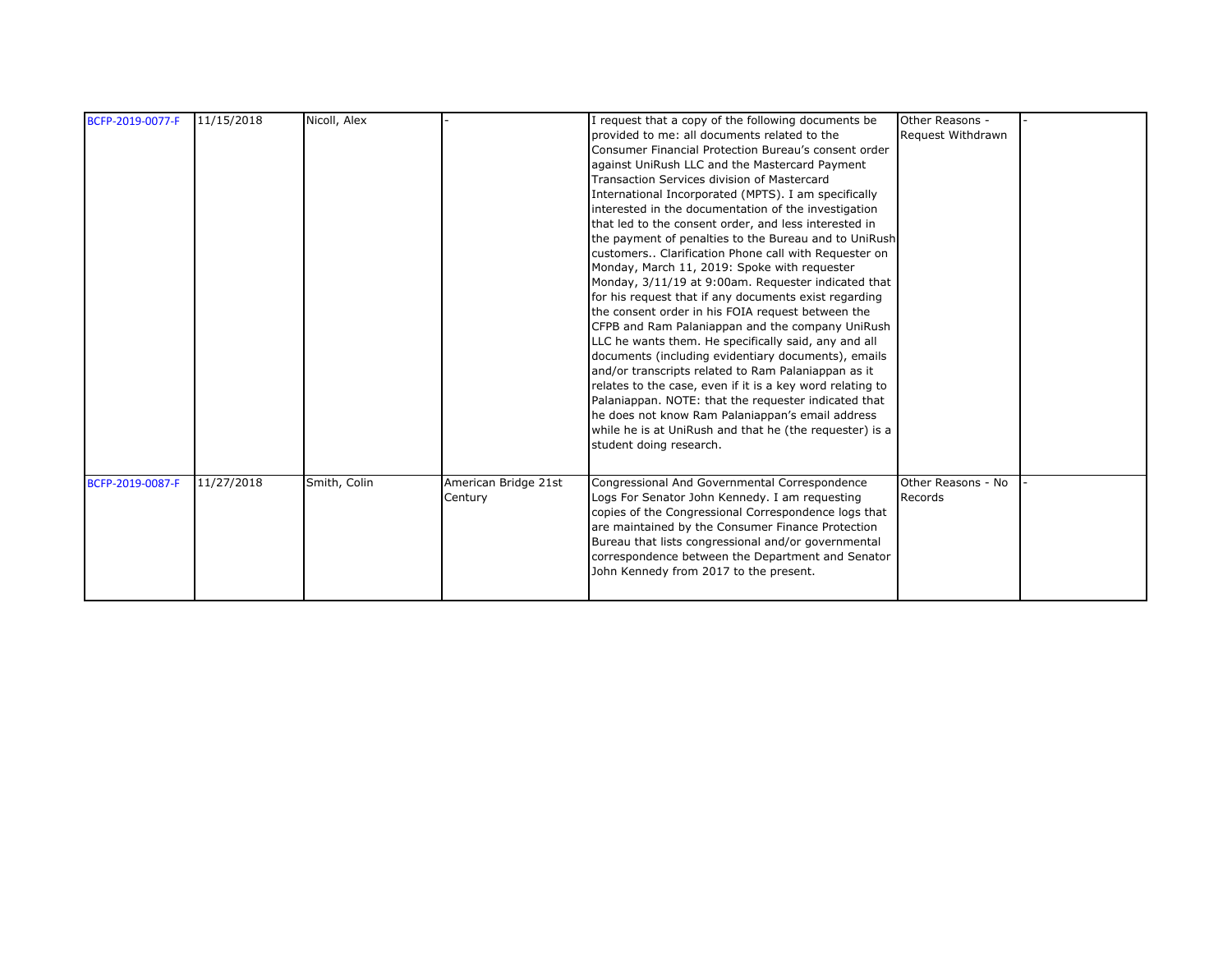| BCFP-2019-0077-F | 11/15/2018 | Nicoll, Alex |                                 | I request that a copy of the following documents be<br>provided to me: all documents related to the<br>Consumer Financial Protection Bureau's consent order<br>against UniRush LLC and the Mastercard Payment<br>Transaction Services division of Mastercard<br>International Incorporated (MPTS). I am specifically<br>interested in the documentation of the investigation<br>that led to the consent order, and less interested in<br>the payment of penalties to the Bureau and to UniRush<br>customers Clarification Phone call with Requester on<br>Monday, March 11, 2019: Spoke with requester<br>Monday, 3/11/19 at 9:00am. Requester indicated that<br>for his request that if any documents exist regarding<br>the consent order in his FOIA request between the<br>CFPB and Ram Palaniappan and the company UniRush<br>LLC he wants them. He specifically said, any and all<br>documents (including evidentiary documents), emails<br>and/or transcripts related to Ram Palaniappan as it<br>relates to the case, even if it is a key word relating to<br>Palaniappan. NOTE: that the requester indicated that<br>he does not know Ram Palaniappan's email address<br>while he is at UniRush and that he (the requester) is a<br>student doing research. | Other Reasons -<br>Request Withdrawn |  |
|------------------|------------|--------------|---------------------------------|----------------------------------------------------------------------------------------------------------------------------------------------------------------------------------------------------------------------------------------------------------------------------------------------------------------------------------------------------------------------------------------------------------------------------------------------------------------------------------------------------------------------------------------------------------------------------------------------------------------------------------------------------------------------------------------------------------------------------------------------------------------------------------------------------------------------------------------------------------------------------------------------------------------------------------------------------------------------------------------------------------------------------------------------------------------------------------------------------------------------------------------------------------------------------------------------------------------------------------------------------------------------|--------------------------------------|--|
| BCFP-2019-0087-F | 11/27/2018 | Smith, Colin | American Bridge 21st<br>Century | Congressional And Governmental Correspondence<br>Logs For Senator John Kennedy. I am requesting<br>copies of the Congressional Correspondence logs that<br>are maintained by the Consumer Finance Protection<br>Bureau that lists congressional and/or governmental<br>correspondence between the Department and Senator<br>John Kennedy from 2017 to the present.                                                                                                                                                                                                                                                                                                                                                                                                                                                                                                                                                                                                                                                                                                                                                                                                                                                                                                   | Other Reasons - No<br>Records        |  |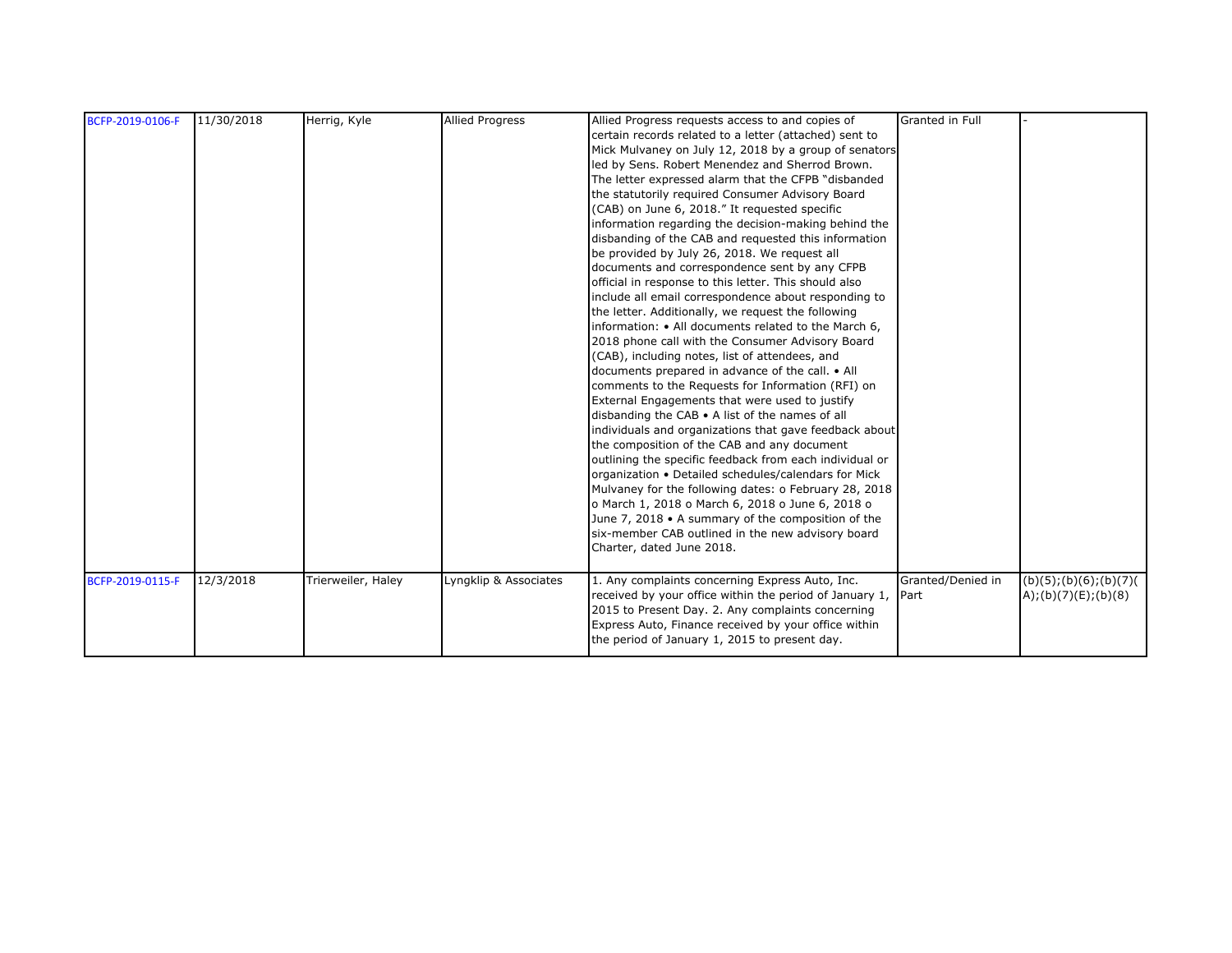| BCFP-2019-0106-F | 11/30/2018 | Herrig, Kyle       | <b>Allied Progress</b> | Allied Progress requests access to and copies of        | Granted in Full   |                        |
|------------------|------------|--------------------|------------------------|---------------------------------------------------------|-------------------|------------------------|
|                  |            |                    |                        | certain records related to a letter (attached) sent to  |                   |                        |
|                  |            |                    |                        | Mick Mulvaney on July 12, 2018 by a group of senators   |                   |                        |
|                  |            |                    |                        | led by Sens. Robert Menendez and Sherrod Brown.         |                   |                        |
|                  |            |                    |                        | The letter expressed alarm that the CFPB "disbanded     |                   |                        |
|                  |            |                    |                        | the statutorily required Consumer Advisory Board        |                   |                        |
|                  |            |                    |                        | (CAB) on June 6, 2018." It requested specific           |                   |                        |
|                  |            |                    |                        | information regarding the decision-making behind the    |                   |                        |
|                  |            |                    |                        | disbanding of the CAB and requested this information    |                   |                        |
|                  |            |                    |                        | be provided by July 26, 2018. We request all            |                   |                        |
|                  |            |                    |                        | documents and correspondence sent by any CFPB           |                   |                        |
|                  |            |                    |                        | official in response to this letter. This should also   |                   |                        |
|                  |            |                    |                        | include all email correspondence about responding to    |                   |                        |
|                  |            |                    |                        | the letter. Additionally, we request the following      |                   |                        |
|                  |            |                    |                        | information: • All documents related to the March 6,    |                   |                        |
|                  |            |                    |                        | 2018 phone call with the Consumer Advisory Board        |                   |                        |
|                  |            |                    |                        | (CAB), including notes, list of attendees, and          |                   |                        |
|                  |            |                    |                        | documents prepared in advance of the call. • All        |                   |                        |
|                  |            |                    |                        | comments to the Requests for Information (RFI) on       |                   |                        |
|                  |            |                    |                        | External Engagements that were used to justify          |                   |                        |
|                  |            |                    |                        | disbanding the CAB • A list of the names of all         |                   |                        |
|                  |            |                    |                        | individuals and organizations that gave feedback about  |                   |                        |
|                  |            |                    |                        | the composition of the CAB and any document             |                   |                        |
|                  |            |                    |                        | outlining the specific feedback from each individual or |                   |                        |
|                  |            |                    |                        |                                                         |                   |                        |
|                  |            |                    |                        | organization . Detailed schedules/calendars for Mick    |                   |                        |
|                  |            |                    |                        | Mulvaney for the following dates: o February 28, 2018   |                   |                        |
|                  |            |                    |                        | o March 1, 2018 o March 6, 2018 o June 6, 2018 o        |                   |                        |
|                  |            |                    |                        | June 7, 2018 . A summary of the composition of the      |                   |                        |
|                  |            |                    |                        | six-member CAB outlined in the new advisory board       |                   |                        |
|                  |            |                    |                        | Charter, dated June 2018.                               |                   |                        |
|                  |            |                    |                        |                                                         |                   |                        |
| BCFP-2019-0115-F | 12/3/2018  | Trierweiler, Haley | Lyngklip & Associates  | 1. Any complaints concerning Express Auto, Inc.         | Granted/Denied in | (b)(5); (b)(6); (b)(7) |
|                  |            |                    |                        | received by your office within the period of January 1, | Part              | A);(b)(7)(E);(b)(8)    |
|                  |            |                    |                        | 2015 to Present Day. 2. Any complaints concerning       |                   |                        |
|                  |            |                    |                        | Express Auto, Finance received by your office within    |                   |                        |
|                  |            |                    |                        | the period of January 1, 2015 to present day.           |                   |                        |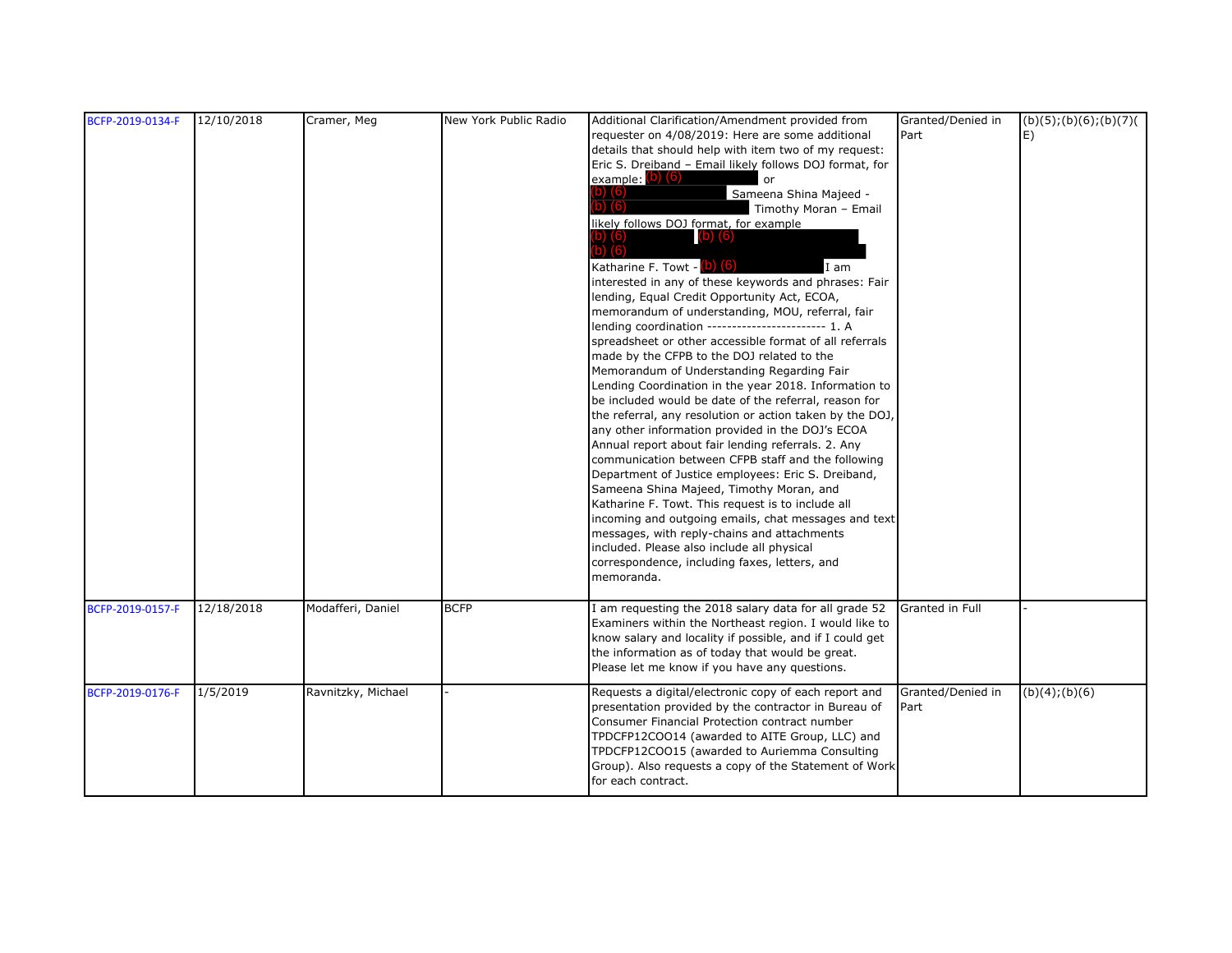| BCFP-2019-0134-F | 12/10/2018 | Cramer, Meg        | New York Public Radio | Additional Clarification/Amendment provided from         | Granted/Denied in | (b)(5); (b)(6); (b)(7) |
|------------------|------------|--------------------|-----------------------|----------------------------------------------------------|-------------------|------------------------|
|                  |            |                    |                       | requester on 4/08/2019: Here are some additional         | Part              | E)                     |
|                  |            |                    |                       | details that should help with item two of my request:    |                   |                        |
|                  |            |                    |                       | Eric S. Dreiband - Email likely follows DOJ format, for  |                   |                        |
|                  |            |                    |                       | example: (b) (6)<br>or                                   |                   |                        |
|                  |            |                    |                       |                                                          |                   |                        |
|                  |            |                    |                       | Sameena Shina Majeed -                                   |                   |                        |
|                  |            |                    |                       | Timothy Moran - Email                                    |                   |                        |
|                  |            |                    |                       | likely follows DOJ format, for example                   |                   |                        |
|                  |            |                    |                       | $(b)$ $(6)$                                              |                   |                        |
|                  |            |                    |                       |                                                          |                   |                        |
|                  |            |                    |                       | Katharine F. Towt - (b) (6)<br>I am                      |                   |                        |
|                  |            |                    |                       | interested in any of these keywords and phrases: Fair    |                   |                        |
|                  |            |                    |                       | lending, Equal Credit Opportunity Act, ECOA,             |                   |                        |
|                  |            |                    |                       | memorandum of understanding, MOU, referral, fair         |                   |                        |
|                  |            |                    |                       | lending coordination ------------------------ 1. A       |                   |                        |
|                  |            |                    |                       | spreadsheet or other accessible format of all referrals  |                   |                        |
|                  |            |                    |                       | made by the CFPB to the DOJ related to the               |                   |                        |
|                  |            |                    |                       | Memorandum of Understanding Regarding Fair               |                   |                        |
|                  |            |                    |                       | Lending Coordination in the year 2018. Information to    |                   |                        |
|                  |            |                    |                       | be included would be date of the referral, reason for    |                   |                        |
|                  |            |                    |                       | the referral, any resolution or action taken by the DOJ, |                   |                        |
|                  |            |                    |                       | any other information provided in the DOJ's ECOA         |                   |                        |
|                  |            |                    |                       | Annual report about fair lending referrals. 2. Any       |                   |                        |
|                  |            |                    |                       | communication between CFPB staff and the following       |                   |                        |
|                  |            |                    |                       | Department of Justice employees: Eric S. Dreiband,       |                   |                        |
|                  |            |                    |                       | Sameena Shina Majeed, Timothy Moran, and                 |                   |                        |
|                  |            |                    |                       | Katharine F. Towt. This request is to include all        |                   |                        |
|                  |            |                    |                       | incoming and outgoing emails, chat messages and text     |                   |                        |
|                  |            |                    |                       | messages, with reply-chains and attachments              |                   |                        |
|                  |            |                    |                       | included. Please also include all physical               |                   |                        |
|                  |            |                    |                       | correspondence, including faxes, letters, and            |                   |                        |
|                  |            |                    |                       | memoranda.                                               |                   |                        |
|                  |            |                    |                       |                                                          |                   |                        |
| BCFP-2019-0157-F | 12/18/2018 | Modafferi, Daniel  | <b>BCFP</b>           | am requesting the 2018 salary data for all grade 52      | Granted in Full   |                        |
|                  |            |                    |                       | Examiners within the Northeast region. I would like to   |                   |                        |
|                  |            |                    |                       | know salary and locality if possible, and if I could get |                   |                        |
|                  |            |                    |                       | the information as of today that would be great.         |                   |                        |
|                  |            |                    |                       | Please let me know if you have any questions.            |                   |                        |
|                  |            |                    |                       |                                                          |                   |                        |
| BCFP-2019-0176-F | 1/5/2019   | Ravnitzky, Michael |                       | Requests a digital/electronic copy of each report and    | Granted/Denied in | (b)(4); (b)(6)         |
|                  |            |                    |                       | presentation provided by the contractor in Bureau of     | Part              |                        |
|                  |            |                    |                       | Consumer Financial Protection contract number            |                   |                        |
|                  |            |                    |                       | TPDCFP12COO14 (awarded to AITE Group, LLC) and           |                   |                        |
|                  |            |                    |                       | TPDCFP12COO15 (awarded to Auriemma Consulting            |                   |                        |
|                  |            |                    |                       | Group). Also requests a copy of the Statement of Work    |                   |                        |
|                  |            |                    |                       | for each contract.                                       |                   |                        |
|                  |            |                    |                       |                                                          |                   |                        |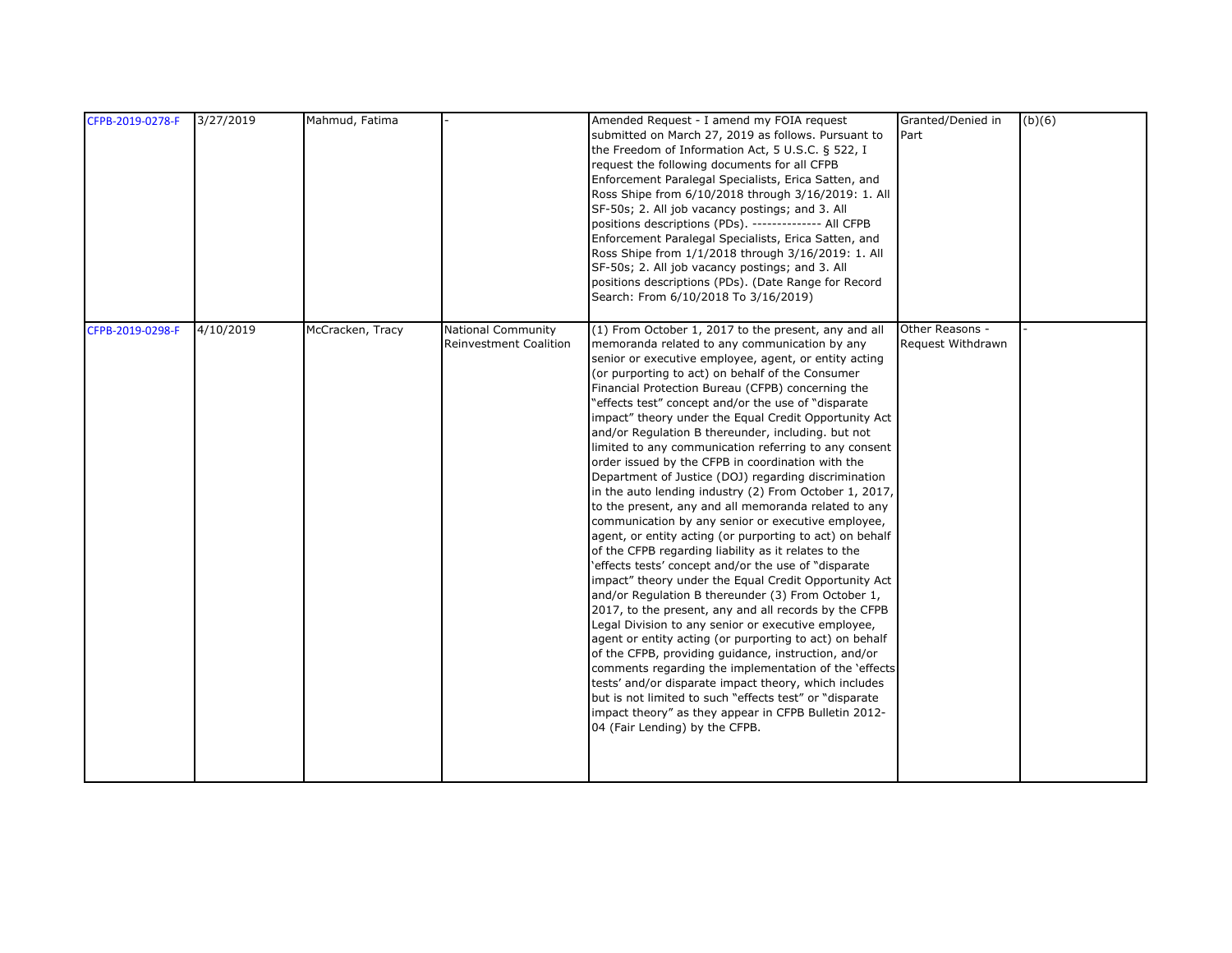| CFPB-2019-0278-F | 3/27/2019 | Mahmud, Fatima   |                                                            | Amended Request - I amend my FOIA request<br>submitted on March 27, 2019 as follows. Pursuant to<br>the Freedom of Information Act, 5 U.S.C. § 522, I<br>request the following documents for all CFPB<br>Enforcement Paralegal Specialists, Erica Satten, and<br>Ross Shipe from 6/10/2018 through 3/16/2019: 1. All<br>SF-50s; 2. All job vacancy postings; and 3. All<br>positions descriptions (PDs). -------------- All CFPB<br>Enforcement Paralegal Specialists, Erica Satten, and<br>Ross Shipe from 1/1/2018 through 3/16/2019: 1. All<br>SF-50s; 2. All job vacancy postings; and 3. All<br>positions descriptions (PDs). (Date Range for Record<br>Search: From 6/10/2018 To 3/16/2019)                                                                                                                                                                                                                                                                                                                                                                                                                                                                                                                                                                                                                                                                                                                                                                                                                                                                                                | Granted/Denied in<br>Part            | (b)(6) |
|------------------|-----------|------------------|------------------------------------------------------------|--------------------------------------------------------------------------------------------------------------------------------------------------------------------------------------------------------------------------------------------------------------------------------------------------------------------------------------------------------------------------------------------------------------------------------------------------------------------------------------------------------------------------------------------------------------------------------------------------------------------------------------------------------------------------------------------------------------------------------------------------------------------------------------------------------------------------------------------------------------------------------------------------------------------------------------------------------------------------------------------------------------------------------------------------------------------------------------------------------------------------------------------------------------------------------------------------------------------------------------------------------------------------------------------------------------------------------------------------------------------------------------------------------------------------------------------------------------------------------------------------------------------------------------------------------------------------------------------------|--------------------------------------|--------|
| CFPB-2019-0298-F | 4/10/2019 | McCracken, Tracy | <b>National Community</b><br><b>Reinvestment Coalition</b> | (1) From October 1, 2017 to the present, any and all<br>memoranda related to any communication by any<br>senior or executive employee, agent, or entity acting<br>(or purporting to act) on behalf of the Consumer<br>Financial Protection Bureau (CFPB) concerning the<br>"effects test" concept and/or the use of "disparate<br>impact" theory under the Equal Credit Opportunity Act<br>and/or Regulation B thereunder, including. but not<br>limited to any communication referring to any consent<br>order issued by the CFPB in coordination with the<br>Department of Justice (DOJ) regarding discrimination<br>in the auto lending industry (2) From October 1, 2017,<br>to the present, any and all memoranda related to any<br>communication by any senior or executive employee,<br>agent, or entity acting (or purporting to act) on behalf<br>of the CFPB regarding liability as it relates to the<br>'effects tests' concept and/or the use of "disparate<br>impact" theory under the Equal Credit Opportunity Act<br>and/or Regulation B thereunder (3) From October 1,<br>2017, to the present, any and all records by the CFPB<br>Legal Division to any senior or executive employee,<br>agent or entity acting (or purporting to act) on behalf<br>of the CFPB, providing guidance, instruction, and/or<br>comments regarding the implementation of the 'effects<br>tests' and/or disparate impact theory, which includes<br>but is not limited to such "effects test" or "disparate<br>impact theory" as they appear in CFPB Bulletin 2012-<br>04 (Fair Lending) by the CFPB. | Other Reasons -<br>Request Withdrawn |        |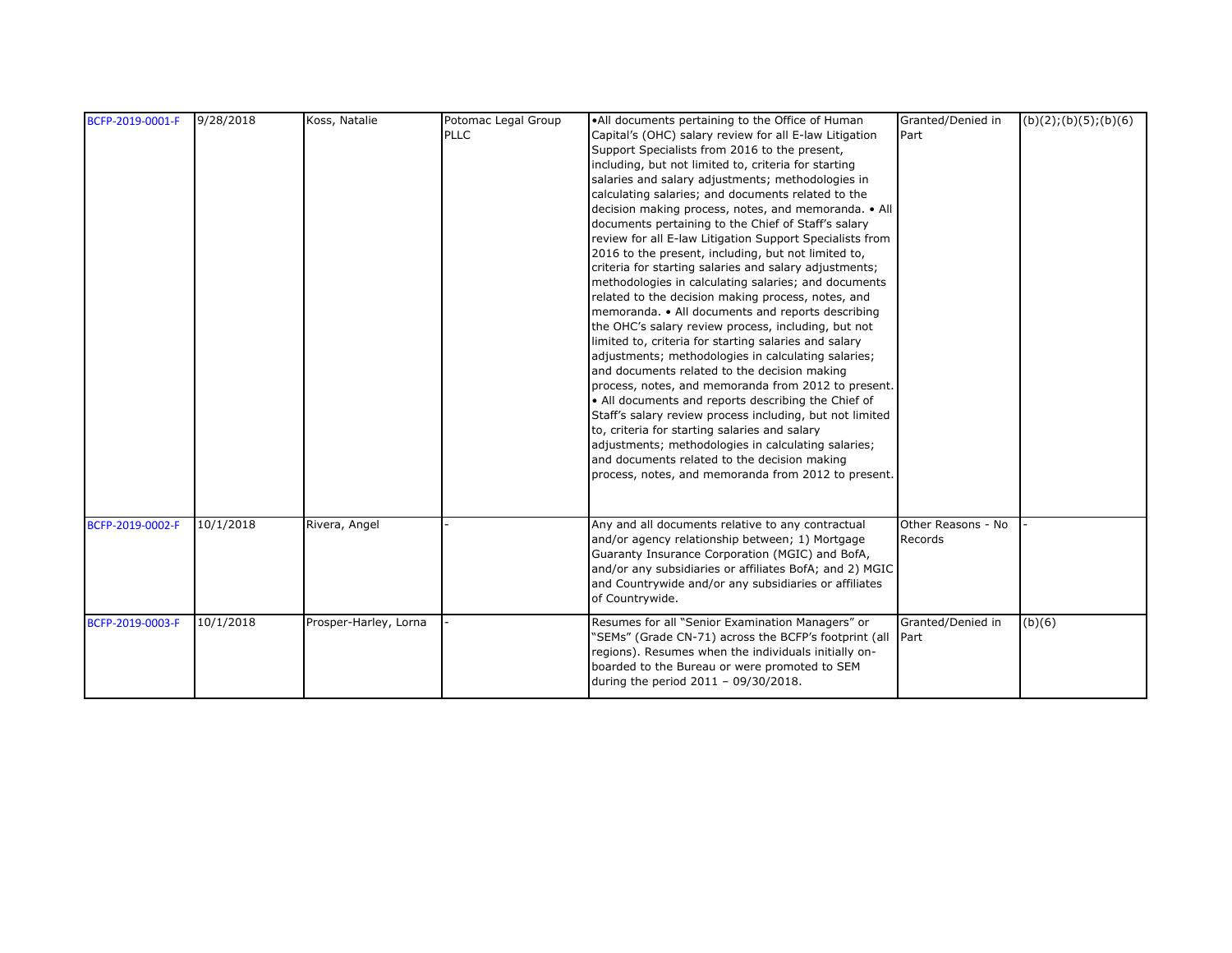| BCFP-2019-0001-F | 9/28/2018 | Koss, Natalie         | Potomac Legal Group | . All documents pertaining to the Office of Human                                                                                                                                                                                                                                                                                                                                                                                                                                                                                                                                                                                                                                                                                                                                                                                                                                                                                                                                                                                                                                                                                                                                                                                                                                                                                                         | Granted/Denied in             | (b)(2); (b)(5); (b)(6) |
|------------------|-----------|-----------------------|---------------------|-----------------------------------------------------------------------------------------------------------------------------------------------------------------------------------------------------------------------------------------------------------------------------------------------------------------------------------------------------------------------------------------------------------------------------------------------------------------------------------------------------------------------------------------------------------------------------------------------------------------------------------------------------------------------------------------------------------------------------------------------------------------------------------------------------------------------------------------------------------------------------------------------------------------------------------------------------------------------------------------------------------------------------------------------------------------------------------------------------------------------------------------------------------------------------------------------------------------------------------------------------------------------------------------------------------------------------------------------------------|-------------------------------|------------------------|
|                  |           |                       | <b>PLLC</b>         | Capital's (OHC) salary review for all E-law Litigation<br>Support Specialists from 2016 to the present,<br>including, but not limited to, criteria for starting<br>salaries and salary adjustments; methodologies in<br>calculating salaries; and documents related to the<br>decision making process, notes, and memoranda. • All<br>documents pertaining to the Chief of Staff's salary<br>review for all E-law Litigation Support Specialists from<br>2016 to the present, including, but not limited to,<br>criteria for starting salaries and salary adjustments;<br>methodologies in calculating salaries; and documents<br>related to the decision making process, notes, and<br>memoranda. • All documents and reports describing<br>the OHC's salary review process, including, but not<br>limited to, criteria for starting salaries and salary<br>adjustments; methodologies in calculating salaries;<br>and documents related to the decision making<br>process, notes, and memoranda from 2012 to present.<br>• All documents and reports describing the Chief of<br>Staff's salary review process including, but not limited<br>to, criteria for starting salaries and salary<br>adjustments; methodologies in calculating salaries;<br>and documents related to the decision making<br>process, notes, and memoranda from 2012 to present. | Part                          |                        |
| BCFP-2019-0002-F | 10/1/2018 | Rivera, Angel         |                     | Any and all documents relative to any contractual<br>and/or agency relationship between; 1) Mortgage<br>Guaranty Insurance Corporation (MGIC) and BofA,<br>and/or any subsidiaries or affiliates BofA; and 2) MGIC<br>and Countrywide and/or any subsidiaries or affiliates<br>of Countrywide.                                                                                                                                                                                                                                                                                                                                                                                                                                                                                                                                                                                                                                                                                                                                                                                                                                                                                                                                                                                                                                                            | Other Reasons - No<br>Records |                        |
| BCFP-2019-0003-F | 10/1/2018 | Prosper-Harley, Lorna |                     | Resumes for all "Senior Examination Managers" or<br>"SEMs" (Grade CN-71) across the BCFP's footprint (all<br>regions). Resumes when the individuals initially on-<br>boarded to the Bureau or were promoted to SEM<br>during the period 2011 - 09/30/2018.                                                                                                                                                                                                                                                                                                                                                                                                                                                                                                                                                                                                                                                                                                                                                                                                                                                                                                                                                                                                                                                                                                | Granted/Denied in<br>Part     | (b)(6)                 |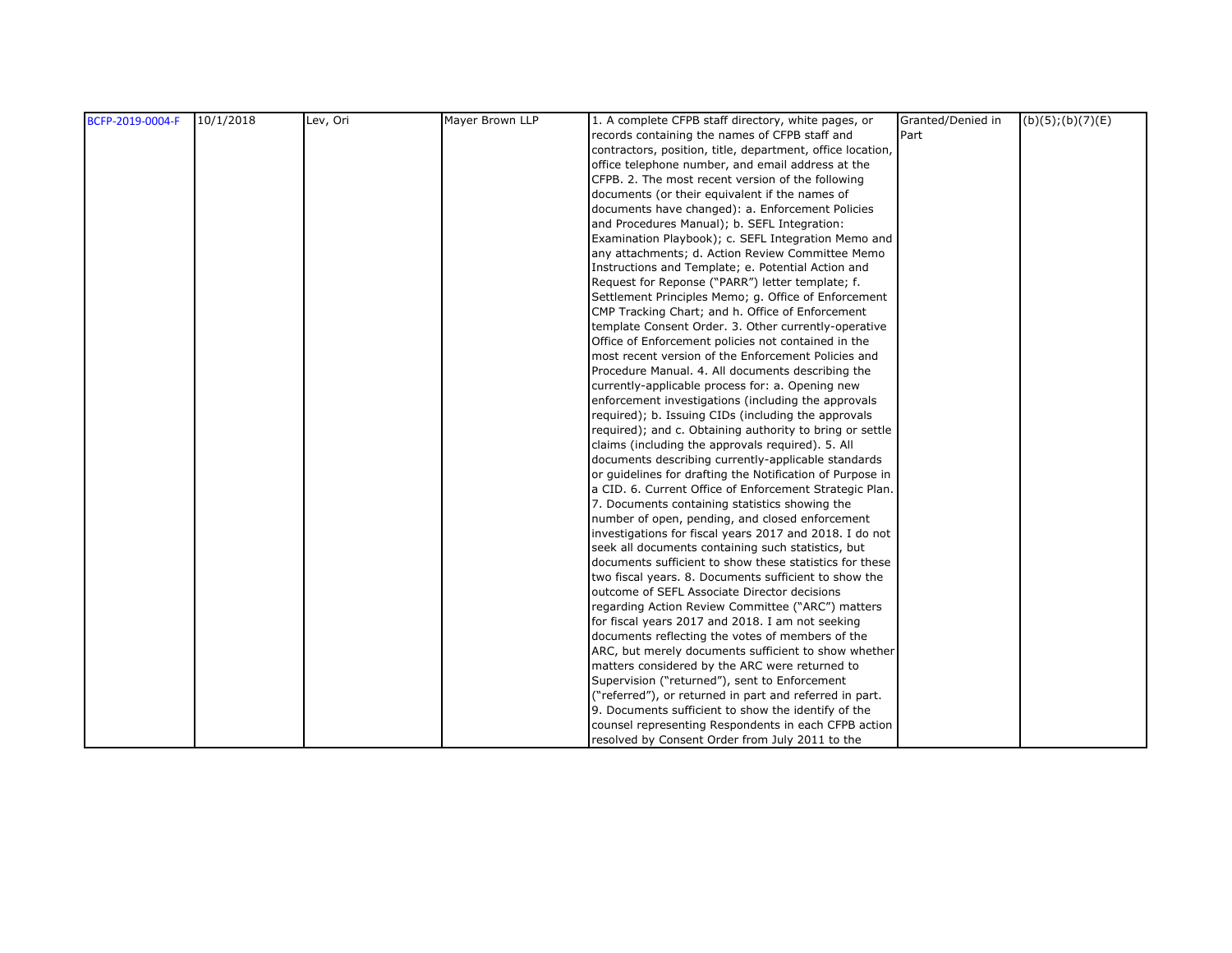| BCFP-2019-0004-F | 10/1/2018 | Lev, Ori | Mayer Brown LLP | 1. A complete CFPB staff directory, white pages, or        | Granted/Denied in | $(b)(5)$ ; $(b)(7)(E)$ |
|------------------|-----------|----------|-----------------|------------------------------------------------------------|-------------------|------------------------|
|                  |           |          |                 | records containing the names of CFPB staff and             | Part              |                        |
|                  |           |          |                 | contractors, position, title, department, office location, |                   |                        |
|                  |           |          |                 | office telephone number, and email address at the          |                   |                        |
|                  |           |          |                 | CFPB. 2. The most recent version of the following          |                   |                        |
|                  |           |          |                 | documents (or their equivalent if the names of             |                   |                        |
|                  |           |          |                 | documents have changed): a. Enforcement Policies           |                   |                        |
|                  |           |          |                 | and Procedures Manual); b. SEFL Integration:               |                   |                        |
|                  |           |          |                 | Examination Playbook); c. SEFL Integration Memo and        |                   |                        |
|                  |           |          |                 | any attachments; d. Action Review Committee Memo           |                   |                        |
|                  |           |          |                 | Instructions and Template; e. Potential Action and         |                   |                        |
|                  |           |          |                 | Request for Reponse ("PARR") letter template; f.           |                   |                        |
|                  |           |          |                 | Settlement Principles Memo; g. Office of Enforcement       |                   |                        |
|                  |           |          |                 | CMP Tracking Chart; and h. Office of Enforcement           |                   |                        |
|                  |           |          |                 | template Consent Order. 3. Other currently-operative       |                   |                        |
|                  |           |          |                 | Office of Enforcement policies not contained in the        |                   |                        |
|                  |           |          |                 | most recent version of the Enforcement Policies and        |                   |                        |
|                  |           |          |                 | Procedure Manual. 4. All documents describing the          |                   |                        |
|                  |           |          |                 | currently-applicable process for: a. Opening new           |                   |                        |
|                  |           |          |                 | enforcement investigations (including the approvals        |                   |                        |
|                  |           |          |                 | required); b. Issuing CIDs (including the approvals        |                   |                        |
|                  |           |          |                 | required); and c. Obtaining authority to bring or settle   |                   |                        |
|                  |           |          |                 | claims (including the approvals required). 5. All          |                   |                        |
|                  |           |          |                 | documents describing currently-applicable standards        |                   |                        |
|                  |           |          |                 | or guidelines for drafting the Notification of Purpose in  |                   |                        |
|                  |           |          |                 | a CID. 6. Current Office of Enforcement Strategic Plan.    |                   |                        |
|                  |           |          |                 | 7. Documents containing statistics showing the             |                   |                        |
|                  |           |          |                 | number of open, pending, and closed enforcement            |                   |                        |
|                  |           |          |                 | investigations for fiscal years 2017 and 2018. I do not    |                   |                        |
|                  |           |          |                 | seek all documents containing such statistics, but         |                   |                        |
|                  |           |          |                 | documents sufficient to show these statistics for these    |                   |                        |
|                  |           |          |                 | two fiscal years. 8. Documents sufficient to show the      |                   |                        |
|                  |           |          |                 | outcome of SEFL Associate Director decisions               |                   |                        |
|                  |           |          |                 | regarding Action Review Committee ("ARC") matters          |                   |                        |
|                  |           |          |                 | for fiscal years 2017 and 2018. I am not seeking           |                   |                        |
|                  |           |          |                 | documents reflecting the votes of members of the           |                   |                        |
|                  |           |          |                 | ARC, but merely documents sufficient to show whether       |                   |                        |
|                  |           |          |                 | matters considered by the ARC were returned to             |                   |                        |
|                  |           |          |                 | Supervision ("returned"), sent to Enforcement              |                   |                        |
|                  |           |          |                 | ("referred"), or returned in part and referred in part.    |                   |                        |
|                  |           |          |                 | 9. Documents sufficient to show the identify of the        |                   |                        |
|                  |           |          |                 | counsel representing Respondents in each CFPB action       |                   |                        |
|                  |           |          |                 | resolved by Consent Order from July 2011 to the            |                   |                        |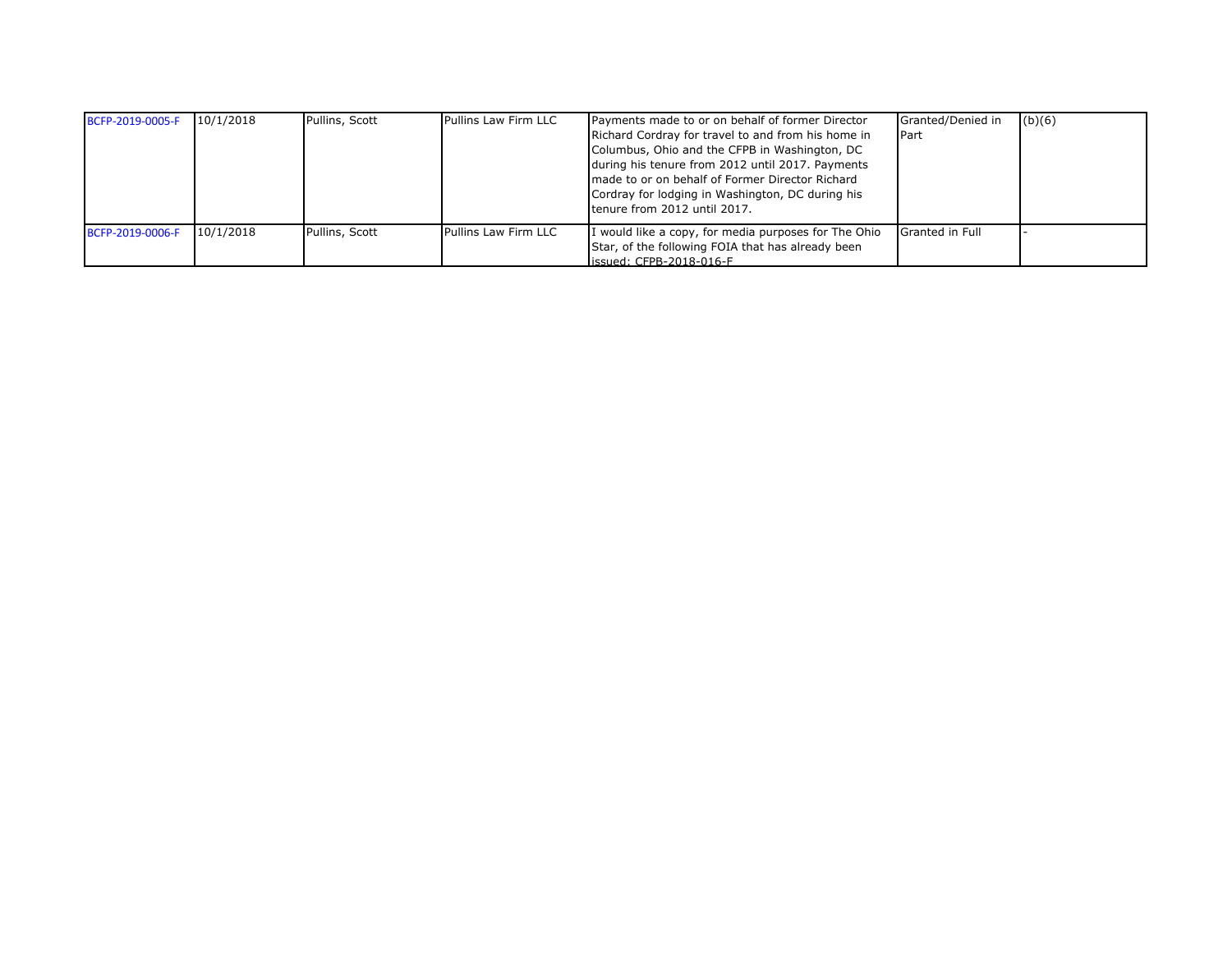| BCFP-2019-0005-F | 10/1/2018 | Pullins, Scott | Pullins Law Firm LLC | Payments made to or on behalf of former Director<br>Richard Cordray for travel to and from his home in<br>Columbus, Ohio and the CFPB in Washington, DC<br>during his tenure from 2012 until 2017. Payments<br>made to or on behalf of Former Director Richard<br>Cordray for lodging in Washington, DC during his<br>tenure from 2012 until 2017. | Granted/Denied in<br>Part | (b)(6) |
|------------------|-----------|----------------|----------------------|----------------------------------------------------------------------------------------------------------------------------------------------------------------------------------------------------------------------------------------------------------------------------------------------------------------------------------------------------|---------------------------|--------|
| BCFP-2019-0006-F | 10/1/2018 | Pullins, Scott | Pullins Law Firm LLC | I would like a copy, for media purposes for The Ohio<br>Star, of the following FOIA that has already been<br>issued: CFPB-2018-016-F                                                                                                                                                                                                               | Granted in Full           |        |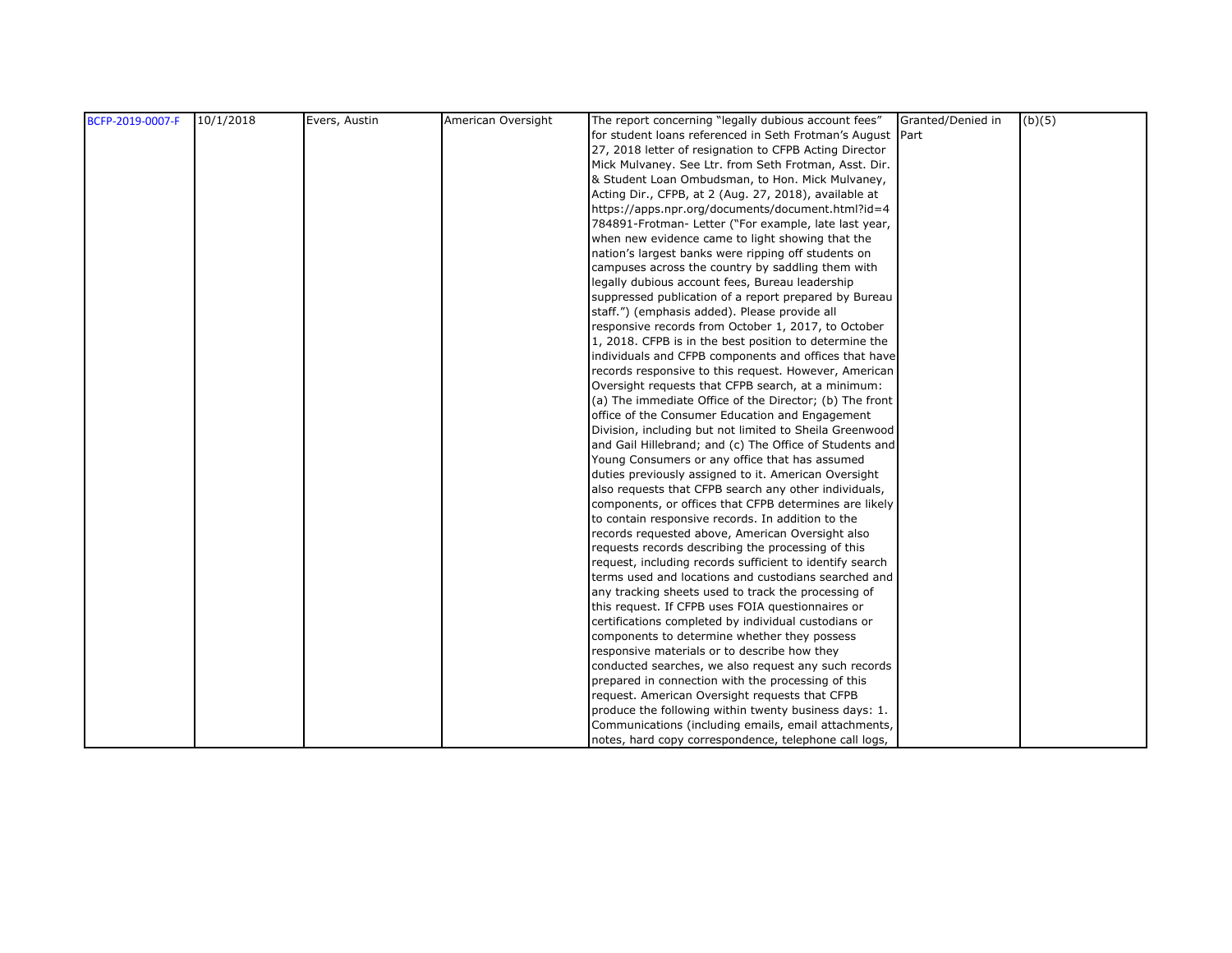| BCFP-2019-0007-F | 10/1/2018 | Evers, Austin | American Oversight | The report concerning "legally dubious account fees"       | Granted/Denied in | (b)(5) |
|------------------|-----------|---------------|--------------------|------------------------------------------------------------|-------------------|--------|
|                  |           |               |                    | for student loans referenced in Seth Frotman's August Part |                   |        |
|                  |           |               |                    | 27, 2018 letter of resignation to CFPB Acting Director     |                   |        |
|                  |           |               |                    | Mick Mulvaney. See Ltr. from Seth Frotman, Asst. Dir.      |                   |        |
|                  |           |               |                    | & Student Loan Ombudsman, to Hon. Mick Mulvaney,           |                   |        |
|                  |           |               |                    | Acting Dir., CFPB, at 2 (Aug. 27, 2018), available at      |                   |        |
|                  |           |               |                    | https://apps.npr.org/documents/document.html?id=4          |                   |        |
|                  |           |               |                    | 784891-Frotman- Letter ("For example, late last year,      |                   |        |
|                  |           |               |                    | when new evidence came to light showing that the           |                   |        |
|                  |           |               |                    | nation's largest banks were ripping off students on        |                   |        |
|                  |           |               |                    | campuses across the country by saddling them with          |                   |        |
|                  |           |               |                    | legally dubious account fees, Bureau leadership            |                   |        |
|                  |           |               |                    | suppressed publication of a report prepared by Bureau      |                   |        |
|                  |           |               |                    | staff.") (emphasis added). Please provide all              |                   |        |
|                  |           |               |                    | responsive records from October 1, 2017, to October        |                   |        |
|                  |           |               |                    | 1, 2018. CFPB is in the best position to determine the     |                   |        |
|                  |           |               |                    | individuals and CFPB components and offices that have      |                   |        |
|                  |           |               |                    | records responsive to this request. However, American      |                   |        |
|                  |           |               |                    | Oversight requests that CFPB search, at a minimum:         |                   |        |
|                  |           |               |                    | (a) The immediate Office of the Director; (b) The front    |                   |        |
|                  |           |               |                    | office of the Consumer Education and Engagement            |                   |        |
|                  |           |               |                    | Division, including but not limited to Sheila Greenwood    |                   |        |
|                  |           |               |                    | and Gail Hillebrand; and (c) The Office of Students and    |                   |        |
|                  |           |               |                    | Young Consumers or any office that has assumed             |                   |        |
|                  |           |               |                    | duties previously assigned to it. American Oversight       |                   |        |
|                  |           |               |                    | also requests that CFPB search any other individuals,      |                   |        |
|                  |           |               |                    | components, or offices that CFPB determines are likely     |                   |        |
|                  |           |               |                    | to contain responsive records. In addition to the          |                   |        |
|                  |           |               |                    | records requested above, American Oversight also           |                   |        |
|                  |           |               |                    | requests records describing the processing of this         |                   |        |
|                  |           |               |                    | request, including records sufficient to identify search   |                   |        |
|                  |           |               |                    | terms used and locations and custodians searched and       |                   |        |
|                  |           |               |                    | any tracking sheets used to track the processing of        |                   |        |
|                  |           |               |                    | this request. If CFPB uses FOIA questionnaires or          |                   |        |
|                  |           |               |                    | certifications completed by individual custodians or       |                   |        |
|                  |           |               |                    | components to determine whether they possess               |                   |        |
|                  |           |               |                    | responsive materials or to describe how they               |                   |        |
|                  |           |               |                    | conducted searches, we also request any such records       |                   |        |
|                  |           |               |                    | prepared in connection with the processing of this         |                   |        |
|                  |           |               |                    | request. American Oversight requests that CFPB             |                   |        |
|                  |           |               |                    | produce the following within twenty business days: 1.      |                   |        |
|                  |           |               |                    | Communications (including emails, email attachments,       |                   |        |
|                  |           |               |                    | notes, hard copy correspondence, telephone call logs,      |                   |        |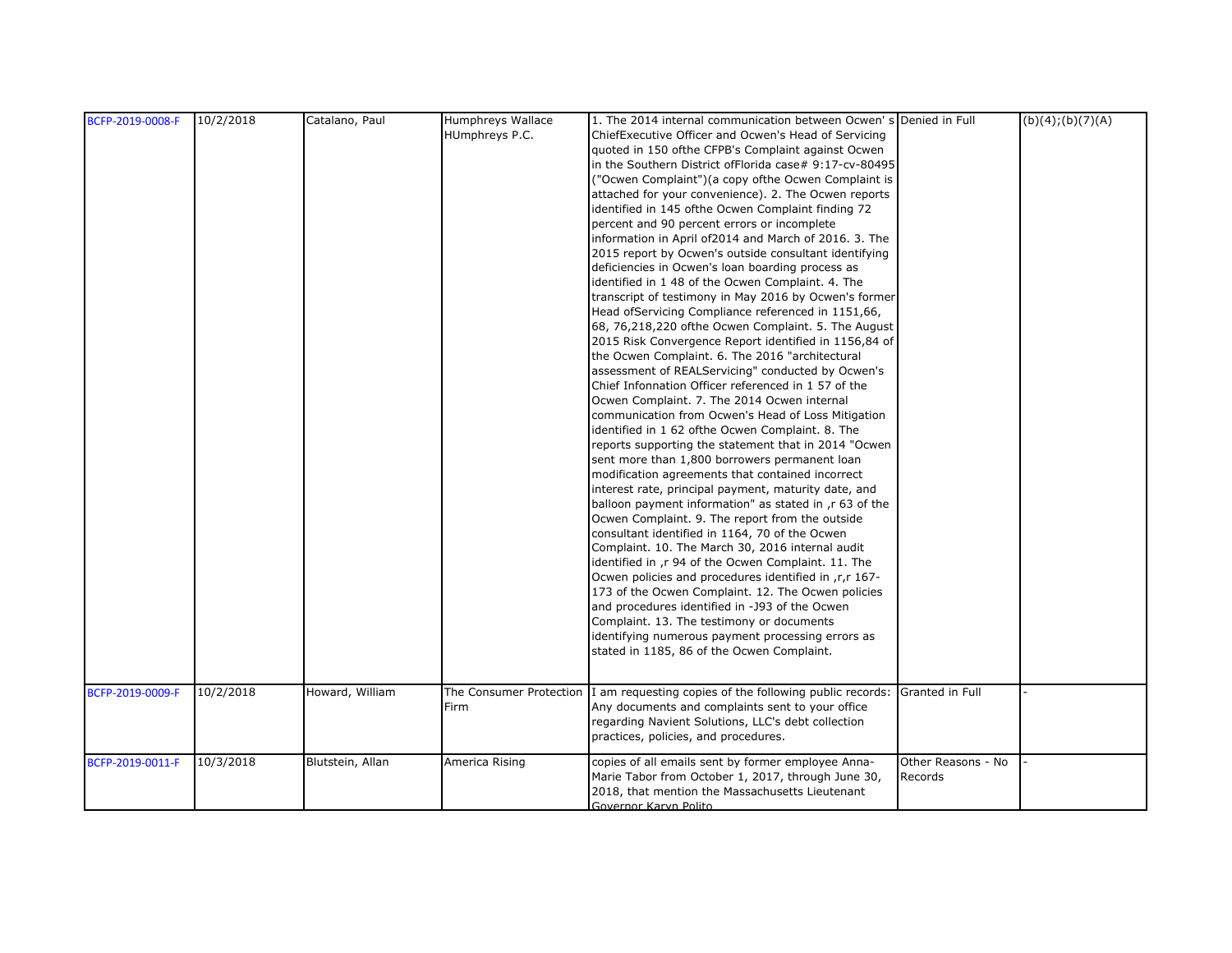| BCFP-2019-0008-F | 10/2/2018 | Catalano, Paul   | Humphreys Wallace | 1. The 2014 internal communication between Ocwen's Denied in Full                                      |                    | (b)(4); (b)(7)(A) |
|------------------|-----------|------------------|-------------------|--------------------------------------------------------------------------------------------------------|--------------------|-------------------|
|                  |           |                  | HUmphreys P.C.    | ChiefExecutive Officer and Ocwen's Head of Servicing                                                   |                    |                   |
|                  |           |                  |                   | quoted in 150 of the CFPB's Complaint against Ocwen                                                    |                    |                   |
|                  |           |                  |                   | in the Southern District of Florida case# 9:17-cv-80495                                                |                    |                   |
|                  |           |                  |                   | "Ocwen Complaint")(a copy ofthe Ocwen Complaint is                                                     |                    |                   |
|                  |           |                  |                   | attached for your convenience). 2. The Ocwen reports                                                   |                    |                   |
|                  |           |                  |                   | identified in 145 ofthe Ocwen Complaint finding 72                                                     |                    |                   |
|                  |           |                  |                   | percent and 90 percent errors or incomplete                                                            |                    |                   |
|                  |           |                  |                   | information in April of 2014 and March of 2016. 3. The                                                 |                    |                   |
|                  |           |                  |                   | 2015 report by Ocwen's outside consultant identifying                                                  |                    |                   |
|                  |           |                  |                   | deficiencies in Ocwen's loan boarding process as                                                       |                    |                   |
|                  |           |                  |                   | identified in 148 of the Ocwen Complaint. 4. The                                                       |                    |                   |
|                  |           |                  |                   | transcript of testimony in May 2016 by Ocwen's former                                                  |                    |                   |
|                  |           |                  |                   | Head ofServicing Compliance referenced in 1151,66,                                                     |                    |                   |
|                  |           |                  |                   | 68, 76,218,220 ofthe Ocwen Complaint. 5. The August                                                    |                    |                   |
|                  |           |                  |                   | 2015 Risk Convergence Report identified in 1156,84 of                                                  |                    |                   |
|                  |           |                  |                   | the Ocwen Complaint. 6. The 2016 "architectural                                                        |                    |                   |
|                  |           |                  |                   | assessment of REALServicing" conducted by Ocwen's                                                      |                    |                   |
|                  |           |                  |                   | Chief Infonnation Officer referenced in 1 57 of the                                                    |                    |                   |
|                  |           |                  |                   | Ocwen Complaint. 7. The 2014 Ocwen internal                                                            |                    |                   |
|                  |           |                  |                   | communication from Ocwen's Head of Loss Mitigation                                                     |                    |                   |
|                  |           |                  |                   | identified in 1 62 ofthe Ocwen Complaint. 8. The                                                       |                    |                   |
|                  |           |                  |                   | reports supporting the statement that in 2014 "Ocwen"                                                  |                    |                   |
|                  |           |                  |                   | sent more than 1,800 borrowers permanent loan                                                          |                    |                   |
|                  |           |                  |                   | modification agreements that contained incorrect                                                       |                    |                   |
|                  |           |                  |                   | interest rate, principal payment, maturity date, and                                                   |                    |                   |
|                  |           |                  |                   | balloon payment information" as stated in, r 63 of the                                                 |                    |                   |
|                  |           |                  |                   | Ocwen Complaint. 9. The report from the outside                                                        |                    |                   |
|                  |           |                  |                   | consultant identified in 1164, 70 of the Ocwen                                                         |                    |                   |
|                  |           |                  |                   | Complaint. 10. The March 30, 2016 internal audit                                                       |                    |                   |
|                  |           |                  |                   | identified in ,r 94 of the Ocwen Complaint. 11. The                                                    |                    |                   |
|                  |           |                  |                   | Ocwen policies and procedures identified in ,r,r 167-                                                  |                    |                   |
|                  |           |                  |                   | 173 of the Ocwen Complaint. 12. The Ocwen policies                                                     |                    |                   |
|                  |           |                  |                   | and procedures identified in -J93 of the Ocwen                                                         |                    |                   |
|                  |           |                  |                   | Complaint. 13. The testimony or documents                                                              |                    |                   |
|                  |           |                  |                   | identifying numerous payment processing errors as                                                      |                    |                   |
|                  |           |                  |                   | stated in 1185, 86 of the Ocwen Complaint.                                                             |                    |                   |
|                  |           |                  |                   |                                                                                                        |                    |                   |
|                  |           |                  |                   |                                                                                                        |                    |                   |
| BCFP-2019-0009-F | 10/2/2018 | Howard, William  |                   | The Consumer Protection 1 am requesting copies of the following public records: Granted in Full        |                    |                   |
|                  |           |                  | Firm              | Any documents and complaints sent to your office<br>regarding Navient Solutions, LLC's debt collection |                    |                   |
|                  |           |                  |                   |                                                                                                        |                    |                   |
|                  |           |                  |                   | practices, policies, and procedures.                                                                   |                    |                   |
| BCFP-2019-0011-F | 10/3/2018 | Blutstein, Allan | America Rising    | copies of all emails sent by former employee Anna-                                                     | Other Reasons - No |                   |
|                  |           |                  |                   | Marie Tabor from October 1, 2017, through June 30,                                                     | Records            |                   |
|                  |           |                  |                   | 2018, that mention the Massachusetts Lieutenant                                                        |                    |                   |
|                  |           |                  |                   | Governor Karvn Polito                                                                                  |                    |                   |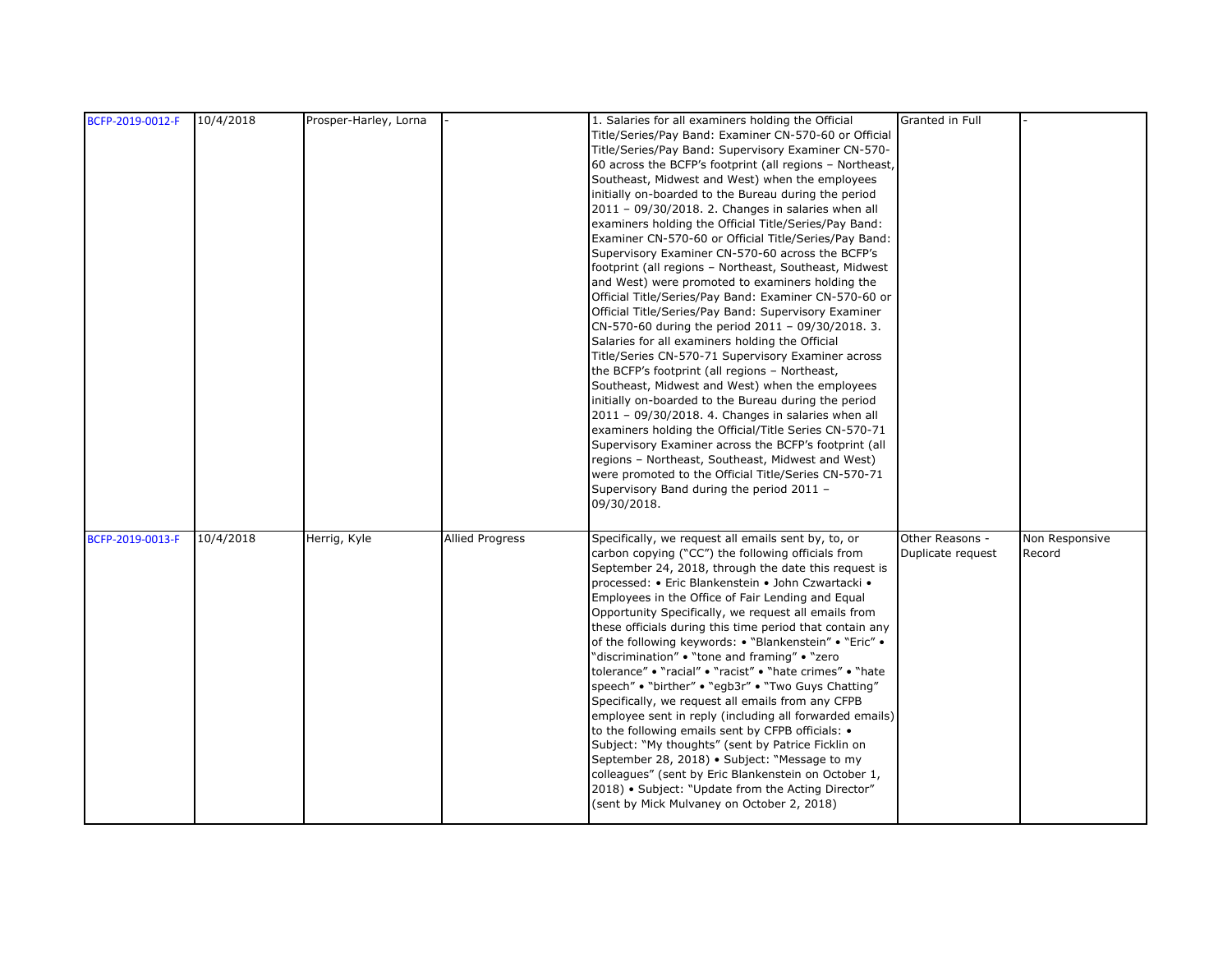|                  | 10/4/2018 | Prosper-Harley, Lorna |                        | 1. Salaries for all examiners holding the Official       | Granted in Full   |                |
|------------------|-----------|-----------------------|------------------------|----------------------------------------------------------|-------------------|----------------|
| BCFP-2019-0012-F |           |                       |                        |                                                          |                   |                |
|                  |           |                       |                        | Title/Series/Pay Band: Examiner CN-570-60 or Official    |                   |                |
|                  |           |                       |                        | Title/Series/Pay Band: Supervisory Examiner CN-570-      |                   |                |
|                  |           |                       |                        | 60 across the BCFP's footprint (all regions - Northeast, |                   |                |
|                  |           |                       |                        | Southeast, Midwest and West) when the employees          |                   |                |
|                  |           |                       |                        | initially on-boarded to the Bureau during the period     |                   |                |
|                  |           |                       |                        | 2011 - 09/30/2018. 2. Changes in salaries when all       |                   |                |
|                  |           |                       |                        | examiners holding the Official Title/Series/Pay Band:    |                   |                |
|                  |           |                       |                        | Examiner CN-570-60 or Official Title/Series/Pay Band:    |                   |                |
|                  |           |                       |                        | Supervisory Examiner CN-570-60 across the BCFP's         |                   |                |
|                  |           |                       |                        | footprint (all regions - Northeast, Southeast, Midwest   |                   |                |
|                  |           |                       |                        | and West) were promoted to examiners holding the         |                   |                |
|                  |           |                       |                        | Official Title/Series/Pay Band: Examiner CN-570-60 or    |                   |                |
|                  |           |                       |                        | Official Title/Series/Pay Band: Supervisory Examiner     |                   |                |
|                  |           |                       |                        | CN-570-60 during the period 2011 - 09/30/2018. 3.        |                   |                |
|                  |           |                       |                        | Salaries for all examiners holding the Official          |                   |                |
|                  |           |                       |                        | Title/Series CN-570-71 Supervisory Examiner across       |                   |                |
|                  |           |                       |                        | the BCFP's footprint (all regions - Northeast,           |                   |                |
|                  |           |                       |                        | Southeast, Midwest and West) when the employees          |                   |                |
|                  |           |                       |                        | initially on-boarded to the Bureau during the period     |                   |                |
|                  |           |                       |                        | 2011 - 09/30/2018. 4. Changes in salaries when all       |                   |                |
|                  |           |                       |                        |                                                          |                   |                |
|                  |           |                       |                        | examiners holding the Official/Title Series CN-570-71    |                   |                |
|                  |           |                       |                        | Supervisory Examiner across the BCFP's footprint (all    |                   |                |
|                  |           |                       |                        | regions - Northeast, Southeast, Midwest and West)        |                   |                |
|                  |           |                       |                        | were promoted to the Official Title/Series CN-570-71     |                   |                |
|                  |           |                       |                        | Supervisory Band during the period 2011 -                |                   |                |
|                  |           |                       |                        | 09/30/2018.                                              |                   |                |
|                  |           |                       |                        |                                                          |                   |                |
| BCFP-2019-0013-F | 10/4/2018 | Herrig, Kyle          | <b>Allied Progress</b> | Specifically, we request all emails sent by, to, or      | Other Reasons -   | Non Responsive |
|                  |           |                       |                        | carbon copying ("CC") the following officials from       | Duplicate request | Record         |
|                  |           |                       |                        | September 24, 2018, through the date this request is     |                   |                |
|                  |           |                       |                        | processed: • Eric Blankenstein • John Czwartacki •       |                   |                |
|                  |           |                       |                        | Employees in the Office of Fair Lending and Equal        |                   |                |
|                  |           |                       |                        | Opportunity Specifically, we request all emails from     |                   |                |
|                  |           |                       |                        | these officials during this time period that contain any |                   |                |
|                  |           |                       |                        | of the following keywords: • "Blankenstein" • "Eric" •   |                   |                |
|                  |           |                       |                        | "discrimination" • "tone and framing" • "zero            |                   |                |
|                  |           |                       |                        | tolerance" • "racial" • "racist" • "hate crimes" • "hate |                   |                |
|                  |           |                       |                        | speech" . "birther" . "egb3r" . "Two Guys Chatting"      |                   |                |
|                  |           |                       |                        | Specifically, we request all emails from any CFPB        |                   |                |
|                  |           |                       |                        | employee sent in reply (including all forwarded emails)  |                   |                |
|                  |           |                       |                        |                                                          |                   |                |
|                  |           |                       |                        | to the following emails sent by CFPB officials: •        |                   |                |
|                  |           |                       |                        | Subject: "My thoughts" (sent by Patrice Ficklin on       |                   |                |
|                  |           |                       |                        | September 28, 2018) • Subject: "Message to my            |                   |                |
|                  |           |                       |                        | colleagues" (sent by Eric Blankenstein on October 1,     |                   |                |
|                  |           |                       |                        | 2018) • Subject: "Update from the Acting Director"       |                   |                |
|                  |           |                       |                        | (sent by Mick Mulvaney on October 2, 2018)               |                   |                |
|                  |           |                       |                        |                                                          |                   |                |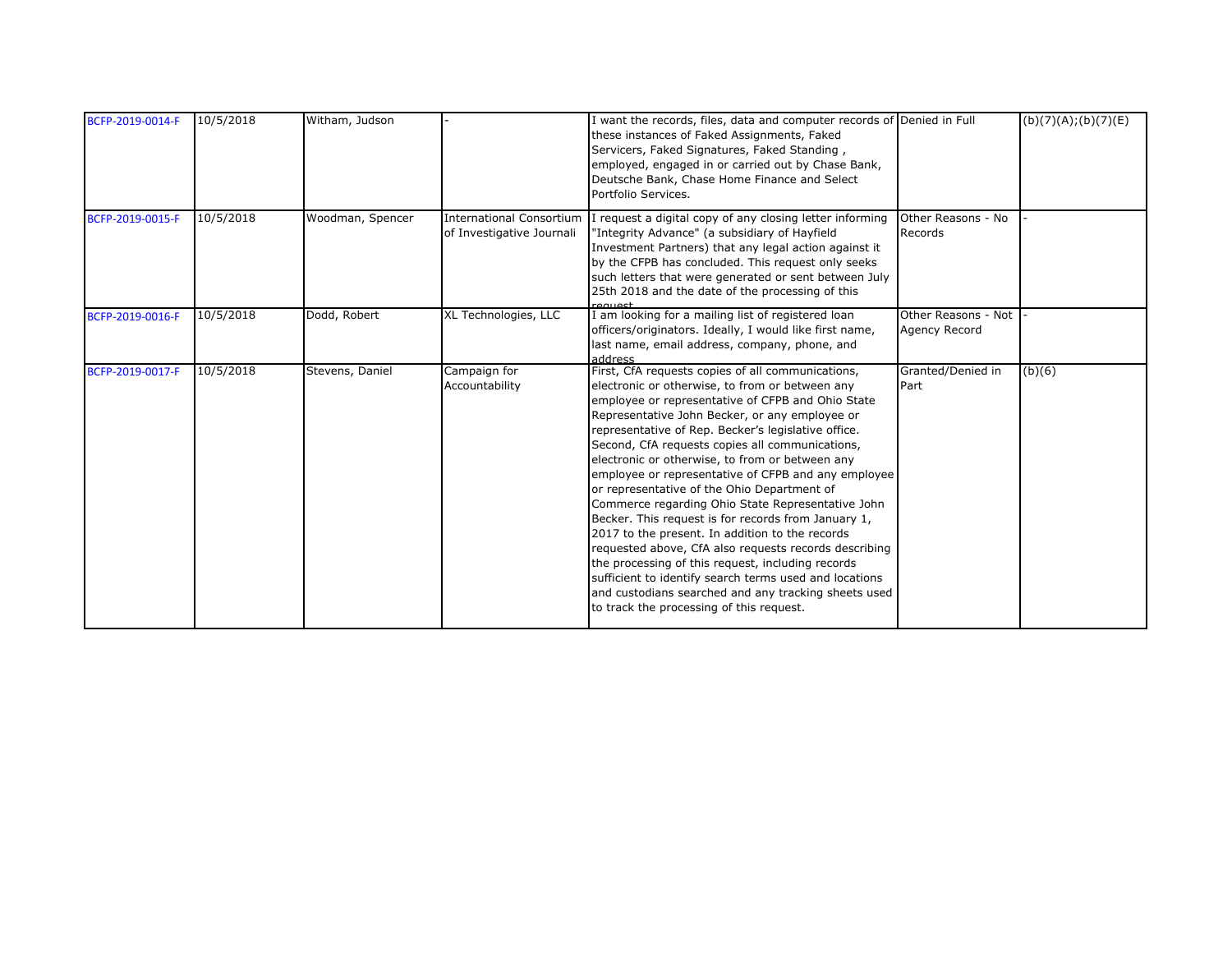| BCFP-2019-0014-F | 10/5/2018 | Witham, Judson   |                                                              | I want the records, files, data and computer records of Denied in Full<br>these instances of Faked Assignments, Faked<br>Servicers, Faked Signatures, Faked Standing,<br>employed, engaged in or carried out by Chase Bank,<br>Deutsche Bank, Chase Home Finance and Select<br>Portfolio Services.                                                                                                                                                                                                                                                                                                                                                                                                                                                                                                                                                                                                                        |                                      | (b)(7)(A); (b)(7)(E) |
|------------------|-----------|------------------|--------------------------------------------------------------|---------------------------------------------------------------------------------------------------------------------------------------------------------------------------------------------------------------------------------------------------------------------------------------------------------------------------------------------------------------------------------------------------------------------------------------------------------------------------------------------------------------------------------------------------------------------------------------------------------------------------------------------------------------------------------------------------------------------------------------------------------------------------------------------------------------------------------------------------------------------------------------------------------------------------|--------------------------------------|----------------------|
| BCFP-2019-0015-F | 10/5/2018 | Woodman, Spencer | <b>International Consortium</b><br>of Investigative Journali | I request a digital copy of any closing letter informing<br>"Integrity Advance" (a subsidiary of Hayfield<br>Investment Partners) that any legal action against it<br>by the CFPB has concluded. This request only seeks<br>such letters that were generated or sent between July<br>25th 2018 and the date of the processing of this<br>لعمييهم                                                                                                                                                                                                                                                                                                                                                                                                                                                                                                                                                                          | Other Reasons - No<br>Records        |                      |
| BCFP-2019-0016-F | 10/5/2018 | Dodd, Robert     | XL Technologies, LLC                                         | I am looking for a mailing list of registered loan<br>officers/originators. Ideally, I would like first name,<br>last name, email address, company, phone, and<br>22Anhha                                                                                                                                                                                                                                                                                                                                                                                                                                                                                                                                                                                                                                                                                                                                                 | Other Reasons - Not<br>Agency Record |                      |
| BCFP-2019-0017-F | 10/5/2018 | Stevens, Daniel  | Campaign for<br>Accountability                               | First, CfA requests copies of all communications,<br>electronic or otherwise, to from or between any<br>employee or representative of CFPB and Ohio State<br>Representative John Becker, or any employee or<br>representative of Rep. Becker's legislative office.<br>Second, CfA requests copies all communications,<br>electronic or otherwise, to from or between any<br>employee or representative of CFPB and any employee<br>or representative of the Ohio Department of<br>Commerce regarding Ohio State Representative John<br>Becker. This request is for records from January 1,<br>2017 to the present. In addition to the records<br>requested above, CfA also requests records describing<br>the processing of this request, including records<br>sufficient to identify search terms used and locations<br>and custodians searched and any tracking sheets used<br>to track the processing of this request. | Granted/Denied in<br>Part            | (b)(6)               |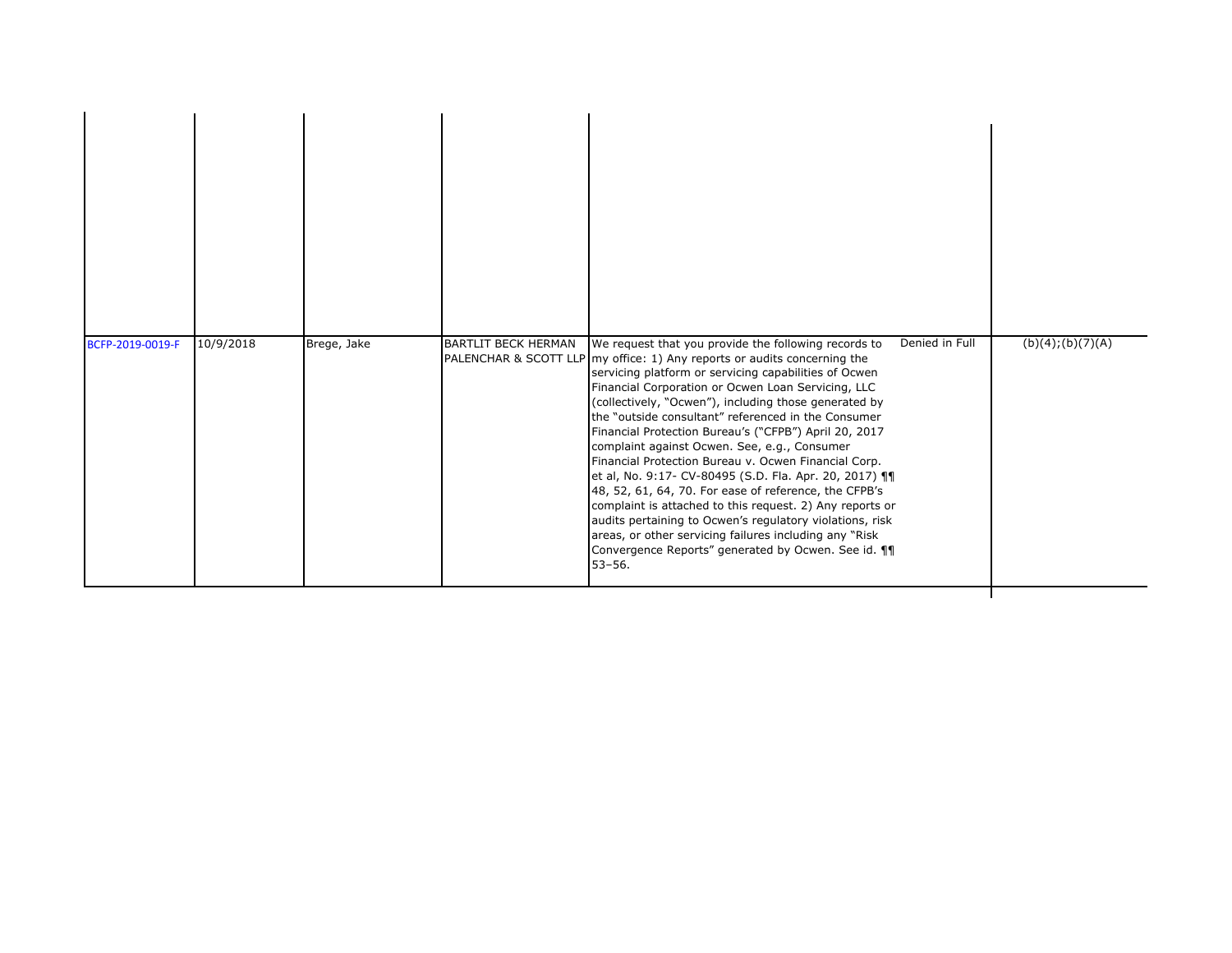| BCFP-2019-0019-F | 10/9/2018 | Brege, Jake | <b>BARTLIT BECK HERMAN</b> | We request that you provide the following records to<br>PALENCHAR & SCOTT LLP my office: 1) Any reports or audits concerning the<br>servicing platform or servicing capabilities of Ocwen<br>Financial Corporation or Ocwen Loan Servicing, LLC<br>(collectively, "Ocwen"), including those generated by<br>the "outside consultant" referenced in the Consumer<br>Financial Protection Bureau's ("CFPB") April 20, 2017<br>complaint against Ocwen. See, e.g., Consumer<br>Financial Protection Bureau v. Ocwen Financial Corp.<br>et al, No. 9:17- CV-80495 (S.D. Fla. Apr. 20, 2017) 11<br>48, 52, 61, 64, 70. For ease of reference, the CFPB's<br>complaint is attached to this request. 2) Any reports or<br>audits pertaining to Ocwen's regulatory violations, risk<br>areas, or other servicing failures including any "Risk"<br>Convergence Reports" generated by Ocwen. See id. 11<br>$53 - 56.$ | Denied in Full | (b)(4); (b)(7)(A) |
|------------------|-----------|-------------|----------------------------|-------------------------------------------------------------------------------------------------------------------------------------------------------------------------------------------------------------------------------------------------------------------------------------------------------------------------------------------------------------------------------------------------------------------------------------------------------------------------------------------------------------------------------------------------------------------------------------------------------------------------------------------------------------------------------------------------------------------------------------------------------------------------------------------------------------------------------------------------------------------------------------------------------------|----------------|-------------------|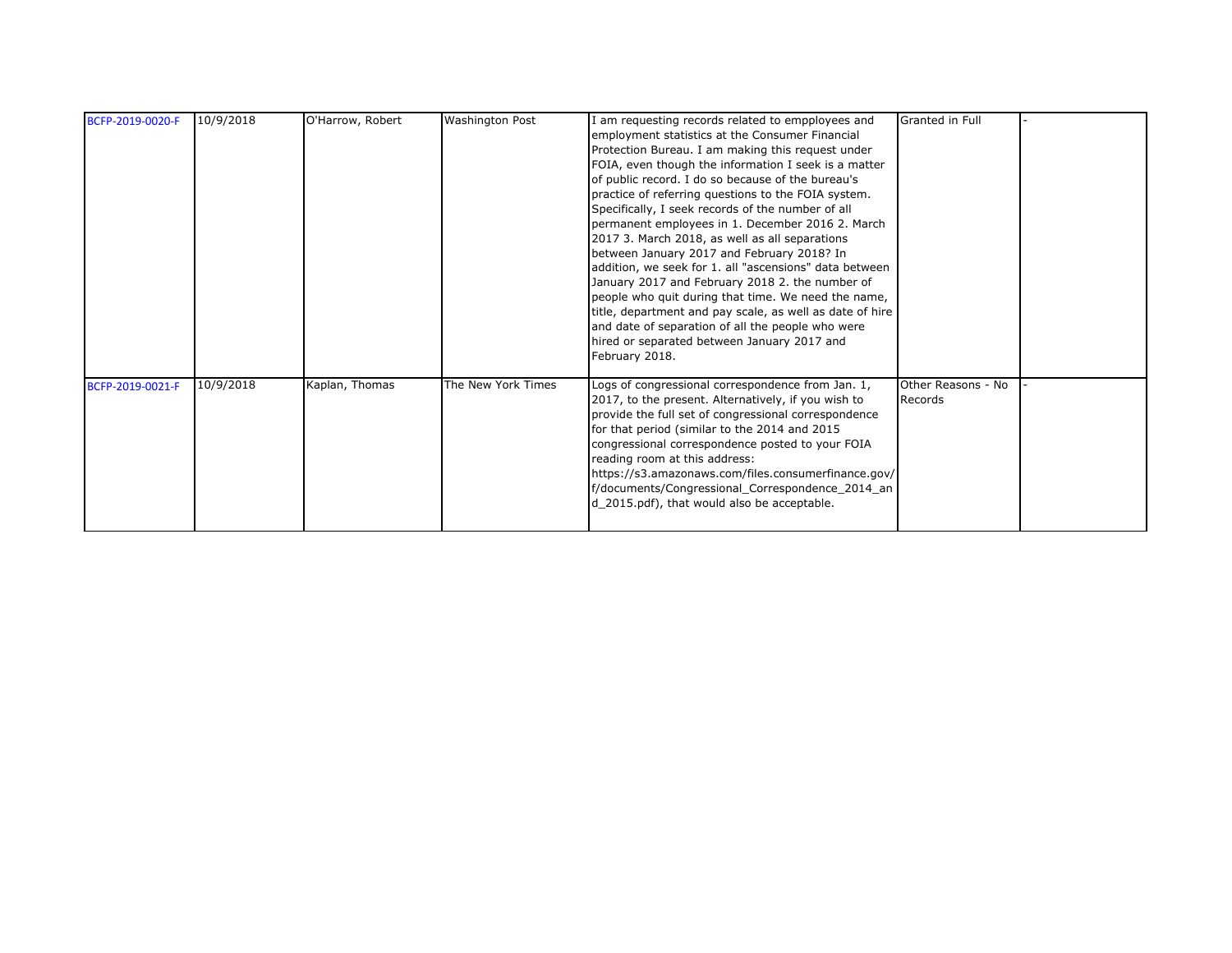| BCFP-2019-0020-F | 10/9/2018 | O'Harrow, Robert | <b>Washington Post</b> | I am requesting records related to empployees and<br>employment statistics at the Consumer Financial<br>Protection Bureau. I am making this request under<br>FOIA, even though the information I seek is a matter<br>of public record. I do so because of the bureau's<br>practice of referring questions to the FOIA system.<br>Specifically, I seek records of the number of all<br>permanent employees in 1. December 2016 2. March<br>2017 3. March 2018, as well as all separations<br>between January 2017 and February 2018? In<br>addition, we seek for 1. all "ascensions" data between<br>January 2017 and February 2018 2. the number of<br>people who quit during that time. We need the name,<br>title, department and pay scale, as well as date of hire<br>and date of separation of all the people who were<br>hired or separated between January 2017 and<br>February 2018. | Granted in Full               |  |
|------------------|-----------|------------------|------------------------|----------------------------------------------------------------------------------------------------------------------------------------------------------------------------------------------------------------------------------------------------------------------------------------------------------------------------------------------------------------------------------------------------------------------------------------------------------------------------------------------------------------------------------------------------------------------------------------------------------------------------------------------------------------------------------------------------------------------------------------------------------------------------------------------------------------------------------------------------------------------------------------------|-------------------------------|--|
| BCFP-2019-0021-F | 10/9/2018 | Kaplan, Thomas   | The New York Times     | Logs of congressional correspondence from Jan. 1,<br>2017, to the present. Alternatively, if you wish to<br>provide the full set of congressional correspondence<br>for that period (similar to the 2014 and 2015<br>congressional correspondence posted to your FOIA<br>reading room at this address:<br>https://s3.amazonaws.com/files.consumerfinance.gov/<br>f/documents/Congressional_Correspondence_2014_an<br>d_2015.pdf), that would also be acceptable.                                                                                                                                                                                                                                                                                                                                                                                                                             | Other Reasons - No<br>Records |  |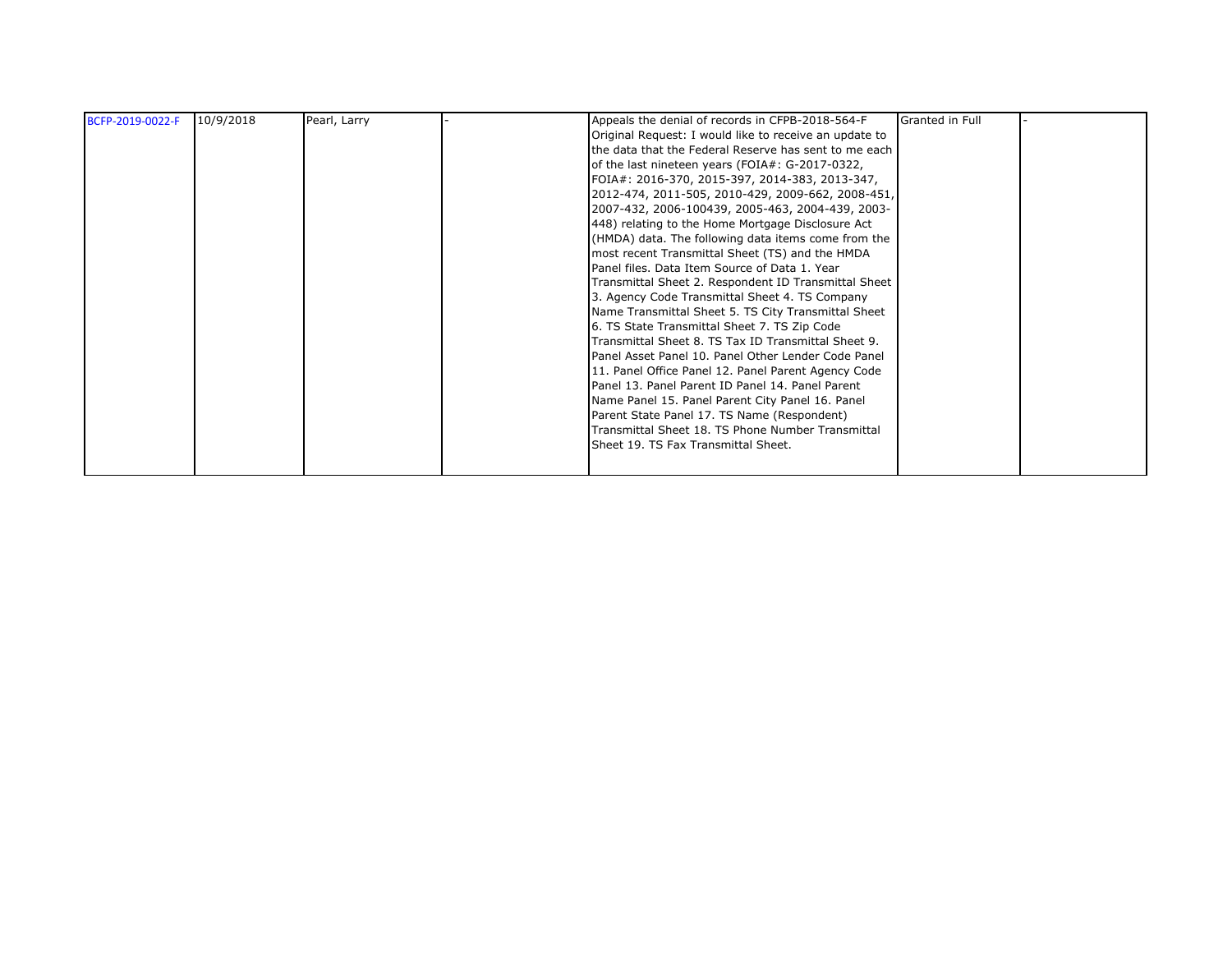| BCFP-2019-0022-F | 10/9/2018 | Pearl, Larry | Appeals the denial of records in CFPB-2018-564-F       | Granted in Full |  |
|------------------|-----------|--------------|--------------------------------------------------------|-----------------|--|
|                  |           |              | Original Request: I would like to receive an update to |                 |  |
|                  |           |              | the data that the Federal Reserve has sent to me each  |                 |  |
|                  |           |              | of the last nineteen years (FOIA#: G-2017-0322,        |                 |  |
|                  |           |              | FOIA#: 2016-370, 2015-397, 2014-383, 2013-347,         |                 |  |
|                  |           |              | 2012-474, 2011-505, 2010-429, 2009-662, 2008-451,      |                 |  |
|                  |           |              | 2007-432, 2006-100439, 2005-463, 2004-439, 2003-       |                 |  |
|                  |           |              | 448) relating to the Home Mortgage Disclosure Act      |                 |  |
|                  |           |              | (HMDA) data. The following data items come from the    |                 |  |
|                  |           |              | most recent Transmittal Sheet (TS) and the HMDA        |                 |  |
|                  |           |              | Panel files. Data Item Source of Data 1. Year          |                 |  |
|                  |           |              | Transmittal Sheet 2. Respondent ID Transmittal Sheet   |                 |  |
|                  |           |              | 3. Agency Code Transmittal Sheet 4. TS Company         |                 |  |
|                  |           |              | Name Transmittal Sheet 5. TS City Transmittal Sheet    |                 |  |
|                  |           |              | 6. TS State Transmittal Sheet 7. TS Zip Code           |                 |  |
|                  |           |              | Transmittal Sheet 8. TS Tax ID Transmittal Sheet 9.    |                 |  |
|                  |           |              | Panel Asset Panel 10. Panel Other Lender Code Panel    |                 |  |
|                  |           |              | 11. Panel Office Panel 12. Panel Parent Agency Code    |                 |  |
|                  |           |              | Panel 13. Panel Parent ID Panel 14. Panel Parent       |                 |  |
|                  |           |              | Name Panel 15. Panel Parent City Panel 16. Panel       |                 |  |
|                  |           |              | Parent State Panel 17. TS Name (Respondent)            |                 |  |
|                  |           |              | Transmittal Sheet 18. TS Phone Number Transmittal      |                 |  |
|                  |           |              | Sheet 19. TS Fax Transmittal Sheet.                    |                 |  |
|                  |           |              |                                                        |                 |  |
|                  |           |              |                                                        |                 |  |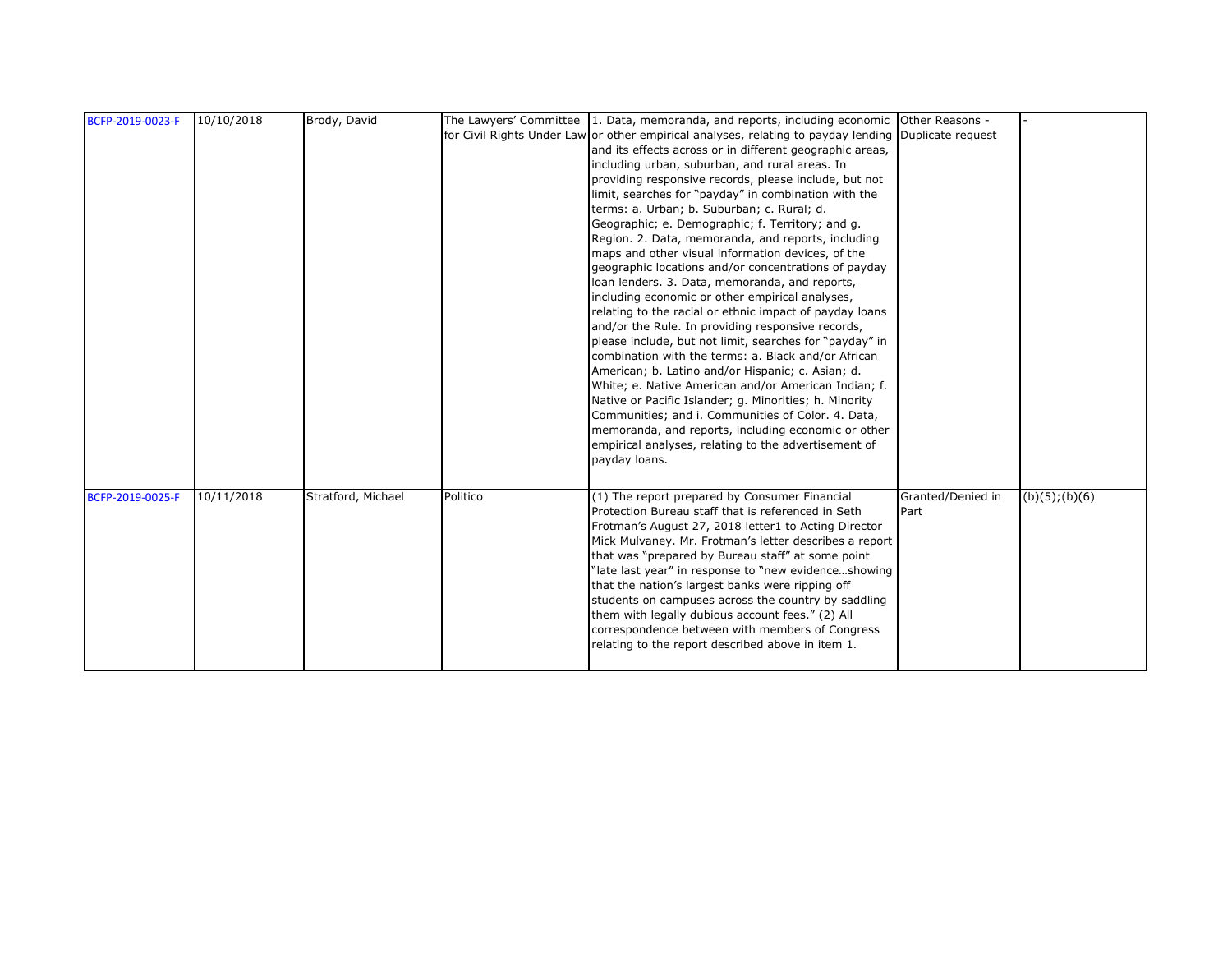| BCFP-2019-0023-F | 10/10/2018 | Brody, David       |          | The Lawyers' Committee 1. Data, memoranda, and reports, including economic Other Reasons -           |                   |                |
|------------------|------------|--------------------|----------|------------------------------------------------------------------------------------------------------|-------------------|----------------|
|                  |            |                    |          | for Civil Rights Under Law or other empirical analyses, relating to payday lending Duplicate request |                   |                |
|                  |            |                    |          | and its effects across or in different geographic areas,                                             |                   |                |
|                  |            |                    |          | including urban, suburban, and rural areas. In                                                       |                   |                |
|                  |            |                    |          | providing responsive records, please include, but not                                                |                   |                |
|                  |            |                    |          | limit, searches for "payday" in combination with the                                                 |                   |                |
|                  |            |                    |          | terms: a. Urban; b. Suburban; c. Rural; d.                                                           |                   |                |
|                  |            |                    |          | Geographic; e. Demographic; f. Territory; and g.                                                     |                   |                |
|                  |            |                    |          | Region. 2. Data, memoranda, and reports, including                                                   |                   |                |
|                  |            |                    |          | maps and other visual information devices, of the                                                    |                   |                |
|                  |            |                    |          | geographic locations and/or concentrations of payday                                                 |                   |                |
|                  |            |                    |          | loan lenders. 3. Data, memoranda, and reports,                                                       |                   |                |
|                  |            |                    |          | including economic or other empirical analyses,                                                      |                   |                |
|                  |            |                    |          | relating to the racial or ethnic impact of payday loans                                              |                   |                |
|                  |            |                    |          | and/or the Rule. In providing responsive records,                                                    |                   |                |
|                  |            |                    |          | please include, but not limit, searches for "payday" in                                              |                   |                |
|                  |            |                    |          | combination with the terms: a. Black and/or African                                                  |                   |                |
|                  |            |                    |          | American; b. Latino and/or Hispanic; c. Asian; d.                                                    |                   |                |
|                  |            |                    |          | White; e. Native American and/or American Indian; f.                                                 |                   |                |
|                  |            |                    |          | Native or Pacific Islander; g. Minorities; h. Minority                                               |                   |                |
|                  |            |                    |          | Communities; and i. Communities of Color. 4. Data,                                                   |                   |                |
|                  |            |                    |          | memoranda, and reports, including economic or other                                                  |                   |                |
|                  |            |                    |          | empirical analyses, relating to the advertisement of                                                 |                   |                |
|                  |            |                    |          | payday loans.                                                                                        |                   |                |
|                  |            |                    |          |                                                                                                      |                   |                |
| BCFP-2019-0025-F | 10/11/2018 | Stratford, Michael | Politico | (1) The report prepared by Consumer Financial                                                        | Granted/Denied in | (b)(5); (b)(6) |
|                  |            |                    |          | Protection Bureau staff that is referenced in Seth                                                   | Part              |                |
|                  |            |                    |          | Frotman's August 27, 2018 letter1 to Acting Director                                                 |                   |                |
|                  |            |                    |          | Mick Mulvaney. Mr. Frotman's letter describes a report                                               |                   |                |
|                  |            |                    |          | that was "prepared by Bureau staff" at some point                                                    |                   |                |
|                  |            |                    |          | "late last year" in response to "new evidenceshowing                                                 |                   |                |
|                  |            |                    |          | that the nation's largest banks were ripping off                                                     |                   |                |
|                  |            |                    |          | students on campuses across the country by saddling                                                  |                   |                |
|                  |            |                    |          | them with legally dubious account fees." (2) All                                                     |                   |                |
|                  |            |                    |          | correspondence between with members of Congress                                                      |                   |                |
|                  |            |                    |          | relating to the report described above in item 1.                                                    |                   |                |
|                  |            |                    |          |                                                                                                      |                   |                |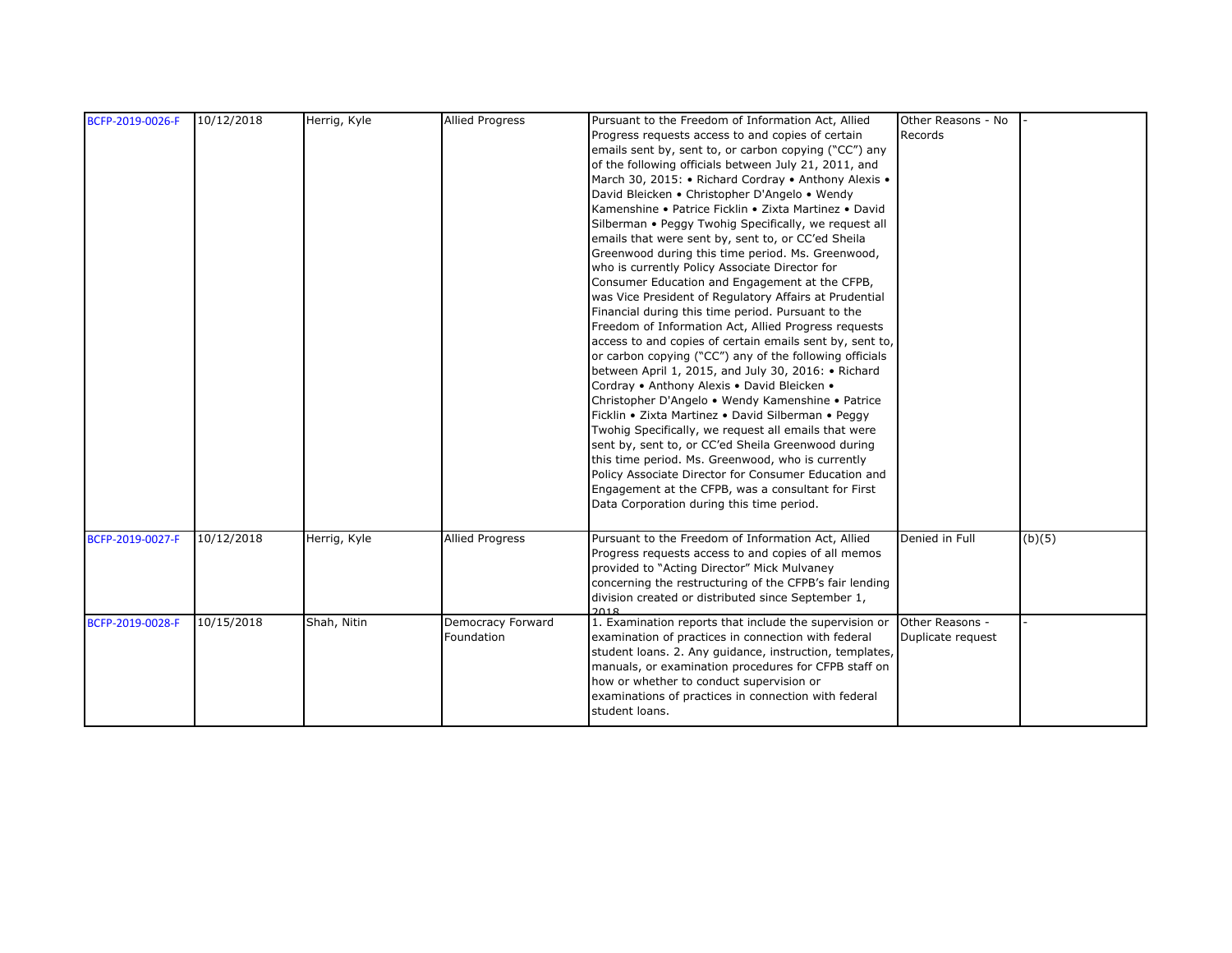| BCFP-2019-0026-F | 10/12/2018 | Herrig, Kyle | <b>Allied Progress</b> | Pursuant to the Freedom of Information Act, Allied             | Other Reasons - No |        |
|------------------|------------|--------------|------------------------|----------------------------------------------------------------|--------------------|--------|
|                  |            |              |                        | Progress requests access to and copies of certain              | Records            |        |
|                  |            |              |                        | emails sent by, sent to, or carbon copying ("CC") any          |                    |        |
|                  |            |              |                        | of the following officials between July 21, 2011, and          |                    |        |
|                  |            |              |                        | March 30, 2015: • Richard Cordray • Anthony Alexis •           |                    |        |
|                  |            |              |                        | David Bleicken • Christopher D'Angelo • Wendy                  |                    |        |
|                  |            |              |                        | Kamenshine • Patrice Ficklin • Zixta Martinez • David          |                    |        |
|                  |            |              |                        | Silberman • Peggy Twohig Specifically, we request all          |                    |        |
|                  |            |              |                        | emails that were sent by, sent to, or CC'ed Sheila             |                    |        |
|                  |            |              |                        | Greenwood during this time period. Ms. Greenwood,              |                    |        |
|                  |            |              |                        | who is currently Policy Associate Director for                 |                    |        |
|                  |            |              |                        | Consumer Education and Engagement at the CFPB,                 |                    |        |
|                  |            |              |                        | was Vice President of Regulatory Affairs at Prudential         |                    |        |
|                  |            |              |                        | Financial during this time period. Pursuant to the             |                    |        |
|                  |            |              |                        | Freedom of Information Act, Allied Progress requests           |                    |        |
|                  |            |              |                        | access to and copies of certain emails sent by, sent to,       |                    |        |
|                  |            |              |                        | or carbon copying ("CC") any of the following officials        |                    |        |
|                  |            |              |                        | between April 1, 2015, and July 30, 2016: • Richard            |                    |        |
|                  |            |              |                        | Cordray • Anthony Alexis • David Bleicken •                    |                    |        |
|                  |            |              |                        | Christopher D'Angelo • Wendy Kamenshine • Patrice              |                    |        |
|                  |            |              |                        | Ficklin • Zixta Martinez • David Silberman • Peggy             |                    |        |
|                  |            |              |                        | Twohig Specifically, we request all emails that were           |                    |        |
|                  |            |              |                        | sent by, sent to, or CC'ed Sheila Greenwood during             |                    |        |
|                  |            |              |                        | this time period. Ms. Greenwood, who is currently              |                    |        |
|                  |            |              |                        | Policy Associate Director for Consumer Education and           |                    |        |
|                  |            |              |                        | Engagement at the CFPB, was a consultant for First             |                    |        |
|                  |            |              |                        | Data Corporation during this time period.                      |                    |        |
|                  |            |              |                        |                                                                |                    |        |
| BCFP-2019-0027-F | 10/12/2018 | Herrig, Kyle | <b>Allied Progress</b> | Pursuant to the Freedom of Information Act, Allied             | Denied in Full     | (b)(5) |
|                  |            |              |                        | Progress requests access to and copies of all memos            |                    |        |
|                  |            |              |                        | provided to "Acting Director" Mick Mulvaney                    |                    |        |
|                  |            |              |                        | concerning the restructuring of the CFPB's fair lending        |                    |        |
|                  |            |              |                        | division created or distributed since September 1,             |                    |        |
| BCFP-2019-0028-F | 10/15/2018 | Shah, Nitin  | Democracy Forward      | 2018<br>1. Examination reports that include the supervision or | Other Reasons -    |        |
|                  |            |              | Foundation             | examination of practices in connection with federal            | Duplicate request  |        |
|                  |            |              |                        | student loans. 2. Any guidance, instruction, templates,        |                    |        |
|                  |            |              |                        | manuals, or examination procedures for CFPB staff on           |                    |        |
|                  |            |              |                        | how or whether to conduct supervision or                       |                    |        |
|                  |            |              |                        | examinations of practices in connection with federal           |                    |        |
|                  |            |              |                        | student loans.                                                 |                    |        |
|                  |            |              |                        |                                                                |                    |        |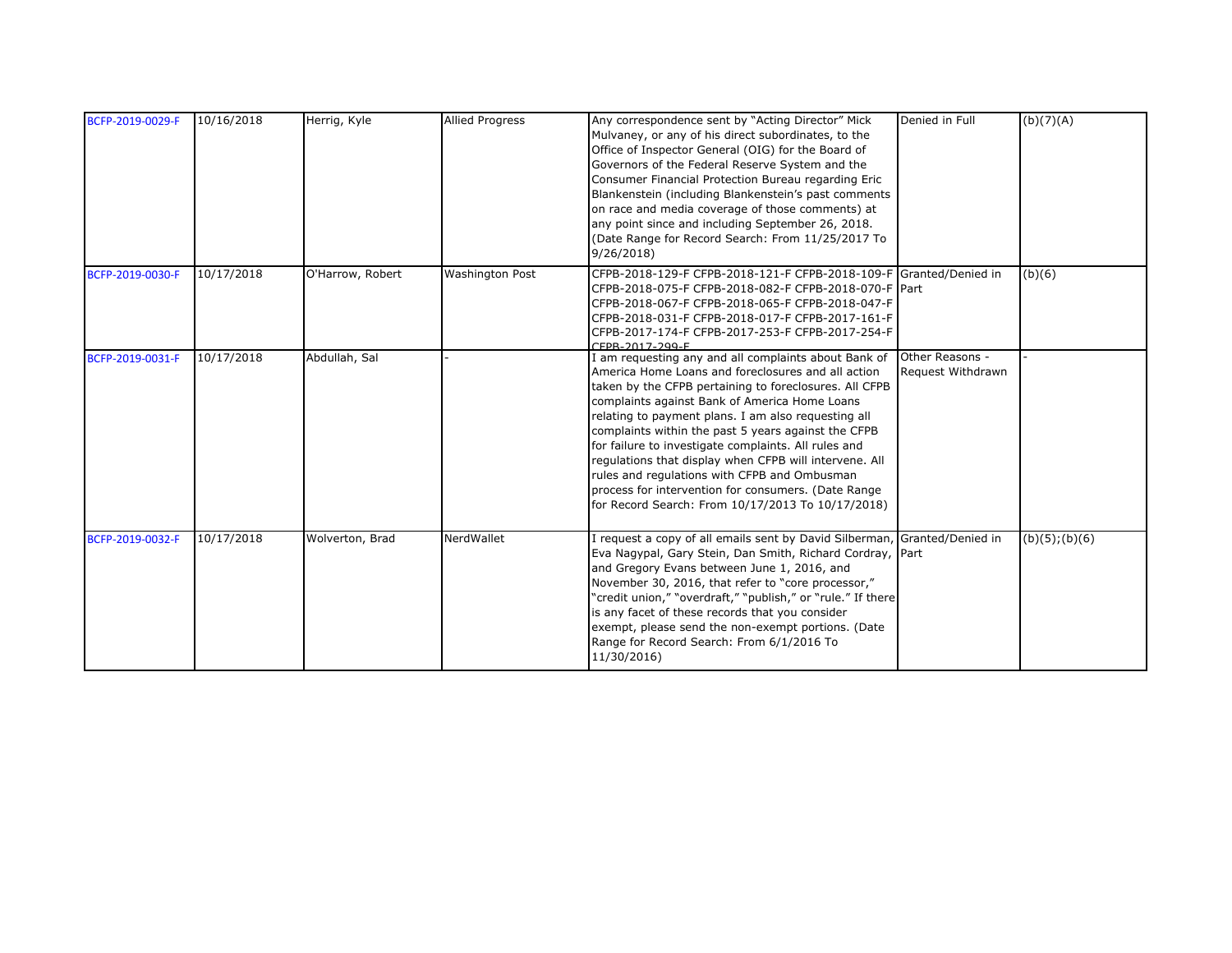| BCFP-2019-0029-F | 10/16/2018 | Herrig, Kyle     | <b>Allied Progress</b> | Any correspondence sent by "Acting Director" Mick<br>Mulvaney, or any of his direct subordinates, to the<br>Office of Inspector General (OIG) for the Board of<br>Governors of the Federal Reserve System and the<br>Consumer Financial Protection Bureau regarding Eric<br>Blankenstein (including Blankenstein's past comments<br>on race and media coverage of those comments) at<br>any point since and including September 26, 2018.<br>(Date Range for Record Search: From 11/25/2017 To<br>9/26/2018                                                                                                                       | Denied in Full    | (b)(7)(A)           |
|------------------|------------|------------------|------------------------|-----------------------------------------------------------------------------------------------------------------------------------------------------------------------------------------------------------------------------------------------------------------------------------------------------------------------------------------------------------------------------------------------------------------------------------------------------------------------------------------------------------------------------------------------------------------------------------------------------------------------------------|-------------------|---------------------|
| BCFP-2019-0030-F | 10/17/2018 | O'Harrow, Robert | <b>Washington Post</b> | CFPB-2018-129-F CFPB-2018-121-F CFPB-2018-109-F Granted/Denied in<br>CFPB-2018-075-F CFPB-2018-082-F CFPB-2018-070-F Part<br>CFPB-2018-067-F CFPB-2018-065-F CFPB-2018-047-F<br>CFPB-2018-031-F CFPB-2018-017-F CFPB-2017-161-F<br>CFPB-2017-174-F CFPB-2017-253-F CFPB-2017-254-F<br>CEPR_2017_200_E                                                                                                                                                                                                                                                                                                                             |                   | (b)(6)              |
| BCFP-2019-0031-F | 10/17/2018 | Abdullah, Sal    |                        | I am requesting any and all complaints about Bank of Other Reasons -<br>America Home Loans and foreclosures and all action<br>taken by the CFPB pertaining to foreclosures. All CFPB<br>complaints against Bank of America Home Loans<br>relating to payment plans. I am also requesting all<br>complaints within the past 5 years against the CFPB<br>for failure to investigate complaints. All rules and<br>regulations that display when CFPB will intervene. All<br>rules and regulations with CFPB and Ombusman<br>process for intervention for consumers. (Date Range<br>for Record Search: From 10/17/2013 To 10/17/2018) | Request Withdrawn |                     |
| BCFP-2019-0032-F | 10/17/2018 | Wolverton, Brad  | NerdWallet             | I request a copy of all emails sent by David Silberman, Granted/Denied in<br>Eva Nagypal, Gary Stein, Dan Smith, Richard Cordray, Part<br>and Gregory Evans between June 1, 2016, and<br>November 30, 2016, that refer to "core processor,"<br>"credit union," "overdraft," "publish," or "rule." If there<br>is any facet of these records that you consider<br>exempt, please send the non-exempt portions. (Date<br>Range for Record Search: From 6/1/2016 To<br>11/30/2016)                                                                                                                                                   |                   | $(b)(5)$ ; $(b)(6)$ |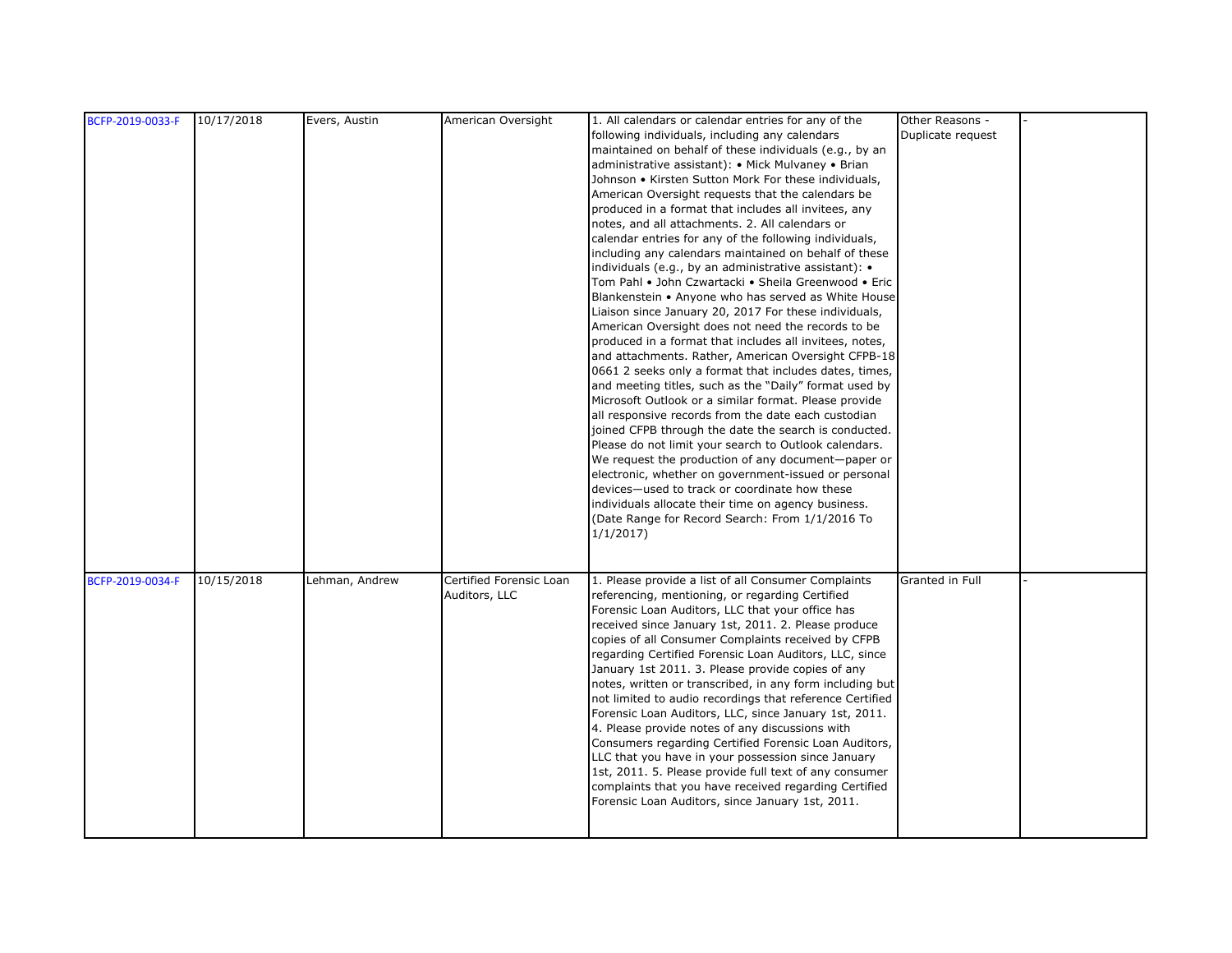| BCFP-2019-0033-F | 10/17/2018 | Evers, Austin  | American Oversight      | 1. All calendars or calendar entries for any of the      | Other Reasons -   |  |
|------------------|------------|----------------|-------------------------|----------------------------------------------------------|-------------------|--|
|                  |            |                |                         | following individuals, including any calendars           | Duplicate request |  |
|                  |            |                |                         | maintained on behalf of these individuals (e.g., by an   |                   |  |
|                  |            |                |                         | administrative assistant): • Mick Mulvaney • Brian       |                   |  |
|                  |            |                |                         | Johnson • Kirsten Sutton Mork For these individuals,     |                   |  |
|                  |            |                |                         | American Oversight requests that the calendars be        |                   |  |
|                  |            |                |                         | produced in a format that includes all invitees, any     |                   |  |
|                  |            |                |                         | notes, and all attachments. 2. All calendars or          |                   |  |
|                  |            |                |                         | calendar entries for any of the following individuals,   |                   |  |
|                  |            |                |                         | including any calendars maintained on behalf of these    |                   |  |
|                  |            |                |                         | individuals (e.g., by an administrative assistant): •    |                   |  |
|                  |            |                |                         | Tom Pahl • John Czwartacki • Sheila Greenwood • Eric     |                   |  |
|                  |            |                |                         | Blankenstein • Anyone who has served as White House      |                   |  |
|                  |            |                |                         | Liaison since January 20, 2017 For these individuals,    |                   |  |
|                  |            |                |                         | American Oversight does not need the records to be       |                   |  |
|                  |            |                |                         | produced in a format that includes all invitees, notes,  |                   |  |
|                  |            |                |                         | and attachments. Rather, American Oversight CFPB-18      |                   |  |
|                  |            |                |                         | 0661 2 seeks only a format that includes dates, times,   |                   |  |
|                  |            |                |                         | and meeting titles, such as the "Daily" format used by   |                   |  |
|                  |            |                |                         | Microsoft Outlook or a similar format. Please provide    |                   |  |
|                  |            |                |                         | all responsive records from the date each custodian      |                   |  |
|                  |            |                |                         | joined CFPB through the date the search is conducted.    |                   |  |
|                  |            |                |                         | Please do not limit your search to Outlook calendars.    |                   |  |
|                  |            |                |                         | We request the production of any document-paper or       |                   |  |
|                  |            |                |                         | electronic, whether on government-issued or personal     |                   |  |
|                  |            |                |                         | devices-used to track or coordinate how these            |                   |  |
|                  |            |                |                         | individuals allocate their time on agency business.      |                   |  |
|                  |            |                |                         | (Date Range for Record Search: From 1/1/2016 To          |                   |  |
|                  |            |                |                         | 1/1/2017                                                 |                   |  |
|                  |            |                |                         |                                                          |                   |  |
|                  |            |                |                         |                                                          |                   |  |
| BCFP-2019-0034-F | 10/15/2018 | Lehman, Andrew | Certified Forensic Loan | 1. Please provide a list of all Consumer Complaints      | Granted in Full   |  |
|                  |            |                | Auditors, LLC           | referencing, mentioning, or regarding Certified          |                   |  |
|                  |            |                |                         | Forensic Loan Auditors, LLC that your office has         |                   |  |
|                  |            |                |                         | received since January 1st, 2011. 2. Please produce      |                   |  |
|                  |            |                |                         | copies of all Consumer Complaints received by CFPB       |                   |  |
|                  |            |                |                         | regarding Certified Forensic Loan Auditors, LLC, since   |                   |  |
|                  |            |                |                         | January 1st 2011. 3. Please provide copies of any        |                   |  |
|                  |            |                |                         | notes, written or transcribed, in any form including but |                   |  |
|                  |            |                |                         | not limited to audio recordings that reference Certified |                   |  |
|                  |            |                |                         | Forensic Loan Auditors, LLC, since January 1st, 2011.    |                   |  |
|                  |            |                |                         | 4. Please provide notes of any discussions with          |                   |  |
|                  |            |                |                         | Consumers regarding Certified Forensic Loan Auditors,    |                   |  |
|                  |            |                |                         | LLC that you have in your possession since January       |                   |  |
|                  |            |                |                         | 1st, 2011. 5. Please provide full text of any consumer   |                   |  |
|                  |            |                |                         | complaints that you have received regarding Certified    |                   |  |
|                  |            |                |                         | Forensic Loan Auditors, since January 1st, 2011.         |                   |  |
|                  |            |                |                         |                                                          |                   |  |
|                  |            |                |                         |                                                          |                   |  |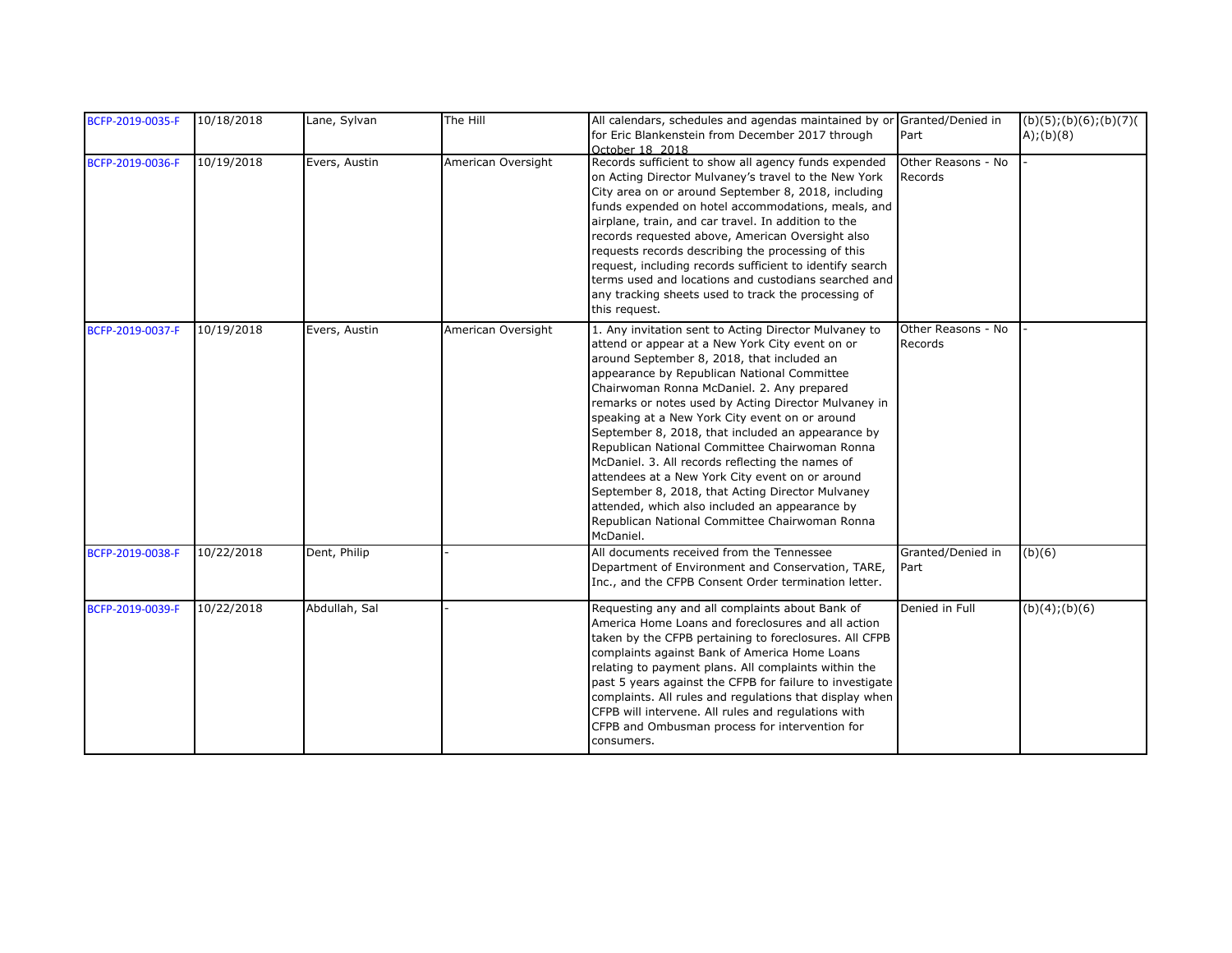| BCFP-2019-0035-F | 10/18/2018 | Lane, Sylvan  | The Hill           | All calendars, schedules and agendas maintained by or Granted/Denied in<br>for Eric Blankenstein from December 2017 through<br>October 18 2018                                                                                                                                                                                                                                                                                                                                                                                                                                                                                                                                                                                                   | Part                          | $(b)(5)$ ; $(b)(6)$ ; $(b)(7)$<br>A);(b)(8) |
|------------------|------------|---------------|--------------------|--------------------------------------------------------------------------------------------------------------------------------------------------------------------------------------------------------------------------------------------------------------------------------------------------------------------------------------------------------------------------------------------------------------------------------------------------------------------------------------------------------------------------------------------------------------------------------------------------------------------------------------------------------------------------------------------------------------------------------------------------|-------------------------------|---------------------------------------------|
| BCFP-2019-0036-F | 10/19/2018 | Evers, Austin | American Oversight | Records sufficient to show all agency funds expended<br>on Acting Director Mulvaney's travel to the New York<br>City area on or around September 8, 2018, including<br>funds expended on hotel accommodations, meals, and<br>airplane, train, and car travel. In addition to the<br>records requested above, American Oversight also<br>requests records describing the processing of this<br>request, including records sufficient to identify search<br>terms used and locations and custodians searched and<br>any tracking sheets used to track the processing of<br>this request.                                                                                                                                                           | Other Reasons - No<br>Records |                                             |
| BCFP-2019-0037-F | 10/19/2018 | Evers, Austin | American Oversight | 1. Any invitation sent to Acting Director Mulvaney to<br>attend or appear at a New York City event on or<br>around September 8, 2018, that included an<br>appearance by Republican National Committee<br>Chairwoman Ronna McDaniel. 2. Any prepared<br>remarks or notes used by Acting Director Mulvaney in<br>speaking at a New York City event on or around<br>September 8, 2018, that included an appearance by<br>Republican National Committee Chairwoman Ronna<br>McDaniel. 3. All records reflecting the names of<br>attendees at a New York City event on or around<br>September 8, 2018, that Acting Director Mulvaney<br>attended, which also included an appearance by<br>Republican National Committee Chairwoman Ronna<br>McDaniel. | Other Reasons - No<br>Records |                                             |
| BCFP-2019-0038-F | 10/22/2018 | Dent, Philip  |                    | All documents received from the Tennessee<br>Department of Environment and Conservation, TARE,<br>Inc., and the CFPB Consent Order termination letter.                                                                                                                                                                                                                                                                                                                                                                                                                                                                                                                                                                                           | Granted/Denied in<br>Part     | (b)(6)                                      |
| BCFP-2019-0039-F | 10/22/2018 | Abdullah, Sal |                    | Requesting any and all complaints about Bank of<br>America Home Loans and foreclosures and all action<br>taken by the CFPB pertaining to foreclosures. All CFPB<br>complaints against Bank of America Home Loans<br>relating to payment plans. All complaints within the<br>past 5 years against the CFPB for failure to investigate<br>complaints. All rules and regulations that display when<br>CFPB will intervene. All rules and regulations with<br>CFPB and Ombusman process for intervention for<br>consumers.                                                                                                                                                                                                                           | Denied in Full                | (b)(4); (b)(6)                              |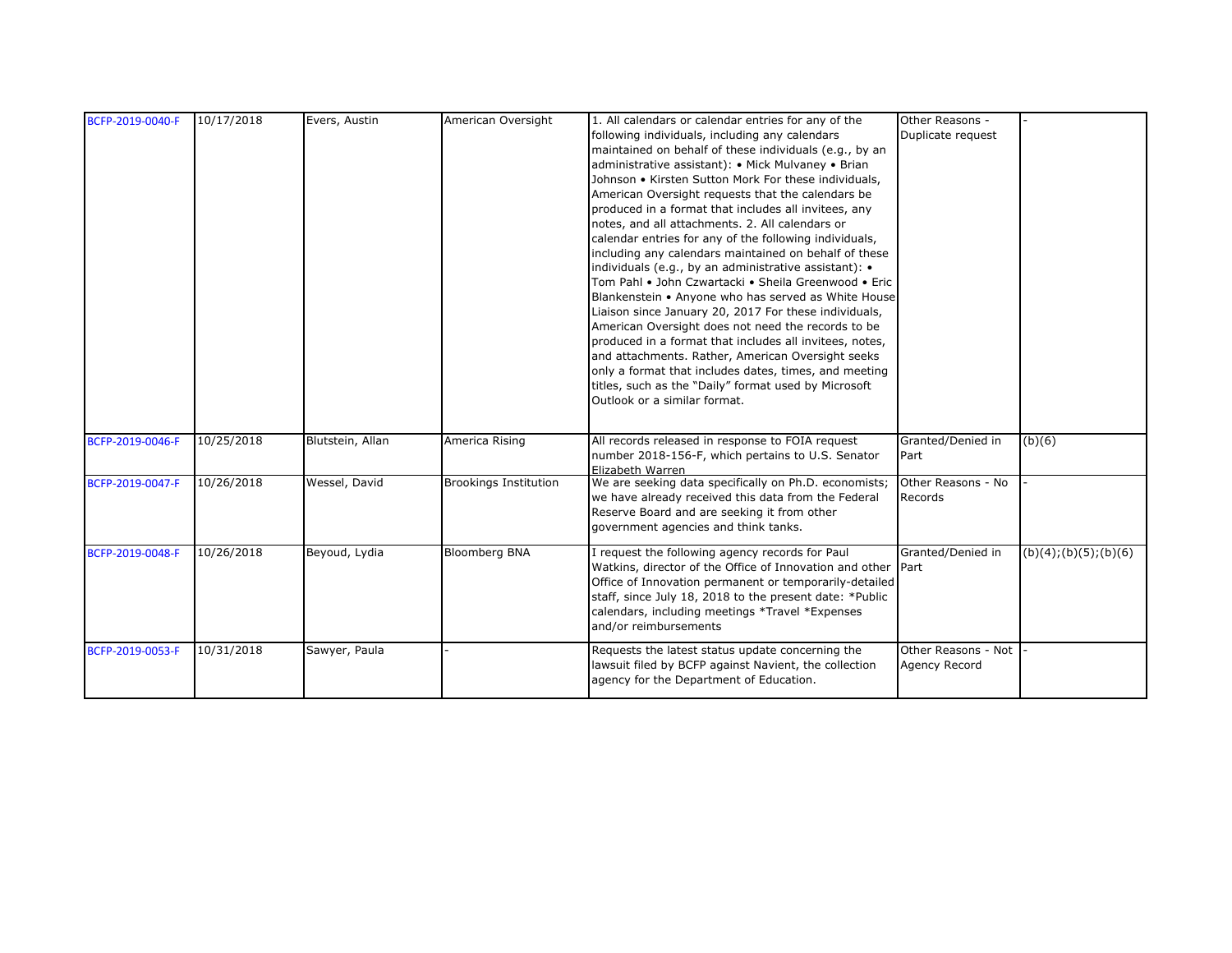| BCFP-2019-0040-F | 10/17/2018 | Evers, Austin    | American Oversight           | 1. All calendars or calendar entries for any of the          | Other Reasons -     |                        |
|------------------|------------|------------------|------------------------------|--------------------------------------------------------------|---------------------|------------------------|
|                  |            |                  |                              | following individuals, including any calendars               | Duplicate request   |                        |
|                  |            |                  |                              | maintained on behalf of these individuals (e.g., by an       |                     |                        |
|                  |            |                  |                              | administrative assistant): • Mick Mulvaney • Brian           |                     |                        |
|                  |            |                  |                              | Johnson • Kirsten Sutton Mork For these individuals,         |                     |                        |
|                  |            |                  |                              | American Oversight requests that the calendars be            |                     |                        |
|                  |            |                  |                              | produced in a format that includes all invitees, any         |                     |                        |
|                  |            |                  |                              | notes, and all attachments. 2. All calendars or              |                     |                        |
|                  |            |                  |                              | calendar entries for any of the following individuals,       |                     |                        |
|                  |            |                  |                              | including any calendars maintained on behalf of these        |                     |                        |
|                  |            |                  |                              | individuals (e.g., by an administrative assistant): •        |                     |                        |
|                  |            |                  |                              | Tom Pahl • John Czwartacki • Sheila Greenwood • Eric         |                     |                        |
|                  |            |                  |                              | Blankenstein • Anyone who has served as White House          |                     |                        |
|                  |            |                  |                              | Liaison since January 20, 2017 For these individuals,        |                     |                        |
|                  |            |                  |                              | American Oversight does not need the records to be           |                     |                        |
|                  |            |                  |                              | produced in a format that includes all invitees, notes,      |                     |                        |
|                  |            |                  |                              | and attachments. Rather, American Oversight seeks            |                     |                        |
|                  |            |                  |                              | only a format that includes dates, times, and meeting        |                     |                        |
|                  |            |                  |                              | titles, such as the "Daily" format used by Microsoft         |                     |                        |
|                  |            |                  |                              | Outlook or a similar format.                                 |                     |                        |
|                  |            |                  |                              |                                                              |                     |                        |
| BCFP-2019-0046-F | 10/25/2018 | Blutstein, Allan | America Rising               | All records released in response to FOIA request             | Granted/Denied in   |                        |
|                  |            |                  |                              | number 2018-156-F, which pertains to U.S. Senator            | Part                | (b)(6)                 |
|                  |            |                  |                              | Elizabeth Warren                                             |                     |                        |
| BCFP-2019-0047-F | 10/26/2018 | Wessel, David    | <b>Brookings Institution</b> | We are seeking data specifically on Ph.D. economists;        | Other Reasons - No  |                        |
|                  |            |                  |                              | we have already received this data from the Federal          | Records             |                        |
|                  |            |                  |                              | Reserve Board and are seeking it from other                  |                     |                        |
|                  |            |                  |                              | government agencies and think tanks.                         |                     |                        |
|                  |            |                  |                              |                                                              |                     |                        |
| BCFP-2019-0048-F | 10/26/2018 | Beyoud, Lydia    | <b>Bloomberg BNA</b>         | I request the following agency records for Paul              | Granted/Denied in   | (b)(4); (b)(5); (b)(6) |
|                  |            |                  |                              | Watkins, director of the Office of Innovation and other Part |                     |                        |
|                  |            |                  |                              | Office of Innovation permanent or temporarily-detailed       |                     |                        |
|                  |            |                  |                              | staff, since July 18, 2018 to the present date: *Public      |                     |                        |
|                  |            |                  |                              | calendars, including meetings *Travel *Expenses              |                     |                        |
|                  |            |                  |                              | and/or reimbursements                                        |                     |                        |
| BCFP-2019-0053-F | 10/31/2018 | Sawyer, Paula    |                              | Requests the latest status update concerning the             | Other Reasons - Not |                        |
|                  |            |                  |                              | lawsuit filed by BCFP against Navient, the collection        | Agency Record       |                        |
|                  |            |                  |                              | agency for the Department of Education.                      |                     |                        |
|                  |            |                  |                              |                                                              |                     |                        |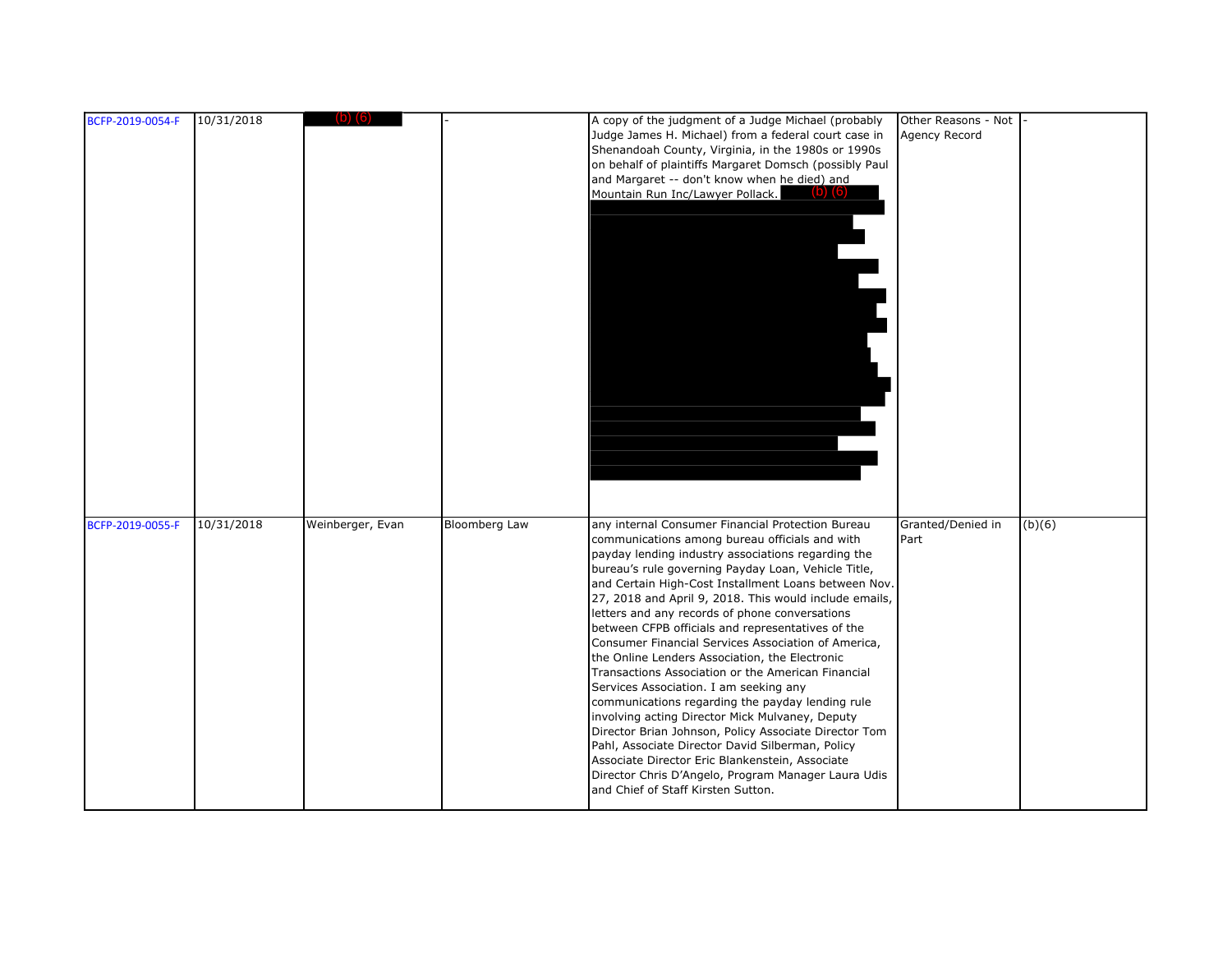| BCFP-2019-0054-F | 10/31/2018 | $(D)$ $(b)$      |                      | A copy of the judgment of a Judge Michael (probably<br>Judge James H. Michael) from a federal court case in<br>Shenandoah County, Virginia, in the 1980s or 1990s<br>on behalf of plaintiffs Margaret Domsch (possibly Paul<br>and Margaret -- don't know when he died) and<br>Mountain Run Inc/Lawyer Pollack.<br>$(D)$ $(b)$                                                                                                                                                                                                                                                                                                                                                                                                                                                                                                                                                                                                                                                                                         | Other Reasons - Not<br>Agency Record |        |
|------------------|------------|------------------|----------------------|------------------------------------------------------------------------------------------------------------------------------------------------------------------------------------------------------------------------------------------------------------------------------------------------------------------------------------------------------------------------------------------------------------------------------------------------------------------------------------------------------------------------------------------------------------------------------------------------------------------------------------------------------------------------------------------------------------------------------------------------------------------------------------------------------------------------------------------------------------------------------------------------------------------------------------------------------------------------------------------------------------------------|--------------------------------------|--------|
| BCFP-2019-0055-F | 10/31/2018 | Weinberger, Evan | <b>Bloomberg Law</b> | any internal Consumer Financial Protection Bureau<br>communications among bureau officials and with<br>payday lending industry associations regarding the<br>bureau's rule governing Payday Loan, Vehicle Title,<br>and Certain High-Cost Installment Loans between Nov.<br>27, 2018 and April 9, 2018. This would include emails,<br>letters and any records of phone conversations<br>between CFPB officials and representatives of the<br>Consumer Financial Services Association of America,<br>the Online Lenders Association, the Electronic<br>Transactions Association or the American Financial<br>Services Association. I am seeking any<br>communications regarding the payday lending rule<br>involving acting Director Mick Mulvaney, Deputy<br>Director Brian Johnson, Policy Associate Director Tom<br>Pahl, Associate Director David Silberman, Policy<br>Associate Director Eric Blankenstein, Associate<br>Director Chris D'Angelo, Program Manager Laura Udis<br>and Chief of Staff Kirsten Sutton. | Granted/Denied in<br>Part            | (b)(6) |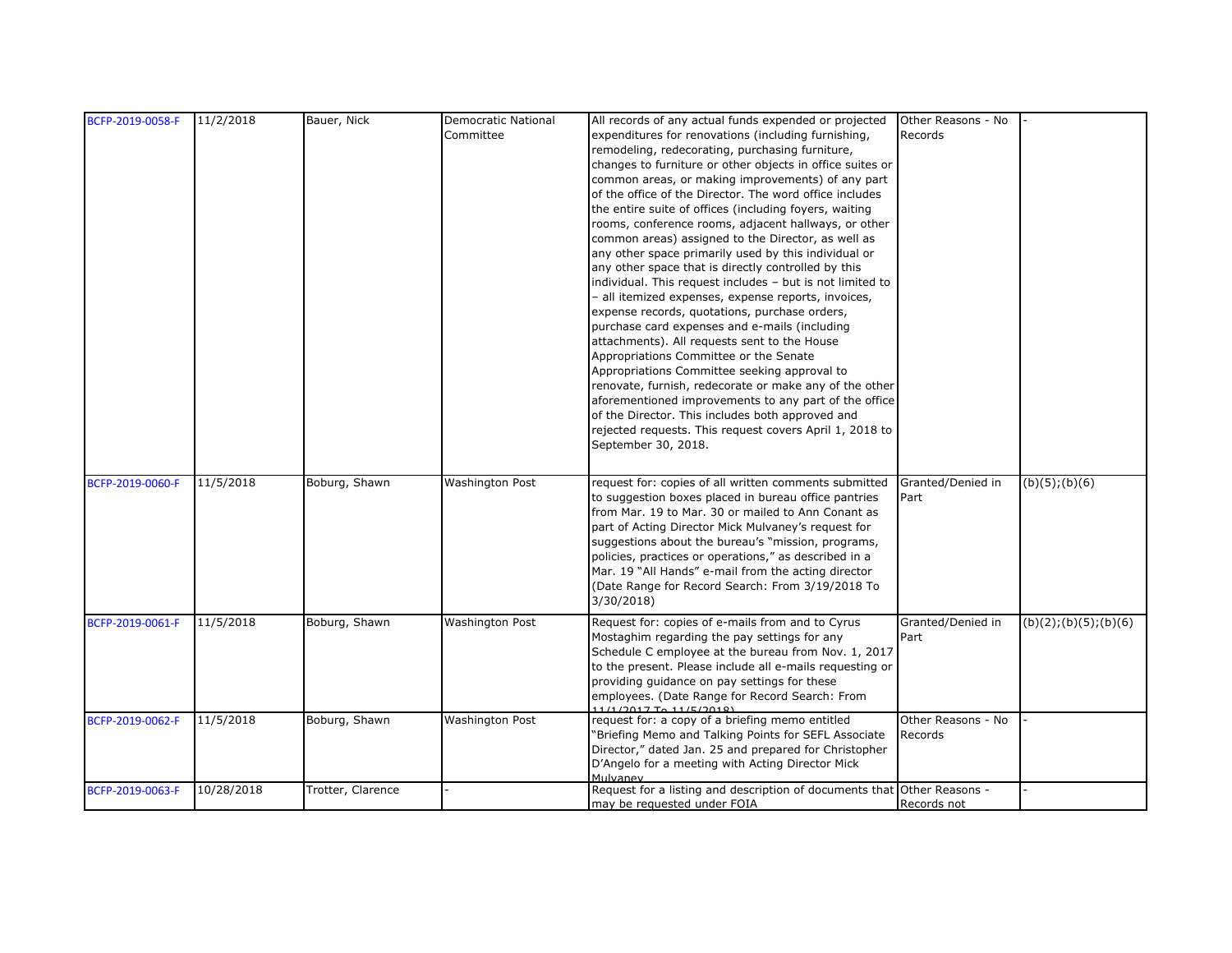| BCFP-2019-0058-F | 11/2/2018  | Bauer, Nick       | <b>Democratic National</b> | All records of any actual funds expended or projected                   | Other Reasons - No |                        |
|------------------|------------|-------------------|----------------------------|-------------------------------------------------------------------------|--------------------|------------------------|
|                  |            |                   | Committee                  | expenditures for renovations (including furnishing,                     | Records            |                        |
|                  |            |                   |                            | remodeling, redecorating, purchasing furniture,                         |                    |                        |
|                  |            |                   |                            | changes to furniture or other objects in office suites or               |                    |                        |
|                  |            |                   |                            | common areas, or making improvements) of any part                       |                    |                        |
|                  |            |                   |                            | of the office of the Director. The word office includes                 |                    |                        |
|                  |            |                   |                            | the entire suite of offices (including foyers, waiting                  |                    |                        |
|                  |            |                   |                            | rooms, conference rooms, adjacent hallways, or other                    |                    |                        |
|                  |            |                   |                            | common areas) assigned to the Director, as well as                      |                    |                        |
|                  |            |                   |                            | any other space primarily used by this individual or                    |                    |                        |
|                  |            |                   |                            | any other space that is directly controlled by this                     |                    |                        |
|                  |            |                   |                            | individual. This request includes - but is not limited to               |                    |                        |
|                  |            |                   |                            | - all itemized expenses, expense reports, invoices,                     |                    |                        |
|                  |            |                   |                            | expense records, quotations, purchase orders,                           |                    |                        |
|                  |            |                   |                            | purchase card expenses and e-mails (including                           |                    |                        |
|                  |            |                   |                            | attachments). All requests sent to the House                            |                    |                        |
|                  |            |                   |                            | Appropriations Committee or the Senate                                  |                    |                        |
|                  |            |                   |                            | Appropriations Committee seeking approval to                            |                    |                        |
|                  |            |                   |                            | renovate, furnish, redecorate or make any of the other                  |                    |                        |
|                  |            |                   |                            | aforementioned improvements to any part of the office                   |                    |                        |
|                  |            |                   |                            | of the Director. This includes both approved and                        |                    |                        |
|                  |            |                   |                            | rejected requests. This request covers April 1, 2018 to                 |                    |                        |
|                  |            |                   |                            | September 30, 2018.                                                     |                    |                        |
|                  |            |                   |                            |                                                                         |                    |                        |
| BCFP-2019-0060-F | 11/5/2018  | Boburg, Shawn     | <b>Washington Post</b>     | request for: copies of all written comments submitted                   | Granted/Denied in  | (b)(5); (b)(6)         |
|                  |            |                   |                            | to suggestion boxes placed in bureau office pantries                    | Part               |                        |
|                  |            |                   |                            | from Mar. 19 to Mar. 30 or mailed to Ann Conant as                      |                    |                        |
|                  |            |                   |                            | part of Acting Director Mick Mulvaney's request for                     |                    |                        |
|                  |            |                   |                            | suggestions about the bureau's "mission, programs,                      |                    |                        |
|                  |            |                   |                            | policies, practices or operations," as described in a                   |                    |                        |
|                  |            |                   |                            | Mar. 19 "All Hands" e-mail from the acting director                     |                    |                        |
|                  |            |                   |                            | (Date Range for Record Search: From 3/19/2018 To                        |                    |                        |
|                  |            |                   |                            | 3/30/2018)                                                              |                    |                        |
| BCFP-2019-0061-F | 11/5/2018  | Boburg, Shawn     | <b>Washington Post</b>     | Request for: copies of e-mails from and to Cyrus                        | Granted/Denied in  | (b)(2); (b)(5); (b)(6) |
|                  |            |                   |                            | Mostaghim regarding the pay settings for any                            | Part               |                        |
|                  |            |                   |                            | Schedule C employee at the bureau from Nov. 1, 2017                     |                    |                        |
|                  |            |                   |                            | to the present. Please include all e-mails requesting or                |                    |                        |
|                  |            |                   |                            | providing guidance on pay settings for these                            |                    |                        |
|                  |            |                   |                            | employees. (Date Range for Record Search: From<br>11/1/20177611/5/2018  |                    |                        |
| BCFP-2019-0062-F | 11/5/2018  | Boburg, Shawn     | <b>Washington Post</b>     | request for: a copy of a briefing memo entitled                         | Other Reasons - No |                        |
|                  |            |                   |                            | "Briefing Memo and Talking Points for SEFL Associate                    | Records            |                        |
|                  |            |                   |                            | Director," dated Jan. 25 and prepared for Christopher                   |                    |                        |
|                  |            |                   |                            | D'Angelo for a meeting with Acting Director Mick                        |                    |                        |
|                  |            |                   |                            |                                                                         |                    |                        |
| BCFP-2019-0063-F | 10/28/2018 | Trotter, Clarence |                            | Request for a listing and description of documents that Other Reasons - |                    |                        |
|                  |            |                   |                            | may be requested under FOIA                                             | Records not        |                        |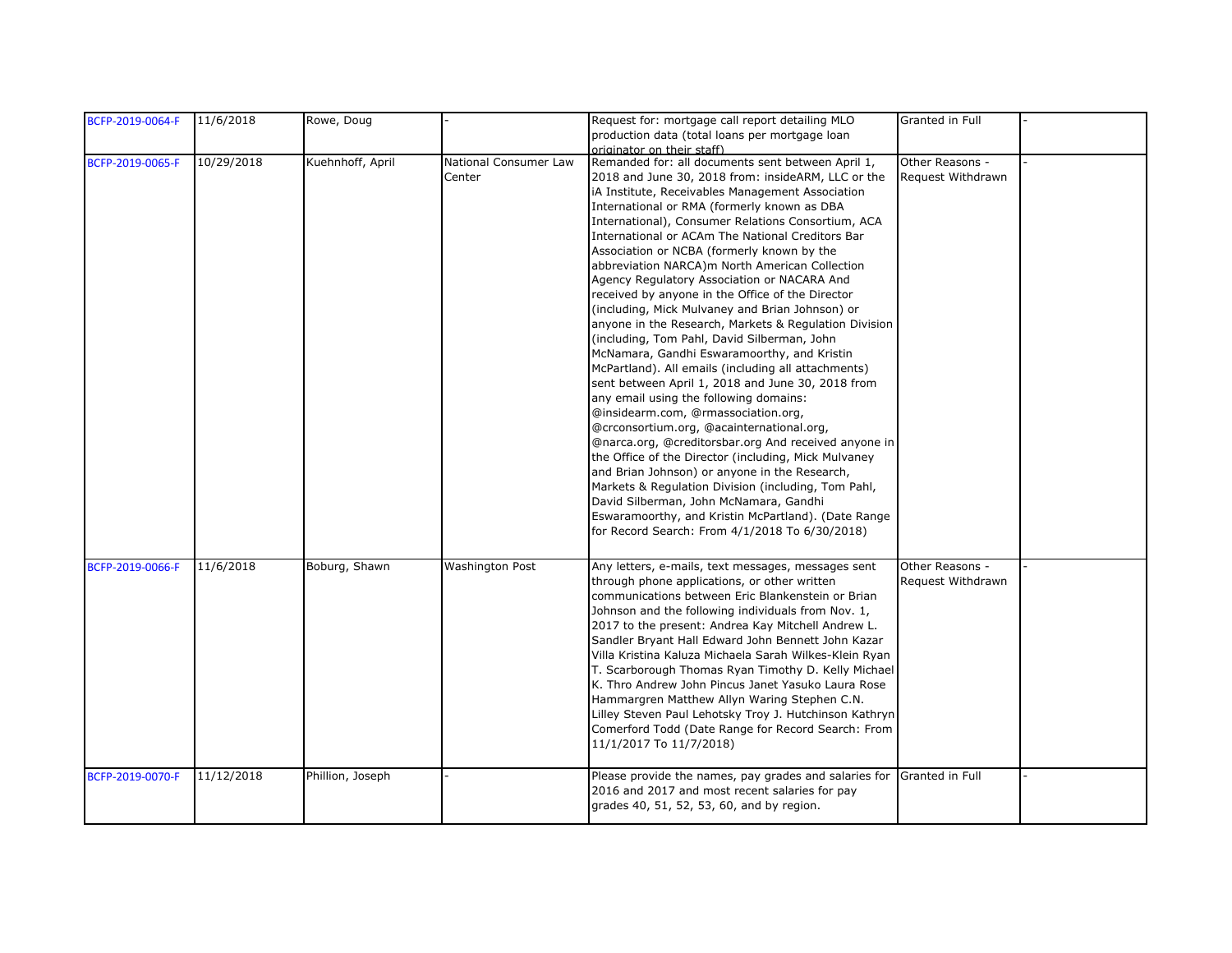| BCFP-2019-0064-F | 11/6/2018  | Rowe, Doug       |                        | Request for: mortgage call report detailing MLO        | Granted in Full   |  |
|------------------|------------|------------------|------------------------|--------------------------------------------------------|-------------------|--|
|                  |            |                  |                        | production data (total loans per mortgage loan         |                   |  |
|                  |            |                  |                        | originator on their staff)                             |                   |  |
| BCFP-2019-0065-F | 10/29/2018 | Kuehnhoff, April | National Consumer Law  | Remanded for: all documents sent between April 1,      | Other Reasons -   |  |
|                  |            |                  | Center                 | 2018 and June 30, 2018 from: insideARM, LLC or the     | Request Withdrawn |  |
|                  |            |                  |                        | iA Institute, Receivables Management Association       |                   |  |
|                  |            |                  |                        | International or RMA (formerly known as DBA            |                   |  |
|                  |            |                  |                        | International), Consumer Relations Consortium, ACA     |                   |  |
|                  |            |                  |                        | International or ACAm The National Creditors Bar       |                   |  |
|                  |            |                  |                        | Association or NCBA (formerly known by the             |                   |  |
|                  |            |                  |                        | abbreviation NARCA)m North American Collection         |                   |  |
|                  |            |                  |                        | Agency Regulatory Association or NACARA And            |                   |  |
|                  |            |                  |                        |                                                        |                   |  |
|                  |            |                  |                        | received by anyone in the Office of the Director       |                   |  |
|                  |            |                  |                        | (including, Mick Mulvaney and Brian Johnson) or        |                   |  |
|                  |            |                  |                        | anyone in the Research, Markets & Regulation Division  |                   |  |
|                  |            |                  |                        | (including, Tom Pahl, David Silberman, John            |                   |  |
|                  |            |                  |                        | McNamara, Gandhi Eswaramoorthy, and Kristin            |                   |  |
|                  |            |                  |                        | McPartland). All emails (including all attachments)    |                   |  |
|                  |            |                  |                        | sent between April 1, 2018 and June 30, 2018 from      |                   |  |
|                  |            |                  |                        | any email using the following domains:                 |                   |  |
|                  |            |                  |                        | @insidearm.com, @rmassociation.org,                    |                   |  |
|                  |            |                  |                        | @crconsortium.org, @acainternational.org,              |                   |  |
|                  |            |                  |                        | @narca.org, @creditorsbar.org And received anyone in   |                   |  |
|                  |            |                  |                        | the Office of the Director (including, Mick Mulvaney   |                   |  |
|                  |            |                  |                        | and Brian Johnson) or anyone in the Research,          |                   |  |
|                  |            |                  |                        | Markets & Regulation Division (including, Tom Pahl,    |                   |  |
|                  |            |                  |                        | David Silberman, John McNamara, Gandhi                 |                   |  |
|                  |            |                  |                        | Eswaramoorthy, and Kristin McPartland). (Date Range    |                   |  |
|                  |            |                  |                        |                                                        |                   |  |
|                  |            |                  |                        | for Record Search: From 4/1/2018 To 6/30/2018)         |                   |  |
|                  |            |                  |                        |                                                        |                   |  |
| BCFP-2019-0066-F | 11/6/2018  | Boburg, Shawn    | <b>Washington Post</b> | Any letters, e-mails, text messages, messages sent     | Other Reasons -   |  |
|                  |            |                  |                        | through phone applications, or other written           | Request Withdrawn |  |
|                  |            |                  |                        | communications between Eric Blankenstein or Brian      |                   |  |
|                  |            |                  |                        | Johnson and the following individuals from Nov. 1,     |                   |  |
|                  |            |                  |                        | 2017 to the present: Andrea Kay Mitchell Andrew L.     |                   |  |
|                  |            |                  |                        | Sandler Bryant Hall Edward John Bennett John Kazar     |                   |  |
|                  |            |                  |                        |                                                        |                   |  |
|                  |            |                  |                        | Villa Kristina Kaluza Michaela Sarah Wilkes-Klein Ryan |                   |  |
|                  |            |                  |                        | T. Scarborough Thomas Ryan Timothy D. Kelly Michael    |                   |  |
|                  |            |                  |                        | K. Thro Andrew John Pincus Janet Yasuko Laura Rose     |                   |  |
|                  |            |                  |                        | Hammargren Matthew Allyn Waring Stephen C.N.           |                   |  |
|                  |            |                  |                        | Lilley Steven Paul Lehotsky Troy J. Hutchinson Kathryn |                   |  |
|                  |            |                  |                        | Comerford Todd (Date Range for Record Search: From     |                   |  |
|                  |            |                  |                        | 11/1/2017 To 11/7/2018)                                |                   |  |
|                  |            |                  |                        |                                                        |                   |  |
| BCFP-2019-0070-F | 11/12/2018 | Phillion, Joseph |                        | Please provide the names, pay grades and salaries for  | Granted in Full   |  |
|                  |            |                  |                        | 2016 and 2017 and most recent salaries for pay         |                   |  |
|                  |            |                  |                        | grades 40, 51, 52, 53, 60, and by region.              |                   |  |
|                  |            |                  |                        |                                                        |                   |  |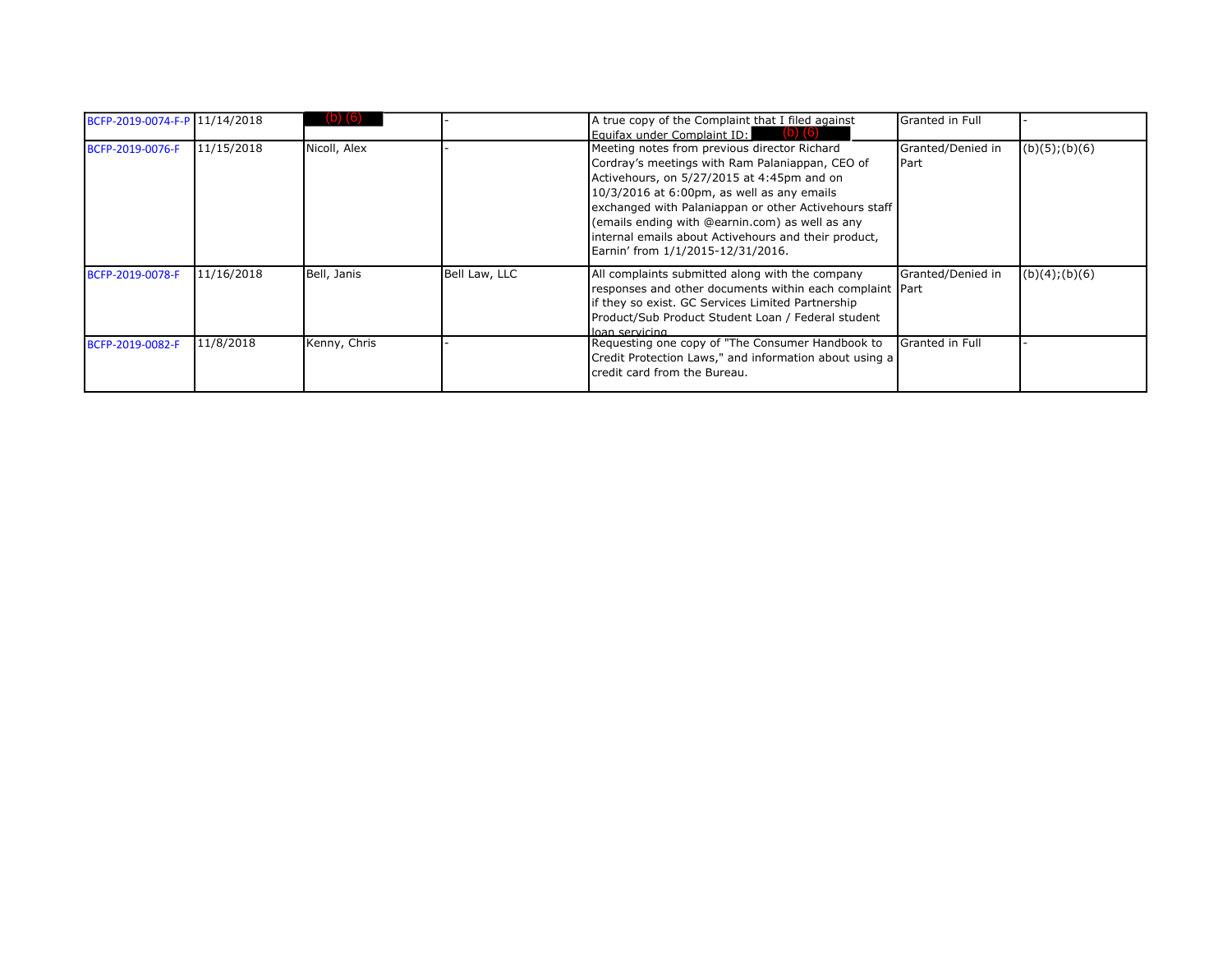| BCFP-2019-0074-F-P 11/14/2018 |            |              |               | A true copy of the Complaint that I filed against<br>Equifax under Complaint ID:<br>(O)                                                                                                                                                                                                                                                                                                                | Granted in Full                    |                |
|-------------------------------|------------|--------------|---------------|--------------------------------------------------------------------------------------------------------------------------------------------------------------------------------------------------------------------------------------------------------------------------------------------------------------------------------------------------------------------------------------------------------|------------------------------------|----------------|
| BCFP-2019-0076-F              | 11/15/2018 | Nicoll, Alex |               | Meeting notes from previous director Richard<br>Cordray's meetings with Ram Palaniappan, CEO of<br>Activehours, on 5/27/2015 at 4:45pm and on<br>$10/3/2016$ at 6:00pm, as well as any emails<br>exchanged with Palaniappan or other Activehours staff<br>(emails ending with @earnin.com) as well as any<br>internal emails about Activehours and their product,<br>Earnin' from 1/1/2015-12/31/2016. | Granted/Denied in<br><b>I</b> Part | (b)(5); (b)(6) |
| BCFP-2019-0078-F              | 11/16/2018 | Bell, Janis  | Bell Law, LLC | All complaints submitted along with the company<br>responses and other documents within each complaint Part<br>if they so exist. GC Services Limited Partnership<br>Product/Sub Product Student Loan / Federal student<br>loan servicing                                                                                                                                                               | Granted/Denied in                  | (b)(4); (b)(6) |
| BCFP-2019-0082-F              | 11/8/2018  | Kenny, Chris |               | Requesting one copy of "The Consumer Handbook to<br>Credit Protection Laws," and information about using a<br>credit card from the Bureau.                                                                                                                                                                                                                                                             | Granted in Full                    |                |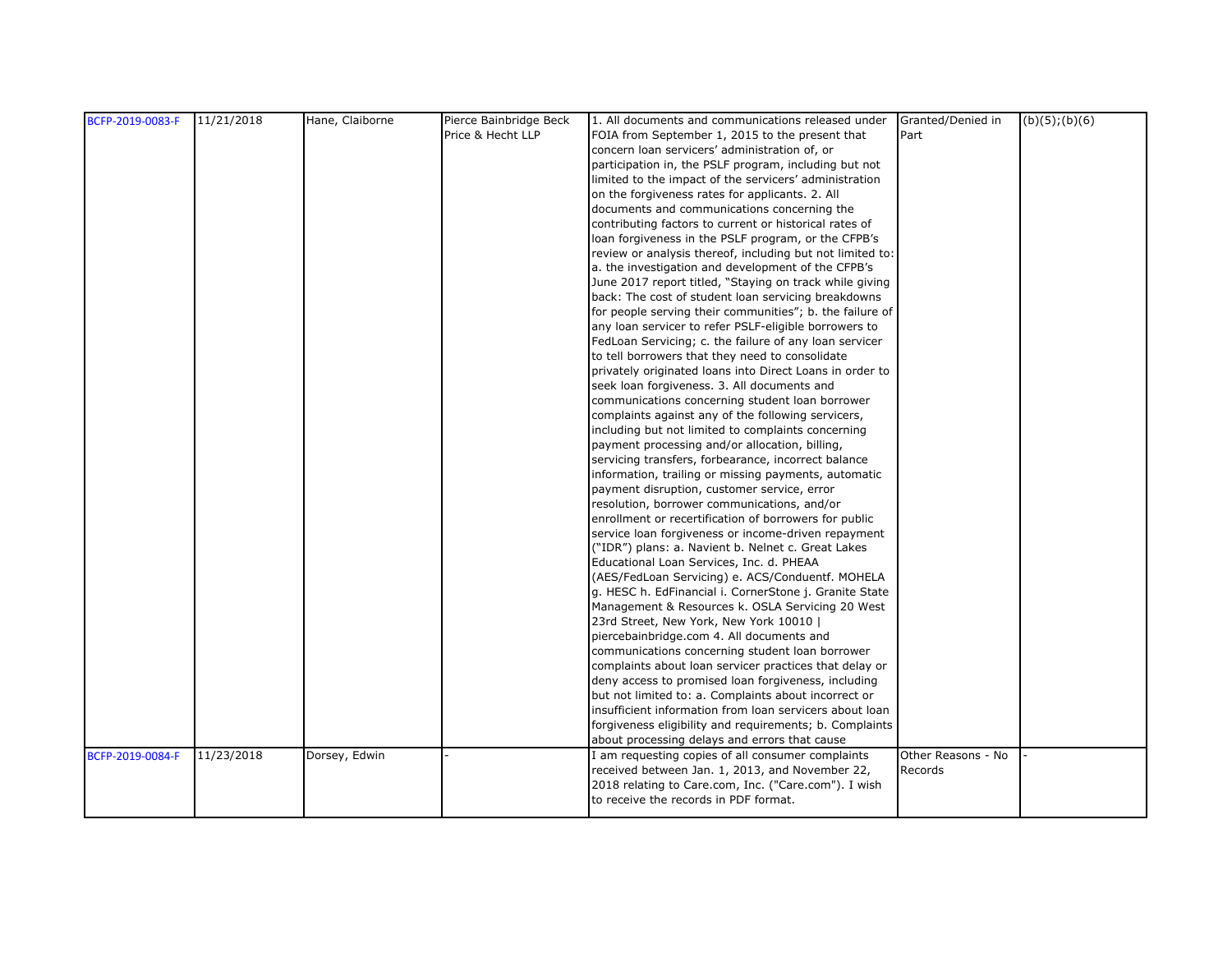| BCFP-2019-0083-F | 11/21/2018 | Hane, Claiborne | Pierce Bainbridge Beck | 1. All documents and communications released under Granted/Denied in |                    | $(b)(5)$ ; $(b)(6)$ |
|------------------|------------|-----------------|------------------------|----------------------------------------------------------------------|--------------------|---------------------|
|                  |            |                 | Price & Hecht LLP      | FOIA from September 1, 2015 to the present that                      | Part               |                     |
|                  |            |                 |                        | concern loan servicers' administration of, or                        |                    |                     |
|                  |            |                 |                        | participation in, the PSLF program, including but not                |                    |                     |
|                  |            |                 |                        | limited to the impact of the servicers' administration               |                    |                     |
|                  |            |                 |                        | on the forgiveness rates for applicants. 2. All                      |                    |                     |
|                  |            |                 |                        | documents and communications concerning the                          |                    |                     |
|                  |            |                 |                        | contributing factors to current or historical rates of               |                    |                     |
|                  |            |                 |                        | loan forgiveness in the PSLF program, or the CFPB's                  |                    |                     |
|                  |            |                 |                        | review or analysis thereof, including but not limited to:            |                    |                     |
|                  |            |                 |                        | a. the investigation and development of the CFPB's                   |                    |                     |
|                  |            |                 |                        | June 2017 report titled, "Staying on track while giving              |                    |                     |
|                  |            |                 |                        | back: The cost of student loan servicing breakdowns                  |                    |                     |
|                  |            |                 |                        | for people serving their communities"; b. the failure of             |                    |                     |
|                  |            |                 |                        | any loan servicer to refer PSLF-eligible borrowers to                |                    |                     |
|                  |            |                 |                        | FedLoan Servicing; c. the failure of any loan servicer               |                    |                     |
|                  |            |                 |                        | to tell borrowers that they need to consolidate                      |                    |                     |
|                  |            |                 |                        | privately originated loans into Direct Loans in order to             |                    |                     |
|                  |            |                 |                        | seek loan forgiveness. 3. All documents and                          |                    |                     |
|                  |            |                 |                        | communications concerning student loan borrower                      |                    |                     |
|                  |            |                 |                        | complaints against any of the following servicers,                   |                    |                     |
|                  |            |                 |                        | including but not limited to complaints concerning                   |                    |                     |
|                  |            |                 |                        | payment processing and/or allocation, billing,                       |                    |                     |
|                  |            |                 |                        | servicing transfers, forbearance, incorrect balance                  |                    |                     |
|                  |            |                 |                        | information, trailing or missing payments, automatic                 |                    |                     |
|                  |            |                 |                        | payment disruption, customer service, error                          |                    |                     |
|                  |            |                 |                        | resolution, borrower communications, and/or                          |                    |                     |
|                  |            |                 |                        | enrollment or recertification of borrowers for public                |                    |                     |
|                  |            |                 |                        | service loan forgiveness or income-driven repayment                  |                    |                     |
|                  |            |                 |                        | ("IDR") plans: a. Navient b. Nelnet c. Great Lakes                   |                    |                     |
|                  |            |                 |                        | Educational Loan Services, Inc. d. PHEAA                             |                    |                     |
|                  |            |                 |                        | (AES/FedLoan Servicing) e. ACS/Conduentf. MOHELA                     |                    |                     |
|                  |            |                 |                        | g. HESC h. EdFinancial i. CornerStone j. Granite State               |                    |                     |
|                  |            |                 |                        | Management & Resources k. OSLA Servicing 20 West                     |                    |                     |
|                  |            |                 |                        | 23rd Street, New York, New York 10010                                |                    |                     |
|                  |            |                 |                        | piercebainbridge.com 4. All documents and                            |                    |                     |
|                  |            |                 |                        | communications concerning student loan borrower                      |                    |                     |
|                  |            |                 |                        | complaints about loan servicer practices that delay or               |                    |                     |
|                  |            |                 |                        | deny access to promised loan forgiveness, including                  |                    |                     |
|                  |            |                 |                        | but not limited to: a. Complaints about incorrect or                 |                    |                     |
|                  |            |                 |                        | insufficient information from loan servicers about loan              |                    |                     |
|                  |            |                 |                        | forgiveness eligibility and requirements; b. Complaints              |                    |                     |
|                  |            |                 |                        | about processing delays and errors that cause                        |                    |                     |
| BCFP-2019-0084-F | 11/23/2018 | Dorsey, Edwin   |                        | I am requesting copies of all consumer complaints                    | Other Reasons - No |                     |
|                  |            |                 |                        | received between Jan. 1, 2013, and November 22,                      | Records            |                     |
|                  |            |                 |                        | 2018 relating to Care.com, Inc. ("Care.com"). I wish                 |                    |                     |
|                  |            |                 |                        | to receive the records in PDF format.                                |                    |                     |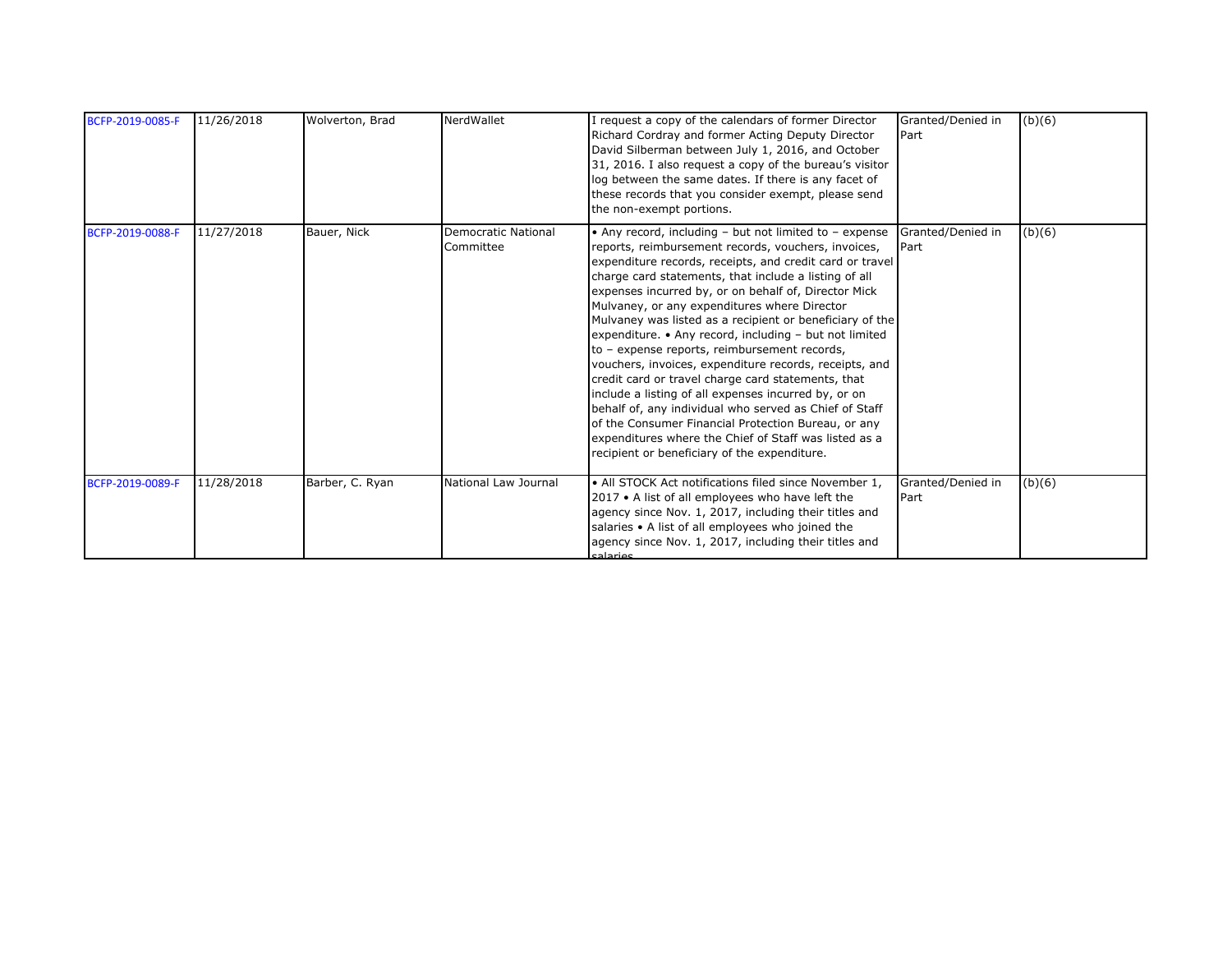| BCFP-2019-0085-F | 11/26/2018 | Wolverton, Brad | NerdWallet                       | I request a copy of the calendars of former Director<br>Richard Cordray and former Acting Deputy Director<br>David Silberman between July 1, 2016, and October<br>31, 2016. I also request a copy of the bureau's visitor<br>log between the same dates. If there is any facet of<br>these records that you consider exempt, please send<br>the non-exempt portions.                                                                                                                                                                                                                                                                                                                                                                                                                                                                                                                                                   | Granted/Denied in<br>Part | (b)(6) |
|------------------|------------|-----------------|----------------------------------|------------------------------------------------------------------------------------------------------------------------------------------------------------------------------------------------------------------------------------------------------------------------------------------------------------------------------------------------------------------------------------------------------------------------------------------------------------------------------------------------------------------------------------------------------------------------------------------------------------------------------------------------------------------------------------------------------------------------------------------------------------------------------------------------------------------------------------------------------------------------------------------------------------------------|---------------------------|--------|
| BCFP-2019-0088-F | 11/27/2018 | Bauer, Nick     | Democratic National<br>Committee | • Any record, including $-$ but not limited to $-$ expense<br>reports, reimbursement records, vouchers, invoices,<br>expenditure records, receipts, and credit card or travel<br>charge card statements, that include a listing of all<br>expenses incurred by, or on behalf of, Director Mick<br>Mulvaney, or any expenditures where Director<br>Mulvaney was listed as a recipient or beneficiary of the<br>expenditure. • Any record, including - but not limited<br>to - expense reports, reimbursement records,<br>vouchers, invoices, expenditure records, receipts, and<br>credit card or travel charge card statements, that<br>include a listing of all expenses incurred by, or on<br>behalf of, any individual who served as Chief of Staff<br>of the Consumer Financial Protection Bureau, or any<br>expenditures where the Chief of Staff was listed as a<br>recipient or beneficiary of the expenditure. | Granted/Denied in<br>Part | (b)(6) |
| BCFP-2019-0089-F | 11/28/2018 | Barber, C. Ryan | National Law Journal             | • All STOCK Act notifications filed since November 1,<br>2017 • A list of all employees who have left the<br>agency since Nov. 1, 2017, including their titles and<br>salaries • A list of all employees who joined the<br>agency since Nov. 1, 2017, including their titles and<br>calarios                                                                                                                                                                                                                                                                                                                                                                                                                                                                                                                                                                                                                           | Granted/Denied in<br>Part | (b)(6) |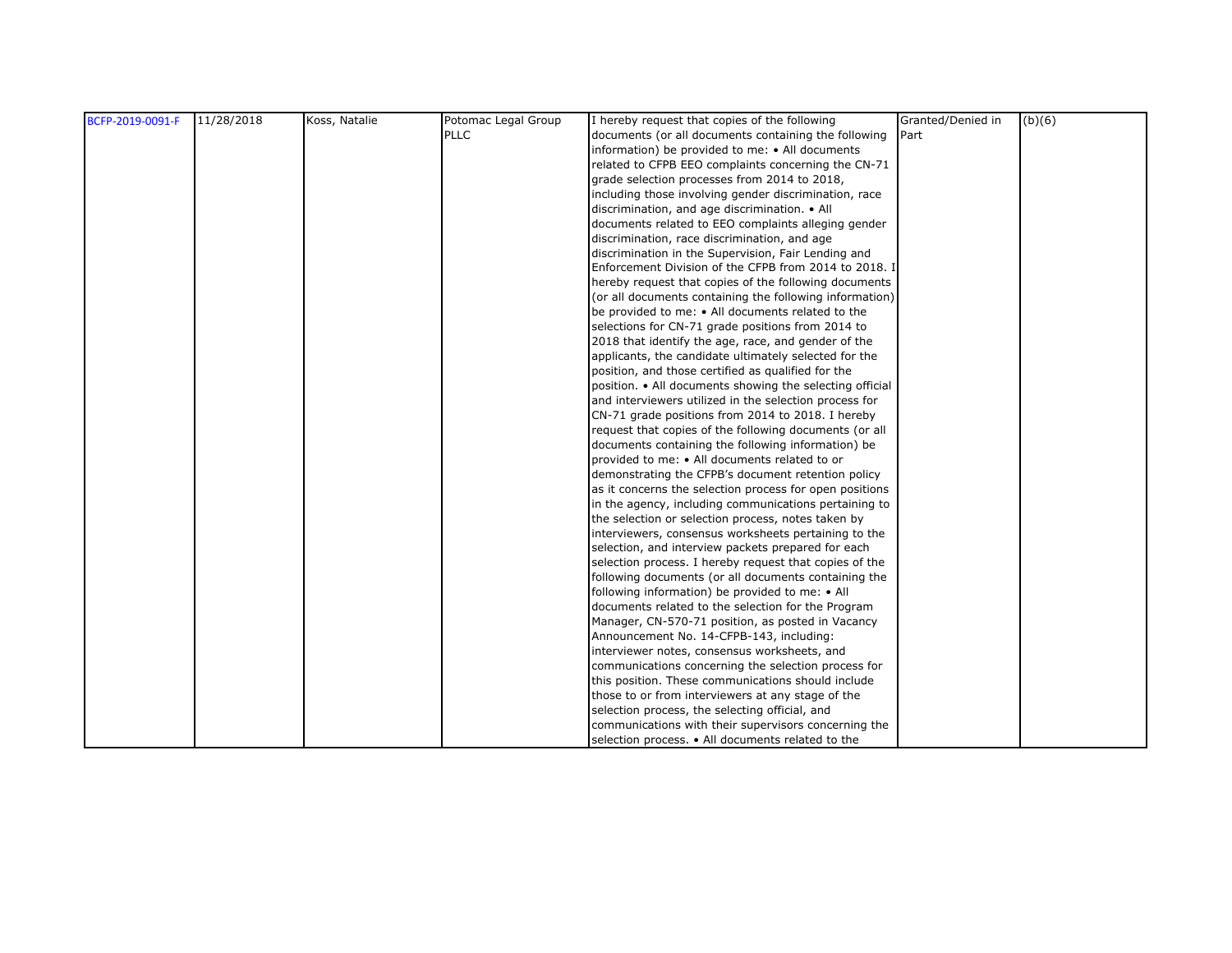| BCFP-2019-0091-F | 11/28/2018 | Koss, Natalie | Potomac Legal Group | I hereby request that copies of the following            | Granted/Denied in | (b)(6) |
|------------------|------------|---------------|---------------------|----------------------------------------------------------|-------------------|--------|
|                  |            |               | <b>PLLC</b>         | documents (or all documents containing the following     | Part              |        |
|                  |            |               |                     | information) be provided to me: • All documents          |                   |        |
|                  |            |               |                     | related to CFPB EEO complaints concerning the CN-71      |                   |        |
|                  |            |               |                     | grade selection processes from 2014 to 2018,             |                   |        |
|                  |            |               |                     | including those involving gender discrimination, race    |                   |        |
|                  |            |               |                     | discrimination, and age discrimination. • All            |                   |        |
|                  |            |               |                     | documents related to EEO complaints alleging gender      |                   |        |
|                  |            |               |                     | discrimination, race discrimination, and age             |                   |        |
|                  |            |               |                     | discrimination in the Supervision, Fair Lending and      |                   |        |
|                  |            |               |                     | Enforcement Division of the CFPB from 2014 to 2018. I    |                   |        |
|                  |            |               |                     | hereby request that copies of the following documents    |                   |        |
|                  |            |               |                     | (or all documents containing the following information)  |                   |        |
|                  |            |               |                     | be provided to me: • All documents related to the        |                   |        |
|                  |            |               |                     | selections for CN-71 grade positions from 2014 to        |                   |        |
|                  |            |               |                     | 2018 that identify the age, race, and gender of the      |                   |        |
|                  |            |               |                     | applicants, the candidate ultimately selected for the    |                   |        |
|                  |            |               |                     | position, and those certified as qualified for the       |                   |        |
|                  |            |               |                     | position. • All documents showing the selecting official |                   |        |
|                  |            |               |                     | and interviewers utilized in the selection process for   |                   |        |
|                  |            |               |                     | CN-71 grade positions from 2014 to 2018. I hereby        |                   |        |
|                  |            |               |                     | request that copies of the following documents (or all   |                   |        |
|                  |            |               |                     | documents containing the following information) be       |                   |        |
|                  |            |               |                     | provided to me: • All documents related to or            |                   |        |
|                  |            |               |                     | demonstrating the CFPB's document retention policy       |                   |        |
|                  |            |               |                     | as it concerns the selection process for open positions  |                   |        |
|                  |            |               |                     | in the agency, including communications pertaining to    |                   |        |
|                  |            |               |                     | the selection or selection process, notes taken by       |                   |        |
|                  |            |               |                     | interviewers, consensus worksheets pertaining to the     |                   |        |
|                  |            |               |                     | selection, and interview packets prepared for each       |                   |        |
|                  |            |               |                     | selection process. I hereby request that copies of the   |                   |        |
|                  |            |               |                     | following documents (or all documents containing the     |                   |        |
|                  |            |               |                     | following information) be provided to me: • All          |                   |        |
|                  |            |               |                     | documents related to the selection for the Program       |                   |        |
|                  |            |               |                     | Manager, CN-570-71 position, as posted in Vacancy        |                   |        |
|                  |            |               |                     | Announcement No. 14-CFPB-143, including:                 |                   |        |
|                  |            |               |                     | interviewer notes, consensus worksheets, and             |                   |        |
|                  |            |               |                     | communications concerning the selection process for      |                   |        |
|                  |            |               |                     | this position. These communications should include       |                   |        |
|                  |            |               |                     | those to or from interviewers at any stage of the        |                   |        |
|                  |            |               |                     | selection process, the selecting official, and           |                   |        |
|                  |            |               |                     | communications with their supervisors concerning the     |                   |        |
|                  |            |               |                     | selection process. • All documents related to the        |                   |        |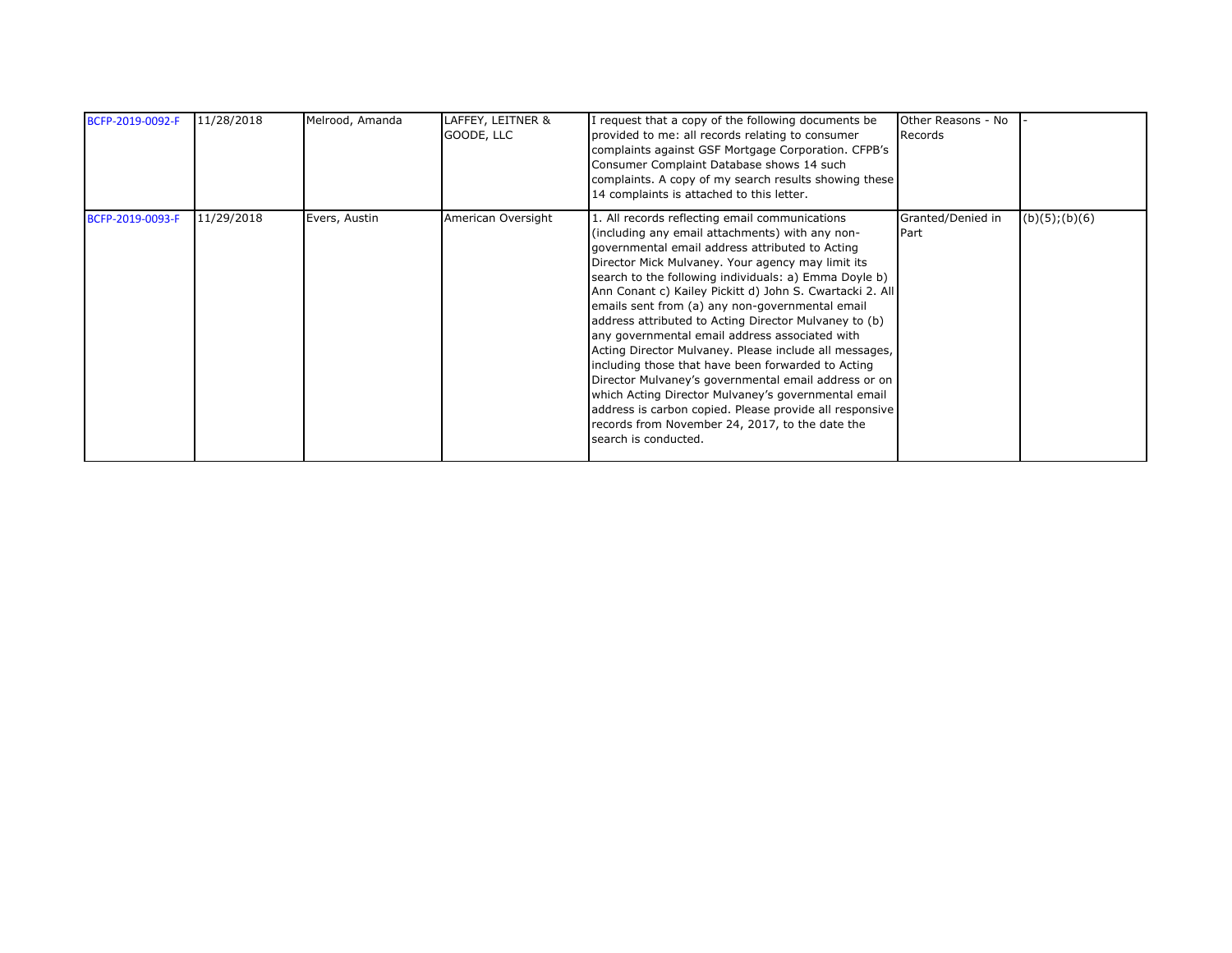| BCFP-2019-0092-F | 11/28/2018 | Melrood, Amanda | LAFFEY, LEITNER &<br>GOODE, LLC | I request that a copy of the following documents be<br>provided to me: all records relating to consumer<br>complaints against GSF Mortgage Corporation. CFPB's<br>Consumer Complaint Database shows 14 such<br>complaints. A copy of my search results showing these<br>14 complaints is attached to this letter.                                                                                                                                                                                                                                                                                                                                                                                                                                                                                                                                                 | Other Reasons - No<br>Records |                     |
|------------------|------------|-----------------|---------------------------------|-------------------------------------------------------------------------------------------------------------------------------------------------------------------------------------------------------------------------------------------------------------------------------------------------------------------------------------------------------------------------------------------------------------------------------------------------------------------------------------------------------------------------------------------------------------------------------------------------------------------------------------------------------------------------------------------------------------------------------------------------------------------------------------------------------------------------------------------------------------------|-------------------------------|---------------------|
| BCFP-2019-0093-F | 11/29/2018 | Evers, Austin   | American Oversight              | 1. All records reflecting email communications<br>(including any email attachments) with any non-<br>governmental email address attributed to Acting<br>Director Mick Mulvaney. Your agency may limit its<br>search to the following individuals: a) Emma Doyle b)<br>Ann Conant c) Kailey Pickitt d) John S. Cwartacki 2. All<br>emails sent from (a) any non-governmental email<br>address attributed to Acting Director Mulvaney to (b)<br>any governmental email address associated with<br>Acting Director Mulvaney. Please include all messages,<br>including those that have been forwarded to Acting<br>Director Mulvaney's governmental email address or on<br>which Acting Director Mulvaney's governmental email<br>address is carbon copied. Please provide all responsive<br>records from November 24, 2017, to the date the<br>search is conducted. | Granted/Denied in<br>Part     | $(b)(5)$ ; $(b)(6)$ |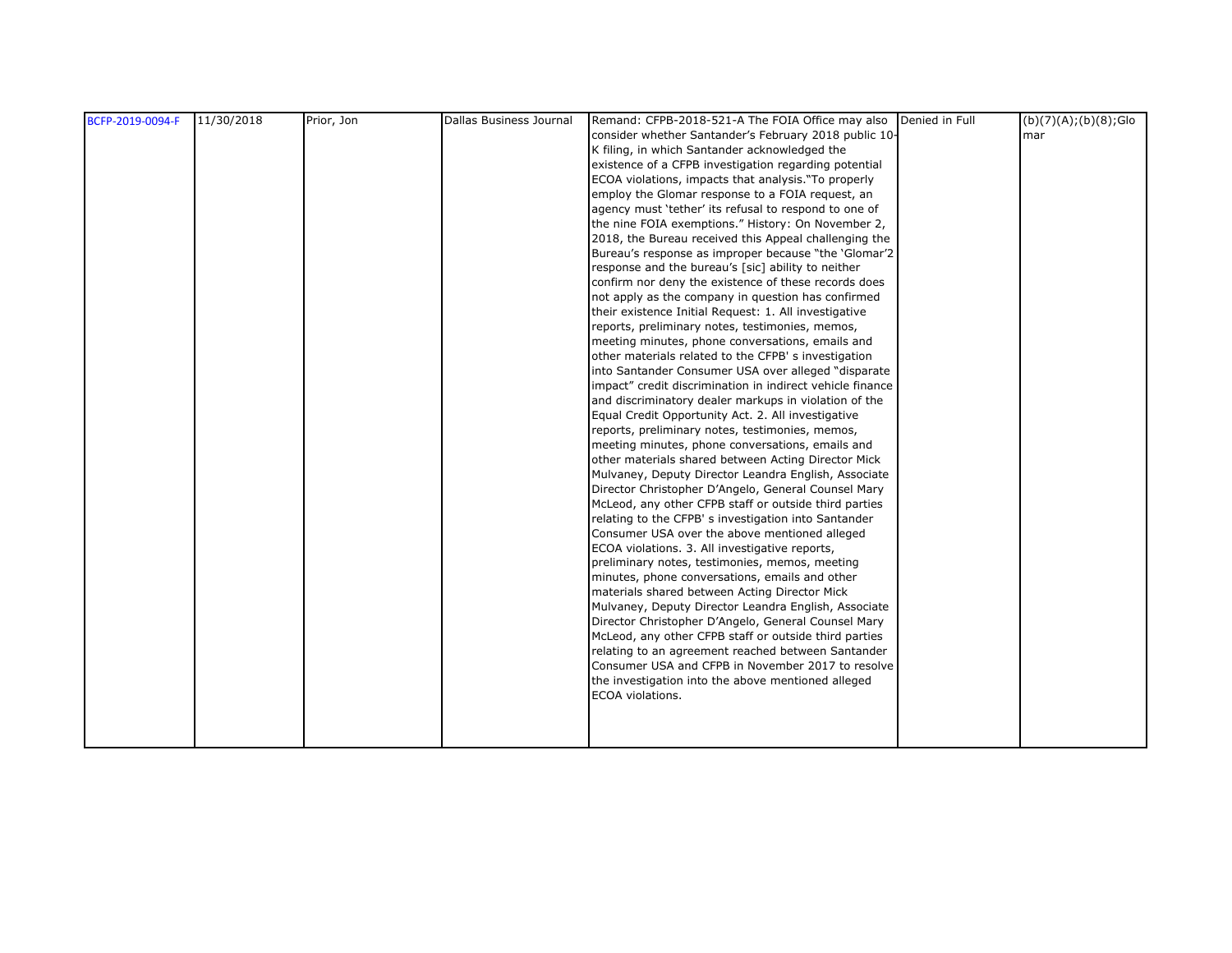| BCFP-2019-0094-F | 11/30/2018 | Prior, Jon | Dallas Business Journal | Remand: CFPB-2018-521-A The FOIA Office may also Denied in Full                                 | (b)(7)(A);(b)(8);Glo |
|------------------|------------|------------|-------------------------|-------------------------------------------------------------------------------------------------|----------------------|
|                  |            |            |                         | consider whether Santander's February 2018 public 10-                                           | mar                  |
|                  |            |            |                         | K filing, in which Santander acknowledged the                                                   |                      |
|                  |            |            |                         | existence of a CFPB investigation regarding potential                                           |                      |
|                  |            |            |                         | ECOA violations, impacts that analysis. "To properly                                            |                      |
|                  |            |            |                         | employ the Glomar response to a FOIA request, an                                                |                      |
|                  |            |            |                         | agency must 'tether' its refusal to respond to one of                                           |                      |
|                  |            |            |                         | the nine FOIA exemptions." History: On November 2,                                              |                      |
|                  |            |            |                         | 2018, the Bureau received this Appeal challenging the                                           |                      |
|                  |            |            |                         | Bureau's response as improper because "the 'Glomar'2                                            |                      |
|                  |            |            |                         | response and the bureau's [sic] ability to neither                                              |                      |
|                  |            |            |                         | confirm nor deny the existence of these records does                                            |                      |
|                  |            |            |                         | not apply as the company in question has confirmed                                              |                      |
|                  |            |            |                         | their existence Initial Request: 1. All investigative                                           |                      |
|                  |            |            |                         | reports, preliminary notes, testimonies, memos,                                                 |                      |
|                  |            |            |                         | meeting minutes, phone conversations, emails and                                                |                      |
|                  |            |            |                         | other materials related to the CFPB's investigation                                             |                      |
|                  |            |            |                         | into Santander Consumer USA over alleged "disparate                                             |                      |
|                  |            |            |                         | impact" credit discrimination in indirect vehicle finance                                       |                      |
|                  |            |            |                         | and discriminatory dealer markups in violation of the                                           |                      |
|                  |            |            |                         | Equal Credit Opportunity Act. 2. All investigative                                              |                      |
|                  |            |            |                         | reports, preliminary notes, testimonies, memos,                                                 |                      |
|                  |            |            |                         | meeting minutes, phone conversations, emails and                                                |                      |
|                  |            |            |                         | other materials shared between Acting Director Mick                                             |                      |
|                  |            |            |                         | Mulvaney, Deputy Director Leandra English, Associate                                            |                      |
|                  |            |            |                         | Director Christopher D'Angelo, General Counsel Mary                                             |                      |
|                  |            |            |                         | McLeod, any other CFPB staff or outside third parties                                           |                      |
|                  |            |            |                         | relating to the CFPB's investigation into Santander                                             |                      |
|                  |            |            |                         | Consumer USA over the above mentioned alleged                                                   |                      |
|                  |            |            |                         | ECOA violations. 3. All investigative reports,                                                  |                      |
|                  |            |            |                         | preliminary notes, testimonies, memos, meeting                                                  |                      |
|                  |            |            |                         | minutes, phone conversations, emails and other<br>materials shared between Acting Director Mick |                      |
|                  |            |            |                         | Mulvaney, Deputy Director Leandra English, Associate                                            |                      |
|                  |            |            |                         | Director Christopher D'Angelo, General Counsel Mary                                             |                      |
|                  |            |            |                         | McLeod, any other CFPB staff or outside third parties                                           |                      |
|                  |            |            |                         | relating to an agreement reached between Santander                                              |                      |
|                  |            |            |                         | Consumer USA and CFPB in November 2017 to resolve                                               |                      |
|                  |            |            |                         | the investigation into the above mentioned alleged                                              |                      |
|                  |            |            |                         | <b>ECOA</b> violations.                                                                         |                      |
|                  |            |            |                         |                                                                                                 |                      |
|                  |            |            |                         |                                                                                                 |                      |
|                  |            |            |                         |                                                                                                 |                      |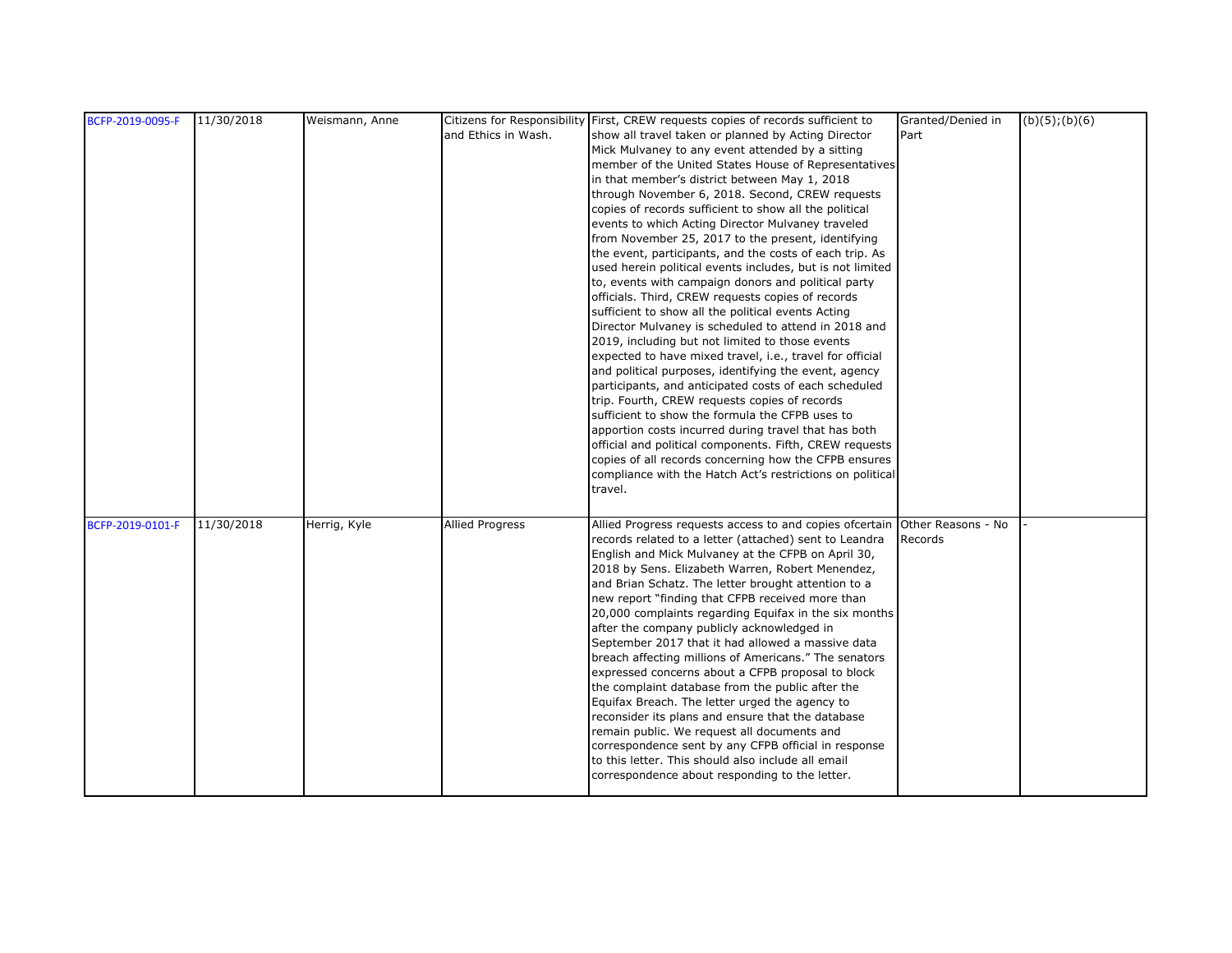| BCFP-2019-0095-F | 11/30/2018 | Weismann, Anne |                        | Citizens for Responsibility First, CREW requests copies of records sufficient to                                 | Granted/Denied in  | (b)(5); (b)(6) |
|------------------|------------|----------------|------------------------|------------------------------------------------------------------------------------------------------------------|--------------------|----------------|
|                  |            |                | and Ethics in Wash.    | show all travel taken or planned by Acting Director                                                              | Part               |                |
|                  |            |                |                        | Mick Mulvaney to any event attended by a sitting                                                                 |                    |                |
|                  |            |                |                        | member of the United States House of Representatives                                                             |                    |                |
|                  |            |                |                        | in that member's district between May 1, 2018                                                                    |                    |                |
|                  |            |                |                        | through November 6, 2018. Second, CREW requests                                                                  |                    |                |
|                  |            |                |                        | copies of records sufficient to show all the political                                                           |                    |                |
|                  |            |                |                        | events to which Acting Director Mulvaney traveled                                                                |                    |                |
|                  |            |                |                        | from November 25, 2017 to the present, identifying                                                               |                    |                |
|                  |            |                |                        | the event, participants, and the costs of each trip. As                                                          |                    |                |
|                  |            |                |                        | used herein political events includes, but is not limited                                                        |                    |                |
|                  |            |                |                        | to, events with campaign donors and political party                                                              |                    |                |
|                  |            |                |                        | officials. Third, CREW requests copies of records                                                                |                    |                |
|                  |            |                |                        | sufficient to show all the political events Acting                                                               |                    |                |
|                  |            |                |                        | Director Mulvaney is scheduled to attend in 2018 and                                                             |                    |                |
|                  |            |                |                        | 2019, including but not limited to those events                                                                  |                    |                |
|                  |            |                |                        | expected to have mixed travel, i.e., travel for official                                                         |                    |                |
|                  |            |                |                        | and political purposes, identifying the event, agency                                                            |                    |                |
|                  |            |                |                        | participants, and anticipated costs of each scheduled                                                            |                    |                |
|                  |            |                |                        | trip. Fourth, CREW requests copies of records                                                                    |                    |                |
|                  |            |                |                        | sufficient to show the formula the CFPB uses to                                                                  |                    |                |
|                  |            |                |                        | apportion costs incurred during travel that has both                                                             |                    |                |
|                  |            |                |                        | official and political components. Fifth, CREW requests<br>copies of all records concerning how the CFPB ensures |                    |                |
|                  |            |                |                        |                                                                                                                  |                    |                |
|                  |            |                |                        | compliance with the Hatch Act's restrictions on political<br>travel.                                             |                    |                |
|                  |            |                |                        |                                                                                                                  |                    |                |
| BCFP-2019-0101-F | 11/30/2018 | Herrig, Kyle   | <b>Allied Progress</b> | Allied Progress requests access to and copies ofcertain                                                          | Other Reasons - No |                |
|                  |            |                |                        | records related to a letter (attached) sent to Leandra                                                           | Records            |                |
|                  |            |                |                        | English and Mick Mulvaney at the CFPB on April 30,                                                               |                    |                |
|                  |            |                |                        | 2018 by Sens. Elizabeth Warren, Robert Menendez,                                                                 |                    |                |
|                  |            |                |                        | and Brian Schatz. The letter brought attention to a                                                              |                    |                |
|                  |            |                |                        | new report "finding that CFPB received more than                                                                 |                    |                |
|                  |            |                |                        | 20,000 complaints regarding Equifax in the six months                                                            |                    |                |
|                  |            |                |                        | after the company publicly acknowledged in                                                                       |                    |                |
|                  |            |                |                        | September 2017 that it had allowed a massive data                                                                |                    |                |
|                  |            |                |                        | breach affecting millions of Americans." The senators                                                            |                    |                |
|                  |            |                |                        | expressed concerns about a CFPB proposal to block                                                                |                    |                |
|                  |            |                |                        | the complaint database from the public after the                                                                 |                    |                |
|                  |            |                |                        | Equifax Breach. The letter urged the agency to                                                                   |                    |                |
|                  |            |                |                        | reconsider its plans and ensure that the database                                                                |                    |                |
|                  |            |                |                        | remain public. We request all documents and                                                                      |                    |                |
|                  |            |                |                        | correspondence sent by any CFPB official in response                                                             |                    |                |
|                  |            |                |                        | to this letter. This should also include all email                                                               |                    |                |
|                  |            |                |                        | correspondence about responding to the letter.                                                                   |                    |                |
|                  |            |                |                        |                                                                                                                  |                    |                |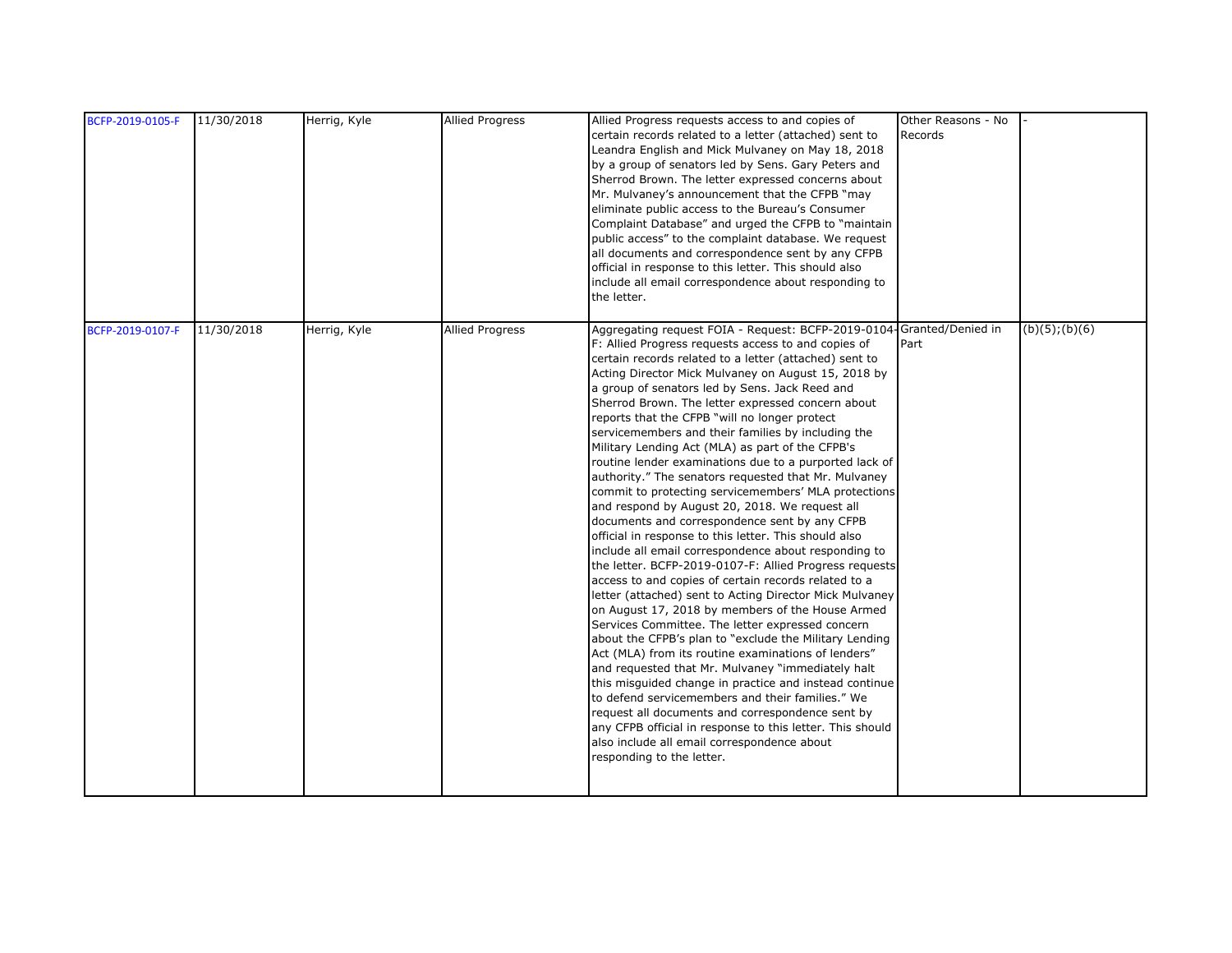| BCFP-2019-0105-F | 11/30/2018 | Herrig, Kyle | <b>Allied Progress</b> | Allied Progress requests access to and copies of<br>certain records related to a letter (attached) sent to<br>Leandra English and Mick Mulvaney on May 18, 2018<br>by a group of senators led by Sens. Gary Peters and<br>Sherrod Brown. The letter expressed concerns about<br>Mr. Mulvaney's announcement that the CFPB "may<br>eliminate public access to the Bureau's Consumer<br>Complaint Database" and urged the CFPB to "maintain<br>public access" to the complaint database. We request<br>all documents and correspondence sent by any CFPB<br>official in response to this letter. This should also<br>include all email correspondence about responding to<br>the letter.                                                                                                                                                                                                                                                                                                                                                                                                                                                                                                                                                                                                                                                                                                                                                                                                                                                                                                                                                                                             | Other Reasons - No<br>Records |                     |
|------------------|------------|--------------|------------------------|------------------------------------------------------------------------------------------------------------------------------------------------------------------------------------------------------------------------------------------------------------------------------------------------------------------------------------------------------------------------------------------------------------------------------------------------------------------------------------------------------------------------------------------------------------------------------------------------------------------------------------------------------------------------------------------------------------------------------------------------------------------------------------------------------------------------------------------------------------------------------------------------------------------------------------------------------------------------------------------------------------------------------------------------------------------------------------------------------------------------------------------------------------------------------------------------------------------------------------------------------------------------------------------------------------------------------------------------------------------------------------------------------------------------------------------------------------------------------------------------------------------------------------------------------------------------------------------------------------------------------------------------------------------------------------|-------------------------------|---------------------|
| BCFP-2019-0107-F | 11/30/2018 | Herrig, Kyle | <b>Allied Progress</b> | Aggregating request FOIA - Request: BCFP-2019-0104-Granted/Denied in<br>F: Allied Progress requests access to and copies of<br>certain records related to a letter (attached) sent to<br>Acting Director Mick Mulvaney on August 15, 2018 by<br>a group of senators led by Sens. Jack Reed and<br>Sherrod Brown. The letter expressed concern about<br>reports that the CFPB "will no longer protect<br>servicemembers and their families by including the<br>Military Lending Act (MLA) as part of the CFPB's<br>routine lender examinations due to a purported lack of<br>authority." The senators requested that Mr. Mulvaney<br>commit to protecting servicemembers' MLA protections<br>and respond by August 20, 2018. We request all<br>documents and correspondence sent by any CFPB<br>official in response to this letter. This should also<br>include all email correspondence about responding to<br>the letter. BCFP-2019-0107-F: Allied Progress requests<br>access to and copies of certain records related to a<br>letter (attached) sent to Acting Director Mick Mulvaney<br>on August 17, 2018 by members of the House Armed<br>Services Committee. The letter expressed concern<br>about the CFPB's plan to "exclude the Military Lending<br>Act (MLA) from its routine examinations of lenders"<br>and requested that Mr. Mulvaney "immediately halt<br>this misquided change in practice and instead continue<br>to defend servicemembers and their families." We<br>request all documents and correspondence sent by<br>any CFPB official in response to this letter. This should<br>also include all email correspondence about<br>responding to the letter. | Part                          | $(b)(5)$ ; $(b)(6)$ |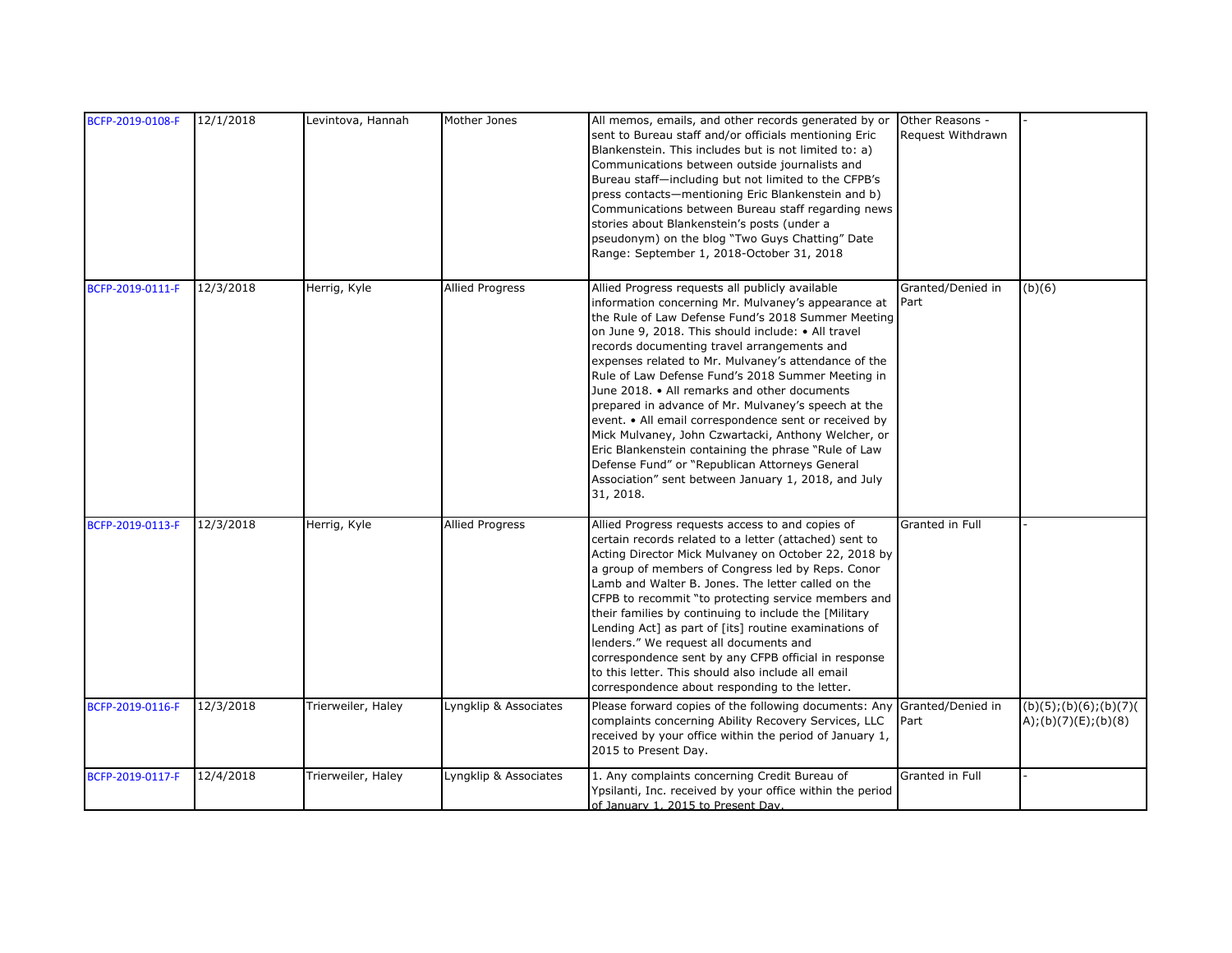| BCFP-2019-0108-F | 12/1/2018 | Levintova, Hannah  | Mother Jones           | All memos, emails, and other records generated by or<br>sent to Bureau staff and/or officials mentioning Eric<br>Blankenstein. This includes but is not limited to: a)<br>Communications between outside journalists and<br>Bureau staff-including but not limited to the CFPB's<br>press contacts—mentioning Eric Blankenstein and b)<br>Communications between Bureau staff regarding news<br>stories about Blankenstein's posts (under a<br>pseudonym) on the blog "Two Guys Chatting" Date<br>Range: September 1, 2018-October 31, 2018                                                                                                                                                                                                                                         | Other Reasons -<br>Request Withdrawn |                                               |
|------------------|-----------|--------------------|------------------------|-------------------------------------------------------------------------------------------------------------------------------------------------------------------------------------------------------------------------------------------------------------------------------------------------------------------------------------------------------------------------------------------------------------------------------------------------------------------------------------------------------------------------------------------------------------------------------------------------------------------------------------------------------------------------------------------------------------------------------------------------------------------------------------|--------------------------------------|-----------------------------------------------|
| BCFP-2019-0111-F | 12/3/2018 | Herrig, Kyle       | <b>Allied Progress</b> | Allied Progress requests all publicly available<br>information concerning Mr. Mulvaney's appearance at<br>the Rule of Law Defense Fund's 2018 Summer Meeting<br>on June 9, 2018. This should include: • All travel<br>records documenting travel arrangements and<br>expenses related to Mr. Mulvaney's attendance of the<br>Rule of Law Defense Fund's 2018 Summer Meeting in<br>June 2018. • All remarks and other documents<br>prepared in advance of Mr. Mulvaney's speech at the<br>event. • All email correspondence sent or received by<br>Mick Mulvaney, John Czwartacki, Anthony Welcher, or<br>Eric Blankenstein containing the phrase "Rule of Law<br>Defense Fund" or "Republican Attorneys General<br>Association" sent between January 1, 2018, and July<br>31, 2018. | Granted/Denied in<br>Part            | (b)(6)                                        |
| BCFP-2019-0113-F | 12/3/2018 | Herrig, Kyle       | <b>Allied Progress</b> | Allied Progress requests access to and copies of<br>certain records related to a letter (attached) sent to<br>Acting Director Mick Mulvaney on October 22, 2018 by<br>a group of members of Congress led by Reps. Conor<br>Lamb and Walter B. Jones. The letter called on the<br>CFPB to recommit "to protecting service members and<br>their families by continuing to include the [Military]<br>Lending Act] as part of [its] routine examinations of<br>lenders." We request all documents and<br>correspondence sent by any CFPB official in response<br>to this letter. This should also include all email<br>correspondence about responding to the letter.                                                                                                                   | Granted in Full                      |                                               |
| BCFP-2019-0116-F | 12/3/2018 | Trierweiler, Haley | Lyngklip & Associates  | Please forward copies of the following documents: Any<br>complaints concerning Ability Recovery Services, LLC<br>received by your office within the period of January 1,<br>2015 to Present Day.                                                                                                                                                                                                                                                                                                                                                                                                                                                                                                                                                                                    | Granted/Denied in<br>Part            | (b)(5); (b)(6); (b)(7)<br>A);(b)(7)(E);(b)(8) |
| BCFP-2019-0117-F | 12/4/2018 | Trierweiler, Haley | Lyngklip & Associates  | 1. Any complaints concerning Credit Bureau of<br>Ypsilanti, Inc. received by your office within the period<br>of January 1, 2015 to Present Day.                                                                                                                                                                                                                                                                                                                                                                                                                                                                                                                                                                                                                                    | Granted in Full                      |                                               |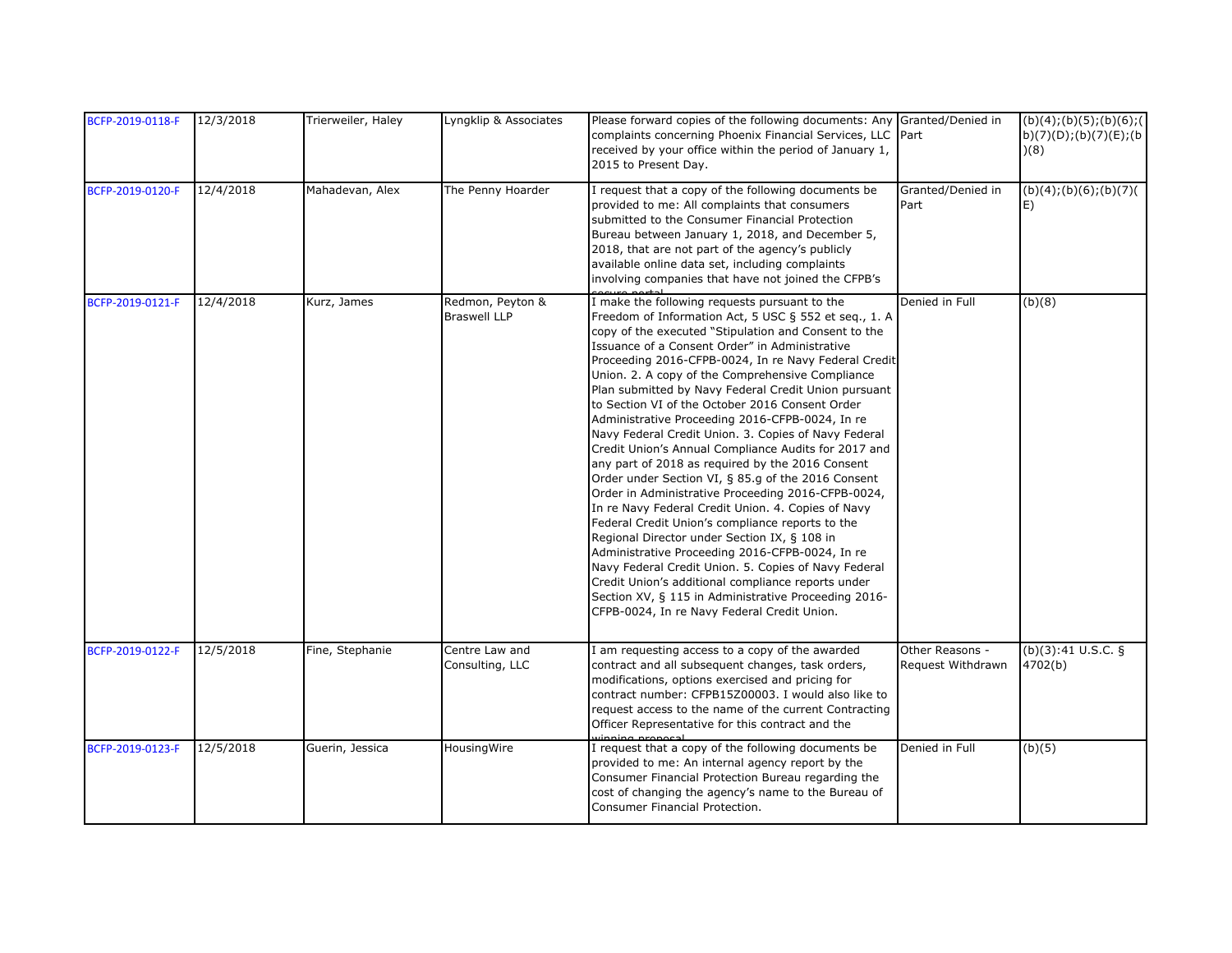| BCFP-2019-0118-F | 12/3/2018 | Trierweiler, Haley | Lyngklip & Associates                   | Please forward copies of the following documents: Any Granted/Denied in<br>complaints concerning Phoenix Financial Services, LLC Part<br>received by your office within the period of January 1,<br>2015 to Present Day.                                                                                                                                                                                                                                                                                                                                                                                                                                                                                                                                                                                                                                                                                                                                                                                                                                                                                                                                                                                     |                                      | (b)(4); (b)(5); (b)(6); (<br>b)(7)(D); (b)(7)(E); (b)<br>(8) |
|------------------|-----------|--------------------|-----------------------------------------|--------------------------------------------------------------------------------------------------------------------------------------------------------------------------------------------------------------------------------------------------------------------------------------------------------------------------------------------------------------------------------------------------------------------------------------------------------------------------------------------------------------------------------------------------------------------------------------------------------------------------------------------------------------------------------------------------------------------------------------------------------------------------------------------------------------------------------------------------------------------------------------------------------------------------------------------------------------------------------------------------------------------------------------------------------------------------------------------------------------------------------------------------------------------------------------------------------------|--------------------------------------|--------------------------------------------------------------|
| BCFP-2019-0120-F | 12/4/2018 | Mahadevan, Alex    | The Penny Hoarder                       | I request that a copy of the following documents be<br>provided to me: All complaints that consumers<br>submitted to the Consumer Financial Protection<br>Bureau between January 1, 2018, and December 5,<br>2018, that are not part of the agency's publicly<br>available online data set, including complaints<br>involving companies that have not joined the CFPB's                                                                                                                                                                                                                                                                                                                                                                                                                                                                                                                                                                                                                                                                                                                                                                                                                                      | Granted/Denied in<br>Part            | (b)(4); (b)(6); (b)(7)<br>IE)                                |
| BCFP-2019-0121-F | 12/4/2018 | Kurz, James        | Redmon, Peyton &<br><b>Braswell LLP</b> | I make the following requests pursuant to the<br>Freedom of Information Act, 5 USC § 552 et seq., 1. A<br>copy of the executed "Stipulation and Consent to the<br>Issuance of a Consent Order" in Administrative<br>Proceeding 2016-CFPB-0024, In re Navy Federal Credit<br>Union. 2. A copy of the Comprehensive Compliance<br>Plan submitted by Navy Federal Credit Union pursuant<br>to Section VI of the October 2016 Consent Order<br>Administrative Proceeding 2016-CFPB-0024, In re<br>Navy Federal Credit Union. 3. Copies of Navy Federal<br>Credit Union's Annual Compliance Audits for 2017 and<br>any part of 2018 as required by the 2016 Consent<br>Order under Section VI, § 85.g of the 2016 Consent<br>Order in Administrative Proceeding 2016-CFPB-0024,<br>In re Navy Federal Credit Union. 4. Copies of Navy<br>Federal Credit Union's compliance reports to the<br>Regional Director under Section IX, § 108 in<br>Administrative Proceeding 2016-CFPB-0024, In re<br>Navy Federal Credit Union. 5. Copies of Navy Federal<br>Credit Union's additional compliance reports under<br>Section XV, § 115 in Administrative Proceeding 2016-<br>CFPB-0024, In re Navy Federal Credit Union. | Denied in Full                       | (b)(8)                                                       |
| BCFP-2019-0122-F | 12/5/2018 | Fine, Stephanie    | Centre Law and<br>Consulting, LLC       | I am requesting access to a copy of the awarded<br>contract and all subsequent changes, task orders,<br>modifications, options exercised and pricing for<br>contract number: CFPB15Z00003. I would also like to<br>request access to the name of the current Contracting<br>Officer Representative for this contract and the                                                                                                                                                                                                                                                                                                                                                                                                                                                                                                                                                                                                                                                                                                                                                                                                                                                                                 | Other Reasons -<br>Request Withdrawn | (b)(3):41 U.S.C. §<br>4702(b)                                |
| BCFP-2019-0123-F | 12/5/2018 | Guerin, Jessica    | HousingWire                             | I request that a copy of the following documents be<br>provided to me: An internal agency report by the<br>Consumer Financial Protection Bureau regarding the<br>cost of changing the agency's name to the Bureau of<br>Consumer Financial Protection.                                                                                                                                                                                                                                                                                                                                                                                                                                                                                                                                                                                                                                                                                                                                                                                                                                                                                                                                                       | Denied in Full                       | (b)(5)                                                       |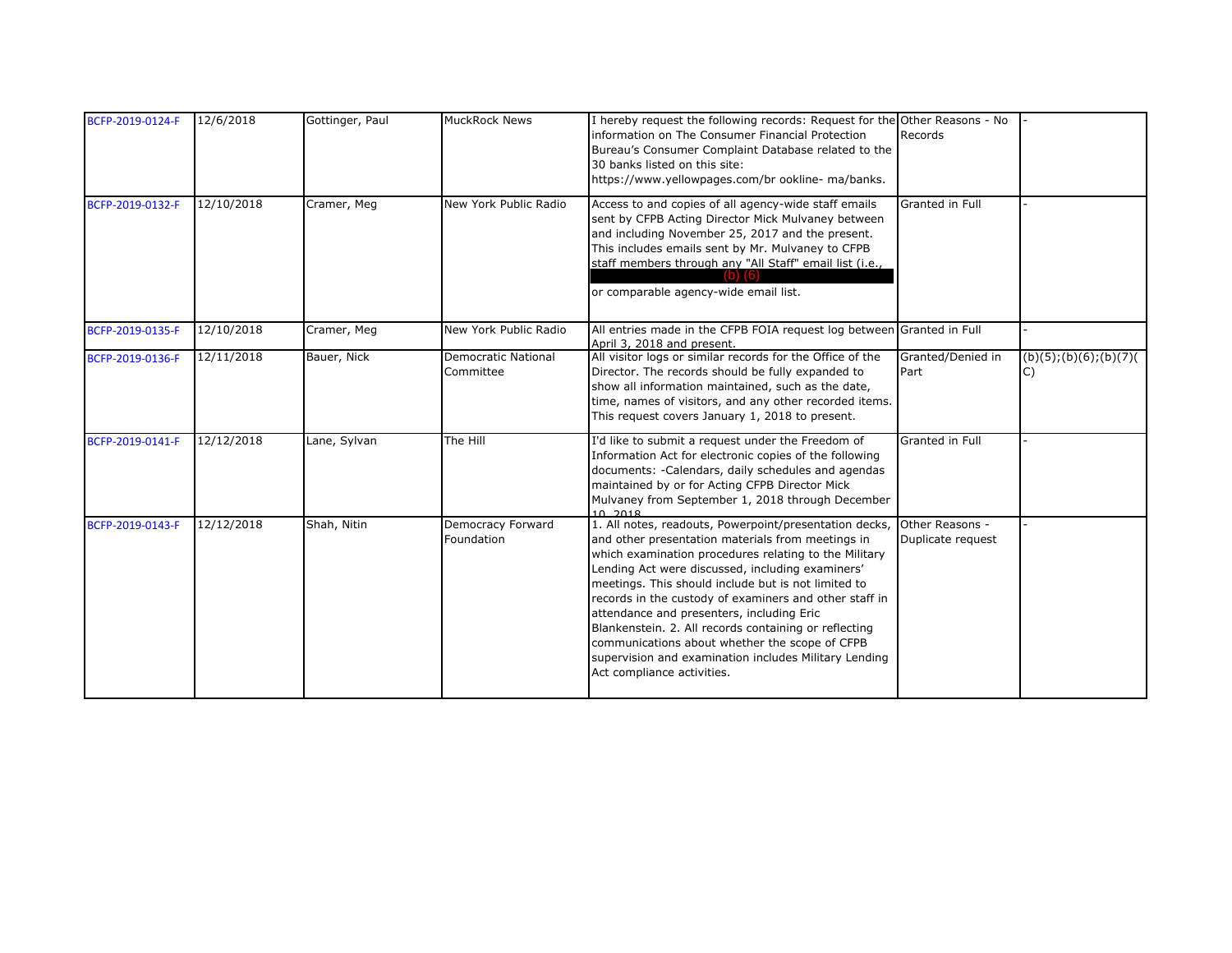| BCFP-2019-0124-F | 12/6/2018  | Gottinger, Paul | <b>MuckRock News</b>                    | I hereby request the following records: Request for the Other Reasons - No<br>information on The Consumer Financial Protection<br>Bureau's Consumer Complaint Database related to the<br>30 banks listed on this site:<br>https://www.yellowpages.com/br ookline- ma/banks.                                                                                                                                                                                                                                                                                                                              | Records                   |                              |
|------------------|------------|-----------------|-----------------------------------------|----------------------------------------------------------------------------------------------------------------------------------------------------------------------------------------------------------------------------------------------------------------------------------------------------------------------------------------------------------------------------------------------------------------------------------------------------------------------------------------------------------------------------------------------------------------------------------------------------------|---------------------------|------------------------------|
| BCFP-2019-0132-F | 12/10/2018 | Cramer, Meg     | New York Public Radio                   | Access to and copies of all agency-wide staff emails<br>sent by CFPB Acting Director Mick Mulvaney between<br>and including November 25, 2017 and the present.<br>This includes emails sent by Mr. Mulvaney to CFPB<br>staff members through any "All Staff" email list (i.e.,<br>or comparable agency-wide email list.                                                                                                                                                                                                                                                                                  | Granted in Full           |                              |
| BCFP-2019-0135-F | 12/10/2018 | Cramer, Meg     | New York Public Radio                   | All entries made in the CFPB FOIA request log between Granted in Full<br>April 3, 2018 and present.                                                                                                                                                                                                                                                                                                                                                                                                                                                                                                      |                           |                              |
| BCFP-2019-0136-F | 12/11/2018 | Bauer, Nick     | <b>Democratic National</b><br>Committee | All visitor logs or similar records for the Office of the<br>Director. The records should be fully expanded to<br>show all information maintained, such as the date,<br>time, names of visitors, and any other recorded items.<br>This request covers January 1, 2018 to present.                                                                                                                                                                                                                                                                                                                        | Granted/Denied in<br>Part | (b)(5); (b)(6); (b)(7)<br>C) |
| BCFP-2019-0141-F | 12/12/2018 | Lane, Sylvan    | The Hill                                | I'd like to submit a request under the Freedom of<br>Information Act for electronic copies of the following<br>documents: -Calendars, daily schedules and agendas<br>maintained by or for Acting CFPB Director Mick<br>Mulvaney from September 1, 2018 through December<br>10 2018                                                                                                                                                                                                                                                                                                                       | Granted in Full           |                              |
| BCFP-2019-0143-F | 12/12/2018 | Shah, Nitin     | Democracy Forward<br>Foundation         | 1. All notes, readouts, Powerpoint/presentation decks, Other Reasons -<br>and other presentation materials from meetings in<br>which examination procedures relating to the Military<br>Lending Act were discussed, including examiners'<br>meetings. This should include but is not limited to<br>records in the custody of examiners and other staff in<br>attendance and presenters, including Eric<br>Blankenstein. 2. All records containing or reflecting<br>communications about whether the scope of CFPB<br>supervision and examination includes Military Lending<br>Act compliance activities. | Duplicate request         |                              |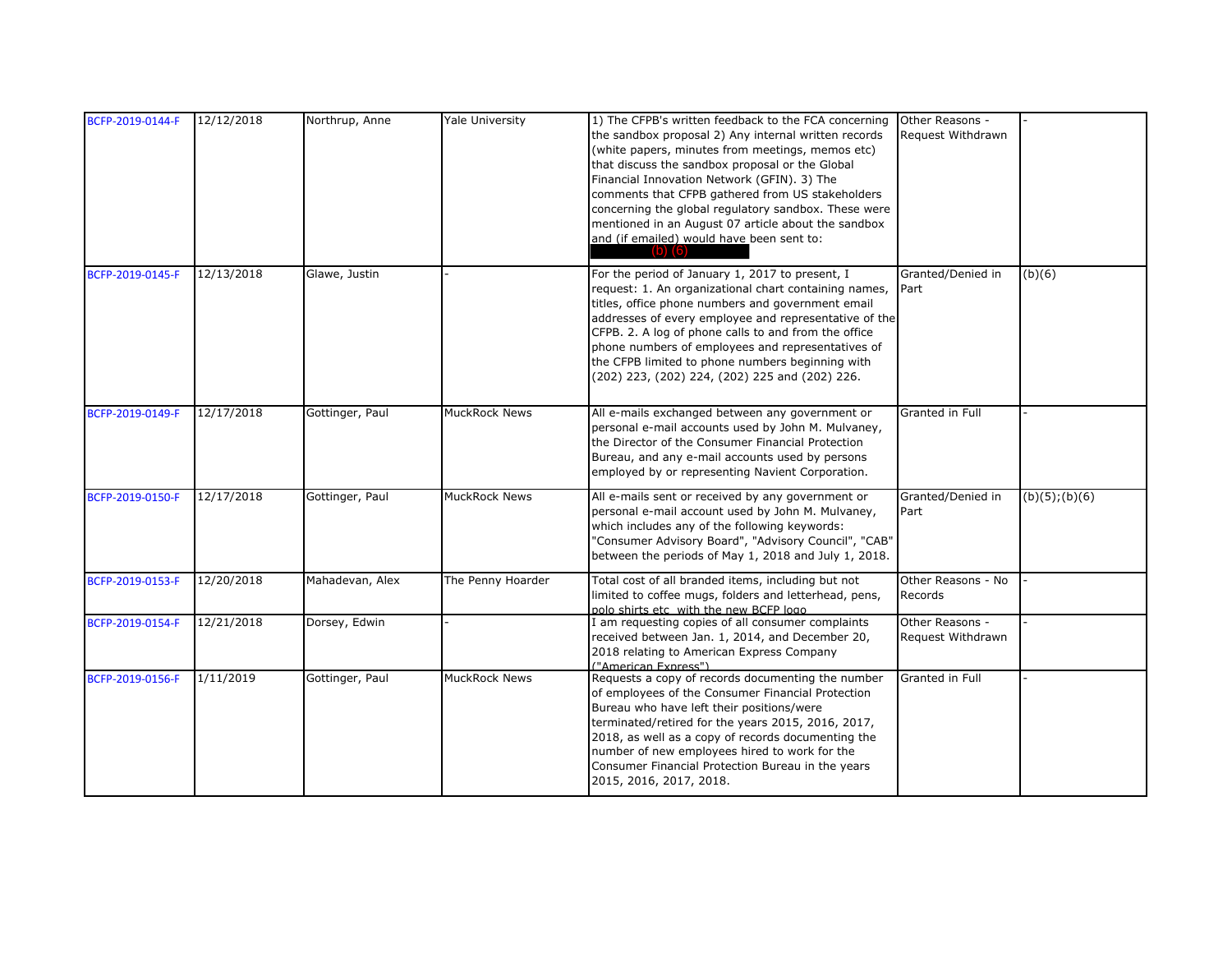| BCFP-2019-0144-F | 12/12/2018 | Northrup, Anne  | <b>Yale University</b> | 1) The CFPB's written feedback to the FCA concerning<br>the sandbox proposal 2) Any internal written records<br>(white papers, minutes from meetings, memos etc)<br>that discuss the sandbox proposal or the Global<br>Financial Innovation Network (GFIN). 3) The<br>comments that CFPB gathered from US stakeholders<br>concerning the global regulatory sandbox. These were<br>mentioned in an August 07 article about the sandbox<br>and (if emailed) would have been sent to:<br>$(b)$ $(6)$ | Other Reasons -<br>Request Withdrawn |                     |
|------------------|------------|-----------------|------------------------|---------------------------------------------------------------------------------------------------------------------------------------------------------------------------------------------------------------------------------------------------------------------------------------------------------------------------------------------------------------------------------------------------------------------------------------------------------------------------------------------------|--------------------------------------|---------------------|
| BCFP-2019-0145-F | 12/13/2018 | Glawe, Justin   |                        | For the period of January 1, 2017 to present, I<br>request: 1. An organizational chart containing names,<br>titles, office phone numbers and government email<br>addresses of every employee and representative of the<br>CFPB. 2. A log of phone calls to and from the office<br>phone numbers of employees and representatives of<br>the CFPB limited to phone numbers beginning with<br>(202) 223, (202) 224, (202) 225 and (202) 226.                                                         | Granted/Denied in<br>Part            | (b)(6)              |
| BCFP-2019-0149-F | 12/17/2018 | Gottinger, Paul | <b>MuckRock News</b>   | All e-mails exchanged between any government or<br>personal e-mail accounts used by John M. Mulvaney,<br>the Director of the Consumer Financial Protection<br>Bureau, and any e-mail accounts used by persons<br>employed by or representing Navient Corporation.                                                                                                                                                                                                                                 | Granted in Full                      |                     |
| BCFP-2019-0150-F | 12/17/2018 | Gottinger, Paul | <b>MuckRock News</b>   | All e-mails sent or received by any government or<br>personal e-mail account used by John M. Mulvaney,<br>which includes any of the following keywords:<br>"Consumer Advisory Board", "Advisory Council", "CAB"<br>between the periods of May 1, 2018 and July 1, 2018.                                                                                                                                                                                                                           | Granted/Denied in<br>Part            | $(b)(5)$ ; $(b)(6)$ |
| BCFP-2019-0153-F | 12/20/2018 | Mahadevan, Alex | The Penny Hoarder      | Total cost of all branded items, including but not<br>limited to coffee mugs, folders and letterhead, pens,<br>polo shirts etc with the new BCFP logo                                                                                                                                                                                                                                                                                                                                             | Other Reasons - No<br>Records        |                     |
| BCFP-2019-0154-F | 12/21/2018 | Dorsey, Edwin   |                        | I am requesting copies of all consumer complaints<br>received between Jan. 1, 2014, and December 20,<br>2018 relating to American Express Company<br>("American Express")                                                                                                                                                                                                                                                                                                                         | Other Reasons -<br>Request Withdrawn |                     |
| BCFP-2019-0156-F | 1/11/2019  | Gottinger, Paul | <b>MuckRock News</b>   | Requests a copy of records documenting the number<br>of employees of the Consumer Financial Protection<br>Bureau who have left their positions/were<br>terminated/retired for the years 2015, 2016, 2017,<br>2018, as well as a copy of records documenting the<br>number of new employees hired to work for the<br>Consumer Financial Protection Bureau in the years<br>2015, 2016, 2017, 2018.                                                                                                  | Granted in Full                      |                     |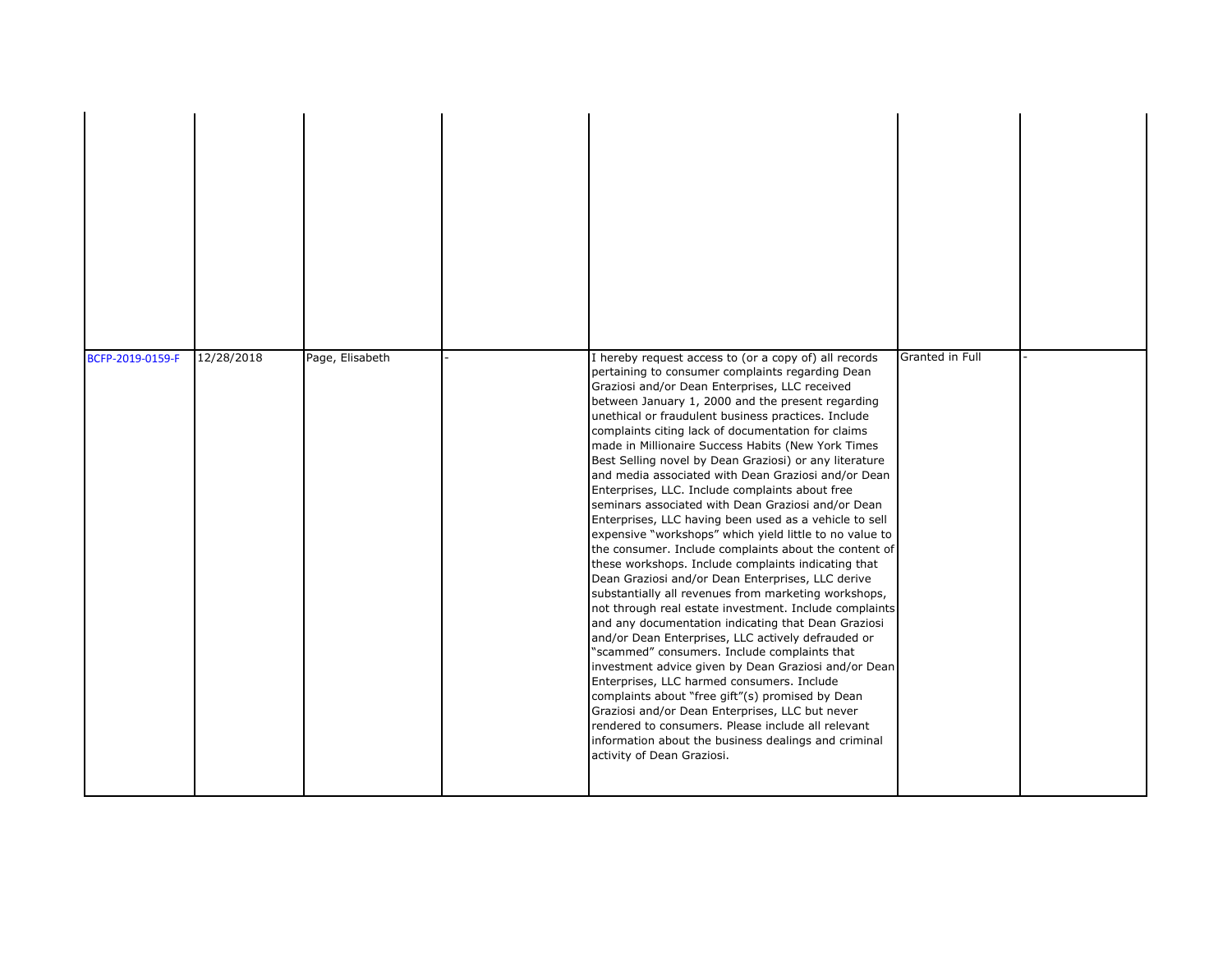| BCFP-2019-0159-F | 12/28/2018 | Page, Elisabeth | I hereby request access to (or a copy of) all records<br>pertaining to consumer complaints regarding Dean<br>Graziosi and/or Dean Enterprises, LLC received<br>between January 1, 2000 and the present regarding<br>unethical or fraudulent business practices. Include<br>complaints citing lack of documentation for claims<br>made in Millionaire Success Habits (New York Times<br>Best Selling novel by Dean Graziosi) or any literature<br>and media associated with Dean Graziosi and/or Dean<br>Enterprises, LLC. Include complaints about free<br>seminars associated with Dean Graziosi and/or Dean<br>Enterprises, LLC having been used as a vehicle to sell<br>expensive "workshops" which yield little to no value to<br>the consumer. Include complaints about the content of<br>these workshops. Include complaints indicating that<br>Dean Graziosi and/or Dean Enterprises, LLC derive<br>substantially all revenues from marketing workshops,<br>not through real estate investment. Include complaints<br>and any documentation indicating that Dean Graziosi<br>and/or Dean Enterprises, LLC actively defrauded or<br>"scammed" consumers. Include complaints that<br>investment advice given by Dean Graziosi and/or Dean<br>Enterprises, LLC harmed consumers. Include<br>complaints about "free gift"(s) promised by Dean<br>Graziosi and/or Dean Enterprises, LLC but never<br>rendered to consumers. Please include all relevant<br>information about the business dealings and criminal<br>activity of Dean Graziosi. | Granted in Full |  |
|------------------|------------|-----------------|-------------------------------------------------------------------------------------------------------------------------------------------------------------------------------------------------------------------------------------------------------------------------------------------------------------------------------------------------------------------------------------------------------------------------------------------------------------------------------------------------------------------------------------------------------------------------------------------------------------------------------------------------------------------------------------------------------------------------------------------------------------------------------------------------------------------------------------------------------------------------------------------------------------------------------------------------------------------------------------------------------------------------------------------------------------------------------------------------------------------------------------------------------------------------------------------------------------------------------------------------------------------------------------------------------------------------------------------------------------------------------------------------------------------------------------------------------------------------------------------------------------------------------------------------|-----------------|--|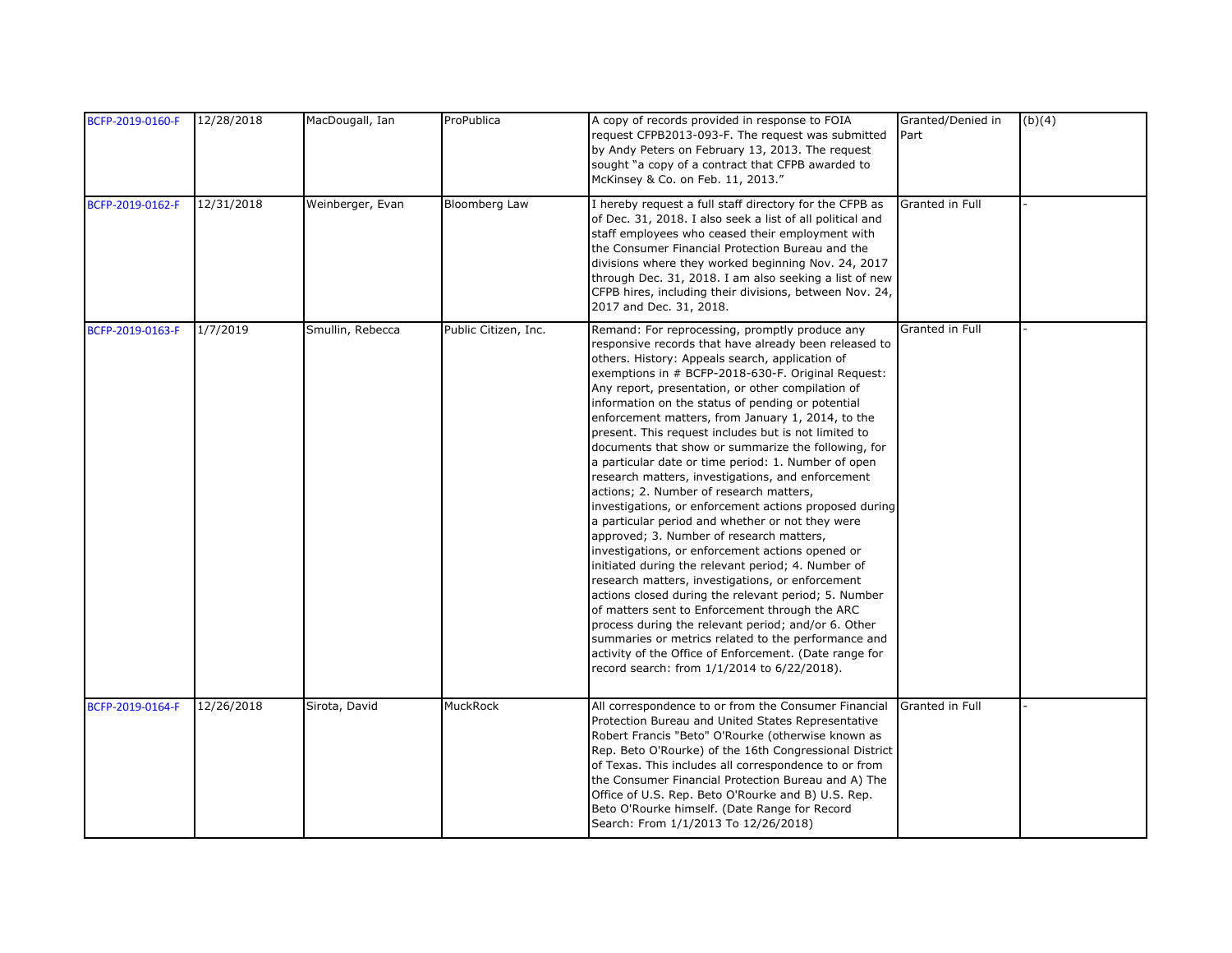| BCFP-2019-0160-F | 12/28/2018 | MacDougall, Ian  | ProPublica           | A copy of records provided in response to FOIA<br>request CFPB2013-093-F. The request was submitted<br>by Andy Peters on February 13, 2013. The request<br>sought "a copy of a contract that CFPB awarded to<br>McKinsey & Co. on Feb. 11, 2013."                                                                                                                                                                                                                                                                                                                                                                                                                                                                                                                                                                                                                                                                                                                                                                                                                                                                                                                                                                                                                                                              | Granted/Denied in<br>Part | (b)(4) |
|------------------|------------|------------------|----------------------|----------------------------------------------------------------------------------------------------------------------------------------------------------------------------------------------------------------------------------------------------------------------------------------------------------------------------------------------------------------------------------------------------------------------------------------------------------------------------------------------------------------------------------------------------------------------------------------------------------------------------------------------------------------------------------------------------------------------------------------------------------------------------------------------------------------------------------------------------------------------------------------------------------------------------------------------------------------------------------------------------------------------------------------------------------------------------------------------------------------------------------------------------------------------------------------------------------------------------------------------------------------------------------------------------------------|---------------------------|--------|
| BCFP-2019-0162-F | 12/31/2018 | Weinberger, Evan | <b>Bloomberg Law</b> | I hereby request a full staff directory for the CFPB as<br>of Dec. 31, 2018. I also seek a list of all political and<br>staff employees who ceased their employment with<br>the Consumer Financial Protection Bureau and the<br>divisions where they worked beginning Nov. 24, 2017<br>through Dec. 31, 2018. I am also seeking a list of new<br>CFPB hires, including their divisions, between Nov. 24,<br>2017 and Dec. 31, 2018.                                                                                                                                                                                                                                                                                                                                                                                                                                                                                                                                                                                                                                                                                                                                                                                                                                                                            | Granted in Full           |        |
| BCFP-2019-0163-F | 1/7/2019   | Smullin, Rebecca | Public Citizen, Inc. | Remand: For reprocessing, promptly produce any<br>responsive records that have already been released to<br>others. History: Appeals search, application of<br>exemptions in # BCFP-2018-630-F. Original Request:<br>Any report, presentation, or other compilation of<br>information on the status of pending or potential<br>enforcement matters, from January 1, 2014, to the<br>present. This request includes but is not limited to<br>documents that show or summarize the following, for<br>a particular date or time period: 1. Number of open<br>research matters, investigations, and enforcement<br>actions; 2. Number of research matters,<br>investigations, or enforcement actions proposed during<br>a particular period and whether or not they were<br>approved; 3. Number of research matters,<br>investigations, or enforcement actions opened or<br>initiated during the relevant period; 4. Number of<br>research matters, investigations, or enforcement<br>actions closed during the relevant period; 5. Number<br>of matters sent to Enforcement through the ARC<br>process during the relevant period; and/or 6. Other<br>summaries or metrics related to the performance and<br>activity of the Office of Enforcement. (Date range for<br>record search: from 1/1/2014 to 6/22/2018). | Granted in Full           |        |
| BCFP-2019-0164-F | 12/26/2018 | Sirota, David    | MuckRock             | All correspondence to or from the Consumer Financial<br>Protection Bureau and United States Representative<br>Robert Francis "Beto" O'Rourke (otherwise known as<br>Rep. Beto O'Rourke) of the 16th Congressional District<br>of Texas. This includes all correspondence to or from<br>the Consumer Financial Protection Bureau and A) The<br>Office of U.S. Rep. Beto O'Rourke and B) U.S. Rep.<br>Beto O'Rourke himself. (Date Range for Record<br>Search: From 1/1/2013 To 12/26/2018)                                                                                                                                                                                                                                                                                                                                                                                                                                                                                                                                                                                                                                                                                                                                                                                                                      | Granted in Full           |        |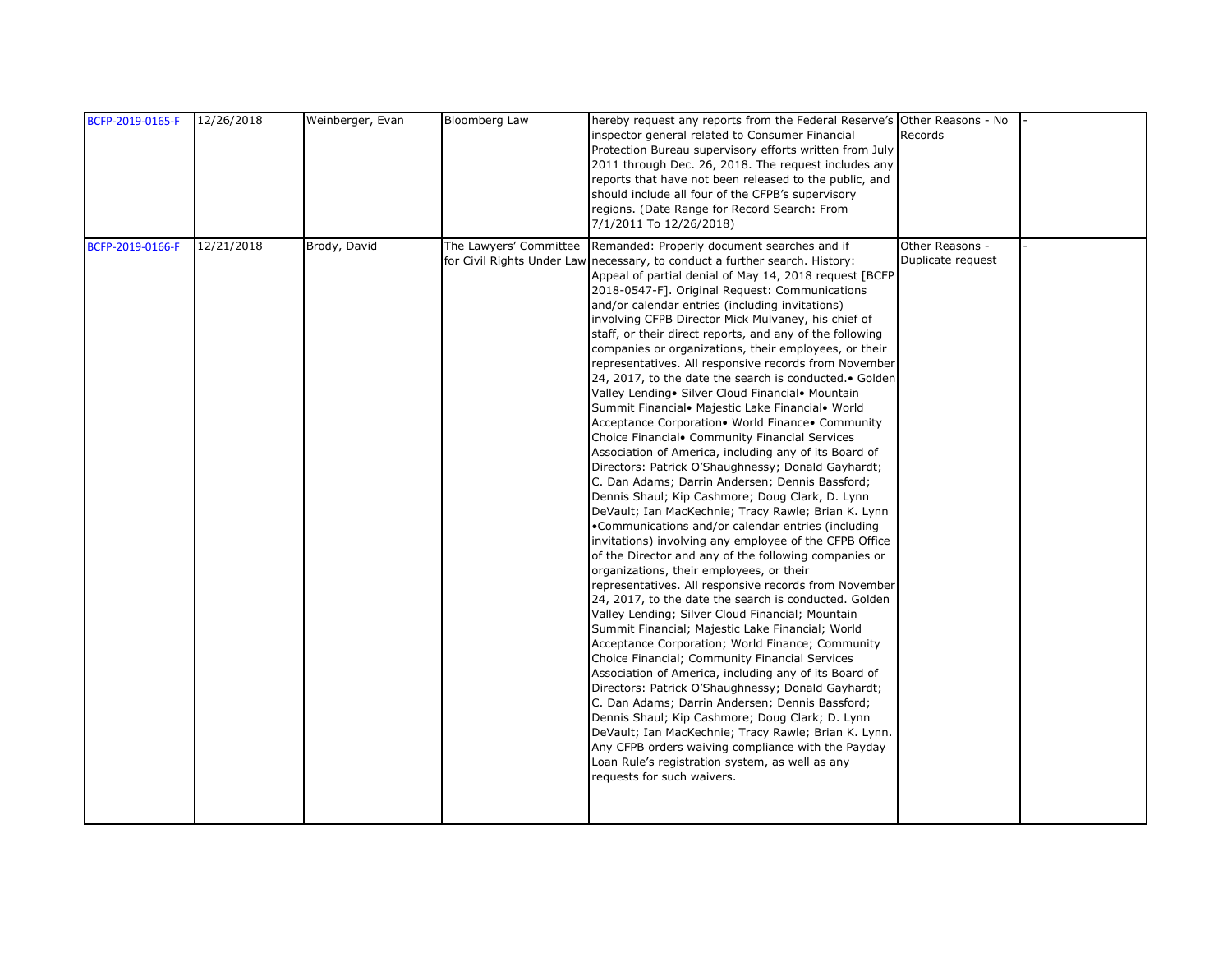| BCFP-2019-0165-F | 12/26/2018 | Weinberger, Evan | Bloomberg Law          | hereby request any reports from the Federal Reserve's Other Reasons - No<br>inspector general related to Consumer Financial<br>Protection Bureau supervisory efforts written from July<br>2011 through Dec. 26, 2018. The request includes any<br>reports that have not been released to the public, and<br>should include all four of the CFPB's supervisory<br>regions. (Date Range for Record Search: From<br>7/1/2011 To 12/26/2018)                                                                                                                                                                                                                                                                                                                                                                                                                                                                                                                                                                                                                                                                                                                                                                                                                                                                                                                                                                                                                                                                                                                                                                                                                                                                                                                                                                                                                                                                                                                                                                                                                      | Records                              |  |
|------------------|------------|------------------|------------------------|---------------------------------------------------------------------------------------------------------------------------------------------------------------------------------------------------------------------------------------------------------------------------------------------------------------------------------------------------------------------------------------------------------------------------------------------------------------------------------------------------------------------------------------------------------------------------------------------------------------------------------------------------------------------------------------------------------------------------------------------------------------------------------------------------------------------------------------------------------------------------------------------------------------------------------------------------------------------------------------------------------------------------------------------------------------------------------------------------------------------------------------------------------------------------------------------------------------------------------------------------------------------------------------------------------------------------------------------------------------------------------------------------------------------------------------------------------------------------------------------------------------------------------------------------------------------------------------------------------------------------------------------------------------------------------------------------------------------------------------------------------------------------------------------------------------------------------------------------------------------------------------------------------------------------------------------------------------------------------------------------------------------------------------------------------------|--------------------------------------|--|
| BCFP-2019-0166-F | 12/21/2018 | Brody, David     | The Lawyers' Committee | Remanded: Properly document searches and if<br>for Civil Rights Under Law necessary, to conduct a further search. History:<br>Appeal of partial denial of May 14, 2018 request [BCFP<br>2018-0547-F]. Original Request: Communications<br>and/or calendar entries (including invitations)<br>involving CFPB Director Mick Mulvaney, his chief of<br>staff, or their direct reports, and any of the following<br>companies or organizations, their employees, or their<br>representatives. All responsive records from November<br>24, 2017, to the date the search is conducted. • Golden<br>Valley Lending • Silver Cloud Financial • Mountain<br>Summit Financial. Majestic Lake Financial. World<br>Acceptance Corporation. World Finance. Community<br>Choice Financial Community Financial Services<br>Association of America, including any of its Board of<br>Directors: Patrick O'Shaughnessy; Donald Gayhardt;<br>C. Dan Adams; Darrin Andersen; Dennis Bassford;<br>Dennis Shaul; Kip Cashmore; Doug Clark, D. Lynn<br>DeVault; Ian MacKechnie; Tracy Rawle; Brian K. Lynn<br>•Communications and/or calendar entries (including<br>invitations) involving any employee of the CFPB Office<br>of the Director and any of the following companies or<br>organizations, their employees, or their<br>representatives. All responsive records from November<br>24, 2017, to the date the search is conducted. Golden<br>Valley Lending; Silver Cloud Financial; Mountain<br>Summit Financial; Majestic Lake Financial; World<br>Acceptance Corporation; World Finance; Community<br>Choice Financial; Community Financial Services<br>Association of America, including any of its Board of<br>Directors: Patrick O'Shaughnessy; Donald Gayhardt;<br>C. Dan Adams; Darrin Andersen; Dennis Bassford;<br>Dennis Shaul; Kip Cashmore; Doug Clark; D. Lynn<br>DeVault; Ian MacKechnie; Tracy Rawle; Brian K. Lynn.<br>Any CFPB orders waiving compliance with the Payday<br>Loan Rule's registration system, as well as any<br>requests for such waivers. | Other Reasons -<br>Duplicate request |  |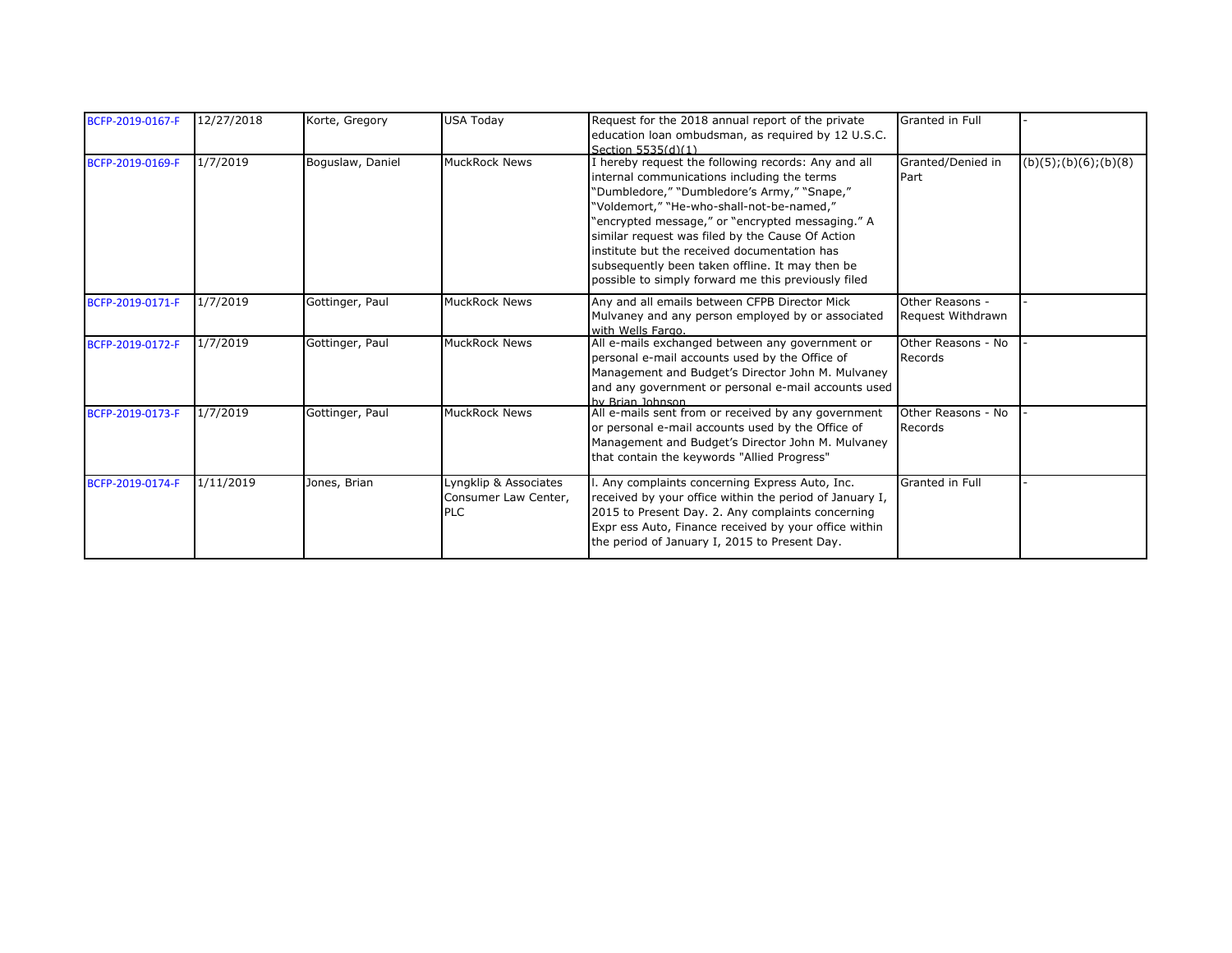| BCFP-2019-0167-F | 12/27/2018 | Korte, Gregory   | <b>USA Today</b>                                            | Request for the 2018 annual report of the private<br>education loan ombudsman, as required by 12 U.S.C.<br>Section 5535(d)(1)                                                                                                                                                                                                                                                                                                                                    | Granted in Full                      |                        |
|------------------|------------|------------------|-------------------------------------------------------------|------------------------------------------------------------------------------------------------------------------------------------------------------------------------------------------------------------------------------------------------------------------------------------------------------------------------------------------------------------------------------------------------------------------------------------------------------------------|--------------------------------------|------------------------|
| BCFP-2019-0169-F | 1/7/2019   | Boguslaw, Daniel | <b>MuckRock News</b>                                        | I hereby request the following records: Any and all<br>internal communications including the terms<br>"Dumbledore," "Dumbledore's Army," "Snape,"<br>"Voldemort," "He-who-shall-not-be-named,"<br>"encrypted message," or "encrypted messaging." A<br>similar request was filed by the Cause Of Action<br>institute but the received documentation has<br>subsequently been taken offline. It may then be<br>possible to simply forward me this previously filed | Granted/Denied in<br>Part            | (b)(5); (b)(6); (b)(8) |
| BCFP-2019-0171-F | 1/7/2019   | Gottinger, Paul  | <b>MuckRock News</b>                                        | Any and all emails between CFPB Director Mick<br>Mulvaney and any person employed by or associated<br>with Wells Fargo.                                                                                                                                                                                                                                                                                                                                          | Other Reasons -<br>Request Withdrawn |                        |
| BCFP-2019-0172-F | 1/7/2019   | Gottinger, Paul  | <b>MuckRock News</b>                                        | All e-mails exchanged between any government or<br>personal e-mail accounts used by the Office of<br>Management and Budget's Director John M. Mulvaney<br>and any government or personal e-mail accounts used<br>hy Brian Johnson                                                                                                                                                                                                                                | Other Reasons - No<br>Records        |                        |
| BCFP-2019-0173-F | 1/7/2019   | Gottinger, Paul  | <b>MuckRock News</b>                                        | All e-mails sent from or received by any government<br>or personal e-mail accounts used by the Office of<br>Management and Budget's Director John M. Mulvaney<br>that contain the keywords "Allied Progress"                                                                                                                                                                                                                                                     | Other Reasons - No<br>Records        |                        |
| BCFP-2019-0174-F | 1/11/2019  | Jones, Brian     | Lyngklip & Associates<br>Consumer Law Center,<br><b>PLC</b> | Any complaints concerning Express Auto, Inc.<br>received by your office within the period of January I,<br>2015 to Present Day. 2. Any complaints concerning<br>Expr ess Auto, Finance received by your office within<br>the period of January I, 2015 to Present Day.                                                                                                                                                                                           | <b>Granted in Full</b>               |                        |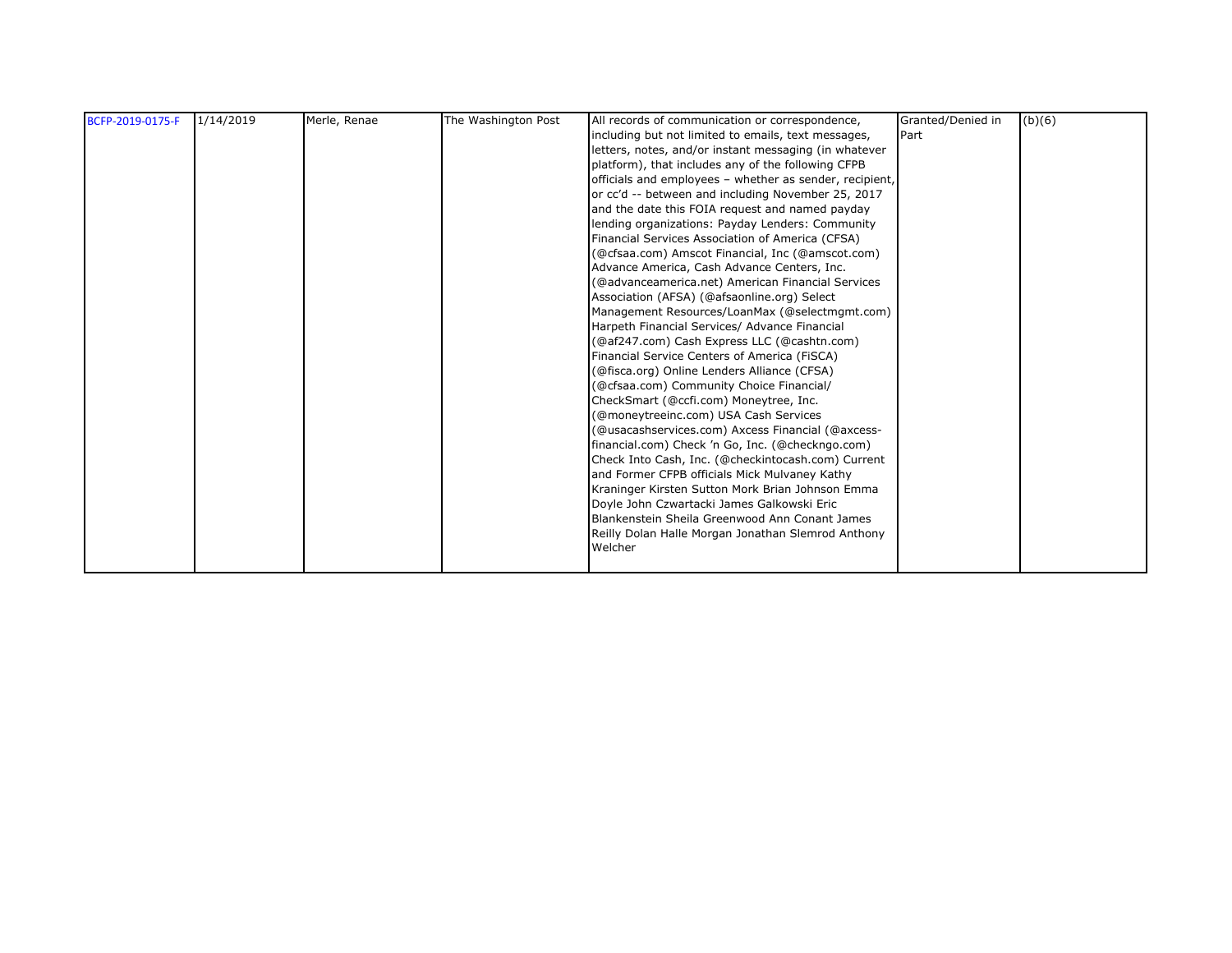| BCFP-2019-0175-F | 1/14/2019 | Merle, Renae | The Washington Post | All records of communication or correspondence,         | Granted/Denied in | (b)(6) |
|------------------|-----------|--------------|---------------------|---------------------------------------------------------|-------------------|--------|
|                  |           |              |                     | including but not limited to emails, text messages,     | Part              |        |
|                  |           |              |                     | letters, notes, and/or instant messaging (in whatever   |                   |        |
|                  |           |              |                     | platform), that includes any of the following CFPB      |                   |        |
|                  |           |              |                     | officials and employees - whether as sender, recipient, |                   |        |
|                  |           |              |                     | or cc'd -- between and including November 25, 2017      |                   |        |
|                  |           |              |                     | and the date this FOIA request and named payday         |                   |        |
|                  |           |              |                     | lending organizations: Payday Lenders: Community        |                   |        |
|                  |           |              |                     | Financial Services Association of America (CFSA)        |                   |        |
|                  |           |              |                     | (@cfsaa.com) Amscot Financial, Inc (@amscot.com)        |                   |        |
|                  |           |              |                     | Advance America, Cash Advance Centers, Inc.             |                   |        |
|                  |           |              |                     | (@advanceamerica.net) American Financial Services       |                   |        |
|                  |           |              |                     | Association (AFSA) (@afsaonline.org) Select             |                   |        |
|                  |           |              |                     | Management Resources/LoanMax (@selectmgmt.com)          |                   |        |
|                  |           |              |                     | Harpeth Financial Services/ Advance Financial           |                   |        |
|                  |           |              |                     | (@af247.com) Cash Express LLC (@cashtn.com)             |                   |        |
|                  |           |              |                     | Financial Service Centers of America (FiSCA)            |                   |        |
|                  |           |              |                     | (@fisca.org) Online Lenders Alliance (CFSA)             |                   |        |
|                  |           |              |                     | (@cfsaa.com) Community Choice Financial/                |                   |        |
|                  |           |              |                     | CheckSmart (@ccfi.com) Moneytree, Inc.                  |                   |        |
|                  |           |              |                     | (@moneytreeinc.com) USA Cash Services                   |                   |        |
|                  |           |              |                     | (@usacashservices.com) Axcess Financial (@axcess-       |                   |        |
|                  |           |              |                     | financial.com) Check 'n Go, Inc. (@checkngo.com)        |                   |        |
|                  |           |              |                     | Check Into Cash, Inc. (@checkintocash.com) Current      |                   |        |
|                  |           |              |                     | and Former CFPB officials Mick Mulvaney Kathy           |                   |        |
|                  |           |              |                     | Kraninger Kirsten Sutton Mork Brian Johnson Emma        |                   |        |
|                  |           |              |                     | Doyle John Czwartacki James Galkowski Eric              |                   |        |
|                  |           |              |                     | Blankenstein Sheila Greenwood Ann Conant James          |                   |        |
|                  |           |              |                     | Reilly Dolan Halle Morgan Jonathan Slemrod Anthony      |                   |        |
|                  |           |              |                     | Welcher                                                 |                   |        |
|                  |           |              |                     |                                                         |                   |        |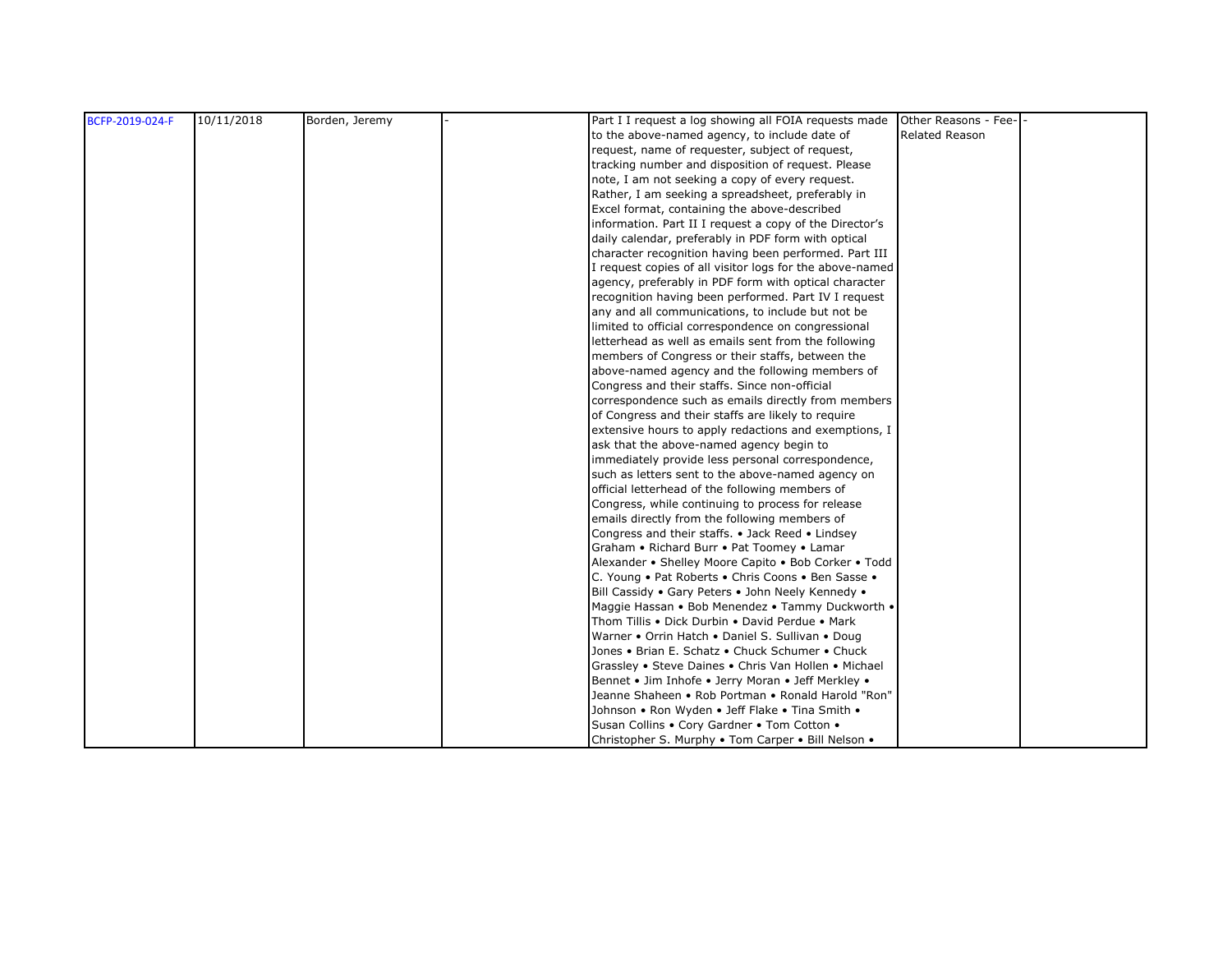| BCFP-2019-024-F | 10/11/2018 | Borden, Jeremy | Part I I request a log showing all FOIA requests made<br>Other Reasons - Fee-                            |
|-----------------|------------|----------------|----------------------------------------------------------------------------------------------------------|
|                 |            |                | Related Reason<br>to the above-named agency, to include date of                                          |
|                 |            |                | request, name of requester, subject of request,                                                          |
|                 |            |                | tracking number and disposition of request. Please                                                       |
|                 |            |                | note, I am not seeking a copy of every request.                                                          |
|                 |            |                | Rather, I am seeking a spreadsheet, preferably in                                                        |
|                 |            |                | Excel format, containing the above-described                                                             |
|                 |            |                | information. Part II I request a copy of the Director's                                                  |
|                 |            |                | daily calendar, preferably in PDF form with optical                                                      |
|                 |            |                | character recognition having been performed. Part III                                                    |
|                 |            |                | I request copies of all visitor logs for the above-named                                                 |
|                 |            |                | agency, preferably in PDF form with optical character                                                    |
|                 |            |                | recognition having been performed. Part IV I request                                                     |
|                 |            |                | any and all communications, to include but not be                                                        |
|                 |            |                | limited to official correspondence on congressional                                                      |
|                 |            |                | letterhead as well as emails sent from the following                                                     |
|                 |            |                | members of Congress or their staffs, between the                                                         |
|                 |            |                | above-named agency and the following members of                                                          |
|                 |            |                | Congress and their staffs. Since non-official                                                            |
|                 |            |                | correspondence such as emails directly from members                                                      |
|                 |            |                | of Congress and their staffs are likely to require                                                       |
|                 |            |                | extensive hours to apply redactions and exemptions, I                                                    |
|                 |            |                | ask that the above-named agency begin to                                                                 |
|                 |            |                | immediately provide less personal correspondence,                                                        |
|                 |            |                | such as letters sent to the above-named agency on                                                        |
|                 |            |                | official letterhead of the following members of                                                          |
|                 |            |                | Congress, while continuing to process for release                                                        |
|                 |            |                | emails directly from the following members of                                                            |
|                 |            |                | Congress and their staffs. • Jack Reed • Lindsey                                                         |
|                 |            |                | Graham • Richard Burr • Pat Toomey • Lamar                                                               |
|                 |            |                | Alexander • Shelley Moore Capito • Bob Corker • Todd                                                     |
|                 |            |                | C. Young . Pat Roberts . Chris Coons . Ben Sasse .                                                       |
|                 |            |                | Bill Cassidy . Gary Peters . John Neely Kennedy .                                                        |
|                 |            |                | Maggie Hassan • Bob Menendez • Tammy Duckworth •                                                         |
|                 |            |                | Thom Tillis . Dick Durbin . David Perdue . Mark                                                          |
|                 |            |                | Warner • Orrin Hatch • Daniel S. Sullivan • Doug                                                         |
|                 |            |                | Jones • Brian E. Schatz • Chuck Schumer • Chuck                                                          |
|                 |            |                | Grassley • Steve Daines • Chris Van Hollen • Michael                                                     |
|                 |            |                | Bennet • Jim Inhofe • Jerry Moran • Jeff Merkley •<br>Jeanne Shaheen • Rob Portman • Ronald Harold "Ron" |
|                 |            |                |                                                                                                          |
|                 |            |                | Johnson • Ron Wyden • Jeff Flake • Tina Smith •                                                          |
|                 |            |                | Susan Collins . Cory Gardner . Tom Cotton .                                                              |
|                 |            |                | Christopher S. Murphy . Tom Carper . Bill Nelson .                                                       |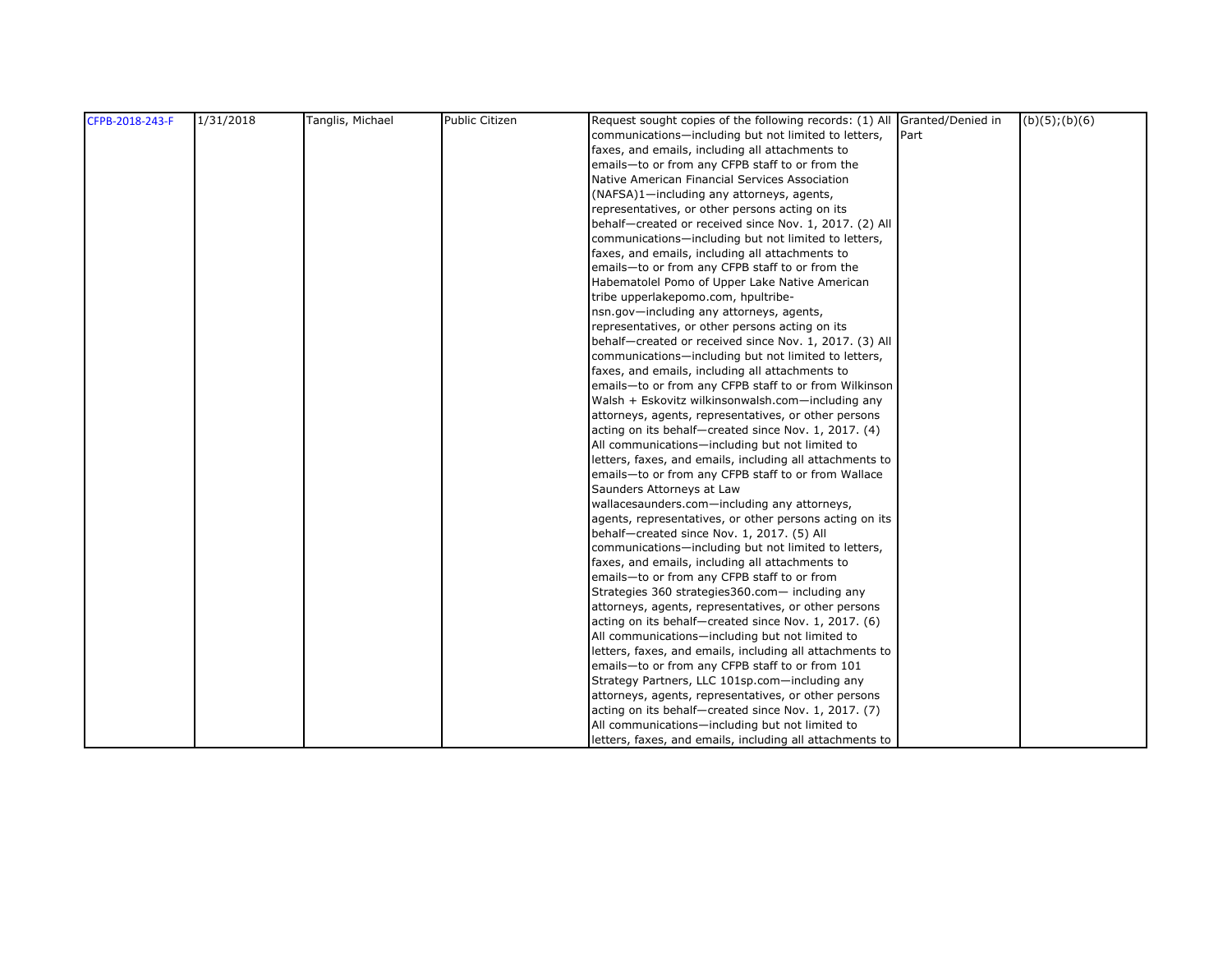| CFPB-2018-243-F | 1/31/2018 | Tanglis, Michael | <b>Public Citizen</b> | Request sought copies of the following records: (1) All Granted/Denied in | $(b)(5)$ ; $(b)(6)$ |
|-----------------|-----------|------------------|-----------------------|---------------------------------------------------------------------------|---------------------|
|                 |           |                  |                       | communications-including but not limited to letters,<br>Part              |                     |
|                 |           |                  |                       | faxes, and emails, including all attachments to                           |                     |
|                 |           |                  |                       | emails-to or from any CFPB staff to or from the                           |                     |
|                 |           |                  |                       | Native American Financial Services Association                            |                     |
|                 |           |                  |                       | (NAFSA)1-including any attorneys, agents,                                 |                     |
|                 |           |                  |                       | representatives, or other persons acting on its                           |                     |
|                 |           |                  |                       | behalf-created or received since Nov. 1, 2017. (2) All                    |                     |
|                 |           |                  |                       | communications-including but not limited to letters,                      |                     |
|                 |           |                  |                       | faxes, and emails, including all attachments to                           |                     |
|                 |           |                  |                       | emails-to or from any CFPB staff to or from the                           |                     |
|                 |           |                  |                       | Habematolel Pomo of Upper Lake Native American                            |                     |
|                 |           |                  |                       | tribe upperlakepomo.com, hpultribe-                                       |                     |
|                 |           |                  |                       | nsn.gov-including any attorneys, agents,                                  |                     |
|                 |           |                  |                       | representatives, or other persons acting on its                           |                     |
|                 |           |                  |                       | behalf-created or received since Nov. 1, 2017. (3) All                    |                     |
|                 |           |                  |                       | communications-including but not limited to letters,                      |                     |
|                 |           |                  |                       | faxes, and emails, including all attachments to                           |                     |
|                 |           |                  |                       | emails-to or from any CFPB staff to or from Wilkinson                     |                     |
|                 |           |                  |                       | Walsh + Eskovitz wilkinsonwalsh.com-including any                         |                     |
|                 |           |                  |                       | attorneys, agents, representatives, or other persons                      |                     |
|                 |           |                  |                       | acting on its behalf-created since Nov. 1, 2017. (4)                      |                     |
|                 |           |                  |                       | All communications-including but not limited to                           |                     |
|                 |           |                  |                       | letters, faxes, and emails, including all attachments to                  |                     |
|                 |           |                  |                       | emails-to or from any CFPB staff to or from Wallace                       |                     |
|                 |           |                  |                       | Saunders Attorneys at Law                                                 |                     |
|                 |           |                  |                       | wallacesaunders.com-including any attorneys,                              |                     |
|                 |           |                  |                       | agents, representatives, or other persons acting on its                   |                     |
|                 |           |                  |                       | behalf-created since Nov. 1, 2017. (5) All                                |                     |
|                 |           |                  |                       | communications-including but not limited to letters,                      |                     |
|                 |           |                  |                       | faxes, and emails, including all attachments to                           |                     |
|                 |           |                  |                       | emails-to or from any CFPB staff to or from                               |                     |
|                 |           |                  |                       | Strategies 360 strategies 360.com- including any                          |                     |
|                 |           |                  |                       | attorneys, agents, representatives, or other persons                      |                     |
|                 |           |                  |                       | acting on its behalf-created since Nov. 1, 2017. (6)                      |                     |
|                 |           |                  |                       | All communications-including but not limited to                           |                     |
|                 |           |                  |                       | letters, faxes, and emails, including all attachments to                  |                     |
|                 |           |                  |                       | emails-to or from any CFPB staff to or from 101                           |                     |
|                 |           |                  |                       | Strategy Partners, LLC 101sp.com-including any                            |                     |
|                 |           |                  |                       | attorneys, agents, representatives, or other persons                      |                     |
|                 |           |                  |                       | acting on its behalf-created since Nov. 1, 2017. (7)                      |                     |
|                 |           |                  |                       | All communications-including but not limited to                           |                     |
|                 |           |                  |                       | letters, faxes, and emails, including all attachments to                  |                     |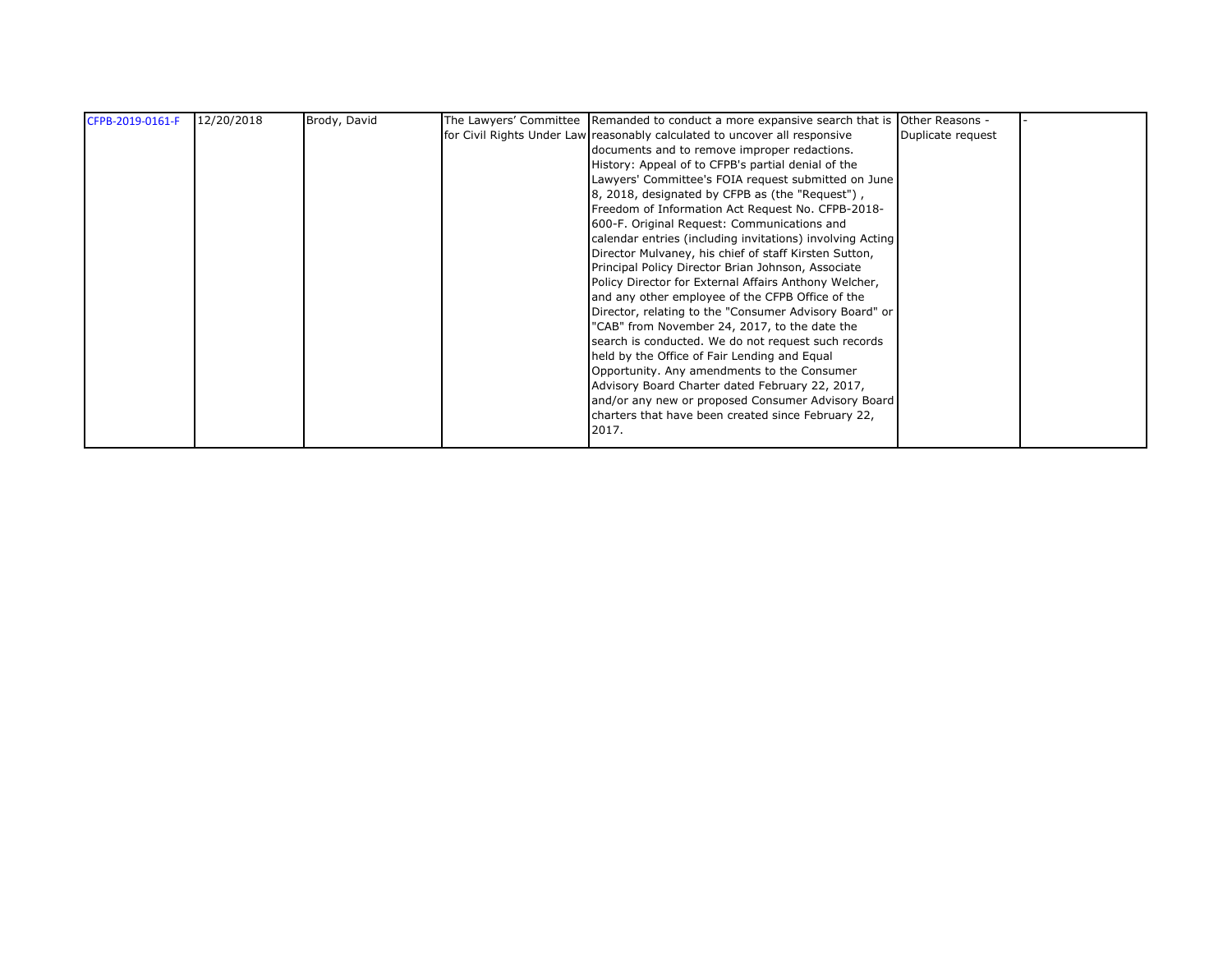| CFPB-2019-0161-F | 12/20/2018 | Brody, David | The Lawyers' Committee Remanded to conduct a more expansive search that is Other Reasons - |                   |  |
|------------------|------------|--------------|--------------------------------------------------------------------------------------------|-------------------|--|
|                  |            |              | for Civil Rights Under Law reasonably calculated to uncover all responsive                 | Duplicate request |  |
|                  |            |              | documents and to remove improper redactions.                                               |                   |  |
|                  |            |              | History: Appeal of to CFPB's partial denial of the                                         |                   |  |
|                  |            |              | Lawyers' Committee's FOIA request submitted on June                                        |                   |  |
|                  |            |              | 8, 2018, designated by CFPB as (the "Request"),                                            |                   |  |
|                  |            |              | Freedom of Information Act Request No. CFPB-2018-                                          |                   |  |
|                  |            |              | 600-F. Original Request: Communications and                                                |                   |  |
|                  |            |              | calendar entries (including invitations) involving Acting                                  |                   |  |
|                  |            |              | Director Mulvaney, his chief of staff Kirsten Sutton,                                      |                   |  |
|                  |            |              | Principal Policy Director Brian Johnson, Associate                                         |                   |  |
|                  |            |              | Policy Director for External Affairs Anthony Welcher,                                      |                   |  |
|                  |            |              | and any other employee of the CFPB Office of the                                           |                   |  |
|                  |            |              | Director, relating to the "Consumer Advisory Board" or                                     |                   |  |
|                  |            |              | "CAB" from November 24, 2017, to the date the                                              |                   |  |
|                  |            |              | search is conducted. We do not request such records                                        |                   |  |
|                  |            |              | held by the Office of Fair Lending and Equal                                               |                   |  |
|                  |            |              | Opportunity. Any amendments to the Consumer                                                |                   |  |
|                  |            |              | Advisory Board Charter dated February 22, 2017,                                            |                   |  |
|                  |            |              | and/or any new or proposed Consumer Advisory Board                                         |                   |  |
|                  |            |              | charters that have been created since February 22,                                         |                   |  |
|                  |            |              | 2017.                                                                                      |                   |  |
|                  |            |              |                                                                                            |                   |  |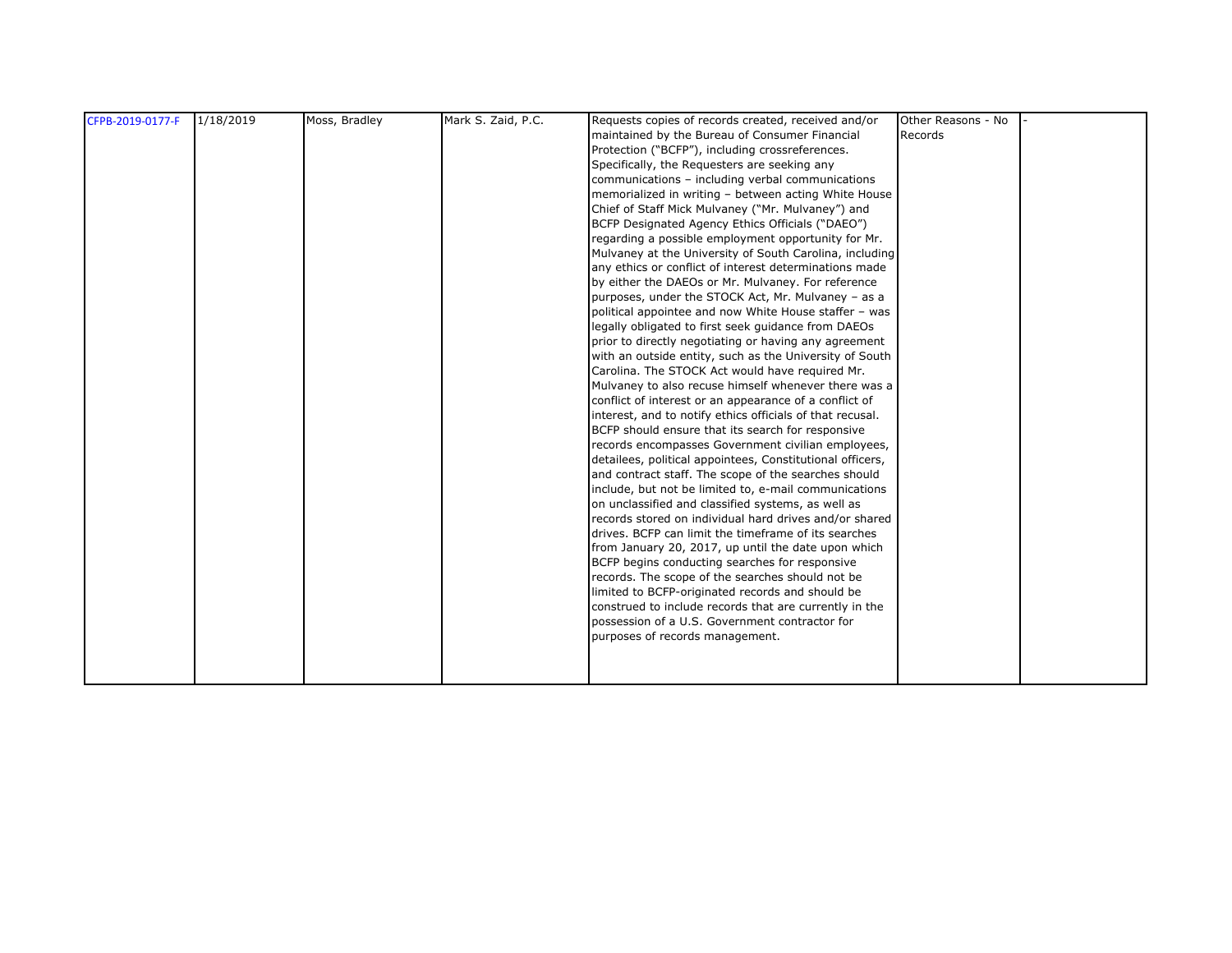| CFPB-2019-0177-F | 1/18/2019 | Moss, Bradley | Mark S. Zaid, P.C. | Requests copies of records created, received and/or       | Other Reasons - No |  |
|------------------|-----------|---------------|--------------------|-----------------------------------------------------------|--------------------|--|
|                  |           |               |                    | maintained by the Bureau of Consumer Financial            | Records            |  |
|                  |           |               |                    | Protection ("BCFP"), including crossreferences.           |                    |  |
|                  |           |               |                    | Specifically, the Requesters are seeking any              |                    |  |
|                  |           |               |                    | communications - including verbal communications          |                    |  |
|                  |           |               |                    | memorialized in writing - between acting White House      |                    |  |
|                  |           |               |                    | Chief of Staff Mick Mulvaney ("Mr. Mulvaney") and         |                    |  |
|                  |           |               |                    | BCFP Designated Agency Ethics Officials ("DAEO")          |                    |  |
|                  |           |               |                    | regarding a possible employment opportunity for Mr.       |                    |  |
|                  |           |               |                    | Mulvaney at the University of South Carolina, including   |                    |  |
|                  |           |               |                    | any ethics or conflict of interest determinations made    |                    |  |
|                  |           |               |                    | by either the DAEOs or Mr. Mulvaney. For reference        |                    |  |
|                  |           |               |                    | purposes, under the STOCK Act, Mr. Mulvaney - as a        |                    |  |
|                  |           |               |                    | political appointee and now White House staffer - was     |                    |  |
|                  |           |               |                    | legally obligated to first seek guidance from DAEOs       |                    |  |
|                  |           |               |                    | prior to directly negotiating or having any agreement     |                    |  |
|                  |           |               |                    | with an outside entity, such as the University of South   |                    |  |
|                  |           |               |                    | Carolina. The STOCK Act would have required Mr.           |                    |  |
|                  |           |               |                    | Mulvaney to also recuse himself whenever there was a      |                    |  |
|                  |           |               |                    | conflict of interest or an appearance of a conflict of    |                    |  |
|                  |           |               |                    | interest, and to notify ethics officials of that recusal. |                    |  |
|                  |           |               |                    | BCFP should ensure that its search for responsive         |                    |  |
|                  |           |               |                    | records encompasses Government civilian employees,        |                    |  |
|                  |           |               |                    | detailees, political appointees, Constitutional officers, |                    |  |
|                  |           |               |                    | and contract staff. The scope of the searches should      |                    |  |
|                  |           |               |                    | include, but not be limited to, e-mail communications     |                    |  |
|                  |           |               |                    | on unclassified and classified systems, as well as        |                    |  |
|                  |           |               |                    | records stored on individual hard drives and/or shared    |                    |  |
|                  |           |               |                    | drives. BCFP can limit the timeframe of its searches      |                    |  |
|                  |           |               |                    | from January 20, 2017, up until the date upon which       |                    |  |
|                  |           |               |                    | BCFP begins conducting searches for responsive            |                    |  |
|                  |           |               |                    | records. The scope of the searches should not be          |                    |  |
|                  |           |               |                    | limited to BCFP-originated records and should be          |                    |  |
|                  |           |               |                    | construed to include records that are currently in the    |                    |  |
|                  |           |               |                    | possession of a U.S. Government contractor for            |                    |  |
|                  |           |               |                    | purposes of records management.                           |                    |  |
|                  |           |               |                    |                                                           |                    |  |
|                  |           |               |                    |                                                           |                    |  |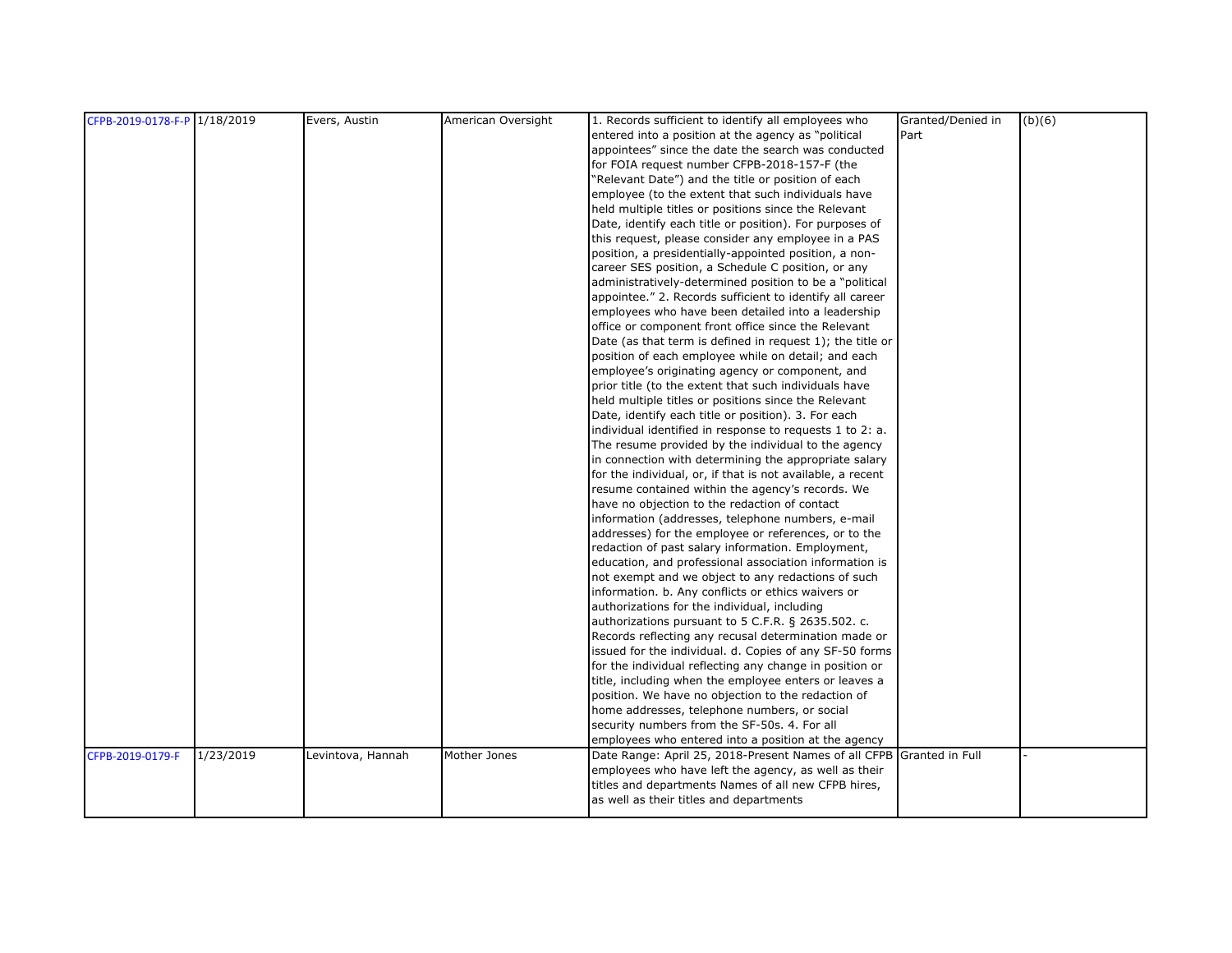| CFPB-2019-0178-F-P 1/18/2019<br>Evers, Austin<br>American Oversight<br>1. Records sufficient to identify all employees who                 | Granted/Denied in<br>(b)(6) |
|--------------------------------------------------------------------------------------------------------------------------------------------|-----------------------------|
| Part<br>entered into a position at the agency as "political                                                                                |                             |
| appointees" since the date the search was conducted                                                                                        |                             |
| for FOIA request number CFPB-2018-157-F (the                                                                                               |                             |
| "Relevant Date") and the title or position of each                                                                                         |                             |
| employee (to the extent that such individuals have                                                                                         |                             |
| held multiple titles or positions since the Relevant                                                                                       |                             |
| Date, identify each title or position). For purposes of                                                                                    |                             |
| this request, please consider any employee in a PAS                                                                                        |                             |
| position, a presidentially-appointed position, a non-                                                                                      |                             |
| career SES position, a Schedule C position, or any                                                                                         |                             |
| administratively-determined position to be a "political                                                                                    |                             |
| appointee." 2. Records sufficient to identify all career                                                                                   |                             |
| employees who have been detailed into a leadership                                                                                         |                             |
| office or component front office since the Relevant                                                                                        |                             |
| Date (as that term is defined in request 1); the title or                                                                                  |                             |
| position of each employee while on detail; and each                                                                                        |                             |
| employee's originating agency or component, and                                                                                            |                             |
| prior title (to the extent that such individuals have                                                                                      |                             |
| held multiple titles or positions since the Relevant                                                                                       |                             |
| Date, identify each title or position). 3. For each                                                                                        |                             |
| individual identified in response to requests 1 to 2: a.                                                                                   |                             |
| The resume provided by the individual to the agency                                                                                        |                             |
| in connection with determining the appropriate salary                                                                                      |                             |
| for the individual, or, if that is not available, a recent                                                                                 |                             |
| resume contained within the agency's records. We                                                                                           |                             |
| have no objection to the redaction of contact                                                                                              |                             |
| information (addresses, telephone numbers, e-mail                                                                                          |                             |
| addresses) for the employee or references, or to the                                                                                       |                             |
| redaction of past salary information. Employment,                                                                                          |                             |
| education, and professional association information is                                                                                     |                             |
| not exempt and we object to any redactions of such                                                                                         |                             |
| information. b. Any conflicts or ethics waivers or                                                                                         |                             |
| authorizations for the individual, including                                                                                               |                             |
| authorizations pursuant to 5 C.F.R. § 2635.502. c.                                                                                         |                             |
| Records reflecting any recusal determination made or                                                                                       |                             |
| issued for the individual. d. Copies of any SF-50 forms                                                                                    |                             |
| for the individual reflecting any change in position or                                                                                    |                             |
| title, including when the employee enters or leaves a                                                                                      |                             |
| position. We have no objection to the redaction of                                                                                         |                             |
| home addresses, telephone numbers, or social                                                                                               |                             |
| security numbers from the SF-50s. 4. For all                                                                                               |                             |
| employees who entered into a position at the agency                                                                                        |                             |
| 1/23/2019<br>Mother Jones<br>Date Range: April 25, 2018-Present Names of all CFPB Granted in Full<br>CFPB-2019-0179-F<br>Levintova, Hannah |                             |
| employees who have left the agency, as well as their                                                                                       |                             |
| titles and departments Names of all new CFPB hires,                                                                                        |                             |
| as well as their titles and departments                                                                                                    |                             |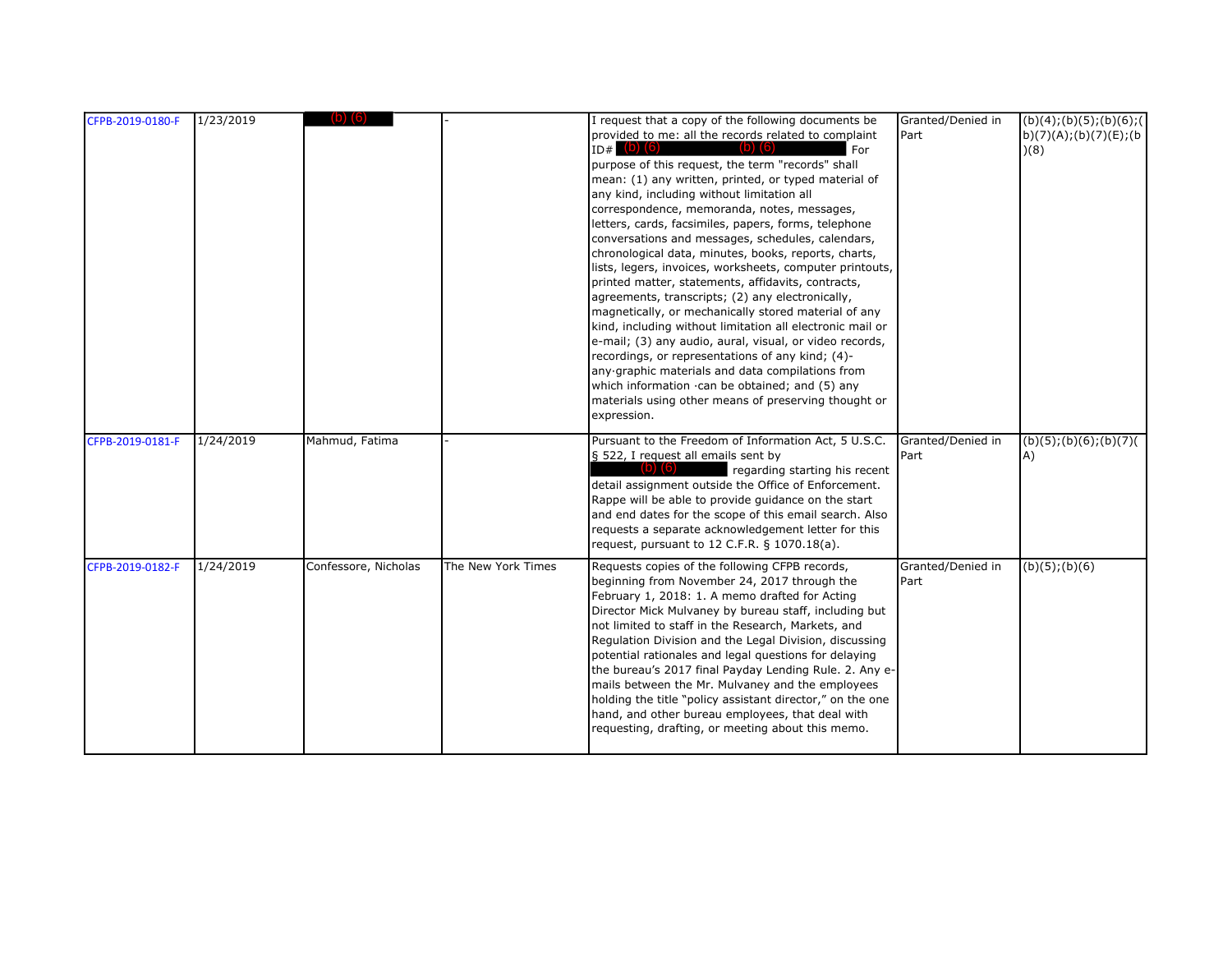| CFPB-2019-0180-F | 1/23/2019 |                      |                    | I request that a copy of the following documents be<br>provided to me: all the records related to complaint<br>$ID#$ (b) (6)<br>$(b)$ $(6)$<br>For<br>purpose of this request, the term "records" shall<br>mean: (1) any written, printed, or typed material of<br>any kind, including without limitation all<br>correspondence, memoranda, notes, messages,<br>letters, cards, facsimiles, papers, forms, telephone<br>conversations and messages, schedules, calendars,<br>chronological data, minutes, books, reports, charts,<br>lists, legers, invoices, worksheets, computer printouts,<br>printed matter, statements, affidavits, contracts,<br>agreements, transcripts; (2) any electronically,<br>magnetically, or mechanically stored material of any<br>kind, including without limitation all electronic mail or<br>e-mail; (3) any audio, aural, visual, or video records,<br>recordings, or representations of any kind; (4)-<br>any graphic materials and data compilations from<br>which information .can be obtained; and (5) any<br>materials using other means of preserving thought or<br>expression. | Granted/Denied in<br>Part | (b)(4); (b)(5); (b)(6); (c)<br>b) $(7)(A);(b)(7)(E);(b)$<br>(8) |
|------------------|-----------|----------------------|--------------------|---------------------------------------------------------------------------------------------------------------------------------------------------------------------------------------------------------------------------------------------------------------------------------------------------------------------------------------------------------------------------------------------------------------------------------------------------------------------------------------------------------------------------------------------------------------------------------------------------------------------------------------------------------------------------------------------------------------------------------------------------------------------------------------------------------------------------------------------------------------------------------------------------------------------------------------------------------------------------------------------------------------------------------------------------------------------------------------------------------------------------|---------------------------|-----------------------------------------------------------------|
| CFPB-2019-0181-F | 1/24/2019 | Mahmud, Fatima       |                    | Pursuant to the Freedom of Information Act, 5 U.S.C.<br>§ 522, I request all emails sent by<br>regarding starting his recent<br>detail assignment outside the Office of Enforcement.<br>Rappe will be able to provide guidance on the start<br>and end dates for the scope of this email search. Also<br>requests a separate acknowledgement letter for this<br>request, pursuant to 12 C.F.R. § 1070.18(a).                                                                                                                                                                                                                                                                                                                                                                                                                                                                                                                                                                                                                                                                                                              | Granted/Denied in<br>Part | (b)(5); (b)(6); (b)(7)<br>A)                                    |
| CFPB-2019-0182-F | 1/24/2019 | Confessore, Nicholas | The New York Times | Requests copies of the following CFPB records,<br>beginning from November 24, 2017 through the<br>February 1, 2018: 1. A memo drafted for Acting<br>Director Mick Mulvaney by bureau staff, including but<br>not limited to staff in the Research, Markets, and<br>Regulation Division and the Legal Division, discussing<br>potential rationales and legal questions for delaying<br>the bureau's 2017 final Payday Lending Rule. 2. Any e-<br>mails between the Mr. Mulvaney and the employees<br>holding the title "policy assistant director," on the one<br>hand, and other bureau employees, that deal with<br>requesting, drafting, or meeting about this memo.                                                                                                                                                                                                                                                                                                                                                                                                                                                    | Granted/Denied in<br>Part | $(b)(5)$ ; $(b)(6)$                                             |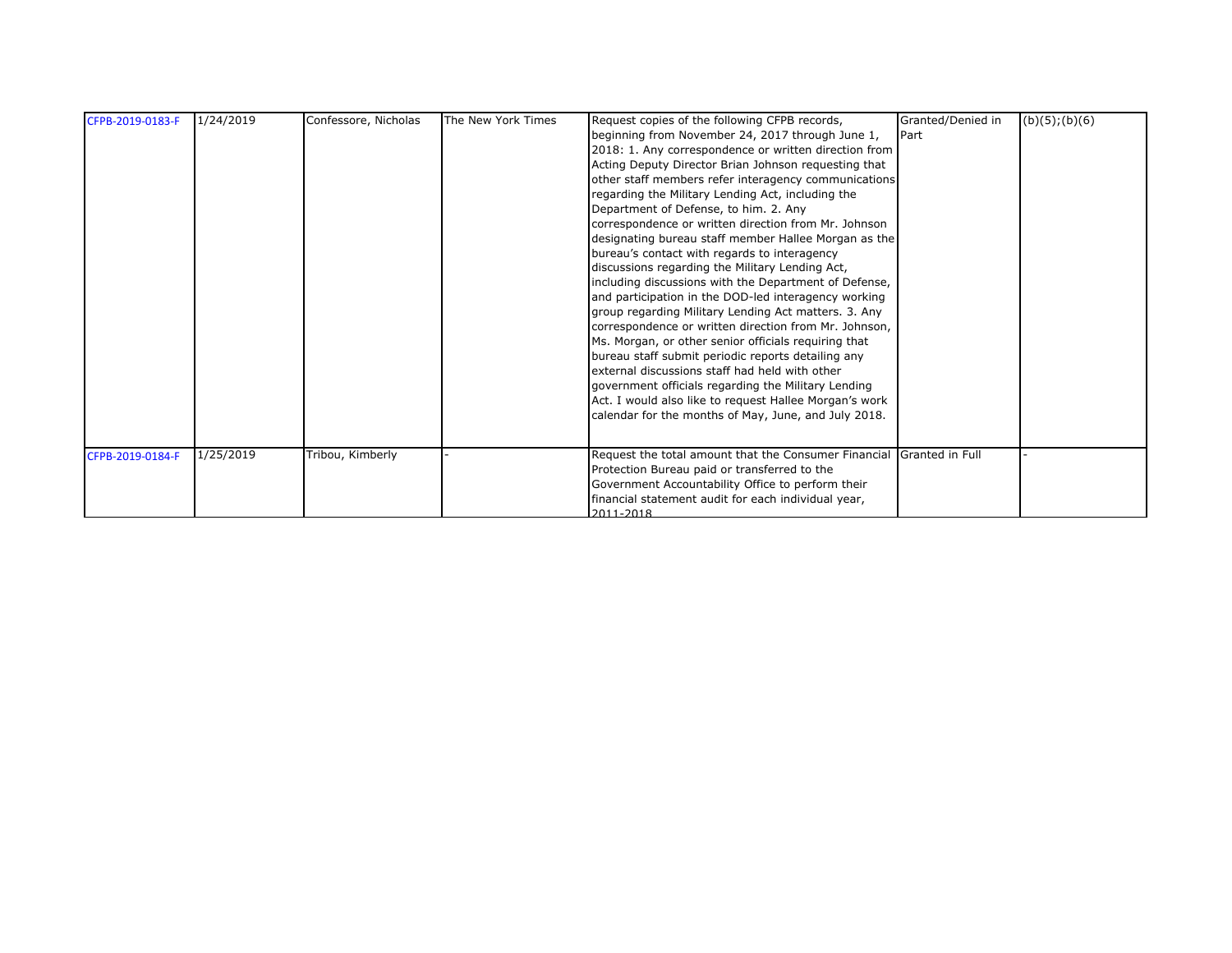| CFPB-2019-0183-F | 1/24/2019 | Confessore, Nicholas | The New York Times | Request copies of the following CFPB records,<br>beginning from November 24, 2017 through June 1,<br>2018: 1. Any correspondence or written direction from<br>Acting Deputy Director Brian Johnson requesting that<br>other staff members refer interagency communications<br>regarding the Military Lending Act, including the<br>Department of Defense, to him. 2. Any<br>correspondence or written direction from Mr. Johnson<br>designating bureau staff member Hallee Morgan as the<br>bureau's contact with regards to interagency<br>discussions regarding the Military Lending Act,<br>including discussions with the Department of Defense,<br>and participation in the DOD-led interagency working<br>group regarding Military Lending Act matters. 3. Any<br>correspondence or written direction from Mr. Johnson,<br>Ms. Morgan, or other senior officials requiring that | Granted/Denied in<br>Part | (b)(5); (b)(6) |
|------------------|-----------|----------------------|--------------------|---------------------------------------------------------------------------------------------------------------------------------------------------------------------------------------------------------------------------------------------------------------------------------------------------------------------------------------------------------------------------------------------------------------------------------------------------------------------------------------------------------------------------------------------------------------------------------------------------------------------------------------------------------------------------------------------------------------------------------------------------------------------------------------------------------------------------------------------------------------------------------------|---------------------------|----------------|
|                  |           |                      |                    | bureau staff submit periodic reports detailing any<br>external discussions staff had held with other<br>government officials regarding the Military Lending<br>Act. I would also like to request Hallee Morgan's work<br>calendar for the months of May, June, and July 2018.                                                                                                                                                                                                                                                                                                                                                                                                                                                                                                                                                                                                         |                           |                |
| CFPB-2019-0184-F | 1/25/2019 | Tribou, Kimberly     |                    | Request the total amount that the Consumer Financial Granted in Full<br>Protection Bureau paid or transferred to the<br>Government Accountability Office to perform their<br>financial statement audit for each individual year,<br>2011-2018                                                                                                                                                                                                                                                                                                                                                                                                                                                                                                                                                                                                                                         |                           |                |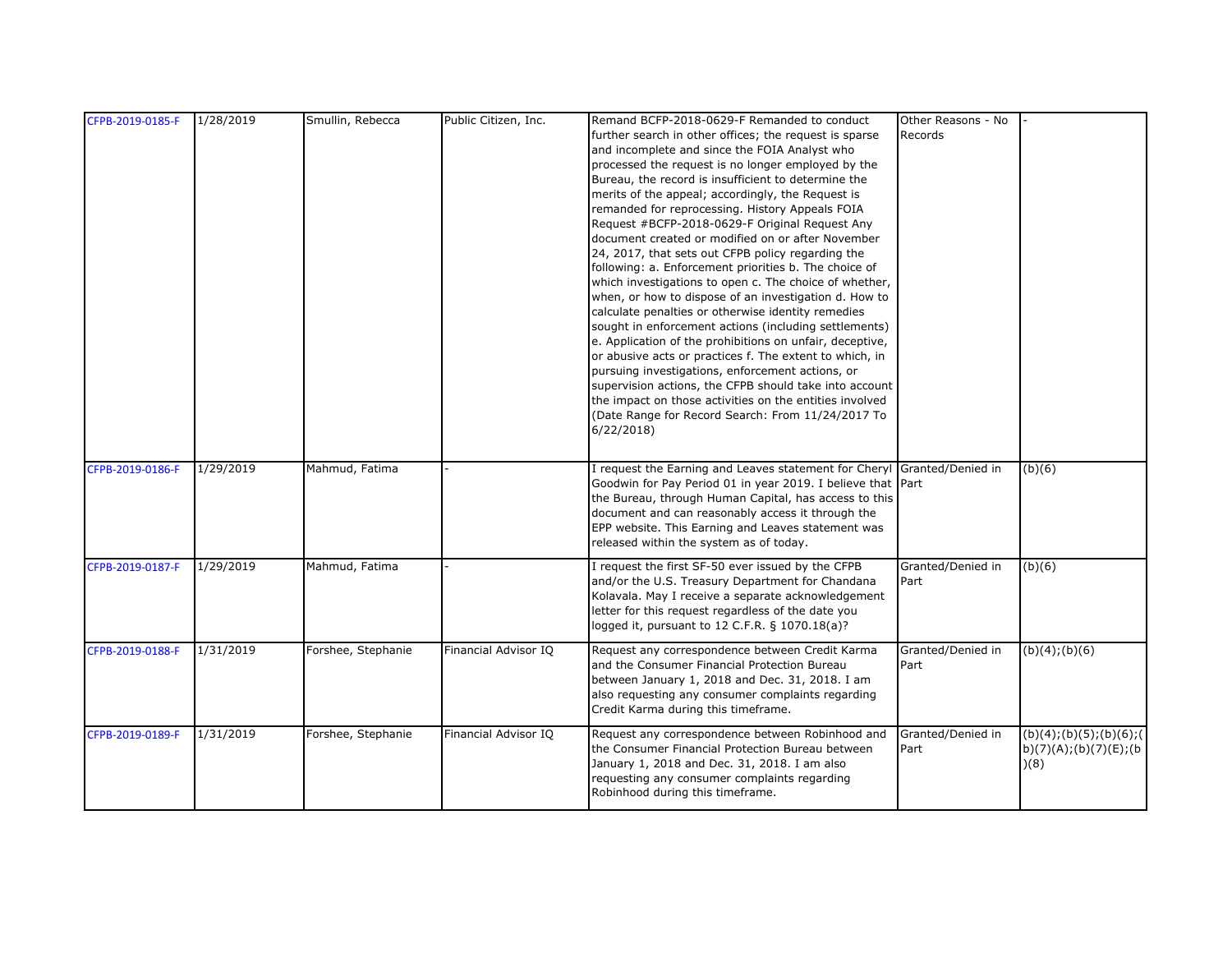| CFPB-2019-0185-F | 1/28/2019 | Smullin, Rebecca   | Public Citizen, Inc. | Remand BCFP-2018-0629-F Remanded to conduct                             | Other Reasons - No |                           |
|------------------|-----------|--------------------|----------------------|-------------------------------------------------------------------------|--------------------|---------------------------|
|                  |           |                    |                      | further search in other offices; the request is sparse                  | Records            |                           |
|                  |           |                    |                      | and incomplete and since the FOIA Analyst who                           |                    |                           |
|                  |           |                    |                      | processed the request is no longer employed by the                      |                    |                           |
|                  |           |                    |                      | Bureau, the record is insufficient to determine the                     |                    |                           |
|                  |           |                    |                      | merits of the appeal; accordingly, the Request is                       |                    |                           |
|                  |           |                    |                      | remanded for reprocessing. History Appeals FOIA                         |                    |                           |
|                  |           |                    |                      | Request #BCFP-2018-0629-F Original Request Any                          |                    |                           |
|                  |           |                    |                      | document created or modified on or after November                       |                    |                           |
|                  |           |                    |                      | 24, 2017, that sets out CFPB policy regarding the                       |                    |                           |
|                  |           |                    |                      | following: a. Enforcement priorities b. The choice of                   |                    |                           |
|                  |           |                    |                      | which investigations to open c. The choice of whether,                  |                    |                           |
|                  |           |                    |                      | when, or how to dispose of an investigation d. How to                   |                    |                           |
|                  |           |                    |                      | calculate penalties or otherwise identity remedies                      |                    |                           |
|                  |           |                    |                      | sought in enforcement actions (including settlements)                   |                    |                           |
|                  |           |                    |                      | e. Application of the prohibitions on unfair, deceptive,                |                    |                           |
|                  |           |                    |                      | or abusive acts or practices f. The extent to which, in                 |                    |                           |
|                  |           |                    |                      | pursuing investigations, enforcement actions, or                        |                    |                           |
|                  |           |                    |                      | supervision actions, the CFPB should take into account                  |                    |                           |
|                  |           |                    |                      | the impact on those activities on the entities involved                 |                    |                           |
|                  |           |                    |                      | (Date Range for Record Search: From 11/24/2017 To                       |                    |                           |
|                  |           |                    |                      | 6/22/2018                                                               |                    |                           |
|                  |           |                    |                      |                                                                         |                    |                           |
| CFPB-2019-0186-F | 1/29/2019 | Mahmud, Fatima     |                      | I request the Earning and Leaves statement for Cheryl Granted/Denied in |                    | (b)(6)                    |
|                  |           |                    |                      | Goodwin for Pay Period 01 in year 2019. I believe that Part             |                    |                           |
|                  |           |                    |                      | the Bureau, through Human Capital, has access to this                   |                    |                           |
|                  |           |                    |                      | document and can reasonably access it through the                       |                    |                           |
|                  |           |                    |                      | EPP website. This Earning and Leaves statement was                      |                    |                           |
|                  |           |                    |                      | released within the system as of today.                                 |                    |                           |
| CFPB-2019-0187-F | 1/29/2019 | Mahmud, Fatima     |                      | I request the first SF-50 ever issued by the CFPB                       | Granted/Denied in  | (b)(6)                    |
|                  |           |                    |                      | and/or the U.S. Treasury Department for Chandana                        | Part               |                           |
|                  |           |                    |                      | Kolavala. May I receive a separate acknowledgement                      |                    |                           |
|                  |           |                    |                      | letter for this request regardless of the date you                      |                    |                           |
|                  |           |                    |                      | logged it, pursuant to 12 C.F.R. § 1070.18(a)?                          |                    |                           |
| CFPB-2019-0188-F | 1/31/2019 | Forshee, Stephanie | Financial Advisor IO | Request any correspondence between Credit Karma                         | Granted/Denied in  | (b)(4); (b)(6)            |
|                  |           |                    |                      | and the Consumer Financial Protection Bureau                            | Part               |                           |
|                  |           |                    |                      | between January 1, 2018 and Dec. 31, 2018. I am                         |                    |                           |
|                  |           |                    |                      | also requesting any consumer complaints regarding                       |                    |                           |
|                  |           |                    |                      | Credit Karma during this timeframe.                                     |                    |                           |
| CFPB-2019-0189-F | 1/31/2019 | Forshee, Stephanie | Financial Advisor IQ | Request any correspondence between Robinhood and                        | Granted/Denied in  | (b)(4); (b)(5); (b)(6); ( |
|                  |           |                    |                      | the Consumer Financial Protection Bureau between                        | Part               | b)(7)(A);(b)(7)(E);(b)    |
|                  |           |                    |                      | January 1, 2018 and Dec. 31, 2018. I am also                            |                    | (8)                       |
|                  |           |                    |                      | requesting any consumer complaints regarding                            |                    |                           |
|                  |           |                    |                      | Robinhood during this timeframe.                                        |                    |                           |
|                  |           |                    |                      |                                                                         |                    |                           |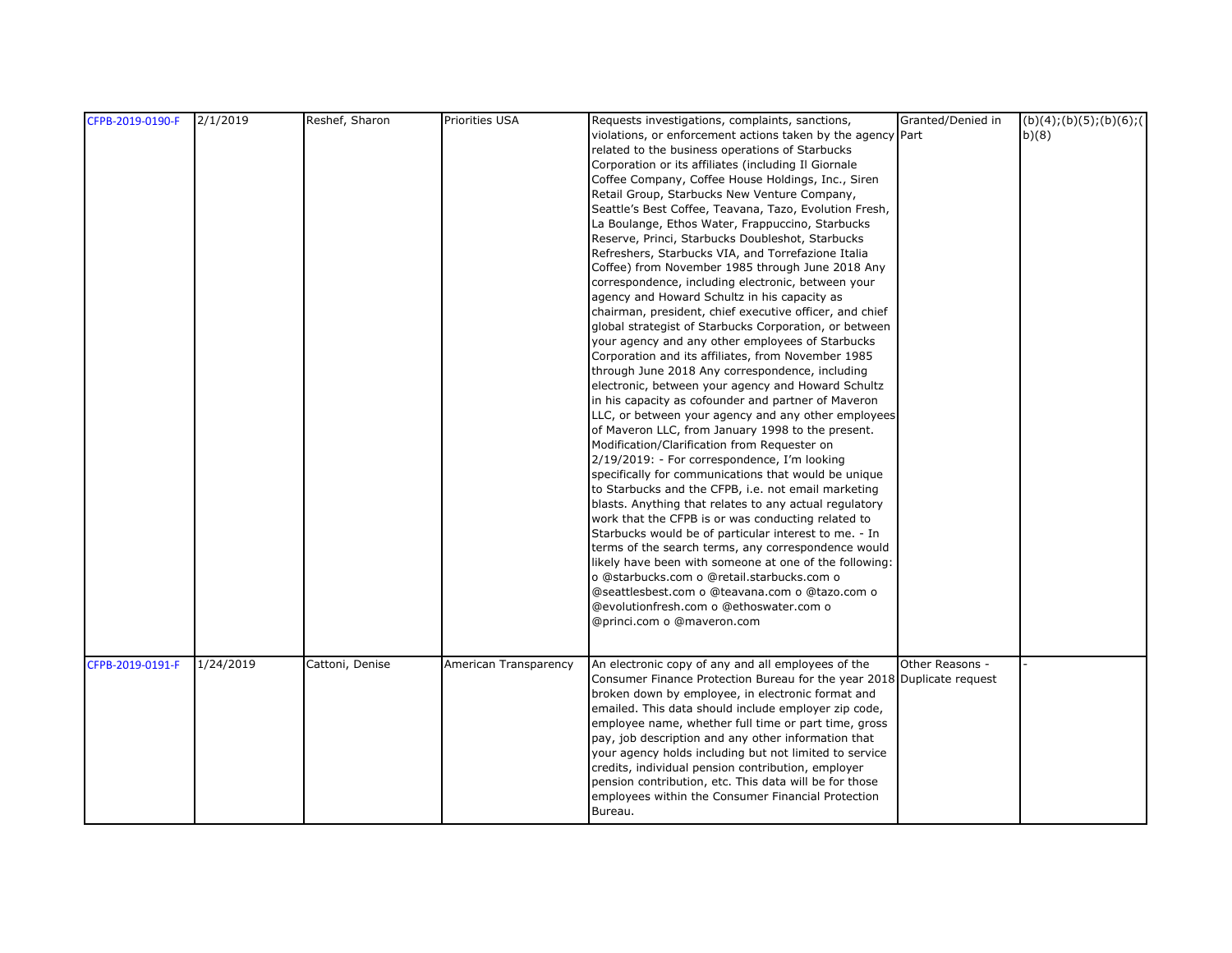| CFPB-2019-0190-F | 2/1/2019  | Reshef, Sharon  | Priorities USA        | Requests investigations, complaints, sanctions,                        | Granted/Denied in | (b)(4); (b)(5); (b)(6); ( |
|------------------|-----------|-----------------|-----------------------|------------------------------------------------------------------------|-------------------|---------------------------|
|                  |           |                 |                       | violations, or enforcement actions taken by the agency Part            |                   | b)(8)                     |
|                  |           |                 |                       | related to the business operations of Starbucks                        |                   |                           |
|                  |           |                 |                       | Corporation or its affiliates (including Il Giornale                   |                   |                           |
|                  |           |                 |                       | Coffee Company, Coffee House Holdings, Inc., Siren                     |                   |                           |
|                  |           |                 |                       | Retail Group, Starbucks New Venture Company,                           |                   |                           |
|                  |           |                 |                       | Seattle's Best Coffee, Teavana, Tazo, Evolution Fresh,                 |                   |                           |
|                  |           |                 |                       | La Boulange, Ethos Water, Frappuccino, Starbucks                       |                   |                           |
|                  |           |                 |                       | Reserve, Princi, Starbucks Doubleshot, Starbucks                       |                   |                           |
|                  |           |                 |                       | Refreshers, Starbucks VIA, and Torrefazione Italia                     |                   |                           |
|                  |           |                 |                       | Coffee) from November 1985 through June 2018 Any                       |                   |                           |
|                  |           |                 |                       | correspondence, including electronic, between your                     |                   |                           |
|                  |           |                 |                       | agency and Howard Schultz in his capacity as                           |                   |                           |
|                  |           |                 |                       | chairman, president, chief executive officer, and chief                |                   |                           |
|                  |           |                 |                       | global strategist of Starbucks Corporation, or between                 |                   |                           |
|                  |           |                 |                       | your agency and any other employees of Starbucks                       |                   |                           |
|                  |           |                 |                       | Corporation and its affiliates, from November 1985                     |                   |                           |
|                  |           |                 |                       | through June 2018 Any correspondence, including                        |                   |                           |
|                  |           |                 |                       | electronic, between your agency and Howard Schultz                     |                   |                           |
|                  |           |                 |                       | in his capacity as cofounder and partner of Maveron                    |                   |                           |
|                  |           |                 |                       | LLC, or between your agency and any other employees                    |                   |                           |
|                  |           |                 |                       | of Maveron LLC, from January 1998 to the present.                      |                   |                           |
|                  |           |                 |                       | Modification/Clarification from Requester on                           |                   |                           |
|                  |           |                 |                       | 2/19/2019: - For correspondence, I'm looking                           |                   |                           |
|                  |           |                 |                       | specifically for communications that would be unique                   |                   |                           |
|                  |           |                 |                       | to Starbucks and the CFPB, i.e. not email marketing                    |                   |                           |
|                  |           |                 |                       | blasts. Anything that relates to any actual regulatory                 |                   |                           |
|                  |           |                 |                       | work that the CFPB is or was conducting related to                     |                   |                           |
|                  |           |                 |                       | Starbucks would be of particular interest to me. - In                  |                   |                           |
|                  |           |                 |                       | terms of the search terms, any correspondence would                    |                   |                           |
|                  |           |                 |                       | likely have been with someone at one of the following:                 |                   |                           |
|                  |           |                 |                       | o @starbucks.com o @retail.starbucks.com o                             |                   |                           |
|                  |           |                 |                       | @seattlesbest.com o @teavana.com o @tazo.com o                         |                   |                           |
|                  |           |                 |                       | @evolutionfresh.com o @ethoswater.com o                                |                   |                           |
|                  |           |                 |                       | @princi.com o @maveron.com                                             |                   |                           |
|                  |           |                 |                       |                                                                        |                   |                           |
| CFPB-2019-0191-F | 1/24/2019 | Cattoni, Denise | American Transparency | An electronic copy of any and all employees of the                     | Other Reasons -   |                           |
|                  |           |                 |                       | Consumer Finance Protection Bureau for the year 2018 Duplicate request |                   |                           |
|                  |           |                 |                       | broken down by employee, in electronic format and                      |                   |                           |
|                  |           |                 |                       | emailed. This data should include employer zip code,                   |                   |                           |
|                  |           |                 |                       | employee name, whether full time or part time, gross                   |                   |                           |
|                  |           |                 |                       | pay, job description and any other information that                    |                   |                           |
|                  |           |                 |                       | your agency holds including but not limited to service                 |                   |                           |
|                  |           |                 |                       | credits, individual pension contribution, employer                     |                   |                           |
|                  |           |                 |                       | pension contribution, etc. This data will be for those                 |                   |                           |
|                  |           |                 |                       | employees within the Consumer Financial Protection                     |                   |                           |
|                  |           |                 |                       | Bureau.                                                                |                   |                           |
|                  |           |                 |                       |                                                                        |                   |                           |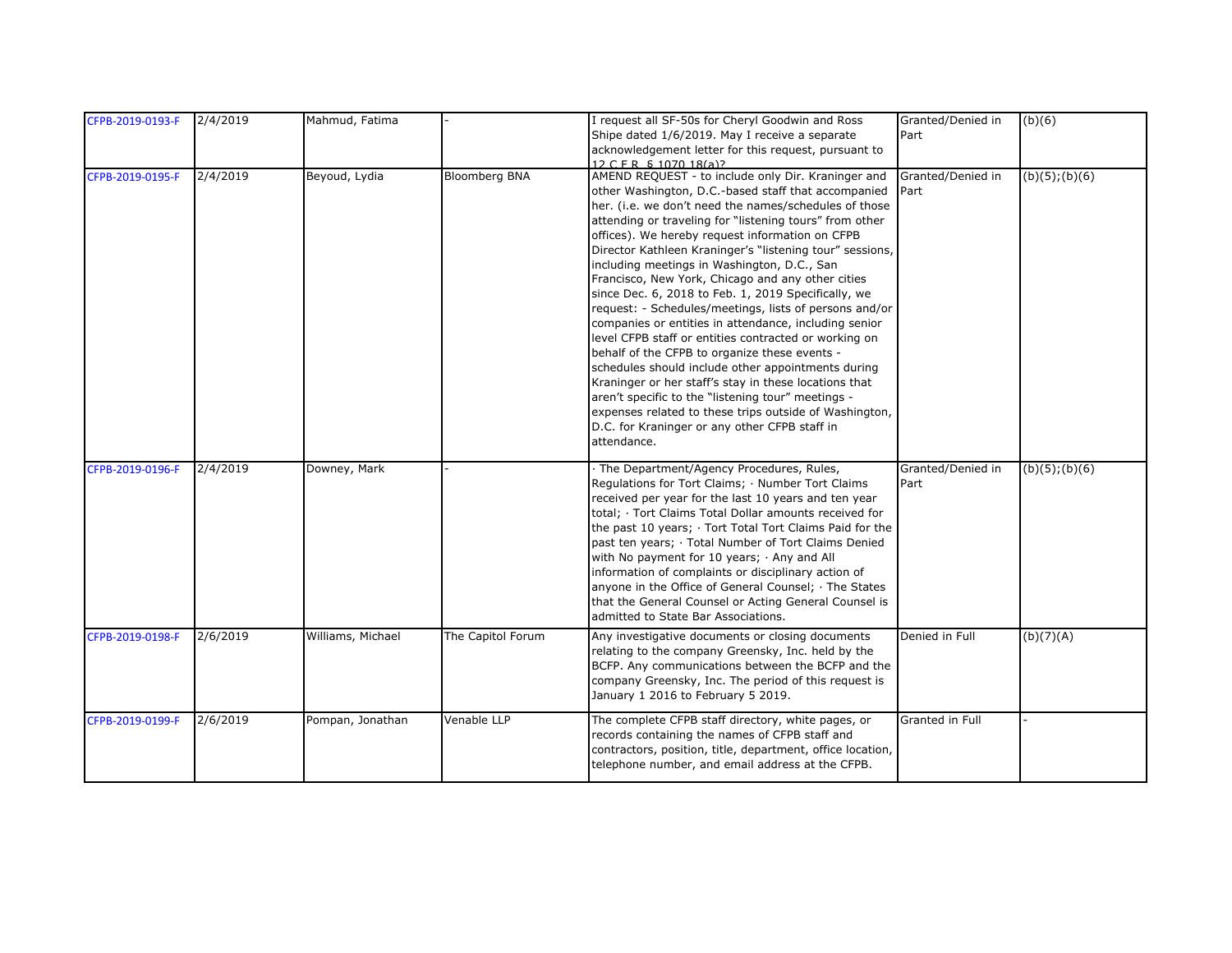| CFPB-2019-0193-F | 2/4/2019 | Mahmud, Fatima    |                      | I request all SF-50s for Cheryl Goodwin and Ross<br>Shipe dated 1/6/2019. May I receive a separate                                                                                                                                                                                                                                                                                                                                                                                                                                                                                                                                                                                                                                                                                                                                                                                                                                                                                                                                  | Granted/Denied in<br>Part | (b)(6)              |
|------------------|----------|-------------------|----------------------|-------------------------------------------------------------------------------------------------------------------------------------------------------------------------------------------------------------------------------------------------------------------------------------------------------------------------------------------------------------------------------------------------------------------------------------------------------------------------------------------------------------------------------------------------------------------------------------------------------------------------------------------------------------------------------------------------------------------------------------------------------------------------------------------------------------------------------------------------------------------------------------------------------------------------------------------------------------------------------------------------------------------------------------|---------------------------|---------------------|
|                  |          |                   |                      | acknowledgement letter for this request, pursuant to<br>12 C F R S 1070 18(a)?                                                                                                                                                                                                                                                                                                                                                                                                                                                                                                                                                                                                                                                                                                                                                                                                                                                                                                                                                      |                           |                     |
| CFPB-2019-0195-F | 2/4/2019 | Beyoud, Lydia     | <b>Bloomberg BNA</b> | AMEND REQUEST - to include only Dir. Kraninger and<br>other Washington, D.C.-based staff that accompanied<br>her. (i.e. we don't need the names/schedules of those<br>attending or traveling for "listening tours" from other<br>offices). We hereby request information on CFPB<br>Director Kathleen Kraninger's "listening tour" sessions,<br>including meetings in Washington, D.C., San<br>Francisco, New York, Chicago and any other cities<br>since Dec. 6, 2018 to Feb. 1, 2019 Specifically, we<br>request: - Schedules/meetings, lists of persons and/or<br>companies or entities in attendance, including senior<br>level CFPB staff or entities contracted or working on<br>behalf of the CFPB to organize these events -<br>schedules should include other appointments during<br>Kraninger or her staff's stay in these locations that<br>aren't specific to the "listening tour" meetings -<br>expenses related to these trips outside of Washington,<br>D.C. for Kraninger or any other CFPB staff in<br>attendance. | Granted/Denied in<br>Part | $(b)(5)$ ; $(b)(6)$ |
| CFPB-2019-0196-F | 2/4/2019 | Downey, Mark      |                      | The Department/Agency Procedures, Rules,<br>Regulations for Tort Claims; · Number Tort Claims<br>received per year for the last 10 years and ten year<br>total; · Tort Claims Total Dollar amounts received for<br>the past 10 years; · Tort Total Tort Claims Paid for the<br>past ten years; Total Number of Tort Claims Denied<br>with No payment for 10 years; Any and All<br>information of complaints or disciplinary action of<br>anyone in the Office of General Counsel; The States<br>that the General Counsel or Acting General Counsel is<br>admitted to State Bar Associations.                                                                                                                                                                                                                                                                                                                                                                                                                                        | Granted/Denied in<br>Part | (b)(5); (b)(6)      |
| CFPB-2019-0198-F | 2/6/2019 | Williams, Michael | The Capitol Forum    | Any investigative documents or closing documents<br>relating to the company Greensky, Inc. held by the<br>BCFP. Any communications between the BCFP and the<br>company Greensky, Inc. The period of this request is<br>January 1 2016 to February 5 2019.                                                                                                                                                                                                                                                                                                                                                                                                                                                                                                                                                                                                                                                                                                                                                                           | Denied in Full            | (b)(7)(A)           |
| CFPB-2019-0199-F | 2/6/2019 | Pompan, Jonathan  | Venable LLP          | The complete CFPB staff directory, white pages, or<br>records containing the names of CFPB staff and<br>contractors, position, title, department, office location,<br>telephone number, and email address at the CFPB.                                                                                                                                                                                                                                                                                                                                                                                                                                                                                                                                                                                                                                                                                                                                                                                                              | Granted in Full           |                     |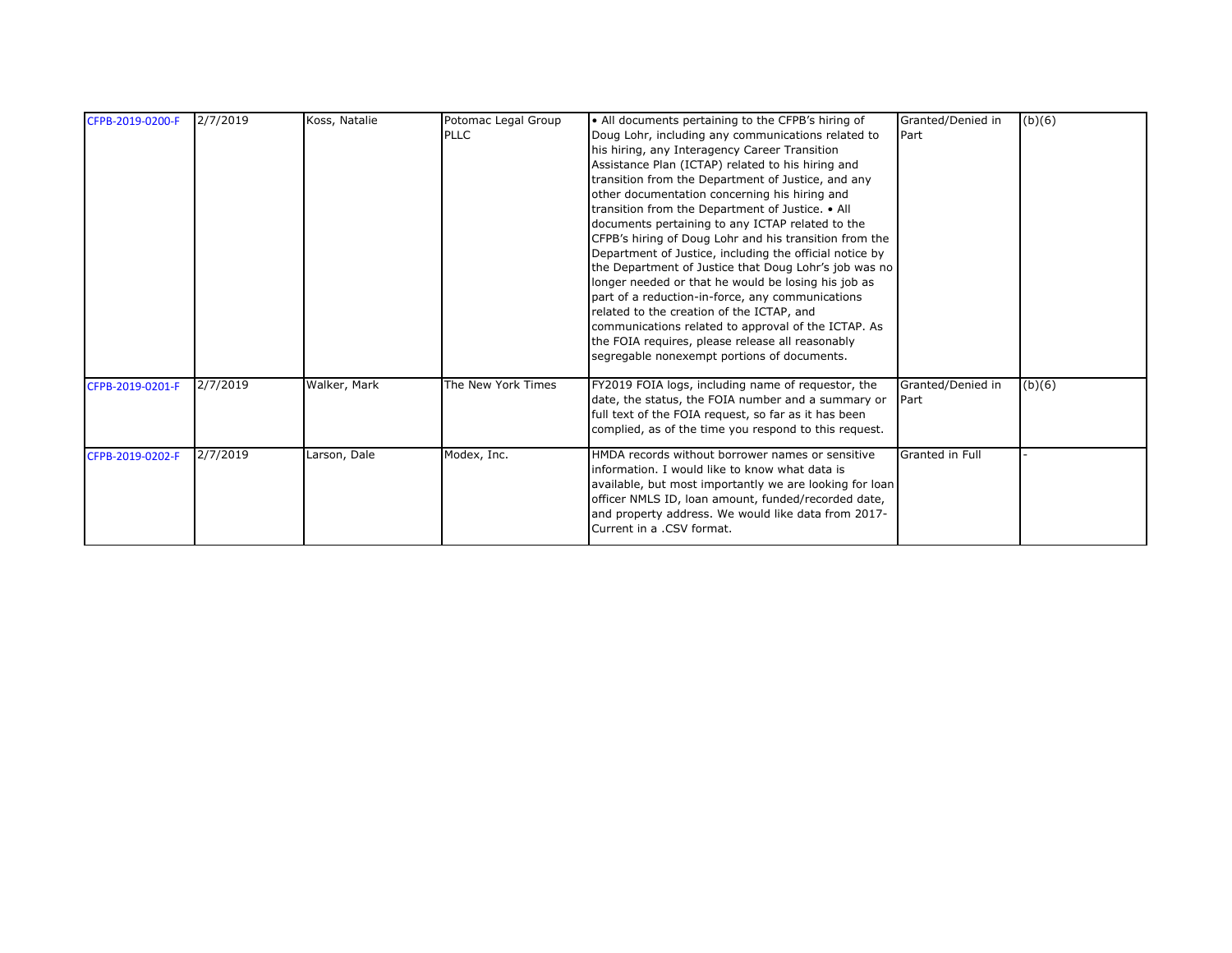| 2/7/2019<br>Koss, Natalie<br>Potomac Legal Group<br>Granted/Denied in<br>• All documents pertaining to the CFPB's hiring of<br>CFPB-2019-0200-F | (b)(6) |
|-------------------------------------------------------------------------------------------------------------------------------------------------|--------|
| <b>PLLC</b><br>Doug Lohr, including any communications related to<br><b>I</b> Part                                                              |        |
| his hiring, any Interagency Career Transition                                                                                                   |        |
| Assistance Plan (ICTAP) related to his hiring and                                                                                               |        |
| transition from the Department of Justice, and any                                                                                              |        |
| other documentation concerning his hiring and                                                                                                   |        |
| transition from the Department of Justice. • All                                                                                                |        |
| documents pertaining to any ICTAP related to the                                                                                                |        |
| CFPB's hiring of Doug Lohr and his transition from the                                                                                          |        |
| Department of Justice, including the official notice by                                                                                         |        |
| the Department of Justice that Doug Lohr's job was no                                                                                           |        |
| longer needed or that he would be losing his job as                                                                                             |        |
| part of a reduction-in-force, any communications                                                                                                |        |
| related to the creation of the ICTAP, and                                                                                                       |        |
| communications related to approval of the ICTAP. As                                                                                             |        |
| the FOIA requires, please release all reasonably                                                                                                |        |
| segregable nonexempt portions of documents.                                                                                                     |        |
| 2/7/2019<br>Walker, Mark<br>Granted/Denied in<br>The New York Times<br>FY2019 FOIA logs, including name of requestor, the                       |        |
| CFPB-2019-0201-F<br>date, the status, the FOIA number and a summary or                                                                          | (b)(6) |
| <b>IPart</b>                                                                                                                                    |        |
| full text of the FOIA request, so far as it has been                                                                                            |        |
| complied, as of the time you respond to this request.                                                                                           |        |
| Modex, Inc.<br>HMDA records without borrower names or sensitive<br>Granted in Full<br>2/7/2019<br>Larson, Dale<br>CFPB-2019-0202-F              |        |
| information. I would like to know what data is                                                                                                  |        |
| available, but most importantly we are looking for loan                                                                                         |        |
| officer NMLS ID, loan amount, funded/recorded date,                                                                                             |        |
| and property address. We would like data from 2017-                                                                                             |        |
| Current in a .CSV format.                                                                                                                       |        |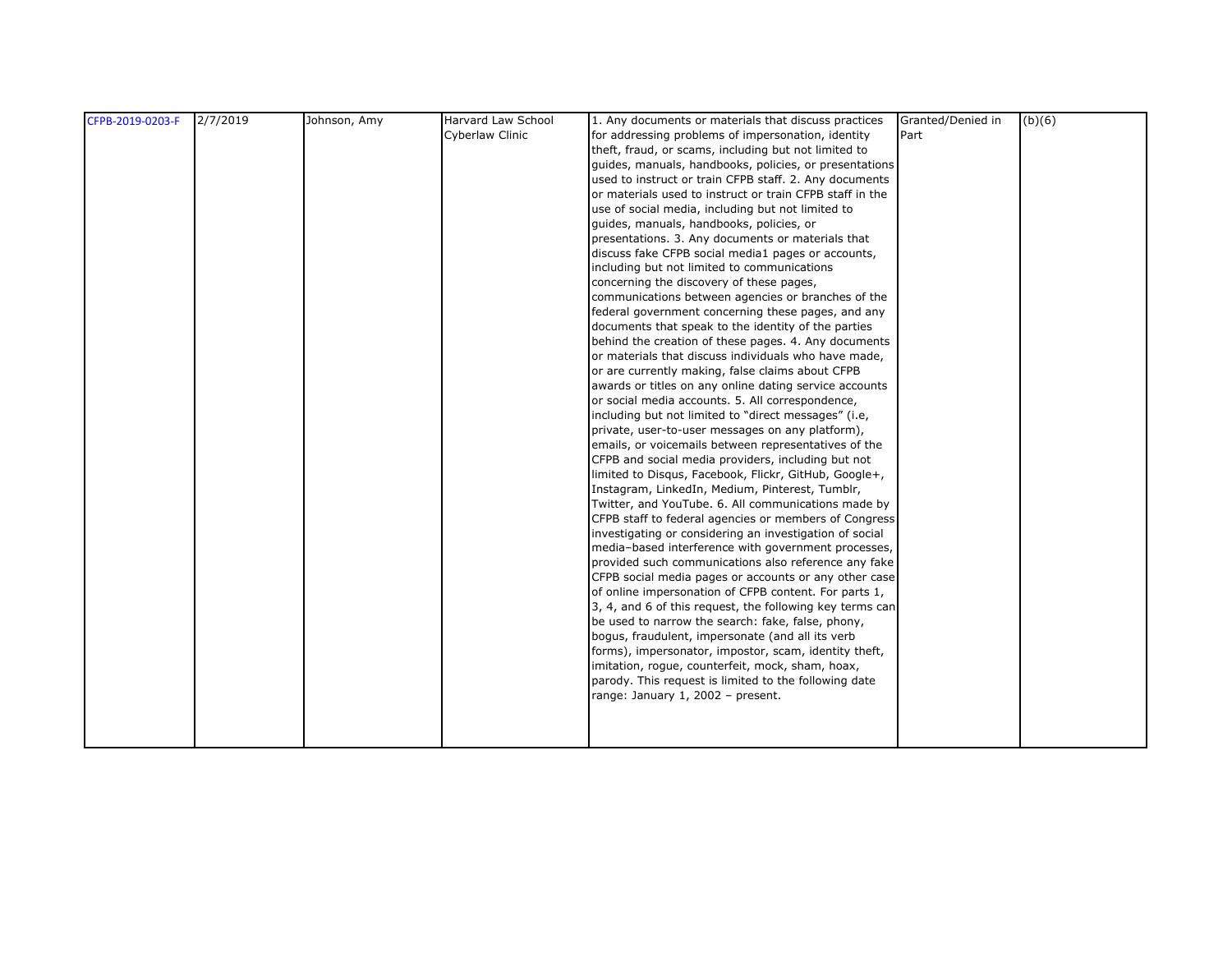| CFPB-2019-0203-F | 2/7/2019 | Johnson, Amy | Harvard Law School | 1. Any documents or materials that discuss practices     | Granted/Denied in | (b)(6) |
|------------------|----------|--------------|--------------------|----------------------------------------------------------|-------------------|--------|
|                  |          |              | Cyberlaw Clinic    | for addressing problems of impersonation, identity       | Part              |        |
|                  |          |              |                    | theft, fraud, or scams, including but not limited to     |                   |        |
|                  |          |              |                    | guides, manuals, handbooks, policies, or presentations   |                   |        |
|                  |          |              |                    | used to instruct or train CFPB staff. 2. Any documents   |                   |        |
|                  |          |              |                    | or materials used to instruct or train CFPB staff in the |                   |        |
|                  |          |              |                    | use of social media, including but not limited to        |                   |        |
|                  |          |              |                    | guides, manuals, handbooks, policies, or                 |                   |        |
|                  |          |              |                    | presentations. 3. Any documents or materials that        |                   |        |
|                  |          |              |                    | discuss fake CFPB social media1 pages or accounts,       |                   |        |
|                  |          |              |                    | including but not limited to communications              |                   |        |
|                  |          |              |                    | concerning the discovery of these pages,                 |                   |        |
|                  |          |              |                    | communications between agencies or branches of the       |                   |        |
|                  |          |              |                    | federal government concerning these pages, and any       |                   |        |
|                  |          |              |                    | documents that speak to the identity of the parties      |                   |        |
|                  |          |              |                    | behind the creation of these pages. 4. Any documents     |                   |        |
|                  |          |              |                    | or materials that discuss individuals who have made,     |                   |        |
|                  |          |              |                    | or are currently making, false claims about CFPB         |                   |        |
|                  |          |              |                    | awards or titles on any online dating service accounts   |                   |        |
|                  |          |              |                    | or social media accounts. 5. All correspondence,         |                   |        |
|                  |          |              |                    | including but not limited to "direct messages" (i.e.     |                   |        |
|                  |          |              |                    | private, user-to-user messages on any platform),         |                   |        |
|                  |          |              |                    | emails, or voicemails between representatives of the     |                   |        |
|                  |          |              |                    | CFPB and social media providers, including but not       |                   |        |
|                  |          |              |                    | limited to Disqus, Facebook, Flickr, GitHub, Google+,    |                   |        |
|                  |          |              |                    | Instagram, LinkedIn, Medium, Pinterest, Tumblr,          |                   |        |
|                  |          |              |                    | Twitter, and YouTube. 6. All communications made by      |                   |        |
|                  |          |              |                    | CFPB staff to federal agencies or members of Congress    |                   |        |
|                  |          |              |                    | investigating or considering an investigation of social  |                   |        |
|                  |          |              |                    | media-based interference with government processes,      |                   |        |
|                  |          |              |                    | provided such communications also reference any fake     |                   |        |
|                  |          |              |                    | CFPB social media pages or accounts or any other case    |                   |        |
|                  |          |              |                    | of online impersonation of CFPB content. For parts 1,    |                   |        |
|                  |          |              |                    | 3, 4, and 6 of this request, the following key terms can |                   |        |
|                  |          |              |                    | be used to narrow the search: fake, false, phony,        |                   |        |
|                  |          |              |                    | bogus, fraudulent, impersonate (and all its verb         |                   |        |
|                  |          |              |                    | forms), impersonator, impostor, scam, identity theft,    |                   |        |
|                  |          |              |                    | imitation, rogue, counterfeit, mock, sham, hoax,         |                   |        |
|                  |          |              |                    | parody. This request is limited to the following date    |                   |        |
|                  |          |              |                    | range: January 1, 2002 - present.                        |                   |        |
|                  |          |              |                    |                                                          |                   |        |
|                  |          |              |                    |                                                          |                   |        |
|                  |          |              |                    |                                                          |                   |        |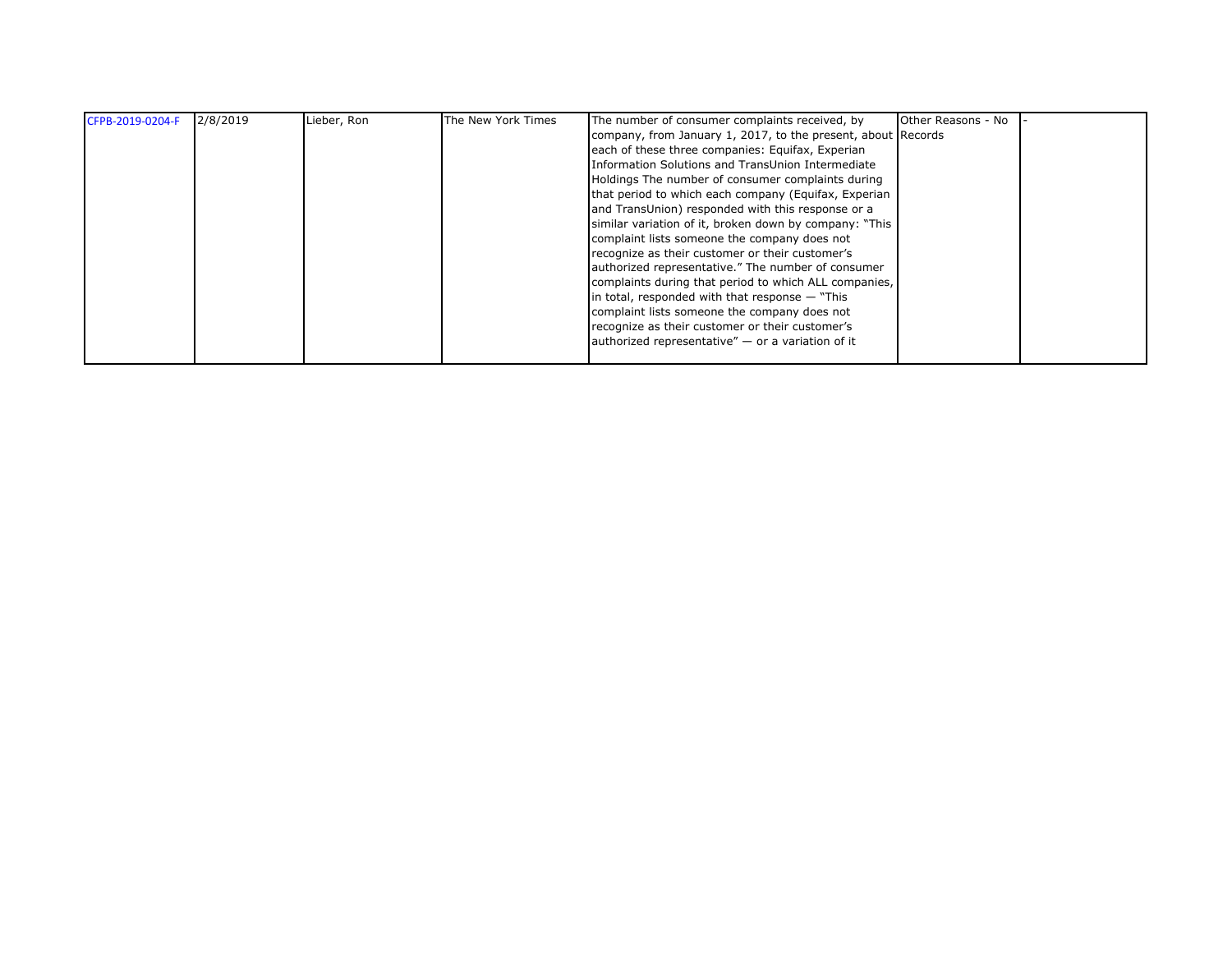| CFPB-2019-0204-F | 2/8/2019 | Lieber, Ron | The New York Times | The number of consumer complaints received, by               | Other Reasons - No |  |
|------------------|----------|-------------|--------------------|--------------------------------------------------------------|--------------------|--|
|                  |          |             |                    | company, from January 1, 2017, to the present, about Records |                    |  |
|                  |          |             |                    | each of these three companies: Equifax, Experian             |                    |  |
|                  |          |             |                    | Information Solutions and TransUnion Intermediate            |                    |  |
|                  |          |             |                    | Holdings The number of consumer complaints during            |                    |  |
|                  |          |             |                    | that period to which each company (Equifax, Experian         |                    |  |
|                  |          |             |                    | and TransUnion) responded with this response or a            |                    |  |
|                  |          |             |                    | similar variation of it, broken down by company: "This       |                    |  |
|                  |          |             |                    | complaint lists someone the company does not                 |                    |  |
|                  |          |             |                    | recognize as their customer or their customer's              |                    |  |
|                  |          |             |                    | authorized representative." The number of consumer           |                    |  |
|                  |          |             |                    | complaints during that period to which ALL companies,        |                    |  |
|                  |          |             |                    | in total, responded with that response $-$ "This             |                    |  |
|                  |          |             |                    | complaint lists someone the company does not                 |                    |  |
|                  |          |             |                    | recognize as their customer or their customer's              |                    |  |
|                  |          |             |                    | authorized representative" $-$ or a variation of it          |                    |  |
|                  |          |             |                    |                                                              |                    |  |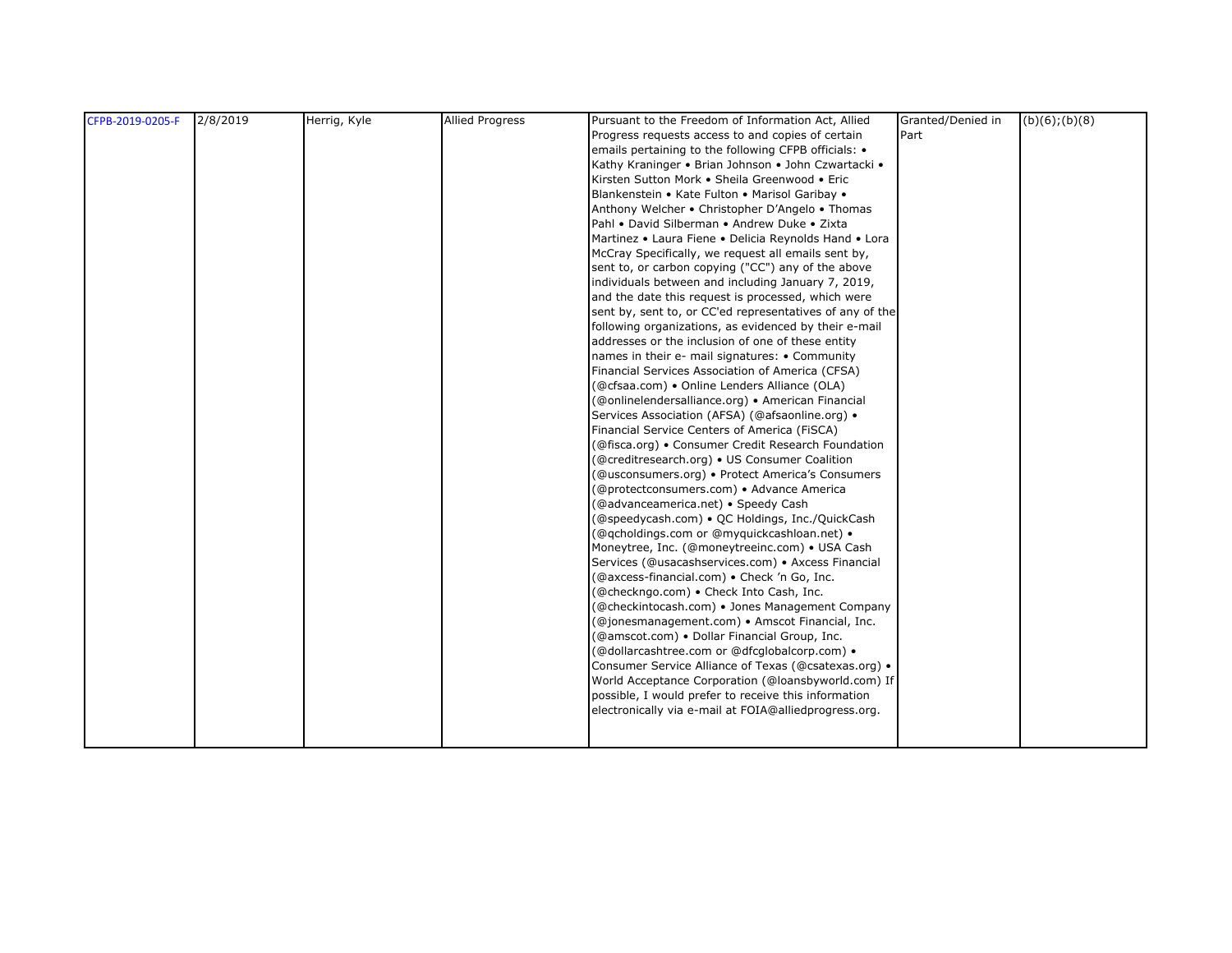| CFPB-2019-0205-F | 2/8/2019 | Herrig, Kyle | <b>Allied Progress</b> | Pursuant to the Freedom of Information Act, Allied       | Granted/Denied in | $(b)(6)$ ; $(b)(8)$ |
|------------------|----------|--------------|------------------------|----------------------------------------------------------|-------------------|---------------------|
|                  |          |              |                        | Progress requests access to and copies of certain        | Part              |                     |
|                  |          |              |                        | emails pertaining to the following CFPB officials: •     |                   |                     |
|                  |          |              |                        | Kathy Kraninger • Brian Johnson • John Czwartacki •      |                   |                     |
|                  |          |              |                        | Kirsten Sutton Mork · Sheila Greenwood · Eric            |                   |                     |
|                  |          |              |                        | Blankenstein • Kate Fulton • Marisol Garibay •           |                   |                     |
|                  |          |              |                        | Anthony Welcher • Christopher D'Angelo • Thomas          |                   |                     |
|                  |          |              |                        | Pahl . David Silberman . Andrew Duke . Zixta             |                   |                     |
|                  |          |              |                        | Martinez • Laura Fiene • Delicia Reynolds Hand • Lora    |                   |                     |
|                  |          |              |                        | McCray Specifically, we request all emails sent by,      |                   |                     |
|                  |          |              |                        | sent to, or carbon copying ("CC") any of the above       |                   |                     |
|                  |          |              |                        | individuals between and including January 7, 2019,       |                   |                     |
|                  |          |              |                        | and the date this request is processed, which were       |                   |                     |
|                  |          |              |                        | sent by, sent to, or CC'ed representatives of any of the |                   |                     |
|                  |          |              |                        | following organizations, as evidenced by their e-mail    |                   |                     |
|                  |          |              |                        | addresses or the inclusion of one of these entity        |                   |                     |
|                  |          |              |                        | names in their e- mail signatures: • Community           |                   |                     |
|                  |          |              |                        | Financial Services Association of America (CFSA)         |                   |                     |
|                  |          |              |                        | (@cfsaa.com) • Online Lenders Alliance (OLA)             |                   |                     |
|                  |          |              |                        | (@onlinelendersalliance.org) • American Financial        |                   |                     |
|                  |          |              |                        | Services Association (AFSA) (@afsaonline.org) •          |                   |                     |
|                  |          |              |                        | Financial Service Centers of America (FISCA)             |                   |                     |
|                  |          |              |                        | (@fisca.org) • Consumer Credit Research Foundation       |                   |                     |
|                  |          |              |                        | (@creditresearch.org) • US Consumer Coalition            |                   |                     |
|                  |          |              |                        | (@usconsumers.org) • Protect America's Consumers         |                   |                     |
|                  |          |              |                        | (@protectconsumers.com) • Advance America                |                   |                     |
|                  |          |              |                        | (@advanceamerica.net) · Speedy Cash                      |                   |                     |
|                  |          |              |                        | (@speedycash.com) • QC Holdings, Inc./QuickCash          |                   |                     |
|                  |          |              |                        | (@qcholdings.com or @myquickcashloan.net) •              |                   |                     |
|                  |          |              |                        | Moneytree, Inc. (@moneytreeinc.com) • USA Cash           |                   |                     |
|                  |          |              |                        | Services (@usacashservices.com) • Axcess Financial       |                   |                     |
|                  |          |              |                        | (@axcess-financial.com) • Check 'n Go, Inc.              |                   |                     |
|                  |          |              |                        | (@checkngo.com) · Check Into Cash, Inc.                  |                   |                     |
|                  |          |              |                        | (@checkintocash.com) • Jones Management Company          |                   |                     |
|                  |          |              |                        | (@jonesmanagement.com) • Amscot Financial, Inc.          |                   |                     |
|                  |          |              |                        | (@amscot.com) · Dollar Financial Group, Inc.             |                   |                     |
|                  |          |              |                        | (@dollarcashtree.com or @dfcglobalcorp.com) .            |                   |                     |
|                  |          |              |                        | Consumer Service Alliance of Texas (@csatexas.org) .     |                   |                     |
|                  |          |              |                        | World Acceptance Corporation (@loansbyworld.com) If      |                   |                     |
|                  |          |              |                        | possible, I would prefer to receive this information     |                   |                     |
|                  |          |              |                        | electronically via e-mail at FOIA@alliedprogress.org.    |                   |                     |
|                  |          |              |                        |                                                          |                   |                     |
|                  |          |              |                        |                                                          |                   |                     |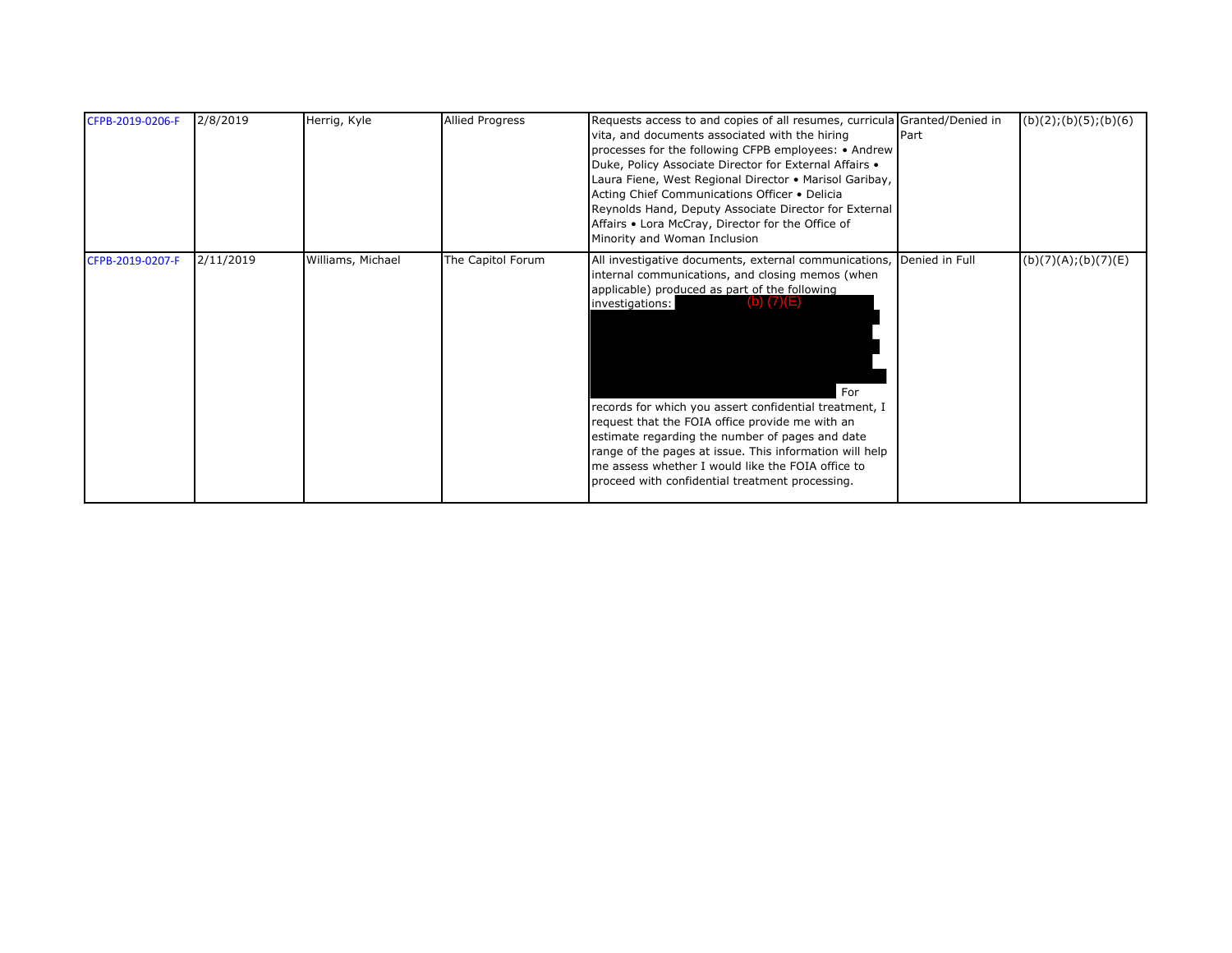| CFPB-2019-0206-F | 2/8/2019  | Herrig, Kyle      | <b>Allied Progress</b> | Requests access to and copies of all resumes, curricula Granted/Denied in<br>vita, and documents associated with the hiring<br>processes for the following CFPB employees: • Andrew<br>Duke, Policy Associate Director for External Affairs .<br>Laura Fiene, West Regional Director • Marisol Garibay,<br>Acting Chief Communications Officer . Delicia<br>Reynolds Hand, Deputy Associate Director for External<br>Affairs • Lora McCray, Director for the Office of<br>Minority and Woman Inclusion                                                   | Part | (b)(2); (b)(5); (b)(6) |
|------------------|-----------|-------------------|------------------------|----------------------------------------------------------------------------------------------------------------------------------------------------------------------------------------------------------------------------------------------------------------------------------------------------------------------------------------------------------------------------------------------------------------------------------------------------------------------------------------------------------------------------------------------------------|------|------------------------|
| CFPB-2019-0207-F | 2/11/2019 | Williams, Michael | The Capitol Forum      | All investigative documents, external communications, Denied in Full<br>internal communications, and closing memos (when<br>applicable) produced as part of the following<br>investigations:<br>$(D)$ $(7)(E)$<br>For<br>records for which you assert confidential treatment, I<br>request that the FOIA office provide me with an<br>estimate regarding the number of pages and date<br>range of the pages at issue. This information will help<br>me assess whether I would like the FOIA office to<br>proceed with confidential treatment processing. |      | (b)(7)(A); (b)(7)(E)   |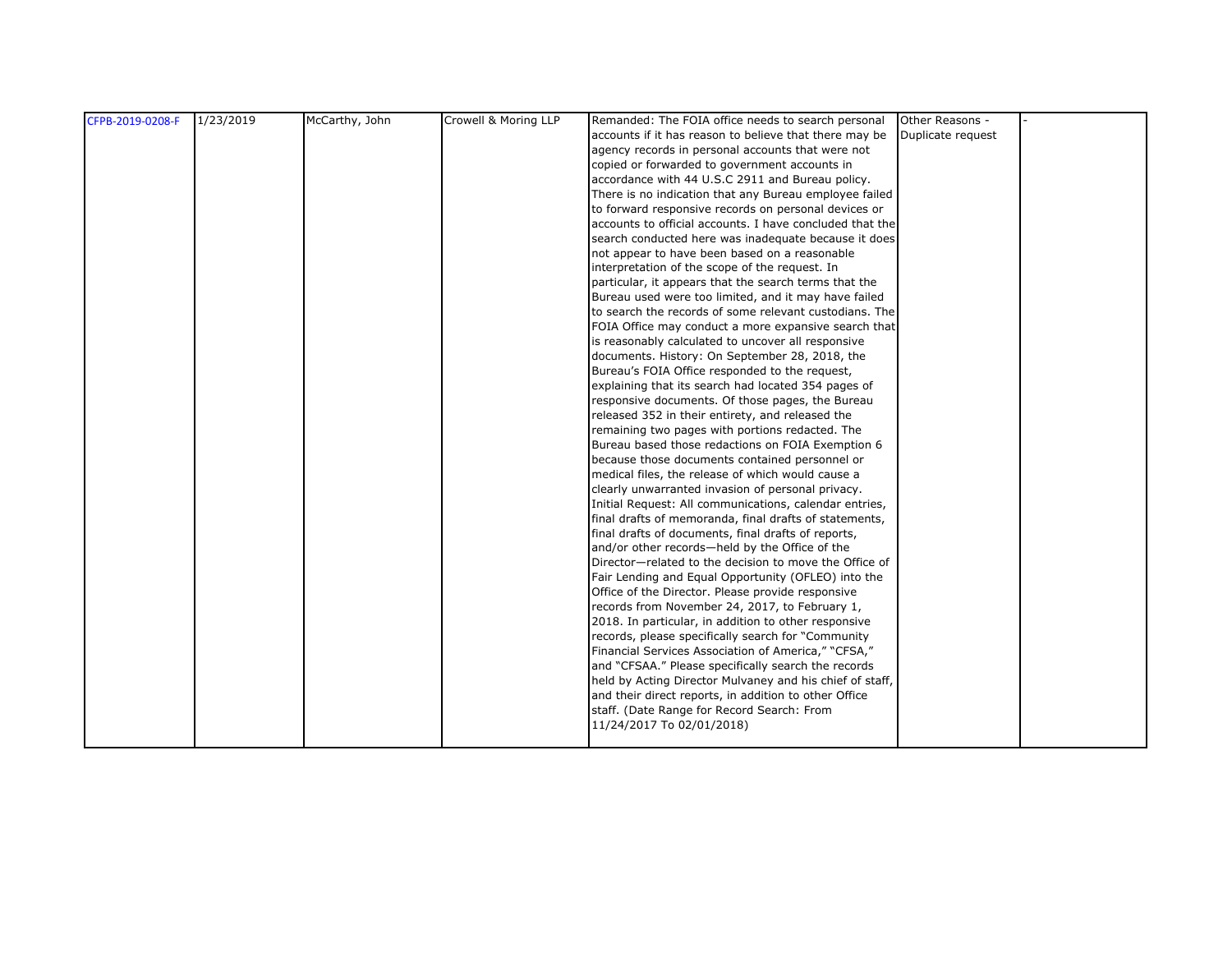| CFPB-2019-0208-F | 1/23/2019 | McCarthy, John | Crowell & Moring LLP | Remanded: The FOIA office needs to search personal                      | Other Reasons -   |  |
|------------------|-----------|----------------|----------------------|-------------------------------------------------------------------------|-------------------|--|
|                  |           |                |                      | accounts if it has reason to believe that there may be                  | Duplicate request |  |
|                  |           |                |                      | agency records in personal accounts that were not                       |                   |  |
|                  |           |                |                      | copied or forwarded to government accounts in                           |                   |  |
|                  |           |                |                      | accordance with 44 U.S.C 2911 and Bureau policy.                        |                   |  |
|                  |           |                |                      | There is no indication that any Bureau employee failed                  |                   |  |
|                  |           |                |                      | to forward responsive records on personal devices or                    |                   |  |
|                  |           |                |                      | accounts to official accounts. I have concluded that the                |                   |  |
|                  |           |                |                      | search conducted here was inadequate because it does                    |                   |  |
|                  |           |                |                      | not appear to have been based on a reasonable                           |                   |  |
|                  |           |                |                      | interpretation of the scope of the request. In                          |                   |  |
|                  |           |                |                      | particular, it appears that the search terms that the                   |                   |  |
|                  |           |                |                      | Bureau used were too limited, and it may have failed                    |                   |  |
|                  |           |                |                      | to search the records of some relevant custodians. The                  |                   |  |
|                  |           |                |                      | FOIA Office may conduct a more expansive search that                    |                   |  |
|                  |           |                |                      | is reasonably calculated to uncover all responsive                      |                   |  |
|                  |           |                |                      | documents. History: On September 28, 2018, the                          |                   |  |
|                  |           |                |                      | Bureau's FOIA Office responded to the request,                          |                   |  |
|                  |           |                |                      | explaining that its search had located 354 pages of                     |                   |  |
|                  |           |                |                      | responsive documents. Of those pages, the Bureau                        |                   |  |
|                  |           |                |                      | released 352 in their entirety, and released the                        |                   |  |
|                  |           |                |                      | remaining two pages with portions redacted. The                         |                   |  |
|                  |           |                |                      | Bureau based those redactions on FOIA Exemption 6                       |                   |  |
|                  |           |                |                      | because those documents contained personnel or                          |                   |  |
|                  |           |                |                      | medical files, the release of which would cause a                       |                   |  |
|                  |           |                |                      | clearly unwarranted invasion of personal privacy.                       |                   |  |
|                  |           |                |                      | Initial Request: All communications, calendar entries,                  |                   |  |
|                  |           |                |                      | final drafts of memoranda, final drafts of statements,                  |                   |  |
|                  |           |                |                      | final drafts of documents, final drafts of reports,                     |                   |  |
|                  |           |                |                      | and/or other records-held by the Office of the                          |                   |  |
|                  |           |                |                      | Director-related to the decision to move the Office of                  |                   |  |
|                  |           |                |                      | Fair Lending and Equal Opportunity (OFLEO) into the                     |                   |  |
|                  |           |                |                      | Office of the Director. Please provide responsive                       |                   |  |
|                  |           |                |                      | records from November 24, 2017, to February 1,                          |                   |  |
|                  |           |                |                      | 2018. In particular, in addition to other responsive                    |                   |  |
|                  |           |                |                      | records, please specifically search for "Community                      |                   |  |
|                  |           |                |                      | Financial Services Association of America," "CFSA,"                     |                   |  |
|                  |           |                |                      | and "CFSAA." Please specifically search the records                     |                   |  |
|                  |           |                |                      | held by Acting Director Mulvaney and his chief of staff,                |                   |  |
|                  |           |                |                      | and their direct reports, in addition to other Office                   |                   |  |
|                  |           |                |                      | staff. (Date Range for Record Search: From<br>11/24/2017 To 02/01/2018) |                   |  |
|                  |           |                |                      |                                                                         |                   |  |
|                  |           |                |                      |                                                                         |                   |  |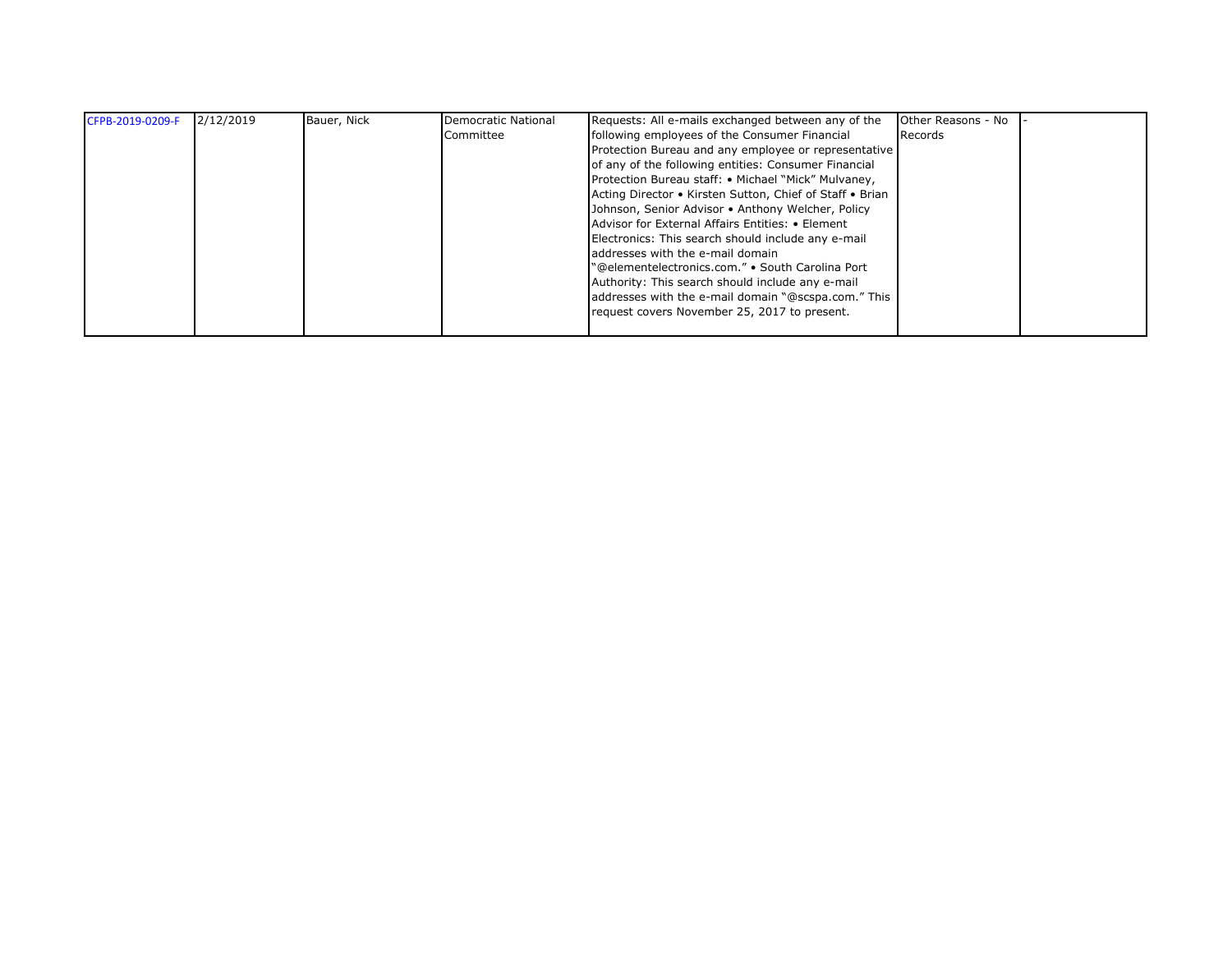| CFPB-2019-0209-F | 2/12/2019 | Bauer, Nick | Democratic National | Requests: All e-mails exchanged between any of the       | Other Reasons - No |  |
|------------------|-----------|-------------|---------------------|----------------------------------------------------------|--------------------|--|
|                  |           |             | Committee           | following employees of the Consumer Financial            | Records            |  |
|                  |           |             |                     | Protection Bureau and any employee or representative     |                    |  |
|                  |           |             |                     | of any of the following entities: Consumer Financial     |                    |  |
|                  |           |             |                     | Protection Bureau staff: • Michael "Mick" Mulvaney,      |                    |  |
|                  |           |             |                     | Acting Director • Kirsten Sutton, Chief of Staff • Brian |                    |  |
|                  |           |             |                     | Johnson, Senior Advisor • Anthony Welcher, Policy        |                    |  |
|                  |           |             |                     | Advisor for External Affairs Entities: • Element         |                    |  |
|                  |           |             |                     | Electronics: This search should include any e-mail       |                    |  |
|                  |           |             |                     | addresses with the e-mail domain                         |                    |  |
|                  |           |             |                     | "@elementelectronics.com." • South Carolina Port         |                    |  |
|                  |           |             |                     | Authority: This search should include any e-mail         |                    |  |
|                  |           |             |                     | addresses with the e-mail domain "@scspa.com." This      |                    |  |
|                  |           |             |                     | request covers November 25, 2017 to present.             |                    |  |
|                  |           |             |                     |                                                          |                    |  |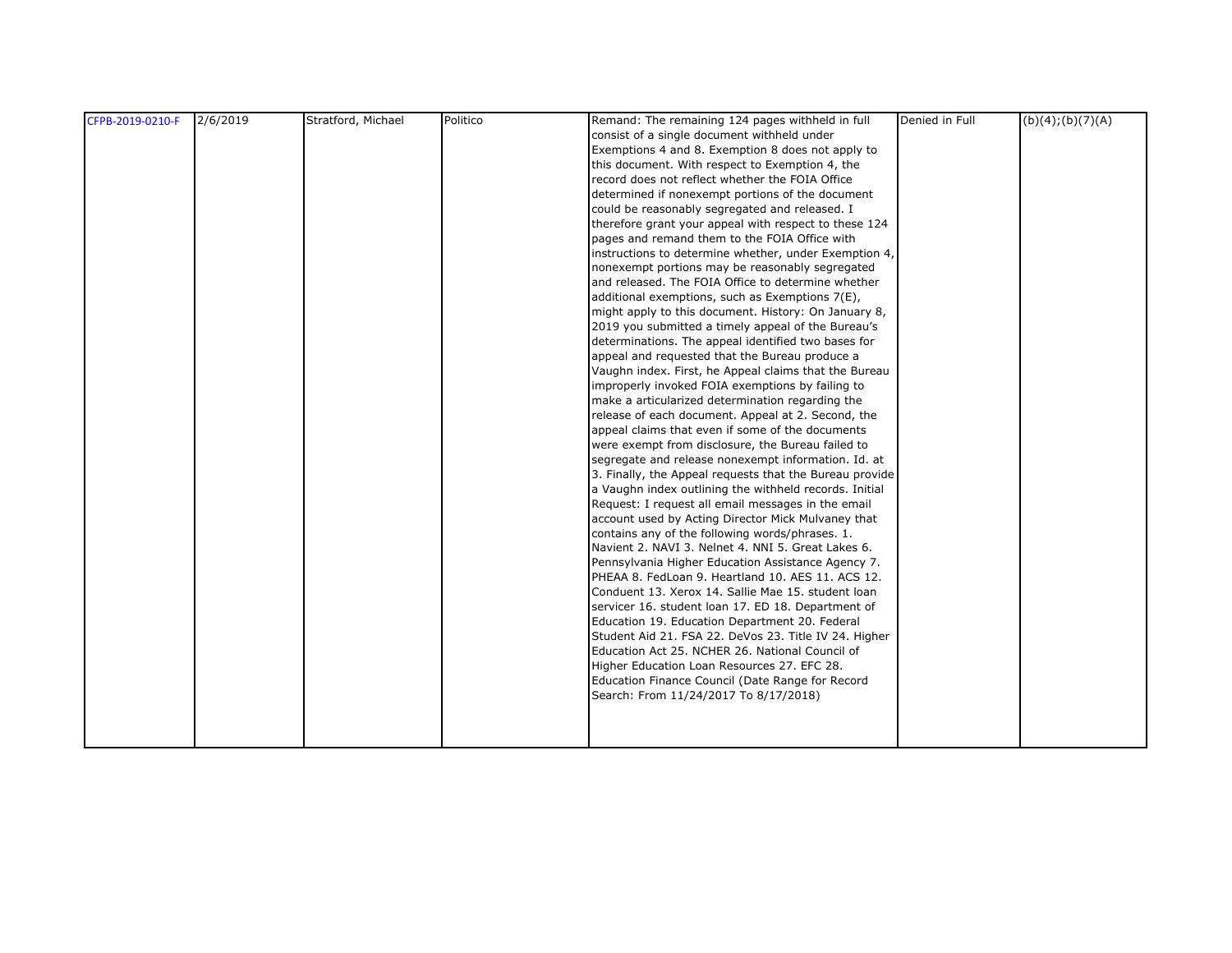| CFPB-2019-0210-F | 2/6/2019 | Stratford, Michael | Politico | Remand: The remaining 124 pages withheld in full        | Denied in Full | (b)(4); (b)(7)(A) |
|------------------|----------|--------------------|----------|---------------------------------------------------------|----------------|-------------------|
|                  |          |                    |          | consist of a single document withheld under             |                |                   |
|                  |          |                    |          | Exemptions 4 and 8. Exemption 8 does not apply to       |                |                   |
|                  |          |                    |          | this document. With respect to Exemption 4, the         |                |                   |
|                  |          |                    |          | record does not reflect whether the FOIA Office         |                |                   |
|                  |          |                    |          | determined if nonexempt portions of the document        |                |                   |
|                  |          |                    |          | could be reasonably segregated and released. I          |                |                   |
|                  |          |                    |          | therefore grant your appeal with respect to these 124   |                |                   |
|                  |          |                    |          | pages and remand them to the FOIA Office with           |                |                   |
|                  |          |                    |          | instructions to determine whether, under Exemption 4,   |                |                   |
|                  |          |                    |          | nonexempt portions may be reasonably segregated         |                |                   |
|                  |          |                    |          | and released. The FOIA Office to determine whether      |                |                   |
|                  |          |                    |          | additional exemptions, such as Exemptions 7(E),         |                |                   |
|                  |          |                    |          | might apply to this document. History: On January 8,    |                |                   |
|                  |          |                    |          | 2019 you submitted a timely appeal of the Bureau's      |                |                   |
|                  |          |                    |          | determinations. The appeal identified two bases for     |                |                   |
|                  |          |                    |          | appeal and requested that the Bureau produce a          |                |                   |
|                  |          |                    |          | Vaughn index. First, he Appeal claims that the Bureau   |                |                   |
|                  |          |                    |          | improperly invoked FOIA exemptions by failing to        |                |                   |
|                  |          |                    |          | make a articularized determination regarding the        |                |                   |
|                  |          |                    |          | release of each document. Appeal at 2. Second, the      |                |                   |
|                  |          |                    |          | appeal claims that even if some of the documents        |                |                   |
|                  |          |                    |          | were exempt from disclosure, the Bureau failed to       |                |                   |
|                  |          |                    |          | segregate and release nonexempt information. Id. at     |                |                   |
|                  |          |                    |          | 3. Finally, the Appeal requests that the Bureau provide |                |                   |
|                  |          |                    |          | a Vaughn index outlining the withheld records. Initial  |                |                   |
|                  |          |                    |          | Request: I request all email messages in the email      |                |                   |
|                  |          |                    |          | account used by Acting Director Mick Mulvaney that      |                |                   |
|                  |          |                    |          | contains any of the following words/phrases. 1.         |                |                   |
|                  |          |                    |          | Navient 2. NAVI 3. Nelnet 4. NNI 5. Great Lakes 6.      |                |                   |
|                  |          |                    |          | Pennsylvania Higher Education Assistance Agency 7.      |                |                   |
|                  |          |                    |          | PHEAA 8. FedLoan 9. Heartland 10. AES 11. ACS 12.       |                |                   |
|                  |          |                    |          | Conduent 13. Xerox 14. Sallie Mae 15. student loan      |                |                   |
|                  |          |                    |          | servicer 16. student loan 17. ED 18. Department of      |                |                   |
|                  |          |                    |          | Education 19. Education Department 20. Federal          |                |                   |
|                  |          |                    |          | Student Aid 21. FSA 22. DeVos 23. Title IV 24. Higher   |                |                   |
|                  |          |                    |          | Education Act 25. NCHER 26. National Council of         |                |                   |
|                  |          |                    |          | Higher Education Loan Resources 27. EFC 28.             |                |                   |
|                  |          |                    |          | Education Finance Council (Date Range for Record        |                |                   |
|                  |          |                    |          | Search: From 11/24/2017 To 8/17/2018)                   |                |                   |
|                  |          |                    |          |                                                         |                |                   |
|                  |          |                    |          |                                                         |                |                   |
|                  |          |                    |          |                                                         |                |                   |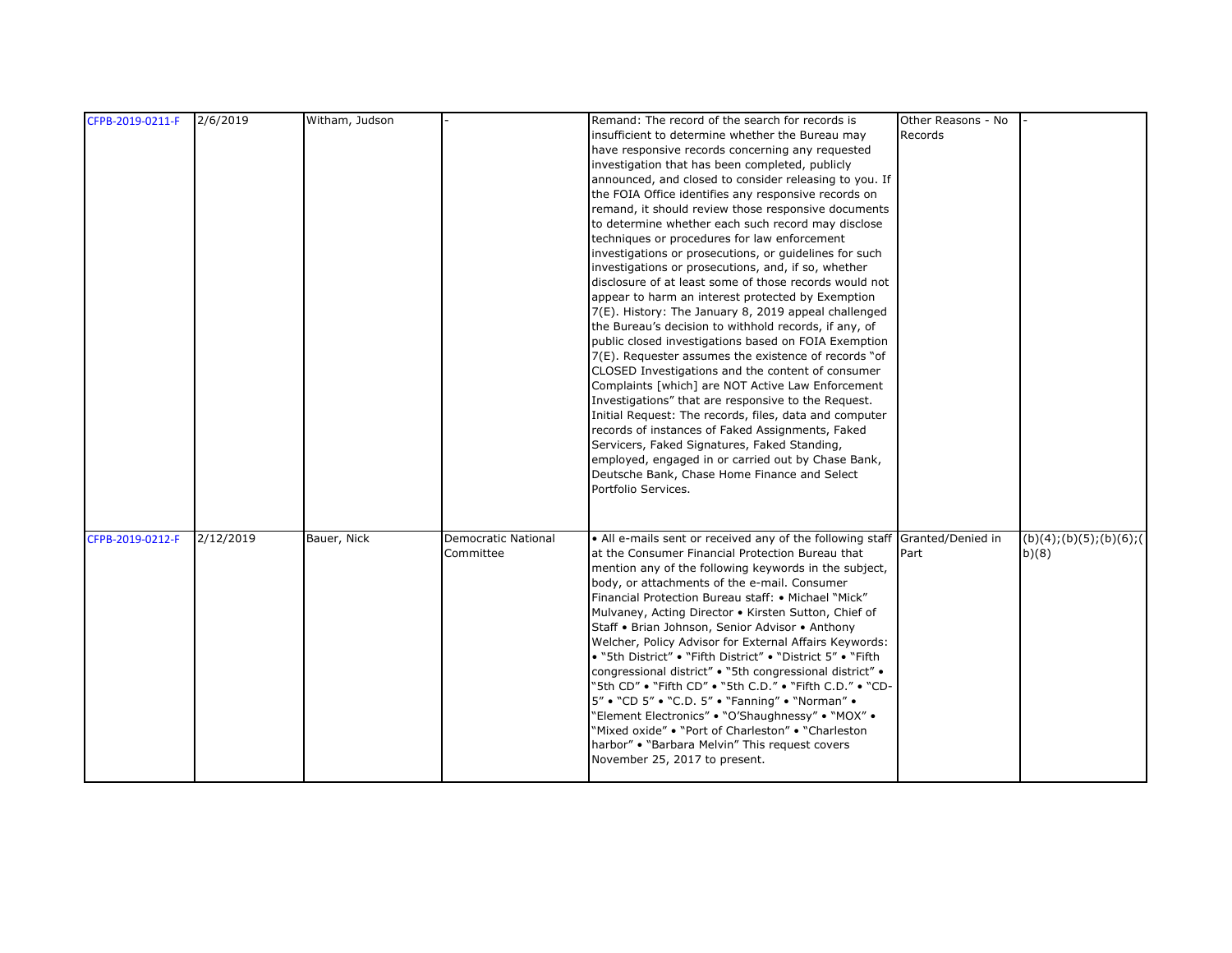| CFPB-2019-0211-F | 2/6/2019  | Witham, Judson |                            | Remand: The record of the search for records is                             | Other Reasons - No |                             |
|------------------|-----------|----------------|----------------------------|-----------------------------------------------------------------------------|--------------------|-----------------------------|
|                  |           |                |                            | insufficient to determine whether the Bureau may                            | Records            |                             |
|                  |           |                |                            | have responsive records concerning any requested                            |                    |                             |
|                  |           |                |                            | investigation that has been completed, publicly                             |                    |                             |
|                  |           |                |                            | announced, and closed to consider releasing to you. If                      |                    |                             |
|                  |           |                |                            | the FOIA Office identifies any responsive records on                        |                    |                             |
|                  |           |                |                            | remand, it should review those responsive documents                         |                    |                             |
|                  |           |                |                            | to determine whether each such record may disclose                          |                    |                             |
|                  |           |                |                            | techniques or procedures for law enforcement                                |                    |                             |
|                  |           |                |                            | investigations or prosecutions, or guidelines for such                      |                    |                             |
|                  |           |                |                            | investigations or prosecutions, and, if so, whether                         |                    |                             |
|                  |           |                |                            | disclosure of at least some of those records would not                      |                    |                             |
|                  |           |                |                            | appear to harm an interest protected by Exemption                           |                    |                             |
|                  |           |                |                            | 7(E). History: The January 8, 2019 appeal challenged                        |                    |                             |
|                  |           |                |                            | the Bureau's decision to withhold records, if any, of                       |                    |                             |
|                  |           |                |                            | public closed investigations based on FOIA Exemption                        |                    |                             |
|                  |           |                |                            | 7(E). Requester assumes the existence of records "of                        |                    |                             |
|                  |           |                |                            | CLOSED Investigations and the content of consumer                           |                    |                             |
|                  |           |                |                            | Complaints [which] are NOT Active Law Enforcement                           |                    |                             |
|                  |           |                |                            | Investigations" that are responsive to the Request.                         |                    |                             |
|                  |           |                |                            | Initial Request: The records, files, data and computer                      |                    |                             |
|                  |           |                |                            | records of instances of Faked Assignments, Faked                            |                    |                             |
|                  |           |                |                            | Servicers, Faked Signatures, Faked Standing,                                |                    |                             |
|                  |           |                |                            | employed, engaged in or carried out by Chase Bank,                          |                    |                             |
|                  |           |                |                            | Deutsche Bank, Chase Home Finance and Select                                |                    |                             |
|                  |           |                |                            | Portfolio Services.                                                         |                    |                             |
|                  |           |                |                            |                                                                             |                    |                             |
|                  |           |                |                            |                                                                             |                    |                             |
| CFPB-2019-0212-F | 2/12/2019 | Bauer, Nick    | <b>Democratic National</b> | • All e-mails sent or received any of the following staff Granted/Denied in |                    | (b)(4); (b)(5); (b)(6); (6) |
|                  |           |                | Committee                  | at the Consumer Financial Protection Bureau that                            | Part               | b)(8)                       |
|                  |           |                |                            | mention any of the following keywords in the subject,                       |                    |                             |
|                  |           |                |                            | body, or attachments of the e-mail. Consumer                                |                    |                             |
|                  |           |                |                            | Financial Protection Bureau staff: • Michael "Mick"                         |                    |                             |
|                  |           |                |                            | Mulvaney, Acting Director . Kirsten Sutton, Chief of                        |                    |                             |
|                  |           |                |                            | Staff • Brian Johnson, Senior Advisor • Anthony                             |                    |                             |
|                  |           |                |                            | Welcher, Policy Advisor for External Affairs Keywords:                      |                    |                             |
|                  |           |                |                            | • "5th District" • "Fifth District" • "District 5" • "Fifth                 |                    |                             |
|                  |           |                |                            | congressional district" • "5th congressional district" •                    |                    |                             |
|                  |           |                |                            | "5th CD" • "Fifth CD" • "5th C.D." • "Fifth C.D." • "CD-                    |                    |                             |
|                  |           |                |                            | 5" . "CD 5" . "C.D. 5" . "Fanning" . "Norman" .                             |                    |                             |
|                  |           |                |                            | "Element Electronics" . "O'Shaughnessy" . "MOX" .                           |                    |                             |
|                  |           |                |                            | "Mixed oxide" • "Port of Charleston" • "Charleston                          |                    |                             |
|                  |           |                |                            | harbor" . "Barbara Melvin" This request covers                              |                    |                             |
|                  |           |                |                            | November 25, 2017 to present.                                               |                    |                             |
|                  |           |                |                            |                                                                             |                    |                             |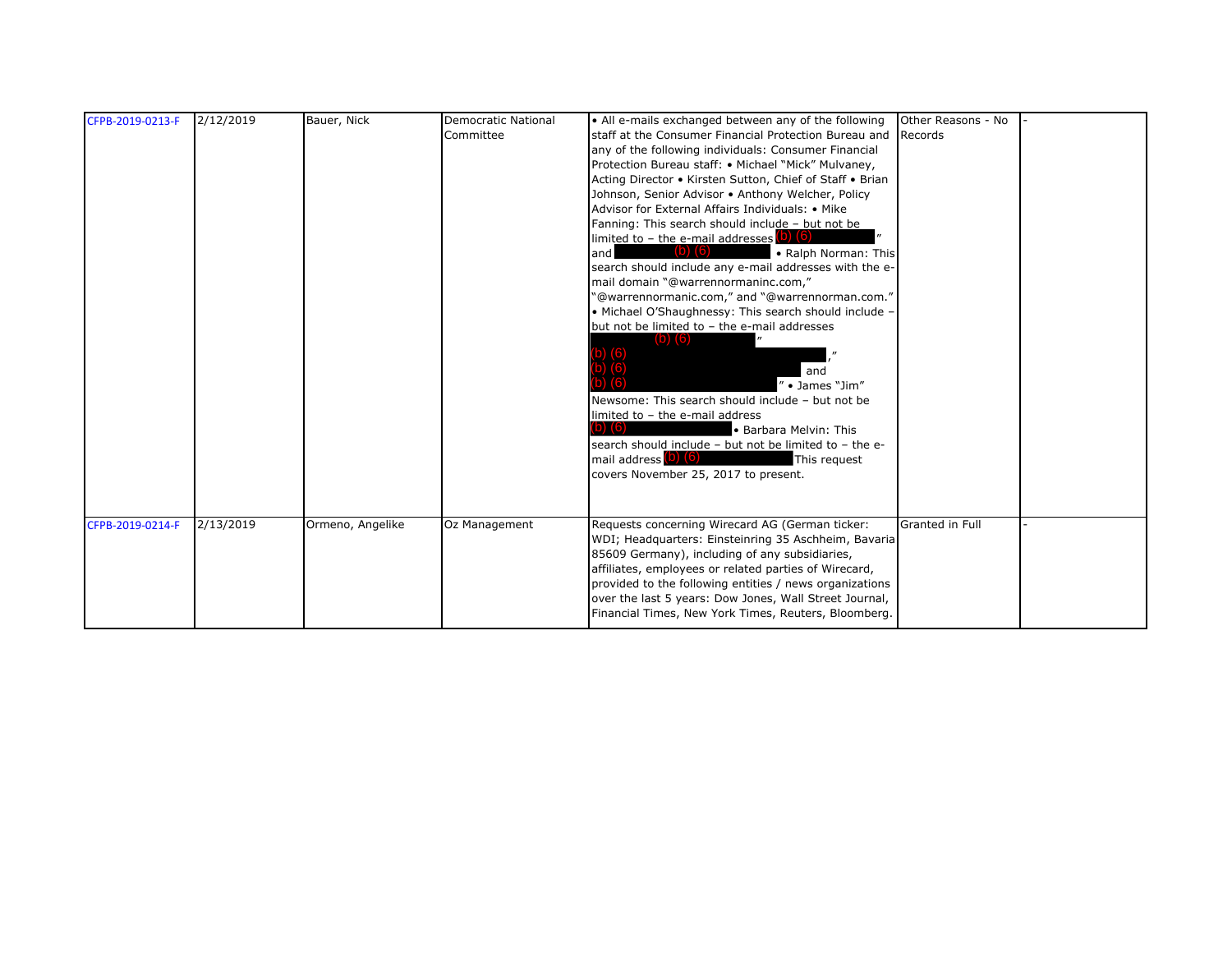| CFPB-2019-0213-F | 2/12/2019 | Bauer, Nick      | <b>Democratic National</b><br>Committee | • All e-mails exchanged between any of the following<br>staff at the Consumer Financial Protection Bureau and<br>any of the following individuals: Consumer Financial<br>Protection Bureau staff: • Michael "Mick" Mulvaney,<br>Acting Director • Kirsten Sutton, Chief of Staff • Brian<br>Johnson, Senior Advisor . Anthony Welcher, Policy<br>Advisor for External Affairs Individuals: • Mike<br>Fanning: This search should include - but not be<br>limited to $-$ the e-mail addresses (b) (6)<br>and<br><b>ID</b><br>• Ralph Norman: This<br>search should include any e-mail addresses with the e-<br>mail domain "@warrennormaninc.com,"<br>"@warrennormanic.com," and "@warrennorman.com."<br>• Michael O'Shaughnessy: This search should include -<br>but not be limited to - the e-mail addresses<br>D) (b)<br>and<br>" • James "Jim"<br>Newsome: This search should include - but not be<br>limited to - the e-mail address<br>$\mathbf{O}$ (6)<br>· Barbara Melvin: This<br>search should include - but not be limited to - the e-<br>mail address (b) (6)<br>This request<br>covers November 25, 2017 to present. | Other Reasons - No<br>Records |  |
|------------------|-----------|------------------|-----------------------------------------|----------------------------------------------------------------------------------------------------------------------------------------------------------------------------------------------------------------------------------------------------------------------------------------------------------------------------------------------------------------------------------------------------------------------------------------------------------------------------------------------------------------------------------------------------------------------------------------------------------------------------------------------------------------------------------------------------------------------------------------------------------------------------------------------------------------------------------------------------------------------------------------------------------------------------------------------------------------------------------------------------------------------------------------------------------------------------------------------------------------------------------|-------------------------------|--|
| CFPB-2019-0214-F | 2/13/2019 | Ormeno, Angelike | Oz Management                           | Requests concerning Wirecard AG (German ticker:<br>WDI; Headquarters: Einsteinring 35 Aschheim, Bavaria<br>85609 Germany), including of any subsidiaries,<br>affiliates, employees or related parties of Wirecard,<br>provided to the following entities / news organizations<br>over the last 5 years: Dow Jones, Wall Street Journal,<br>Financial Times, New York Times, Reuters, Bloomberg.                                                                                                                                                                                                                                                                                                                                                                                                                                                                                                                                                                                                                                                                                                                                  | <b>Granted in Full</b>        |  |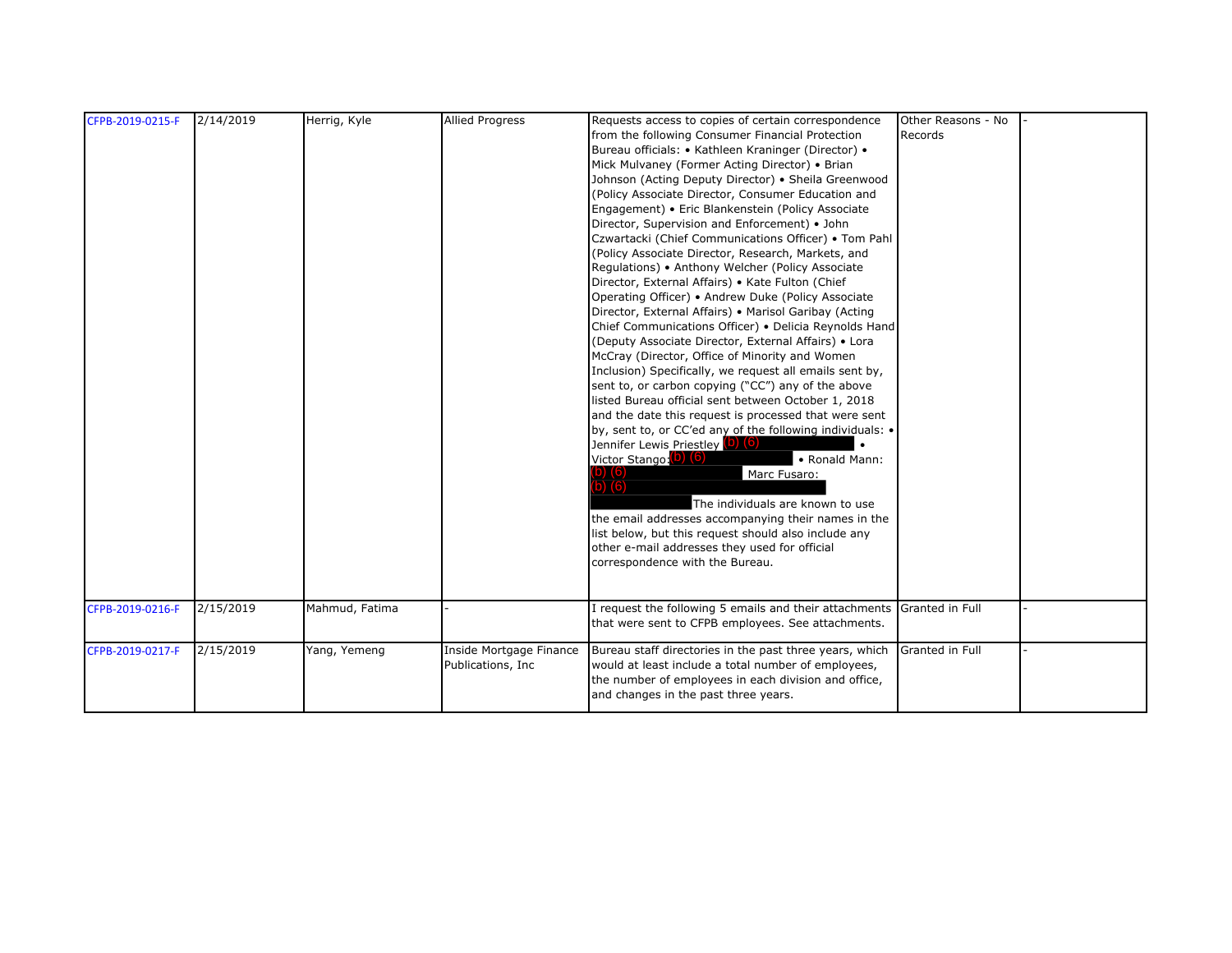| CFPB-2019-0215-F | 2/14/2019 | Herrig, Kyle   | <b>Allied Progress</b>  | Requests access to copies of certain correspondence                                                         | Other Reasons - No |  |
|------------------|-----------|----------------|-------------------------|-------------------------------------------------------------------------------------------------------------|--------------------|--|
|                  |           |                |                         | from the following Consumer Financial Protection                                                            | Records            |  |
|                  |           |                |                         | Bureau officials: • Kathleen Kraninger (Director) •                                                         |                    |  |
|                  |           |                |                         | Mick Mulvaney (Former Acting Director) • Brian                                                              |                    |  |
|                  |           |                |                         | Johnson (Acting Deputy Director) . Sheila Greenwood                                                         |                    |  |
|                  |           |                |                         | (Policy Associate Director, Consumer Education and                                                          |                    |  |
|                  |           |                |                         | Engagement) • Eric Blankenstein (Policy Associate                                                           |                    |  |
|                  |           |                |                         | Director, Supervision and Enforcement) • John                                                               |                    |  |
|                  |           |                |                         | Czwartacki (Chief Communications Officer) • Tom Pahl                                                        |                    |  |
|                  |           |                |                         | (Policy Associate Director, Research, Markets, and                                                          |                    |  |
|                  |           |                |                         | Regulations) • Anthony Welcher (Policy Associate                                                            |                    |  |
|                  |           |                |                         | Director, External Affairs) • Kate Fulton (Chief                                                            |                    |  |
|                  |           |                |                         | Operating Officer) • Andrew Duke (Policy Associate                                                          |                    |  |
|                  |           |                |                         | Director, External Affairs) . Marisol Garibay (Acting                                                       |                    |  |
|                  |           |                |                         | Chief Communications Officer) . Delicia Reynolds Hand                                                       |                    |  |
|                  |           |                |                         | (Deputy Associate Director, External Affairs) • Lora                                                        |                    |  |
|                  |           |                |                         | McCray (Director, Office of Minority and Women                                                              |                    |  |
|                  |           |                |                         | Inclusion) Specifically, we request all emails sent by,                                                     |                    |  |
|                  |           |                |                         | sent to, or carbon copying ("CC") any of the above                                                          |                    |  |
|                  |           |                |                         | listed Bureau official sent between October 1, 2018                                                         |                    |  |
|                  |           |                |                         | and the date this request is processed that were sent                                                       |                    |  |
|                  |           |                |                         | by, sent to, or CC'ed any of the following individuals: •                                                   |                    |  |
|                  |           |                |                         | Jennifer Lewis Priestley (0) (6)                                                                            |                    |  |
|                  |           |                |                         | Victor Stango: (b) (6)<br>• Ronald Mann:                                                                    |                    |  |
|                  |           |                |                         | Marc Fusaro:                                                                                                |                    |  |
|                  |           |                |                         | (6)                                                                                                         |                    |  |
|                  |           |                |                         | The individuals are known to use                                                                            |                    |  |
|                  |           |                |                         | the email addresses accompanying their names in the                                                         |                    |  |
|                  |           |                |                         | list below, but this request should also include any                                                        |                    |  |
|                  |           |                |                         | other e-mail addresses they used for official                                                               |                    |  |
|                  |           |                |                         | correspondence with the Bureau.                                                                             |                    |  |
|                  |           |                |                         |                                                                                                             |                    |  |
|                  |           |                |                         |                                                                                                             |                    |  |
| CFPB-2019-0216-F | 2/15/2019 | Mahmud, Fatima |                         | I request the following 5 emails and their attachments                                                      | Granted in Full    |  |
|                  |           |                |                         | that were sent to CFPB employees. See attachments.                                                          |                    |  |
|                  | 2/15/2019 |                |                         |                                                                                                             |                    |  |
| CFPB-2019-0217-F |           | Yang, Yemeng   | Inside Mortgage Finance | Bureau staff directories in the past three years, which                                                     | Granted in Full    |  |
|                  |           |                | Publications, Inc.      | would at least include a total number of employees,<br>the number of employees in each division and office, |                    |  |
|                  |           |                |                         | and changes in the past three years.                                                                        |                    |  |
|                  |           |                |                         |                                                                                                             |                    |  |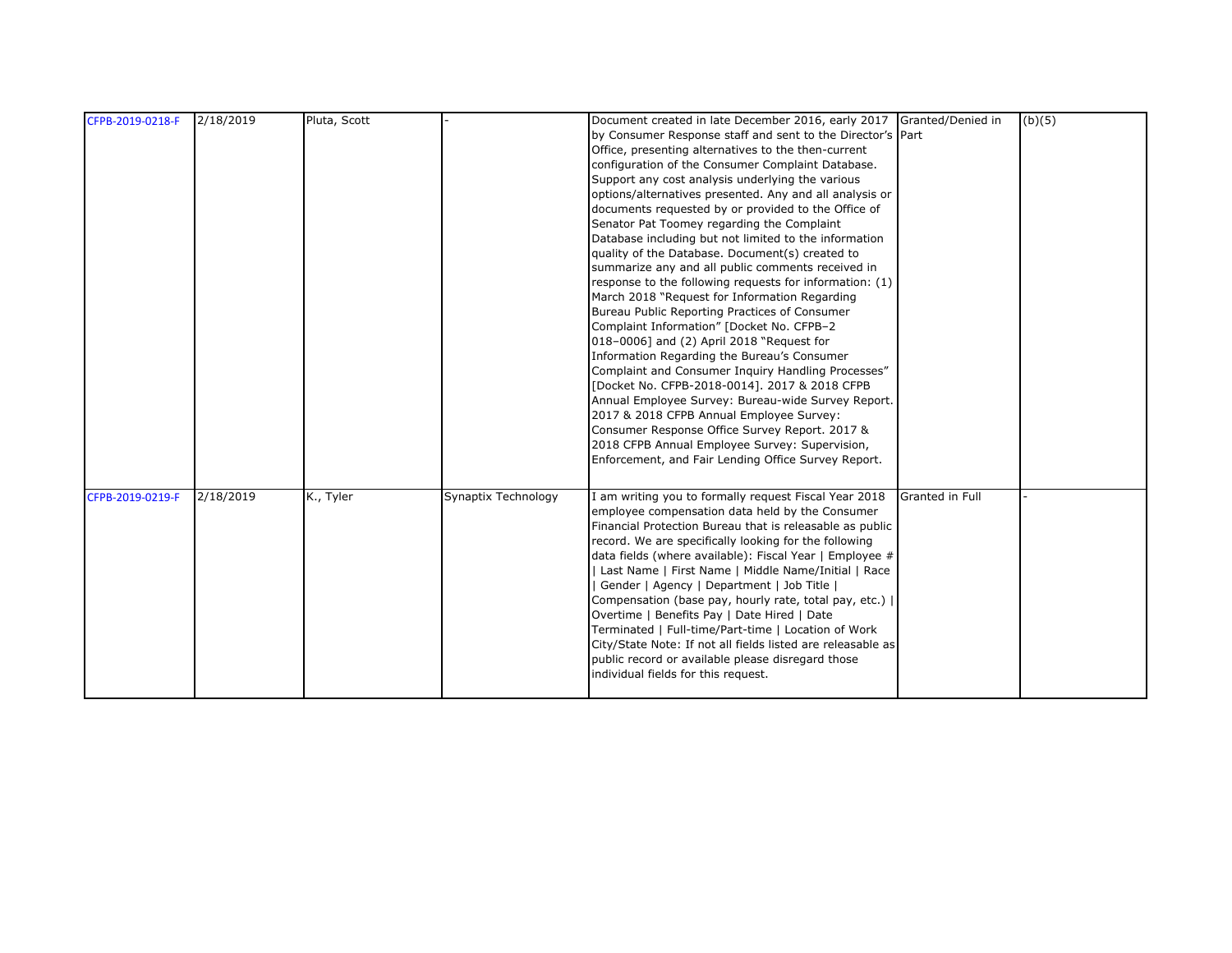| CFPB-2019-0218-F | 2/18/2019 | Pluta, Scott |                     | Document created in late December 2016, early 2017 Granted/Denied in<br>by Consumer Response staff and sent to the Director's Part<br>Office, presenting alternatives to the then-current<br>configuration of the Consumer Complaint Database.<br>Support any cost analysis underlying the various<br>options/alternatives presented. Any and all analysis or<br>documents requested by or provided to the Office of<br>Senator Pat Toomey regarding the Complaint<br>Database including but not limited to the information<br>quality of the Database. Document(s) created to<br>summarize any and all public comments received in<br>response to the following requests for information: (1)<br>March 2018 "Request for Information Regarding<br>Bureau Public Reporting Practices of Consumer<br>Complaint Information" [Docket No. CFPB-2<br>018-0006] and (2) April 2018 "Request for<br>Information Regarding the Bureau's Consumer<br>Complaint and Consumer Inquiry Handling Processes"<br>[Docket No. CFPB-2018-0014]. 2017 & 2018 CFPB<br>Annual Employee Survey: Bureau-wide Survey Report.<br>2017 & 2018 CFPB Annual Employee Survey:<br>Consumer Response Office Survey Report. 2017 &<br>2018 CFPB Annual Employee Survey: Supervision, |                 | (b)(5) |
|------------------|-----------|--------------|---------------------|--------------------------------------------------------------------------------------------------------------------------------------------------------------------------------------------------------------------------------------------------------------------------------------------------------------------------------------------------------------------------------------------------------------------------------------------------------------------------------------------------------------------------------------------------------------------------------------------------------------------------------------------------------------------------------------------------------------------------------------------------------------------------------------------------------------------------------------------------------------------------------------------------------------------------------------------------------------------------------------------------------------------------------------------------------------------------------------------------------------------------------------------------------------------------------------------------------------------------------------------------------|-----------------|--------|
| CFPB-2019-0219-F | 2/18/2019 | K., Tyler    | Synaptix Technology | Enforcement, and Fair Lending Office Survey Report.<br>I am writing you to formally request Fiscal Year 2018<br>employee compensation data held by the Consumer<br>Financial Protection Bureau that is releasable as public<br>record. We are specifically looking for the following<br>data fields (where available): Fiscal Year   Employee #<br>Last Name   First Name   Middle Name/Initial   Race<br>Gender   Agency   Department   Job Title  <br>Compensation (base pay, hourly rate, total pay, etc.)  <br>Overtime   Benefits Pay   Date Hired   Date<br>Terminated   Full-time/Part-time   Location of Work<br>City/State Note: If not all fields listed are releasable as<br>public record or available please disregard those<br>individual fields for this request.                                                                                                                                                                                                                                                                                                                                                                                                                                                                       | Granted in Full |        |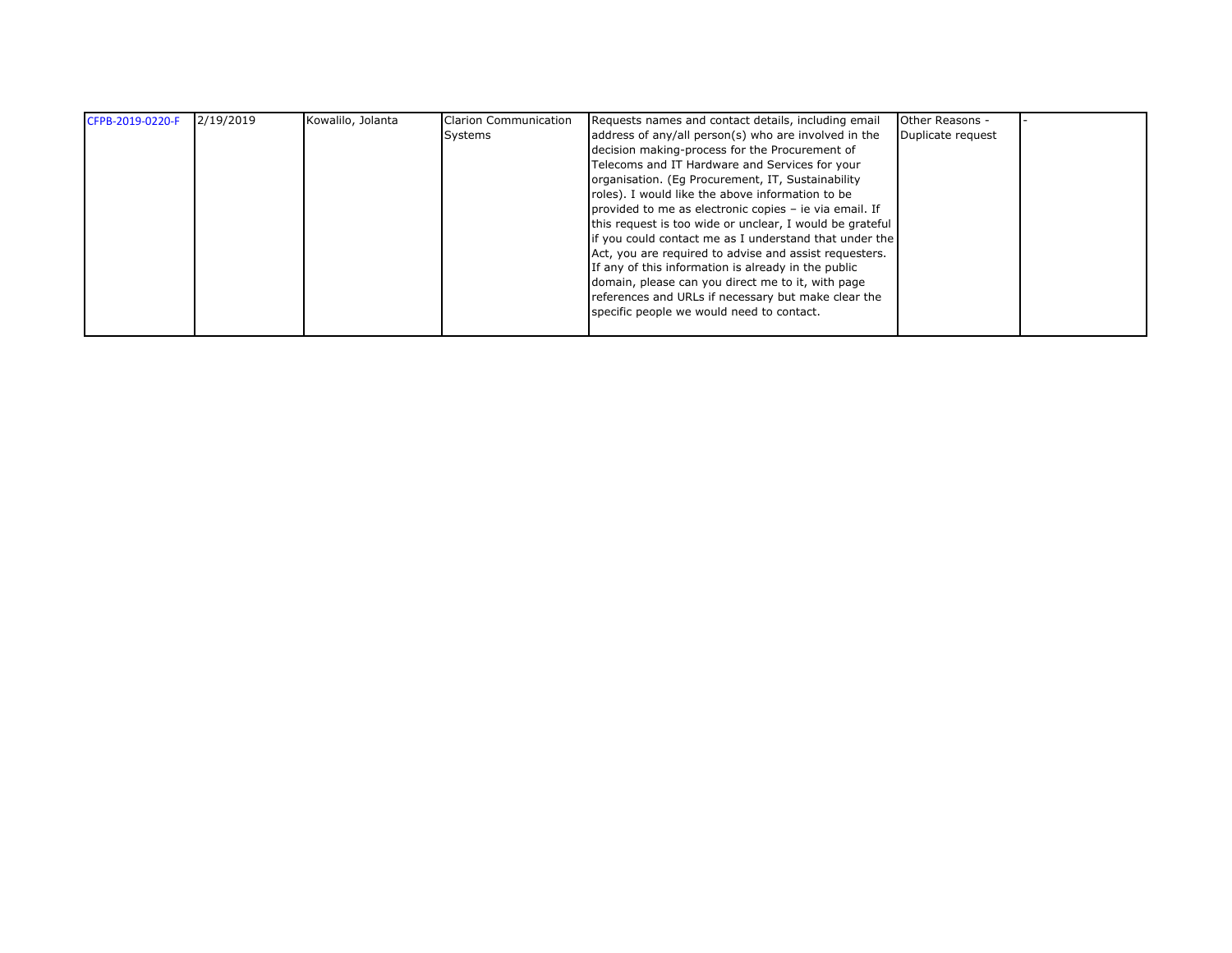| CFPB-2019-0220-F | 2/19/2019 | Kowalilo, Jolanta | <b>Clarion Communication</b> | Requests names and contact details, including email      | Other Reasons -   |  |
|------------------|-----------|-------------------|------------------------------|----------------------------------------------------------|-------------------|--|
|                  |           |                   | Systems                      | address of any/all person(s) who are involved in the     | Duplicate request |  |
|                  |           |                   |                              | decision making-process for the Procurement of           |                   |  |
|                  |           |                   |                              | Telecoms and IT Hardware and Services for your           |                   |  |
|                  |           |                   |                              | organisation. (Eq Procurement, IT, Sustainability        |                   |  |
|                  |           |                   |                              | roles). I would like the above information to be         |                   |  |
|                  |           |                   |                              | provided to me as electronic copies - ie via email. If   |                   |  |
|                  |           |                   |                              | this request is too wide or unclear, I would be grateful |                   |  |
|                  |           |                   |                              | if you could contact me as I understand that under the   |                   |  |
|                  |           |                   |                              | Act, you are required to advise and assist requesters.   |                   |  |
|                  |           |                   |                              | If any of this information is already in the public      |                   |  |
|                  |           |                   |                              | domain, please can you direct me to it, with page        |                   |  |
|                  |           |                   |                              | references and URLs if necessary but make clear the      |                   |  |
|                  |           |                   |                              | specific people we would need to contact.                |                   |  |
|                  |           |                   |                              |                                                          |                   |  |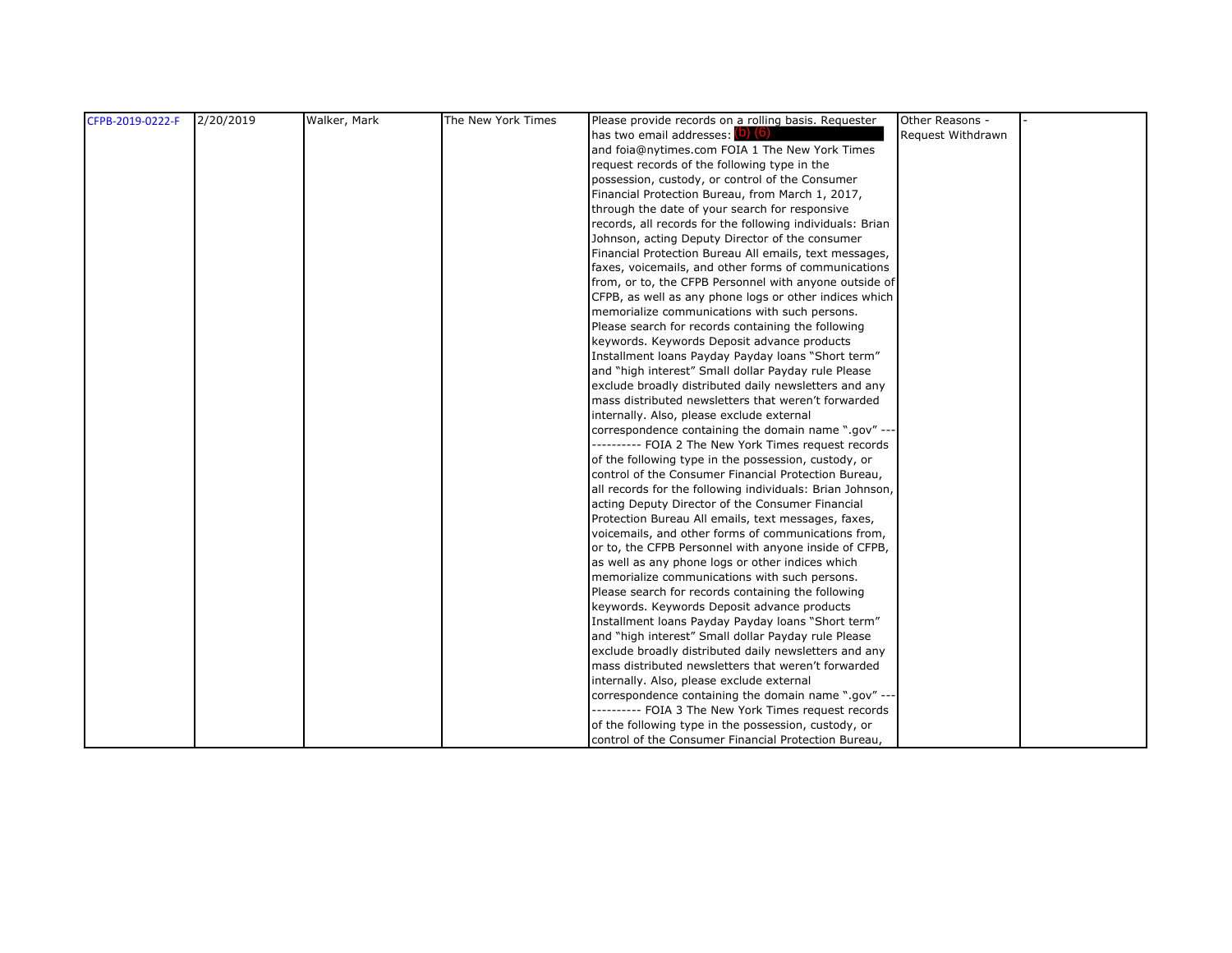| CFPB-2019-0222-F | 2/20/2019 | Walker, Mark | The New York Times | Please provide records on a rolling basis. Requester      | Other Reasons -   |  |
|------------------|-----------|--------------|--------------------|-----------------------------------------------------------|-------------------|--|
|                  |           |              |                    | has two email addresses: (D) (6)                          | Request Withdrawn |  |
|                  |           |              |                    | and foia@nytimes.com FOIA 1 The New York Times            |                   |  |
|                  |           |              |                    | request records of the following type in the              |                   |  |
|                  |           |              |                    | possession, custody, or control of the Consumer           |                   |  |
|                  |           |              |                    | Financial Protection Bureau, from March 1, 2017,          |                   |  |
|                  |           |              |                    | through the date of your search for responsive            |                   |  |
|                  |           |              |                    | records, all records for the following individuals: Brian |                   |  |
|                  |           |              |                    | Johnson, acting Deputy Director of the consumer           |                   |  |
|                  |           |              |                    | Financial Protection Bureau All emails, text messages,    |                   |  |
|                  |           |              |                    | faxes, voicemails, and other forms of communications      |                   |  |
|                  |           |              |                    | from, or to, the CFPB Personnel with anyone outside of    |                   |  |
|                  |           |              |                    | CFPB, as well as any phone logs or other indices which    |                   |  |
|                  |           |              |                    | memorialize communications with such persons.             |                   |  |
|                  |           |              |                    | Please search for records containing the following        |                   |  |
|                  |           |              |                    | keywords. Keywords Deposit advance products               |                   |  |
|                  |           |              |                    | Installment loans Payday Payday loans "Short term"        |                   |  |
|                  |           |              |                    | and "high interest" Small dollar Payday rule Please       |                   |  |
|                  |           |              |                    | exclude broadly distributed daily newsletters and any     |                   |  |
|                  |           |              |                    | mass distributed newsletters that weren't forwarded       |                   |  |
|                  |           |              |                    | internally. Also, please exclude external                 |                   |  |
|                  |           |              |                    | correspondence containing the domain name ".gov" ---      |                   |  |
|                  |           |              |                    | ---------- FOIA 2 The New York Times request records      |                   |  |
|                  |           |              |                    | of the following type in the possession, custody, or      |                   |  |
|                  |           |              |                    | control of the Consumer Financial Protection Bureau,      |                   |  |
|                  |           |              |                    | all records for the following individuals: Brian Johnson, |                   |  |
|                  |           |              |                    | acting Deputy Director of the Consumer Financial          |                   |  |
|                  |           |              |                    | Protection Bureau All emails, text messages, faxes,       |                   |  |
|                  |           |              |                    | voicemails, and other forms of communications from,       |                   |  |
|                  |           |              |                    | or to, the CFPB Personnel with anyone inside of CFPB,     |                   |  |
|                  |           |              |                    | as well as any phone logs or other indices which          |                   |  |
|                  |           |              |                    | memorialize communications with such persons.             |                   |  |
|                  |           |              |                    | Please search for records containing the following        |                   |  |
|                  |           |              |                    | keywords. Keywords Deposit advance products               |                   |  |
|                  |           |              |                    | Installment loans Payday Payday loans "Short term"        |                   |  |
|                  |           |              |                    | and "high interest" Small dollar Payday rule Please       |                   |  |
|                  |           |              |                    | exclude broadly distributed daily newsletters and any     |                   |  |
|                  |           |              |                    | mass distributed newsletters that weren't forwarded       |                   |  |
|                  |           |              |                    | internally. Also, please exclude external                 |                   |  |
|                  |           |              |                    | correspondence containing the domain name ".gov" ---      |                   |  |
|                  |           |              |                    | ---------- FOIA 3 The New York Times request records      |                   |  |
|                  |           |              |                    | of the following type in the possession, custody, or      |                   |  |
|                  |           |              |                    | control of the Consumer Financial Protection Bureau,      |                   |  |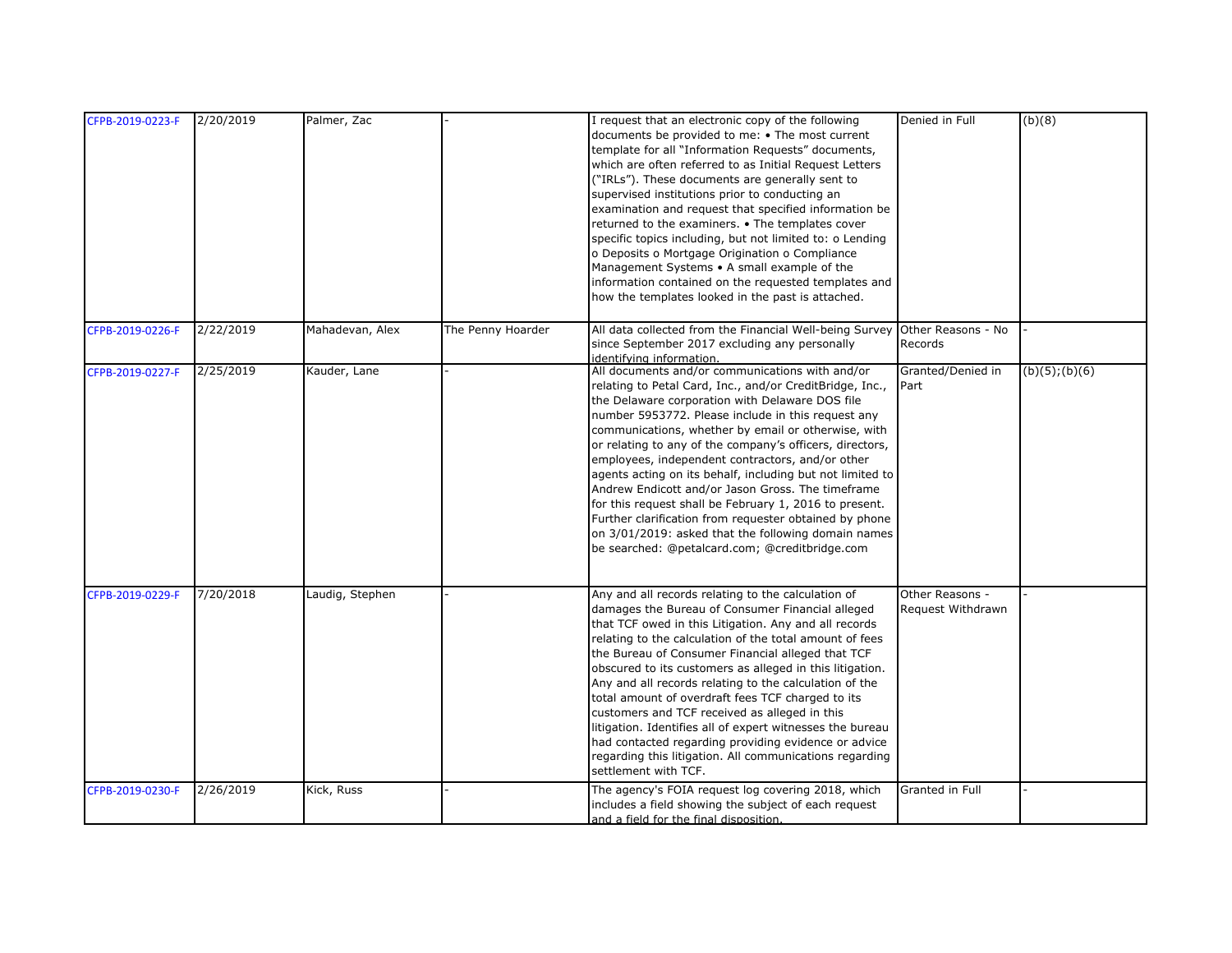| CFPB-2019-0223-F | 2/20/2019 | Palmer, Zac     |                   | I request that an electronic copy of the following                         | Denied in Full    | (b)(8)              |
|------------------|-----------|-----------------|-------------------|----------------------------------------------------------------------------|-------------------|---------------------|
|                  |           |                 |                   |                                                                            |                   |                     |
|                  |           |                 |                   | documents be provided to me: • The most current                            |                   |                     |
|                  |           |                 |                   | template for all "Information Requests" documents,                         |                   |                     |
|                  |           |                 |                   | which are often referred to as Initial Request Letters                     |                   |                     |
|                  |           |                 |                   | ("IRLs"). These documents are generally sent to                            |                   |                     |
|                  |           |                 |                   | supervised institutions prior to conducting an                             |                   |                     |
|                  |           |                 |                   | examination and request that specified information be                      |                   |                     |
|                  |           |                 |                   | returned to the examiners. • The templates cover                           |                   |                     |
|                  |           |                 |                   |                                                                            |                   |                     |
|                  |           |                 |                   | specific topics including, but not limited to: o Lending                   |                   |                     |
|                  |           |                 |                   | o Deposits o Mortgage Origination o Compliance                             |                   |                     |
|                  |           |                 |                   | Management Systems • A small example of the                                |                   |                     |
|                  |           |                 |                   | information contained on the requested templates and                       |                   |                     |
|                  |           |                 |                   | how the templates looked in the past is attached.                          |                   |                     |
|                  |           |                 |                   |                                                                            |                   |                     |
| CFPB-2019-0226-F | 2/22/2019 | Mahadevan, Alex | The Penny Hoarder | All data collected from the Financial Well-being Survey Other Reasons - No |                   |                     |
|                  |           |                 |                   | since September 2017 excluding any personally                              | Records           |                     |
|                  |           |                 |                   | dentifying information.                                                    |                   |                     |
| CFPB-2019-0227-F | 2/25/2019 | Kauder, Lane    |                   | All documents and/or communications with and/or                            | Granted/Denied in | $(b)(5)$ ; $(b)(6)$ |
|                  |           |                 |                   | relating to Petal Card, Inc., and/or CreditBridge, Inc.,                   | Part              |                     |
|                  |           |                 |                   |                                                                            |                   |                     |
|                  |           |                 |                   | the Delaware corporation with Delaware DOS file                            |                   |                     |
|                  |           |                 |                   | number 5953772. Please include in this request any                         |                   |                     |
|                  |           |                 |                   | communications, whether by email or otherwise, with                        |                   |                     |
|                  |           |                 |                   | or relating to any of the company's officers, directors,                   |                   |                     |
|                  |           |                 |                   | employees, independent contractors, and/or other                           |                   |                     |
|                  |           |                 |                   | agents acting on its behalf, including but not limited to                  |                   |                     |
|                  |           |                 |                   | Andrew Endicott and/or Jason Gross. The timeframe                          |                   |                     |
|                  |           |                 |                   |                                                                            |                   |                     |
|                  |           |                 |                   | for this request shall be February 1, 2016 to present.                     |                   |                     |
|                  |           |                 |                   | Further clarification from requester obtained by phone                     |                   |                     |
|                  |           |                 |                   | on 3/01/2019: asked that the following domain names                        |                   |                     |
|                  |           |                 |                   | be searched: @petalcard.com; @creditbridge.com                             |                   |                     |
|                  |           |                 |                   |                                                                            |                   |                     |
|                  |           |                 |                   |                                                                            |                   |                     |
| CFPB-2019-0229-F | 7/20/2018 | Laudig, Stephen |                   | Any and all records relating to the calculation of                         | Other Reasons -   |                     |
|                  |           |                 |                   | damages the Bureau of Consumer Financial alleged                           | Request Withdrawn |                     |
|                  |           |                 |                   | that TCF owed in this Litigation. Any and all records                      |                   |                     |
|                  |           |                 |                   | relating to the calculation of the total amount of fees                    |                   |                     |
|                  |           |                 |                   | the Bureau of Consumer Financial alleged that TCF                          |                   |                     |
|                  |           |                 |                   |                                                                            |                   |                     |
|                  |           |                 |                   | obscured to its customers as alleged in this litigation.                   |                   |                     |
|                  |           |                 |                   | Any and all records relating to the calculation of the                     |                   |                     |
|                  |           |                 |                   | total amount of overdraft fees TCF charged to its                          |                   |                     |
|                  |           |                 |                   | customers and TCF received as alleged in this                              |                   |                     |
|                  |           |                 |                   | litigation. Identifies all of expert witnesses the bureau                  |                   |                     |
|                  |           |                 |                   | had contacted regarding providing evidence or advice                       |                   |                     |
|                  |           |                 |                   | regarding this litigation. All communications regarding                    |                   |                     |
|                  |           |                 |                   | settlement with TCF.                                                       |                   |                     |
| CFPB-2019-0230-F | 2/26/2019 | Kick, Russ      |                   | The agency's FOIA request log covering 2018, which                         | Granted in Full   |                     |
|                  |           |                 |                   | includes a field showing the subject of each request                       |                   |                     |
|                  |           |                 |                   |                                                                            |                   |                     |
|                  |           |                 |                   | and a field for the final disposition.                                     |                   |                     |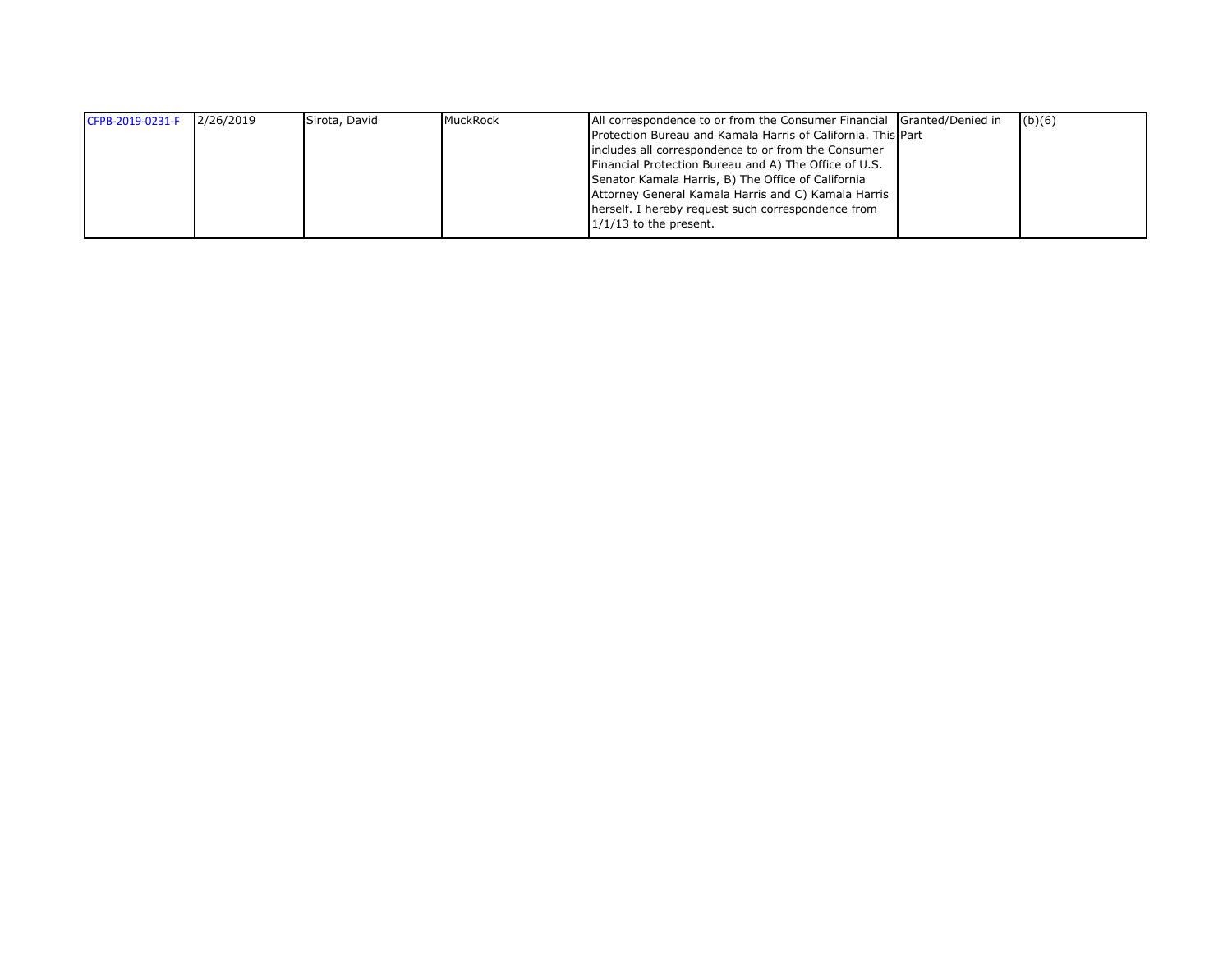| CFPB-2019-0231-F | 2/26/2019 | Sirota, David | MuckRock | All correspondence to or from the Consumer Financial Granted/Denied in | (b)(6) |
|------------------|-----------|---------------|----------|------------------------------------------------------------------------|--------|
|                  |           |               |          | Protection Bureau and Kamala Harris of California. This Part           |        |
|                  |           |               |          | includes all correspondence to or from the Consumer                    |        |
|                  |           |               |          | Financial Protection Bureau and A) The Office of U.S.                  |        |
|                  |           |               |          | Senator Kamala Harris, B) The Office of California                     |        |
|                  |           |               |          | Attorney General Kamala Harris and C) Kamala Harris                    |        |
|                  |           |               |          | herself. I hereby request such correspondence from                     |        |
|                  |           |               |          | $1/1/13$ to the present.                                               |        |
|                  |           |               |          |                                                                        |        |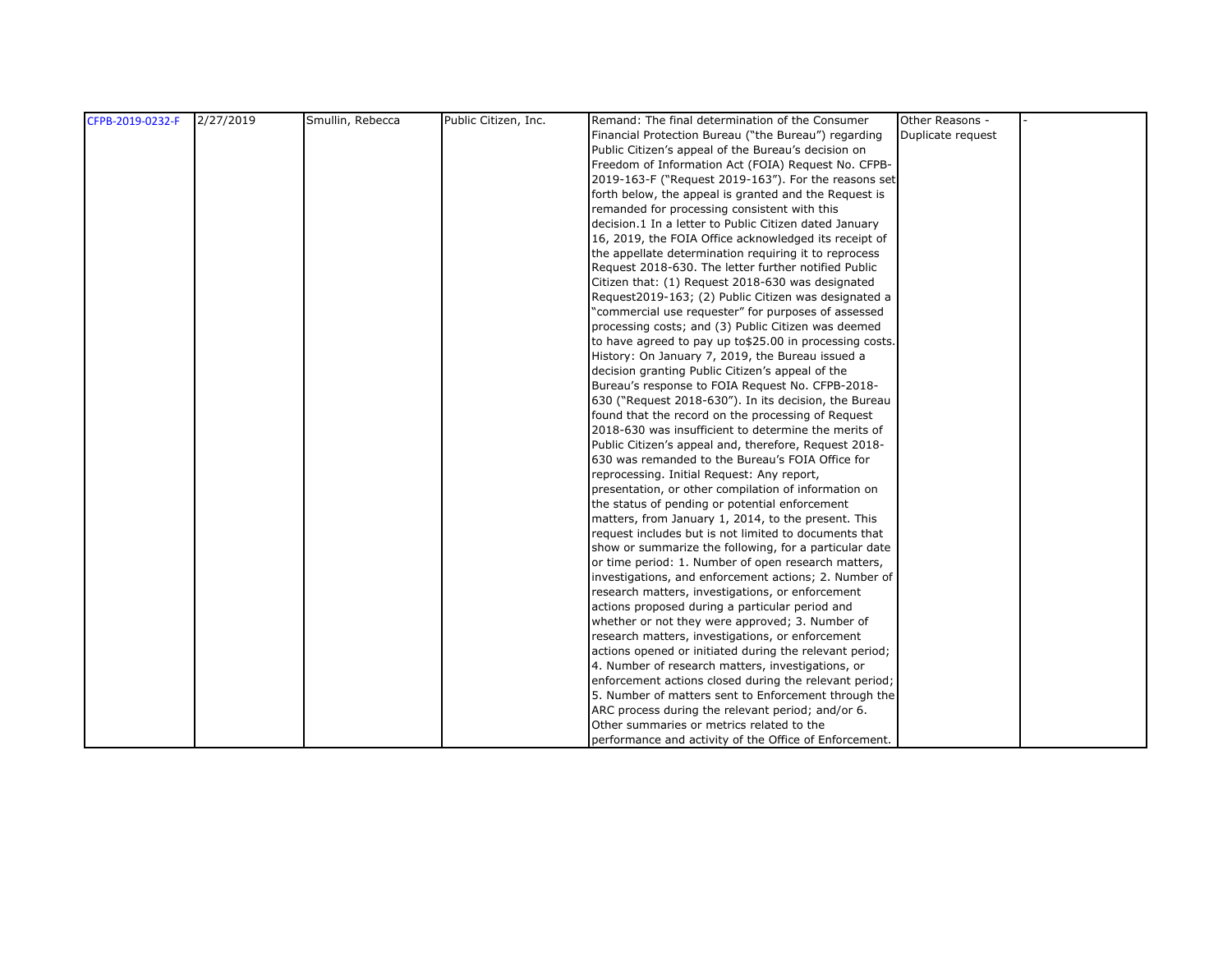| CFPB-2019-0232-F | 2/27/2019 | Smullin, Rebecca | Public Citizen, Inc. | Remand: The final determination of the Consumer          | Other Reasons -   |  |
|------------------|-----------|------------------|----------------------|----------------------------------------------------------|-------------------|--|
|                  |           |                  |                      | Financial Protection Bureau ("the Bureau") regarding     | Duplicate request |  |
|                  |           |                  |                      | Public Citizen's appeal of the Bureau's decision on      |                   |  |
|                  |           |                  |                      | Freedom of Information Act (FOIA) Request No. CFPB-      |                   |  |
|                  |           |                  |                      | 2019-163-F ("Request 2019-163"). For the reasons set     |                   |  |
|                  |           |                  |                      | forth below, the appeal is granted and the Request is    |                   |  |
|                  |           |                  |                      | remanded for processing consistent with this             |                   |  |
|                  |           |                  |                      | decision.1 In a letter to Public Citizen dated January   |                   |  |
|                  |           |                  |                      | 16, 2019, the FOIA Office acknowledged its receipt of    |                   |  |
|                  |           |                  |                      | the appellate determination requiring it to reprocess    |                   |  |
|                  |           |                  |                      | Request 2018-630. The letter further notified Public     |                   |  |
|                  |           |                  |                      | Citizen that: (1) Request 2018-630 was designated        |                   |  |
|                  |           |                  |                      | Request2019-163; (2) Public Citizen was designated a     |                   |  |
|                  |           |                  |                      | "commercial use requester" for purposes of assessed      |                   |  |
|                  |           |                  |                      | processing costs; and (3) Public Citizen was deemed      |                   |  |
|                  |           |                  |                      | to have agreed to pay up to \$25.00 in processing costs. |                   |  |
|                  |           |                  |                      | History: On January 7, 2019, the Bureau issued a         |                   |  |
|                  |           |                  |                      | decision granting Public Citizen's appeal of the         |                   |  |
|                  |           |                  |                      | Bureau's response to FOIA Request No. CFPB-2018-         |                   |  |
|                  |           |                  |                      | 630 ("Request 2018-630"). In its decision, the Bureau    |                   |  |
|                  |           |                  |                      | found that the record on the processing of Request       |                   |  |
|                  |           |                  |                      | 2018-630 was insufficient to determine the merits of     |                   |  |
|                  |           |                  |                      | Public Citizen's appeal and, therefore, Request 2018-    |                   |  |
|                  |           |                  |                      | 630 was remanded to the Bureau's FOIA Office for         |                   |  |
|                  |           |                  |                      | reprocessing. Initial Request: Any report,               |                   |  |
|                  |           |                  |                      | presentation, or other compilation of information on     |                   |  |
|                  |           |                  |                      | the status of pending or potential enforcement           |                   |  |
|                  |           |                  |                      | matters, from January 1, 2014, to the present. This      |                   |  |
|                  |           |                  |                      | request includes but is not limited to documents that    |                   |  |
|                  |           |                  |                      | show or summarize the following, for a particular date   |                   |  |
|                  |           |                  |                      | or time period: 1. Number of open research matters,      |                   |  |
|                  |           |                  |                      | investigations, and enforcement actions; 2. Number of    |                   |  |
|                  |           |                  |                      | research matters, investigations, or enforcement         |                   |  |
|                  |           |                  |                      | actions proposed during a particular period and          |                   |  |
|                  |           |                  |                      | whether or not they were approved; 3. Number of          |                   |  |
|                  |           |                  |                      | research matters, investigations, or enforcement         |                   |  |
|                  |           |                  |                      | actions opened or initiated during the relevant period;  |                   |  |
|                  |           |                  |                      | 4. Number of research matters, investigations, or        |                   |  |
|                  |           |                  |                      | enforcement actions closed during the relevant period;   |                   |  |
|                  |           |                  |                      | 5. Number of matters sent to Enforcement through the     |                   |  |
|                  |           |                  |                      | ARC process during the relevant period; and/or 6.        |                   |  |
|                  |           |                  |                      | Other summaries or metrics related to the                |                   |  |
|                  |           |                  |                      | performance and activity of the Office of Enforcement.   |                   |  |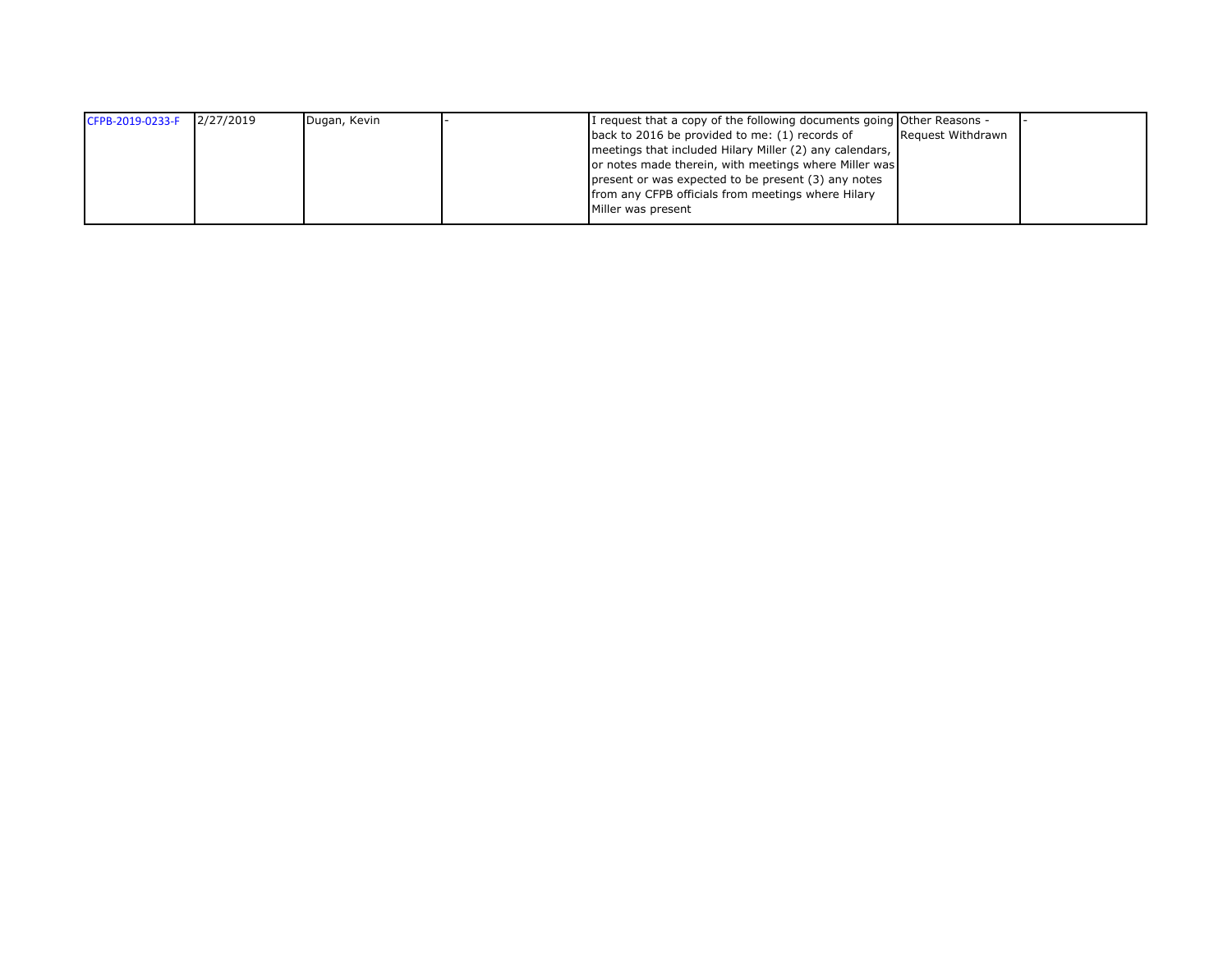| CFPB-2019-0233-F | 2/27/2019 | Dugan, Kevin | I request that a copy of the following documents going Other Reasons - |                   |  |
|------------------|-----------|--------------|------------------------------------------------------------------------|-------------------|--|
|                  |           |              | back to 2016 be provided to me: (1) records of                         | Request Withdrawn |  |
|                  |           |              | meetings that included Hilary Miller (2) any calendars,                |                   |  |
|                  |           |              | or notes made therein, with meetings where Miller was                  |                   |  |
|                  |           |              | present or was expected to be present (3) any notes                    |                   |  |
|                  |           |              | from any CFPB officials from meetings where Hilary                     |                   |  |
|                  |           |              | Miller was present                                                     |                   |  |
|                  |           |              |                                                                        |                   |  |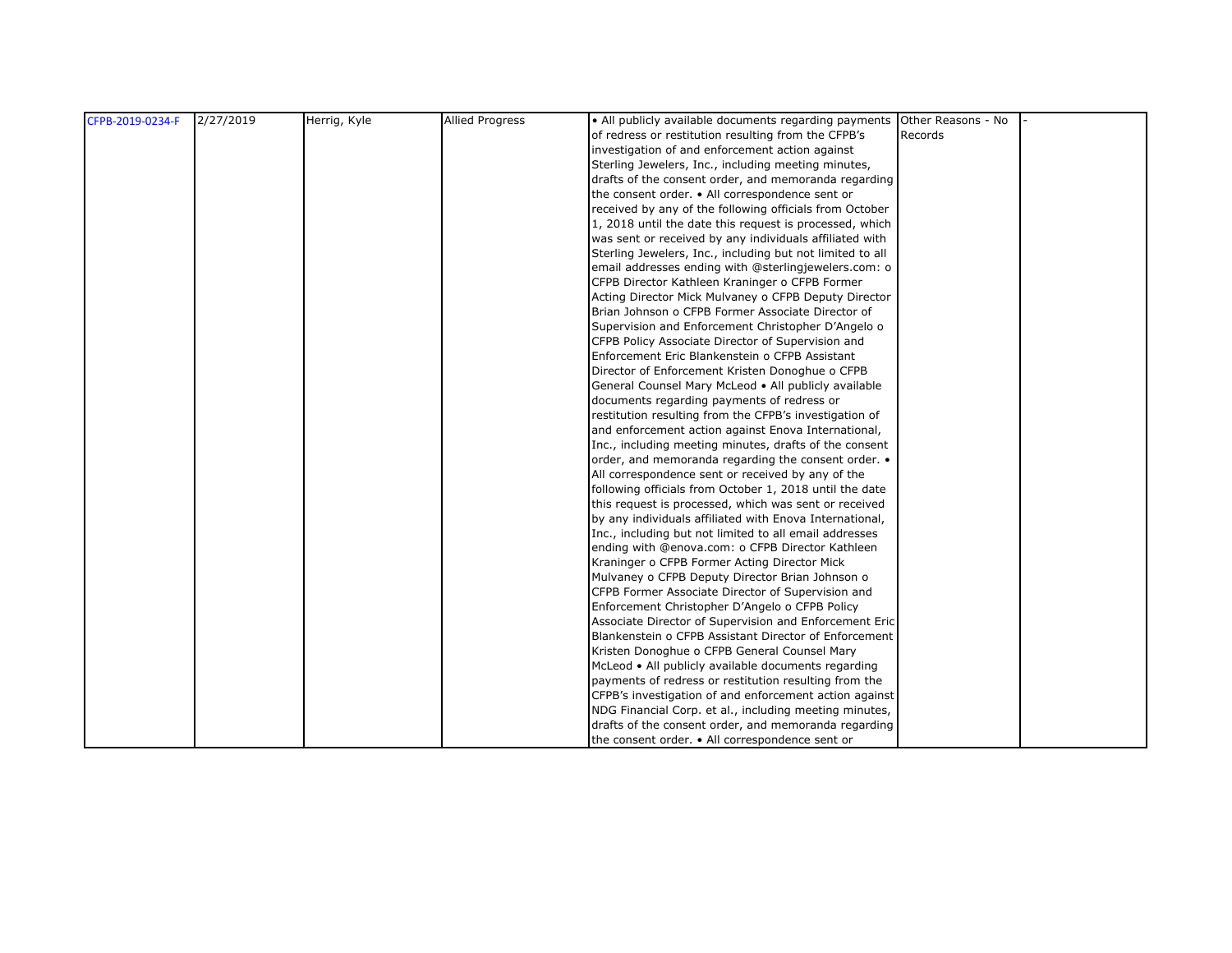| CFPB-2019-0234-F | 2/27/2019 | Herrig, Kyle | <b>Allied Progress</b> | • All publicly available documents regarding payments Other Reasons - No |         |  |
|------------------|-----------|--------------|------------------------|--------------------------------------------------------------------------|---------|--|
|                  |           |              |                        | of redress or restitution resulting from the CFPB's                      | Records |  |
|                  |           |              |                        | investigation of and enforcement action against                          |         |  |
|                  |           |              |                        | Sterling Jewelers, Inc., including meeting minutes,                      |         |  |
|                  |           |              |                        | drafts of the consent order, and memoranda regarding                     |         |  |
|                  |           |              |                        | the consent order. • All correspondence sent or                          |         |  |
|                  |           |              |                        | received by any of the following officials from October                  |         |  |
|                  |           |              |                        | 1, 2018 until the date this request is processed, which                  |         |  |
|                  |           |              |                        | was sent or received by any individuals affiliated with                  |         |  |
|                  |           |              |                        | Sterling Jewelers, Inc., including but not limited to all                |         |  |
|                  |           |              |                        | email addresses ending with @sterlingjewelers.com: o                     |         |  |
|                  |           |              |                        | CFPB Director Kathleen Kraninger o CFPB Former                           |         |  |
|                  |           |              |                        | Acting Director Mick Mulvaney o CFPB Deputy Director                     |         |  |
|                  |           |              |                        | Brian Johnson o CFPB Former Associate Director of                        |         |  |
|                  |           |              |                        | Supervision and Enforcement Christopher D'Angelo o                       |         |  |
|                  |           |              |                        | CFPB Policy Associate Director of Supervision and                        |         |  |
|                  |           |              |                        | Enforcement Eric Blankenstein o CFPB Assistant                           |         |  |
|                  |           |              |                        | Director of Enforcement Kristen Donoghue o CFPB                          |         |  |
|                  |           |              |                        | General Counsel Mary McLeod • All publicly available                     |         |  |
|                  |           |              |                        | documents regarding payments of redress or                               |         |  |
|                  |           |              |                        | restitution resulting from the CFPB's investigation of                   |         |  |
|                  |           |              |                        | and enforcement action against Enova International,                      |         |  |
|                  |           |              |                        | Inc., including meeting minutes, drafts of the consent                   |         |  |
|                  |           |              |                        | order, and memoranda regarding the consent order. .                      |         |  |
|                  |           |              |                        | All correspondence sent or received by any of the                        |         |  |
|                  |           |              |                        | following officials from October 1, 2018 until the date                  |         |  |
|                  |           |              |                        | this request is processed, which was sent or received                    |         |  |
|                  |           |              |                        | by any individuals affiliated with Enova International,                  |         |  |
|                  |           |              |                        | Inc., including but not limited to all email addresses                   |         |  |
|                  |           |              |                        | ending with @enova.com: o CFPB Director Kathleen                         |         |  |
|                  |           |              |                        | Kraninger o CFPB Former Acting Director Mick                             |         |  |
|                  |           |              |                        | Mulvaney o CFPB Deputy Director Brian Johnson o                          |         |  |
|                  |           |              |                        | CFPB Former Associate Director of Supervision and                        |         |  |
|                  |           |              |                        | Enforcement Christopher D'Angelo o CFPB Policy                           |         |  |
|                  |           |              |                        | Associate Director of Supervision and Enforcement Eric                   |         |  |
|                  |           |              |                        | Blankenstein o CFPB Assistant Director of Enforcement                    |         |  |
|                  |           |              |                        | Kristen Donoghue o CFPB General Counsel Mary                             |         |  |
|                  |           |              |                        | McLeod • All publicly available documents regarding                      |         |  |
|                  |           |              |                        | payments of redress or restitution resulting from the                    |         |  |
|                  |           |              |                        | CFPB's investigation of and enforcement action against                   |         |  |
|                  |           |              |                        | NDG Financial Corp. et al., including meeting minutes,                   |         |  |
|                  |           |              |                        | drafts of the consent order, and memoranda regarding                     |         |  |
|                  |           |              |                        | the consent order. • All correspondence sent or                          |         |  |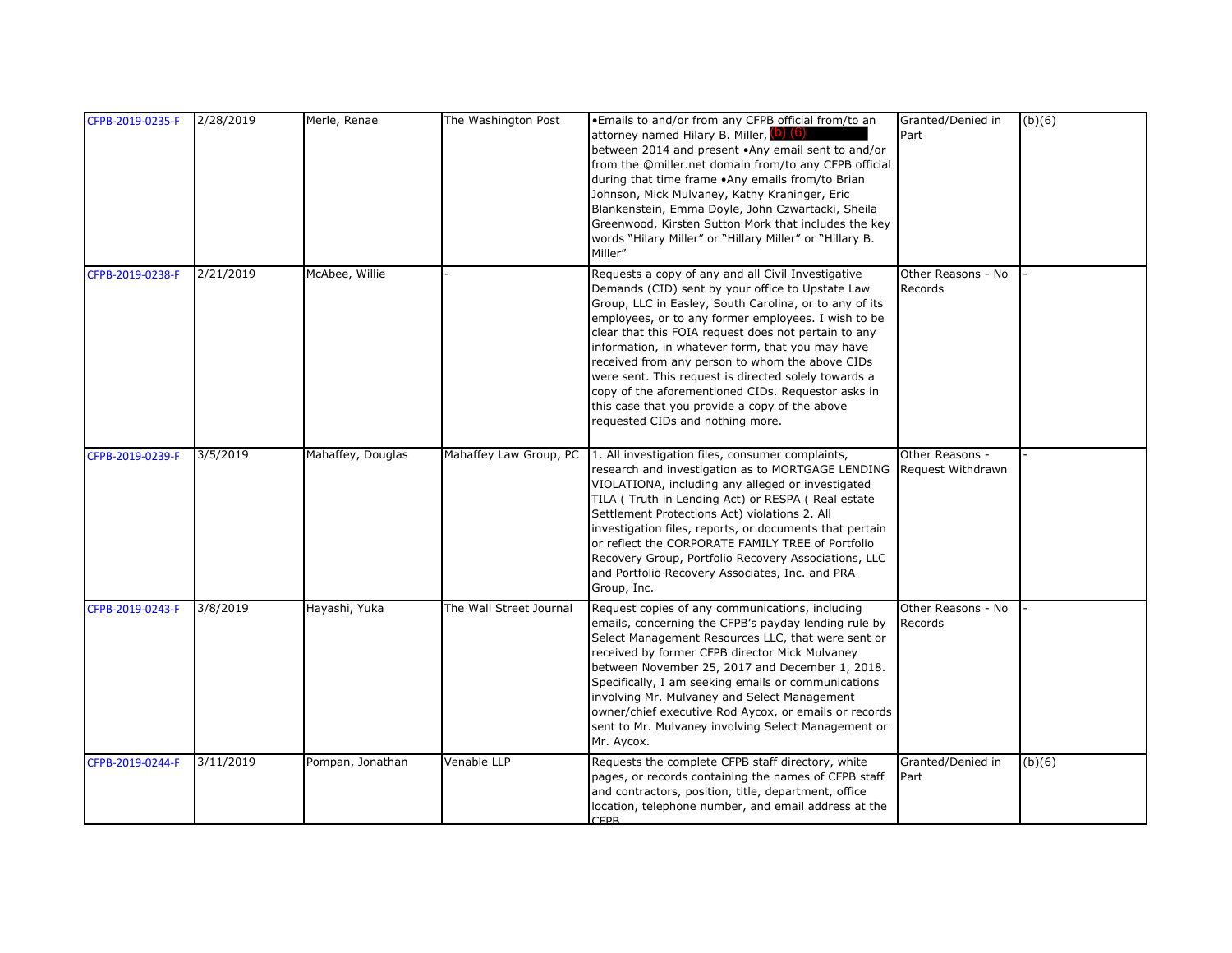| CFPB-2019-0235-F | 2/28/2019 | Merle, Renae      | The Washington Post     | . Emails to and/or from any CFPB official from/to an<br>attorney named Hilary B. Miller, (b) (6)<br>between 2014 and present .Any email sent to and/or<br>from the @miller.net domain from/to any CFPB official<br>during that time frame .Any emails from/to Brian<br>Johnson, Mick Mulvaney, Kathy Kraninger, Eric<br>Blankenstein, Emma Doyle, John Czwartacki, Sheila<br>Greenwood, Kirsten Sutton Mork that includes the key<br>words "Hilary Miller" or "Hillary Miller" or "Hillary B.<br>Miller"                                                                                   | Granted/Denied in<br>Part            | (b)(6) |
|------------------|-----------|-------------------|-------------------------|--------------------------------------------------------------------------------------------------------------------------------------------------------------------------------------------------------------------------------------------------------------------------------------------------------------------------------------------------------------------------------------------------------------------------------------------------------------------------------------------------------------------------------------------------------------------------------------------|--------------------------------------|--------|
| CFPB-2019-0238-F | 2/21/2019 | McAbee, Willie    |                         | Requests a copy of any and all Civil Investigative<br>Demands (CID) sent by your office to Upstate Law<br>Group, LLC in Easley, South Carolina, or to any of its<br>employees, or to any former employees. I wish to be<br>clear that this FOIA request does not pertain to any<br>information, in whatever form, that you may have<br>received from any person to whom the above CIDs<br>were sent. This request is directed solely towards a<br>copy of the aforementioned CIDs. Requestor asks in<br>this case that you provide a copy of the above<br>requested CIDs and nothing more. | Other Reasons - No<br>Records        |        |
| CFPB-2019-0239-F | 3/5/2019  | Mahaffey, Douglas | Mahaffey Law Group, PC  | 1. All investigation files, consumer complaints,<br>research and investigation as to MORTGAGE LENDING<br>VIOLATIONA, including any alleged or investigated<br>TILA (Truth in Lending Act) or RESPA (Real estate<br>Settlement Protections Act) violations 2. All<br>investigation files, reports, or documents that pertain<br>or reflect the CORPORATE FAMILY TREE of Portfolio<br>Recovery Group, Portfolio Recovery Associations, LLC<br>and Portfolio Recovery Associates, Inc. and PRA<br>Group, Inc.                                                                                 | Other Reasons -<br>Request Withdrawn |        |
| CFPB-2019-0243-F | 3/8/2019  | Hayashi, Yuka     | The Wall Street Journal | Request copies of any communications, including<br>emails, concerning the CFPB's payday lending rule by<br>Select Management Resources LLC, that were sent or<br>received by former CFPB director Mick Mulvaney<br>between November 25, 2017 and December 1, 2018.<br>Specifically, I am seeking emails or communications<br>involving Mr. Mulvaney and Select Management<br>owner/chief executive Rod Aycox, or emails or records<br>sent to Mr. Mulvaney involving Select Management or<br>Mr. Aycox.                                                                                    | Other Reasons - No<br>Records        |        |
| CFPB-2019-0244-F | 3/11/2019 | Pompan, Jonathan  | Venable LLP             | Requests the complete CFPB staff directory, white<br>pages, or records containing the names of CFPB staff<br>and contractors, position, title, department, office<br>location, telephone number, and email address at the<br><b>CFPR</b>                                                                                                                                                                                                                                                                                                                                                   | Granted/Denied in<br>Part            | (b)(6) |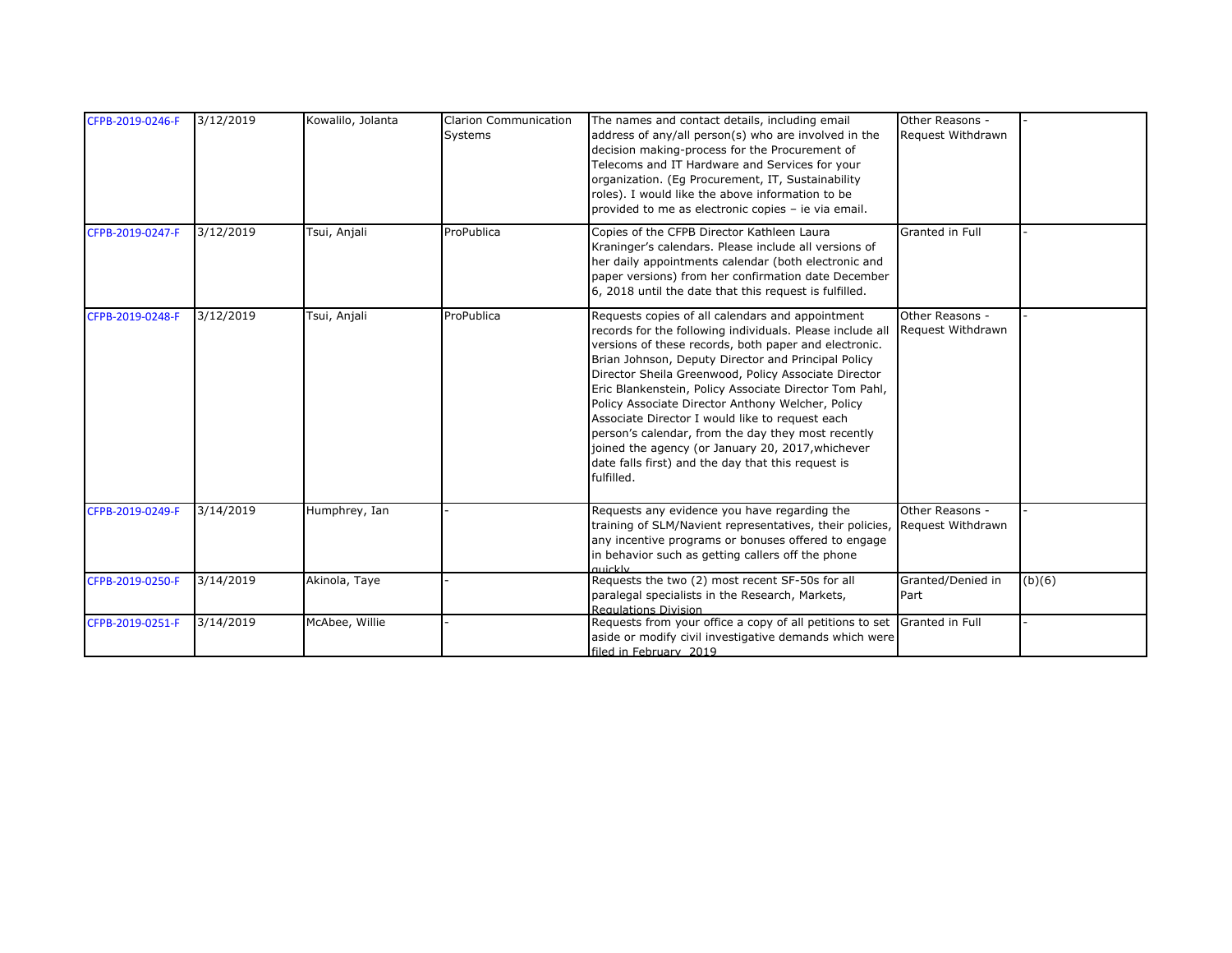| CFPB-2019-0246-F | 3/12/2019 | Kowalilo, Jolanta | <b>Clarion Communication</b><br><b>Systems</b> | The names and contact details, including email<br>address of any/all person(s) who are involved in the<br>decision making-process for the Procurement of<br>Telecoms and IT Hardware and Services for your<br>organization. (Eg Procurement, IT, Sustainability<br>roles). I would like the above information to be<br>provided to me as electronic copies - ie via email.                                                                                                                                                                                                                                                             | Other Reasons -<br>Request Withdrawn |        |
|------------------|-----------|-------------------|------------------------------------------------|----------------------------------------------------------------------------------------------------------------------------------------------------------------------------------------------------------------------------------------------------------------------------------------------------------------------------------------------------------------------------------------------------------------------------------------------------------------------------------------------------------------------------------------------------------------------------------------------------------------------------------------|--------------------------------------|--------|
| CFPB-2019-0247-F | 3/12/2019 | Tsui, Anjali      | ProPublica                                     | Copies of the CFPB Director Kathleen Laura<br>Kraninger's calendars. Please include all versions of<br>her daily appointments calendar (both electronic and<br>paper versions) from her confirmation date December<br>6, 2018 until the date that this request is fulfilled.                                                                                                                                                                                                                                                                                                                                                           | Granted in Full                      |        |
| CFPB-2019-0248-F | 3/12/2019 | Tsui, Anjali      | ProPublica                                     | Requests copies of all calendars and appointment<br>records for the following individuals. Please include all<br>versions of these records, both paper and electronic.<br>Brian Johnson, Deputy Director and Principal Policy<br>Director Sheila Greenwood, Policy Associate Director<br>Eric Blankenstein, Policy Associate Director Tom Pahl,<br>Policy Associate Director Anthony Welcher, Policy<br>Associate Director I would like to request each<br>person's calendar, from the day they most recently<br>joined the agency (or January 20, 2017, whichever<br>date falls first) and the day that this request is<br>fulfilled. | Other Reasons -<br>Request Withdrawn |        |
| CFPB-2019-0249-F | 3/14/2019 | Humphrey, Ian     |                                                | Requests any evidence you have regarding the<br>training of SLM/Navient representatives, their policies,<br>any incentive programs or bonuses offered to engage<br>in behavior such as getting callers off the phone<br>muckly                                                                                                                                                                                                                                                                                                                                                                                                         | Other Reasons -<br>Request Withdrawn |        |
| CFPB-2019-0250-F | 3/14/2019 | Akinola, Taye     |                                                | Requests the two (2) most recent SF-50s for all<br>paralegal specialists in the Research, Markets,<br><b>Regulations Division</b>                                                                                                                                                                                                                                                                                                                                                                                                                                                                                                      | Granted/Denied in<br>Part            | (b)(6) |
| CFPB-2019-0251-F | 3/14/2019 | McAbee, Willie    |                                                | Requests from your office a copy of all petitions to set Granted in Full<br>aside or modify civil investigative demands which were<br>filed in February 2019                                                                                                                                                                                                                                                                                                                                                                                                                                                                           |                                      |        |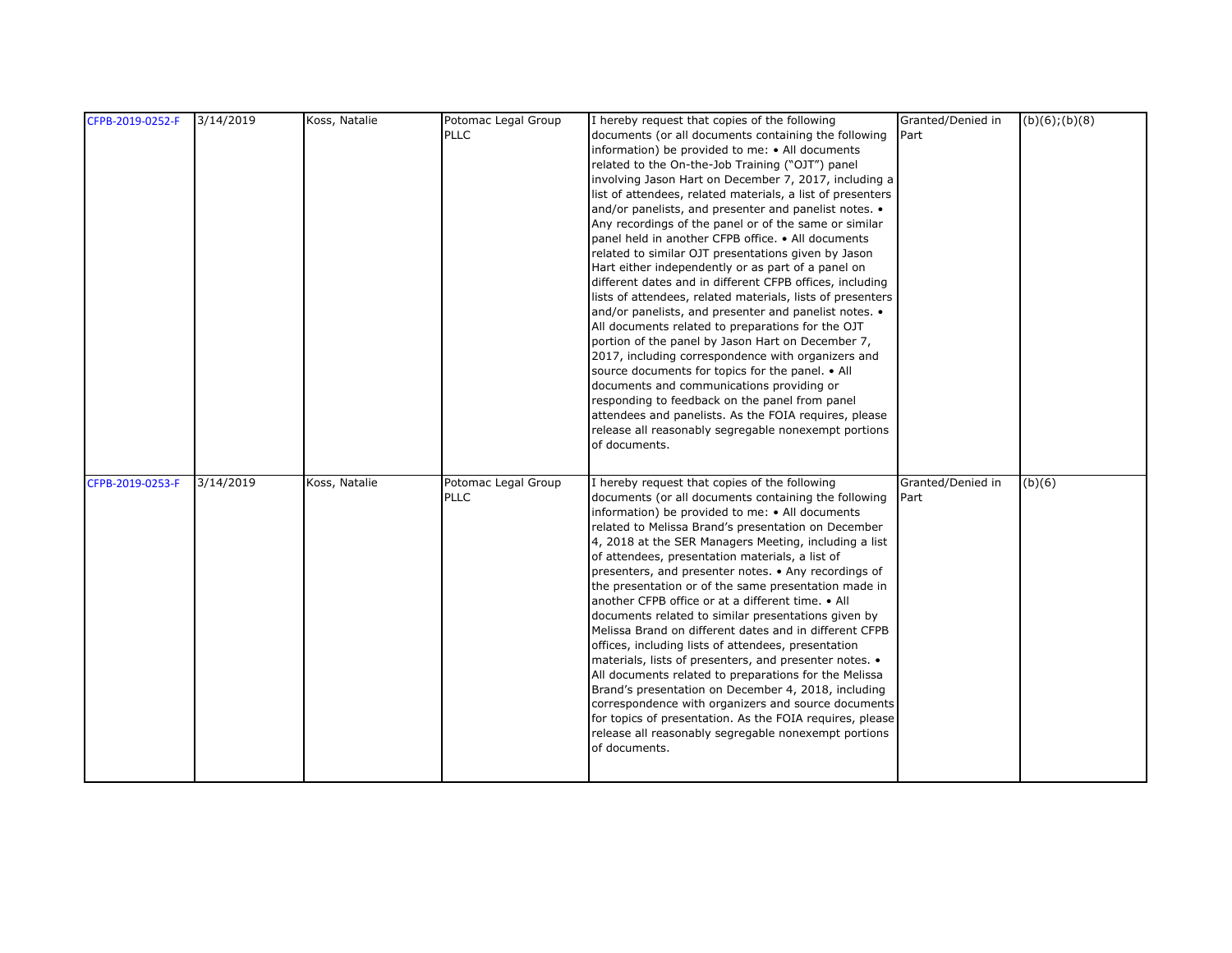| CFPB-2019-0252-F | 3/14/2019 | Koss, Natalie | Potomac Legal Group | I hereby request that copies of the following              | Granted/Denied in | $(b)(6)$ ; $(b)(8)$ |
|------------------|-----------|---------------|---------------------|------------------------------------------------------------|-------------------|---------------------|
|                  |           |               | <b>PLLC</b>         | documents (or all documents containing the following       | Part              |                     |
|                  |           |               |                     | information) be provided to me: • All documents            |                   |                     |
|                  |           |               |                     | related to the On-the-Job Training ("OJT") panel           |                   |                     |
|                  |           |               |                     | involving Jason Hart on December 7, 2017, including a      |                   |                     |
|                  |           |               |                     | list of attendees, related materials, a list of presenters |                   |                     |
|                  |           |               |                     | and/or panelists, and presenter and panelist notes. •      |                   |                     |
|                  |           |               |                     | Any recordings of the panel or of the same or similar      |                   |                     |
|                  |           |               |                     | panel held in another CFPB office. • All documents         |                   |                     |
|                  |           |               |                     | related to similar OJT presentations given by Jason        |                   |                     |
|                  |           |               |                     | Hart either independently or as part of a panel on         |                   |                     |
|                  |           |               |                     | different dates and in different CFPB offices, including   |                   |                     |
|                  |           |               |                     | lists of attendees, related materials, lists of presenters |                   |                     |
|                  |           |               |                     | and/or panelists, and presenter and panelist notes. •      |                   |                     |
|                  |           |               |                     | All documents related to preparations for the OJT          |                   |                     |
|                  |           |               |                     | portion of the panel by Jason Hart on December 7,          |                   |                     |
|                  |           |               |                     | 2017, including correspondence with organizers and         |                   |                     |
|                  |           |               |                     | source documents for topics for the panel. • All           |                   |                     |
|                  |           |               |                     | documents and communications providing or                  |                   |                     |
|                  |           |               |                     | responding to feedback on the panel from panel             |                   |                     |
|                  |           |               |                     | attendees and panelists. As the FOIA requires, please      |                   |                     |
|                  |           |               |                     | release all reasonably segregable nonexempt portions       |                   |                     |
|                  |           |               |                     | of documents.                                              |                   |                     |
|                  |           |               |                     |                                                            |                   |                     |
| CFPB-2019-0253-F | 3/14/2019 | Koss, Natalie | Potomac Legal Group | I hereby request that copies of the following              | Granted/Denied in | (b)(6)              |
|                  |           |               | <b>PLLC</b>         | documents (or all documents containing the following       | Part              |                     |
|                  |           |               |                     | information) be provided to me: • All documents            |                   |                     |
|                  |           |               |                     | related to Melissa Brand's presentation on December        |                   |                     |
|                  |           |               |                     | 4, 2018 at the SER Managers Meeting, including a list      |                   |                     |
|                  |           |               |                     | of attendees, presentation materials, a list of            |                   |                     |
|                  |           |               |                     | presenters, and presenter notes. • Any recordings of       |                   |                     |
|                  |           |               |                     | the presentation or of the same presentation made in       |                   |                     |
|                  |           |               |                     | another CFPB office or at a different time. • All          |                   |                     |
|                  |           |               |                     | documents related to similar presentations given by        |                   |                     |
|                  |           |               |                     | Melissa Brand on different dates and in different CFPB     |                   |                     |
|                  |           |               |                     | offices, including lists of attendees, presentation        |                   |                     |
|                  |           |               |                     | materials, lists of presenters, and presenter notes. •     |                   |                     |
|                  |           |               |                     | All documents related to preparations for the Melissa      |                   |                     |
|                  |           |               |                     |                                                            |                   |                     |
|                  |           |               |                     | Brand's presentation on December 4, 2018, including        |                   |                     |
|                  |           |               |                     | correspondence with organizers and source documents        |                   |                     |
|                  |           |               |                     | for topics of presentation. As the FOIA requires, please   |                   |                     |
|                  |           |               |                     | release all reasonably segregable nonexempt portions       |                   |                     |
|                  |           |               |                     | of documents.                                              |                   |                     |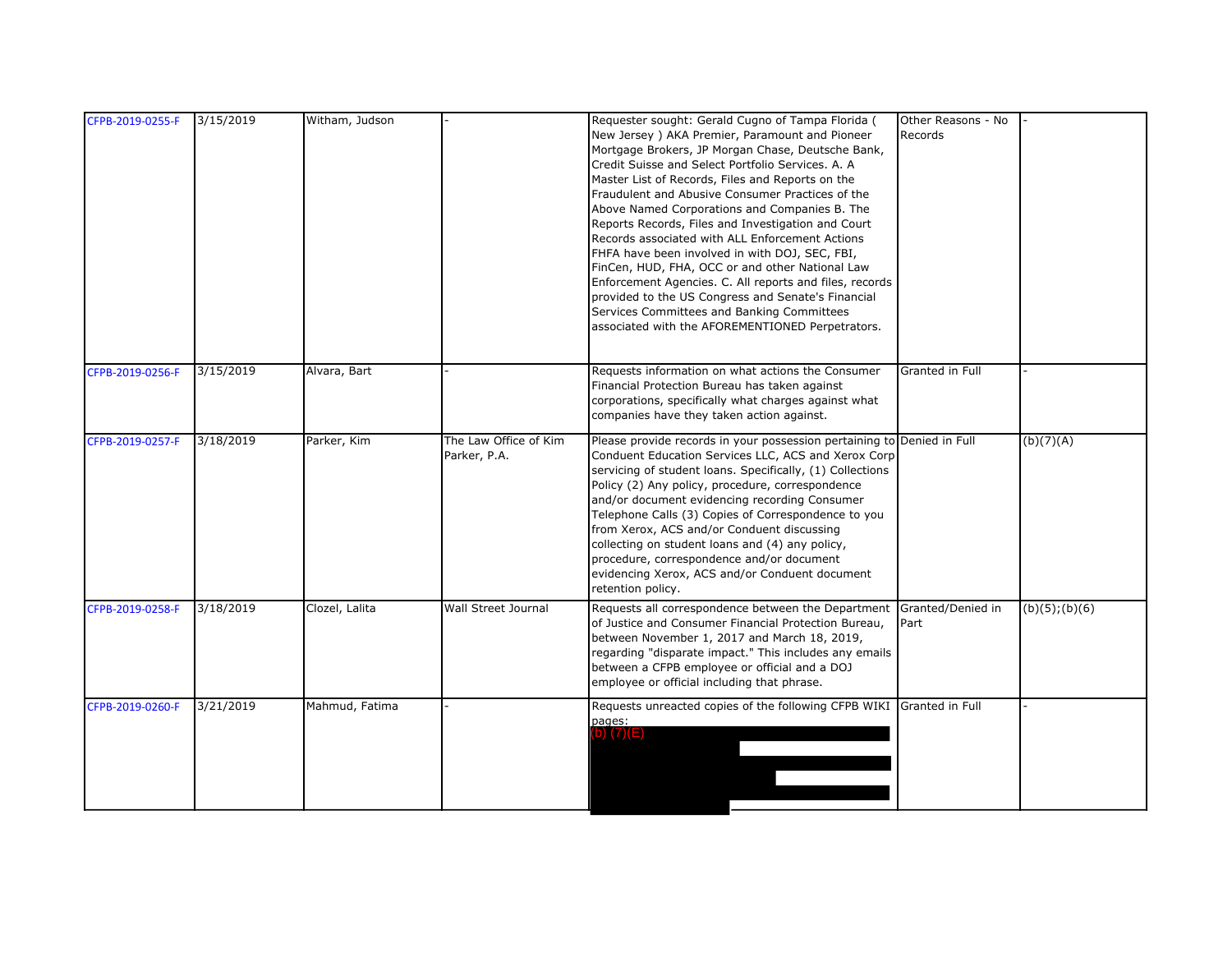| CFPB-2019-0255-F | 3/15/2019 | Witham, Judson |                                       | Requester sought: Gerald Cugno of Tampa Florida (<br>New Jersey) AKA Premier, Paramount and Pioneer<br>Mortgage Brokers, JP Morgan Chase, Deutsche Bank,<br>Credit Suisse and Select Portfolio Services. A. A.<br>Master List of Records, Files and Reports on the<br>Fraudulent and Abusive Consumer Practices of the<br>Above Named Corporations and Companies B. The<br>Reports Records, Files and Investigation and Court<br>Records associated with ALL Enforcement Actions<br>FHFA have been involved in with DOJ, SEC, FBI,<br>FinCen, HUD, FHA, OCC or and other National Law<br>Enforcement Agencies. C. All reports and files, records<br>provided to the US Congress and Senate's Financial<br>Services Committees and Banking Committees<br>associated with the AFOREMENTIONED Perpetrators. | Other Reasons - No<br>Records |                     |
|------------------|-----------|----------------|---------------------------------------|----------------------------------------------------------------------------------------------------------------------------------------------------------------------------------------------------------------------------------------------------------------------------------------------------------------------------------------------------------------------------------------------------------------------------------------------------------------------------------------------------------------------------------------------------------------------------------------------------------------------------------------------------------------------------------------------------------------------------------------------------------------------------------------------------------|-------------------------------|---------------------|
| CFPB-2019-0256-F | 3/15/2019 | Alvara, Bart   |                                       | Requests information on what actions the Consumer<br>Financial Protection Bureau has taken against<br>corporations, specifically what charges against what<br>companies have they taken action against.                                                                                                                                                                                                                                                                                                                                                                                                                                                                                                                                                                                                  | Granted in Full               |                     |
| CFPB-2019-0257-F | 3/18/2019 | Parker, Kim    | The Law Office of Kim<br>Parker, P.A. | Please provide records in your possession pertaining to Denied in Full<br>Conduent Education Services LLC, ACS and Xerox Corp<br>servicing of student loans. Specifically, (1) Collections<br>Policy (2) Any policy, procedure, correspondence<br>and/or document evidencing recording Consumer<br>Telephone Calls (3) Copies of Correspondence to you<br>from Xerox, ACS and/or Conduent discussing<br>collecting on student loans and (4) any policy,<br>procedure, correspondence and/or document<br>evidencing Xerox, ACS and/or Conduent document<br>retention policy.                                                                                                                                                                                                                              |                               | (b)(7)(A)           |
| CFPB-2019-0258-F | 3/18/2019 | Clozel, Lalita | Wall Street Journal                   | Requests all correspondence between the Department<br>of Justice and Consumer Financial Protection Bureau,<br>between November 1, 2017 and March 18, 2019,<br>regarding "disparate impact." This includes any emails<br>between a CFPB employee or official and a DOJ<br>employee or official including that phrase.                                                                                                                                                                                                                                                                                                                                                                                                                                                                                     | Granted/Denied in<br>Part     | $(b)(5)$ ; $(b)(6)$ |
| CFPB-2019-0260-F | 3/21/2019 | Mahmud, Fatima |                                       | Requests unreacted copies of the following CFPB WIKI Granted in Full<br>pages:<br>b) $(7)(E)$                                                                                                                                                                                                                                                                                                                                                                                                                                                                                                                                                                                                                                                                                                            |                               |                     |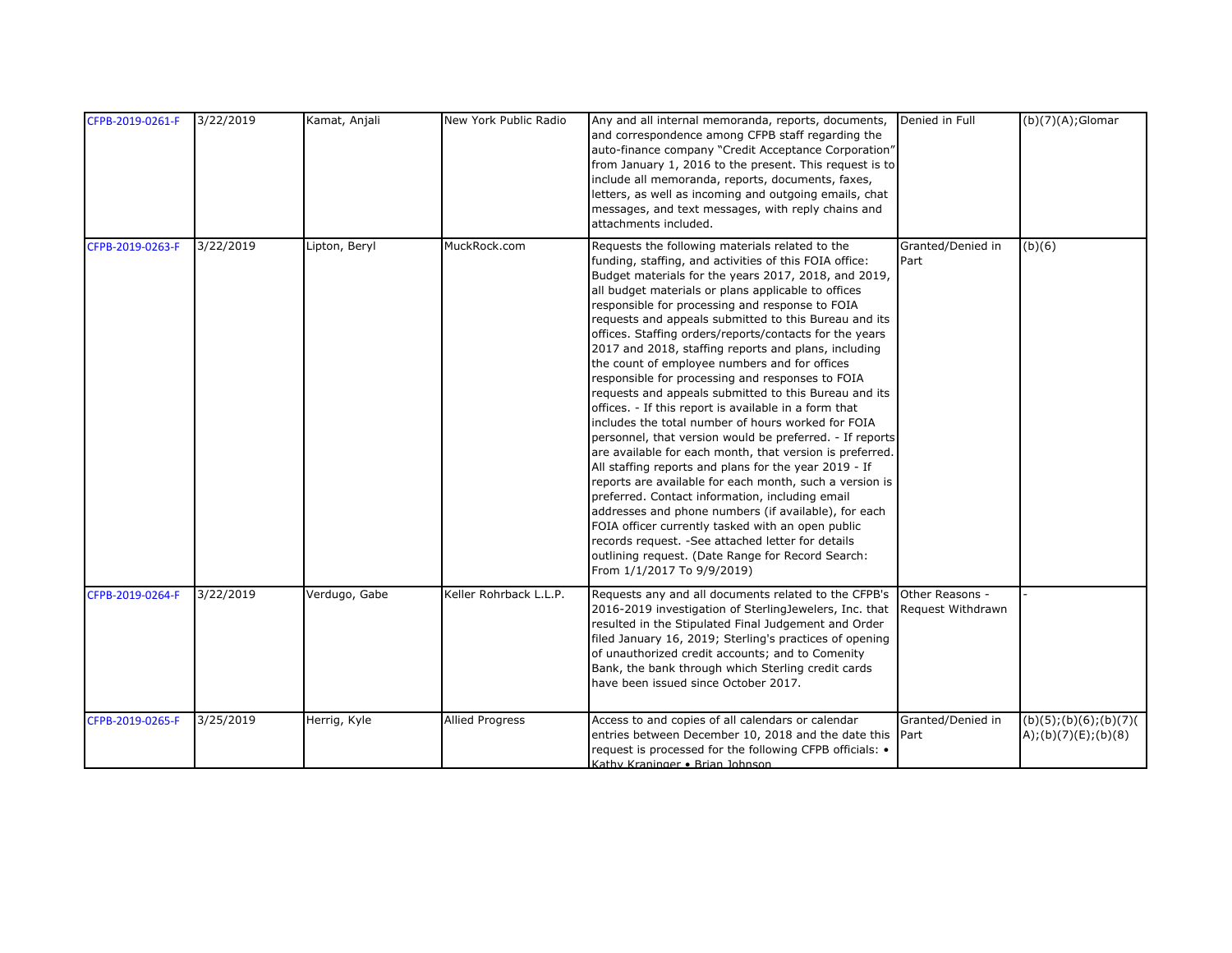| CFPB-2019-0261-F | 3/22/2019 | Kamat, Anjali | New York Public Radio  | Any and all internal memoranda, reports, documents,<br>and correspondence among CFPB staff regarding the<br>auto-finance company "Credit Acceptance Corporation"<br>from January 1, 2016 to the present. This request is to<br>include all memoranda, reports, documents, faxes,<br>letters, as well as incoming and outgoing emails, chat<br>messages, and text messages, with reply chains and<br>attachments included.                                                                                                                                                                                                                                                                                                                                                                                                                                                                                                                                                                                                                                                                                                                                                                                                                                                                 | Denied in Full                       | $(b)(7)(A);$ Glomar                           |
|------------------|-----------|---------------|------------------------|-------------------------------------------------------------------------------------------------------------------------------------------------------------------------------------------------------------------------------------------------------------------------------------------------------------------------------------------------------------------------------------------------------------------------------------------------------------------------------------------------------------------------------------------------------------------------------------------------------------------------------------------------------------------------------------------------------------------------------------------------------------------------------------------------------------------------------------------------------------------------------------------------------------------------------------------------------------------------------------------------------------------------------------------------------------------------------------------------------------------------------------------------------------------------------------------------------------------------------------------------------------------------------------------|--------------------------------------|-----------------------------------------------|
| CFPB-2019-0263-F | 3/22/2019 | Lipton, Beryl | MuckRock.com           | Requests the following materials related to the<br>funding, staffing, and activities of this FOIA office:<br>Budget materials for the years 2017, 2018, and 2019,<br>all budget materials or plans applicable to offices<br>responsible for processing and response to FOIA<br>requests and appeals submitted to this Bureau and its<br>offices. Staffing orders/reports/contacts for the years<br>2017 and 2018, staffing reports and plans, including<br>the count of employee numbers and for offices<br>responsible for processing and responses to FOIA<br>requests and appeals submitted to this Bureau and its<br>offices. - If this report is available in a form that<br>includes the total number of hours worked for FOIA<br>personnel, that version would be preferred. - If reports<br>are available for each month, that version is preferred.<br>All staffing reports and plans for the year 2019 - If<br>reports are available for each month, such a version is<br>preferred. Contact information, including email<br>addresses and phone numbers (if available), for each<br>FOIA officer currently tasked with an open public<br>records request. - See attached letter for details<br>outlining request. (Date Range for Record Search:<br>From 1/1/2017 To 9/9/2019) | Granted/Denied in<br>Part            | (b)(6)                                        |
| CFPB-2019-0264-F | 3/22/2019 | Verdugo, Gabe | Keller Rohrback L.L.P. | Requests any and all documents related to the CFPB's<br>2016-2019 investigation of SterlingJewelers, Inc. that<br>resulted in the Stipulated Final Judgement and Order<br>filed January 16, 2019; Sterling's practices of opening<br>of unauthorized credit accounts; and to Comenity<br>Bank, the bank through which Sterling credit cards<br>have been issued since October 2017.                                                                                                                                                                                                                                                                                                                                                                                                                                                                                                                                                                                                                                                                                                                                                                                                                                                                                                       | Other Reasons -<br>Request Withdrawn |                                               |
| CFPB-2019-0265-F | 3/25/2019 | Herrig, Kyle  | <b>Allied Progress</b> | Access to and copies of all calendars or calendar<br>entries between December 10, 2018 and the date this Part<br>request is processed for the following CFPB officials: •<br>Kathy Kraninger • Brian Johnson                                                                                                                                                                                                                                                                                                                                                                                                                                                                                                                                                                                                                                                                                                                                                                                                                                                                                                                                                                                                                                                                              | Granted/Denied in                    | (b)(5); (b)(6); (b)(7)<br>A);(b)(7)(E);(b)(8) |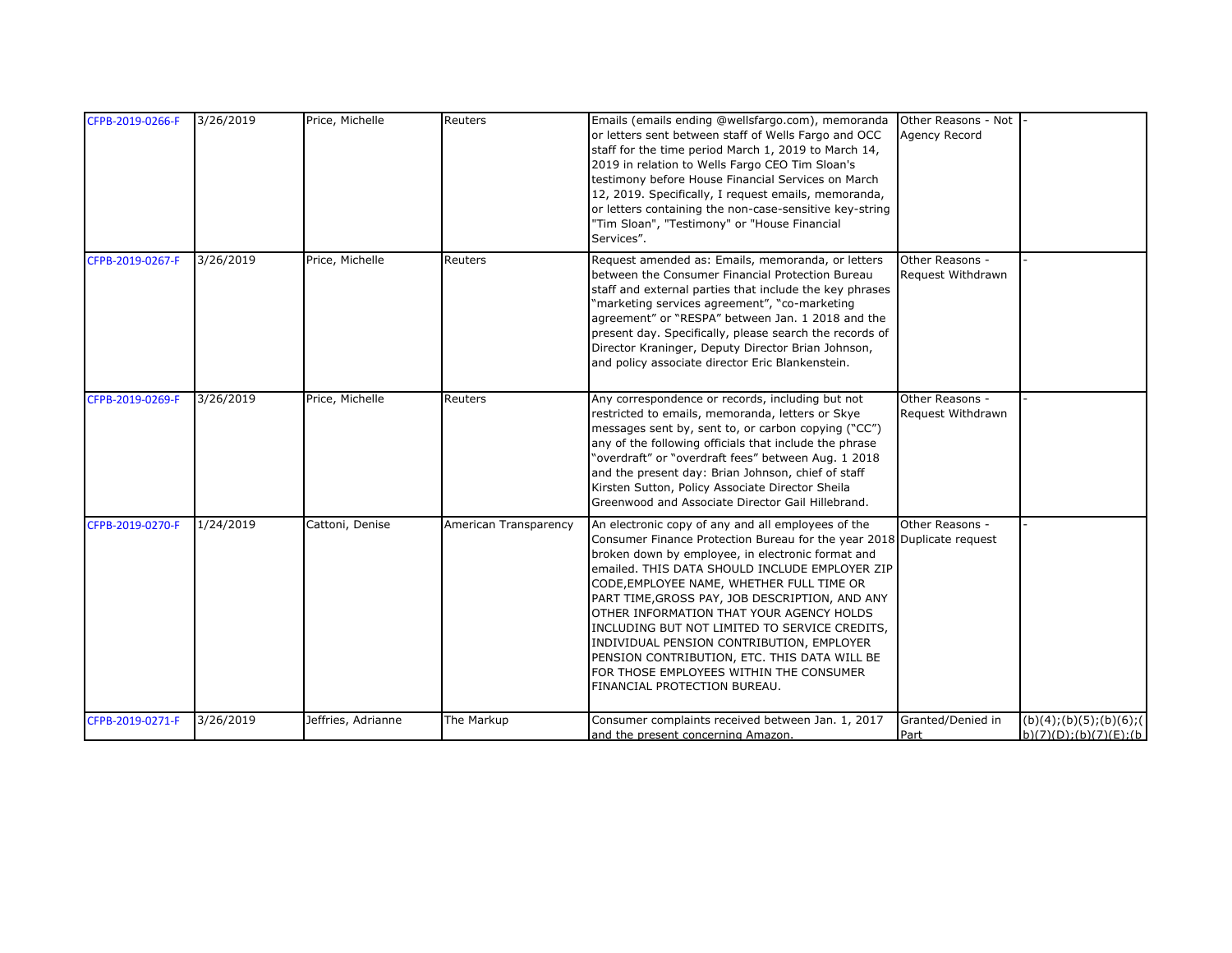| CFPB-2019-0266-F | 3/26/2019 | Price, Michelle    | Reuters               | Emails (emails ending @wellsfargo.com), memoranda<br>or letters sent between staff of Wells Fargo and OCC<br>staff for the time period March 1, 2019 to March 14,<br>2019 in relation to Wells Fargo CEO Tim Sloan's<br>testimony before House Financial Services on March<br>12, 2019. Specifically, I request emails, memoranda,<br>or letters containing the non-case-sensitive key-string<br>"Tim Sloan", "Testimony" or "House Financial<br>Services".                                                                                                                                             | Other Reasons - Not<br>Agency Record |                                                       |
|------------------|-----------|--------------------|-----------------------|---------------------------------------------------------------------------------------------------------------------------------------------------------------------------------------------------------------------------------------------------------------------------------------------------------------------------------------------------------------------------------------------------------------------------------------------------------------------------------------------------------------------------------------------------------------------------------------------------------|--------------------------------------|-------------------------------------------------------|
| CFPB-2019-0267-F | 3/26/2019 | Price, Michelle    | Reuters               | Request amended as: Emails, memoranda, or letters<br>between the Consumer Financial Protection Bureau<br>staff and external parties that include the key phrases<br>'marketing services agreement", "co-marketing<br>agreement" or "RESPA" between Jan. 1 2018 and the<br>present day. Specifically, please search the records of<br>Director Kraninger, Deputy Director Brian Johnson,<br>and policy associate director Eric Blankenstein.                                                                                                                                                             | Other Reasons -<br>Request Withdrawn |                                                       |
| CFPB-2019-0269-F | 3/26/2019 | Price, Michelle    | Reuters               | Any correspondence or records, including but not<br>restricted to emails, memoranda, letters or Skye<br>messages sent by, sent to, or carbon copying ("CC")<br>any of the following officials that include the phrase<br>"overdraft" or "overdraft fees" between Aug. 1 2018<br>and the present day: Brian Johnson, chief of staff<br>Kirsten Sutton, Policy Associate Director Sheila<br>Greenwood and Associate Director Gail Hillebrand.                                                                                                                                                             | Other Reasons -<br>Request Withdrawn |                                                       |
| CFPB-2019-0270-F | 1/24/2019 | Cattoni, Denise    | American Transparency | An electronic copy of any and all employees of the<br>Consumer Finance Protection Bureau for the year 2018 Duplicate request<br>broken down by employee, in electronic format and<br>emailed. THIS DATA SHOULD INCLUDE EMPLOYER ZIP<br>CODE, EMPLOYEE NAME, WHETHER FULL TIME OR<br>PART TIME, GROSS PAY, JOB DESCRIPTION, AND ANY<br>OTHER INFORMATION THAT YOUR AGENCY HOLDS<br>INCLUDING BUT NOT LIMITED TO SERVICE CREDITS,<br>INDIVIDUAL PENSION CONTRIBUTION, EMPLOYER<br>PENSION CONTRIBUTION, ETC. THIS DATA WILL BE<br>FOR THOSE EMPLOYEES WITHIN THE CONSUMER<br>FINANCIAL PROTECTION BUREAU. | Other Reasons -                      |                                                       |
| CFPB-2019-0271-F | 3/26/2019 | Jeffries, Adrianne | The Markup            | Consumer complaints received between Jan. 1, 2017<br>and the present concerning Amazon.                                                                                                                                                                                                                                                                                                                                                                                                                                                                                                                 | Granted/Denied in<br>Part            | (b)(4); (b)(5); (b)(6); (<br>b)(7)(D); (b)(7)(E); (b) |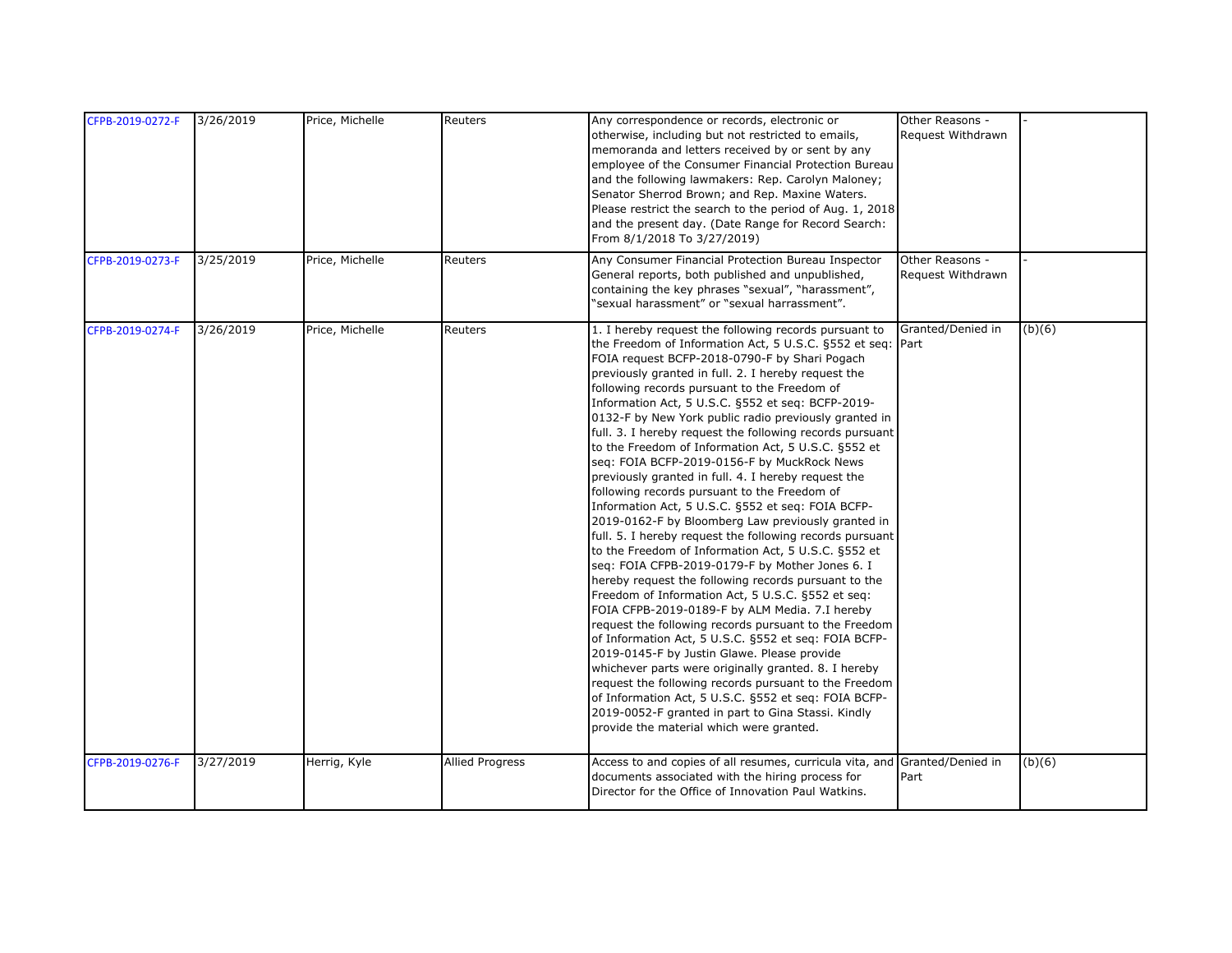| CFPB-2019-0272-F | 3/26/2019 | Price, Michelle | Reuters                | Any correspondence or records, electronic or<br>otherwise, including but not restricted to emails,<br>memoranda and letters received by or sent by any<br>employee of the Consumer Financial Protection Bureau<br>and the following lawmakers: Rep. Carolyn Maloney;<br>Senator Sherrod Brown; and Rep. Maxine Waters.<br>Please restrict the search to the period of Aug. 1, 2018<br>and the present day. (Date Range for Record Search:<br>From 8/1/2018 To 3/27/2019)                                                                                                                                                                                                                                                                                                                                                                                                                                                                                                                                                                                                                                                                                                                                                                                                                                                                                                                                                                                                                                                                                      | Other Reasons -<br>Request Withdrawn |        |
|------------------|-----------|-----------------|------------------------|---------------------------------------------------------------------------------------------------------------------------------------------------------------------------------------------------------------------------------------------------------------------------------------------------------------------------------------------------------------------------------------------------------------------------------------------------------------------------------------------------------------------------------------------------------------------------------------------------------------------------------------------------------------------------------------------------------------------------------------------------------------------------------------------------------------------------------------------------------------------------------------------------------------------------------------------------------------------------------------------------------------------------------------------------------------------------------------------------------------------------------------------------------------------------------------------------------------------------------------------------------------------------------------------------------------------------------------------------------------------------------------------------------------------------------------------------------------------------------------------------------------------------------------------------------------|--------------------------------------|--------|
| CFPB-2019-0273-F | 3/25/2019 | Price, Michelle | Reuters                | Any Consumer Financial Protection Bureau Inspector<br>General reports, both published and unpublished,<br>containing the key phrases "sexual", "harassment",<br>'sexual harassment" or "sexual harrassment".                                                                                                                                                                                                                                                                                                                                                                                                                                                                                                                                                                                                                                                                                                                                                                                                                                                                                                                                                                                                                                                                                                                                                                                                                                                                                                                                                  | Other Reasons -<br>Request Withdrawn |        |
| CFPB-2019-0274-F | 3/26/2019 | Price, Michelle | Reuters                | 1. I hereby request the following records pursuant to<br>the Freedom of Information Act, 5 U.S.C. §552 et seq: Part<br>FOIA request BCFP-2018-0790-F by Shari Pogach<br>previously granted in full. 2. I hereby request the<br>following records pursuant to the Freedom of<br>Information Act, 5 U.S.C. §552 et seq: BCFP-2019-<br>0132-F by New York public radio previously granted in<br>full. 3. I hereby request the following records pursuant<br>to the Freedom of Information Act, 5 U.S.C. §552 et<br>seq: FOIA BCFP-2019-0156-F by MuckRock News<br>previously granted in full. 4. I hereby request the<br>following records pursuant to the Freedom of<br>Information Act, 5 U.S.C. §552 et seg: FOIA BCFP-<br>2019-0162-F by Bloomberg Law previously granted in<br>full. 5. I hereby request the following records pursuant<br>to the Freedom of Information Act, 5 U.S.C. §552 et<br>seq: FOIA CFPB-2019-0179-F by Mother Jones 6. I<br>hereby request the following records pursuant to the<br>Freedom of Information Act, 5 U.S.C. §552 et seq:<br>FOIA CFPB-2019-0189-F by ALM Media. 7.I hereby<br>request the following records pursuant to the Freedom<br>of Information Act, 5 U.S.C. §552 et seq: FOIA BCFP-<br>2019-0145-F by Justin Glawe. Please provide<br>whichever parts were originally granted. 8. I hereby<br>request the following records pursuant to the Freedom<br>of Information Act, 5 U.S.C. §552 et seq: FOIA BCFP-<br>2019-0052-F granted in part to Gina Stassi. Kindly<br>provide the material which were granted. | Granted/Denied in                    | (b)(6) |
| CFPB-2019-0276-F | 3/27/2019 | Herrig, Kyle    | <b>Allied Progress</b> | Access to and copies of all resumes, curricula vita, and Granted/Denied in<br>documents associated with the hiring process for<br>Director for the Office of Innovation Paul Watkins.                                                                                                                                                                                                                                                                                                                                                                                                                                                                                                                                                                                                                                                                                                                                                                                                                                                                                                                                                                                                                                                                                                                                                                                                                                                                                                                                                                         | Part                                 | (b)(6) |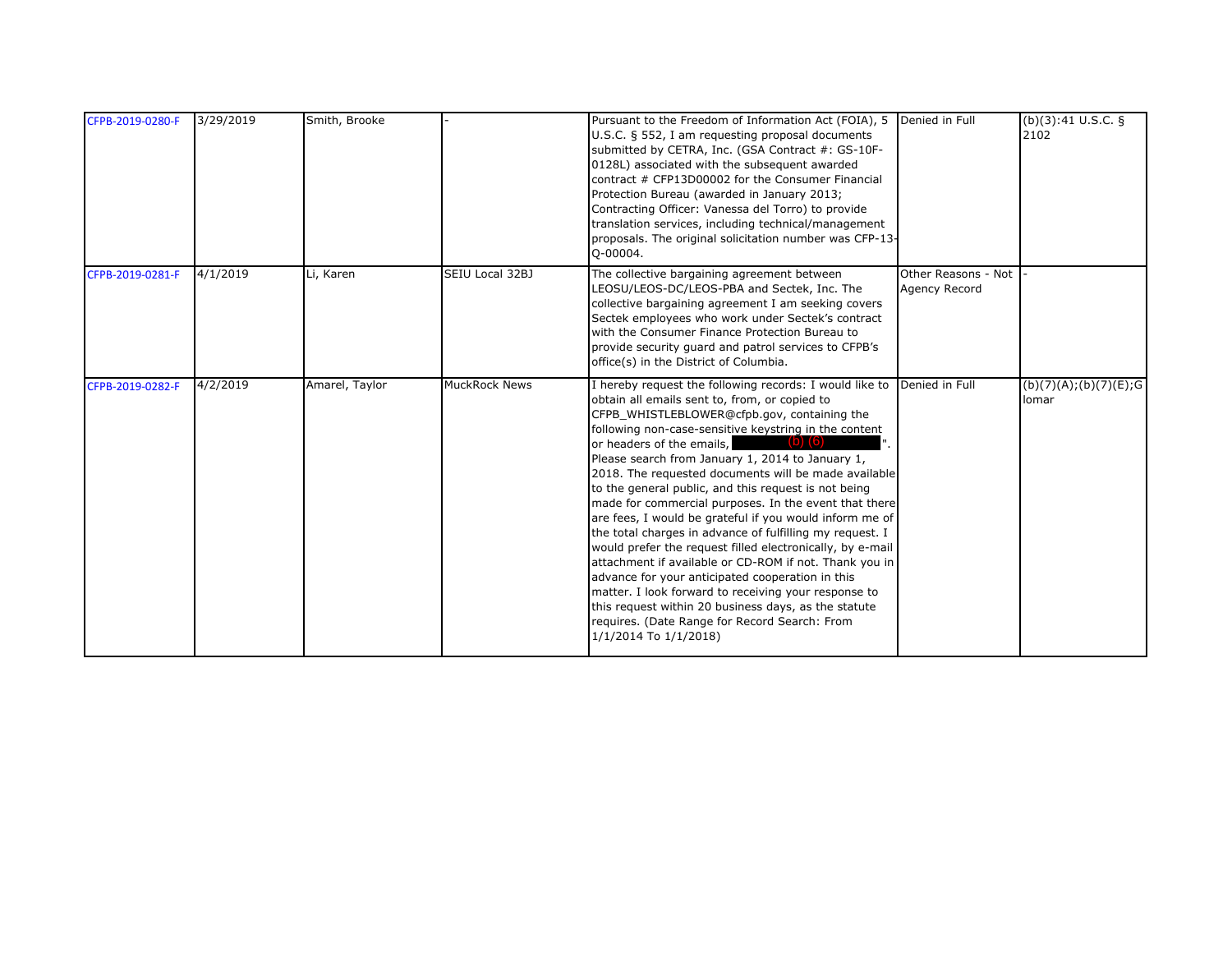| CFPB-2019-0280-F | 3/29/2019 | Smith, Brooke  |                      | Pursuant to the Freedom of Information Act (FOIA), 5 Denied in Full<br>U.S.C. § 552, I am requesting proposal documents<br>submitted by CETRA, Inc. (GSA Contract #: GS-10F-<br>0128L) associated with the subsequent awarded<br>contract # CFP13D00002 for the Consumer Financial<br>Protection Bureau (awarded in January 2013;<br>Contracting Officer: Vanessa del Torro) to provide<br>translation services, including technical/management<br>proposals. The original solicitation number was CFP-13-<br>O-00004.                                                                                                                                                                                                                                                                                                                                                                                                                                                 |                                      | (b)(3):41 U.S.C. §<br>2102       |
|------------------|-----------|----------------|----------------------|------------------------------------------------------------------------------------------------------------------------------------------------------------------------------------------------------------------------------------------------------------------------------------------------------------------------------------------------------------------------------------------------------------------------------------------------------------------------------------------------------------------------------------------------------------------------------------------------------------------------------------------------------------------------------------------------------------------------------------------------------------------------------------------------------------------------------------------------------------------------------------------------------------------------------------------------------------------------|--------------------------------------|----------------------------------|
| CFPB-2019-0281-F | 4/1/2019  | Li, Karen      | SEIU Local 32BJ      | The collective bargaining agreement between<br>LEOSU/LEOS-DC/LEOS-PBA and Sectek, Inc. The<br>collective bargaining agreement I am seeking covers<br>Sectek employees who work under Sectek's contract<br>with the Consumer Finance Protection Bureau to<br>provide security guard and patrol services to CFPB's<br>office(s) in the District of Columbia.                                                                                                                                                                                                                                                                                                                                                                                                                                                                                                                                                                                                             | Other Reasons - Not<br>Agency Record |                                  |
| CFPB-2019-0282-F | 4/2/2019  | Amarel, Taylor | <b>MuckRock News</b> | I hereby request the following records: I would like to<br>obtain all emails sent to, from, or copied to<br>CFPB_WHISTLEBLOWER@cfpb.gov, containing the<br>following non-case-sensitive keystring in the content<br>or headers of the emails,<br>Please search from January 1, 2014 to January 1,<br>2018. The requested documents will be made available<br>to the general public, and this request is not being<br>made for commercial purposes. In the event that there<br>are fees, I would be grateful if you would inform me of<br>the total charges in advance of fulfilling my request. I<br>would prefer the request filled electronically, by e-mail<br>attachment if available or CD-ROM if not. Thank you in<br>advance for your anticipated cooperation in this<br>matter. I look forward to receiving your response to<br>this request within 20 business days, as the statute<br>requires. (Date Range for Record Search: From<br>1/1/2014 To 1/1/2018) | Denied in Full                       | (b)(7)(A); (b)(7)(E); G<br>lomar |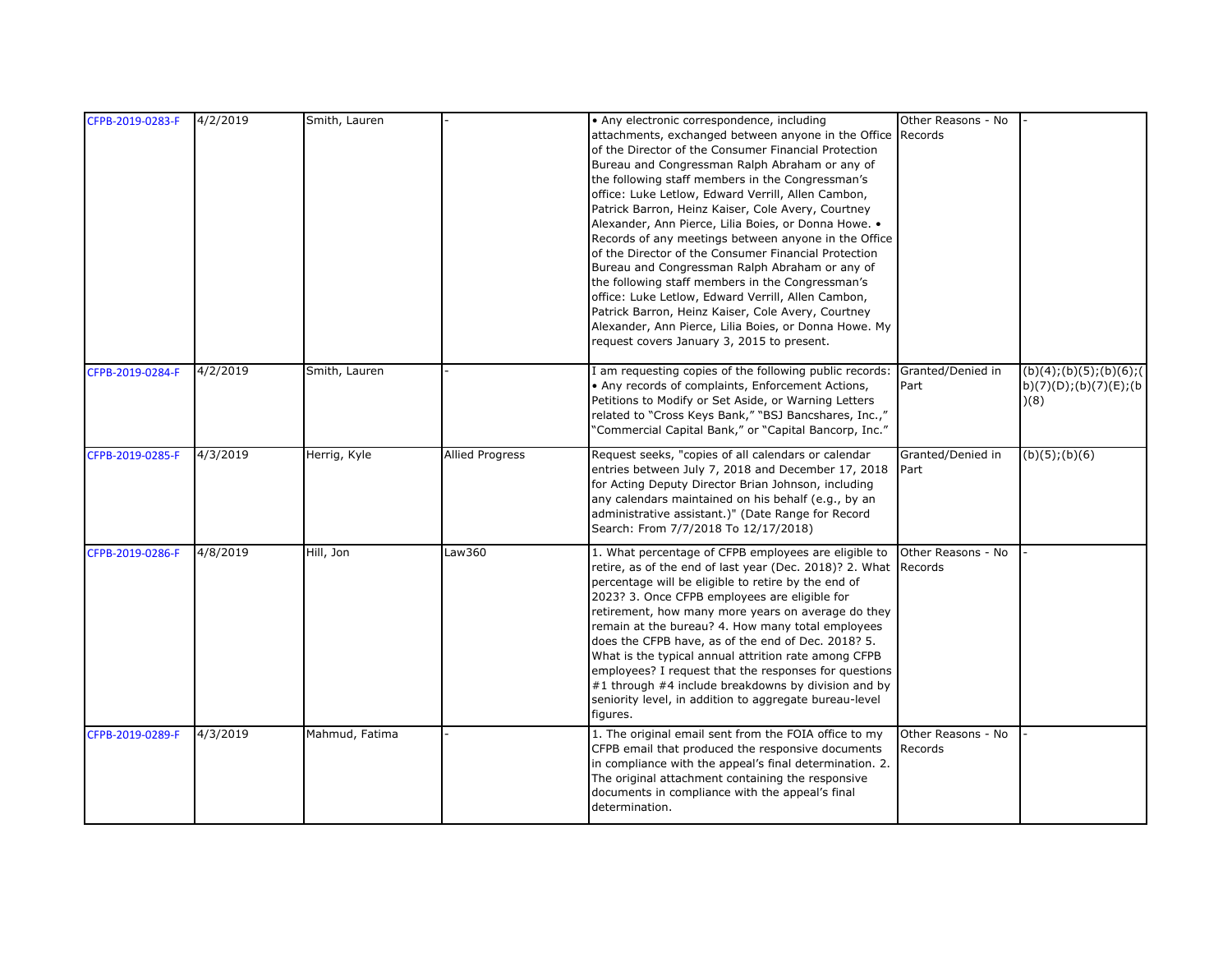| CFPB-2019-0283-F | 4/2/2019 | Smith, Lauren  |                        | • Any electronic correspondence, including<br>attachments, exchanged between anyone in the Office Records<br>of the Director of the Consumer Financial Protection<br>Bureau and Congressman Ralph Abraham or any of<br>the following staff members in the Congressman's<br>office: Luke Letlow, Edward Verrill, Allen Cambon,<br>Patrick Barron, Heinz Kaiser, Cole Avery, Courtney<br>Alexander, Ann Pierce, Lilia Boies, or Donna Howe. .<br>Records of any meetings between anyone in the Office<br>of the Director of the Consumer Financial Protection<br>Bureau and Congressman Ralph Abraham or any of<br>the following staff members in the Congressman's<br>office: Luke Letlow, Edward Verrill, Allen Cambon,<br>Patrick Barron, Heinz Kaiser, Cole Avery, Courtney | Other Reasons - No            |                              |
|------------------|----------|----------------|------------------------|-------------------------------------------------------------------------------------------------------------------------------------------------------------------------------------------------------------------------------------------------------------------------------------------------------------------------------------------------------------------------------------------------------------------------------------------------------------------------------------------------------------------------------------------------------------------------------------------------------------------------------------------------------------------------------------------------------------------------------------------------------------------------------|-------------------------------|------------------------------|
| CFPB-2019-0284-F | 4/2/2019 | Smith, Lauren  |                        | Alexander, Ann Pierce, Lilia Boies, or Donna Howe. My<br>request covers January 3, 2015 to present.<br>I am requesting copies of the following public records:                                                                                                                                                                                                                                                                                                                                                                                                                                                                                                                                                                                                                | Granted/Denied in             | (b)(4); (b)(5); (b)(6); (6)  |
|                  |          |                |                        | • Any records of complaints, Enforcement Actions,<br>Petitions to Modify or Set Aside, or Warning Letters<br>related to "Cross Keys Bank," "BSJ Bancshares, Inc.,"<br>"Commercial Capital Bank," or "Capital Bancorp, Inc."                                                                                                                                                                                                                                                                                                                                                                                                                                                                                                                                                   | Part                          | b)(7)(D);(b)(7)(E);(b<br>(8) |
| CFPB-2019-0285-F | 4/3/2019 | Herrig, Kyle   | <b>Allied Progress</b> | Request seeks, "copies of all calendars or calendar<br>entries between July 7, 2018 and December 17, 2018<br>for Acting Deputy Director Brian Johnson, including<br>any calendars maintained on his behalf (e.g., by an<br>administrative assistant.)" (Date Range for Record<br>Search: From 7/7/2018 To 12/17/2018)                                                                                                                                                                                                                                                                                                                                                                                                                                                         | Granted/Denied in<br>Part     | $(b)(5)$ ; $(b)(6)$          |
| CFPB-2019-0286-F | 4/8/2019 | Hill, Jon      | Law360                 | 1. What percentage of CFPB employees are eligible to<br>retire, as of the end of last year (Dec. 2018)? 2. What Records<br>percentage will be eligible to retire by the end of<br>2023? 3. Once CFPB employees are eligible for<br>retirement, how many more years on average do they<br>remain at the bureau? 4. How many total employees<br>does the CFPB have, as of the end of Dec. 2018? 5.<br>What is the typical annual attrition rate among CFPB<br>employees? I request that the responses for questions<br>#1 through #4 include breakdowns by division and by<br>seniority level, in addition to aggregate bureau-level<br>figures.                                                                                                                                | Other Reasons - No            |                              |
| CFPB-2019-0289-F | 4/3/2019 | Mahmud, Fatima |                        | 1. The original email sent from the FOIA office to my<br>CFPB email that produced the responsive documents<br>in compliance with the appeal's final determination. 2.<br>The original attachment containing the responsive<br>documents in compliance with the appeal's final<br>determination.                                                                                                                                                                                                                                                                                                                                                                                                                                                                               | Other Reasons - No<br>Records |                              |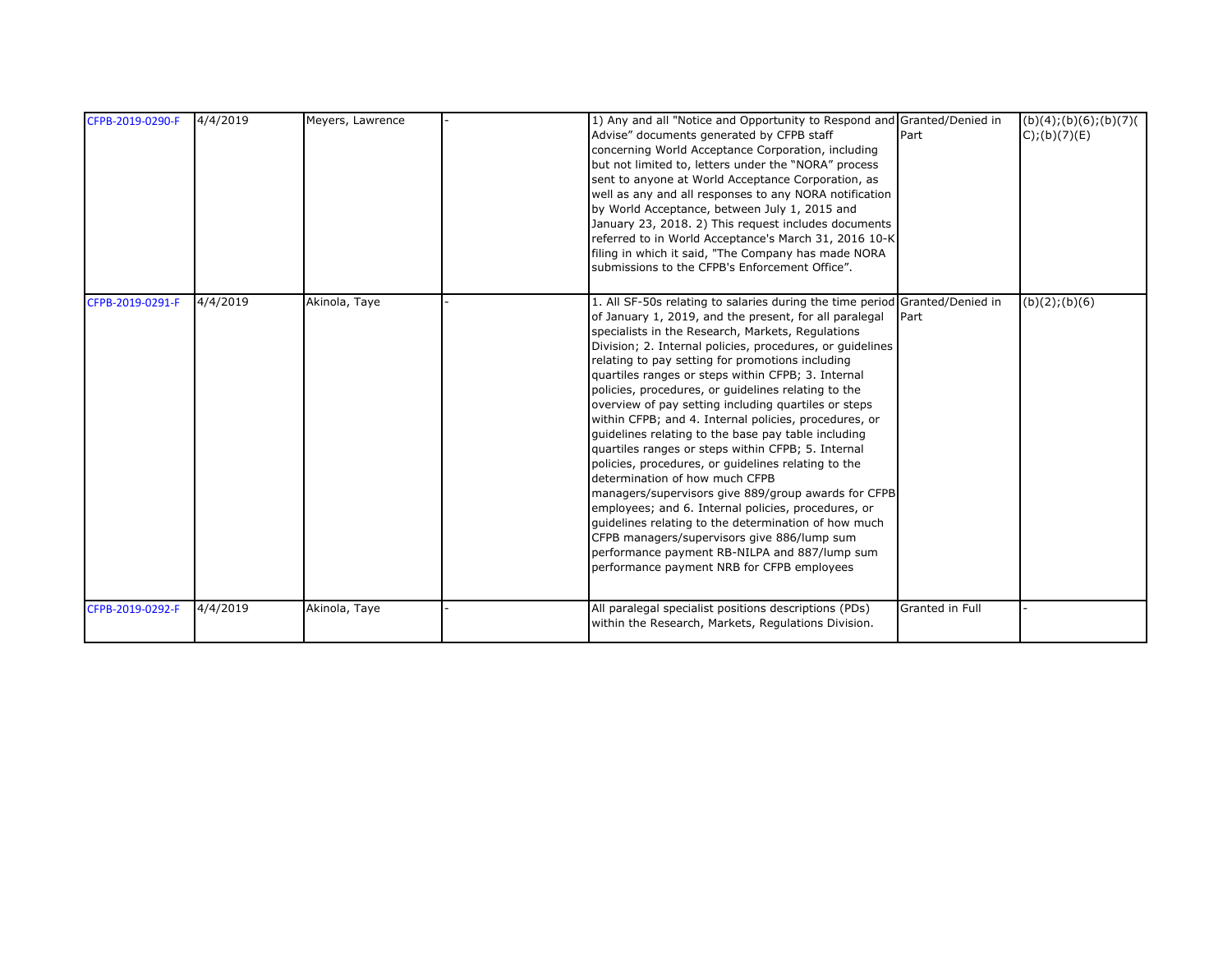| CFPB-2019-0290-F | 4/4/2019 | Meyers, Lawrence | 1) Any and all "Notice and Opportunity to Respond and Granted/Denied in<br>Part<br>Advise" documents generated by CFPB staff<br>concerning World Acceptance Corporation, including<br>but not limited to, letters under the "NORA" process<br>sent to anyone at World Acceptance Corporation, as<br>well as any and all responses to any NORA notification<br>by World Acceptance, between July 1, 2015 and<br>January 23, 2018. 2) This request includes documents<br>referred to in World Acceptance's March 31, 2016 10-K<br>filing in which it said, "The Company has made NORA<br>submissions to the CFPB's Enforcement Office".                                                                                                                                                                                                                                                                                                                                                                                                                                       | (b)(4); (b)(6); (b)(7)<br>$C$ ;(b)(7)(E) |
|------------------|----------|------------------|-----------------------------------------------------------------------------------------------------------------------------------------------------------------------------------------------------------------------------------------------------------------------------------------------------------------------------------------------------------------------------------------------------------------------------------------------------------------------------------------------------------------------------------------------------------------------------------------------------------------------------------------------------------------------------------------------------------------------------------------------------------------------------------------------------------------------------------------------------------------------------------------------------------------------------------------------------------------------------------------------------------------------------------------------------------------------------|------------------------------------------|
| CFPB-2019-0291-F | 4/4/2019 | Akinola, Taye    | 1. All SF-50s relating to salaries during the time period Granted/Denied in<br>of January 1, 2019, and the present, for all paralegal<br>Part<br>specialists in the Research, Markets, Regulations<br>Division; 2. Internal policies, procedures, or quidelines<br>relating to pay setting for promotions including<br>quartiles ranges or steps within CFPB; 3. Internal<br>policies, procedures, or quidelines relating to the<br>overview of pay setting including quartiles or steps<br>within CFPB; and 4. Internal policies, procedures, or<br>guidelines relating to the base pay table including<br>quartiles ranges or steps within CFPB; 5. Internal<br>policies, procedures, or guidelines relating to the<br>determination of how much CFPB<br>managers/supervisors give 889/group awards for CFPB<br>employees; and 6. Internal policies, procedures, or<br>guidelines relating to the determination of how much<br>CFPB managers/supervisors give 886/lump sum<br>performance payment RB-NILPA and 887/lump sum<br>performance payment NRB for CFPB employees | (b)(2); (b)(6)                           |
| CFPB-2019-0292-F | 4/4/2019 | Akinola, Taye    | All paralegal specialist positions descriptions (PDs)<br>Granted in Full<br>within the Research, Markets, Regulations Division.                                                                                                                                                                                                                                                                                                                                                                                                                                                                                                                                                                                                                                                                                                                                                                                                                                                                                                                                             |                                          |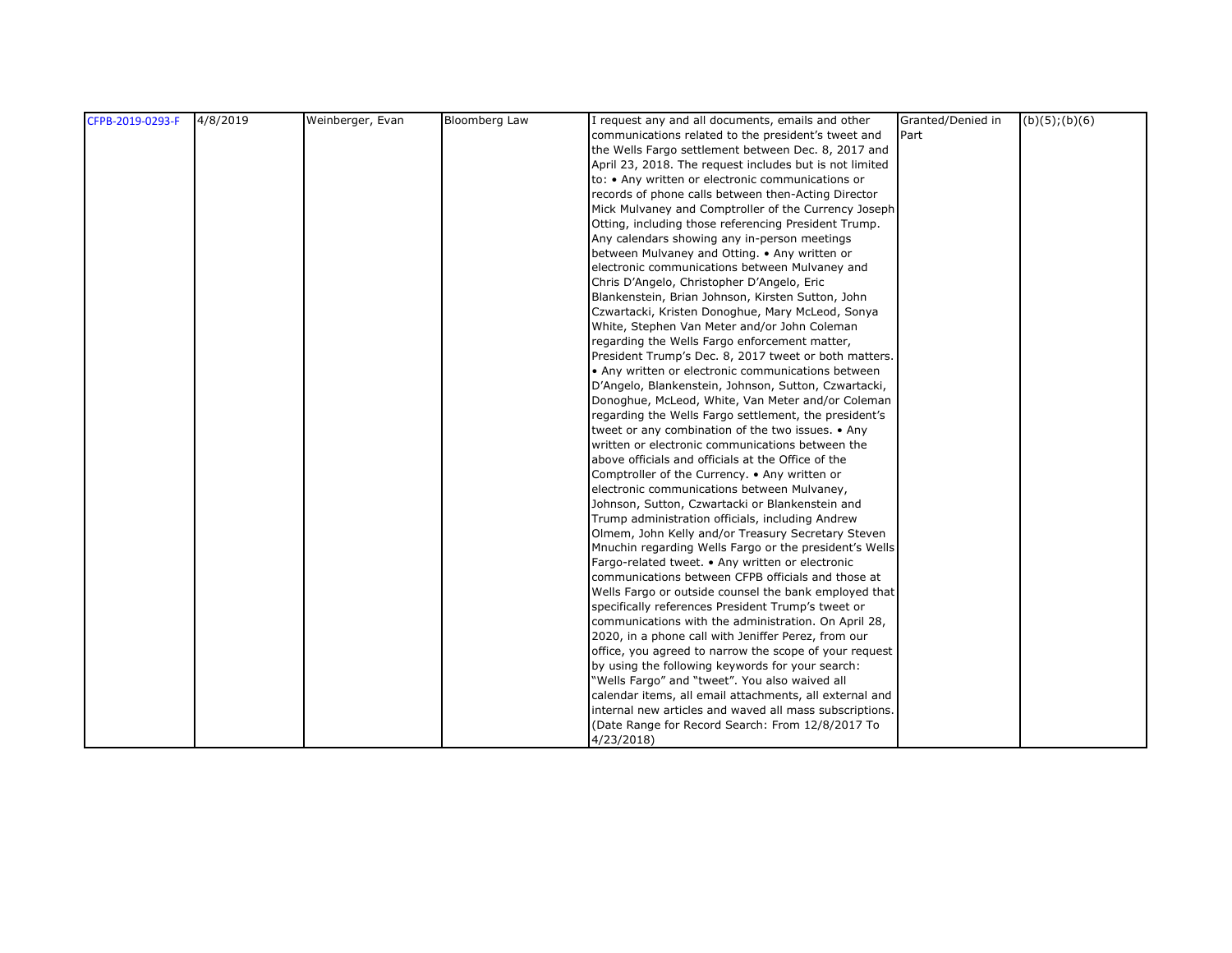| CFPB-2019-0293-F | 4/8/2019 | Weinberger, Evan | <b>Bloomberg Law</b> | I request any and all documents, emails and other       | Granted/Denied in | $(b)(5)$ ; $(b)(6)$ |
|------------------|----------|------------------|----------------------|---------------------------------------------------------|-------------------|---------------------|
|                  |          |                  |                      | communications related to the president's tweet and     | Part              |                     |
|                  |          |                  |                      | the Wells Fargo settlement between Dec. 8, 2017 and     |                   |                     |
|                  |          |                  |                      | April 23, 2018. The request includes but is not limited |                   |                     |
|                  |          |                  |                      | to: • Any written or electronic communications or       |                   |                     |
|                  |          |                  |                      | records of phone calls between then-Acting Director     |                   |                     |
|                  |          |                  |                      | Mick Mulvaney and Comptroller of the Currency Joseph    |                   |                     |
|                  |          |                  |                      | Otting, including those referencing President Trump.    |                   |                     |
|                  |          |                  |                      | Any calendars showing any in-person meetings            |                   |                     |
|                  |          |                  |                      | between Mulvaney and Otting. • Any written or           |                   |                     |
|                  |          |                  |                      | electronic communications between Mulvaney and          |                   |                     |
|                  |          |                  |                      | Chris D'Angelo, Christopher D'Angelo, Eric              |                   |                     |
|                  |          |                  |                      | Blankenstein, Brian Johnson, Kirsten Sutton, John       |                   |                     |
|                  |          |                  |                      | Czwartacki, Kristen Donoghue, Mary McLeod, Sonya        |                   |                     |
|                  |          |                  |                      | White, Stephen Van Meter and/or John Coleman            |                   |                     |
|                  |          |                  |                      | regarding the Wells Fargo enforcement matter,           |                   |                     |
|                  |          |                  |                      | President Trump's Dec. 8, 2017 tweet or both matters.   |                   |                     |
|                  |          |                  |                      | • Any written or electronic communications between      |                   |                     |
|                  |          |                  |                      | D'Angelo, Blankenstein, Johnson, Sutton, Czwartacki,    |                   |                     |
|                  |          |                  |                      | Donoghue, McLeod, White, Van Meter and/or Coleman       |                   |                     |
|                  |          |                  |                      | regarding the Wells Fargo settlement, the president's   |                   |                     |
|                  |          |                  |                      | tweet or any combination of the two issues. • Any       |                   |                     |
|                  |          |                  |                      | written or electronic communications between the        |                   |                     |
|                  |          |                  |                      | above officials and officials at the Office of the      |                   |                     |
|                  |          |                  |                      | Comptroller of the Currency. • Any written or           |                   |                     |
|                  |          |                  |                      | electronic communications between Mulvaney,             |                   |                     |
|                  |          |                  |                      | Johnson, Sutton, Czwartacki or Blankenstein and         |                   |                     |
|                  |          |                  |                      | Trump administration officials, including Andrew        |                   |                     |
|                  |          |                  |                      | Olmem, John Kelly and/or Treasury Secretary Steven      |                   |                     |
|                  |          |                  |                      | Mnuchin regarding Wells Fargo or the president's Wells  |                   |                     |
|                  |          |                  |                      | Fargo-related tweet. • Any written or electronic        |                   |                     |
|                  |          |                  |                      | communications between CFPB officials and those at      |                   |                     |
|                  |          |                  |                      | Wells Fargo or outside counsel the bank employed that   |                   |                     |
|                  |          |                  |                      | specifically references President Trump's tweet or      |                   |                     |
|                  |          |                  |                      | communications with the administration. On April 28,    |                   |                     |
|                  |          |                  |                      | 2020, in a phone call with Jeniffer Perez, from our     |                   |                     |
|                  |          |                  |                      | office, you agreed to narrow the scope of your request  |                   |                     |
|                  |          |                  |                      | by using the following keywords for your search:        |                   |                     |
|                  |          |                  |                      | "Wells Fargo" and "tweet". You also waived all          |                   |                     |
|                  |          |                  |                      | calendar items, all email attachments, all external and |                   |                     |
|                  |          |                  |                      | internal new articles and waved all mass subscriptions. |                   |                     |
|                  |          |                  |                      | (Date Range for Record Search: From 12/8/2017 To        |                   |                     |
|                  |          |                  |                      | 4/23/2018                                               |                   |                     |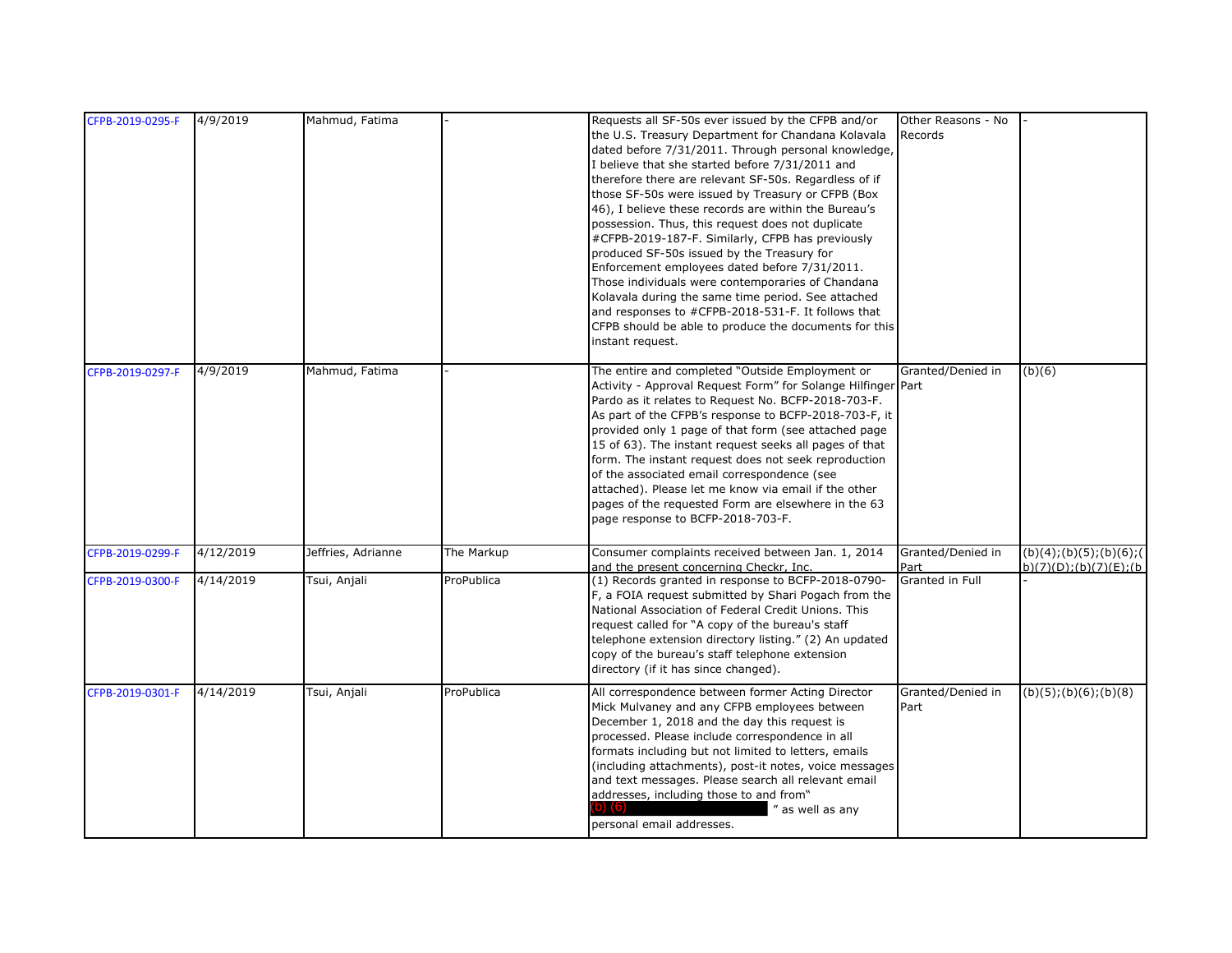| CFPB-2019-0295-F | 4/9/2019  | Mahmud, Fatima     |            | Requests all SF-50s ever issued by the CFPB and/or<br>the U.S. Treasury Department for Chandana Kolavala<br>dated before 7/31/2011. Through personal knowledge,<br>I believe that she started before 7/31/2011 and<br>therefore there are relevant SF-50s. Regardless of if<br>those SF-50s were issued by Treasury or CFPB (Box<br>46), I believe these records are within the Bureau's<br>possession. Thus, this request does not duplicate<br>#CFPB-2019-187-F. Similarly, CFPB has previously<br>produced SF-50s issued by the Treasury for<br>Enforcement employees dated before 7/31/2011.<br>Those individuals were contemporaries of Chandana | Other Reasons - No<br>Records |                                                         |
|------------------|-----------|--------------------|------------|-------------------------------------------------------------------------------------------------------------------------------------------------------------------------------------------------------------------------------------------------------------------------------------------------------------------------------------------------------------------------------------------------------------------------------------------------------------------------------------------------------------------------------------------------------------------------------------------------------------------------------------------------------|-------------------------------|---------------------------------------------------------|
|                  |           |                    |            | Kolavala during the same time period. See attached<br>and responses to #CFPB-2018-531-F. It follows that<br>CFPB should be able to produce the documents for this<br>instant request.                                                                                                                                                                                                                                                                                                                                                                                                                                                                 |                               |                                                         |
| CFPB-2019-0297-F | 4/9/2019  | Mahmud, Fatima     |            | The entire and completed "Outside Employment or<br>Activity - Approval Request Form" for Solange Hilfinger Part<br>Pardo as it relates to Request No. BCFP-2018-703-F.<br>As part of the CFPB's response to BCFP-2018-703-F, it<br>provided only 1 page of that form (see attached page<br>15 of 63). The instant request seeks all pages of that<br>form. The instant request does not seek reproduction<br>of the associated email correspondence (see<br>attached). Please let me know via email if the other<br>pages of the requested Form are elsewhere in the 63<br>page response to BCFP-2018-703-F.                                          | Granted/Denied in             | (b)(6)                                                  |
| CFPB-2019-0299-F | 4/12/2019 | Jeffries, Adrianne | The Markup | Consumer complaints received between Jan. 1, 2014<br>and the present concerning Checkr, Inc.                                                                                                                                                                                                                                                                                                                                                                                                                                                                                                                                                          | Granted/Denied in<br>Part     | (b)(4); (b)(5); (b)(6); (c)<br>b)(7)(D); (b)(7)(E); (b) |
| CFPB-2019-0300-F | 4/14/2019 | Tsui, Anjali       | ProPublica | (1) Records granted in response to BCFP-2018-0790-<br>F, a FOIA request submitted by Shari Pogach from the<br>National Association of Federal Credit Unions. This<br>request called for "A copy of the bureau's staff<br>telephone extension directory listing." (2) An updated<br>copy of the bureau's staff telephone extension<br>directory (if it has since changed).                                                                                                                                                                                                                                                                             | Granted in Full               |                                                         |
| CFPB-2019-0301-F | 4/14/2019 | Tsui, Anjali       | ProPublica | All correspondence between former Acting Director<br>Mick Mulvaney and any CFPB employees between<br>December 1, 2018 and the day this request is<br>processed. Please include correspondence in all<br>formats including but not limited to letters, emails<br>(including attachments), post-it notes, voice messages<br>and text messages. Please search all relevant email<br>addresses, including those to and from"<br>" as well as any<br>personal email addresses.                                                                                                                                                                             | Granted/Denied in<br>Part     | $\overline{(b)}(5)$ ;(b)(6);(b)(8)                      |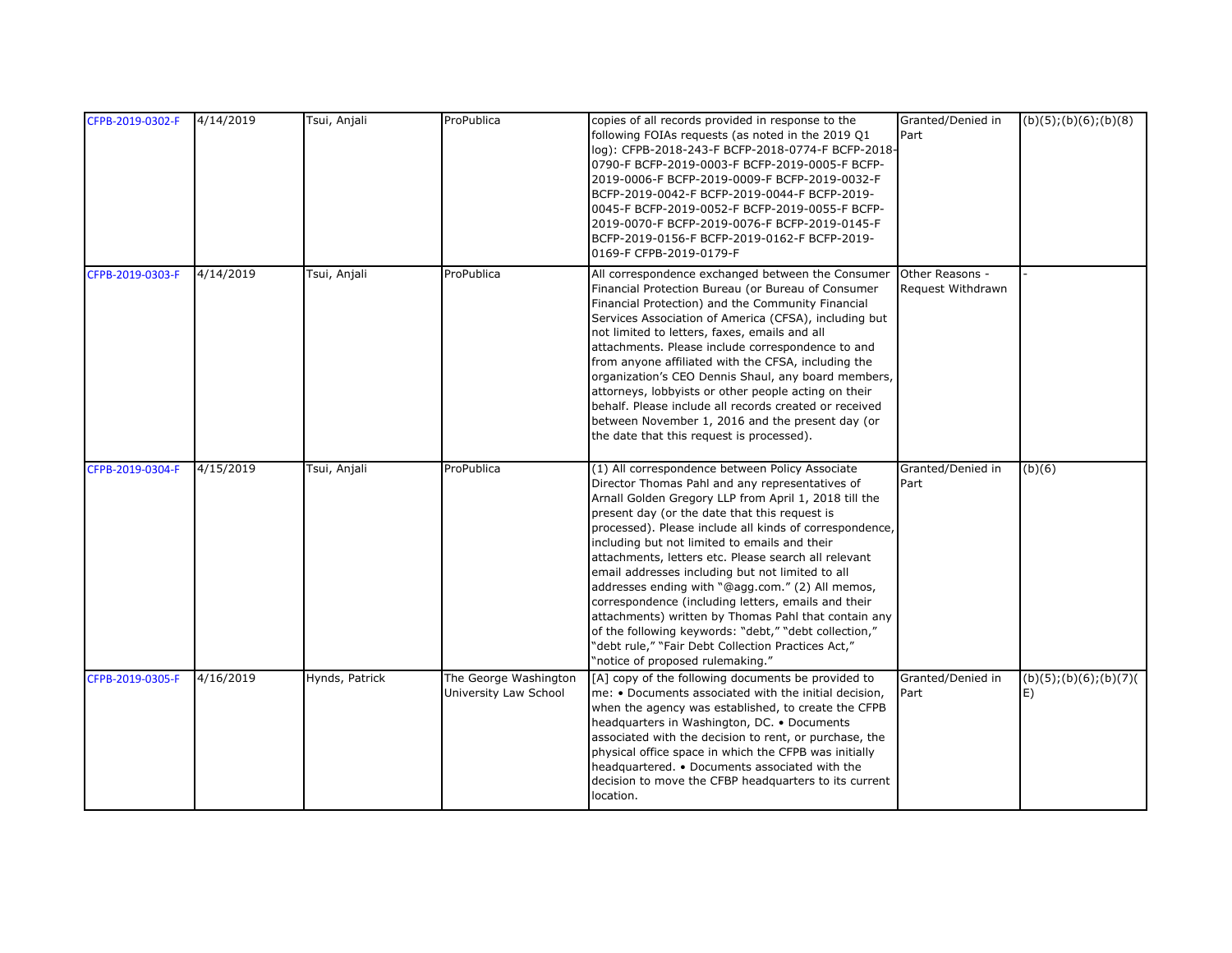| CFPB-2019-0302-F | 4/14/2019 | Tsui, Anjali   | ProPublica                                     | copies of all records provided in response to the<br>following FOIAs requests (as noted in the 2019 Q1<br>log): CFPB-2018-243-F BCFP-2018-0774-F BCFP-2018-<br>0790-F BCFP-2019-0003-F BCFP-2019-0005-F BCFP-<br>2019-0006-F BCFP-2019-0009-F BCFP-2019-0032-F<br>BCFP-2019-0042-F BCFP-2019-0044-F BCFP-2019-<br>0045-F BCFP-2019-0052-F BCFP-2019-0055-F BCFP-<br>2019-0070-F BCFP-2019-0076-F BCFP-2019-0145-F<br>BCFP-2019-0156-F BCFP-2019-0162-F BCFP-2019-<br>0169-F CFPB-2019-0179-F                                                                                                                                                                                                                                                               | Granted/Denied in<br>Part            | (b)(5); (b)(6); (b)(8)       |
|------------------|-----------|----------------|------------------------------------------------|------------------------------------------------------------------------------------------------------------------------------------------------------------------------------------------------------------------------------------------------------------------------------------------------------------------------------------------------------------------------------------------------------------------------------------------------------------------------------------------------------------------------------------------------------------------------------------------------------------------------------------------------------------------------------------------------------------------------------------------------------------|--------------------------------------|------------------------------|
| CFPB-2019-0303-F | 4/14/2019 | Tsui, Anjali   | ProPublica                                     | All correspondence exchanged between the Consumer<br>Financial Protection Bureau (or Bureau of Consumer<br>Financial Protection) and the Community Financial<br>Services Association of America (CFSA), including but<br>not limited to letters, faxes, emails and all<br>attachments. Please include correspondence to and<br>from anyone affiliated with the CFSA, including the<br>organization's CEO Dennis Shaul, any board members,<br>attorneys, lobbyists or other people acting on their<br>behalf. Please include all records created or received<br>between November 1, 2016 and the present day (or<br>the date that this request is processed).                                                                                               | Other Reasons -<br>Request Withdrawn |                              |
| CFPB-2019-0304-F | 4/15/2019 | Tsui, Anjali   | ProPublica                                     | (1) All correspondence between Policy Associate<br>Director Thomas Pahl and any representatives of<br>Arnall Golden Gregory LLP from April 1, 2018 till the<br>present day (or the date that this request is<br>processed). Please include all kinds of correspondence,<br>including but not limited to emails and their<br>attachments, letters etc. Please search all relevant<br>email addresses including but not limited to all<br>addresses ending with "@agg.com." (2) All memos,<br>correspondence (including letters, emails and their<br>attachments) written by Thomas Pahl that contain any<br>of the following keywords: "debt," "debt collection,"<br>"debt rule," "Fair Debt Collection Practices Act,"<br>"notice of proposed rulemaking." | Granted/Denied in<br>Part            | (b)(6)                       |
| CFPB-2019-0305-F | 4/16/2019 | Hynds, Patrick | The George Washington<br>University Law School | [A] copy of the following documents be provided to<br>me: . Documents associated with the initial decision,<br>when the agency was established, to create the CFPB<br>headquarters in Washington, DC. • Documents<br>associated with the decision to rent, or purchase, the<br>physical office space in which the CFPB was initially<br>headquartered. • Documents associated with the<br>decision to move the CFBP headquarters to its current<br>location.                                                                                                                                                                                                                                                                                               | Granted/Denied in<br>Part            | (b)(5); (b)(6); (b)(7)<br>E) |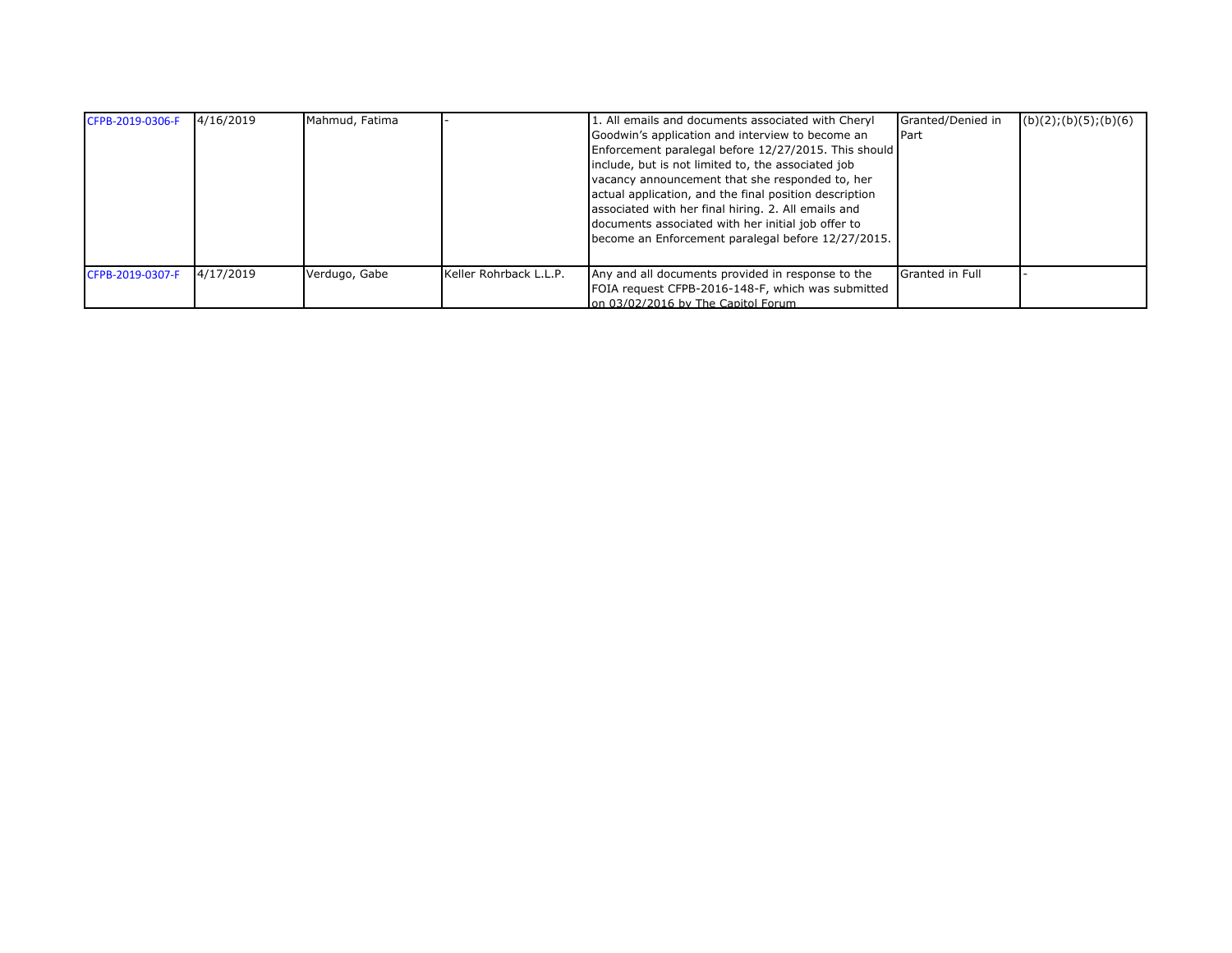| CFPB-2019-0306-F | 4/16/2019 | Mahmud, Fatima |                        | 1. All emails and documents associated with Cheryl<br>Goodwin's application and interview to become an<br>Enforcement paralegal before 12/27/2015. This should<br>include, but is not limited to, the associated job<br>vacancy announcement that she responded to, her<br>actual application, and the final position description<br>associated with her final hiring. 2. All emails and<br>documents associated with her initial job offer to<br>become an Enforcement paralegal before 12/27/2015. | Granted/Denied in<br>Part | (b)(2); (b)(5); (b)(6) |
|------------------|-----------|----------------|------------------------|------------------------------------------------------------------------------------------------------------------------------------------------------------------------------------------------------------------------------------------------------------------------------------------------------------------------------------------------------------------------------------------------------------------------------------------------------------------------------------------------------|---------------------------|------------------------|
| CFPB-2019-0307-F | 4/17/2019 | Verdugo, Gabe  | Keller Rohrback L.L.P. | Any and all documents provided in response to the<br>FOIA request CFPB-2016-148-F, which was submitted<br>on 03/02/2016 by The Capitol Forum                                                                                                                                                                                                                                                                                                                                                         | <b>Granted in Full</b>    |                        |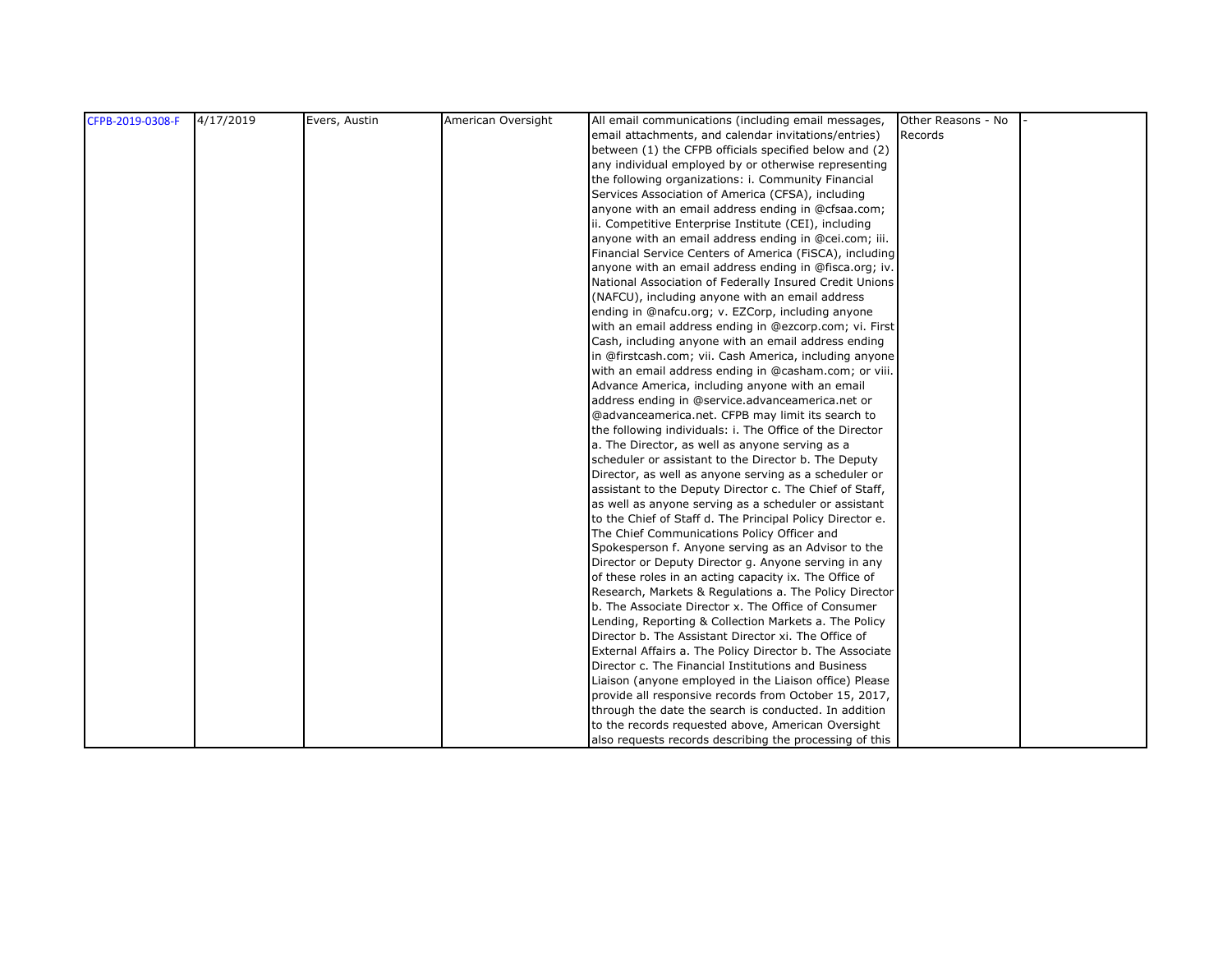| CFPB-2019-0308-F | 4/17/2019 | Evers, Austin | American Oversight | All email communications (including email messages,       | Other Reasons - No |  |
|------------------|-----------|---------------|--------------------|-----------------------------------------------------------|--------------------|--|
|                  |           |               |                    | email attachments, and calendar invitations/entries)      | Records            |  |
|                  |           |               |                    | between (1) the CFPB officials specified below and (2)    |                    |  |
|                  |           |               |                    | any individual employed by or otherwise representing      |                    |  |
|                  |           |               |                    | the following organizations: i. Community Financial       |                    |  |
|                  |           |               |                    | Services Association of America (CFSA), including         |                    |  |
|                  |           |               |                    | anyone with an email address ending in @cfsaa.com;        |                    |  |
|                  |           |               |                    | ii. Competitive Enterprise Institute (CEI), including     |                    |  |
|                  |           |               |                    | anyone with an email address ending in @cei.com; iii.     |                    |  |
|                  |           |               |                    | Financial Service Centers of America (FiSCA), including   |                    |  |
|                  |           |               |                    | anyone with an email address ending in @fisca.org; iv.    |                    |  |
|                  |           |               |                    | National Association of Federally Insured Credit Unions   |                    |  |
|                  |           |               |                    | (NAFCU), including anyone with an email address           |                    |  |
|                  |           |               |                    | ending in @nafcu.org; v. EZCorp, including anyone         |                    |  |
|                  |           |               |                    | with an email address ending in @ezcorp.com; vi. First    |                    |  |
|                  |           |               |                    | Cash, including anyone with an email address ending       |                    |  |
|                  |           |               |                    | in @firstcash.com; vii. Cash America, including anyone    |                    |  |
|                  |           |               |                    | with an email address ending in @casham.com; or viii.     |                    |  |
|                  |           |               |                    | Advance America, including anyone with an email           |                    |  |
|                  |           |               |                    | address ending in @service.advanceamerica.net or          |                    |  |
|                  |           |               |                    | @advanceamerica.net. CFPB may limit its search to         |                    |  |
|                  |           |               |                    | the following individuals: i. The Office of the Director  |                    |  |
|                  |           |               |                    | a. The Director, as well as anyone serving as a           |                    |  |
|                  |           |               |                    | scheduler or assistant to the Director b. The Deputy      |                    |  |
|                  |           |               |                    | Director, as well as anyone serving as a scheduler or     |                    |  |
|                  |           |               |                    | assistant to the Deputy Director c. The Chief of Staff,   |                    |  |
|                  |           |               |                    | as well as anyone serving as a scheduler or assistant     |                    |  |
|                  |           |               |                    | to the Chief of Staff d. The Principal Policy Director e. |                    |  |
|                  |           |               |                    | The Chief Communications Policy Officer and               |                    |  |
|                  |           |               |                    | Spokesperson f. Anyone serving as an Advisor to the       |                    |  |
|                  |           |               |                    | Director or Deputy Director g. Anyone serving in any      |                    |  |
|                  |           |               |                    | of these roles in an acting capacity ix. The Office of    |                    |  |
|                  |           |               |                    | Research, Markets & Regulations a. The Policy Director    |                    |  |
|                  |           |               |                    | b. The Associate Director x. The Office of Consumer       |                    |  |
|                  |           |               |                    | Lending, Reporting & Collection Markets a. The Policy     |                    |  |
|                  |           |               |                    | Director b. The Assistant Director xi. The Office of      |                    |  |
|                  |           |               |                    | External Affairs a. The Policy Director b. The Associate  |                    |  |
|                  |           |               |                    | Director c. The Financial Institutions and Business       |                    |  |
|                  |           |               |                    | Liaison (anyone employed in the Liaison office) Please    |                    |  |
|                  |           |               |                    | provide all responsive records from October 15, 2017,     |                    |  |
|                  |           |               |                    | through the date the search is conducted. In addition     |                    |  |
|                  |           |               |                    | to the records requested above, American Oversight        |                    |  |
|                  |           |               |                    | also requests records describing the processing of this   |                    |  |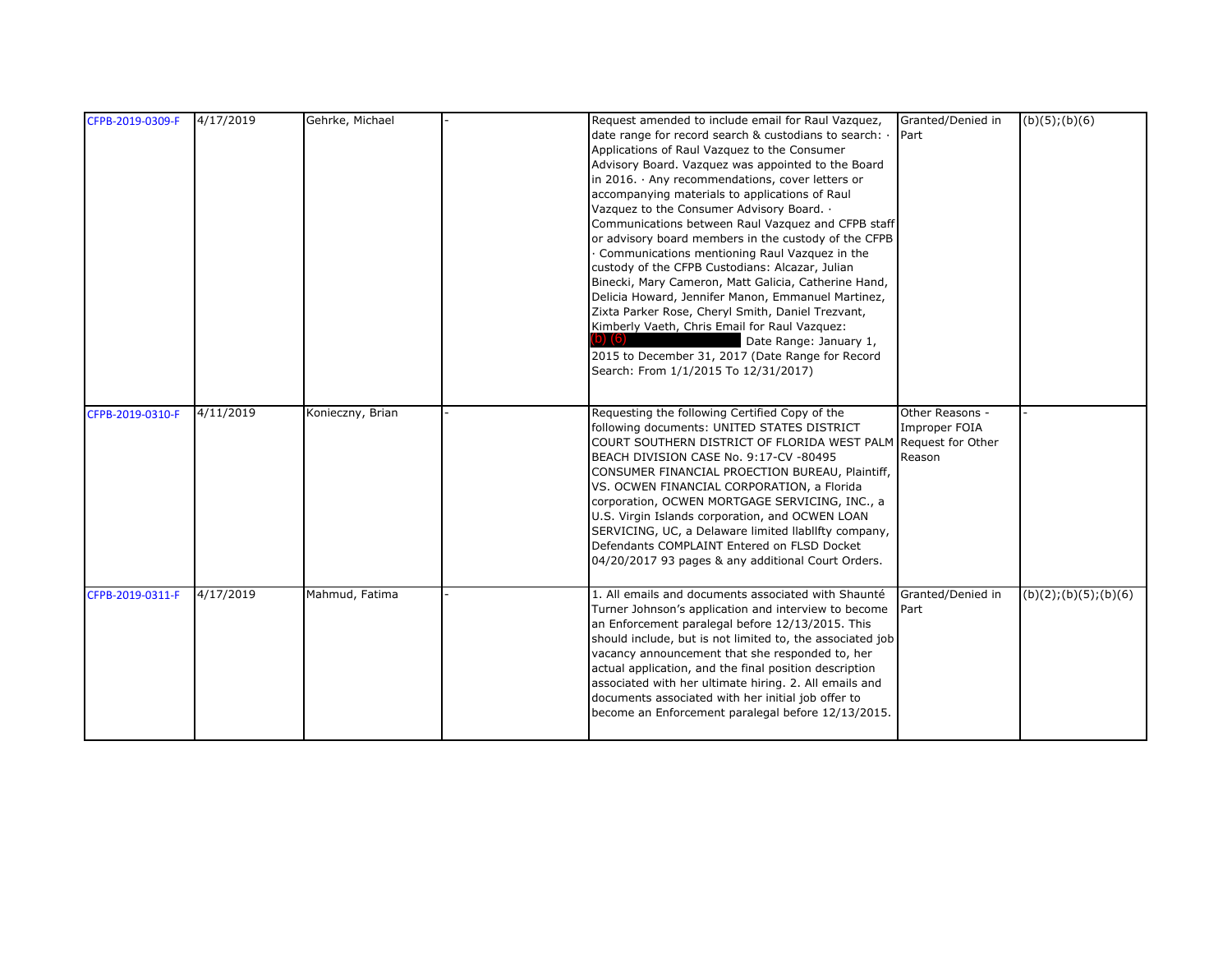| CFPB-2019-0309-F | 4/17/2019 | Gehrke, Michael  | Request amended to include email for Raul Vazquez,<br>date range for record search & custodians to search: . | Granted/Denied in<br>Part | (b)(5); (b)(6)         |
|------------------|-----------|------------------|--------------------------------------------------------------------------------------------------------------|---------------------------|------------------------|
|                  |           |                  | Applications of Raul Vazquez to the Consumer<br>Advisory Board. Vazquez was appointed to the Board           |                           |                        |
|                  |           |                  | in 2016. $\cdot$ Any recommendations, cover letters or                                                       |                           |                        |
|                  |           |                  | accompanying materials to applications of Raul                                                               |                           |                        |
|                  |           |                  | Vazquez to the Consumer Advisory Board. .                                                                    |                           |                        |
|                  |           |                  | Communications between Raul Vazquez and CFPB staff                                                           |                           |                        |
|                  |           |                  | or advisory board members in the custody of the CFPB                                                         |                           |                        |
|                  |           |                  | Communications mentioning Raul Vazquez in the                                                                |                           |                        |
|                  |           |                  | custody of the CFPB Custodians: Alcazar, Julian                                                              |                           |                        |
|                  |           |                  | Binecki, Mary Cameron, Matt Galicia, Catherine Hand,<br>Delicia Howard, Jennifer Manon, Emmanuel Martinez,   |                           |                        |
|                  |           |                  | Zixta Parker Rose, Cheryl Smith, Daniel Trezvant,                                                            |                           |                        |
|                  |           |                  | Kimberly Vaeth, Chris Email for Raul Vazquez:                                                                |                           |                        |
|                  |           |                  | Date Range: January 1,                                                                                       |                           |                        |
|                  |           |                  | 2015 to December 31, 2017 (Date Range for Record                                                             |                           |                        |
|                  |           |                  | Search: From 1/1/2015 To 12/31/2017)                                                                         |                           |                        |
|                  |           |                  |                                                                                                              |                           |                        |
| CFPB-2019-0310-F | 4/11/2019 | Konieczny, Brian | Requesting the following Certified Copy of the                                                               | Other Reasons -           |                        |
|                  |           |                  | following documents: UNITED STATES DISTRICT                                                                  | Improper FOIA             |                        |
|                  |           |                  | COURT SOUTHERN DISTRICT OF FLORIDA WEST PALM Request for Other                                               |                           |                        |
|                  |           |                  | BEACH DIVISION CASE No. 9:17-CV -80495                                                                       | Reason                    |                        |
|                  |           |                  | CONSUMER FINANCIAL PROECTION BUREAU, Plaintiff,                                                              |                           |                        |
|                  |           |                  | VS. OCWEN FINANCIAL CORPORATION, a Florida                                                                   |                           |                        |
|                  |           |                  | corporation, OCWEN MORTGAGE SERVICING, INC., a                                                               |                           |                        |
|                  |           |                  | U.S. Virgin Islands corporation, and OCWEN LOAN<br>SERVICING, UC, a Delaware limited llabllfty company,      |                           |                        |
|                  |           |                  | Defendants COMPLAINT Entered on FLSD Docket                                                                  |                           |                        |
|                  |           |                  | 04/20/2017 93 pages & any additional Court Orders.                                                           |                           |                        |
|                  |           |                  |                                                                                                              |                           |                        |
| CFPB-2019-0311-F | 4/17/2019 | Mahmud, Fatima   | 1. All emails and documents associated with Shaunté                                                          | Granted/Denied in         | (b)(2); (b)(5); (b)(6) |
|                  |           |                  | Turner Johnson's application and interview to become                                                         | Part                      |                        |
|                  |           |                  | an Enforcement paralegal before 12/13/2015. This                                                             |                           |                        |
|                  |           |                  | should include, but is not limited to, the associated job                                                    |                           |                        |
|                  |           |                  | vacancy announcement that she responded to, her<br>actual application, and the final position description    |                           |                        |
|                  |           |                  | associated with her ultimate hiring. 2. All emails and                                                       |                           |                        |
|                  |           |                  | documents associated with her initial job offer to                                                           |                           |                        |
|                  |           |                  |                                                                                                              |                           |                        |
|                  |           |                  | become an Enforcement paralegal before 12/13/2015.                                                           |                           |                        |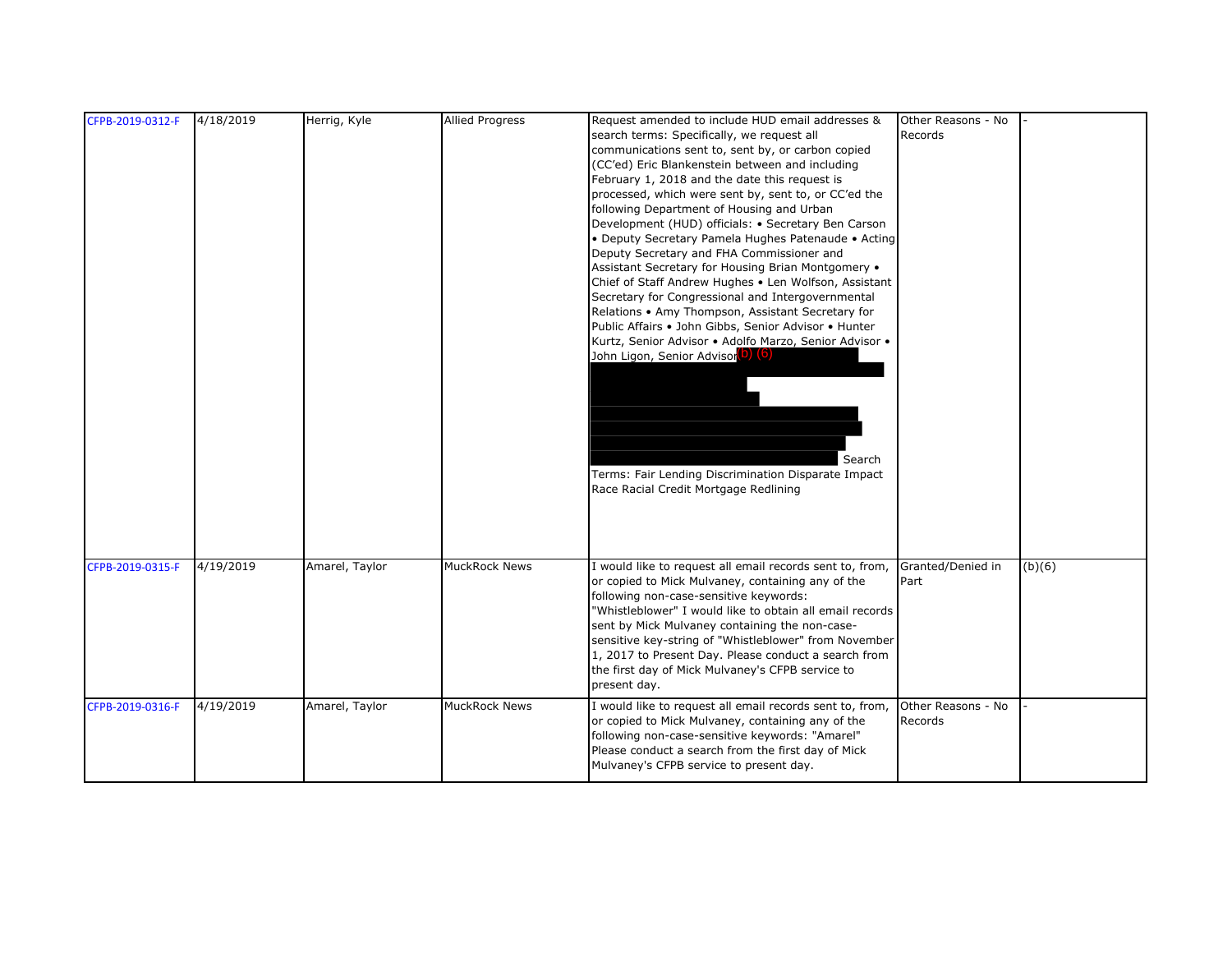| CFPB-2019-0312-F | 4/18/2019 | Herrig, Kyle   | <b>Allied Progress</b> | Request amended to include HUD email addresses &         | Other Reasons - No |        |
|------------------|-----------|----------------|------------------------|----------------------------------------------------------|--------------------|--------|
|                  |           |                |                        | search terms: Specifically, we request all               | Records            |        |
|                  |           |                |                        | communications sent to, sent by, or carbon copied        |                    |        |
|                  |           |                |                        | (CC'ed) Eric Blankenstein between and including          |                    |        |
|                  |           |                |                        | February 1, 2018 and the date this request is            |                    |        |
|                  |           |                |                        | processed, which were sent by, sent to, or CC'ed the     |                    |        |
|                  |           |                |                        | following Department of Housing and Urban                |                    |        |
|                  |           |                |                        | Development (HUD) officials: • Secretary Ben Carson      |                    |        |
|                  |           |                |                        | • Deputy Secretary Pamela Hughes Patenaude • Acting      |                    |        |
|                  |           |                |                        | Deputy Secretary and FHA Commissioner and                |                    |        |
|                  |           |                |                        | Assistant Secretary for Housing Brian Montgomery .       |                    |        |
|                  |           |                |                        | Chief of Staff Andrew Hughes . Len Wolfson, Assistant    |                    |        |
|                  |           |                |                        | Secretary for Congressional and Intergovernmental        |                    |        |
|                  |           |                |                        | Relations • Amy Thompson, Assistant Secretary for        |                    |        |
|                  |           |                |                        | Public Affairs . John Gibbs, Senior Advisor . Hunter     |                    |        |
|                  |           |                |                        | Kurtz, Senior Advisor · Adolfo Marzo, Senior Advisor ·   |                    |        |
|                  |           |                |                        | John Ligon, Senior Advisor <sup>(D)</sup> (6)            |                    |        |
|                  |           |                |                        |                                                          |                    |        |
|                  |           |                |                        |                                                          |                    |        |
|                  |           |                |                        |                                                          |                    |        |
|                  |           |                |                        |                                                          |                    |        |
|                  |           |                |                        |                                                          |                    |        |
|                  |           |                |                        |                                                          |                    |        |
|                  |           |                |                        | Search                                                   |                    |        |
|                  |           |                |                        | Terms: Fair Lending Discrimination Disparate Impact      |                    |        |
|                  |           |                |                        | Race Racial Credit Mortgage Redlining                    |                    |        |
|                  |           |                |                        |                                                          |                    |        |
|                  |           |                |                        |                                                          |                    |        |
|                  |           |                |                        |                                                          |                    |        |
|                  |           |                |                        |                                                          |                    |        |
| CFPB-2019-0315-F | 4/19/2019 | Amarel, Taylor | <b>MuckRock News</b>   | I would like to request all email records sent to, from, | Granted/Denied in  | (b)(6) |
|                  |           |                |                        | or copied to Mick Mulvaney, containing any of the        | Part               |        |
|                  |           |                |                        | following non-case-sensitive keywords:                   |                    |        |
|                  |           |                |                        | "Whistleblower" I would like to obtain all email records |                    |        |
|                  |           |                |                        | sent by Mick Mulvaney containing the non-case-           |                    |        |
|                  |           |                |                        | sensitive key-string of "Whistleblower" from November    |                    |        |
|                  |           |                |                        | 1, 2017 to Present Day. Please conduct a search from     |                    |        |
|                  |           |                |                        | the first day of Mick Mulvaney's CFPB service to         |                    |        |
|                  |           |                |                        | present day.                                             |                    |        |
| CFPB-2019-0316-F | 4/19/2019 | Amarel, Taylor | MuckRock News          | I would like to request all email records sent to, from, | Other Reasons - No |        |
|                  |           |                |                        | or copied to Mick Mulvaney, containing any of the        | Records            |        |
|                  |           |                |                        | following non-case-sensitive keywords: "Amarel"          |                    |        |
|                  |           |                |                        | Please conduct a search from the first day of Mick       |                    |        |
|                  |           |                |                        | Mulvaney's CFPB service to present day.                  |                    |        |
|                  |           |                |                        |                                                          |                    |        |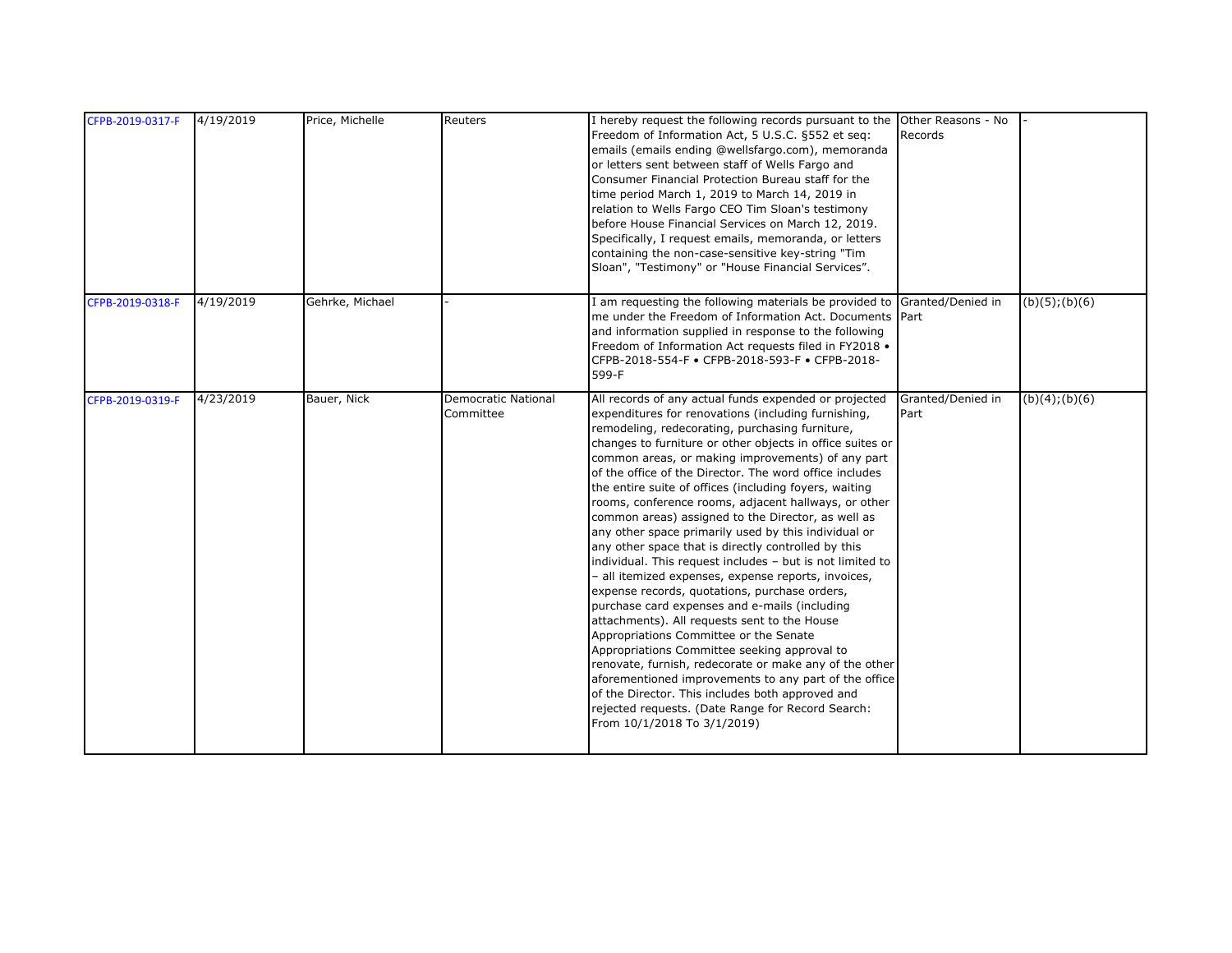| CFPB-2019-0317-F | 4/19/2019 | Price, Michelle | Reuters                                 | I hereby request the following records pursuant to the Other Reasons - No<br>Freedom of Information Act, 5 U.S.C. §552 et seq:<br>emails (emails ending @wellsfargo.com), memoranda<br>or letters sent between staff of Wells Fargo and<br>Consumer Financial Protection Bureau staff for the<br>time period March 1, 2019 to March 14, 2019 in<br>relation to Wells Fargo CEO Tim Sloan's testimony<br>before House Financial Services on March 12, 2019.<br>Specifically, I request emails, memoranda, or letters<br>containing the non-case-sensitive key-string "Tim<br>Sloan", "Testimony" or "House Financial Services".                                                                                                                                                                                                                                                                                                                                                                                                                                                                                                                                                                                                                                 | Records                   |                |
|------------------|-----------|-----------------|-----------------------------------------|----------------------------------------------------------------------------------------------------------------------------------------------------------------------------------------------------------------------------------------------------------------------------------------------------------------------------------------------------------------------------------------------------------------------------------------------------------------------------------------------------------------------------------------------------------------------------------------------------------------------------------------------------------------------------------------------------------------------------------------------------------------------------------------------------------------------------------------------------------------------------------------------------------------------------------------------------------------------------------------------------------------------------------------------------------------------------------------------------------------------------------------------------------------------------------------------------------------------------------------------------------------|---------------------------|----------------|
| CFPB-2019-0318-F | 4/19/2019 | Gehrke, Michael |                                         | I am requesting the following materials be provided to<br>me under the Freedom of Information Act. Documents Part<br>and information supplied in response to the following<br>Freedom of Information Act requests filed in FY2018 .<br>CFPB-2018-554-F · CFPB-2018-593-F · CFPB-2018-<br>599-F                                                                                                                                                                                                                                                                                                                                                                                                                                                                                                                                                                                                                                                                                                                                                                                                                                                                                                                                                                 | Granted/Denied in         | (b)(5); (b)(6) |
| CFPB-2019-0319-F | 4/23/2019 | Bauer, Nick     | <b>Democratic National</b><br>Committee | All records of any actual funds expended or projected<br>expenditures for renovations (including furnishing,<br>remodeling, redecorating, purchasing furniture,<br>changes to furniture or other objects in office suites or<br>common areas, or making improvements) of any part<br>of the office of the Director. The word office includes<br>the entire suite of offices (including foyers, waiting<br>rooms, conference rooms, adjacent hallways, or other<br>common areas) assigned to the Director, as well as<br>any other space primarily used by this individual or<br>any other space that is directly controlled by this<br>individual. This request includes - but is not limited to<br>- all itemized expenses, expense reports, invoices,<br>expense records, quotations, purchase orders,<br>purchase card expenses and e-mails (including<br>attachments). All requests sent to the House<br>Appropriations Committee or the Senate<br>Appropriations Committee seeking approval to<br>renovate, furnish, redecorate or make any of the other<br>aforementioned improvements to any part of the office<br>of the Director. This includes both approved and<br>rejected requests. (Date Range for Record Search:<br>From 10/1/2018 To 3/1/2019) | Granted/Denied in<br>Part | (b)(4); (b)(6) |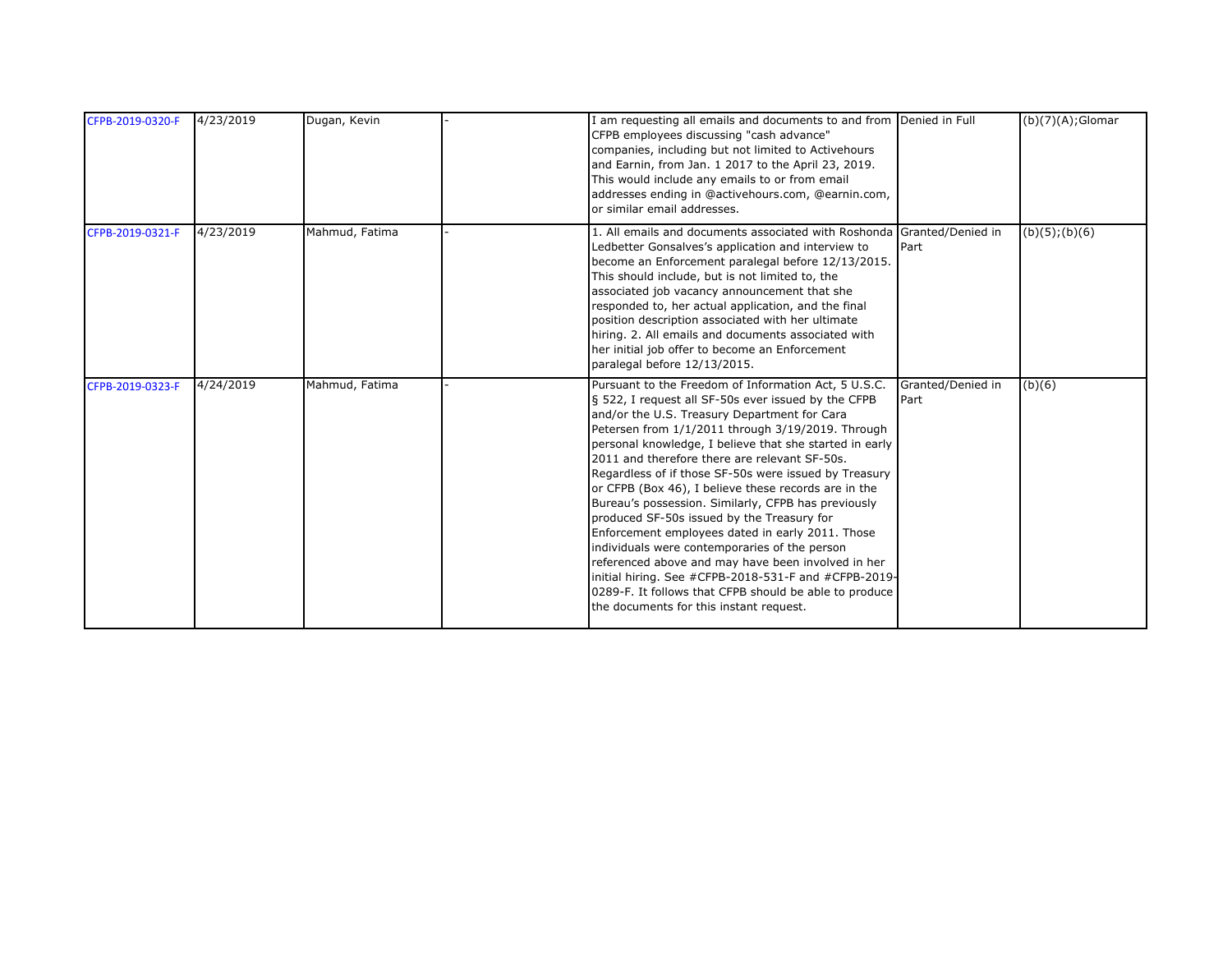| CFPB-2019-0320-F | 4/23/2019 | Dugan, Kevin   | I am requesting all emails and documents to and from Denied in Full<br>CFPB employees discussing "cash advance"<br>companies, including but not limited to Activehours<br>and Earnin, from Jan. 1 2017 to the April 23, 2019.<br>This would include any emails to or from email<br>addresses ending in @activehours.com, @earnin.com,<br>or similar email addresses.                                                                                                                                                                                                                                                                                                                                                                                                                                                                                                       |                           | $(b)(7)(A);$ Glomar |
|------------------|-----------|----------------|----------------------------------------------------------------------------------------------------------------------------------------------------------------------------------------------------------------------------------------------------------------------------------------------------------------------------------------------------------------------------------------------------------------------------------------------------------------------------------------------------------------------------------------------------------------------------------------------------------------------------------------------------------------------------------------------------------------------------------------------------------------------------------------------------------------------------------------------------------------------------|---------------------------|---------------------|
| CFPB-2019-0321-F | 4/23/2019 | Mahmud, Fatima | 1. All emails and documents associated with Roshonda Granted/Denied in<br>Ledbetter Gonsalves's application and interview to<br>become an Enforcement paralegal before 12/13/2015.<br>This should include, but is not limited to, the<br>associated job vacancy announcement that she<br>responded to, her actual application, and the final<br>position description associated with her ultimate<br>hiring. 2. All emails and documents associated with<br>her initial job offer to become an Enforcement<br>paralegal before 12/13/2015.                                                                                                                                                                                                                                                                                                                                 | Part                      | $(b)(5)$ ; $(b)(6)$ |
| CFPB-2019-0323-F | 4/24/2019 | Mahmud, Fatima | Pursuant to the Freedom of Information Act, 5 U.S.C.<br>§ 522, I request all SF-50s ever issued by the CFPB<br>and/or the U.S. Treasury Department for Cara<br>Petersen from 1/1/2011 through 3/19/2019. Through<br>personal knowledge, I believe that she started in early<br>2011 and therefore there are relevant SF-50s.<br>Regardless of if those SF-50s were issued by Treasury<br>or CFPB (Box 46), I believe these records are in the<br>Bureau's possession. Similarly, CFPB has previously<br>produced SF-50s issued by the Treasury for<br>Enforcement employees dated in early 2011. Those<br>individuals were contemporaries of the person<br>referenced above and may have been involved in her<br>initial hiring. See #CFPB-2018-531-F and #CFPB-2019-<br>0289-F. It follows that CFPB should be able to produce<br>the documents for this instant request. | Granted/Denied in<br>Part | (b)(6)              |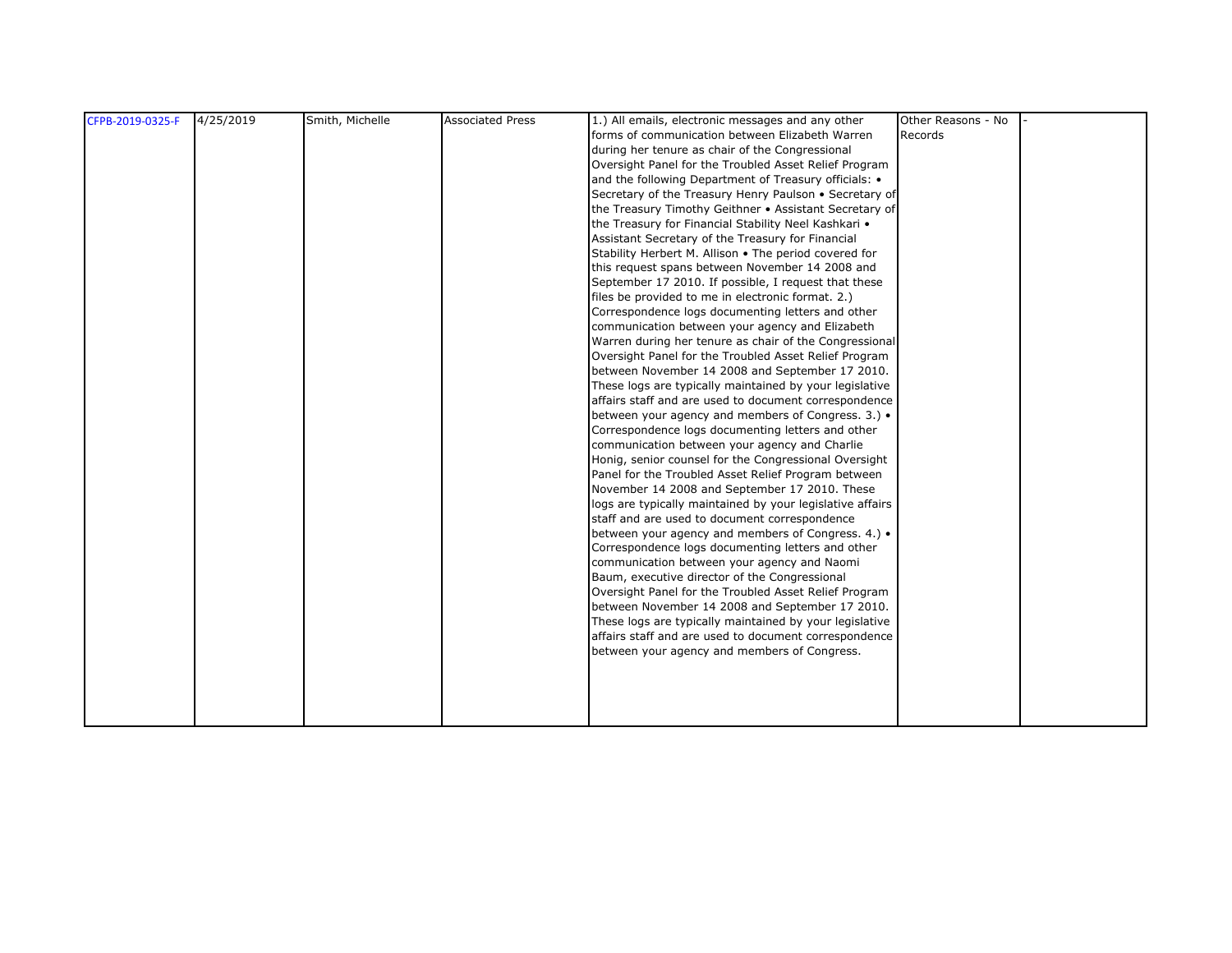| CFPB-2019-0325-F | 4/25/2019 | Smith, Michelle | <b>Associated Press</b> | 1.) All emails, electronic messages and any other         | Other Reasons - No |  |
|------------------|-----------|-----------------|-------------------------|-----------------------------------------------------------|--------------------|--|
|                  |           |                 |                         | forms of communication between Elizabeth Warren           | Records            |  |
|                  |           |                 |                         | during her tenure as chair of the Congressional           |                    |  |
|                  |           |                 |                         | Oversight Panel for the Troubled Asset Relief Program     |                    |  |
|                  |           |                 |                         | and the following Department of Treasury officials: •     |                    |  |
|                  |           |                 |                         | Secretary of the Treasury Henry Paulson . Secretary of    |                    |  |
|                  |           |                 |                         | the Treasury Timothy Geithner • Assistant Secretary of    |                    |  |
|                  |           |                 |                         | the Treasury for Financial Stability Neel Kashkari .      |                    |  |
|                  |           |                 |                         | Assistant Secretary of the Treasury for Financial         |                    |  |
|                  |           |                 |                         | Stability Herbert M. Allison . The period covered for     |                    |  |
|                  |           |                 |                         | this request spans between November 14 2008 and           |                    |  |
|                  |           |                 |                         | September 17 2010. If possible, I request that these      |                    |  |
|                  |           |                 |                         | files be provided to me in electronic format. 2.)         |                    |  |
|                  |           |                 |                         | Correspondence logs documenting letters and other         |                    |  |
|                  |           |                 |                         | communication between your agency and Elizabeth           |                    |  |
|                  |           |                 |                         | Warren during her tenure as chair of the Congressional    |                    |  |
|                  |           |                 |                         | Oversight Panel for the Troubled Asset Relief Program     |                    |  |
|                  |           |                 |                         | between November 14 2008 and September 17 2010.           |                    |  |
|                  |           |                 |                         | These logs are typically maintained by your legislative   |                    |  |
|                  |           |                 |                         | affairs staff and are used to document correspondence     |                    |  |
|                  |           |                 |                         | between your agency and members of Congress. 3.) .        |                    |  |
|                  |           |                 |                         | Correspondence logs documenting letters and other         |                    |  |
|                  |           |                 |                         | communication between your agency and Charlie             |                    |  |
|                  |           |                 |                         | Honig, senior counsel for the Congressional Oversight     |                    |  |
|                  |           |                 |                         | Panel for the Troubled Asset Relief Program between       |                    |  |
|                  |           |                 |                         | November 14 2008 and September 17 2010. These             |                    |  |
|                  |           |                 |                         | logs are typically maintained by your legislative affairs |                    |  |
|                  |           |                 |                         | staff and are used to document correspondence             |                    |  |
|                  |           |                 |                         | between your agency and members of Congress. 4.) .        |                    |  |
|                  |           |                 |                         | Correspondence logs documenting letters and other         |                    |  |
|                  |           |                 |                         | communication between your agency and Naomi               |                    |  |
|                  |           |                 |                         | Baum, executive director of the Congressional             |                    |  |
|                  |           |                 |                         | Oversight Panel for the Troubled Asset Relief Program     |                    |  |
|                  |           |                 |                         | between November 14 2008 and September 17 2010.           |                    |  |
|                  |           |                 |                         | These logs are typically maintained by your legislative   |                    |  |
|                  |           |                 |                         | affairs staff and are used to document correspondence     |                    |  |
|                  |           |                 |                         | between your agency and members of Congress.              |                    |  |
|                  |           |                 |                         |                                                           |                    |  |
|                  |           |                 |                         |                                                           |                    |  |
|                  |           |                 |                         |                                                           |                    |  |
|                  |           |                 |                         |                                                           |                    |  |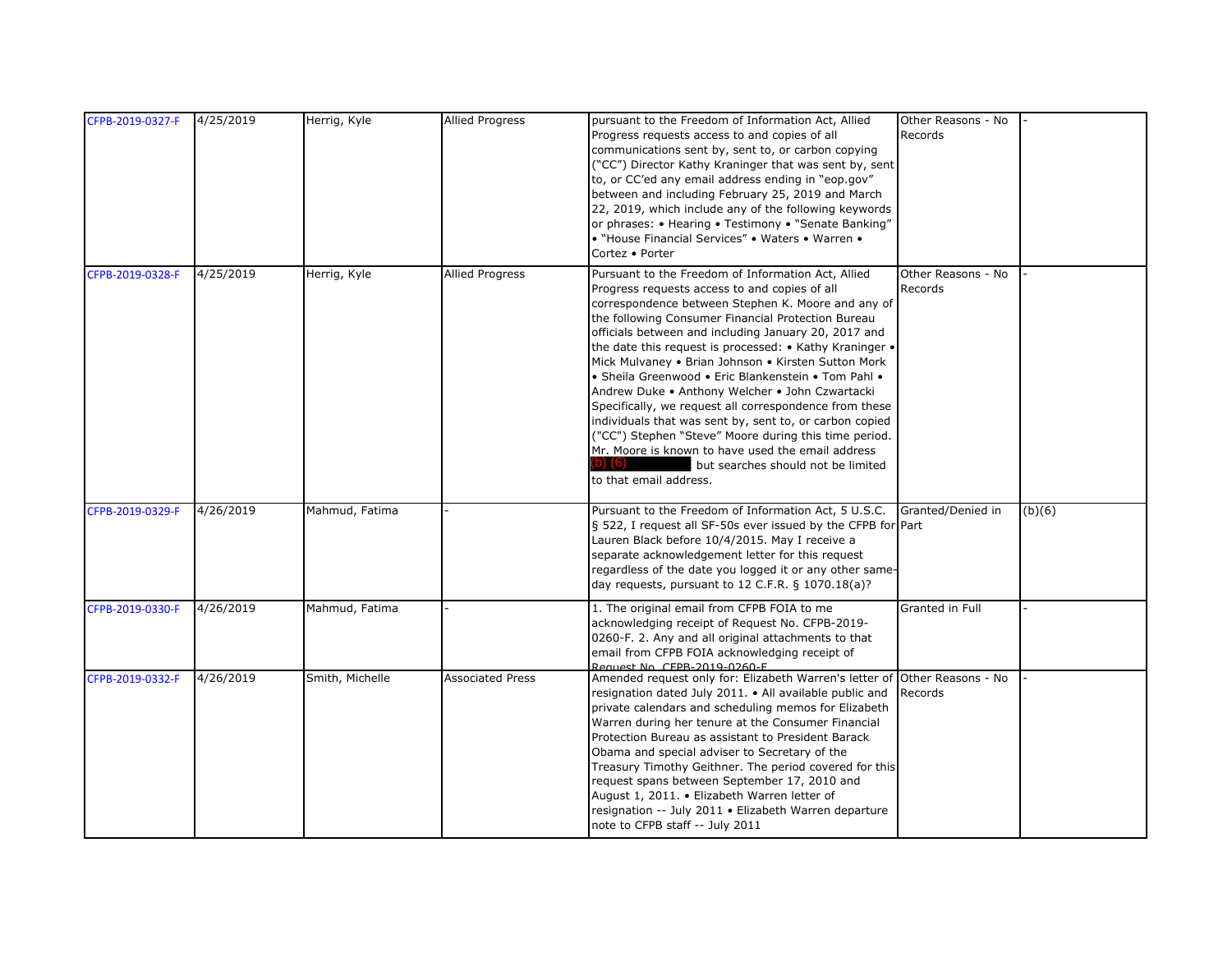| CFPB-2019-0327-F | 4/25/2019 | Herrig, Kyle    | <b>Allied Progress</b>  | pursuant to the Freedom of Information Act, Allied<br>Progress requests access to and copies of all<br>communications sent by, sent to, or carbon copying<br>("CC") Director Kathy Kraninger that was sent by, sent<br>to, or CC'ed any email address ending in "eop.gov"<br>between and including February 25, 2019 and March<br>22, 2019, which include any of the following keywords<br>or phrases: • Hearing • Testimony • "Senate Banking"<br>• "House Financial Services" • Waters • Warren •<br>Cortez • Porter                                                                                                                                                                                                                                                                                           | Other Reasons - No<br>Records |        |
|------------------|-----------|-----------------|-------------------------|------------------------------------------------------------------------------------------------------------------------------------------------------------------------------------------------------------------------------------------------------------------------------------------------------------------------------------------------------------------------------------------------------------------------------------------------------------------------------------------------------------------------------------------------------------------------------------------------------------------------------------------------------------------------------------------------------------------------------------------------------------------------------------------------------------------|-------------------------------|--------|
| CFPB-2019-0328-F | 4/25/2019 | Herrig, Kyle    | <b>Allied Progress</b>  | Pursuant to the Freedom of Information Act, Allied<br>Progress requests access to and copies of all<br>correspondence between Stephen K. Moore and any of<br>the following Consumer Financial Protection Bureau<br>officials between and including January 20, 2017 and<br>the date this request is processed: • Kathy Kraninger •<br>Mick Mulvaney • Brian Johnson • Kirsten Sutton Mork<br>• Sheila Greenwood • Eric Blankenstein • Tom Pahl •<br>Andrew Duke • Anthony Welcher • John Czwartacki<br>Specifically, we request all correspondence from these<br>individuals that was sent by, sent to, or carbon copied<br>("CC") Stephen "Steve" Moore during this time period.<br>Mr. Moore is known to have used the email address<br>b) (6)<br>but searches should not be limited<br>to that email address. | Other Reasons - No<br>Records |        |
| CFPB-2019-0329-F | 4/26/2019 | Mahmud, Fatima  |                         | Pursuant to the Freedom of Information Act, 5 U.S.C.<br>§ 522, I request all SF-50s ever issued by the CFPB for Part<br>Lauren Black before 10/4/2015. May I receive a<br>separate acknowledgement letter for this request<br>regardless of the date you logged it or any other same-<br>day requests, pursuant to 12 C.F.R. $\S$ 1070.18(a)?                                                                                                                                                                                                                                                                                                                                                                                                                                                                    | Granted/Denied in             | (b)(6) |
| CFPB-2019-0330-F | 4/26/2019 | Mahmud, Fatima  |                         | 1. The original email from CFPB FOIA to me<br>acknowledging receipt of Request No. CFPB-2019-<br>0260-F. 2. Any and all original attachments to that<br>email from CFPB FOIA acknowledging receipt of<br>Request No. CEPB-2019-0260-E                                                                                                                                                                                                                                                                                                                                                                                                                                                                                                                                                                            | Granted in Full               |        |
| CFPB-2019-0332-F | 4/26/2019 | Smith, Michelle | <b>Associated Press</b> | Amended request only for: Elizabeth Warren's letter of<br>resignation dated July 2011. • All available public and<br>private calendars and scheduling memos for Elizabeth<br>Warren during her tenure at the Consumer Financial<br>Protection Bureau as assistant to President Barack<br>Obama and special adviser to Secretary of the<br>Treasury Timothy Geithner. The period covered for this<br>request spans between September 17, 2010 and<br>August 1, 2011. • Elizabeth Warren letter of<br>resignation -- July 2011 • Elizabeth Warren departure<br>note to CFPB staff -- July 2011                                                                                                                                                                                                                     | Other Reasons - No<br>Records |        |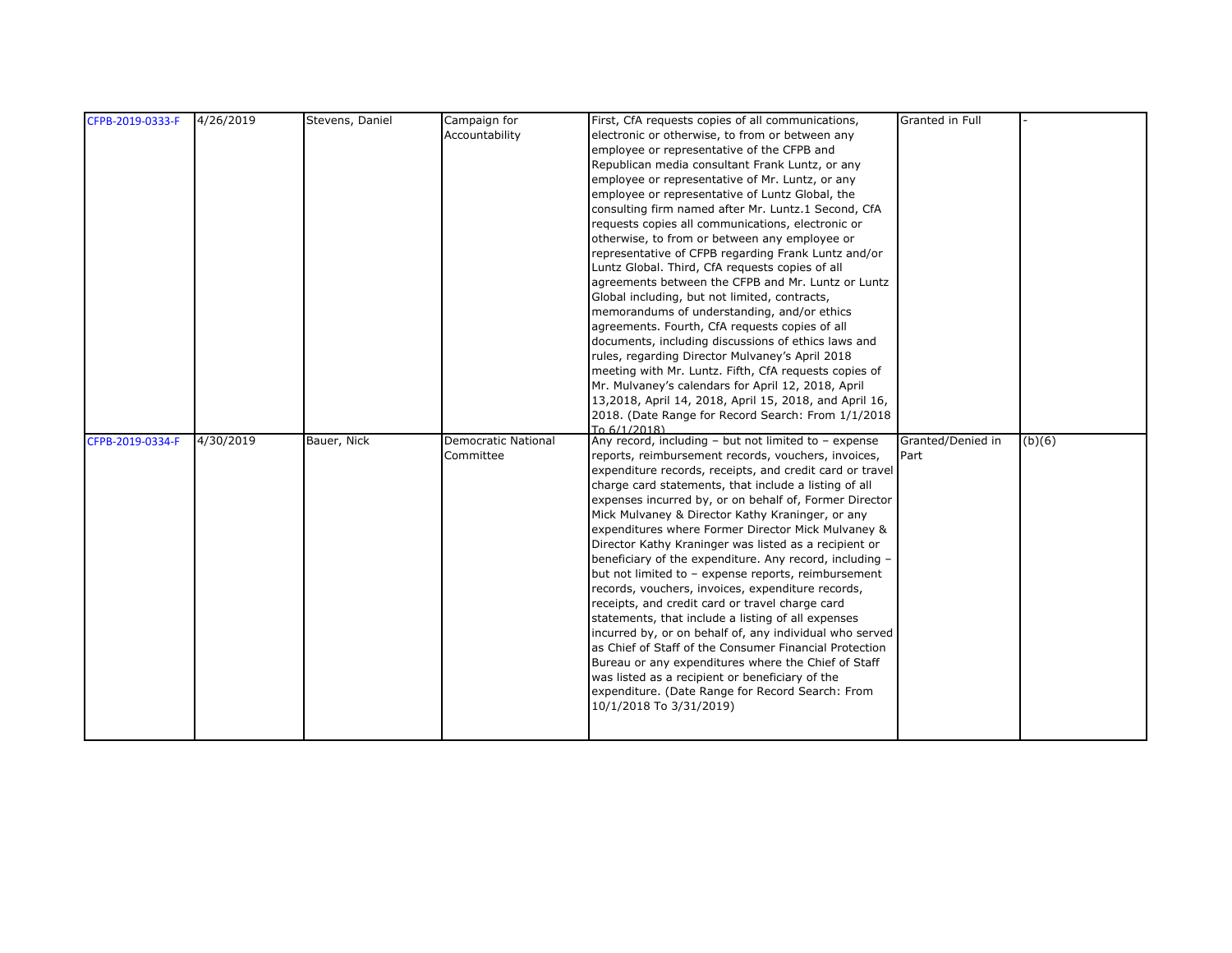| CFPB-2019-0333-F | 4/26/2019 | Stevens, Daniel | Campaign for               | First, CfA requests copies of all communications,                                                                 | Granted in Full   |        |
|------------------|-----------|-----------------|----------------------------|-------------------------------------------------------------------------------------------------------------------|-------------------|--------|
|                  |           |                 | Accountability             | electronic or otherwise, to from or between any                                                                   |                   |        |
|                  |           |                 |                            | employee or representative of the CFPB and                                                                        |                   |        |
|                  |           |                 |                            | Republican media consultant Frank Luntz, or any                                                                   |                   |        |
|                  |           |                 |                            | employee or representative of Mr. Luntz, or any                                                                   |                   |        |
|                  |           |                 |                            | employee or representative of Luntz Global, the                                                                   |                   |        |
|                  |           |                 |                            | consulting firm named after Mr. Luntz.1 Second, CfA                                                               |                   |        |
|                  |           |                 |                            | requests copies all communications, electronic or                                                                 |                   |        |
|                  |           |                 |                            | otherwise, to from or between any employee or                                                                     |                   |        |
|                  |           |                 |                            | representative of CFPB regarding Frank Luntz and/or                                                               |                   |        |
|                  |           |                 |                            | Luntz Global. Third, CfA requests copies of all                                                                   |                   |        |
|                  |           |                 |                            | agreements between the CFPB and Mr. Luntz or Luntz                                                                |                   |        |
|                  |           |                 |                            | Global including, but not limited, contracts,                                                                     |                   |        |
|                  |           |                 |                            | memorandums of understanding, and/or ethics                                                                       |                   |        |
|                  |           |                 |                            | agreements. Fourth, CfA requests copies of all                                                                    |                   |        |
|                  |           |                 |                            | documents, including discussions of ethics laws and                                                               |                   |        |
|                  |           |                 |                            | rules, regarding Director Mulvaney's April 2018                                                                   |                   |        |
|                  |           |                 |                            | meeting with Mr. Luntz. Fifth, CfA requests copies of                                                             |                   |        |
|                  |           |                 |                            | Mr. Mulvaney's calendars for April 12, 2018, April                                                                |                   |        |
|                  |           |                 |                            | 13,2018, April 14, 2018, April 15, 2018, and April 16,                                                            |                   |        |
|                  |           |                 |                            | 2018. (Date Range for Record Search: From 1/1/2018                                                                |                   |        |
|                  |           |                 |                            | To 6/1/2018)                                                                                                      |                   |        |
| CFPB-2019-0334-F | 4/30/2019 | Bauer, Nick     | <b>Democratic National</b> | Any record, including - but not limited to - expense                                                              | Granted/Denied in | (b)(6) |
|                  |           |                 | Committee                  | reports, reimbursement records, vouchers, invoices,                                                               | Part              |        |
|                  |           |                 |                            | expenditure records, receipts, and credit card or travel                                                          |                   |        |
|                  |           |                 |                            | charge card statements, that include a listing of all                                                             |                   |        |
|                  |           |                 |                            | expenses incurred by, or on behalf of, Former Director                                                            |                   |        |
|                  |           |                 |                            | Mick Mulvaney & Director Kathy Kraninger, or any                                                                  |                   |        |
|                  |           |                 |                            | expenditures where Former Director Mick Mulvaney &                                                                |                   |        |
|                  |           |                 |                            | Director Kathy Kraninger was listed as a recipient or                                                             |                   |        |
|                  |           |                 |                            | beneficiary of the expenditure. Any record, including -                                                           |                   |        |
|                  |           |                 |                            | but not limited to - expense reports, reimbursement                                                               |                   |        |
|                  |           |                 |                            | records, vouchers, invoices, expenditure records,                                                                 |                   |        |
|                  |           |                 |                            | receipts, and credit card or travel charge card                                                                   |                   |        |
|                  |           |                 |                            | statements, that include a listing of all expenses                                                                |                   |        |
|                  |           |                 |                            | incurred by, or on behalf of, any individual who served<br>as Chief of Staff of the Consumer Financial Protection |                   |        |
|                  |           |                 |                            |                                                                                                                   |                   |        |
|                  |           |                 |                            | Bureau or any expenditures where the Chief of Staff                                                               |                   |        |
|                  |           |                 |                            | was listed as a recipient or beneficiary of the                                                                   |                   |        |
|                  |           |                 |                            | expenditure. (Date Range for Record Search: From                                                                  |                   |        |
|                  |           |                 |                            | 10/1/2018 To 3/31/2019)                                                                                           |                   |        |
|                  |           |                 |                            |                                                                                                                   |                   |        |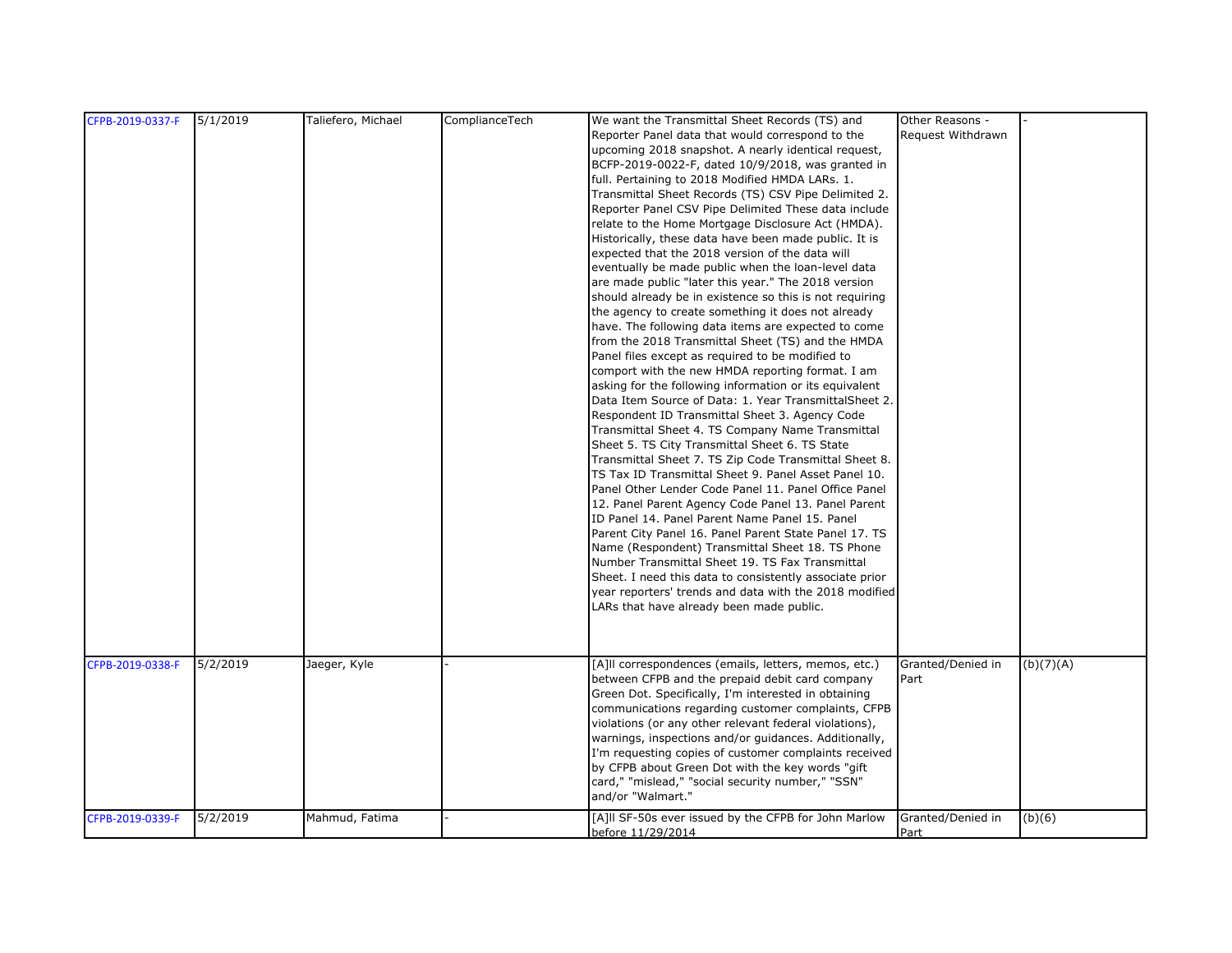| CFPB-2019-0337-F | 5/1/2019 | Taliefero, Michael | ComplianceTech | We want the Transmittal Sheet Records (TS) and          | Other Reasons -   |           |
|------------------|----------|--------------------|----------------|---------------------------------------------------------|-------------------|-----------|
|                  |          |                    |                |                                                         | Request Withdrawn |           |
|                  |          |                    |                | Reporter Panel data that would correspond to the        |                   |           |
|                  |          |                    |                | upcoming 2018 snapshot. A nearly identical request,     |                   |           |
|                  |          |                    |                | BCFP-2019-0022-F, dated 10/9/2018, was granted in       |                   |           |
|                  |          |                    |                | full. Pertaining to 2018 Modified HMDA LARs. 1.         |                   |           |
|                  |          |                    |                | Transmittal Sheet Records (TS) CSV Pipe Delimited 2.    |                   |           |
|                  |          |                    |                | Reporter Panel CSV Pipe Delimited These data include    |                   |           |
|                  |          |                    |                | relate to the Home Mortgage Disclosure Act (HMDA).      |                   |           |
|                  |          |                    |                | Historically, these data have been made public. It is   |                   |           |
|                  |          |                    |                | expected that the 2018 version of the data will         |                   |           |
|                  |          |                    |                | eventually be made public when the loan-level data      |                   |           |
|                  |          |                    |                | are made public "later this year." The 2018 version     |                   |           |
|                  |          |                    |                | should already be in existence so this is not requiring |                   |           |
|                  |          |                    |                | the agency to create something it does not already      |                   |           |
|                  |          |                    |                | have. The following data items are expected to come     |                   |           |
|                  |          |                    |                | from the 2018 Transmittal Sheet (TS) and the HMDA       |                   |           |
|                  |          |                    |                | Panel files except as required to be modified to        |                   |           |
|                  |          |                    |                | comport with the new HMDA reporting format. I am        |                   |           |
|                  |          |                    |                | asking for the following information or its equivalent  |                   |           |
|                  |          |                    |                | Data Item Source of Data: 1. Year TransmittalSheet 2.   |                   |           |
|                  |          |                    |                |                                                         |                   |           |
|                  |          |                    |                | Respondent ID Transmittal Sheet 3. Agency Code          |                   |           |
|                  |          |                    |                | Transmittal Sheet 4. TS Company Name Transmittal        |                   |           |
|                  |          |                    |                | Sheet 5. TS City Transmittal Sheet 6. TS State          |                   |           |
|                  |          |                    |                | Transmittal Sheet 7. TS Zip Code Transmittal Sheet 8.   |                   |           |
|                  |          |                    |                | TS Tax ID Transmittal Sheet 9. Panel Asset Panel 10.    |                   |           |
|                  |          |                    |                | Panel Other Lender Code Panel 11. Panel Office Panel    |                   |           |
|                  |          |                    |                | 12. Panel Parent Agency Code Panel 13. Panel Parent     |                   |           |
|                  |          |                    |                | ID Panel 14. Panel Parent Name Panel 15. Panel          |                   |           |
|                  |          |                    |                | Parent City Panel 16. Panel Parent State Panel 17. TS   |                   |           |
|                  |          |                    |                | Name (Respondent) Transmittal Sheet 18. TS Phone        |                   |           |
|                  |          |                    |                | Number Transmittal Sheet 19. TS Fax Transmittal         |                   |           |
|                  |          |                    |                | Sheet. I need this data to consistently associate prior |                   |           |
|                  |          |                    |                | year reporters' trends and data with the 2018 modified  |                   |           |
|                  |          |                    |                | LARs that have already been made public.                |                   |           |
|                  |          |                    |                |                                                         |                   |           |
|                  |          |                    |                |                                                         |                   |           |
|                  |          |                    |                |                                                         |                   |           |
| CFPB-2019-0338-F | 5/2/2019 | Jaeger, Kyle       |                | [A]II correspondences (emails, letters, memos, etc.)    | Granted/Denied in | (b)(7)(A) |
|                  |          |                    |                | between CFPB and the prepaid debit card company         | Part              |           |
|                  |          |                    |                | Green Dot. Specifically, I'm interested in obtaining    |                   |           |
|                  |          |                    |                | communications regarding customer complaints, CFPB      |                   |           |
|                  |          |                    |                | violations (or any other relevant federal violations),  |                   |           |
|                  |          |                    |                |                                                         |                   |           |
|                  |          |                    |                | warnings, inspections and/or guidances. Additionally,   |                   |           |
|                  |          |                    |                | I'm requesting copies of customer complaints received   |                   |           |
|                  |          |                    |                | by CFPB about Green Dot with the key words "gift"       |                   |           |
|                  |          |                    |                | card," "mislead," "social security number," "SSN"       |                   |           |
|                  |          |                    |                | and/or "Walmart."                                       |                   |           |
| CFPB-2019-0339-F | 5/2/2019 | Mahmud, Fatima     |                | [A]II SF-50s ever issued by the CFPB for John Marlow    | Granted/Denied in | (b)(6)    |
|                  |          |                    |                | before 11/29/2014                                       | Part              |           |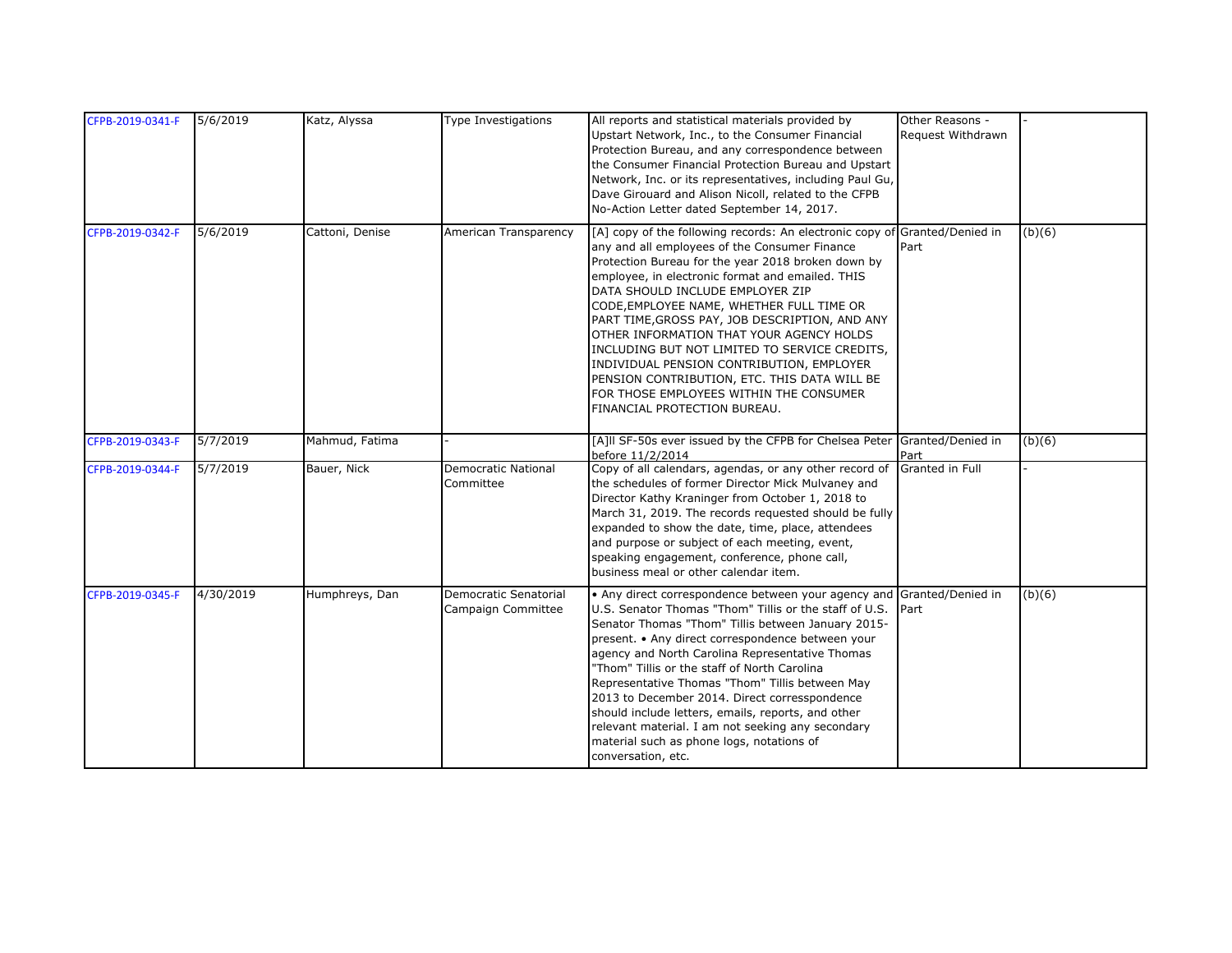| CFPB-2019-0341-F | 5/6/2019  | Katz, Alyssa    | Type Investigations                         | All reports and statistical materials provided by<br>Upstart Network, Inc., to the Consumer Financial<br>Protection Bureau, and any correspondence between<br>the Consumer Financial Protection Bureau and Upstart<br>Network, Inc. or its representatives, including Paul Gu,<br>Dave Girouard and Alison Nicoll, related to the CFPB<br>No-Action Letter dated September 14, 2017.                                                                                                                                                                                                                                                          | Other Reasons -<br>Request Withdrawn |        |
|------------------|-----------|-----------------|---------------------------------------------|-----------------------------------------------------------------------------------------------------------------------------------------------------------------------------------------------------------------------------------------------------------------------------------------------------------------------------------------------------------------------------------------------------------------------------------------------------------------------------------------------------------------------------------------------------------------------------------------------------------------------------------------------|--------------------------------------|--------|
| CFPB-2019-0342-F | 5/6/2019  | Cattoni, Denise | American Transparency                       | [A] copy of the following records: An electronic copy of Granted/Denied in<br>any and all employees of the Consumer Finance<br>Protection Bureau for the year 2018 broken down by<br>employee, in electronic format and emailed. THIS<br>DATA SHOULD INCLUDE EMPLOYER ZIP<br>CODE, EMPLOYEE NAME, WHETHER FULL TIME OR<br>PART TIME, GROSS PAY, JOB DESCRIPTION, AND ANY<br>OTHER INFORMATION THAT YOUR AGENCY HOLDS<br>INCLUDING BUT NOT LIMITED TO SERVICE CREDITS,<br>INDIVIDUAL PENSION CONTRIBUTION, EMPLOYER<br>PENSION CONTRIBUTION, ETC. THIS DATA WILL BE<br>FOR THOSE EMPLOYEES WITHIN THE CONSUMER<br>FINANCIAL PROTECTION BUREAU. | Part                                 | (b)(6) |
| CFPB-2019-0343-F | 5/7/2019  | Mahmud, Fatima  |                                             | [A]II SF-50s ever issued by the CFPB for Chelsea Peter Granted/Denied in<br>before 11/2/2014                                                                                                                                                                                                                                                                                                                                                                                                                                                                                                                                                  | Part                                 | (b)(6) |
| CFPB-2019-0344-F | 5/7/2019  | Bauer, Nick     | Democratic National<br>Committee            | Copy of all calendars, agendas, or any other record of<br>the schedules of former Director Mick Mulvaney and<br>Director Kathy Kraninger from October 1, 2018 to<br>March 31, 2019. The records requested should be fully<br>expanded to show the date, time, place, attendees<br>and purpose or subject of each meeting, event,<br>speaking engagement, conference, phone call,<br>business meal or other calendar item.                                                                                                                                                                                                                     | Granted in Full                      |        |
| CFPB-2019-0345-F | 4/30/2019 | Humphreys, Dan  | Democratic Senatorial<br>Campaign Committee | • Any direct correspondence between your agency and<br>U.S. Senator Thomas "Thom" Tillis or the staff of U.S.<br>Senator Thomas "Thom" Tillis between January 2015-<br>present. • Any direct correspondence between your<br>agency and North Carolina Representative Thomas<br>"Thom" Tillis or the staff of North Carolina<br>Representative Thomas "Thom" Tillis between May<br>2013 to December 2014. Direct corresspondence<br>should include letters, emails, reports, and other<br>relevant material. I am not seeking any secondary<br>material such as phone logs, notations of<br>conversation, etc.                                 | Granted/Denied in<br>Part            | (b)(6) |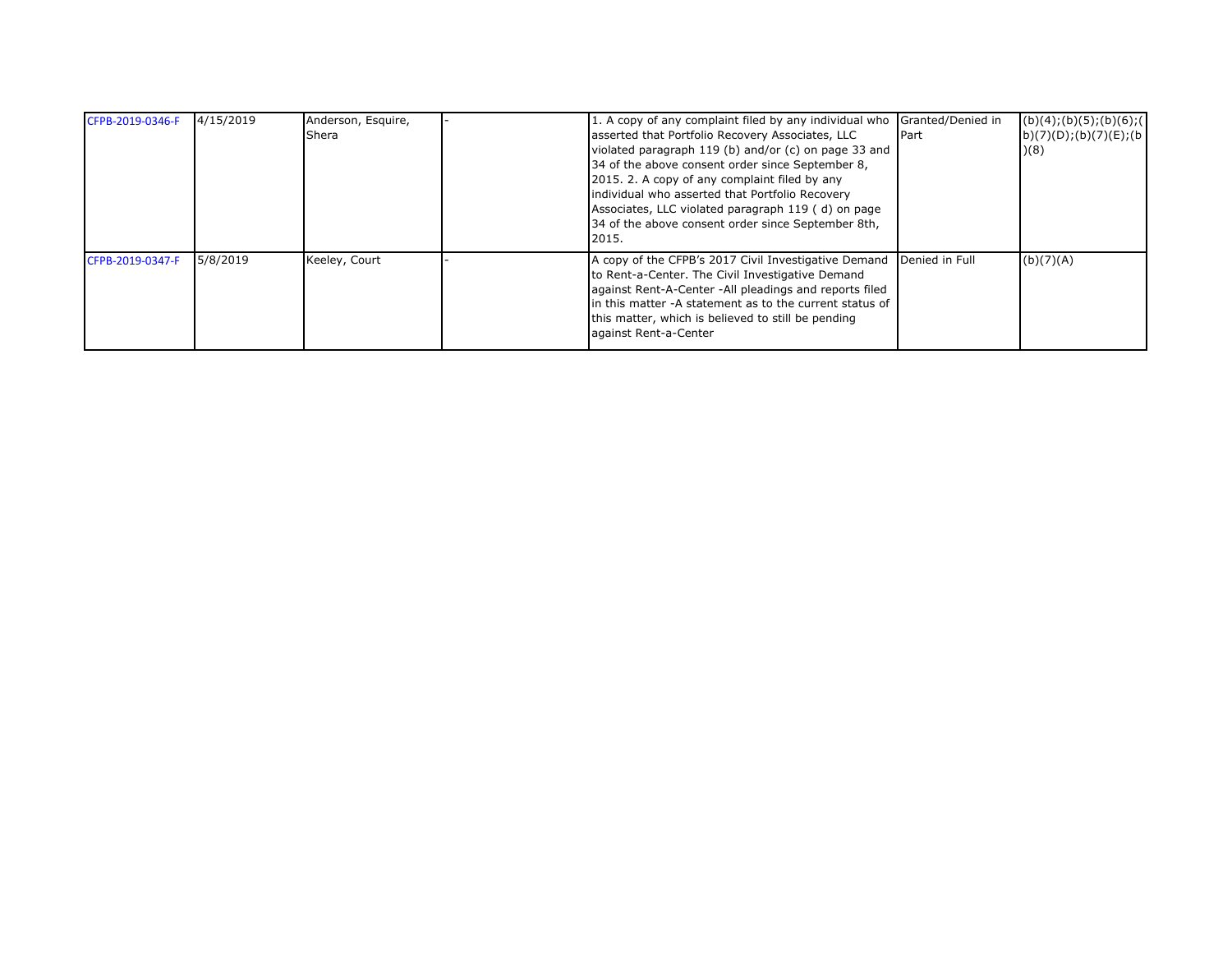| 4/15/2019 | Anderson, Esquire, |                                                      |                                                                                                                                                                                                                                                                                                                                                                                                                                                                                                                                                                               | (b)(4); (b)(5); (b)(6); (                                                                          |
|-----------|--------------------|------------------------------------------------------|-------------------------------------------------------------------------------------------------------------------------------------------------------------------------------------------------------------------------------------------------------------------------------------------------------------------------------------------------------------------------------------------------------------------------------------------------------------------------------------------------------------------------------------------------------------------------------|----------------------------------------------------------------------------------------------------|
|           | <b>Shera</b>       |                                                      |                                                                                                                                                                                                                                                                                                                                                                                                                                                                                                                                                                               | b)(7)(D); (b)(7)(E); (b)                                                                           |
|           |                    | violated paragraph 119 (b) and/or (c) on page 33 and |                                                                                                                                                                                                                                                                                                                                                                                                                                                                                                                                                                               | )(8)                                                                                               |
|           |                    |                                                      |                                                                                                                                                                                                                                                                                                                                                                                                                                                                                                                                                                               |                                                                                                    |
|           |                    |                                                      |                                                                                                                                                                                                                                                                                                                                                                                                                                                                                                                                                                               |                                                                                                    |
|           |                    |                                                      |                                                                                                                                                                                                                                                                                                                                                                                                                                                                                                                                                                               |                                                                                                    |
|           |                    |                                                      |                                                                                                                                                                                                                                                                                                                                                                                                                                                                                                                                                                               |                                                                                                    |
|           |                    |                                                      |                                                                                                                                                                                                                                                                                                                                                                                                                                                                                                                                                                               |                                                                                                    |
|           |                    | 2015.                                                |                                                                                                                                                                                                                                                                                                                                                                                                                                                                                                                                                                               |                                                                                                    |
| 5/8/2019  | Keeley, Court      | A copy of the CFPB's 2017 Civil Investigative Demand |                                                                                                                                                                                                                                                                                                                                                                                                                                                                                                                                                                               | (b)(7)(A)                                                                                          |
|           |                    |                                                      |                                                                                                                                                                                                                                                                                                                                                                                                                                                                                                                                                                               |                                                                                                    |
|           |                    |                                                      |                                                                                                                                                                                                                                                                                                                                                                                                                                                                                                                                                                               |                                                                                                    |
|           |                    |                                                      |                                                                                                                                                                                                                                                                                                                                                                                                                                                                                                                                                                               |                                                                                                    |
|           |                    |                                                      |                                                                                                                                                                                                                                                                                                                                                                                                                                                                                                                                                                               |                                                                                                    |
|           |                    |                                                      | asserted that Portfolio Recovery Associates, LLC<br>34 of the above consent order since September 8,<br>2015. 2. A copy of any complaint filed by any<br>individual who asserted that Portfolio Recovery<br>Associates, LLC violated paragraph 119 (d) on page<br>34 of the above consent order since September 8th,<br>to Rent-a-Center. The Civil Investigative Demand<br>against Rent-A-Center -All pleadings and reports filed<br>lin this matter -A statement as to the current status of<br>this matter, which is believed to still be pending<br>against Rent-a-Center | 1. A copy of any complaint filed by any individual who Granted/Denied in<br>Part<br>Denied in Full |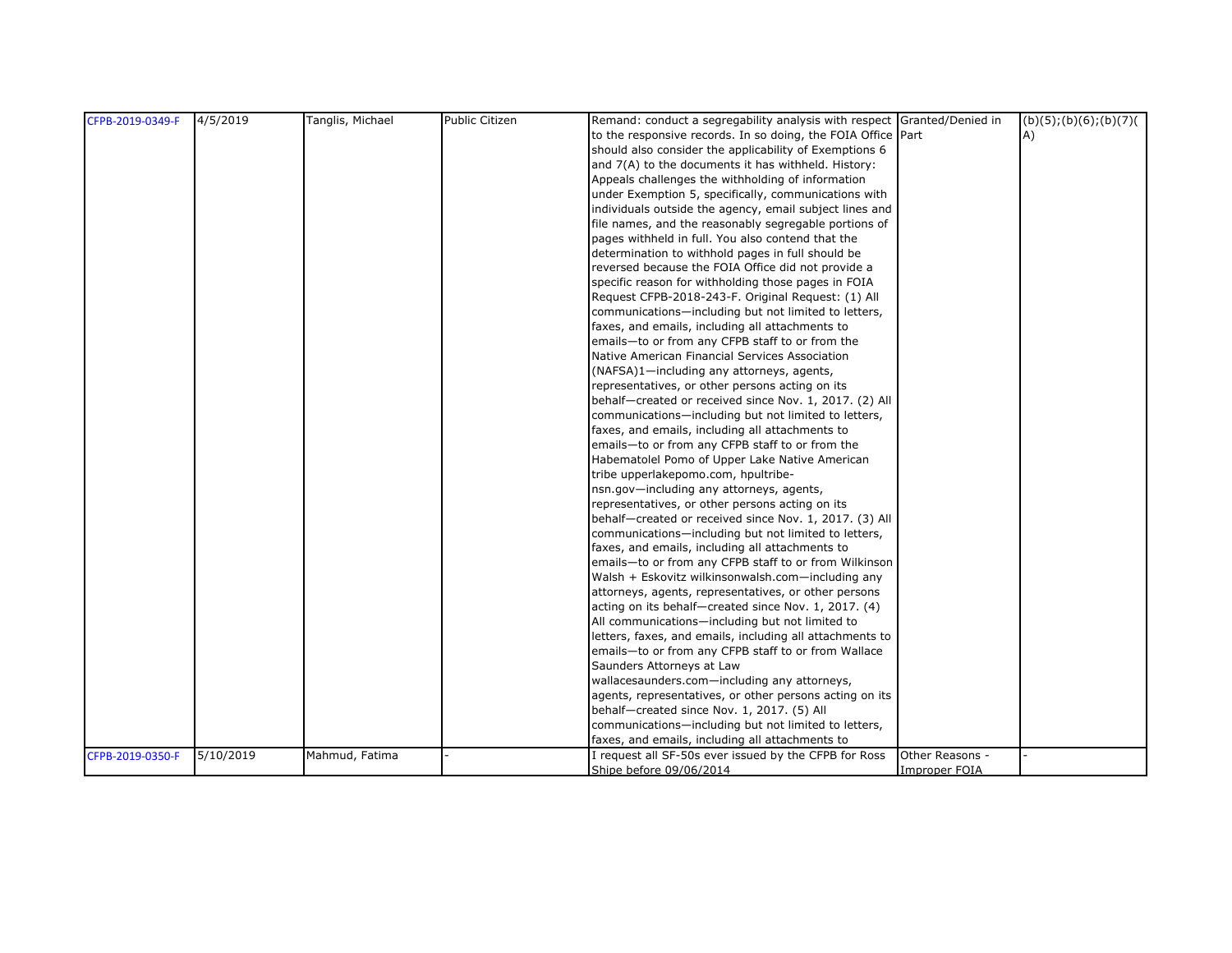| CFPB-2019-0349-F | 4/5/2019  | Tanglis, Michael | <b>Public Citizen</b> | Remand: conduct a segregability analysis with respect Granted/Denied in |                      | (b)(5); (b)(6); (b)(7) |
|------------------|-----------|------------------|-----------------------|-------------------------------------------------------------------------|----------------------|------------------------|
|                  |           |                  |                       | to the responsive records. In so doing, the FOIA Office Part            |                      | A)                     |
|                  |           |                  |                       | should also consider the applicability of Exemptions 6                  |                      |                        |
|                  |           |                  |                       | and 7(A) to the documents it has withheld. History:                     |                      |                        |
|                  |           |                  |                       | Appeals challenges the withholding of information                       |                      |                        |
|                  |           |                  |                       | under Exemption 5, specifically, communications with                    |                      |                        |
|                  |           |                  |                       | individuals outside the agency, email subject lines and                 |                      |                        |
|                  |           |                  |                       | file names, and the reasonably segregable portions of                   |                      |                        |
|                  |           |                  |                       | pages withheld in full. You also contend that the                       |                      |                        |
|                  |           |                  |                       | determination to withhold pages in full should be                       |                      |                        |
|                  |           |                  |                       | reversed because the FOIA Office did not provide a                      |                      |                        |
|                  |           |                  |                       | specific reason for withholding those pages in FOIA                     |                      |                        |
|                  |           |                  |                       | Request CFPB-2018-243-F. Original Request: (1) All                      |                      |                        |
|                  |           |                  |                       | communications-including but not limited to letters,                    |                      |                        |
|                  |           |                  |                       | faxes, and emails, including all attachments to                         |                      |                        |
|                  |           |                  |                       | emails-to or from any CFPB staff to or from the                         |                      |                        |
|                  |           |                  |                       | Native American Financial Services Association                          |                      |                        |
|                  |           |                  |                       | (NAFSA)1-including any attorneys, agents,                               |                      |                        |
|                  |           |                  |                       | representatives, or other persons acting on its                         |                      |                        |
|                  |           |                  |                       | behalf-created or received since Nov. 1, 2017. (2) All                  |                      |                        |
|                  |           |                  |                       | communications-including but not limited to letters,                    |                      |                        |
|                  |           |                  |                       | faxes, and emails, including all attachments to                         |                      |                        |
|                  |           |                  |                       | emails-to or from any CFPB staff to or from the                         |                      |                        |
|                  |           |                  |                       | Habematolel Pomo of Upper Lake Native American                          |                      |                        |
|                  |           |                  |                       | tribe upperlakepomo.com, hpultribe-                                     |                      |                        |
|                  |           |                  |                       | nsn.gov-including any attorneys, agents,                                |                      |                        |
|                  |           |                  |                       | representatives, or other persons acting on its                         |                      |                        |
|                  |           |                  |                       | behalf-created or received since Nov. 1, 2017. (3) All                  |                      |                        |
|                  |           |                  |                       | communications-including but not limited to letters,                    |                      |                        |
|                  |           |                  |                       | faxes, and emails, including all attachments to                         |                      |                        |
|                  |           |                  |                       | emails-to or from any CFPB staff to or from Wilkinson                   |                      |                        |
|                  |           |                  |                       | Walsh + Eskovitz wilkinsonwalsh.com-including any                       |                      |                        |
|                  |           |                  |                       | attorneys, agents, representatives, or other persons                    |                      |                        |
|                  |           |                  |                       | acting on its behalf-created since Nov. 1, 2017. (4)                    |                      |                        |
|                  |           |                  |                       | All communications-including but not limited to                         |                      |                        |
|                  |           |                  |                       | letters, faxes, and emails, including all attachments to                |                      |                        |
|                  |           |                  |                       | emails-to or from any CFPB staff to or from Wallace                     |                      |                        |
|                  |           |                  |                       | Saunders Attorneys at Law                                               |                      |                        |
|                  |           |                  |                       | wallacesaunders.com-including any attorneys,                            |                      |                        |
|                  |           |                  |                       | agents, representatives, or other persons acting on its                 |                      |                        |
|                  |           |                  |                       | behalf-created since Nov. 1, 2017. (5) All                              |                      |                        |
|                  |           |                  |                       | communications-including but not limited to letters,                    |                      |                        |
|                  |           |                  |                       | faxes, and emails, including all attachments to                         |                      |                        |
| CFPB-2019-0350-F | 5/10/2019 | Mahmud, Fatima   |                       | I request all SF-50s ever issued by the CFPB for Ross                   | Other Reasons -      |                        |
|                  |           |                  |                       | Shipe before 09/06/2014                                                 | <b>Improper FOIA</b> |                        |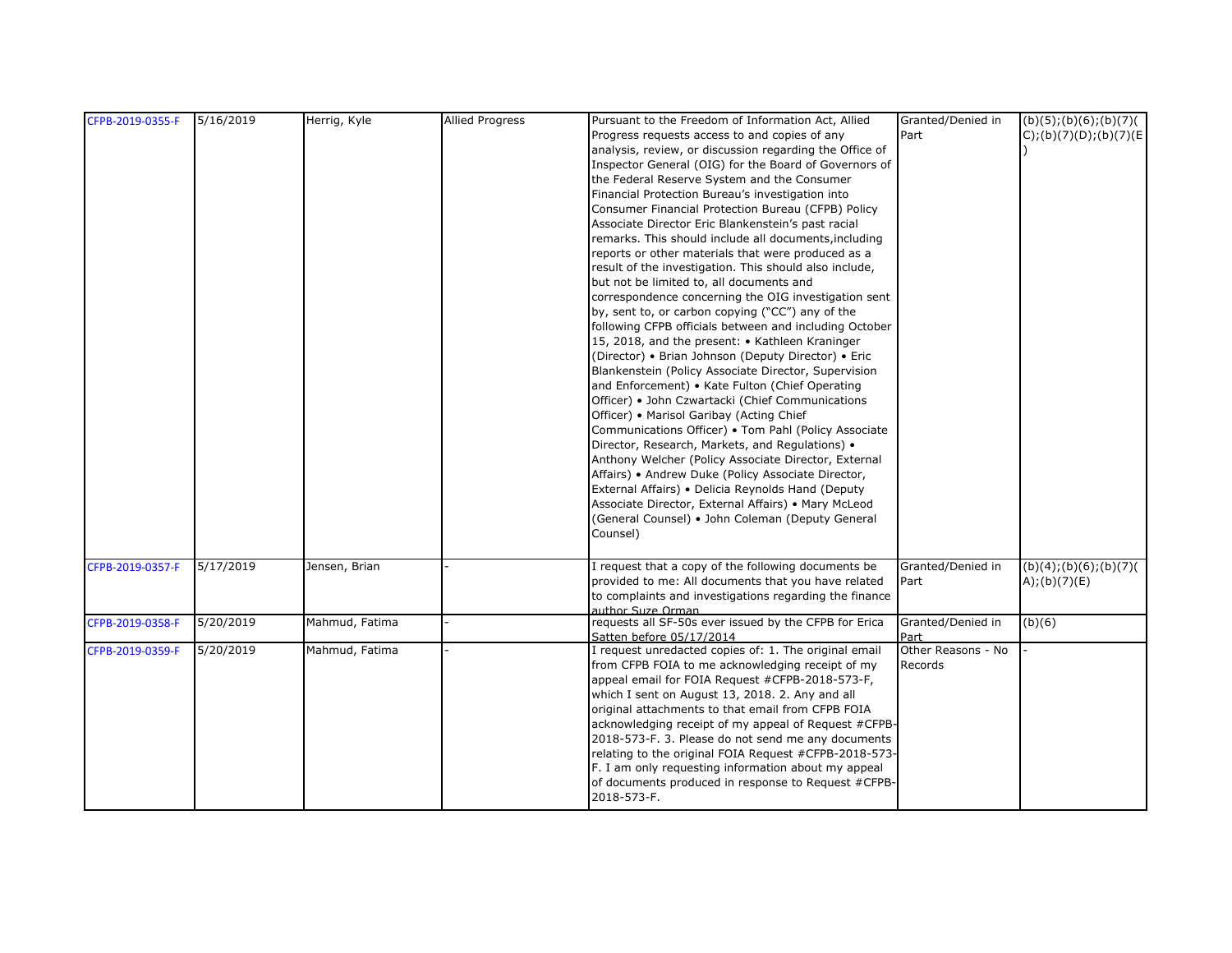| CFPB-2019-0355-F | 5/16/2019 | Herrig, Kyle   | <b>Allied Progress</b> | Pursuant to the Freedom of Information Act, Allied      | Granted/Denied in  | (b)(5); (b)(6); (b)(7)   |
|------------------|-----------|----------------|------------------------|---------------------------------------------------------|--------------------|--------------------------|
|                  |           |                |                        | Progress requests access to and copies of any           | Part               | $C$ );(b)(7)(D);(b)(7)(E |
|                  |           |                |                        | analysis, review, or discussion regarding the Office of |                    |                          |
|                  |           |                |                        | Inspector General (OIG) for the Board of Governors of   |                    |                          |
|                  |           |                |                        | the Federal Reserve System and the Consumer             |                    |                          |
|                  |           |                |                        | Financial Protection Bureau's investigation into        |                    |                          |
|                  |           |                |                        | Consumer Financial Protection Bureau (CFPB) Policy      |                    |                          |
|                  |           |                |                        | Associate Director Eric Blankenstein's past racial      |                    |                          |
|                  |           |                |                        | remarks. This should include all documents, including   |                    |                          |
|                  |           |                |                        | reports or other materials that were produced as a      |                    |                          |
|                  |           |                |                        | result of the investigation. This should also include,  |                    |                          |
|                  |           |                |                        |                                                         |                    |                          |
|                  |           |                |                        | but not be limited to, all documents and                |                    |                          |
|                  |           |                |                        | correspondence concerning the OIG investigation sent    |                    |                          |
|                  |           |                |                        | by, sent to, or carbon copying ("CC") any of the        |                    |                          |
|                  |           |                |                        | following CFPB officials between and including October  |                    |                          |
|                  |           |                |                        | 15, 2018, and the present: • Kathleen Kraninger         |                    |                          |
|                  |           |                |                        | (Director) • Brian Johnson (Deputy Director) • Eric     |                    |                          |
|                  |           |                |                        | Blankenstein (Policy Associate Director, Supervision    |                    |                          |
|                  |           |                |                        | and Enforcement) • Kate Fulton (Chief Operating         |                    |                          |
|                  |           |                |                        | Officer) • John Czwartacki (Chief Communications        |                    |                          |
|                  |           |                |                        | Officer) • Marisol Garibay (Acting Chief                |                    |                          |
|                  |           |                |                        | Communications Officer) • Tom Pahl (Policy Associate    |                    |                          |
|                  |           |                |                        | Director, Research, Markets, and Regulations) •         |                    |                          |
|                  |           |                |                        | Anthony Welcher (Policy Associate Director, External    |                    |                          |
|                  |           |                |                        | Affairs) • Andrew Duke (Policy Associate Director,      |                    |                          |
|                  |           |                |                        | External Affairs) . Delicia Reynolds Hand (Deputy       |                    |                          |
|                  |           |                |                        | Associate Director, External Affairs) • Mary McLeod     |                    |                          |
|                  |           |                |                        | (General Counsel) • John Coleman (Deputy General        |                    |                          |
|                  |           |                |                        | Counsel)                                                |                    |                          |
|                  |           |                |                        |                                                         |                    |                          |
| CFPB-2019-0357-F | 5/17/2019 | Jensen, Brian  |                        | I request that a copy of the following documents be     | Granted/Denied in  | (b)(4); (b)(6); (b)(7)   |
|                  |           |                |                        | provided to me: All documents that you have related     | Part               | A);(b)(7)(E)             |
|                  |           |                |                        | to complaints and investigations regarding the finance  |                    |                          |
|                  |           |                |                        | author Suze Orman                                       |                    |                          |
| CFPB-2019-0358-F | 5/20/2019 | Mahmud, Fatima |                        | requests all SF-50s ever issued by the CFPB for Erica   | Granted/Denied in  | (b)(6)                   |
|                  |           |                |                        | Satten before 05/17/2014                                | Part               |                          |
| CFPB-2019-0359-F | 5/20/2019 | Mahmud, Fatima |                        | I request unredacted copies of: 1. The original email   | Other Reasons - No |                          |
|                  |           |                |                        | from CFPB FOIA to me acknowledging receipt of my        | Records            |                          |
|                  |           |                |                        | appeal email for FOIA Request #CFPB-2018-573-F,         |                    |                          |
|                  |           |                |                        | which I sent on August 13, 2018. 2. Any and all         |                    |                          |
|                  |           |                |                        | original attachments to that email from CFPB FOIA       |                    |                          |
|                  |           |                |                        | acknowledging receipt of my appeal of Request #CFPB-    |                    |                          |
|                  |           |                |                        | 2018-573-F. 3. Please do not send me any documents      |                    |                          |
|                  |           |                |                        | relating to the original FOIA Request #CFPB-2018-573-   |                    |                          |
|                  |           |                |                        | F. I am only requesting information about my appeal     |                    |                          |
|                  |           |                |                        | of documents produced in response to Request #CFPB-     |                    |                          |
|                  |           |                |                        | 2018-573-F.                                             |                    |                          |
|                  |           |                |                        |                                                         |                    |                          |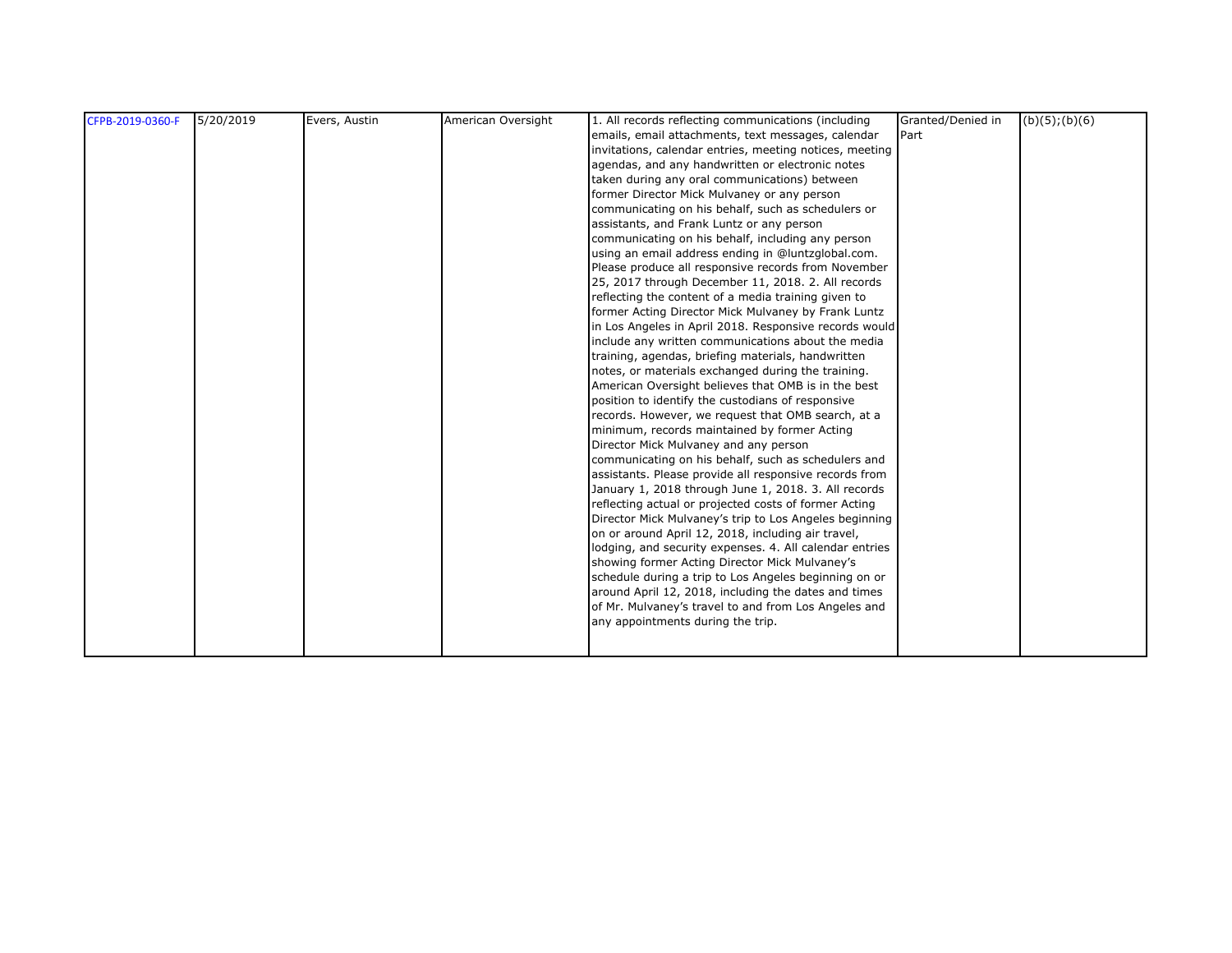| CFPB-2019-0360-F | 5/20/2019 | Evers, Austin | American Oversight | 1. All records reflecting communications (including     | Granted/Denied in | $(b)(5)$ ; $(b)(6)$ |
|------------------|-----------|---------------|--------------------|---------------------------------------------------------|-------------------|---------------------|
|                  |           |               |                    | emails, email attachments, text messages, calendar      | Part              |                     |
|                  |           |               |                    | invitations, calendar entries, meeting notices, meeting |                   |                     |
|                  |           |               |                    | agendas, and any handwritten or electronic notes        |                   |                     |
|                  |           |               |                    | taken during any oral communications) between           |                   |                     |
|                  |           |               |                    | former Director Mick Mulvaney or any person             |                   |                     |
|                  |           |               |                    | communicating on his behalf, such as schedulers or      |                   |                     |
|                  |           |               |                    | assistants, and Frank Luntz or any person               |                   |                     |
|                  |           |               |                    | communicating on his behalf, including any person       |                   |                     |
|                  |           |               |                    | using an email address ending in @luntzglobal.com.      |                   |                     |
|                  |           |               |                    |                                                         |                   |                     |
|                  |           |               |                    | Please produce all responsive records from November     |                   |                     |
|                  |           |               |                    | 25, 2017 through December 11, 2018. 2. All records      |                   |                     |
|                  |           |               |                    | reflecting the content of a media training given to     |                   |                     |
|                  |           |               |                    | former Acting Director Mick Mulvaney by Frank Luntz     |                   |                     |
|                  |           |               |                    | in Los Angeles in April 2018. Responsive records would  |                   |                     |
|                  |           |               |                    | include any written communications about the media      |                   |                     |
|                  |           |               |                    | training, agendas, briefing materials, handwritten      |                   |                     |
|                  |           |               |                    | notes, or materials exchanged during the training.      |                   |                     |
|                  |           |               |                    | American Oversight believes that OMB is in the best     |                   |                     |
|                  |           |               |                    | position to identify the custodians of responsive       |                   |                     |
|                  |           |               |                    | records. However, we request that OMB search, at a      |                   |                     |
|                  |           |               |                    | minimum, records maintained by former Acting            |                   |                     |
|                  |           |               |                    | Director Mick Mulvaney and any person                   |                   |                     |
|                  |           |               |                    | communicating on his behalf, such as schedulers and     |                   |                     |
|                  |           |               |                    | assistants. Please provide all responsive records from  |                   |                     |
|                  |           |               |                    | January 1, 2018 through June 1, 2018. 3. All records    |                   |                     |
|                  |           |               |                    | reflecting actual or projected costs of former Acting   |                   |                     |
|                  |           |               |                    | Director Mick Mulvaney's trip to Los Angeles beginning  |                   |                     |
|                  |           |               |                    | on or around April 12, 2018, including air travel,      |                   |                     |
|                  |           |               |                    | lodging, and security expenses. 4. All calendar entries |                   |                     |
|                  |           |               |                    | showing former Acting Director Mick Mulvaney's          |                   |                     |
|                  |           |               |                    | schedule during a trip to Los Angeles beginning on or   |                   |                     |
|                  |           |               |                    | around April 12, 2018, including the dates and times    |                   |                     |
|                  |           |               |                    | of Mr. Mulvaney's travel to and from Los Angeles and    |                   |                     |
|                  |           |               |                    | any appointments during the trip.                       |                   |                     |
|                  |           |               |                    |                                                         |                   |                     |
|                  |           |               |                    |                                                         |                   |                     |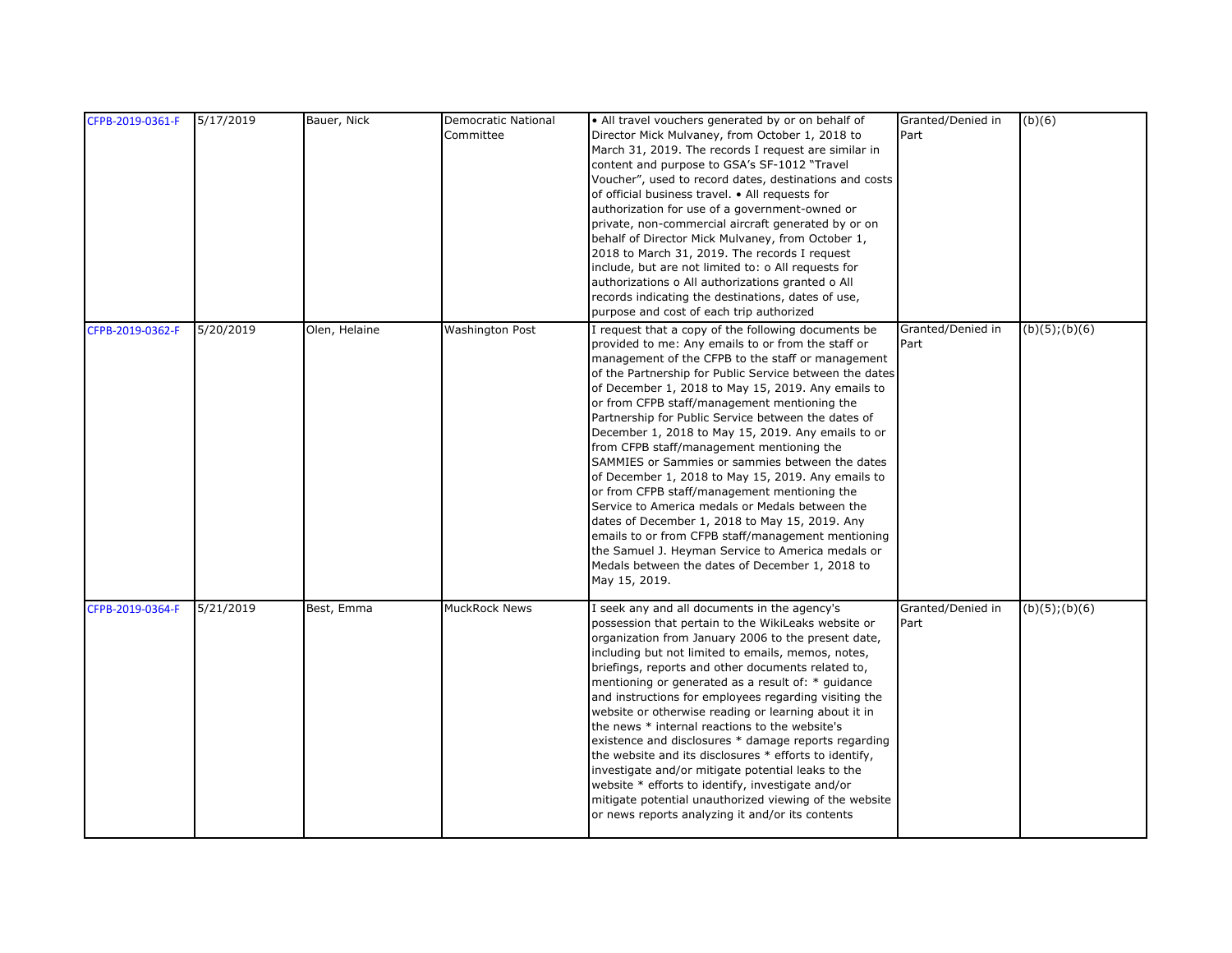| CFPB-2019-0361-F | 5/17/2019 | Bauer, Nick   | Democratic National    | • All travel vouchers generated by or on behalf of      | Granted/Denied in | (b)(6)              |
|------------------|-----------|---------------|------------------------|---------------------------------------------------------|-------------------|---------------------|
|                  |           |               | Committee              | Director Mick Mulvaney, from October 1, 2018 to         | Part              |                     |
|                  |           |               |                        | March 31, 2019. The records I request are similar in    |                   |                     |
|                  |           |               |                        | content and purpose to GSA's SF-1012 "Travel            |                   |                     |
|                  |           |               |                        | Voucher", used to record dates, destinations and costs  |                   |                     |
|                  |           |               |                        | of official business travel. • All requests for         |                   |                     |
|                  |           |               |                        | authorization for use of a government-owned or          |                   |                     |
|                  |           |               |                        | private, non-commercial aircraft generated by or on     |                   |                     |
|                  |           |               |                        | behalf of Director Mick Mulvaney, from October 1,       |                   |                     |
|                  |           |               |                        | 2018 to March 31, 2019. The records I request           |                   |                     |
|                  |           |               |                        | include, but are not limited to: o All requests for     |                   |                     |
|                  |           |               |                        | authorizations o All authorizations granted o All       |                   |                     |
|                  |           |               |                        | records indicating the destinations, dates of use,      |                   |                     |
|                  |           |               |                        | purpose and cost of each trip authorized                |                   |                     |
|                  |           |               |                        |                                                         |                   |                     |
| CFPB-2019-0362-F | 5/20/2019 | Olen, Helaine | <b>Washington Post</b> | I request that a copy of the following documents be     | Granted/Denied in | $(b)(5)$ ; $(b)(6)$ |
|                  |           |               |                        | provided to me: Any emails to or from the staff or      | Part              |                     |
|                  |           |               |                        | management of the CFPB to the staff or management       |                   |                     |
|                  |           |               |                        | of the Partnership for Public Service between the dates |                   |                     |
|                  |           |               |                        | of December 1, 2018 to May 15, 2019. Any emails to      |                   |                     |
|                  |           |               |                        | or from CFPB staff/management mentioning the            |                   |                     |
|                  |           |               |                        | Partnership for Public Service between the dates of     |                   |                     |
|                  |           |               |                        | December 1, 2018 to May 15, 2019. Any emails to or      |                   |                     |
|                  |           |               |                        | from CFPB staff/management mentioning the               |                   |                     |
|                  |           |               |                        | SAMMIES or Sammies or sammies between the dates         |                   |                     |
|                  |           |               |                        | of December 1, 2018 to May 15, 2019. Any emails to      |                   |                     |
|                  |           |               |                        | or from CFPB staff/management mentioning the            |                   |                     |
|                  |           |               |                        | Service to America medals or Medals between the         |                   |                     |
|                  |           |               |                        | dates of December 1, 2018 to May 15, 2019. Any          |                   |                     |
|                  |           |               |                        | emails to or from CFPB staff/management mentioning      |                   |                     |
|                  |           |               |                        | the Samuel J. Heyman Service to America medals or       |                   |                     |
|                  |           |               |                        | Medals between the dates of December 1, 2018 to         |                   |                     |
|                  |           |               |                        | May 15, 2019.                                           |                   |                     |
|                  |           |               |                        |                                                         |                   |                     |
| CFPB-2019-0364-F | 5/21/2019 | Best, Emma    | MuckRock News          | I seek any and all documents in the agency's            | Granted/Denied in | $(b)(5)$ ; $(b)(6)$ |
|                  |           |               |                        | possession that pertain to the WikiLeaks website or     | Part              |                     |
|                  |           |               |                        | organization from January 2006 to the present date,     |                   |                     |
|                  |           |               |                        | including but not limited to emails, memos, notes,      |                   |                     |
|                  |           |               |                        | briefings, reports and other documents related to,      |                   |                     |
|                  |           |               |                        | mentioning or generated as a result of: * guidance      |                   |                     |
|                  |           |               |                        | and instructions for employees regarding visiting the   |                   |                     |
|                  |           |               |                        | website or otherwise reading or learning about it in    |                   |                     |
|                  |           |               |                        | the news * internal reactions to the website's          |                   |                     |
|                  |           |               |                        | existence and disclosures * damage reports regarding    |                   |                     |
|                  |           |               |                        | the website and its disclosures * efforts to identify,  |                   |                     |
|                  |           |               |                        | investigate and/or mitigate potential leaks to the      |                   |                     |
|                  |           |               |                        | website * efforts to identify, investigate and/or       |                   |                     |
|                  |           |               |                        | mitigate potential unauthorized viewing of the website  |                   |                     |
|                  |           |               |                        | or news reports analyzing it and/or its contents        |                   |                     |
|                  |           |               |                        |                                                         |                   |                     |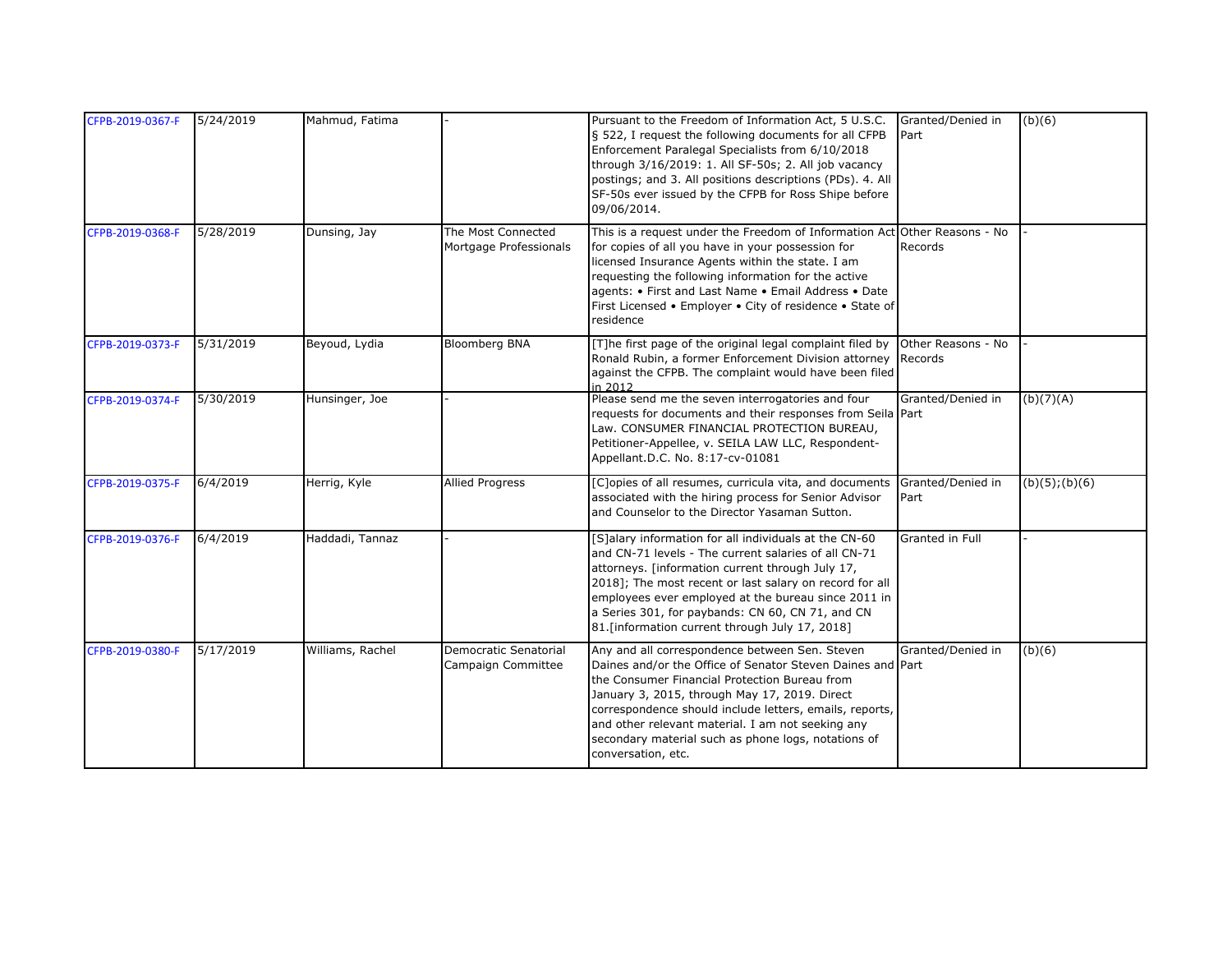| CFPB-2019-0367-F | 5/24/2019 | Mahmud, Fatima   |                                              | Pursuant to the Freedom of Information Act, 5 U.S.C.<br>§ 522, I request the following documents for all CFPB<br>Enforcement Paralegal Specialists from 6/10/2018<br>through 3/16/2019: 1. All SF-50s; 2. All job vacancy<br>postings; and 3. All positions descriptions (PDs). 4. All<br>SF-50s ever issued by the CFPB for Ross Shipe before<br>09/06/2014.                                               | Granted/Denied in<br>Part     | (b)(6)              |
|------------------|-----------|------------------|----------------------------------------------|-------------------------------------------------------------------------------------------------------------------------------------------------------------------------------------------------------------------------------------------------------------------------------------------------------------------------------------------------------------------------------------------------------------|-------------------------------|---------------------|
| CFPB-2019-0368-F | 5/28/2019 | Dunsing, Jay     | The Most Connected<br>Mortgage Professionals | This is a request under the Freedom of Information Act Other Reasons - No<br>for copies of all you have in your possession for<br>licensed Insurance Agents within the state. I am<br>requesting the following information for the active<br>agents: • First and Last Name • Email Address • Date<br>First Licensed • Employer • City of residence • State of<br>residence                                  | Records                       |                     |
| CFPB-2019-0373-F | 5/31/2019 | Beyoud, Lydia    | <b>Bloomberg BNA</b>                         | [T]he first page of the original legal complaint filed by<br>Ronald Rubin, a former Enforcement Division attorney<br>against the CFPB. The complaint would have been filed<br>in 2012                                                                                                                                                                                                                       | Other Reasons - No<br>Records |                     |
| CFPB-2019-0374-F | 5/30/2019 | Hunsinger, Joe   |                                              | Please send me the seven interrogatories and four<br>requests for documents and their responses from Seila Part<br>Law. CONSUMER FINANCIAL PROTECTION BUREAU,<br>Petitioner-Appellee, v. SEILA LAW LLC, Respondent-<br>Appellant.D.C. No. 8:17-cv-01081                                                                                                                                                     | Granted/Denied in             | (b)(7)(A)           |
| CFPB-2019-0375-F | 6/4/2019  | Herrig, Kyle     | <b>Allied Progress</b>                       | [C]opies of all resumes, curricula vita, and documents<br>associated with the hiring process for Senior Advisor<br>and Counselor to the Director Yasaman Sutton.                                                                                                                                                                                                                                            | Granted/Denied in<br>Part     | $(b)(5)$ ; $(b)(6)$ |
| CFPB-2019-0376-F | 6/4/2019  | Haddadi, Tannaz  |                                              | [S]alary information for all individuals at the CN-60<br>and CN-71 levels - The current salaries of all CN-71<br>attorneys. [information current through July 17,<br>2018]; The most recent or last salary on record for all<br>employees ever employed at the bureau since 2011 in<br>a Series 301, for paybands: CN 60, CN 71, and CN<br>81. [information current through July 17, 2018]                  | Granted in Full               |                     |
| CFPB-2019-0380-F | 5/17/2019 | Williams, Rachel | Democratic Senatorial<br>Campaign Committee  | Any and all correspondence between Sen. Steven<br>Daines and/or the Office of Senator Steven Daines and Part<br>the Consumer Financial Protection Bureau from<br>January 3, 2015, through May 17, 2019. Direct<br>correspondence should include letters, emails, reports,<br>and other relevant material. I am not seeking any<br>secondary material such as phone logs, notations of<br>conversation, etc. | Granted/Denied in             | (b)(6)              |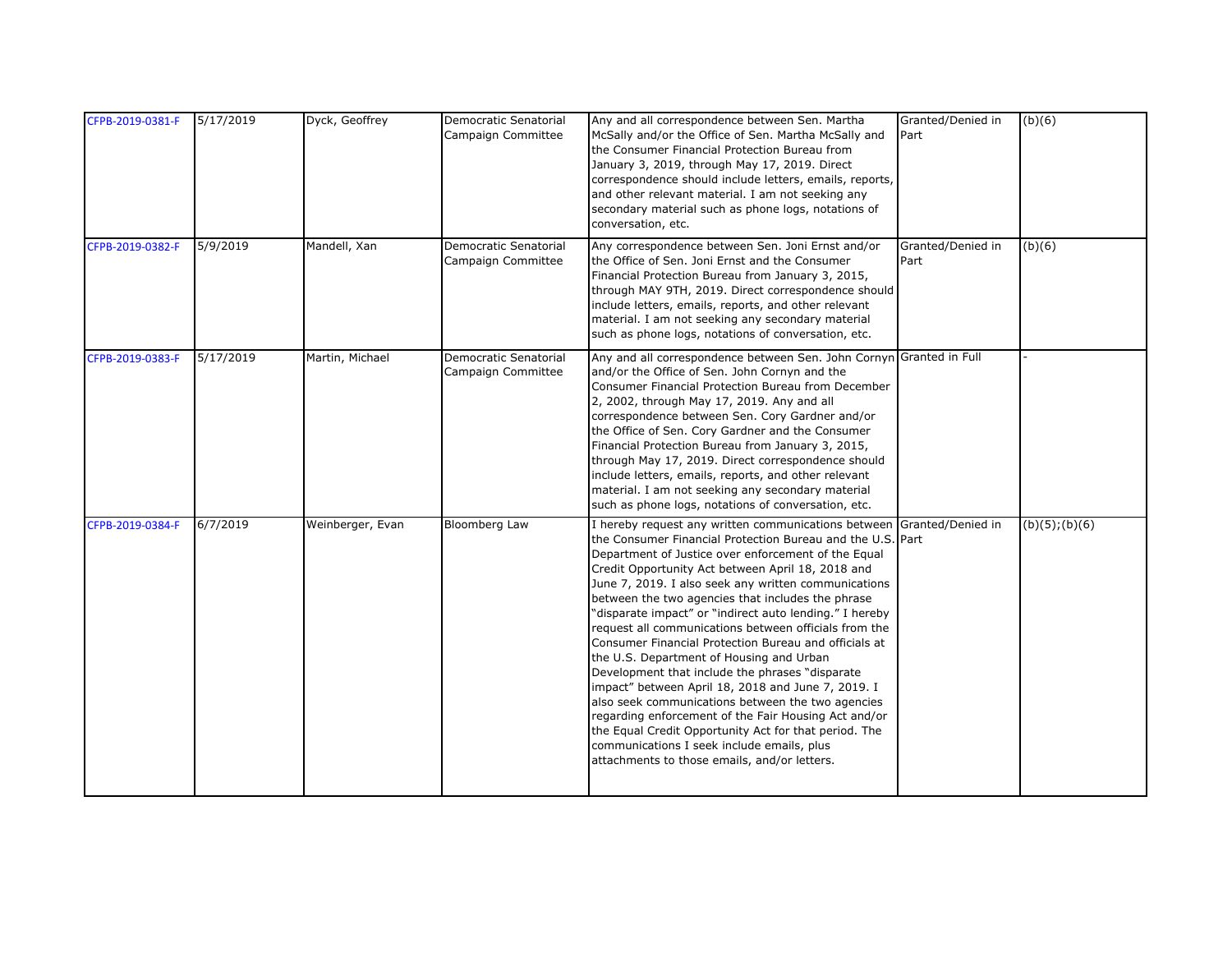| CFPB-2019-0381-F | 5/17/2019 | Dyck, Geoffrey   | Democratic Senatorial<br>Campaign Committee        | Any and all correspondence between Sen. Martha<br>McSally and/or the Office of Sen. Martha McSally and<br>the Consumer Financial Protection Bureau from<br>January 3, 2019, through May 17, 2019. Direct<br>correspondence should include letters, emails, reports,<br>and other relevant material. I am not seeking any<br>secondary material such as phone logs, notations of<br>conversation, etc.                                                                                                                                                                                                                                                                                                                                                                                                                                                                                                                                            | Granted/Denied in<br>Part | (b)(6)         |
|------------------|-----------|------------------|----------------------------------------------------|--------------------------------------------------------------------------------------------------------------------------------------------------------------------------------------------------------------------------------------------------------------------------------------------------------------------------------------------------------------------------------------------------------------------------------------------------------------------------------------------------------------------------------------------------------------------------------------------------------------------------------------------------------------------------------------------------------------------------------------------------------------------------------------------------------------------------------------------------------------------------------------------------------------------------------------------------|---------------------------|----------------|
| CFPB-2019-0382-F | 5/9/2019  | Mandell, Xan     | <b>Democratic Senatorial</b><br>Campaign Committee | Any correspondence between Sen. Joni Ernst and/or<br>the Office of Sen. Joni Ernst and the Consumer<br>Financial Protection Bureau from January 3, 2015,<br>through MAY 9TH, 2019. Direct correspondence should<br>include letters, emails, reports, and other relevant<br>material. I am not seeking any secondary material<br>such as phone logs, notations of conversation, etc.                                                                                                                                                                                                                                                                                                                                                                                                                                                                                                                                                              | Granted/Denied in<br>Part | (b)(6)         |
| CFPB-2019-0383-F | 5/17/2019 | Martin, Michael  | Democratic Senatorial<br>Campaign Committee        | Any and all correspondence between Sen. John Cornyn Granted in Full<br>and/or the Office of Sen. John Cornyn and the<br>Consumer Financial Protection Bureau from December<br>2, 2002, through May 17, 2019. Any and all<br>correspondence between Sen. Cory Gardner and/or<br>the Office of Sen. Cory Gardner and the Consumer<br>Financial Protection Bureau from January 3, 2015,<br>through May 17, 2019. Direct correspondence should<br>include letters, emails, reports, and other relevant<br>material. I am not seeking any secondary material<br>such as phone logs, notations of conversation, etc.                                                                                                                                                                                                                                                                                                                                   |                           |                |
| CFPB-2019-0384-F | 6/7/2019  | Weinberger, Evan | <b>Bloomberg Law</b>                               | I hereby request any written communications between<br>the Consumer Financial Protection Bureau and the U.S. Part<br>Department of Justice over enforcement of the Equal<br>Credit Opportunity Act between April 18, 2018 and<br>June 7, 2019. I also seek any written communications<br>between the two agencies that includes the phrase<br>"disparate impact" or "indirect auto lending." I hereby<br>request all communications between officials from the<br>Consumer Financial Protection Bureau and officials at<br>the U.S. Department of Housing and Urban<br>Development that include the phrases "disparate<br>impact" between April 18, 2018 and June 7, 2019. I<br>also seek communications between the two agencies<br>regarding enforcement of the Fair Housing Act and/or<br>the Equal Credit Opportunity Act for that period. The<br>communications I seek include emails, plus<br>attachments to those emails, and/or letters. | Granted/Denied in         | (b)(5); (b)(6) |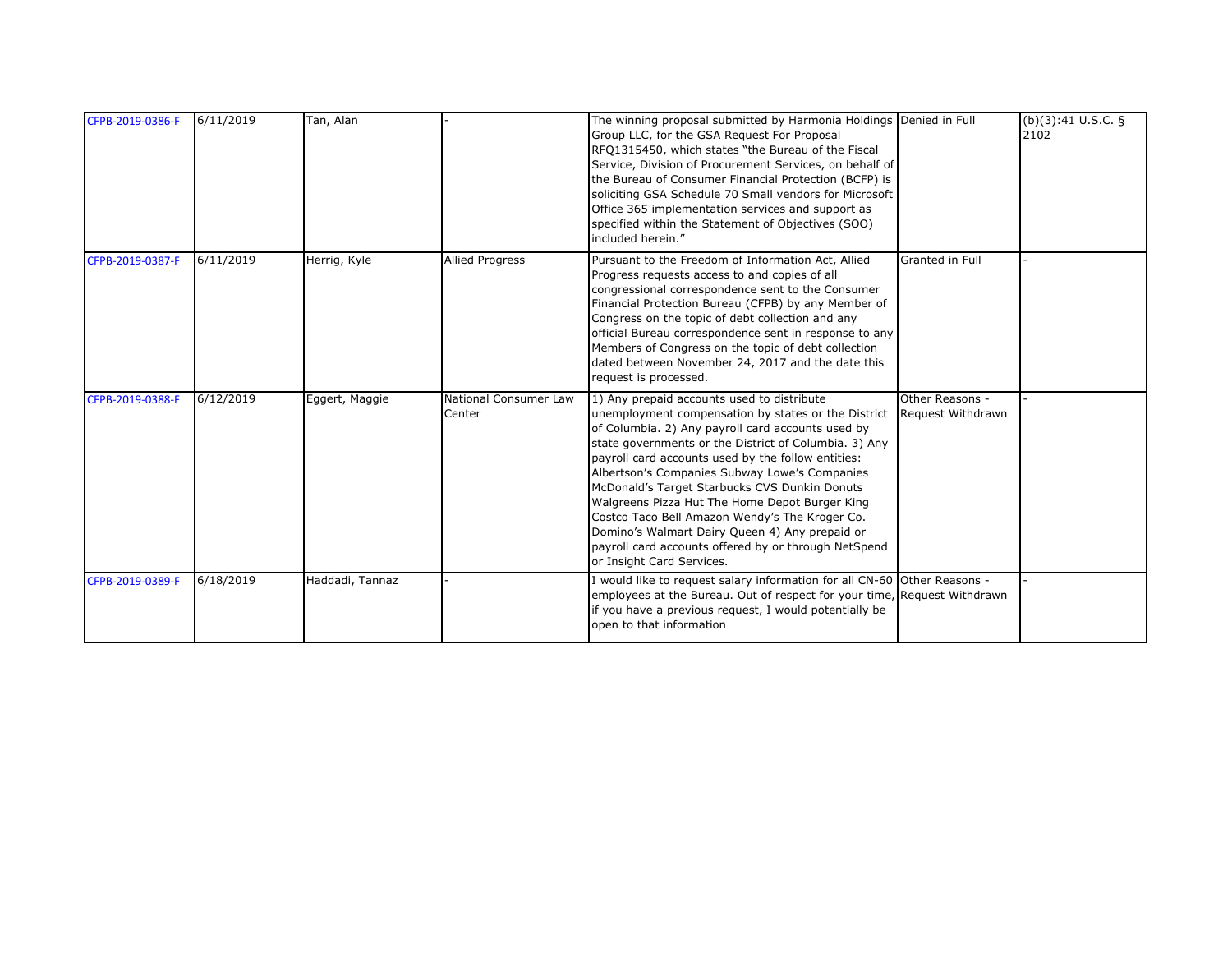| CFPB-2019-0386-F | 6/11/2019 | Tan, Alan       |                                 | The winning proposal submitted by Harmonia Holdings Denied in Full<br>Group LLC, for the GSA Request For Proposal<br>RFQ1315450, which states "the Bureau of the Fiscal<br>Service, Division of Procurement Services, on behalf of<br>the Bureau of Consumer Financial Protection (BCFP) is<br>soliciting GSA Schedule 70 Small vendors for Microsoft<br>Office 365 implementation services and support as<br>specified within the Statement of Objectives (SOO)<br>included herein."                                                                                                                                                |                 | (b)(3):41 U.S.C. §<br>2102 |
|------------------|-----------|-----------------|---------------------------------|--------------------------------------------------------------------------------------------------------------------------------------------------------------------------------------------------------------------------------------------------------------------------------------------------------------------------------------------------------------------------------------------------------------------------------------------------------------------------------------------------------------------------------------------------------------------------------------------------------------------------------------|-----------------|----------------------------|
| CFPB-2019-0387-F | 6/11/2019 | Herrig, Kyle    | <b>Allied Progress</b>          | Pursuant to the Freedom of Information Act, Allied<br>Progress requests access to and copies of all<br>congressional correspondence sent to the Consumer<br>Financial Protection Bureau (CFPB) by any Member of<br>Congress on the topic of debt collection and any<br>official Bureau correspondence sent in response to any<br>Members of Congress on the topic of debt collection<br>dated between November 24, 2017 and the date this<br>request is processed.                                                                                                                                                                   | Granted in Full |                            |
| CFPB-2019-0388-F | 6/12/2019 | Eggert, Maggie  | National Consumer Law<br>Center | 1) Any prepaid accounts used to distribute<br>unemployment compensation by states or the District Request Withdrawn<br>of Columbia. 2) Any payroll card accounts used by<br>state governments or the District of Columbia. 3) Any<br>payroll card accounts used by the follow entities:<br>Albertson's Companies Subway Lowe's Companies<br>McDonald's Target Starbucks CVS Dunkin Donuts<br>Walgreens Pizza Hut The Home Depot Burger King<br>Costco Taco Bell Amazon Wendy's The Kroger Co.<br>Domino's Walmart Dairy Queen 4) Any prepaid or<br>payroll card accounts offered by or through NetSpend<br>or Insight Card Services. | Other Reasons - |                            |
| CFPB-2019-0389-F | 6/18/2019 | Haddadi, Tannaz |                                 | I would like to request salary information for all CN-60 Other Reasons -<br>employees at the Bureau. Out of respect for your time, Request Withdrawn<br>if you have a previous request, I would potentially be<br>open to that information                                                                                                                                                                                                                                                                                                                                                                                           |                 |                            |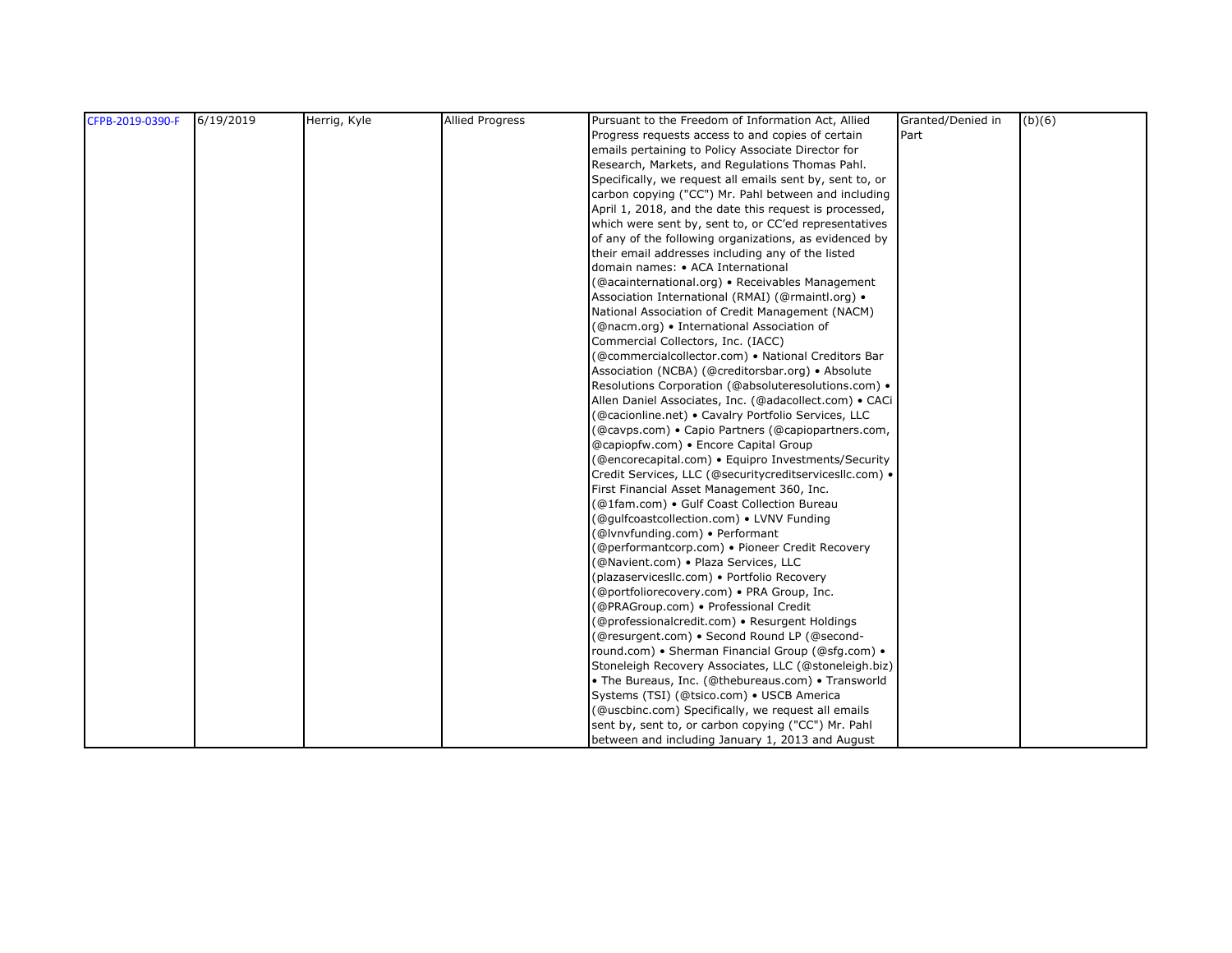| CFPB-2019-0390-F | 6/19/2019 | Herrig, Kyle | <b>Allied Progress</b> | Pursuant to the Freedom of Information Act, Allied       | Granted/Denied in | (b)(6) |
|------------------|-----------|--------------|------------------------|----------------------------------------------------------|-------------------|--------|
|                  |           |              |                        | Progress reguests access to and copies of certain        | Part              |        |
|                  |           |              |                        | emails pertaining to Policy Associate Director for       |                   |        |
|                  |           |              |                        | Research, Markets, and Regulations Thomas Pahl.          |                   |        |
|                  |           |              |                        | Specifically, we request all emails sent by, sent to, or |                   |        |
|                  |           |              |                        | carbon copying ("CC") Mr. Pahl between and including     |                   |        |
|                  |           |              |                        | April 1, 2018, and the date this request is processed,   |                   |        |
|                  |           |              |                        | which were sent by, sent to, or CC'ed representatives    |                   |        |
|                  |           |              |                        | of any of the following organizations, as evidenced by   |                   |        |
|                  |           |              |                        | their email addresses including any of the listed        |                   |        |
|                  |           |              |                        | domain names: • ACA International                        |                   |        |
|                  |           |              |                        | (@acainternational.org) • Receivables Management         |                   |        |
|                  |           |              |                        | Association International (RMAI) (@rmaintl.org) •        |                   |        |
|                  |           |              |                        | National Association of Credit Management (NACM)         |                   |        |
|                  |           |              |                        | (@nacm.org) • International Association of               |                   |        |
|                  |           |              |                        | Commercial Collectors, Inc. (IACC)                       |                   |        |
|                  |           |              |                        | (@commercialcollector.com) • National Creditors Bar      |                   |        |
|                  |           |              |                        | Association (NCBA) (@creditorsbar.org) • Absolute        |                   |        |
|                  |           |              |                        | Resolutions Corporation (@absoluteresolutions.com) .     |                   |        |
|                  |           |              |                        | Allen Daniel Associates, Inc. (@adacollect.com) • CACi   |                   |        |
|                  |           |              |                        | (@cacionline.net) • Cavalry Portfolio Services, LLC      |                   |        |
|                  |           |              |                        | (@cavps.com) • Capio Partners (@capiopartners.com,       |                   |        |
|                  |           |              |                        | @capiopfw.com) • Encore Capital Group                    |                   |        |
|                  |           |              |                        | (@encorecapital.com) · Equipro Investments/Security      |                   |        |
|                  |           |              |                        | Credit Services, LLC (@securitycreditservicesllc.com) .  |                   |        |
|                  |           |              |                        | First Financial Asset Management 360, Inc.               |                   |        |
|                  |           |              |                        | (@1fam.com) · Gulf Coast Collection Bureau               |                   |        |
|                  |           |              |                        | (@gulfcoastcollection.com) • LVNV Funding                |                   |        |
|                  |           |              |                        | (@Ivnvfunding.com) • Performant                          |                   |        |
|                  |           |              |                        | (@performantcorp.com) • Pioneer Credit Recovery          |                   |        |
|                  |           |              |                        | (@Navient.com) · Plaza Services, LLC                     |                   |        |
|                  |           |              |                        | (plazaservicesllc.com) · Portfolio Recovery              |                   |        |
|                  |           |              |                        | (@portfoliorecovery.com) . PRA Group, Inc.               |                   |        |
|                  |           |              |                        | (@PRAGroup.com) • Professional Credit                    |                   |        |
|                  |           |              |                        | (@professionalcredit.com) • Resurgent Holdings           |                   |        |
|                  |           |              |                        | (@resurgent.com) · Second Round LP (@second-             |                   |        |
|                  |           |              |                        | round.com) • Sherman Financial Group (@sfg.com) •        |                   |        |
|                  |           |              |                        | Stoneleigh Recovery Associates, LLC (@stoneleigh.biz)    |                   |        |
|                  |           |              |                        | • The Bureaus, Inc. (@thebureaus.com) • Transworld       |                   |        |
|                  |           |              |                        | Systems (TSI) (@tsico.com) • USCB America                |                   |        |
|                  |           |              |                        | (@uscbinc.com) Specifically, we request all emails       |                   |        |
|                  |           |              |                        | sent by, sent to, or carbon copying ("CC") Mr. Pahl      |                   |        |
|                  |           |              |                        | between and including January 1, 2013 and August         |                   |        |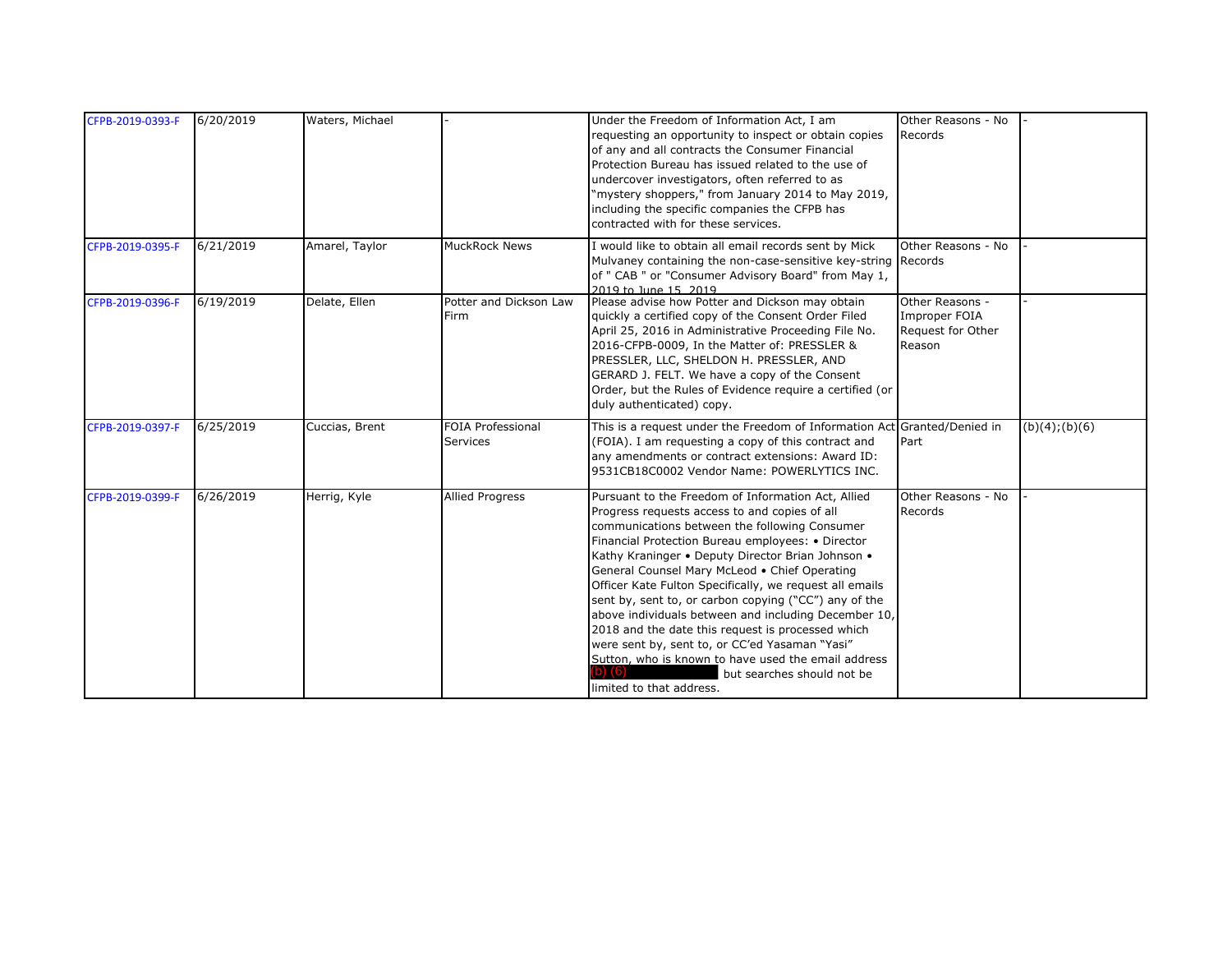| CFPB-2019-0393-F | 6/20/2019 | Waters, Michael |                                      | Under the Freedom of Information Act, I am                                                                                                                                                                                                                                                                                                                                                                                                                                                                                                                                                                                                                                                                          | Other Reasons - No                                              |                |
|------------------|-----------|-----------------|--------------------------------------|---------------------------------------------------------------------------------------------------------------------------------------------------------------------------------------------------------------------------------------------------------------------------------------------------------------------------------------------------------------------------------------------------------------------------------------------------------------------------------------------------------------------------------------------------------------------------------------------------------------------------------------------------------------------------------------------------------------------|-----------------------------------------------------------------|----------------|
|                  |           |                 |                                      | requesting an opportunity to inspect or obtain copies<br>of any and all contracts the Consumer Financial<br>Protection Bureau has issued related to the use of<br>undercover investigators, often referred to as<br>"mystery shoppers," from January 2014 to May 2019,<br>including the specific companies the CFPB has<br>contracted with for these services.                                                                                                                                                                                                                                                                                                                                                      | Records                                                         |                |
| CFPB-2019-0395-F | 6/21/2019 | Amarel, Taylor  | <b>MuckRock News</b>                 | I would like to obtain all email records sent by Mick<br>Mulvaney containing the non-case-sensitive key-string Records<br>of " CAB " or "Consumer Advisory Board" from May 1,<br>2019 to June 15, 2019                                                                                                                                                                                                                                                                                                                                                                                                                                                                                                              | Other Reasons - No                                              |                |
| CFPB-2019-0396-F | 6/19/2019 | Delate, Ellen   | Potter and Dickson Law<br>Firm       | Please advise how Potter and Dickson may obtain<br>quickly a certified copy of the Consent Order Filed<br>April 25, 2016 in Administrative Proceeding File No.<br>2016-CFPB-0009, In the Matter of: PRESSLER &<br>PRESSLER, LLC, SHELDON H. PRESSLER, AND<br>GERARD J. FELT. We have a copy of the Consent<br>Order, but the Rules of Evidence require a certified (or<br>duly authenticated) copy.                                                                                                                                                                                                                                                                                                                 | Other Reasons -<br>Improper FOIA<br>Request for Other<br>Reason |                |
| CFPB-2019-0397-F | 6/25/2019 | Cuccias, Brent  | <b>FOIA Professional</b><br>Services | This is a request under the Freedom of Information Act Granted/Denied in<br>(FOIA). I am requesting a copy of this contract and<br>any amendments or contract extensions: Award ID:<br>9531CB18C0002 Vendor Name: POWERLYTICS INC.                                                                                                                                                                                                                                                                                                                                                                                                                                                                                  | Part                                                            | (b)(4); (b)(6) |
| CFPB-2019-0399-F | 6/26/2019 | Herrig, Kyle    | <b>Allied Progress</b>               | Pursuant to the Freedom of Information Act, Allied<br>Progress requests access to and copies of all<br>communications between the following Consumer<br>Financial Protection Bureau employees: • Director<br>Kathy Kraninger • Deputy Director Brian Johnson •<br>General Counsel Mary McLeod . Chief Operating<br>Officer Kate Fulton Specifically, we request all emails<br>sent by, sent to, or carbon copying ("CC") any of the<br>above individuals between and including December 10,<br>2018 and the date this request is processed which<br>were sent by, sent to, or CC'ed Yasaman "Yasi"<br>Sutton, who is known to have used the email address<br>but searches should not be<br>limited to that address. | Other Reasons - No<br>Records                                   |                |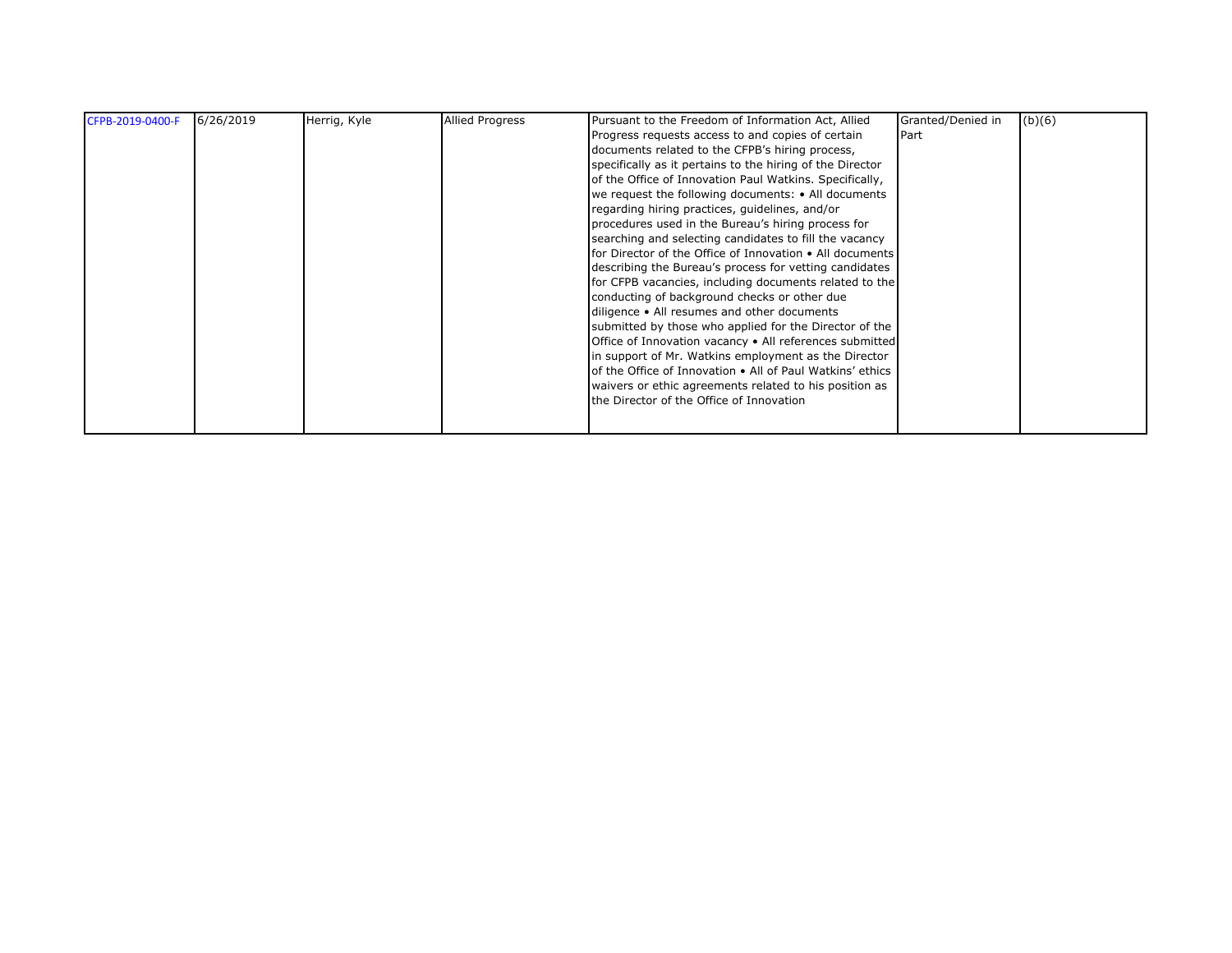| CFPB-2019-0400-F | 6/26/2019 | Herrig, Kyle | <b>Allied Progress</b> | Pursuant to the Freedom of Information Act, Allied        | Granted/Denied in | (b)(6) |
|------------------|-----------|--------------|------------------------|-----------------------------------------------------------|-------------------|--------|
|                  |           |              |                        | Progress requests access to and copies of certain         | Part              |        |
|                  |           |              |                        | documents related to the CFPB's hiring process,           |                   |        |
|                  |           |              |                        | specifically as it pertains to the hiring of the Director |                   |        |
|                  |           |              |                        | of the Office of Innovation Paul Watkins. Specifically,   |                   |        |
|                  |           |              |                        | we request the following documents: • All documents       |                   |        |
|                  |           |              |                        | regarding hiring practices, guidelines, and/or            |                   |        |
|                  |           |              |                        | procedures used in the Bureau's hiring process for        |                   |        |
|                  |           |              |                        | searching and selecting candidates to fill the vacancy    |                   |        |
|                  |           |              |                        | for Director of the Office of Innovation • All documents  |                   |        |
|                  |           |              |                        | describing the Bureau's process for vetting candidates    |                   |        |
|                  |           |              |                        | for CFPB vacancies, including documents related to the    |                   |        |
|                  |           |              |                        | conducting of background checks or other due              |                   |        |
|                  |           |              |                        | diligence • All resumes and other documents               |                   |        |
|                  |           |              |                        | submitted by those who applied for the Director of the    |                   |        |
|                  |           |              |                        | Office of Innovation vacancy . All references submitted   |                   |        |
|                  |           |              |                        | in support of Mr. Watkins employment as the Director      |                   |        |
|                  |           |              |                        | of the Office of Innovation • All of Paul Watkins' ethics |                   |        |
|                  |           |              |                        | waivers or ethic agreements related to his position as    |                   |        |
|                  |           |              |                        | the Director of the Office of Innovation                  |                   |        |
|                  |           |              |                        |                                                           |                   |        |
|                  |           |              |                        |                                                           |                   |        |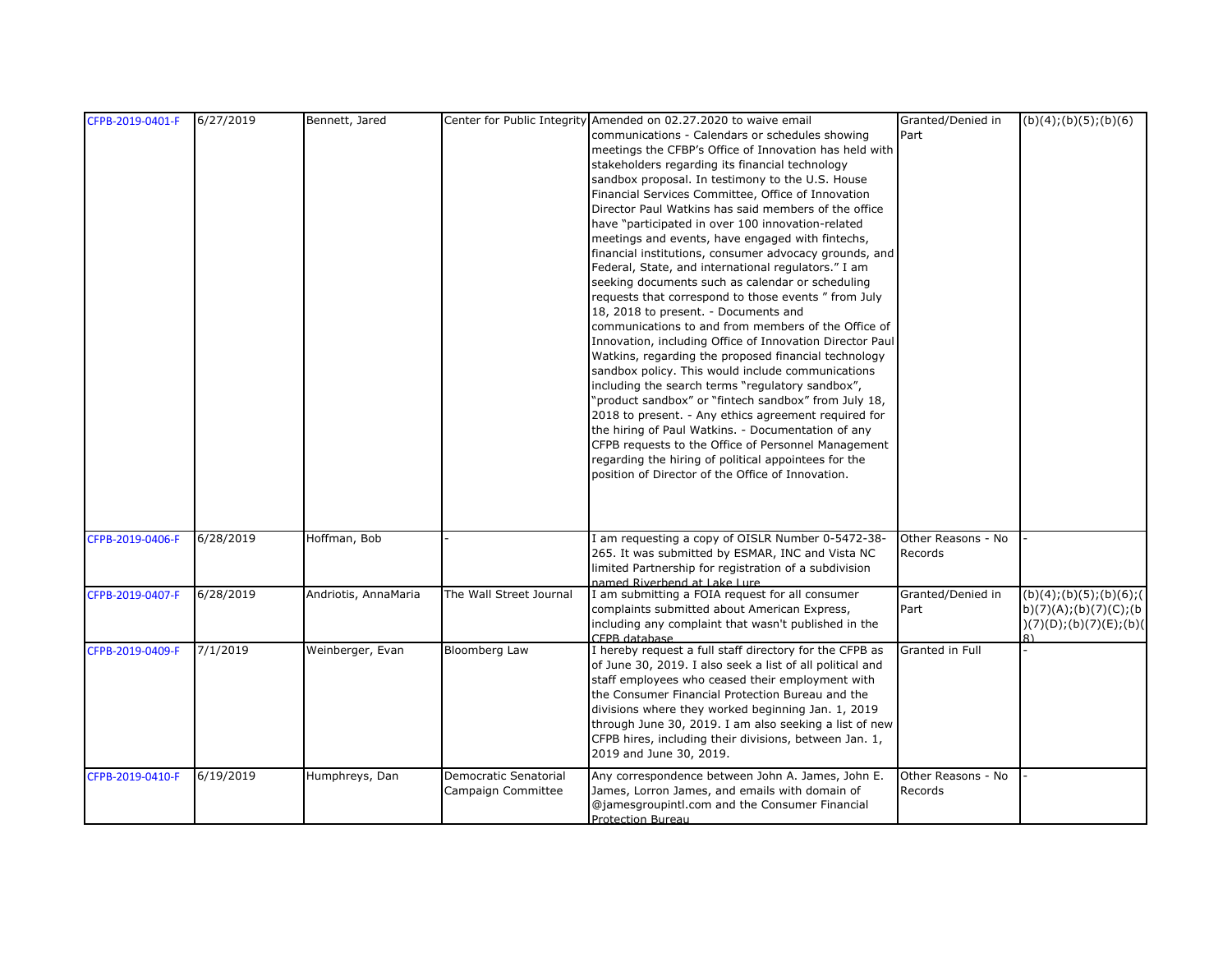| CFPB-2019-0401-F | 6/27/2019 | Bennett, Jared       |                         | Center for Public Integrity Amended on 02.27.2020 to waive email      | Granted/Denied in  | (b)(4); (b)(5); (b)(6)                  |
|------------------|-----------|----------------------|-------------------------|-----------------------------------------------------------------------|--------------------|-----------------------------------------|
|                  |           |                      |                         | communications - Calendars or schedules showing                       | Part               |                                         |
|                  |           |                      |                         | meetings the CFBP's Office of Innovation has held with                |                    |                                         |
|                  |           |                      |                         | stakeholders regarding its financial technology                       |                    |                                         |
|                  |           |                      |                         | sandbox proposal. In testimony to the U.S. House                      |                    |                                         |
|                  |           |                      |                         | Financial Services Committee, Office of Innovation                    |                    |                                         |
|                  |           |                      |                         | Director Paul Watkins has said members of the office                  |                    |                                         |
|                  |           |                      |                         | have "participated in over 100 innovation-related                     |                    |                                         |
|                  |           |                      |                         | meetings and events, have engaged with fintechs,                      |                    |                                         |
|                  |           |                      |                         | financial institutions, consumer advocacy grounds, and                |                    |                                         |
|                  |           |                      |                         | Federal, State, and international regulators." I am                   |                    |                                         |
|                  |           |                      |                         | seeking documents such as calendar or scheduling                      |                    |                                         |
|                  |           |                      |                         | requests that correspond to those events " from July                  |                    |                                         |
|                  |           |                      |                         | 18, 2018 to present. - Documents and                                  |                    |                                         |
|                  |           |                      |                         | communications to and from members of the Office of                   |                    |                                         |
|                  |           |                      |                         | Innovation, including Office of Innovation Director Paul              |                    |                                         |
|                  |           |                      |                         | Watkins, regarding the proposed financial technology                  |                    |                                         |
|                  |           |                      |                         | sandbox policy. This would include communications                     |                    |                                         |
|                  |           |                      |                         | including the search terms "regulatory sandbox",                      |                    |                                         |
|                  |           |                      |                         | "product sandbox" or "fintech sandbox" from July 18,                  |                    |                                         |
|                  |           |                      |                         | 2018 to present. - Any ethics agreement required for                  |                    |                                         |
|                  |           |                      |                         | the hiring of Paul Watkins. - Documentation of any                    |                    |                                         |
|                  |           |                      |                         | CFPB requests to the Office of Personnel Management                   |                    |                                         |
|                  |           |                      |                         | regarding the hiring of political appointees for the                  |                    |                                         |
|                  |           |                      |                         | position of Director of the Office of Innovation.                     |                    |                                         |
|                  |           |                      |                         |                                                                       |                    |                                         |
|                  |           |                      |                         |                                                                       |                    |                                         |
|                  |           |                      |                         |                                                                       |                    |                                         |
| CFPB-2019-0406-F | 6/28/2019 | Hoffman, Bob         |                         | I am requesting a copy of OISLR Number 0-5472-38-                     | Other Reasons - No |                                         |
|                  |           |                      |                         | 265. It was submitted by ESMAR, INC and Vista NC                      | Records            |                                         |
|                  |           |                      |                         | limited Partnership for registration of a subdivision                 |                    |                                         |
|                  |           |                      |                         | named Riverbend at Lake Lure                                          |                    |                                         |
| CFPB-2019-0407-F | 6/28/2019 | Andriotis, AnnaMaria | The Wall Street Journal | I am submitting a FOIA request for all consumer                       | Granted/Denied in  | (b)(4); (b)(5); (b)(6); (6)             |
|                  |           |                      |                         | complaints submitted about American Express,                          | Part               | b)(7)(A);(b)(7)(C);(b                   |
|                  |           |                      |                         | including any complaint that wasn't published in the<br>CFPB database |                    | (7)(D);(b)(7)(E);(b)(D)<br>$\mathsf{R}$ |
| CFPB-2019-0409-F | 7/1/2019  | Weinberger, Evan     | Bloomberg Law           | I hereby request a full staff directory for the CFPB as               | Granted in Full    |                                         |
|                  |           |                      |                         | of June 30, 2019. I also seek a list of all political and             |                    |                                         |
|                  |           |                      |                         | staff employees who ceased their employment with                      |                    |                                         |
|                  |           |                      |                         | the Consumer Financial Protection Bureau and the                      |                    |                                         |
|                  |           |                      |                         | divisions where they worked beginning Jan. 1, 2019                    |                    |                                         |
|                  |           |                      |                         | through June 30, 2019. I am also seeking a list of new                |                    |                                         |
|                  |           |                      |                         | CFPB hires, including their divisions, between Jan. 1,                |                    |                                         |
|                  |           |                      |                         | 2019 and June 30, 2019.                                               |                    |                                         |
| CFPB-2019-0410-F | 6/19/2019 | Humphreys, Dan       | Democratic Senatorial   | Any correspondence between John A. James, John E.                     | Other Reasons - No |                                         |
|                  |           |                      | Campaign Committee      | James, Lorron James, and emails with domain of                        | Records            |                                         |
|                  |           |                      |                         | @jamesgroupintl.com and the Consumer Financial                        |                    |                                         |
|                  |           |                      |                         | Protection Bureau                                                     |                    |                                         |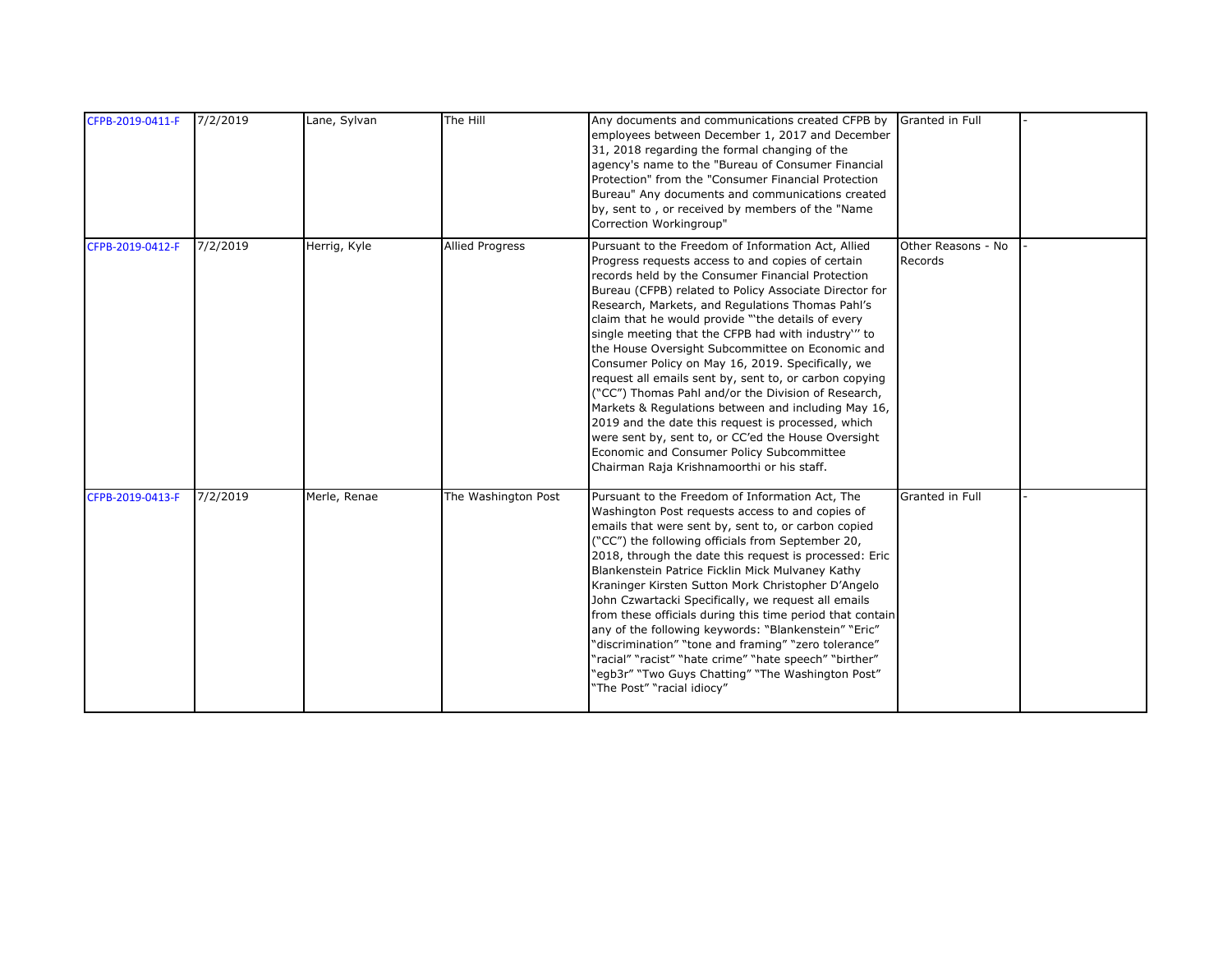| CFPB-2019-0411-F | 7/2/2019 | Lane, Sylvan | The Hill               | Any documents and communications created CFPB by Granted in Full<br>employees between December 1, 2017 and December<br>31, 2018 regarding the formal changing of the<br>agency's name to the "Bureau of Consumer Financial<br>Protection" from the "Consumer Financial Protection<br>Bureau" Any documents and communications created<br>by, sent to, or received by members of the "Name<br>Correction Workingroup"                                                                                                                                                                                                                                                                                                                                                                                                                                                           |                               |  |
|------------------|----------|--------------|------------------------|--------------------------------------------------------------------------------------------------------------------------------------------------------------------------------------------------------------------------------------------------------------------------------------------------------------------------------------------------------------------------------------------------------------------------------------------------------------------------------------------------------------------------------------------------------------------------------------------------------------------------------------------------------------------------------------------------------------------------------------------------------------------------------------------------------------------------------------------------------------------------------|-------------------------------|--|
| CFPB-2019-0412-F | 7/2/2019 | Herrig, Kyle | <b>Allied Progress</b> | Pursuant to the Freedom of Information Act, Allied<br>Progress requests access to and copies of certain<br>records held by the Consumer Financial Protection<br>Bureau (CFPB) related to Policy Associate Director for<br>Research, Markets, and Regulations Thomas Pahl's<br>claim that he would provide "the details of every<br>single meeting that the CFPB had with industry" to<br>the House Oversight Subcommittee on Economic and<br>Consumer Policy on May 16, 2019. Specifically, we<br>request all emails sent by, sent to, or carbon copying<br>("CC") Thomas Pahl and/or the Division of Research,<br>Markets & Regulations between and including May 16,<br>2019 and the date this request is processed, which<br>were sent by, sent to, or CC'ed the House Oversight<br>Economic and Consumer Policy Subcommittee<br>Chairman Raja Krishnamoorthi or his staff. | Other Reasons - No<br>Records |  |
| CFPB-2019-0413-F | 7/2/2019 | Merle, Renae | The Washington Post    | Pursuant to the Freedom of Information Act, The<br>Washington Post requests access to and copies of<br>emails that were sent by, sent to, or carbon copied<br>("CC") the following officials from September 20,<br>2018, through the date this request is processed: Eric<br>Blankenstein Patrice Ficklin Mick Mulvaney Kathy<br>Kraninger Kirsten Sutton Mork Christopher D'Angelo<br>John Czwartacki Specifically, we request all emails<br>from these officials during this time period that contain<br>any of the following keywords: "Blankenstein" "Eric"<br>"discrimination" "tone and framing" "zero tolerance"<br>"racial" "racist" "hate crime" "hate speech" "birther"<br>"egb3r" "Two Guys Chatting" "The Washington Post"<br>"The Post" "racial idiocy"                                                                                                           | Granted in Full               |  |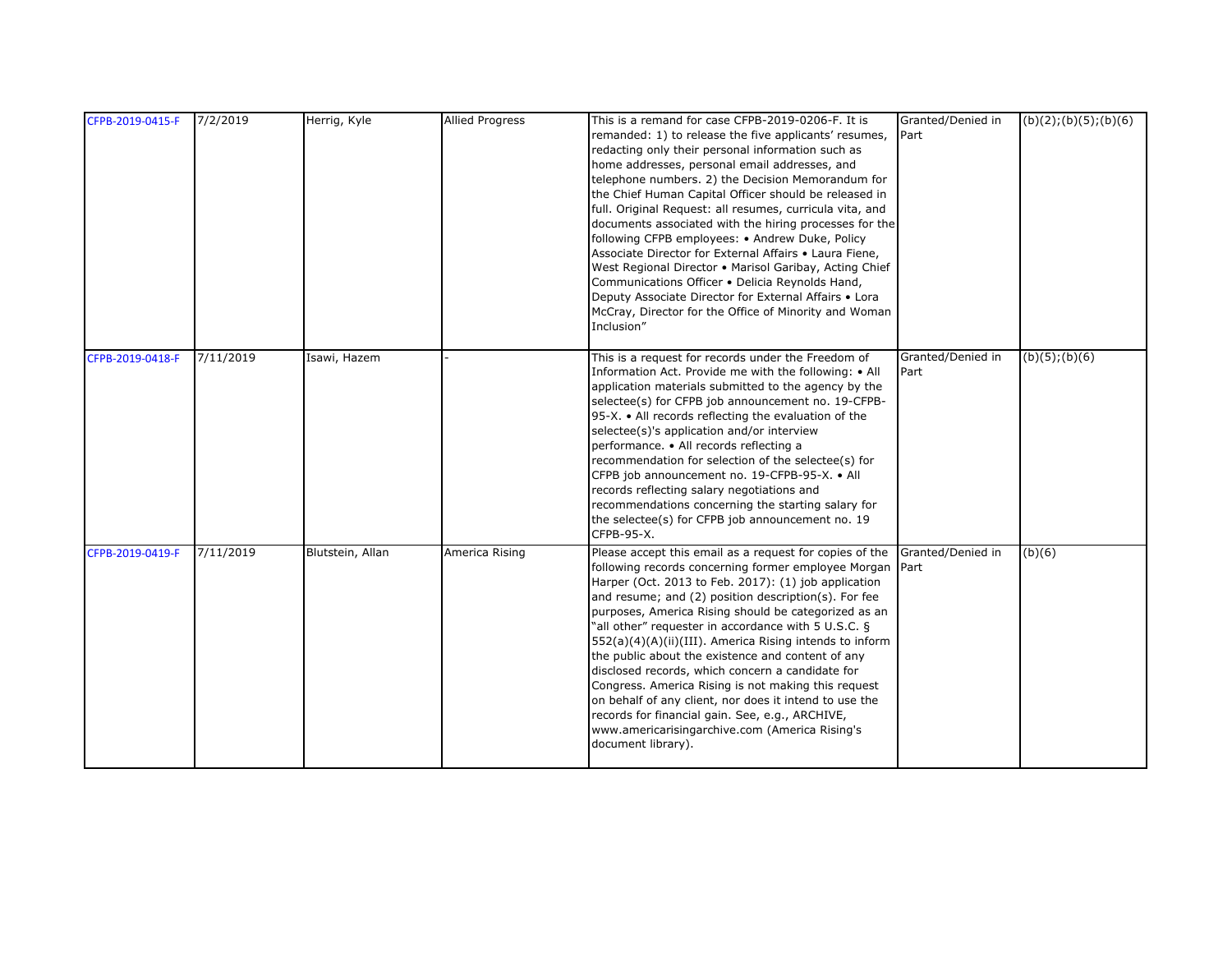| CFPB-2019-0415-F | 7/2/2019  | Herrig, Kyle     | <b>Allied Progress</b> | This is a remand for case CFPB-2019-0206-F. It is<br>remanded: 1) to release the five applicants' resumes,<br>redacting only their personal information such as<br>home addresses, personal email addresses, and<br>telephone numbers. 2) the Decision Memorandum for<br>the Chief Human Capital Officer should be released in<br>full. Original Request: all resumes, curricula vita, and<br>documents associated with the hiring processes for the<br>following CFPB employees: • Andrew Duke, Policy<br>Associate Director for External Affairs . Laura Fiene,<br>West Regional Director . Marisol Garibay, Acting Chief<br>Communications Officer . Delicia Reynolds Hand,<br>Deputy Associate Director for External Affairs . Lora<br>McCray, Director for the Office of Minority and Woman<br>Inclusion" | Granted/Denied in<br>Part | (b)(2); (b)(5); (b)(6) |
|------------------|-----------|------------------|------------------------|----------------------------------------------------------------------------------------------------------------------------------------------------------------------------------------------------------------------------------------------------------------------------------------------------------------------------------------------------------------------------------------------------------------------------------------------------------------------------------------------------------------------------------------------------------------------------------------------------------------------------------------------------------------------------------------------------------------------------------------------------------------------------------------------------------------|---------------------------|------------------------|
| CFPB-2019-0418-F | 7/11/2019 | Isawi, Hazem     |                        | This is a request for records under the Freedom of<br>Information Act. Provide me with the following: • All<br>application materials submitted to the agency by the<br>selectee(s) for CFPB job announcement no. 19-CFPB-<br>95-X. • All records reflecting the evaluation of the<br>selectee(s)'s application and/or interview<br>performance. • All records reflecting a<br>recommendation for selection of the selectee(s) for<br>CFPB job announcement no. 19-CFPB-95-X. • All<br>records reflecting salary negotiations and<br>recommendations concerning the starting salary for<br>the selectee(s) for CFPB job announcement no. 19<br>CFPB-95-X.                                                                                                                                                       | Granted/Denied in<br>Part | $(b)(5)$ ; $(b)(6)$    |
| CFPB-2019-0419-F | 7/11/2019 | Blutstein, Allan | America Rising         | Please accept this email as a request for copies of the<br>following records concerning former employee Morgan<br>Harper (Oct. 2013 to Feb. 2017): (1) job application<br>and resume; and (2) position description(s). For fee<br>purposes, America Rising should be categorized as an<br>"all other" requester in accordance with 5 U.S.C. §<br>552(a)(4)(A)(ii)(III). America Rising intends to inform<br>the public about the existence and content of any<br>disclosed records, which concern a candidate for<br>Congress. America Rising is not making this request<br>on behalf of any client, nor does it intend to use the<br>records for financial gain. See, e.g., ARCHIVE,<br>www.americarisingarchive.com (America Rising's<br>document library).                                                  | Granted/Denied in<br>Part | (b)(6)                 |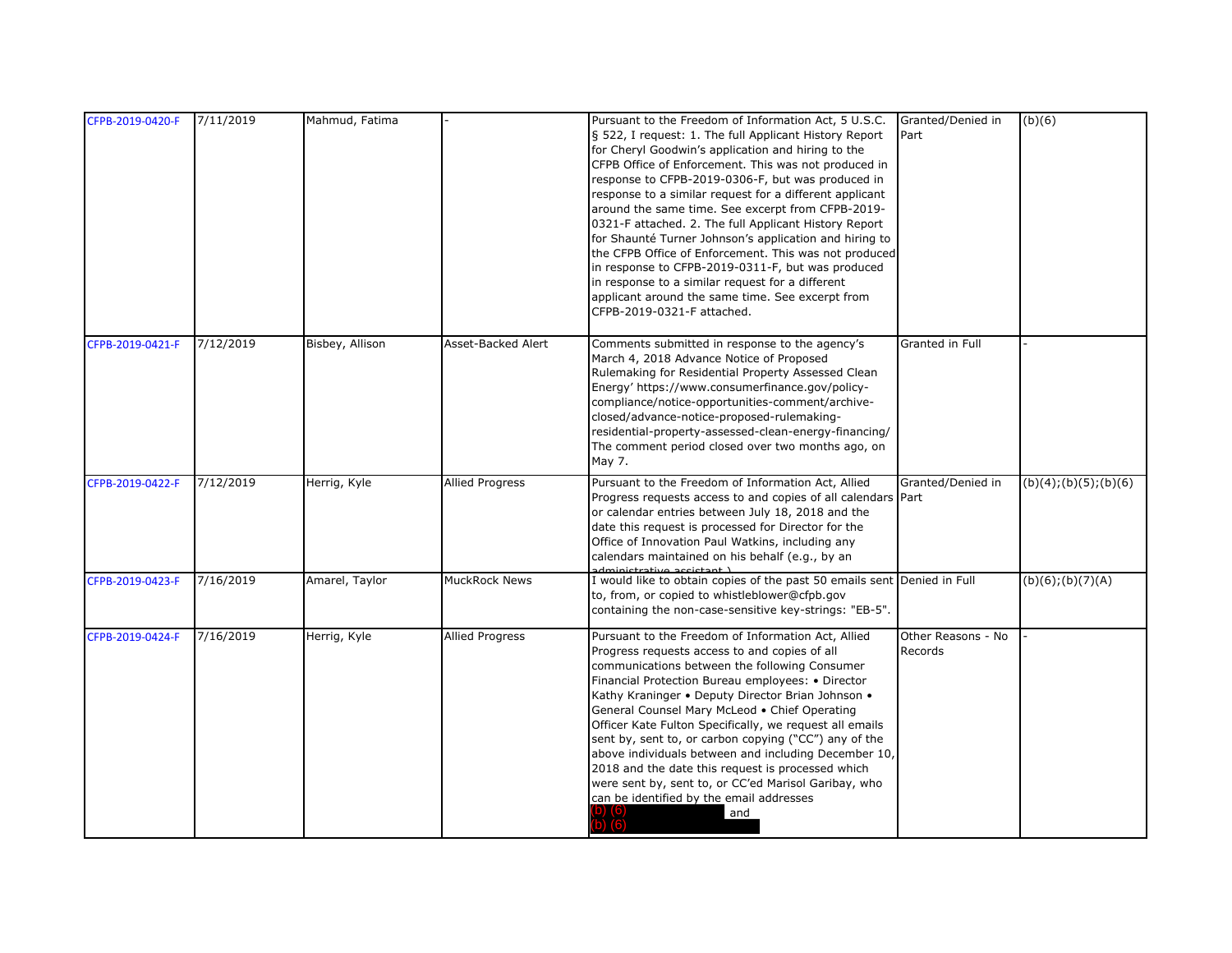| CFPB-2019-0420-F | 7/11/2019 | Mahmud, Fatima  |                        | Pursuant to the Freedom of Information Act, 5 U.S.C.<br>§ 522, I request: 1. The full Applicant History Report<br>for Cheryl Goodwin's application and hiring to the<br>CFPB Office of Enforcement. This was not produced in<br>response to CFPB-2019-0306-F, but was produced in<br>response to a similar request for a different applicant<br>around the same time. See excerpt from CFPB-2019-<br>0321-F attached. 2. The full Applicant History Report<br>for Shaunté Turner Johnson's application and hiring to<br>the CFPB Office of Enforcement. This was not produced<br>in response to CFPB-2019-0311-F, but was produced<br>in response to a similar request for a different<br>applicant around the same time. See excerpt from<br>CFPB-2019-0321-F attached. | Granted/Denied in<br>Part     | (b)(6)                 |
|------------------|-----------|-----------------|------------------------|--------------------------------------------------------------------------------------------------------------------------------------------------------------------------------------------------------------------------------------------------------------------------------------------------------------------------------------------------------------------------------------------------------------------------------------------------------------------------------------------------------------------------------------------------------------------------------------------------------------------------------------------------------------------------------------------------------------------------------------------------------------------------|-------------------------------|------------------------|
| CFPB-2019-0421-F | 7/12/2019 | Bisbey, Allison | Asset-Backed Alert     | Comments submitted in response to the agency's<br>March 4, 2018 Advance Notice of Proposed<br>Rulemaking for Residential Property Assessed Clean<br>Energy' https://www.consumerfinance.gov/policy-<br>compliance/notice-opportunities-comment/archive-<br>closed/advance-notice-proposed-rulemaking-<br>residential-property-assessed-clean-energy-financing/<br>The comment period closed over two months ago, on<br>May 7.                                                                                                                                                                                                                                                                                                                                            | Granted in Full               |                        |
| CFPB-2019-0422-F | 7/12/2019 | Herrig, Kyle    | <b>Allied Progress</b> | Pursuant to the Freedom of Information Act, Allied<br>Progress requests access to and copies of all calendars Part<br>or calendar entries between July 18, 2018 and the<br>date this request is processed for Director for the<br>Office of Innovation Paul Watkins, including any<br>calendars maintained on his behalf (e.g., by an                                                                                                                                                                                                                                                                                                                                                                                                                                    | Granted/Denied in             | (b)(4); (b)(5); (b)(6) |
| CFPB-2019-0423-F | 7/16/2019 | Amarel, Taylor  | MuckRock News          | I would like to obtain copies of the past 50 emails sent Denied in Full<br>to, from, or copied to whistleblower@cfpb.gov<br>containing the non-case-sensitive key-strings: "EB-5".                                                                                                                                                                                                                                                                                                                                                                                                                                                                                                                                                                                       |                               | $(b)(6)$ ; $(b)(7)(A)$ |
| CFPB-2019-0424-F | 7/16/2019 | Herrig, Kyle    | <b>Allied Progress</b> | Pursuant to the Freedom of Information Act, Allied<br>Progress requests access to and copies of all<br>communications between the following Consumer<br>Financial Protection Bureau employees: • Director<br>Kathy Kraninger • Deputy Director Brian Johnson •<br>General Counsel Mary McLeod . Chief Operating<br>Officer Kate Fulton Specifically, we request all emails<br>sent by, sent to, or carbon copying ("CC") any of the<br>above individuals between and including December 10,<br>2018 and the date this request is processed which<br>were sent by, sent to, or CC'ed Marisol Garibay, who<br>can be identified by the email addresses<br>and                                                                                                              | Other Reasons - No<br>Records |                        |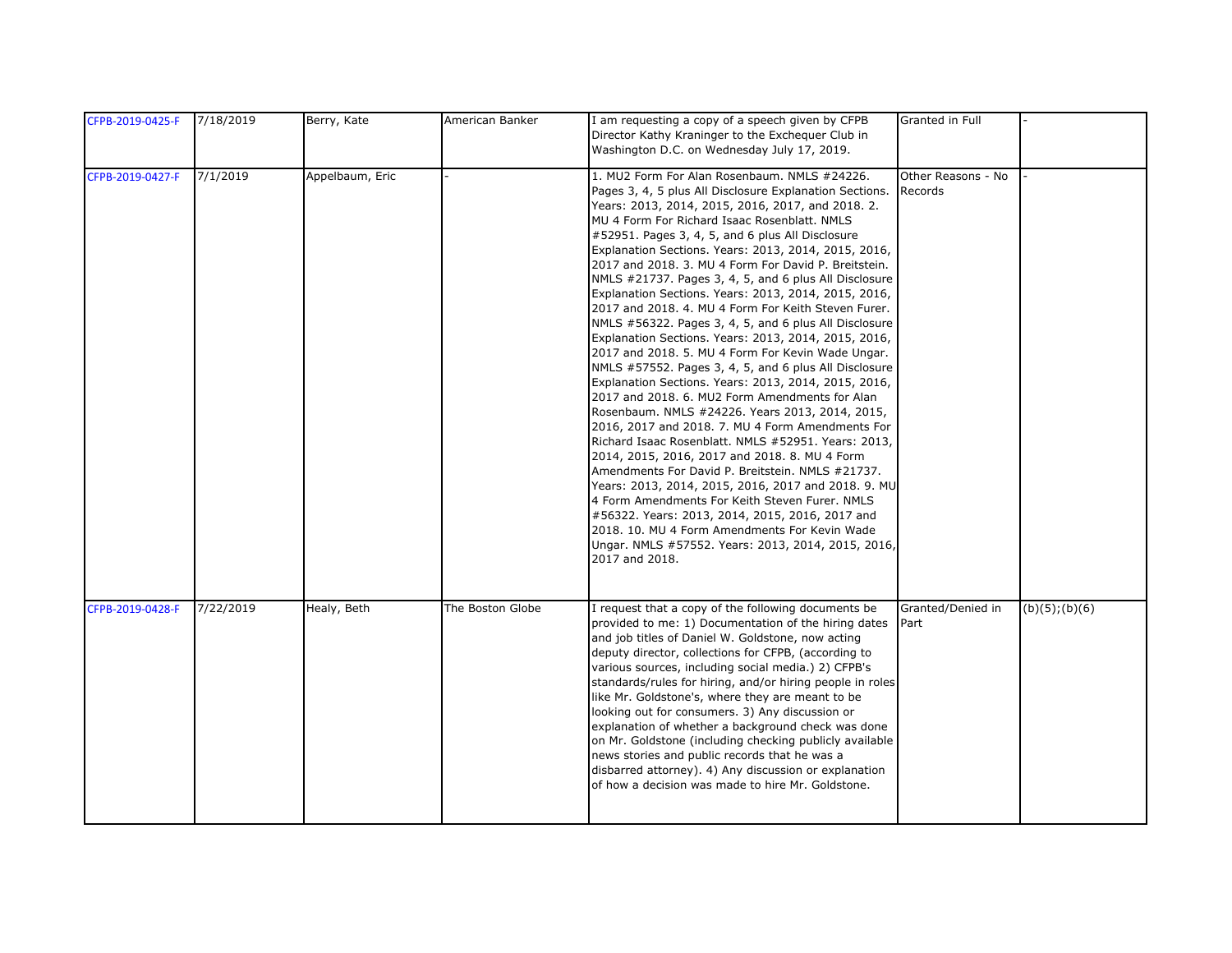| CFPB-2019-0425-F | 7/18/2019 | Berry, Kate     | American Banker  | I am requesting a copy of a speech given by CFPB<br>Director Kathy Kraninger to the Exchequer Club in<br>Washington D.C. on Wednesday July 17, 2019.                                                                                                                                                                                                                                                                                                                                                                                                                                                                                                                                                                                                                                                                                                                                                                                                                                                                                                                                                                                                                                                                                                                                                                                                                                                                                                      | Granted in Full               |                     |
|------------------|-----------|-----------------|------------------|-----------------------------------------------------------------------------------------------------------------------------------------------------------------------------------------------------------------------------------------------------------------------------------------------------------------------------------------------------------------------------------------------------------------------------------------------------------------------------------------------------------------------------------------------------------------------------------------------------------------------------------------------------------------------------------------------------------------------------------------------------------------------------------------------------------------------------------------------------------------------------------------------------------------------------------------------------------------------------------------------------------------------------------------------------------------------------------------------------------------------------------------------------------------------------------------------------------------------------------------------------------------------------------------------------------------------------------------------------------------------------------------------------------------------------------------------------------|-------------------------------|---------------------|
| CFPB-2019-0427-F | 7/1/2019  | Appelbaum, Eric |                  | 1. MU2 Form For Alan Rosenbaum. NMLS #24226.<br>Pages 3, 4, 5 plus All Disclosure Explanation Sections.<br>Years: 2013, 2014, 2015, 2016, 2017, and 2018. 2.<br>MU 4 Form For Richard Isaac Rosenblatt. NMLS<br>#52951. Pages 3, 4, 5, and 6 plus All Disclosure<br>Explanation Sections. Years: 2013, 2014, 2015, 2016,<br>2017 and 2018. 3. MU 4 Form For David P. Breitstein.<br>NMLS #21737. Pages 3, 4, 5, and 6 plus All Disclosure<br>Explanation Sections. Years: 2013, 2014, 2015, 2016,<br>2017 and 2018. 4. MU 4 Form For Keith Steven Furer.<br>NMLS #56322. Pages 3, 4, 5, and 6 plus All Disclosure<br>Explanation Sections. Years: 2013, 2014, 2015, 2016,<br>2017 and 2018. 5. MU 4 Form For Kevin Wade Ungar.<br>NMLS #57552. Pages 3, 4, 5, and 6 plus All Disclosure<br>Explanation Sections. Years: 2013, 2014, 2015, 2016,<br>2017 and 2018. 6. MU2 Form Amendments for Alan<br>Rosenbaum. NMLS #24226. Years 2013, 2014, 2015,<br>2016, 2017 and 2018. 7. MU 4 Form Amendments For<br>Richard Isaac Rosenblatt. NMLS #52951. Years: 2013,<br>2014, 2015, 2016, 2017 and 2018. 8. MU 4 Form<br>Amendments For David P. Breitstein. NMLS #21737.<br>Years: 2013, 2014, 2015, 2016, 2017 and 2018. 9. MU<br>4 Form Amendments For Keith Steven Furer. NMLS<br>#56322. Years: 2013, 2014, 2015, 2016, 2017 and<br>2018. 10. MU 4 Form Amendments For Kevin Wade<br>Ungar. NMLS #57552. Years: 2013, 2014, 2015, 2016,<br>2017 and 2018. | Other Reasons - No<br>Records |                     |
| CFPB-2019-0428-F | 7/22/2019 | Healy, Beth     | The Boston Globe | I request that a copy of the following documents be<br>provided to me: 1) Documentation of the hiring dates<br>and job titles of Daniel W. Goldstone, now acting<br>deputy director, collections for CFPB, (according to<br>various sources, including social media.) 2) CFPB's<br>standards/rules for hiring, and/or hiring people in roles<br>like Mr. Goldstone's, where they are meant to be<br>looking out for consumers. 3) Any discussion or<br>explanation of whether a background check was done<br>on Mr. Goldstone (including checking publicly available<br>news stories and public records that he was a<br>disbarred attorney). 4) Any discussion or explanation<br>of how a decision was made to hire Mr. Goldstone.                                                                                                                                                                                                                                                                                                                                                                                                                                                                                                                                                                                                                                                                                                                       | Granted/Denied in<br>Part     | $(b)(5)$ ; $(b)(6)$ |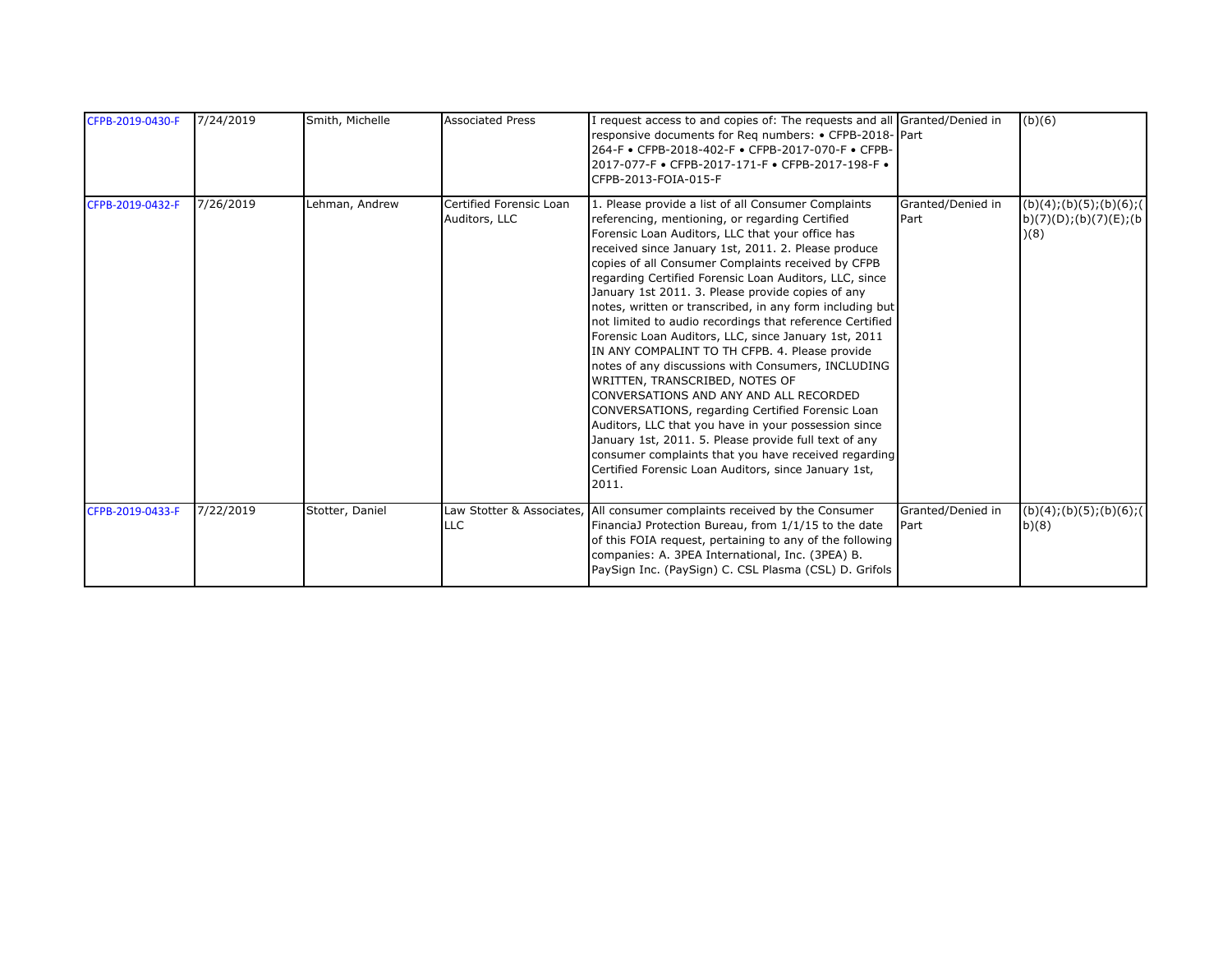| CFPB-2019-0430-F | 7/24/2019 | Smith, Michelle | <b>Associated Press</b>                  | I request access to and copies of: The requests and all Granted/Denied in<br>responsive documents for Reg numbers: • CFPB-2018-Part<br>264-F • CFPB-2018-402-F • CFPB-2017-070-F • CFPB-<br>2017-077-F • CFPB-2017-171-F • CFPB-2017-198-F •<br>CFPB-2013-FOIA-015-F                                                                                                                                                                                                                                                                                                                                                                                                                                                                                                                                                                                                                                                                                                                                                                                     |                           | (b)(6)                                                                              |
|------------------|-----------|-----------------|------------------------------------------|----------------------------------------------------------------------------------------------------------------------------------------------------------------------------------------------------------------------------------------------------------------------------------------------------------------------------------------------------------------------------------------------------------------------------------------------------------------------------------------------------------------------------------------------------------------------------------------------------------------------------------------------------------------------------------------------------------------------------------------------------------------------------------------------------------------------------------------------------------------------------------------------------------------------------------------------------------------------------------------------------------------------------------------------------------|---------------------------|-------------------------------------------------------------------------------------|
| CFPB-2019-0432-F | 7/26/2019 | Lehman, Andrew  | Certified Forensic Loan<br>Auditors, LLC | 1. Please provide a list of all Consumer Complaints<br>referencing, mentioning, or regarding Certified<br>Forensic Loan Auditors, LLC that your office has<br>received since January 1st, 2011. 2. Please produce<br>copies of all Consumer Complaints received by CFPB<br>regarding Certified Forensic Loan Auditors, LLC, since<br>January 1st 2011. 3. Please provide copies of any<br>notes, written or transcribed, in any form including but<br>not limited to audio recordings that reference Certified<br>Forensic Loan Auditors, LLC, since January 1st, 2011<br>IN ANY COMPALINT TO TH CFPB. 4. Please provide<br>notes of any discussions with Consumers, INCLUDING<br>WRITTEN, TRANSCRIBED, NOTES OF<br>CONVERSATIONS AND ANY AND ALL RECORDED<br>CONVERSATIONS, regarding Certified Forensic Loan<br>Auditors, LLC that you have in your possession since<br>January 1st, 2011. 5. Please provide full text of any<br>consumer complaints that you have received regarding<br>Certified Forensic Loan Auditors, since January 1st,<br>2011. | Granted/Denied in<br>Part | $\overline{(b)(4)}$ ; $(b)(5)$ ; $(b)(6)$ ; $($<br>b)(7)(D); (b)(7)(E); (b)<br>)(8) |
| CFPB-2019-0433-F | 7/22/2019 | Stotter, Daniel | <b>LLC</b>                               | Law Stotter & Associates, All consumer complaints received by the Consumer<br>FinanciaJ Protection Bureau, from 1/1/15 to the date<br>of this FOIA request, pertaining to any of the following<br>companies: A. 3PEA International, Inc. (3PEA) B.<br>PaySign Inc. (PaySign) C. CSL Plasma (CSL) D. Grifols                                                                                                                                                                                                                                                                                                                                                                                                                                                                                                                                                                                                                                                                                                                                              | Granted/Denied in<br>Part | (b)(4); (b)(5); (b)(6); (<br>b)(8)                                                  |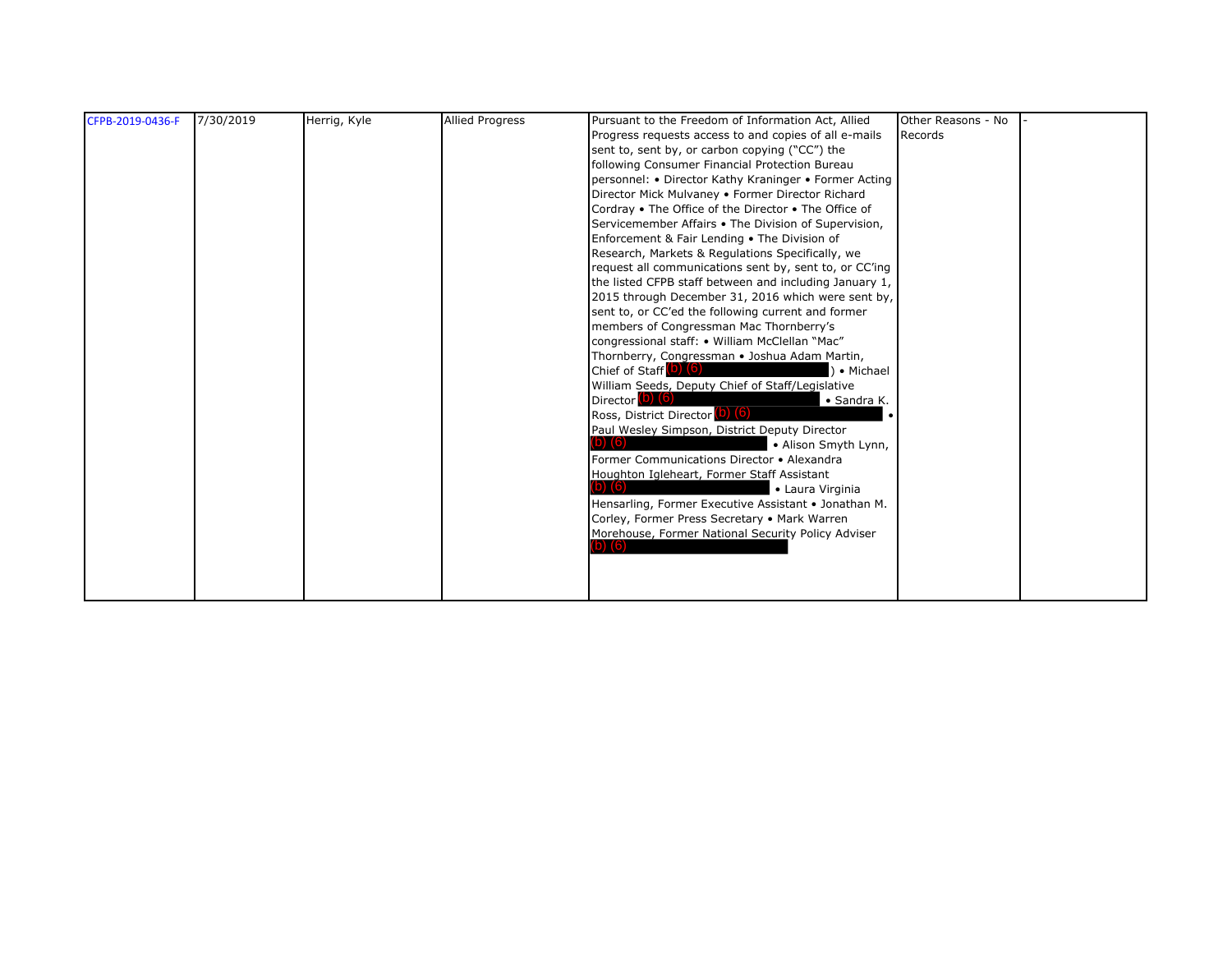| CFPB-2019-0436-F | 7/30/2019 | Herrig, Kyle | <b>Allied Progress</b> | Pursuant to the Freedom of Information Act, Allied             | Other Reasons - No |  |
|------------------|-----------|--------------|------------------------|----------------------------------------------------------------|--------------------|--|
|                  |           |              |                        | Progress requests access to and copies of all e-mails          | Records            |  |
|                  |           |              |                        | sent to, sent by, or carbon copying ("CC") the                 |                    |  |
|                  |           |              |                        | following Consumer Financial Protection Bureau                 |                    |  |
|                  |           |              |                        | personnel: • Director Kathy Kraninger • Former Acting          |                    |  |
|                  |           |              |                        | Director Mick Mulvaney . Former Director Richard               |                    |  |
|                  |           |              |                        | Cordray • The Office of the Director • The Office of           |                    |  |
|                  |           |              |                        | Servicemember Affairs . The Division of Supervision,           |                    |  |
|                  |           |              |                        | Enforcement & Fair Lending . The Division of                   |                    |  |
|                  |           |              |                        | Research, Markets & Regulations Specifically, we               |                    |  |
|                  |           |              |                        | request all communications sent by, sent to, or CC'ing         |                    |  |
|                  |           |              |                        | the listed CFPB staff between and including January 1,         |                    |  |
|                  |           |              |                        | 2015 through December 31, 2016 which were sent by,             |                    |  |
|                  |           |              |                        | sent to, or CC'ed the following current and former             |                    |  |
|                  |           |              |                        | members of Congressman Mac Thornberry's                        |                    |  |
|                  |           |              |                        | congressional staff: • William McClellan "Mac"                 |                    |  |
|                  |           |              |                        | Thornberry, Congressman . Joshua Adam Martin,                  |                    |  |
|                  |           |              |                        | Chief of Staff (D) (6)<br>) • Michael                          |                    |  |
|                  |           |              |                        | William Seeds, Deputy Chief of Staff/Legislative               |                    |  |
|                  |           |              |                        | Director <sup>(D)</sup> (6)<br>• Sandra K.                     |                    |  |
|                  |           |              |                        | Ross, District Director (b) (6)                                |                    |  |
|                  |           |              |                        | Paul Wesley Simpson, District Deputy Director                  |                    |  |
|                  |           |              |                        | • Alison Smyth Lynn,                                           |                    |  |
|                  |           |              |                        | Former Communications Director • Alexandra                     |                    |  |
|                  |           |              |                        | Houghton Igleheart, Former Staff Assistant<br>• Laura Virginia |                    |  |
|                  |           |              |                        | Hensarling, Former Executive Assistant . Jonathan M.           |                    |  |
|                  |           |              |                        | Corley, Former Press Secretary . Mark Warren                   |                    |  |
|                  |           |              |                        | Morehouse, Former National Security Policy Adviser             |                    |  |
|                  |           |              |                        |                                                                |                    |  |
|                  |           |              |                        |                                                                |                    |  |
|                  |           |              |                        |                                                                |                    |  |
|                  |           |              |                        |                                                                |                    |  |
|                  |           |              |                        |                                                                |                    |  |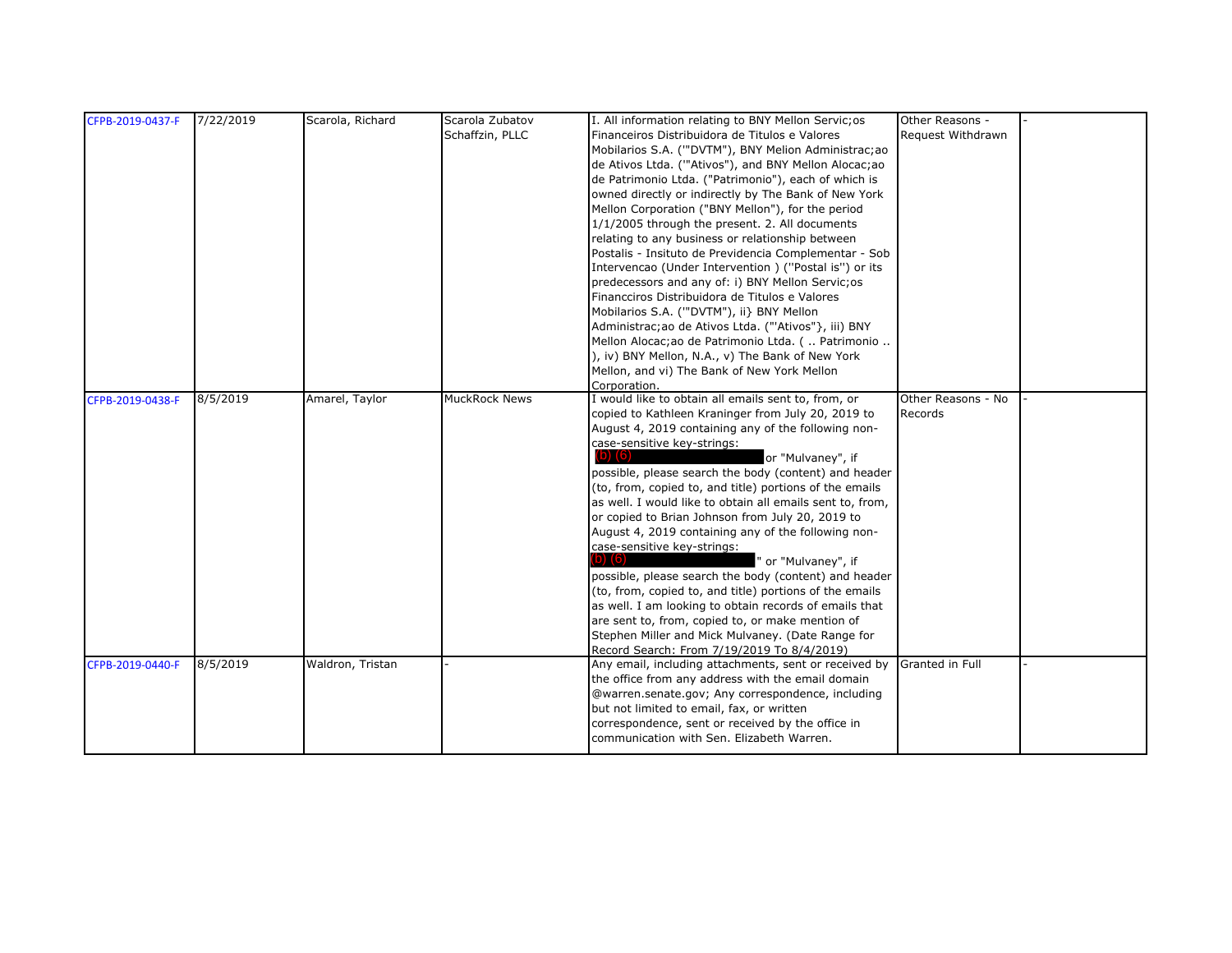| CFPB-2019-0437-F | 7/22/2019 | Scarola, Richard | Scarola Zubatov      | I. All information relating to BNY Mellon Servic; os            | Other Reasons -    |  |
|------------------|-----------|------------------|----------------------|-----------------------------------------------------------------|--------------------|--|
|                  |           |                  | Schaffzin, PLLC      | Financeiros Distribuidora de Titulos e Valores                  | Request Withdrawn  |  |
|                  |           |                  |                      | Mobilarios S.A. (""DVTM"), BNY Melion Administrac;ao            |                    |  |
|                  |           |                  |                      | de Ativos Ltda. (""Ativos"), and BNY Mellon Alocac;ao           |                    |  |
|                  |           |                  |                      | de Patrimonio Ltda. ("Patrimonio"), each of which is            |                    |  |
|                  |           |                  |                      | owned directly or indirectly by The Bank of New York            |                    |  |
|                  |           |                  |                      | Mellon Corporation ("BNY Mellon"), for the period               |                    |  |
|                  |           |                  |                      | 1/1/2005 through the present. 2. All documents                  |                    |  |
|                  |           |                  |                      | relating to any business or relationship between                |                    |  |
|                  |           |                  |                      | Postalis - Insituto de Previdencia Complementar - Sob           |                    |  |
|                  |           |                  |                      | Intervencao (Under Intervention) ("Postal is") or its           |                    |  |
|                  |           |                  |                      | predecessors and any of: i) BNY Mellon Servic;os                |                    |  |
|                  |           |                  |                      | Financciros Distribuidora de Titulos e Valores                  |                    |  |
|                  |           |                  |                      | Mobilarios S.A. ("DVTM"), ii} BNY Mellon                        |                    |  |
|                  |           |                  |                      | Administrac; ao de Ativos Ltda. ("'Ativos"}, iii) BNY           |                    |  |
|                  |           |                  |                      | Mellon Alocac; ao de Patrimonio Ltda. (  Patrimonio             |                    |  |
|                  |           |                  |                      | ), iv) BNY Mellon, N.A., v) The Bank of New York                |                    |  |
|                  |           |                  |                      | Mellon, and vi) The Bank of New York Mellon                     |                    |  |
|                  |           |                  |                      | Corporation.                                                    |                    |  |
| CFPB-2019-0438-F | 8/5/2019  | Amarel, Taylor   | <b>MuckRock News</b> | I would like to obtain all emails sent to, from, or             | Other Reasons - No |  |
|                  |           |                  |                      | copied to Kathleen Kraninger from July 20, 2019 to              | Records            |  |
|                  |           |                  |                      | August 4, 2019 containing any of the following non-             |                    |  |
|                  |           |                  |                      | case-sensitive key-strings:<br>$(b)$ $(6)$<br>or "Mulvaney", if |                    |  |
|                  |           |                  |                      | possible, please search the body (content) and header           |                    |  |
|                  |           |                  |                      | (to, from, copied to, and title) portions of the emails         |                    |  |
|                  |           |                  |                      | as well. I would like to obtain all emails sent to, from,       |                    |  |
|                  |           |                  |                      | or copied to Brian Johnson from July 20, 2019 to                |                    |  |
|                  |           |                  |                      | August 4, 2019 containing any of the following non-             |                    |  |
|                  |           |                  |                      | case-sensitive key-strings:                                     |                    |  |
|                  |           |                  |                      | $\left( 6\right)$ $\left( 6\right)$<br>" or "Mulvaney", if      |                    |  |
|                  |           |                  |                      | possible, please search the body (content) and header           |                    |  |
|                  |           |                  |                      | (to, from, copied to, and title) portions of the emails         |                    |  |
|                  |           |                  |                      | as well. I am looking to obtain records of emails that          |                    |  |
|                  |           |                  |                      | are sent to, from, copied to, or make mention of                |                    |  |
|                  |           |                  |                      | Stephen Miller and Mick Mulvaney. (Date Range for               |                    |  |
|                  |           |                  |                      | Record Search: From 7/19/2019 To 8/4/2019)                      |                    |  |
| CFPB-2019-0440-F | 8/5/2019  | Waldron, Tristan |                      | Any email, including attachments, sent or received by           | Granted in Full    |  |
|                  |           |                  |                      | the office from any address with the email domain               |                    |  |
|                  |           |                  |                      | @warren.senate.gov; Any correspondence, including               |                    |  |
|                  |           |                  |                      | but not limited to email, fax, or written                       |                    |  |
|                  |           |                  |                      | correspondence, sent or received by the office in               |                    |  |
|                  |           |                  |                      | communication with Sen. Elizabeth Warren.                       |                    |  |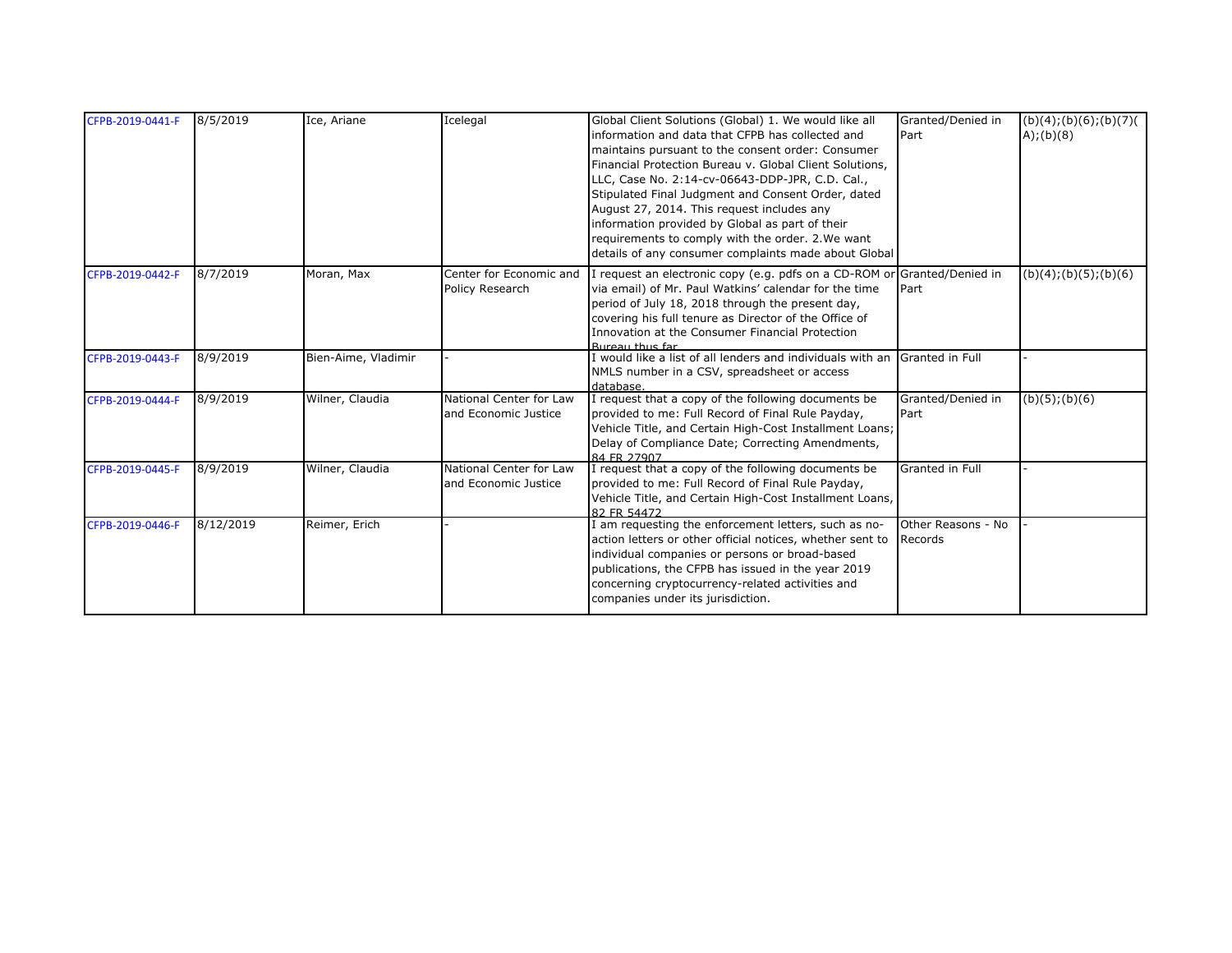| CFPB-2019-0441-F | 8/5/2019  | Ice, Ariane         | Icelegal                                         | Global Client Solutions (Global) 1. We would like all<br>information and data that CFPB has collected and<br>maintains pursuant to the consent order: Consumer<br>Financial Protection Bureau v. Global Client Solutions,<br>LLC, Case No. 2:14-cv-06643-DDP-JPR, C.D. Cal.,<br>Stipulated Final Judgment and Consent Order, dated<br>August 27, 2014. This request includes any<br>information provided by Global as part of their<br>requirements to comply with the order. 2. We want<br>details of any consumer complaints made about Global | Granted/Denied in<br>Part     | (b)(4); (b)(6); (b)(7)<br>A);(b)(8) |
|------------------|-----------|---------------------|--------------------------------------------------|--------------------------------------------------------------------------------------------------------------------------------------------------------------------------------------------------------------------------------------------------------------------------------------------------------------------------------------------------------------------------------------------------------------------------------------------------------------------------------------------------------------------------------------------------|-------------------------------|-------------------------------------|
| CFPB-2019-0442-F | 8/7/2019  | Moran, Max          | Center for Economic and<br>Policy Research       | I request an electronic copy (e.g. pdfs on a CD-ROM or Granted/Denied in<br>via email) of Mr. Paul Watkins' calendar for the time<br>period of July 18, 2018 through the present day,<br>covering his full tenure as Director of the Office of<br>Innovation at the Consumer Financial Protection<br>Rurgau thus far                                                                                                                                                                                                                             | Part                          | $\overline{(b)(4)}$ ;(b)(5);(b)(6)  |
| CFPB-2019-0443-F | 8/9/2019  | Bien-Aime, Vladimir |                                                  | I would like a list of all lenders and individuals with an<br>NMLS number in a CSV, spreadsheet or access<br>database.                                                                                                                                                                                                                                                                                                                                                                                                                           | Granted in Full               |                                     |
| CFPB-2019-0444-F | 8/9/2019  | Wilner, Claudia     | National Center for Law<br>and Economic Justice  | I request that a copy of the following documents be<br>provided to me: Full Record of Final Rule Payday,<br>Vehicle Title, and Certain High-Cost Installment Loans;<br>Delay of Compliance Date; Correcting Amendments,<br>84 FR 27907                                                                                                                                                                                                                                                                                                           | Granted/Denied in<br>Part     | $(b)(5)$ ; $(b)(6)$                 |
| CFPB-2019-0445-F | 8/9/2019  | Wilner, Claudia     | National Center for Law<br>land Economic Justice | I request that a copy of the following documents be<br>provided to me: Full Record of Final Rule Payday,<br>Vehicle Title, and Certain High-Cost Installment Loans,<br>82 FR 54472                                                                                                                                                                                                                                                                                                                                                               | Granted in Full               |                                     |
| CFPB-2019-0446-F | 8/12/2019 | Reimer, Erich       |                                                  | I am requesting the enforcement letters, such as no-<br>action letters or other official notices, whether sent to<br>individual companies or persons or broad-based<br>publications, the CFPB has issued in the year 2019<br>concerning cryptocurrency-related activities and<br>companies under its jurisdiction.                                                                                                                                                                                                                               | Other Reasons - No<br>Records |                                     |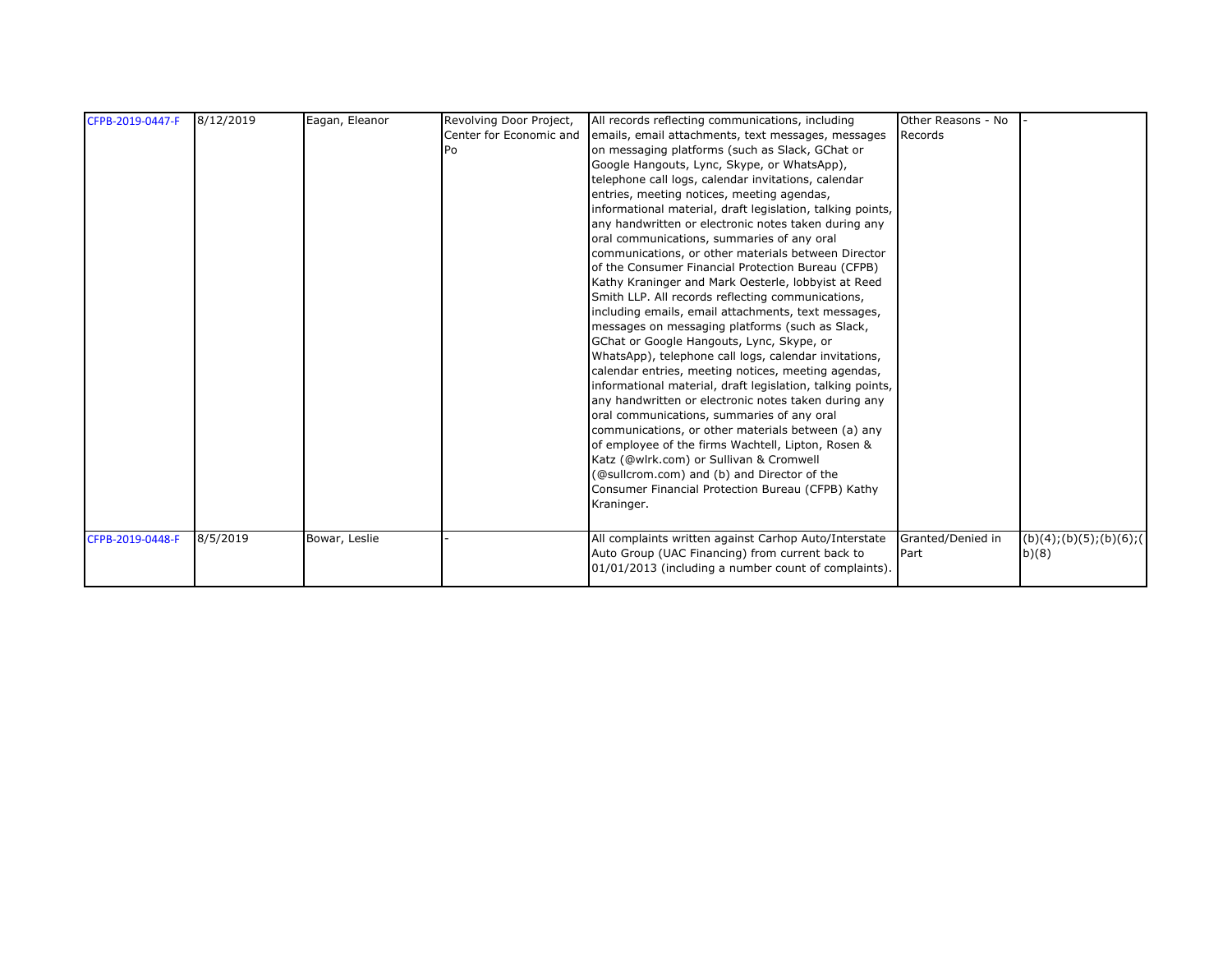| CFPB-2019-0447-F | 8/12/2019 | Eagan, Eleanor | Revolving Door Project, | All records reflecting communications, including           | Other Reasons - No |                             |
|------------------|-----------|----------------|-------------------------|------------------------------------------------------------|--------------------|-----------------------------|
|                  |           |                | Center for Economic and | emails, email attachments, text messages, messages         | Records            |                             |
|                  |           |                | Po                      | on messaging platforms (such as Slack, GChat or            |                    |                             |
|                  |           |                |                         | Google Hangouts, Lync, Skype, or WhatsApp),                |                    |                             |
|                  |           |                |                         | telephone call logs, calendar invitations, calendar        |                    |                             |
|                  |           |                |                         | entries, meeting notices, meeting agendas,                 |                    |                             |
|                  |           |                |                         | informational material, draft legislation, talking points, |                    |                             |
|                  |           |                |                         | any handwritten or electronic notes taken during any       |                    |                             |
|                  |           |                |                         | oral communications, summaries of any oral                 |                    |                             |
|                  |           |                |                         | communications, or other materials between Director        |                    |                             |
|                  |           |                |                         | of the Consumer Financial Protection Bureau (CFPB)         |                    |                             |
|                  |           |                |                         | Kathy Kraninger and Mark Oesterle, lobbyist at Reed        |                    |                             |
|                  |           |                |                         | Smith LLP. All records reflecting communications,          |                    |                             |
|                  |           |                |                         | including emails, email attachments, text messages,        |                    |                             |
|                  |           |                |                         | messages on messaging platforms (such as Slack,            |                    |                             |
|                  |           |                |                         | GChat or Google Hangouts, Lync, Skype, or                  |                    |                             |
|                  |           |                |                         | WhatsApp), telephone call logs, calendar invitations,      |                    |                             |
|                  |           |                |                         | calendar entries, meeting notices, meeting agendas,        |                    |                             |
|                  |           |                |                         | informational material, draft legislation, talking points, |                    |                             |
|                  |           |                |                         | any handwritten or electronic notes taken during any       |                    |                             |
|                  |           |                |                         | oral communications, summaries of any oral                 |                    |                             |
|                  |           |                |                         | communications, or other materials between (a) any         |                    |                             |
|                  |           |                |                         | of employee of the firms Wachtell, Lipton, Rosen &         |                    |                             |
|                  |           |                |                         | Katz (@wlrk.com) or Sullivan & Cromwell                    |                    |                             |
|                  |           |                |                         | (@sullcrom.com) and (b) and Director of the                |                    |                             |
|                  |           |                |                         | Consumer Financial Protection Bureau (CFPB) Kathy          |                    |                             |
|                  |           |                |                         | Kraninger.                                                 |                    |                             |
|                  |           |                |                         |                                                            |                    |                             |
| CFPB-2019-0448-F | 8/5/2019  | Bowar, Leslie  |                         | All complaints written against Carhop Auto/Interstate      | Granted/Denied in  | (b)(4); (b)(5); (b)(6); (6) |
|                  |           |                |                         | Auto Group (UAC Financing) from current back to            | <b>I</b> Part      | b)(8)                       |
|                  |           |                |                         | 01/01/2013 (including a number count of complaints).       |                    |                             |
|                  |           |                |                         |                                                            |                    |                             |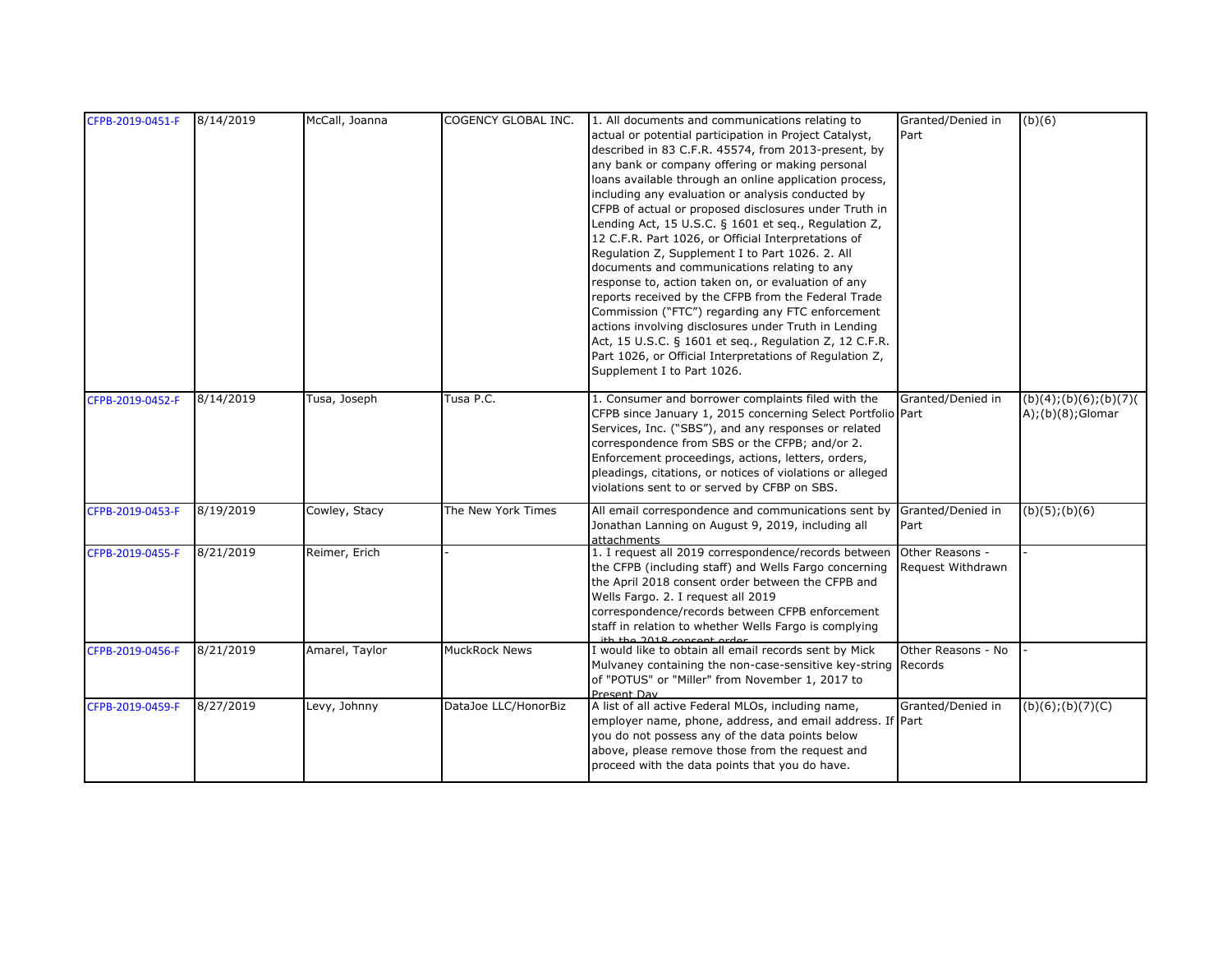| CFPB-2019-0451-F | 8/14/2019 | McCall, Joanna | <b>COGENCY GLOBAL INC.</b> | 1. All documents and communications relating to                       | Granted/Denied in  | (b)(6)                 |
|------------------|-----------|----------------|----------------------------|-----------------------------------------------------------------------|--------------------|------------------------|
|                  |           |                |                            | actual or potential participation in Project Catalyst,                | Part               |                        |
|                  |           |                |                            | described in 83 C.F.R. 45574, from 2013-present, by                   |                    |                        |
|                  |           |                |                            | any bank or company offering or making personal                       |                    |                        |
|                  |           |                |                            | loans available through an online application process,                |                    |                        |
|                  |           |                |                            | including any evaluation or analysis conducted by                     |                    |                        |
|                  |           |                |                            | CFPB of actual or proposed disclosures under Truth in                 |                    |                        |
|                  |           |                |                            | Lending Act, 15 U.S.C. § 1601 et seq., Regulation Z,                  |                    |                        |
|                  |           |                |                            | 12 C.F.R. Part 1026, or Official Interpretations of                   |                    |                        |
|                  |           |                |                            | Regulation Z, Supplement I to Part 1026. 2. All                       |                    |                        |
|                  |           |                |                            | documents and communications relating to any                          |                    |                        |
|                  |           |                |                            | response to, action taken on, or evaluation of any                    |                    |                        |
|                  |           |                |                            | reports received by the CFPB from the Federal Trade                   |                    |                        |
|                  |           |                |                            | Commission ("FTC") regarding any FTC enforcement                      |                    |                        |
|                  |           |                |                            | actions involving disclosures under Truth in Lending                  |                    |                        |
|                  |           |                |                            | Act, 15 U.S.C. § 1601 et seq., Regulation Z, 12 C.F.R.                |                    |                        |
|                  |           |                |                            | Part 1026, or Official Interpretations of Regulation Z,               |                    |                        |
|                  |           |                |                            | Supplement I to Part 1026.                                            |                    |                        |
| CFPB-2019-0452-F | 8/14/2019 | Tusa, Joseph   | Tusa P.C.                  | 1. Consumer and borrower complaints filed with the                    | Granted/Denied in  | (b)(4); (b)(6); (b)(7) |
|                  |           |                |                            | CFPB since January 1, 2015 concerning Select Portfolio Part           |                    | $A$ );(b)(8);Glomar    |
|                  |           |                |                            | Services, Inc. ("SBS"), and any responses or related                  |                    |                        |
|                  |           |                |                            | correspondence from SBS or the CFPB; and/or 2.                        |                    |                        |
|                  |           |                |                            | Enforcement proceedings, actions, letters, orders,                    |                    |                        |
|                  |           |                |                            | pleadings, citations, or notices of violations or alleged             |                    |                        |
|                  |           |                |                            | violations sent to or served by CFBP on SBS.                          |                    |                        |
|                  |           |                |                            |                                                                       |                    |                        |
| CFPB-2019-0453-F | 8/19/2019 | Cowley, Stacy  | The New York Times         | All email correspondence and communications sent by Granted/Denied in |                    | $(b)(5)$ ; $(b)(6)$    |
|                  |           |                |                            | Jonathan Lanning on August 9, 2019, including all<br>attachments      | Part               |                        |
| CFPB-2019-0455-F | 8/21/2019 | Reimer, Erich  |                            | 1. I request all 2019 correspondence/records between                  | Other Reasons -    |                        |
|                  |           |                |                            | the CFPB (including staff) and Wells Fargo concerning                 | Request Withdrawn  |                        |
|                  |           |                |                            | the April 2018 consent order between the CFPB and                     |                    |                        |
|                  |           |                |                            | Wells Fargo. 2. I request all 2019                                    |                    |                        |
|                  |           |                |                            | correspondence/records between CFPB enforcement                       |                    |                        |
|                  |           |                |                            | staff in relation to whether Wells Fargo is complying                 |                    |                        |
|                  |           |                |                            | ith the 2018 concent order                                            |                    |                        |
| CFPB-2019-0456-F | 8/21/2019 | Amarel, Taylor | <b>MuckRock News</b>       | I would like to obtain all email records sent by Mick                 | Other Reasons - No |                        |
|                  |           |                |                            | Mulvaney containing the non-case-sensitive key-string Records         |                    |                        |
|                  |           |                |                            | of "POTUS" or "Miller" from November 1, 2017 to                       |                    |                        |
| CFPB-2019-0459-F | 8/27/2019 | Levy, Johnny   | DataJoe LLC/HonorBiz       | Present Day<br>A list of all active Federal MLOs, including name,     | Granted/Denied in  | $(b)(6)$ ; $(b)(7)(C)$ |
|                  |           |                |                            | employer name, phone, address, and email address. If Part             |                    |                        |
|                  |           |                |                            | you do not possess any of the data points below                       |                    |                        |
|                  |           |                |                            | above, please remove those from the request and                       |                    |                        |
|                  |           |                |                            | proceed with the data points that you do have.                        |                    |                        |
|                  |           |                |                            |                                                                       |                    |                        |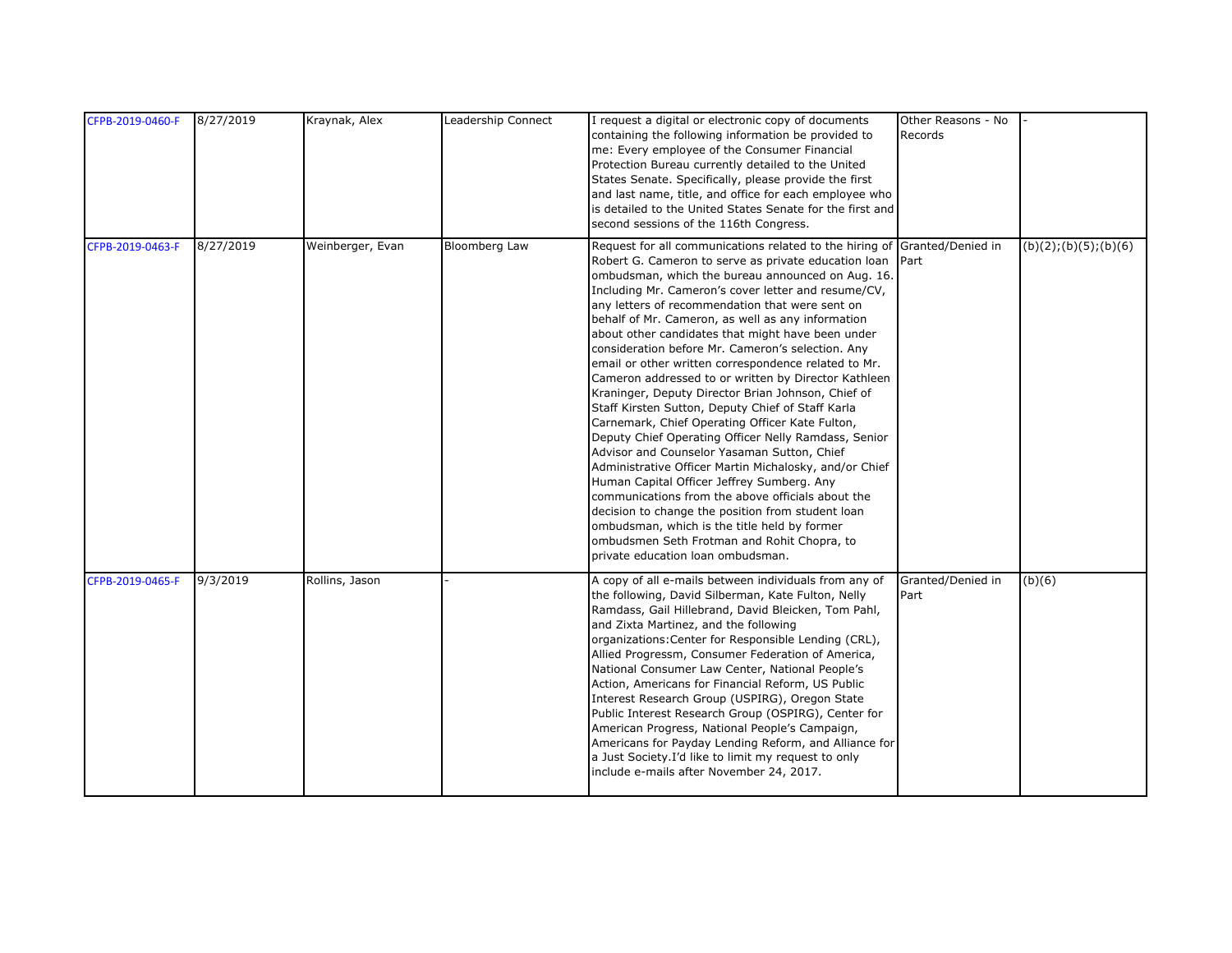| CFPB-2019-0460-F | 8/27/2019 | Kraynak, Alex    | Leadership Connect | I request a digital or electronic copy of documents<br>containing the following information be provided to | Other Reasons - No<br>Records |                        |
|------------------|-----------|------------------|--------------------|------------------------------------------------------------------------------------------------------------|-------------------------------|------------------------|
|                  |           |                  |                    | me: Every employee of the Consumer Financial                                                               |                               |                        |
|                  |           |                  |                    | Protection Bureau currently detailed to the United                                                         |                               |                        |
|                  |           |                  |                    | States Senate. Specifically, please provide the first                                                      |                               |                        |
|                  |           |                  |                    | and last name, title, and office for each employee who                                                     |                               |                        |
|                  |           |                  |                    | is detailed to the United States Senate for the first and                                                  |                               |                        |
|                  |           |                  |                    | second sessions of the 116th Congress.                                                                     |                               |                        |
| CFPB-2019-0463-F | 8/27/2019 | Weinberger, Evan | Bloomberg Law      | Request for all communications related to the hiring of Granted/Denied in                                  |                               | (b)(2); (b)(5); (b)(6) |
|                  |           |                  |                    | Robert G. Cameron to serve as private education loan                                                       | Part                          |                        |
|                  |           |                  |                    | ombudsman, which the bureau announced on Aug. 16.                                                          |                               |                        |
|                  |           |                  |                    | Including Mr. Cameron's cover letter and resume/CV,                                                        |                               |                        |
|                  |           |                  |                    | any letters of recommendation that were sent on                                                            |                               |                        |
|                  |           |                  |                    | behalf of Mr. Cameron, as well as any information                                                          |                               |                        |
|                  |           |                  |                    | about other candidates that might have been under                                                          |                               |                        |
|                  |           |                  |                    | consideration before Mr. Cameron's selection. Any                                                          |                               |                        |
|                  |           |                  |                    | email or other written correspondence related to Mr.                                                       |                               |                        |
|                  |           |                  |                    | Cameron addressed to or written by Director Kathleen                                                       |                               |                        |
|                  |           |                  |                    | Kraninger, Deputy Director Brian Johnson, Chief of                                                         |                               |                        |
|                  |           |                  |                    | Staff Kirsten Sutton, Deputy Chief of Staff Karla                                                          |                               |                        |
|                  |           |                  |                    | Carnemark, Chief Operating Officer Kate Fulton,                                                            |                               |                        |
|                  |           |                  |                    | Deputy Chief Operating Officer Nelly Ramdass, Senior                                                       |                               |                        |
|                  |           |                  |                    | Advisor and Counselor Yasaman Sutton, Chief<br>Administrative Officer Martin Michalosky, and/or Chief      |                               |                        |
|                  |           |                  |                    | Human Capital Officer Jeffrey Sumberg. Any                                                                 |                               |                        |
|                  |           |                  |                    | communications from the above officials about the                                                          |                               |                        |
|                  |           |                  |                    | decision to change the position from student loan                                                          |                               |                        |
|                  |           |                  |                    | ombudsman, which is the title held by former                                                               |                               |                        |
|                  |           |                  |                    | ombudsmen Seth Frotman and Rohit Chopra, to                                                                |                               |                        |
|                  |           |                  |                    | private education loan ombudsman.                                                                          |                               |                        |
|                  |           |                  |                    |                                                                                                            |                               |                        |
| CFPB-2019-0465-F | 9/3/2019  | Rollins, Jason   |                    | A copy of all e-mails between individuals from any of                                                      | Granted/Denied in             | (b)(6)                 |
|                  |           |                  |                    | the following, David Silberman, Kate Fulton, Nelly                                                         | Part                          |                        |
|                  |           |                  |                    | Ramdass, Gail Hillebrand, David Bleicken, Tom Pahl,                                                        |                               |                        |
|                  |           |                  |                    | and Zixta Martinez, and the following                                                                      |                               |                        |
|                  |           |                  |                    | organizations: Center for Responsible Lending (CRL),                                                       |                               |                        |
|                  |           |                  |                    | Allied Progressm, Consumer Federation of America,                                                          |                               |                        |
|                  |           |                  |                    | National Consumer Law Center, National People's                                                            |                               |                        |
|                  |           |                  |                    | Action, Americans for Financial Reform, US Public                                                          |                               |                        |
|                  |           |                  |                    | Interest Research Group (USPIRG), Oregon State                                                             |                               |                        |
|                  |           |                  |                    | Public Interest Research Group (OSPIRG), Center for                                                        |                               |                        |
|                  |           |                  |                    | American Progress, National People's Campaign,                                                             |                               |                        |
|                  |           |                  |                    | Americans for Payday Lending Reform, and Alliance for                                                      |                               |                        |
|                  |           |                  |                    | a Just Society.I'd like to limit my request to only                                                        |                               |                        |
|                  |           |                  |                    | include e-mails after November 24, 2017.                                                                   |                               |                        |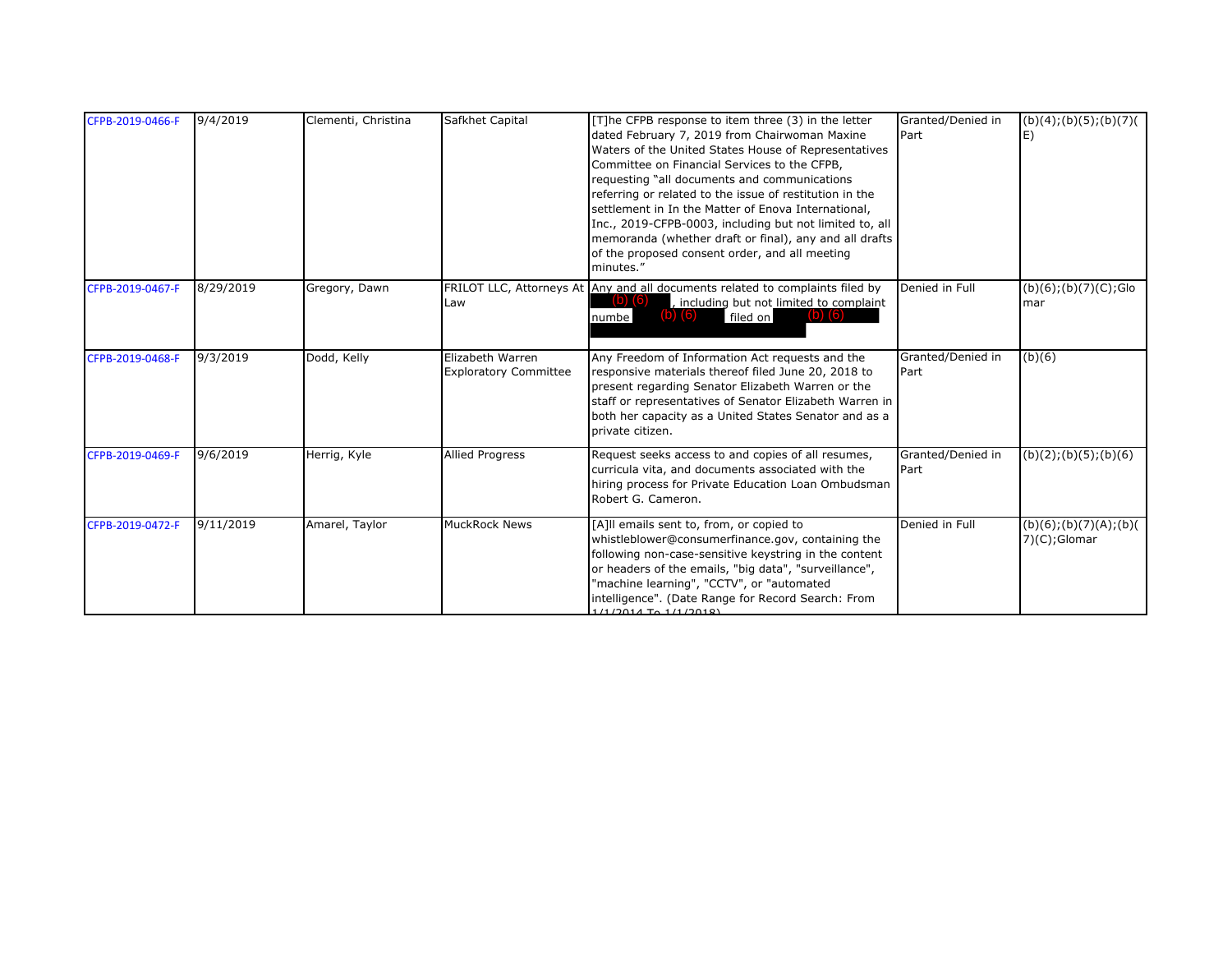| CFPB-2019-0466-F | 9/4/2019  | Clementi, Christina | Safkhet Capital                                  | [T]he CFPB response to item three (3) in the letter<br>dated February 7, 2019 from Chairwoman Maxine<br>Waters of the United States House of Representatives<br>Committee on Financial Services to the CFPB,<br>requesting "all documents and communications<br>referring or related to the issue of restitution in the<br>settlement in In the Matter of Enova International,<br>Inc., 2019-CFPB-0003, including but not limited to, all<br>memoranda (whether draft or final), any and all drafts<br>of the proposed consent order, and all meeting<br>minutes." | Granted/Denied in<br>Part | (b)(4); (b)(5); (b)(7)<br>E)                    |
|------------------|-----------|---------------------|--------------------------------------------------|--------------------------------------------------------------------------------------------------------------------------------------------------------------------------------------------------------------------------------------------------------------------------------------------------------------------------------------------------------------------------------------------------------------------------------------------------------------------------------------------------------------------------------------------------------------------|---------------------------|-------------------------------------------------|
| CFPB-2019-0467-F | 8/29/2019 | Gregory, Dawn       | Law                                              | FRILOT LLC, Attorneys At Any and all documents related to complaints filed by<br>$(b)$ $(6)$<br>, including but not limited to complaint<br>filed on<br>numbel                                                                                                                                                                                                                                                                                                                                                                                                     | Denied in Full            | $(b)(6)$ ; $(b)(7)(C)$ ;Glo<br>mar              |
| CFPB-2019-0468-F | 9/3/2019  | Dodd, Kelly         | Elizabeth Warren<br><b>Exploratory Committee</b> | Any Freedom of Information Act requests and the<br>responsive materials thereof filed June 20, 2018 to<br>present regarding Senator Elizabeth Warren or the<br>staff or representatives of Senator Elizabeth Warren in<br>both her capacity as a United States Senator and as a<br>private citizen.                                                                                                                                                                                                                                                                | Granted/Denied in<br>Part | (b)(6)                                          |
| CFPB-2019-0469-F | 9/6/2019  | Herrig, Kyle        | <b>Allied Progress</b>                           | Request seeks access to and copies of all resumes,<br>curricula vita, and documents associated with the<br>hiring process for Private Education Loan Ombudsman<br>Robert G. Cameron.                                                                                                                                                                                                                                                                                                                                                                               | Granted/Denied in<br>Part | (b)(2); (b)(5); (b)(6)                          |
| CFPB-2019-0472-F | 9/11/2019 | Amarel, Taylor      | <b>MuckRock News</b>                             | [A]II emails sent to, from, or copied to<br>whistleblower@consumerfinance.gov, containing the<br>following non-case-sensitive keystring in the content<br>or headers of the emails, "big data", "surveillance",<br>"machine learning", "CCTV", or "automated<br>intelligence". (Date Range for Record Search: From<br>$1/1/2014$ To $1/1/2018$                                                                                                                                                                                                                     | Denied in Full            | $(b)(6)$ ; $(b)(7)(A)$ ; $(b)($<br>7)(C);Glomar |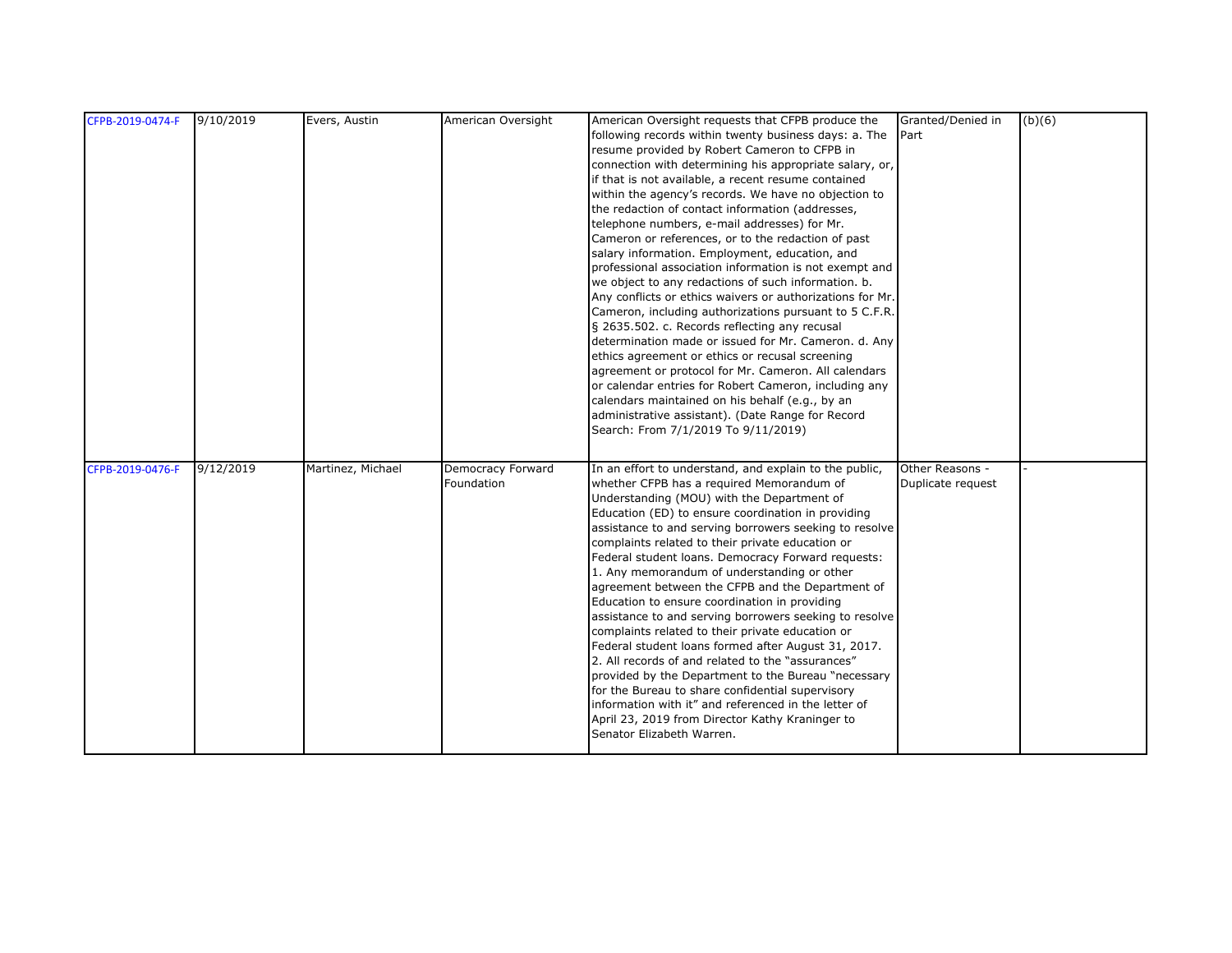| CFPB-2019-0474-F | 9/10/2019 | Evers, Austin     | American Oversight              | American Oversight requests that CFPB produce the<br>following records within twenty business days: a. The<br>resume provided by Robert Cameron to CFPB in<br>connection with determining his appropriate salary, or,<br>if that is not available, a recent resume contained<br>within the agency's records. We have no objection to<br>the redaction of contact information (addresses,<br>telephone numbers, e-mail addresses) for Mr.<br>Cameron or references, or to the redaction of past<br>salary information. Employment, education, and<br>professional association information is not exempt and<br>we object to any redactions of such information. b.<br>Any conflicts or ethics waivers or authorizations for Mr.<br>Cameron, including authorizations pursuant to 5 C.F.R.<br>§ 2635.502. c. Records reflecting any recusal<br>determination made or issued for Mr. Cameron. d. Any<br>ethics agreement or ethics or recusal screening<br>agreement or protocol for Mr. Cameron. All calendars<br>or calendar entries for Robert Cameron, including any<br>calendars maintained on his behalf (e.g., by an<br>administrative assistant). (Date Range for Record<br>Search: From 7/1/2019 To 9/11/2019) | Granted/Denied in<br>Part            | (b)(6) |
|------------------|-----------|-------------------|---------------------------------|----------------------------------------------------------------------------------------------------------------------------------------------------------------------------------------------------------------------------------------------------------------------------------------------------------------------------------------------------------------------------------------------------------------------------------------------------------------------------------------------------------------------------------------------------------------------------------------------------------------------------------------------------------------------------------------------------------------------------------------------------------------------------------------------------------------------------------------------------------------------------------------------------------------------------------------------------------------------------------------------------------------------------------------------------------------------------------------------------------------------------------------------------------------------------------------------------------------------|--------------------------------------|--------|
| CFPB-2019-0476-F | 9/12/2019 | Martinez, Michael | Democracy Forward<br>Foundation | In an effort to understand, and explain to the public,<br>whether CFPB has a required Memorandum of<br>Understanding (MOU) with the Department of<br>Education (ED) to ensure coordination in providing<br>assistance to and serving borrowers seeking to resolve<br>complaints related to their private education or<br>Federal student loans. Democracy Forward requests:<br>1. Any memorandum of understanding or other<br>agreement between the CFPB and the Department of<br>Education to ensure coordination in providing<br>assistance to and serving borrowers seeking to resolve<br>complaints related to their private education or<br>Federal student loans formed after August 31, 2017.<br>2. All records of and related to the "assurances"<br>provided by the Department to the Bureau "necessary<br>for the Bureau to share confidential supervisory<br>information with it" and referenced in the letter of<br>April 23, 2019 from Director Kathy Kraninger to<br>Senator Elizabeth Warren.                                                                                                                                                                                                         | Other Reasons -<br>Duplicate request |        |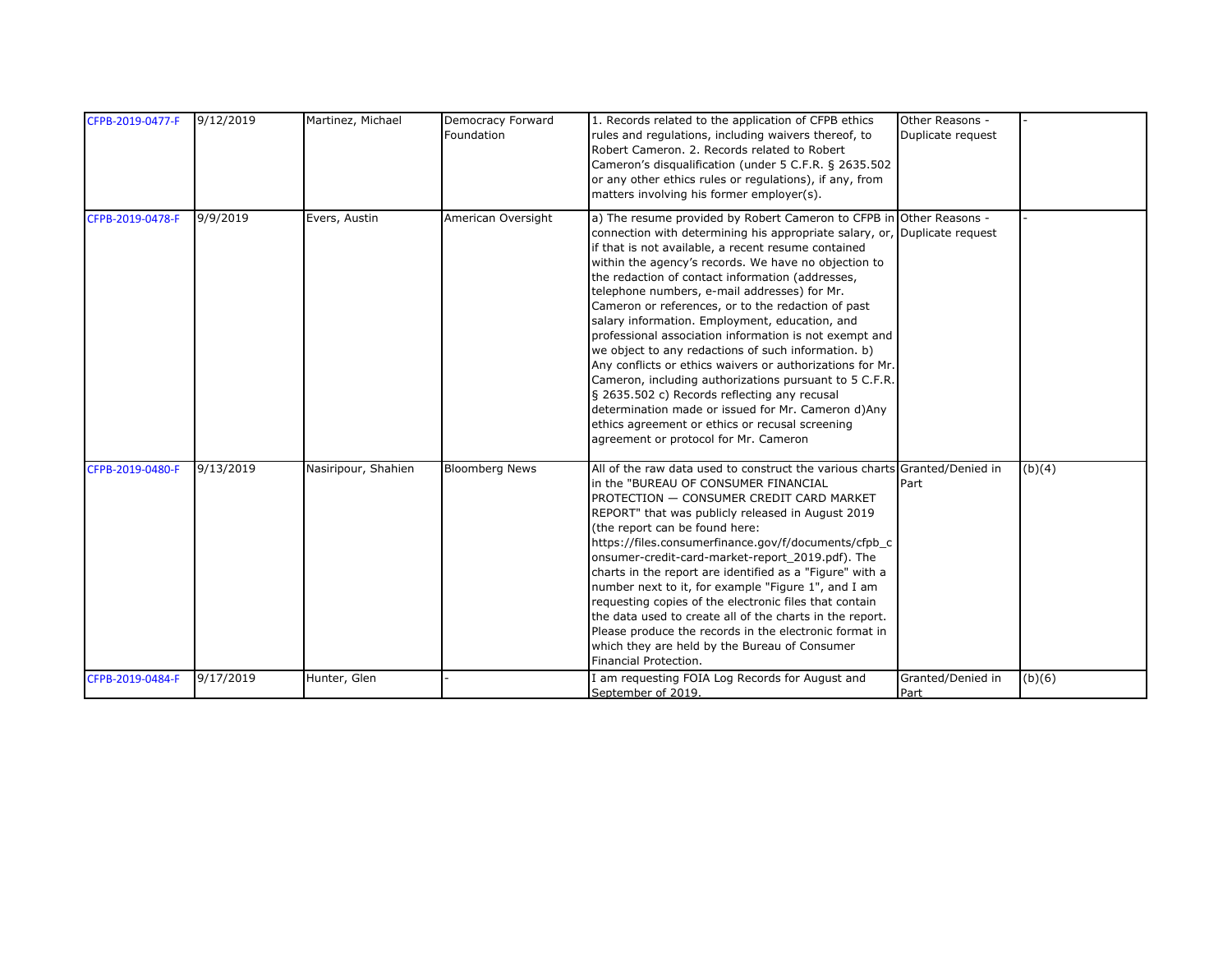| CFPB-2019-0477-F | 9/12/2019 | Martinez, Michael   | Democracy Forward     | 1. Records related to the application of CFPB ethics                                                     | Other Reasons -   |        |
|------------------|-----------|---------------------|-----------------------|----------------------------------------------------------------------------------------------------------|-------------------|--------|
|                  |           |                     | Foundation            | rules and regulations, including waivers thereof, to                                                     | Duplicate request |        |
|                  |           |                     |                       | Robert Cameron. 2. Records related to Robert                                                             |                   |        |
|                  |           |                     |                       | Cameron's disqualification (under 5 C.F.R. § 2635.502                                                    |                   |        |
|                  |           |                     |                       | or any other ethics rules or regulations), if any, from                                                  |                   |        |
|                  |           |                     |                       | matters involving his former employer(s).                                                                |                   |        |
| CFPB-2019-0478-F | 9/9/2019  | Evers, Austin       | American Oversight    | a) The resume provided by Robert Cameron to CFPB in Other Reasons -                                      |                   |        |
|                  |           |                     |                       | connection with determining his appropriate salary, or, Duplicate request                                |                   |        |
|                  |           |                     |                       | if that is not available, a recent resume contained                                                      |                   |        |
|                  |           |                     |                       | within the agency's records. We have no objection to                                                     |                   |        |
|                  |           |                     |                       | the redaction of contact information (addresses,                                                         |                   |        |
|                  |           |                     |                       | telephone numbers, e-mail addresses) for Mr.                                                             |                   |        |
|                  |           |                     |                       | Cameron or references, or to the redaction of past<br>salary information. Employment, education, and     |                   |        |
|                  |           |                     |                       | professional association information is not exempt and                                                   |                   |        |
|                  |           |                     |                       | we object to any redactions of such information. b)                                                      |                   |        |
|                  |           |                     |                       | Any conflicts or ethics waivers or authorizations for Mr.                                                |                   |        |
|                  |           |                     |                       | Cameron, including authorizations pursuant to 5 C.F.R.                                                   |                   |        |
|                  |           |                     |                       | § 2635.502 c) Records reflecting any recusal                                                             |                   |        |
|                  |           |                     |                       | determination made or issued for Mr. Cameron d)Any                                                       |                   |        |
|                  |           |                     |                       | ethics agreement or ethics or recusal screening                                                          |                   |        |
|                  |           |                     |                       | agreement or protocol for Mr. Cameron                                                                    |                   |        |
|                  |           |                     |                       |                                                                                                          |                   |        |
| CFPB-2019-0480-F | 9/13/2019 | Nasiripour, Shahien | <b>Bloomberg News</b> | All of the raw data used to construct the various charts Granted/Denied in                               |                   | (b)(4) |
|                  |           |                     |                       | in the "BUREAU OF CONSUMER FINANCIAL                                                                     | Part              |        |
|                  |           |                     |                       | PROTECTION - CONSUMER CREDIT CARD MARKET                                                                 |                   |        |
|                  |           |                     |                       | REPORT" that was publicly released in August 2019                                                        |                   |        |
|                  |           |                     |                       | (the report can be found here:                                                                           |                   |        |
|                  |           |                     |                       | https://files.consumerfinance.gov/f/documents/cfpb_c<br>onsumer-credit-card-market-report_2019.pdf). The |                   |        |
|                  |           |                     |                       | charts in the report are identified as a "Figure" with a                                                 |                   |        |
|                  |           |                     |                       | number next to it, for example "Figure 1", and I am                                                      |                   |        |
|                  |           |                     |                       | requesting copies of the electronic files that contain                                                   |                   |        |
|                  |           |                     |                       | the data used to create all of the charts in the report.                                                 |                   |        |
|                  |           |                     |                       | Please produce the records in the electronic format in                                                   |                   |        |
|                  |           |                     |                       | which they are held by the Bureau of Consumer                                                            |                   |        |
|                  |           |                     |                       | Financial Protection.                                                                                    |                   |        |
| CFPB-2019-0484-F | 9/17/2019 | Hunter, Glen        |                       | I am requesting FOIA Log Records for August and                                                          | Granted/Denied in | (b)(6) |
|                  |           |                     |                       | September of 2019.                                                                                       | Part              |        |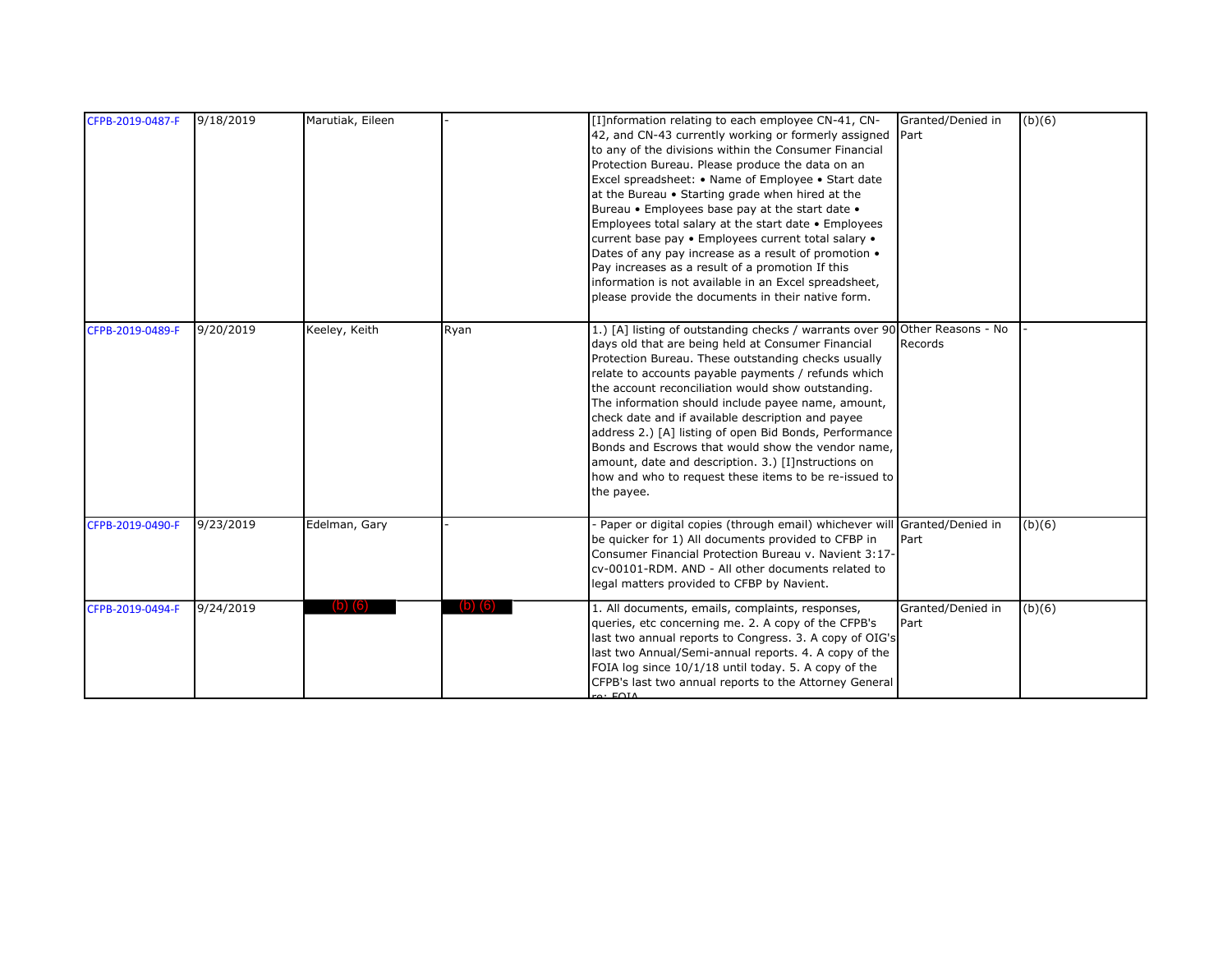| CFPB-2019-0487-F | 9/18/2019 | Marutiak, Eileen |           | [I]nformation relating to each employee CN-41, CN-<br>42, and CN-43 currently working or formerly assigned<br>to any of the divisions within the Consumer Financial<br>Protection Bureau. Please produce the data on an<br>Excel spreadsheet: • Name of Employee • Start date<br>at the Bureau • Starting grade when hired at the<br>Bureau • Employees base pay at the start date •<br>Employees total salary at the start date . Employees<br>current base pay . Employees current total salary .<br>Dates of any pay increase as a result of promotion .<br>Pay increases as a result of a promotion If this<br>information is not available in an Excel spreadsheet,<br>please provide the documents in their native form. | Granted/Denied in<br>Part | (b)(6) |
|------------------|-----------|------------------|-----------|--------------------------------------------------------------------------------------------------------------------------------------------------------------------------------------------------------------------------------------------------------------------------------------------------------------------------------------------------------------------------------------------------------------------------------------------------------------------------------------------------------------------------------------------------------------------------------------------------------------------------------------------------------------------------------------------------------------------------------|---------------------------|--------|
| CFPB-2019-0489-F | 9/20/2019 | Keeley, Keith    | Ryan      | 1.) [A] listing of outstanding checks / warrants over 90 Other Reasons - No<br>days old that are being held at Consumer Financial<br>Protection Bureau. These outstanding checks usually<br>relate to accounts payable payments / refunds which<br>the account reconciliation would show outstanding.<br>The information should include payee name, amount,<br>check date and if available description and payee<br>address 2.) [A] listing of open Bid Bonds, Performance<br>Bonds and Escrows that would show the vendor name,<br>amount, date and description. 3.) [I]nstructions on<br>how and who to request these items to be re-issued to<br>the payee.                                                                 | Records                   |        |
| CFPB-2019-0490-F | 9/23/2019 | Edelman, Gary    |           | Paper or digital copies (through email) whichever will Granted/Denied in<br>be quicker for 1) All documents provided to CFBP in<br>Consumer Financial Protection Bureau v. Navient 3:17-<br>cv-00101-RDM. AND - All other documents related to<br>legal matters provided to CFBP by Navient.                                                                                                                                                                                                                                                                                                                                                                                                                                   | Part                      | (b)(6) |
| CFPB-2019-0494-F | 9/24/2019 |                  | $(D)$ (6) | 1. All documents, emails, complaints, responses,<br>queries, etc concerning me. 2. A copy of the CFPB's<br>last two annual reports to Congress. 3. A copy of OIG's<br>last two Annual/Semi-annual reports. 4. A copy of the<br>FOIA log since 10/1/18 until today. 5. A copy of the<br>CFPB's last two annual reports to the Attorney General<br>$\alpha$ FOIA                                                                                                                                                                                                                                                                                                                                                                 | Granted/Denied in<br>Part | (b)(6) |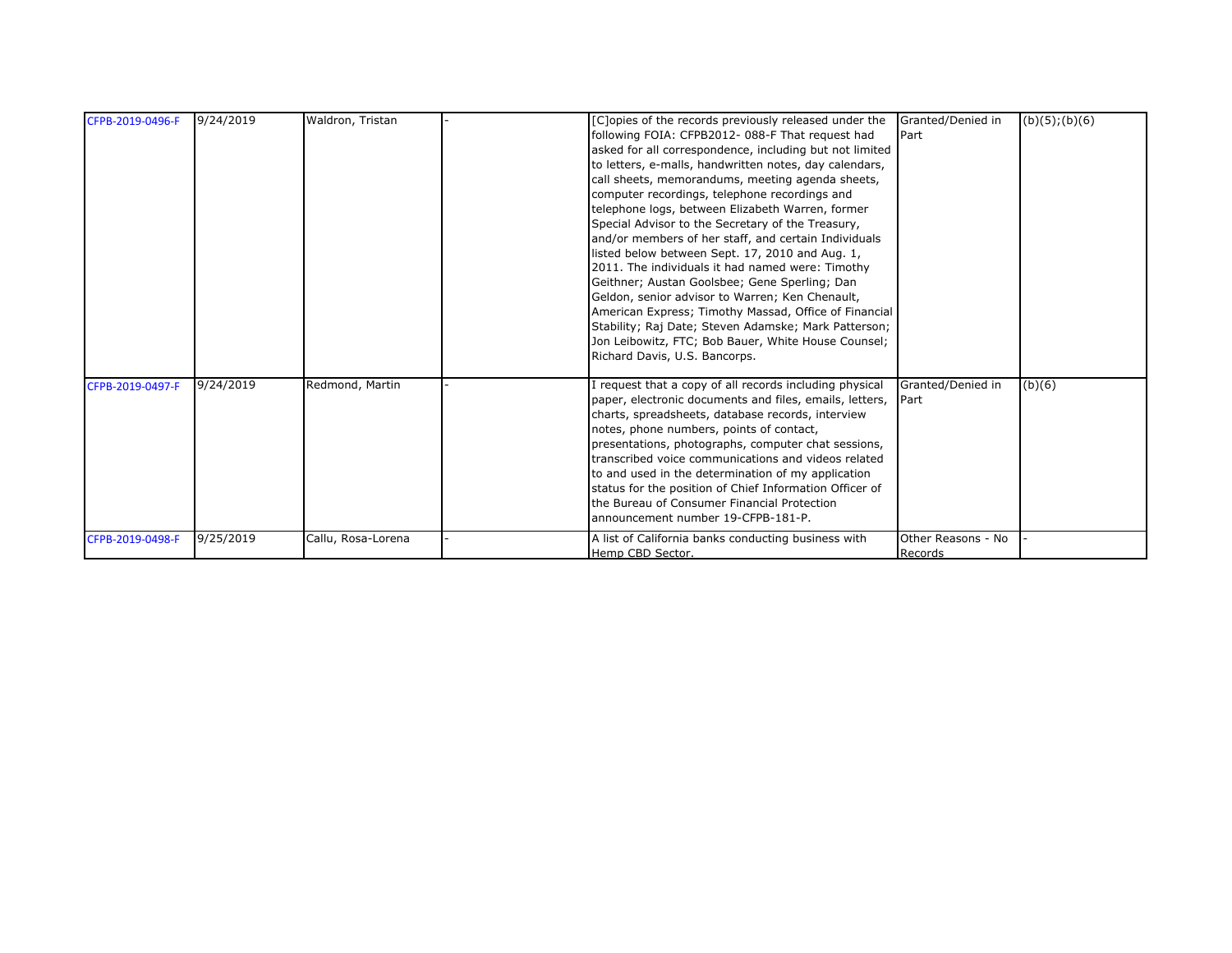| CFPB-2019-0496-F | 9/24/2019 | Waldron, Tristan   | Granted/Denied in<br>[C]opies of the records previously released under the<br>following FOIA: CFPB2012- 088-F That request had<br>Part<br>asked for all correspondence, including but not limited<br>to letters, e-malls, handwritten notes, day calendars,<br>call sheets, memorandums, meeting agenda sheets,<br>computer recordings, telephone recordings and<br>telephone logs, between Elizabeth Warren, former<br>Special Advisor to the Secretary of the Treasury,<br>and/or members of her staff, and certain Individuals<br>listed below between Sept. 17, 2010 and Aug. 1,<br>2011. The individuals it had named were: Timothy<br>Geithner; Austan Goolsbee; Gene Sperling; Dan<br>Geldon, senior advisor to Warren; Ken Chenault,<br>American Express; Timothy Massad, Office of Financial<br>Stability; Raj Date; Steven Adamske; Mark Patterson;<br>Jon Leibowitz, FTC; Bob Bauer, White House Counsel; | $(b)(5)$ ; $(b)(6)$ |
|------------------|-----------|--------------------|----------------------------------------------------------------------------------------------------------------------------------------------------------------------------------------------------------------------------------------------------------------------------------------------------------------------------------------------------------------------------------------------------------------------------------------------------------------------------------------------------------------------------------------------------------------------------------------------------------------------------------------------------------------------------------------------------------------------------------------------------------------------------------------------------------------------------------------------------------------------------------------------------------------------|---------------------|
| CFPB-2019-0497-F | 9/24/2019 | Redmond, Martin    | Richard Davis, U.S. Bancorps.<br>request that a copy of all records including physical<br>Granted/Denied in<br>paper, electronic documents and files, emails, letters,<br>Part<br>charts, spreadsheets, database records, interview<br>notes, phone numbers, points of contact,<br>presentations, photographs, computer chat sessions,<br>transcribed voice communications and videos related<br>to and used in the determination of my application<br>status for the position of Chief Information Officer of<br>the Bureau of Consumer Financial Protection<br>announcement number 19-CFPB-181-P.                                                                                                                                                                                                                                                                                                                  | (b)(6)              |
| CFPB-2019-0498-F | 9/25/2019 | Callu, Rosa-Lorena | Other Reasons - No<br>A list of California banks conducting business with<br>Hemp CBD Sector.<br>Records                                                                                                                                                                                                                                                                                                                                                                                                                                                                                                                                                                                                                                                                                                                                                                                                             |                     |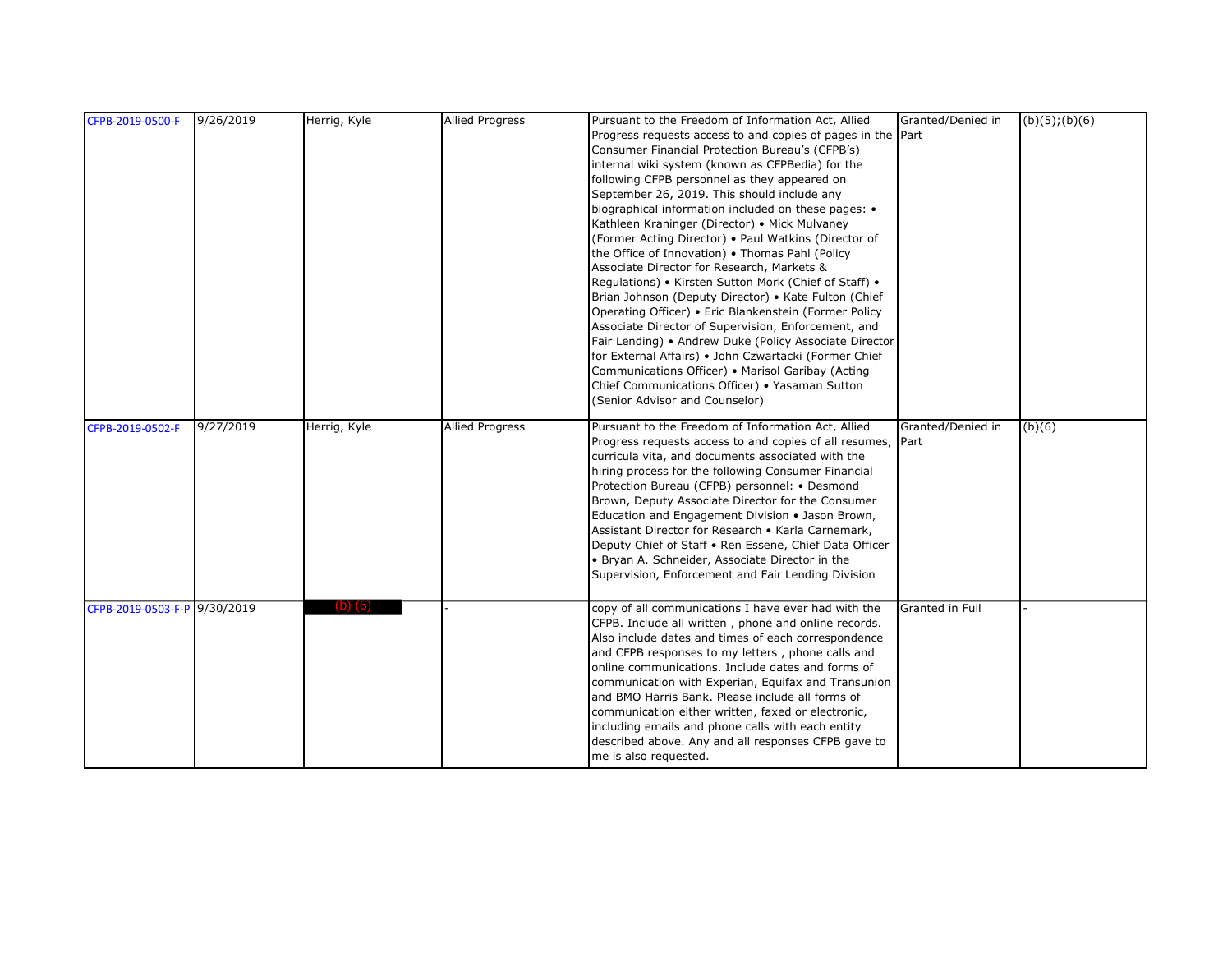| CFPB-2019-0500-F             | 9/26/2019 | Herrig, Kyle | <b>Allied Progress</b> | Pursuant to the Freedom of Information Act, Allied          | Granted/Denied in | (b)(5); (b)(6) |
|------------------------------|-----------|--------------|------------------------|-------------------------------------------------------------|-------------------|----------------|
|                              |           |              |                        | Progress requests access to and copies of pages in the Part |                   |                |
|                              |           |              |                        | Consumer Financial Protection Bureau's (CFPB's)             |                   |                |
|                              |           |              |                        | internal wiki system (known as CFPBedia) for the            |                   |                |
|                              |           |              |                        | following CFPB personnel as they appeared on                |                   |                |
|                              |           |              |                        | September 26, 2019. This should include any                 |                   |                |
|                              |           |              |                        | biographical information included on these pages: •         |                   |                |
|                              |           |              |                        | Kathleen Kraninger (Director) • Mick Mulvaney               |                   |                |
|                              |           |              |                        | (Former Acting Director) . Paul Watkins (Director of        |                   |                |
|                              |           |              |                        | the Office of Innovation) . Thomas Pahl (Policy             |                   |                |
|                              |           |              |                        | Associate Director for Research, Markets &                  |                   |                |
|                              |           |              |                        | Regulations) • Kirsten Sutton Mork (Chief of Staff) •       |                   |                |
|                              |           |              |                        | Brian Johnson (Deputy Director) • Kate Fulton (Chief        |                   |                |
|                              |           |              |                        | Operating Officer) • Eric Blankenstein (Former Policy       |                   |                |
|                              |           |              |                        | Associate Director of Supervision, Enforcement, and         |                   |                |
|                              |           |              |                        | Fair Lending) • Andrew Duke (Policy Associate Director      |                   |                |
|                              |           |              |                        | for External Affairs) . John Czwartacki (Former Chief       |                   |                |
|                              |           |              |                        | Communications Officer) • Marisol Garibay (Acting           |                   |                |
|                              |           |              |                        | Chief Communications Officer) • Yasaman Sutton              |                   |                |
|                              |           |              |                        | (Senior Advisor and Counselor)                              |                   |                |
|                              |           |              |                        |                                                             |                   |                |
| CFPB-2019-0502-F             | 9/27/2019 | Herrig, Kyle | <b>Allied Progress</b> | Pursuant to the Freedom of Information Act, Allied          | Granted/Denied in | (b)(6)         |
|                              |           |              |                        | Progress requests access to and copies of all resumes,      | Part              |                |
|                              |           |              |                        | curricula vita, and documents associated with the           |                   |                |
|                              |           |              |                        | hiring process for the following Consumer Financial         |                   |                |
|                              |           |              |                        | Protection Bureau (CFPB) personnel: • Desmond               |                   |                |
|                              |           |              |                        | Brown, Deputy Associate Director for the Consumer           |                   |                |
|                              |           |              |                        | Education and Engagement Division • Jason Brown,            |                   |                |
|                              |           |              |                        | Assistant Director for Research . Karla Carnemark,          |                   |                |
|                              |           |              |                        | Deputy Chief of Staff . Ren Essene, Chief Data Officer      |                   |                |
|                              |           |              |                        | • Bryan A. Schneider, Associate Director in the             |                   |                |
|                              |           |              |                        | Supervision, Enforcement and Fair Lending Division          |                   |                |
|                              |           |              |                        |                                                             |                   |                |
| CFPB-2019-0503-F-P 9/30/2019 |           | וסו          |                        | copy of all communications I have ever had with the         | Granted in Full   |                |
|                              |           |              |                        | CFPB. Include all written, phone and online records.        |                   |                |
|                              |           |              |                        | Also include dates and times of each correspondence         |                   |                |
|                              |           |              |                        | and CFPB responses to my letters, phone calls and           |                   |                |
|                              |           |              |                        | online communications. Include dates and forms of           |                   |                |
|                              |           |              |                        | communication with Experian, Equifax and Transunion         |                   |                |
|                              |           |              |                        | and BMO Harris Bank. Please include all forms of            |                   |                |
|                              |           |              |                        | communication either written, faxed or electronic,          |                   |                |
|                              |           |              |                        | including emails and phone calls with each entity           |                   |                |
|                              |           |              |                        | described above. Any and all responses CFPB gave to         |                   |                |
|                              |           |              |                        | me is also requested.                                       |                   |                |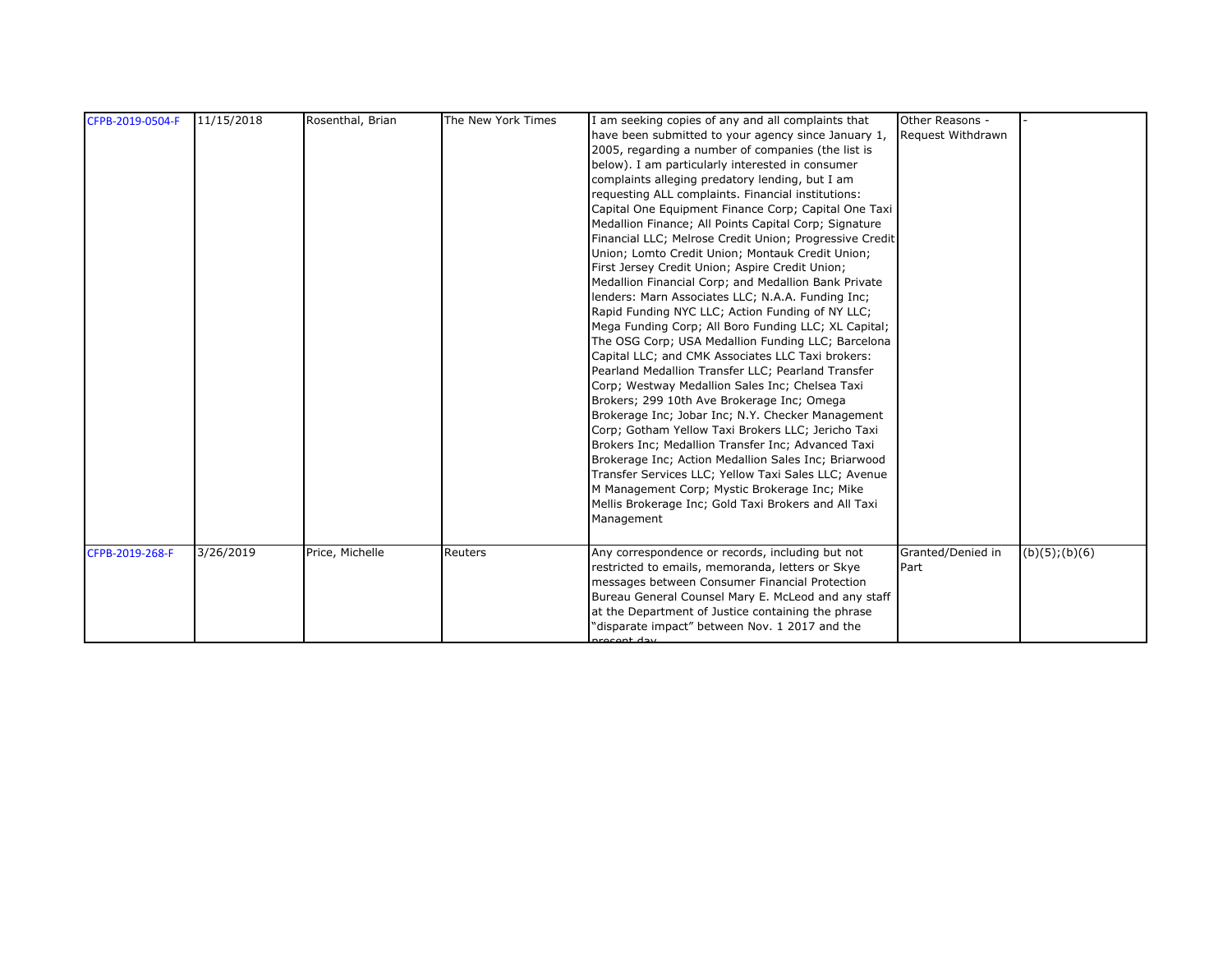| CFPB-2019-0504-F | 11/15/2018 | Rosenthal, Brian | The New York Times | I am seeking copies of any and all complaints that<br>have been submitted to your agency since January 1,<br>2005, regarding a number of companies (the list is<br>below). I am particularly interested in consumer<br>complaints alleging predatory lending, but I am<br>requesting ALL complaints. Financial institutions:<br>Capital One Equipment Finance Corp; Capital One Taxi<br>Medallion Finance; All Points Capital Corp; Signature<br>Financial LLC; Melrose Credit Union; Progressive Credit<br>Union; Lomto Credit Union; Montauk Credit Union;<br>First Jersey Credit Union; Aspire Credit Union;<br>Medallion Financial Corp; and Medallion Bank Private<br>lenders: Marn Associates LLC; N.A.A. Funding Inc;<br>Rapid Funding NYC LLC; Action Funding of NY LLC;<br>Mega Funding Corp; All Boro Funding LLC; XL Capital;<br>The OSG Corp; USA Medallion Funding LLC; Barcelona<br>Capital LLC; and CMK Associates LLC Taxi brokers:<br>Pearland Medallion Transfer LLC; Pearland Transfer<br>Corp; Westway Medallion Sales Inc; Chelsea Taxi<br>Brokers; 299 10th Ave Brokerage Inc; Omega<br>Brokerage Inc; Jobar Inc; N.Y. Checker Management | Other Reasons -<br>Request Withdrawn |                     |
|------------------|------------|------------------|--------------------|-----------------------------------------------------------------------------------------------------------------------------------------------------------------------------------------------------------------------------------------------------------------------------------------------------------------------------------------------------------------------------------------------------------------------------------------------------------------------------------------------------------------------------------------------------------------------------------------------------------------------------------------------------------------------------------------------------------------------------------------------------------------------------------------------------------------------------------------------------------------------------------------------------------------------------------------------------------------------------------------------------------------------------------------------------------------------------------------------------------------------------------------------------------------|--------------------------------------|---------------------|
| CFPB-2019-268-F  | 3/26/2019  | Price, Michelle  | Reuters            | Corp; Gotham Yellow Taxi Brokers LLC; Jericho Taxi<br>Brokers Inc; Medallion Transfer Inc; Advanced Taxi<br>Brokerage Inc; Action Medallion Sales Inc; Briarwood<br>Transfer Services LLC; Yellow Taxi Sales LLC; Avenue<br>M Management Corp; Mystic Brokerage Inc; Mike<br>Mellis Brokerage Inc; Gold Taxi Brokers and All Taxi<br>Management<br>Any correspondence or records, including but not<br>restricted to emails, memoranda, letters or Skye<br>messages between Consumer Financial Protection<br>Bureau General Counsel Mary E. McLeod and any staff                                                                                                                                                                                                                                                                                                                                                                                                                                                                                                                                                                                                | Granted/Denied in<br>Part            | $(b)(5)$ ; $(b)(6)$ |
|                  |            |                  |                    | at the Department of Justice containing the phrase<br>"disparate impact" between Nov. 1 2017 and the<br>recent day                                                                                                                                                                                                                                                                                                                                                                                                                                                                                                                                                                                                                                                                                                                                                                                                                                                                                                                                                                                                                                              |                                      |                     |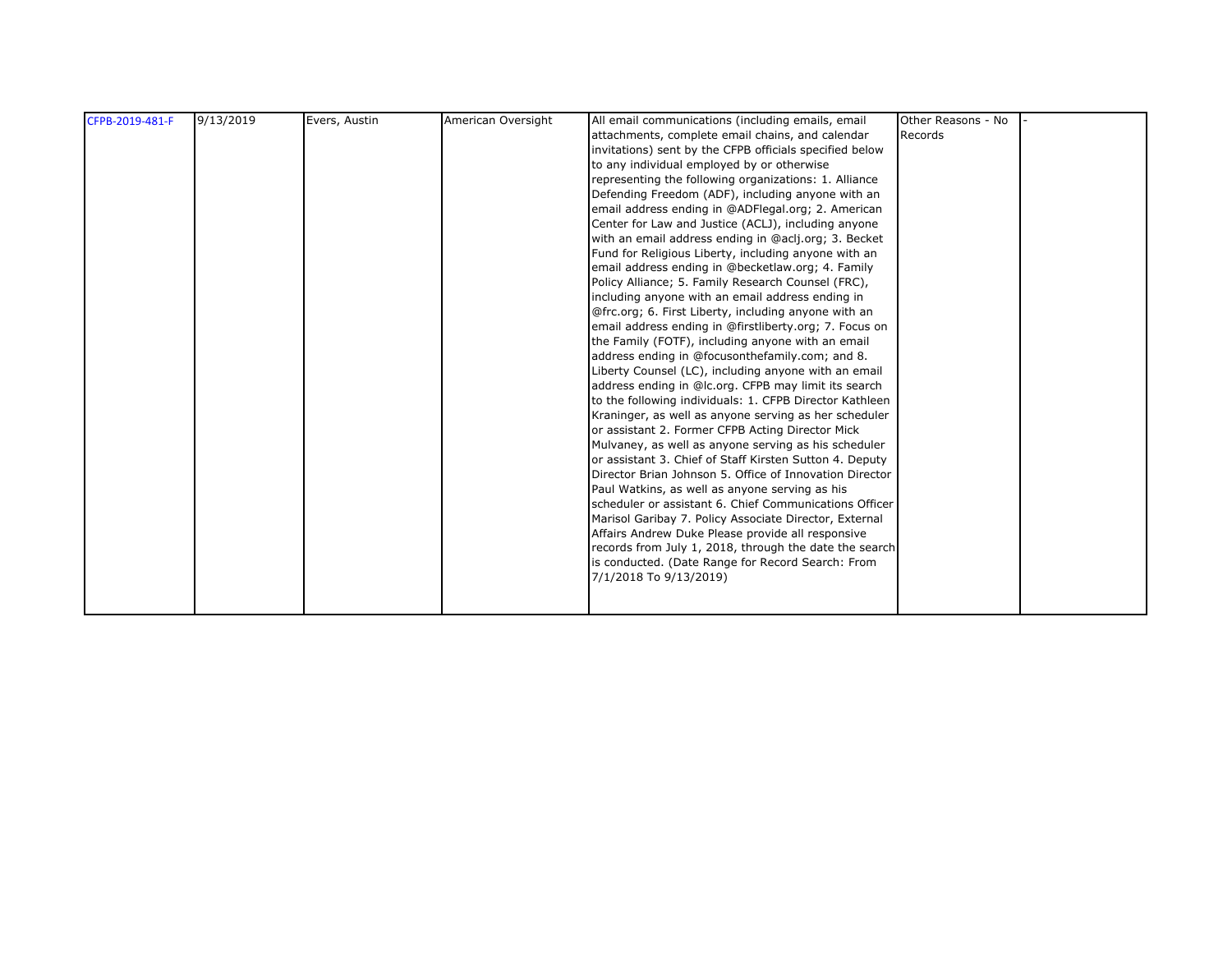| CFPB-2019-481-F | 9/13/2019 | Evers, Austin | American Oversight | All email communications (including emails, email<br>attachments, complete email chains, and calendar<br>invitations) sent by the CFPB officials specified below<br>to any individual employed by or otherwise<br>representing the following organizations: 1. Alliance<br>Defending Freedom (ADF), including anyone with an<br>email address ending in @ADFlegal.org; 2. American<br>Center for Law and Justice (ACLJ), including anyone<br>with an email address ending in @aclj.org; 3. Becket<br>Fund for Religious Liberty, including anyone with an<br>email address ending in @becketlaw.org; 4. Family<br>Policy Alliance; 5. Family Research Counsel (FRC),<br>including anyone with an email address ending in<br>@frc.org; 6. First Liberty, including anyone with an | Other Reasons - No<br>Records |  |
|-----------------|-----------|---------------|--------------------|----------------------------------------------------------------------------------------------------------------------------------------------------------------------------------------------------------------------------------------------------------------------------------------------------------------------------------------------------------------------------------------------------------------------------------------------------------------------------------------------------------------------------------------------------------------------------------------------------------------------------------------------------------------------------------------------------------------------------------------------------------------------------------|-------------------------------|--|
|                 |           |               |                    | or assistant 2. Former CFPB Acting Director Mick<br>Mulvaney, as well as anyone serving as his scheduler<br>or assistant 3. Chief of Staff Kirsten Sutton 4. Deputy<br>Director Brian Johnson 5. Office of Innovation Director<br>Paul Watkins, as well as anyone serving as his<br>scheduler or assistant 6. Chief Communications Officer<br>Marisol Garibay 7. Policy Associate Director, External<br>Affairs Andrew Duke Please provide all responsive<br>records from July 1, 2018, through the date the search<br>is conducted. (Date Range for Record Search: From<br>7/1/2018 To 9/13/2019)                                                                                                                                                                               |                               |  |